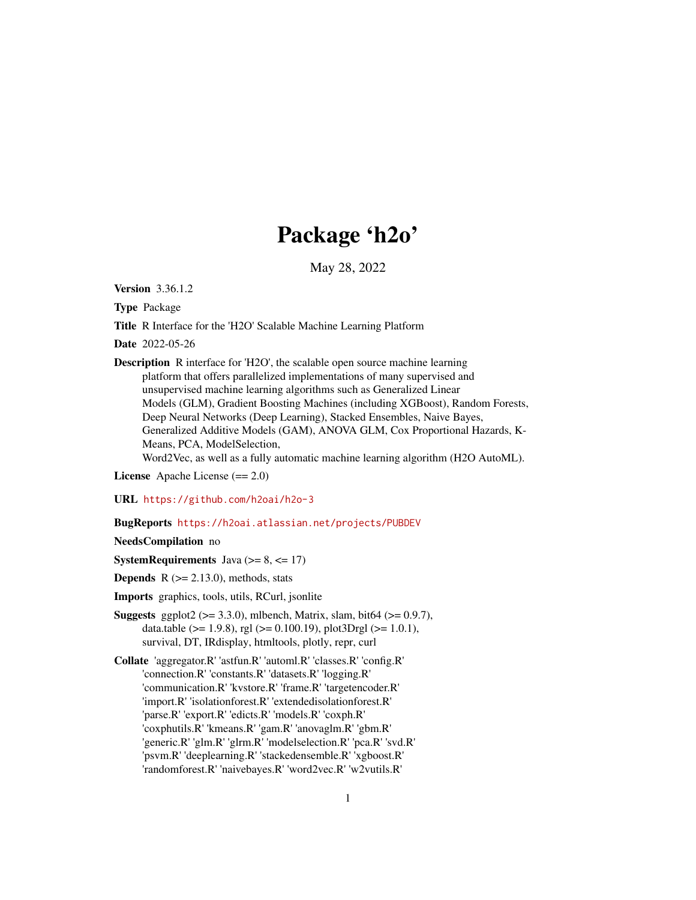# Package 'h2o'

May 28, 2022

Version 3.36.1.2

Type Package

Title R Interface for the 'H2O' Scalable Machine Learning Platform

Date 2022-05-26

Description R interface for 'H2O', the scalable open source machine learning platform that offers parallelized implementations of many supervised and unsupervised machine learning algorithms such as Generalized Linear Models (GLM), Gradient Boosting Machines (including XGBoost), Random Forests, Deep Neural Networks (Deep Learning), Stacked Ensembles, Naive Bayes, Generalized Additive Models (GAM), ANOVA GLM, Cox Proportional Hazards, K-Means, PCA, ModelSelection,

Word2Vec, as well as a fully automatic machine learning algorithm (H2O AutoML).

License Apache License (== 2.0)

URL <https://github.com/h2oai/h2o-3>

BugReports <https://h2oai.atlassian.net/projects/PUBDEV>

#### NeedsCompilation no

**SystemRequirements** Java ( $>= 8, \le 17$ )

**Depends**  $R$  ( $>= 2.13.0$ ), methods, stats

Imports graphics, tools, utils, RCurl, jsonlite

- **Suggests** ggplot2 ( $>= 3.3.0$ ), mlbench, Matrix, slam, bit64 ( $>= 0.9.7$ ), data.table ( $>= 1.9.8$ ), rgl ( $>= 0.100.19$ ), plot3Drgl ( $>= 1.0.1$ ), survival, DT, IRdisplay, htmltools, plotly, repr, curl
- Collate 'aggregator.R' 'astfun.R' 'automl.R' 'classes.R' 'config.R' 'connection.R' 'constants.R' 'datasets.R' 'logging.R' 'communication.R' 'kvstore.R' 'frame.R' 'targetencoder.R' 'import.R' 'isolationforest.R' 'extendedisolationforest.R' 'parse.R' 'export.R' 'edicts.R' 'models.R' 'coxph.R' 'coxphutils.R' 'kmeans.R' 'gam.R' 'anovaglm.R' 'gbm.R' 'generic.R' 'glm.R' 'glrm.R' 'modelselection.R' 'pca.R' 'svd.R' 'psvm.R' 'deeplearning.R' 'stackedensemble.R' 'xgboost.R' 'randomforest.R' 'naivebayes.R' 'word2vec.R' 'w2vutils.R'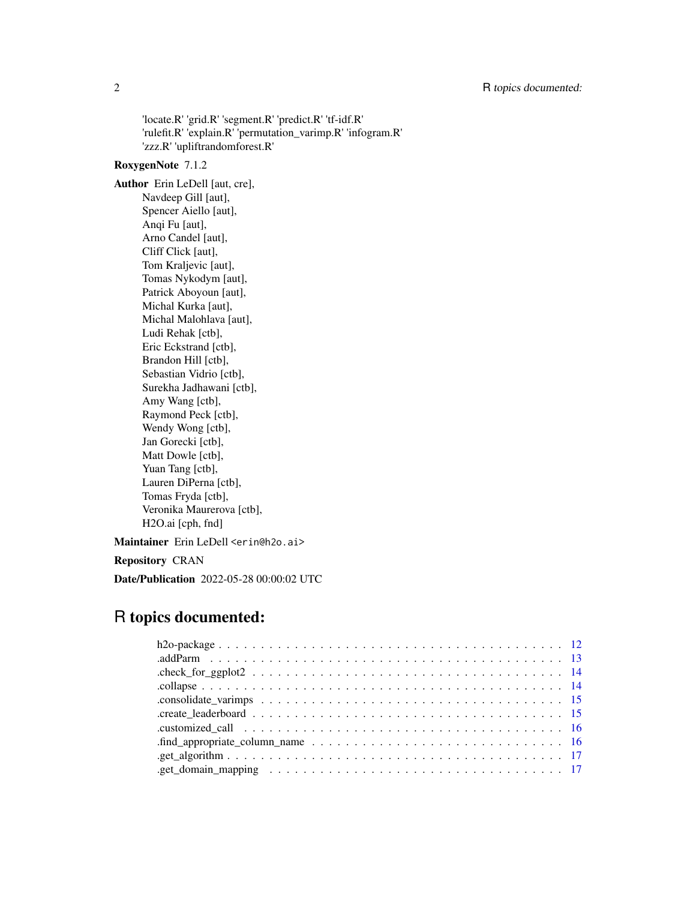'locate.R' 'grid.R' 'segment.R' 'predict.R' 'tf-idf.R' 'rulefit.R' 'explain.R' 'permutation\_varimp.R' 'infogram.R' 'zzz.R' 'upliftrandomforest.R'

# RoxygenNote 7.1.2

Author Erin LeDell [aut, cre], Navdeep Gill [aut], Spencer Aiello [aut], Anqi Fu [aut], Arno Candel [aut], Cliff Click [aut], Tom Kraljevic [aut], Tomas Nykodym [aut], Patrick Aboyoun [aut], Michal Kurka [aut], Michal Malohlava [aut], Ludi Rehak [ctb], Eric Eckstrand [ctb], Brandon Hill [ctb], Sebastian Vidrio [ctb], Surekha Jadhawani [ctb], Amy Wang [ctb], Raymond Peck [ctb], Wendy Wong [ctb], Jan Gorecki [ctb], Matt Dowle [ctb], Yuan Tang [ctb], Lauren DiPerna [ctb], Tomas Fryda [ctb], Veronika Maurerova [ctb], H2O.ai [cph, fnd]

Maintainer Erin LeDell <erin@h2o.ai>

# Repository CRAN

Date/Publication 2022-05-28 00:00:02 UTC

# R topics documented:

| .find_appropriate_column_name $\ldots \ldots \ldots \ldots \ldots \ldots \ldots \ldots \ldots \ldots \ldots 16$     |
|---------------------------------------------------------------------------------------------------------------------|
|                                                                                                                     |
| .get_domain_mapping $\ldots \ldots \ldots \ldots \ldots \ldots \ldots \ldots \ldots \ldots \ldots \ldots \ldots 17$ |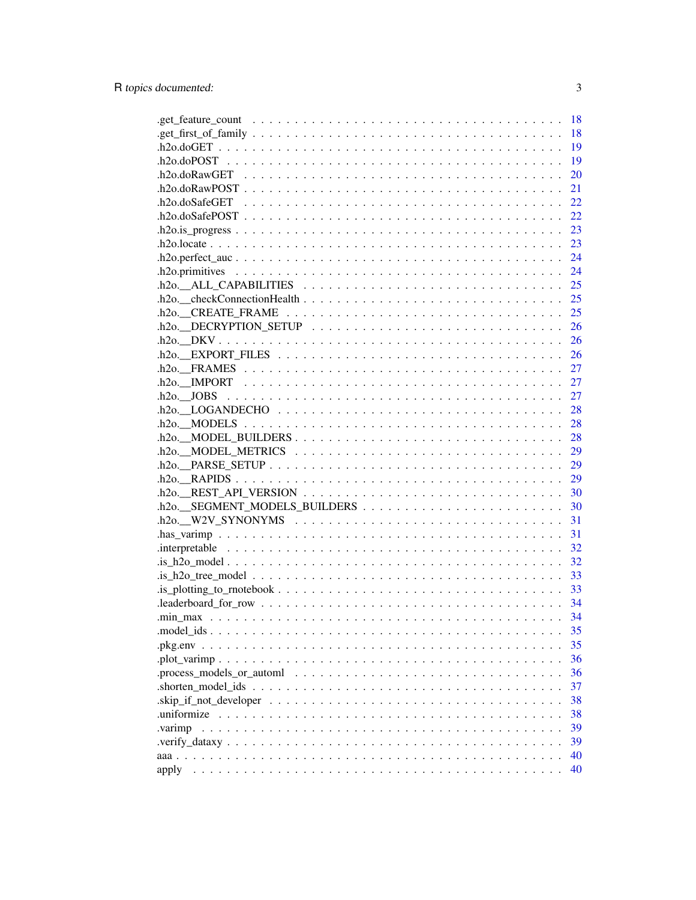|                                                                                                                          | 18 |
|--------------------------------------------------------------------------------------------------------------------------|----|
|                                                                                                                          | 18 |
|                                                                                                                          | 19 |
|                                                                                                                          | 19 |
|                                                                                                                          | 20 |
|                                                                                                                          | 21 |
|                                                                                                                          | 22 |
|                                                                                                                          | 22 |
|                                                                                                                          | 23 |
|                                                                                                                          | 23 |
|                                                                                                                          |    |
|                                                                                                                          |    |
| $h$ 20. ALL_CAPABILITIES $\ldots \ldots \ldots \ldots \ldots \ldots \ldots \ldots \ldots \ldots \ldots \ldots \ldots$    |    |
|                                                                                                                          |    |
|                                                                                                                          |    |
| $h2o$ DECRYPTION SETUP $\ldots \ldots \ldots \ldots \ldots \ldots \ldots \ldots \ldots \ldots \ldots \ldots \ldots$      |    |
|                                                                                                                          |    |
|                                                                                                                          |    |
|                                                                                                                          |    |
|                                                                                                                          |    |
|                                                                                                                          |    |
|                                                                                                                          |    |
|                                                                                                                          |    |
|                                                                                                                          | 28 |
| $h$ 20. MODEL BUILDERS $\dots \dots \dots \dots \dots \dots \dots \dots \dots \dots \dots \dots \dots$                   | 28 |
|                                                                                                                          |    |
|                                                                                                                          |    |
|                                                                                                                          | 29 |
| $h2o.$ REST_API_VERSION $\ldots \ldots \ldots \ldots \ldots \ldots \ldots \ldots \ldots \ldots$                          | 30 |
|                                                                                                                          | 30 |
| $h2o.$ W2V_SYNONYMS $\ldots \ldots \ldots \ldots \ldots \ldots \ldots \ldots \ldots \ldots \ldots \ldots$                | 31 |
|                                                                                                                          | 31 |
|                                                                                                                          | 32 |
|                                                                                                                          | 32 |
|                                                                                                                          | 33 |
|                                                                                                                          | 33 |
| $\blacksquare$ leaderboard_for_row $\ldots \ldots \ldots \ldots \ldots \ldots \ldots \ldots \ldots \ldots \ldots \ldots$ | 34 |
|                                                                                                                          | 34 |
|                                                                                                                          | 35 |
|                                                                                                                          | 35 |
|                                                                                                                          | 36 |
| .process_models_or_automl $\ldots \ldots \ldots \ldots \ldots \ldots \ldots \ldots \ldots \ldots \ldots$                 | 36 |
| $\mathbf{a}$ . Shorten_model_ids $\ldots \ldots \ldots \ldots \ldots \ldots \ldots \ldots \ldots \ldots$                 | 37 |
|                                                                                                                          | 38 |
| uniformize.                                                                                                              | 38 |
| varimp.                                                                                                                  | 39 |
|                                                                                                                          | 39 |
|                                                                                                                          | 40 |
| apply                                                                                                                    | 40 |
|                                                                                                                          |    |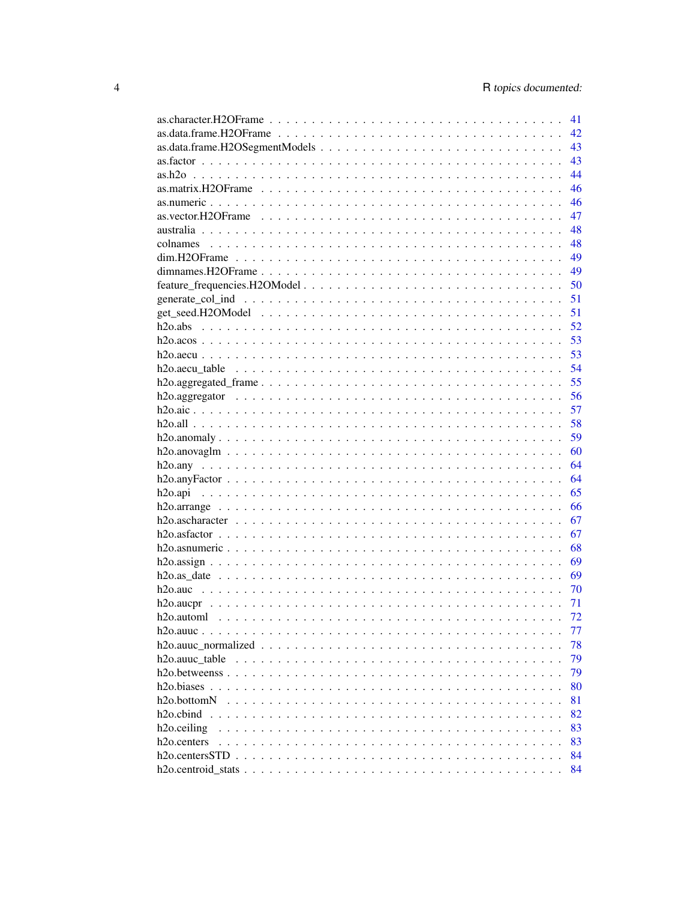|                                                                                                                  | 41 |
|------------------------------------------------------------------------------------------------------------------|----|
|                                                                                                                  | 42 |
|                                                                                                                  | 43 |
|                                                                                                                  | 43 |
|                                                                                                                  | 44 |
|                                                                                                                  | 46 |
|                                                                                                                  | 46 |
|                                                                                                                  | 47 |
|                                                                                                                  | 48 |
|                                                                                                                  | 48 |
|                                                                                                                  | 49 |
|                                                                                                                  | 49 |
|                                                                                                                  | 50 |
|                                                                                                                  | 51 |
|                                                                                                                  | 51 |
|                                                                                                                  | 52 |
|                                                                                                                  | 53 |
|                                                                                                                  | 53 |
|                                                                                                                  | 54 |
|                                                                                                                  | 55 |
|                                                                                                                  | 56 |
|                                                                                                                  | 57 |
|                                                                                                                  | 58 |
|                                                                                                                  | 59 |
|                                                                                                                  | 60 |
|                                                                                                                  | 64 |
|                                                                                                                  | 64 |
|                                                                                                                  | 65 |
|                                                                                                                  | 66 |
|                                                                                                                  | 67 |
|                                                                                                                  | 67 |
|                                                                                                                  | 68 |
|                                                                                                                  | 69 |
| $h2o.as\_date$                                                                                                   | 69 |
|                                                                                                                  | 70 |
|                                                                                                                  | 71 |
|                                                                                                                  | 72 |
|                                                                                                                  | 77 |
|                                                                                                                  | 78 |
|                                                                                                                  | 79 |
|                                                                                                                  | 79 |
|                                                                                                                  | 80 |
| h <sub>2</sub> o.bottom <sub>N</sub>                                                                             | 81 |
|                                                                                                                  |    |
| h <sub>2</sub> o.cbind                                                                                           | 82 |
| h <sub>2</sub> o.ceiling                                                                                         | 83 |
| h <sub>2</sub> o.centers                                                                                         | 83 |
|                                                                                                                  | 84 |
| $h2o.centroid\_stats \ldots \ldots \ldots \ldots \ldots \ldots \ldots \ldots \ldots \ldots \ldots \ldots \ldots$ | 84 |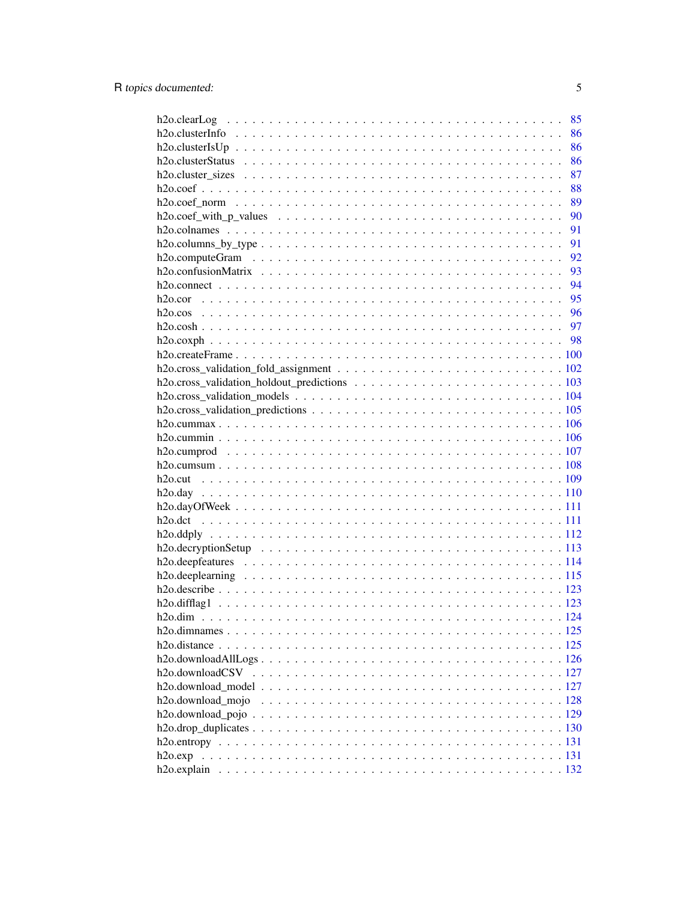|                                                                                                         | 85   |
|---------------------------------------------------------------------------------------------------------|------|
|                                                                                                         | 86   |
|                                                                                                         | 86   |
|                                                                                                         | 86   |
|                                                                                                         | 87   |
|                                                                                                         | 88   |
|                                                                                                         | 89   |
| $h2o.coef\_with_p_values \dots \dots \dots \dots \dots \dots \dots \dots \dots \dots \dots \dots \dots$ | - 90 |
|                                                                                                         | - 91 |
|                                                                                                         | 91   |
|                                                                                                         |      |
|                                                                                                         |      |
|                                                                                                         |      |
|                                                                                                         |      |
|                                                                                                         |      |
|                                                                                                         |      |
|                                                                                                         |      |
|                                                                                                         |      |
|                                                                                                         |      |
|                                                                                                         |      |
|                                                                                                         |      |
|                                                                                                         |      |
|                                                                                                         |      |
|                                                                                                         |      |
|                                                                                                         |      |
|                                                                                                         |      |
|                                                                                                         |      |
|                                                                                                         |      |
|                                                                                                         |      |
|                                                                                                         |      |
|                                                                                                         |      |
|                                                                                                         |      |
|                                                                                                         |      |
|                                                                                                         |      |
|                                                                                                         |      |
|                                                                                                         |      |
|                                                                                                         |      |
|                                                                                                         |      |
|                                                                                                         |      |
|                                                                                                         |      |
|                                                                                                         |      |
|                                                                                                         |      |
| h <sub>2</sub> o.download mojo                                                                          |      |
|                                                                                                         |      |
|                                                                                                         |      |
|                                                                                                         |      |
|                                                                                                         |      |
|                                                                                                         |      |
|                                                                                                         |      |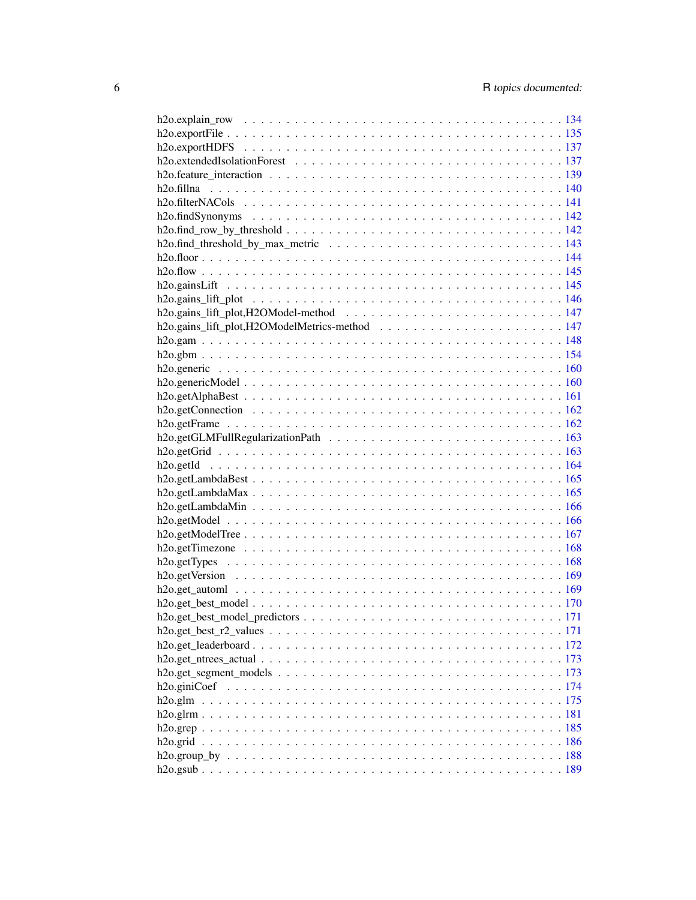| $h2o.get_best_r2_values \ldots \ldots \ldots \ldots \ldots \ldots \ldots \ldots \ldots \ldots \ldots \ldots 171$       |  |
|------------------------------------------------------------------------------------------------------------------------|--|
|                                                                                                                        |  |
| $h2o.get_ntrees_actual \ldots \ldots \ldots \ldots \ldots \ldots \ldots \ldots \ldots \ldots \ldots \ldots \ldots 173$ |  |
|                                                                                                                        |  |
|                                                                                                                        |  |
|                                                                                                                        |  |
|                                                                                                                        |  |
|                                                                                                                        |  |
|                                                                                                                        |  |
|                                                                                                                        |  |
|                                                                                                                        |  |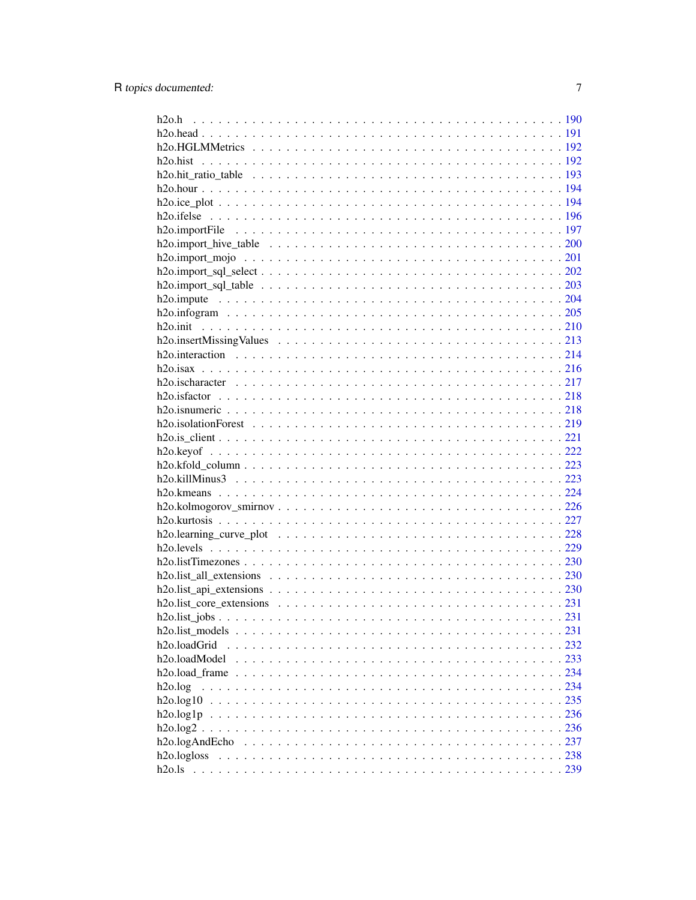| h <sub>20</sub> .loadGrid  |  |
|----------------------------|--|
| h <sub>20</sub> .loadModel |  |
|                            |  |
| h2o.log                    |  |
|                            |  |
|                            |  |
|                            |  |
|                            |  |
|                            |  |
|                            |  |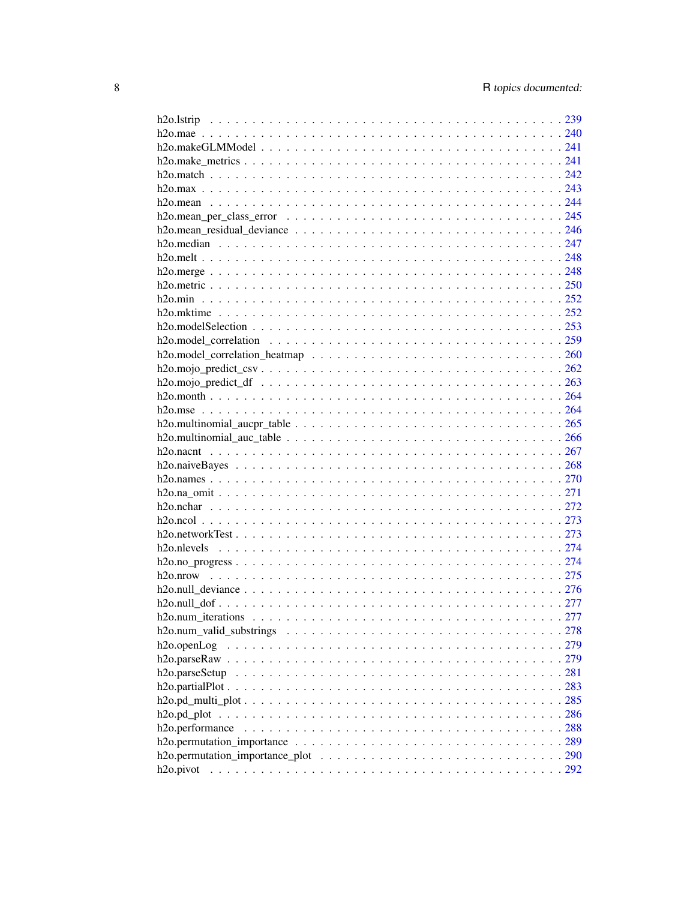| h2o.openLog |  |
|-------------|--|
|             |  |
|             |  |
|             |  |
|             |  |
|             |  |
|             |  |
|             |  |
|             |  |
|             |  |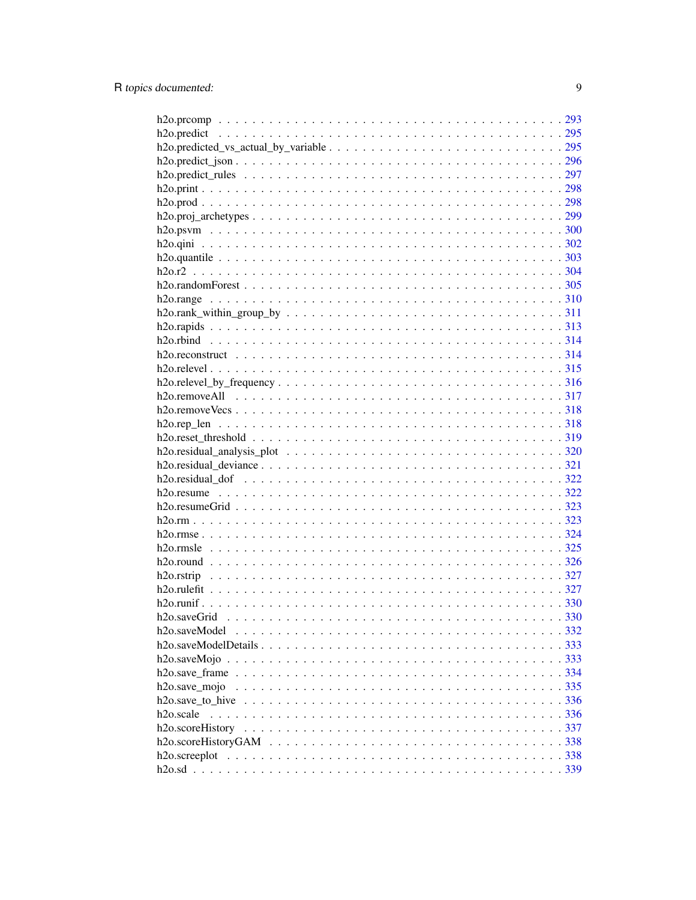| h <sub>20</sub> .saveModel |  |
|----------------------------|--|
|                            |  |
|                            |  |
|                            |  |
| h2o.save_mojo              |  |
|                            |  |
| h <sub>2</sub> o.scale     |  |
|                            |  |
|                            |  |
|                            |  |
|                            |  |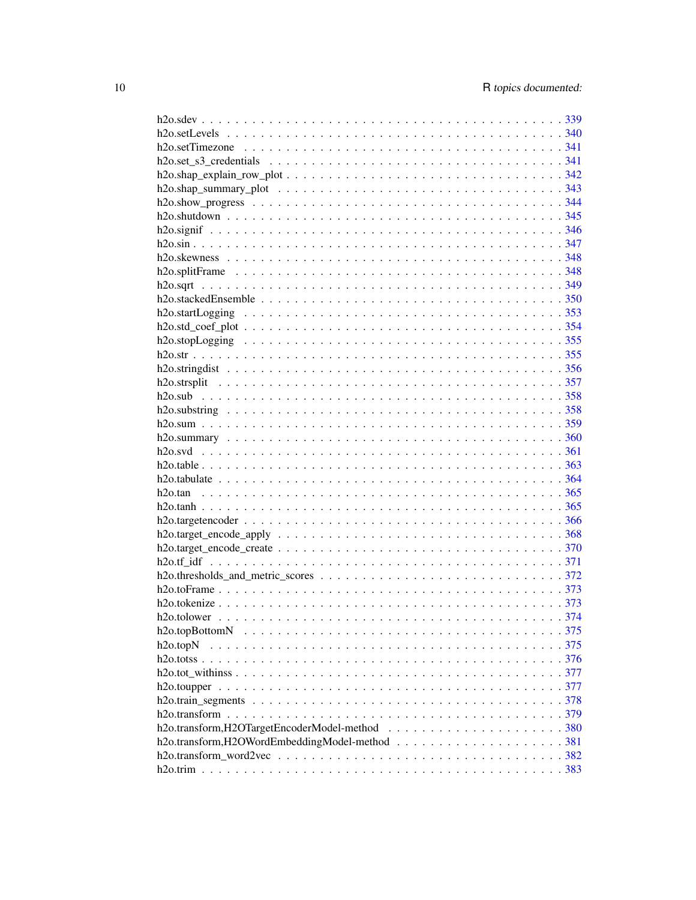| h2o.topN |  |
|----------|--|
|          |  |
|          |  |
|          |  |
|          |  |
|          |  |
|          |  |
|          |  |
|          |  |
|          |  |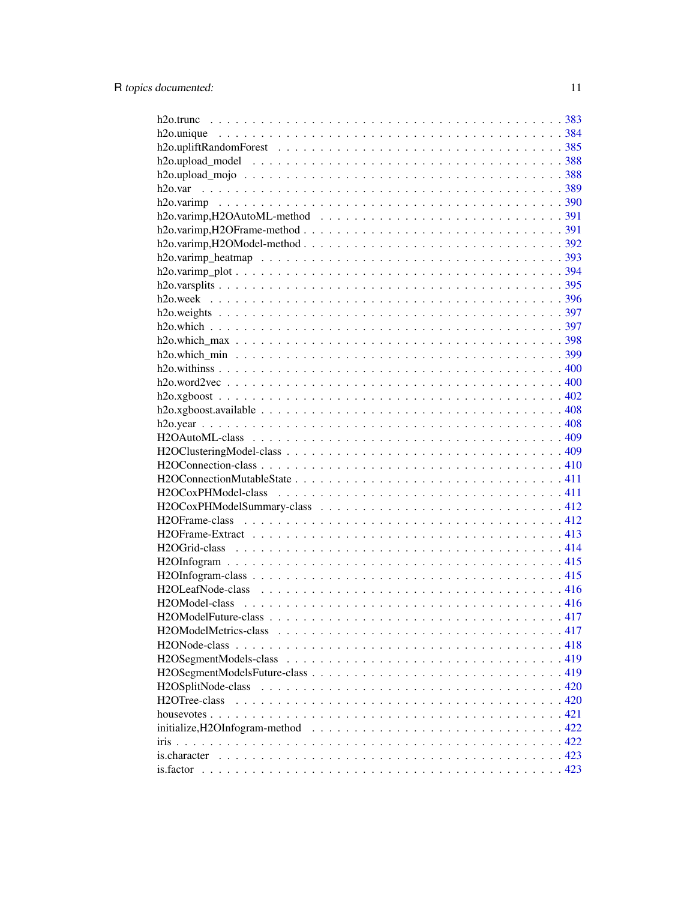| H2OTree-class |
|---------------|
|               |
|               |
|               |
|               |
|               |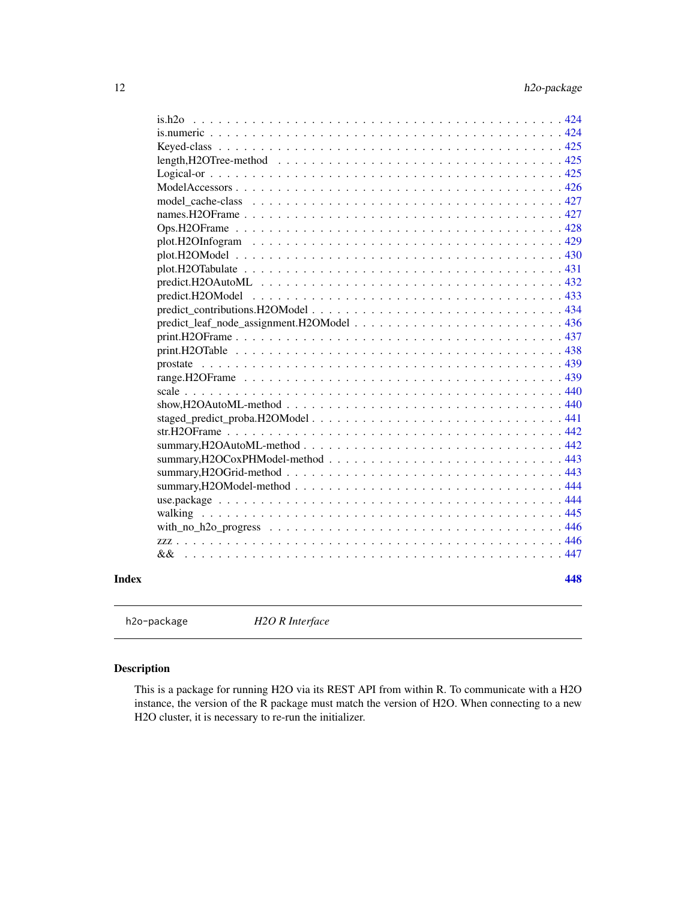<span id="page-11-0"></span>

|  | 448 |
|--|-----|

h2o-package *H2O R Interface*

# Description

This is a package for running H2O via its REST API from within R. To communicate with a H2O instance, the version of the R package must match the version of H2O. When connecting to a new H2O cluster, it is necessary to re-run the initializer.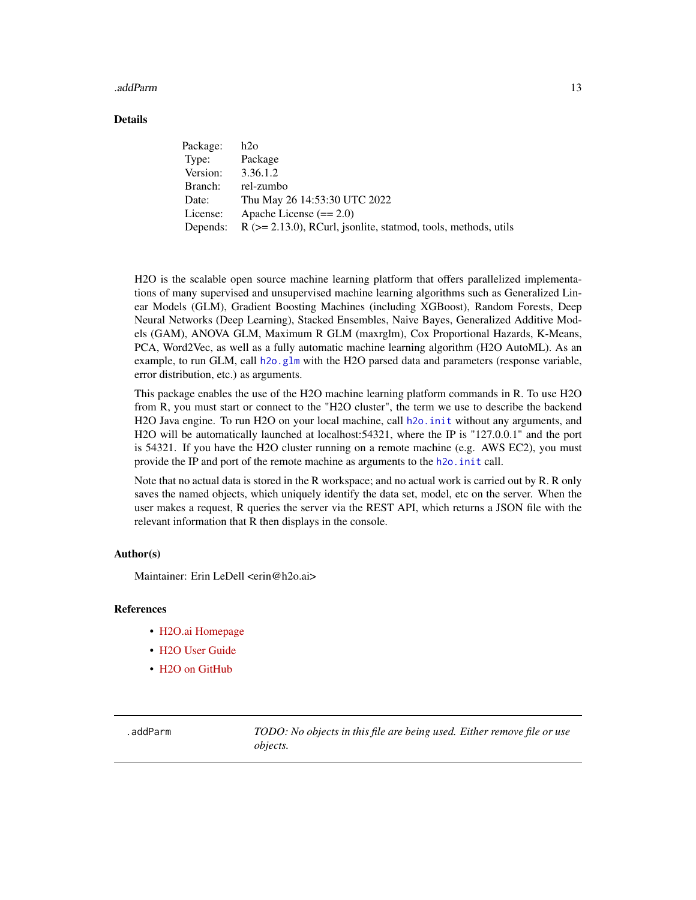#### <span id="page-12-0"></span>.addParm 13

### Details

| Package: | h2o                                                                  |
|----------|----------------------------------------------------------------------|
| Type:    | Package                                                              |
| Version: | 3.36.1.2                                                             |
| Branch:  | rel-zumbo                                                            |
| Date:    | Thu May 26 14:53:30 UTC 2022                                         |
| License: | Apache License $(== 2.0)$                                            |
| Depends: | $R$ ( $>= 2.13.0$ ), RCurl, jsonlite, statmod, tools, methods, utils |

H2O is the scalable open source machine learning platform that offers parallelized implementations of many supervised and unsupervised machine learning algorithms such as Generalized Linear Models (GLM), Gradient Boosting Machines (including XGBoost), Random Forests, Deep Neural Networks (Deep Learning), Stacked Ensembles, Naive Bayes, Generalized Additive Models (GAM), ANOVA GLM, Maximum R GLM (maxrglm), Cox Proportional Hazards, K-Means, PCA, Word2Vec, as well as a fully automatic machine learning algorithm (H2O AutoML). As an example, to run GLM, call [h2o.glm](#page-174-1) with the H2O parsed data and parameters (response variable, error distribution, etc.) as arguments.

This package enables the use of the H2O machine learning platform commands in R. To use H2O from R, you must start or connect to the "H2O cluster", the term we use to describe the backend H2O Java engine. To run H2O on your local machine, call h2o. init without any arguments, and H2O will be automatically launched at localhost:54321, where the IP is "127.0.0.1" and the port is 54321. If you have the H2O cluster running on a remote machine (e.g. AWS EC2), you must provide the IP and port of the remote machine as arguments to the h2o. init call.

Note that no actual data is stored in the R workspace; and no actual work is carried out by R. R only saves the named objects, which uniquely identify the data set, model, etc on the server. When the user makes a request, R queries the server via the REST API, which returns a JSON file with the relevant information that R then displays in the console.

#### Author(s)

Maintainer: Erin LeDell <erin@h2o.ai>

#### References

- [H2O.ai Homepage](https://h2o.ai)
- [H2O User Guide](https://docs.h2o.ai/h2o/latest-stable/h2o-docs/index.html)
- [H2O on GitHub](https://github.com/h2oai/h2o-3)

.addParm *TODO: No objects in this file are being used. Either remove file or use objects.*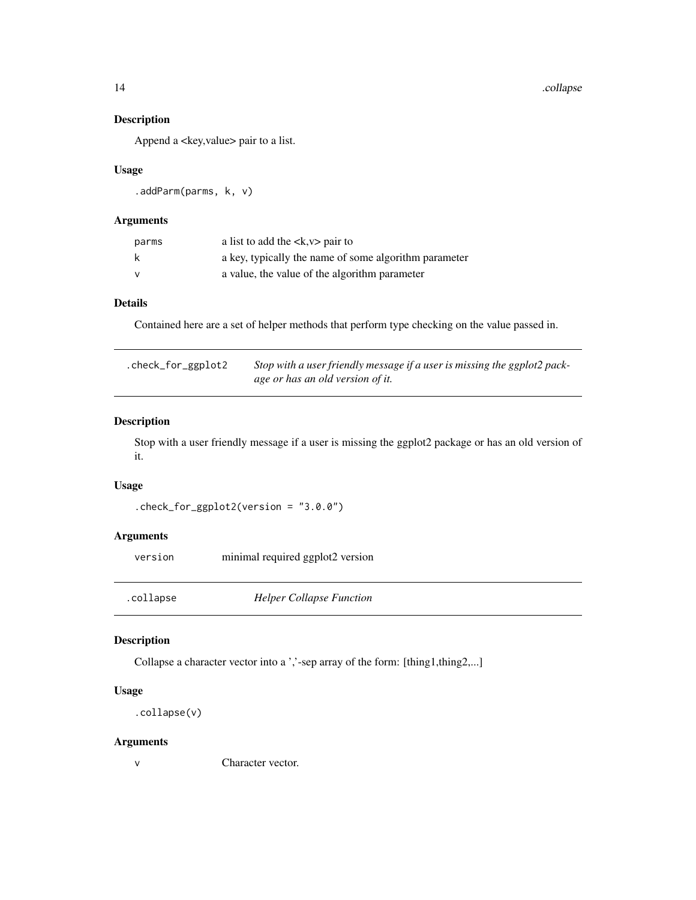#### 14 .collapse

# Description

Append a <key, value> pair to a list.

# Usage

.addParm(parms, k, v)

#### Arguments

| parms    | a list to add the $\langle x, y \rangle$ pair to      |
|----------|-------------------------------------------------------|
| k        | a key, typically the name of some algorithm parameter |
| <b>V</b> | a value, the value of the algorithm parameter         |

#### Details

Contained here are a set of helper methods that perform type checking on the value passed in.

| .check_for_ggplot2 | Stop with a user friendly message if a user is missing the ggplot2 pack- |
|--------------------|--------------------------------------------------------------------------|
|                    | age or has an old version of it.                                         |

## Description

Stop with a user friendly message if a user is missing the ggplot2 package or has an old version of it.

#### Usage

```
.check_for_ggplot2(version = "3.0.0")
```
# Arguments

| version | minimal required ggplot2 version |
|---------|----------------------------------|
|---------|----------------------------------|

.collapse *Helper Collapse Function*

# Description

Collapse a character vector into a ','-sep array of the form: [thing1,thing2,...]

# Usage

```
.collapse(v)
```
# Arguments

v Character vector.

<span id="page-13-0"></span>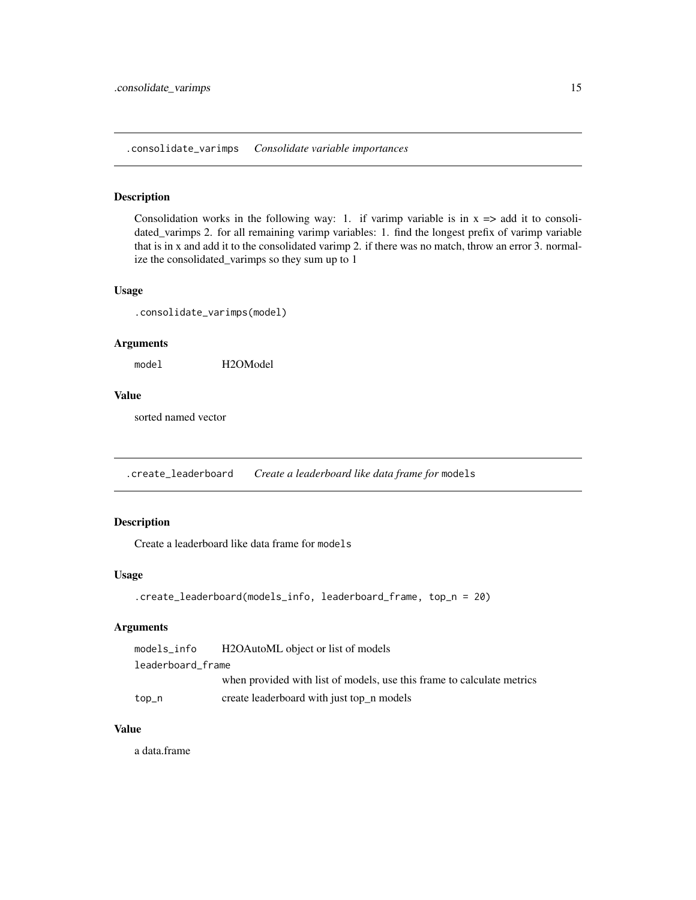<span id="page-14-0"></span>.consolidate\_varimps *Consolidate variable importances*

#### Description

Consolidation works in the following way: 1. if varimp variable is in  $x \Rightarrow$  add it to consolidated\_varimps 2. for all remaining varimp variables: 1. find the longest prefix of varimp variable that is in x and add it to the consolidated varimp 2. if there was no match, throw an error 3. normalize the consolidated\_varimps so they sum up to 1

#### Usage

.consolidate\_varimps(model)

# Arguments

model H2OModel

#### Value

sorted named vector

.create\_leaderboard *Create a leaderboard like data frame for* models

#### Description

Create a leaderboard like data frame for models

# Usage

```
.create_leaderboard(models_info, leaderboard_frame, top_n = 20)
```
#### Arguments

| models_info       | H2OAutoML object or list of models                                     |
|-------------------|------------------------------------------------------------------------|
| leaderboard frame |                                                                        |
|                   | when provided with list of models, use this frame to calculate metrics |
| top_n             | create leaderboard with just top_n models                              |

#### Value

a data.frame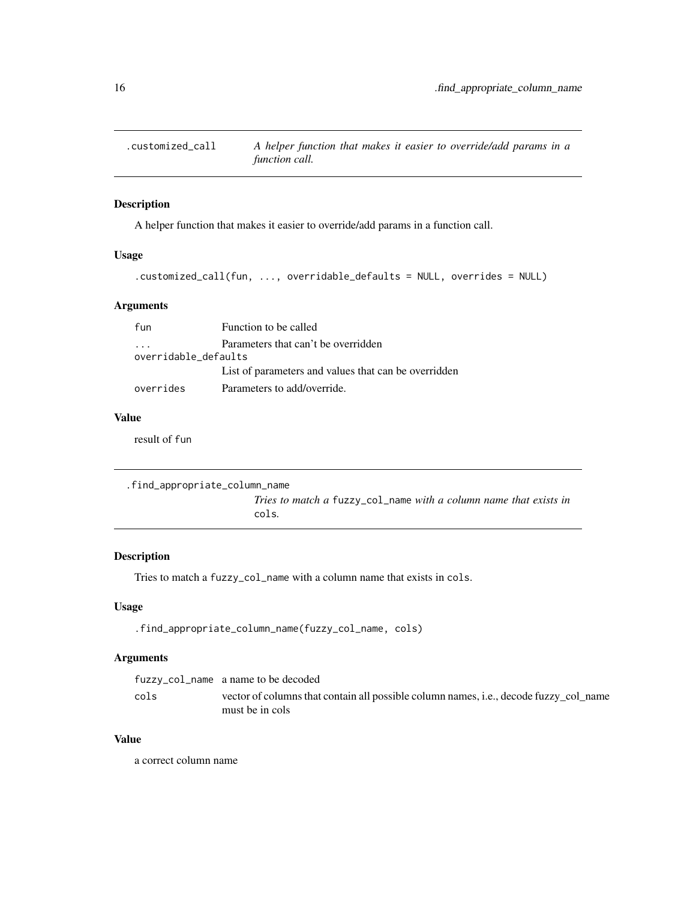<span id="page-15-0"></span>

A helper function that makes it easier to override/add params in a function call.

#### Usage

```
.customized_call(fun, ..., overridable_defaults = NULL, overrides = NULL)
```
#### Arguments

| fun                  | Function to be called                                |  |
|----------------------|------------------------------------------------------|--|
| $\cdot$              | Parameters that can't be overridden                  |  |
| overridable defaults |                                                      |  |
|                      | List of parameters and values that can be overridden |  |
| overrides            | Parameters to add/override.                          |  |

#### Value

result of fun

```
.find_appropriate_column_name
                        Tries to match a fuzzy_col_name with a column name that exists in
                        cols.
```
# Description

Tries to match a fuzzy\_col\_name with a column name that exists in cols.

#### Usage

```
.find_appropriate_column_name(fuzzy_col_name, cols)
```
# Arguments

|      | fuzzy_col_name a name to be decoded                                                           |
|------|-----------------------------------------------------------------------------------------------|
| cols | vector of columns that contain all possible column names, <i>i.e.</i> , decode fuzzy col name |
|      | must be in cols                                                                               |

# Value

a correct column name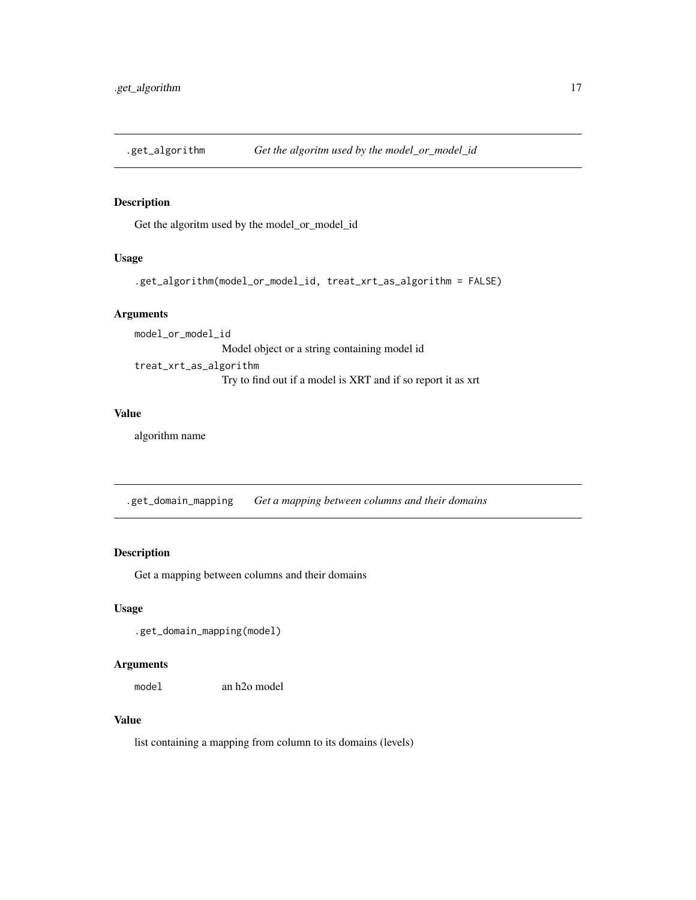<span id="page-16-0"></span>

Get the algoritm used by the model\_or\_model\_id

#### Usage

```
.get_algorithm(model_or_model_id, treat_xrt_as_algorithm = FALSE)
```
#### Arguments

model\_or\_model\_id Model object or a string containing model id treat\_xrt\_as\_algorithm Try to find out if a model is XRT and if so report it as xrt

#### Value

algorithm name

.get\_domain\_mapping *Get a mapping between columns and their domains*

# Description

Get a mapping between columns and their domains

#### Usage

```
.get_domain_mapping(model)
```
#### Arguments

model an h2o model

#### Value

list containing a mapping from column to its domains (levels)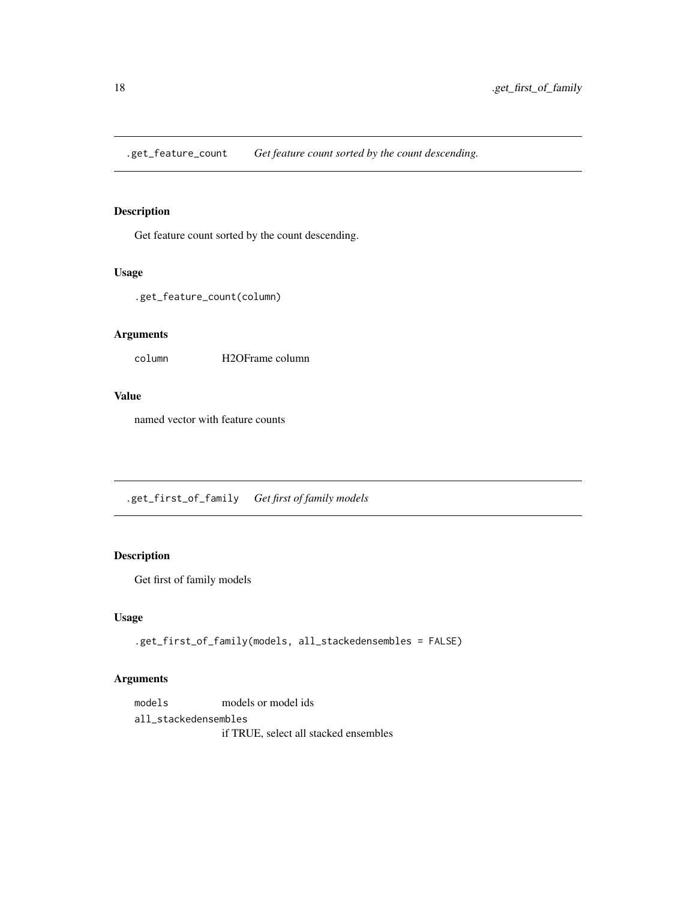<span id="page-17-0"></span>.get\_feature\_count *Get feature count sorted by the count descending.*

# Description

Get feature count sorted by the count descending.

#### Usage

.get\_feature\_count(column)

#### Arguments

column H2OFrame column

#### Value

named vector with feature counts

.get\_first\_of\_family *Get first of family models*

# Description

Get first of family models

#### Usage

.get\_first\_of\_family(models, all\_stackedensembles = FALSE)

# Arguments

models models or model ids all\_stackedensembles if TRUE, select all stacked ensembles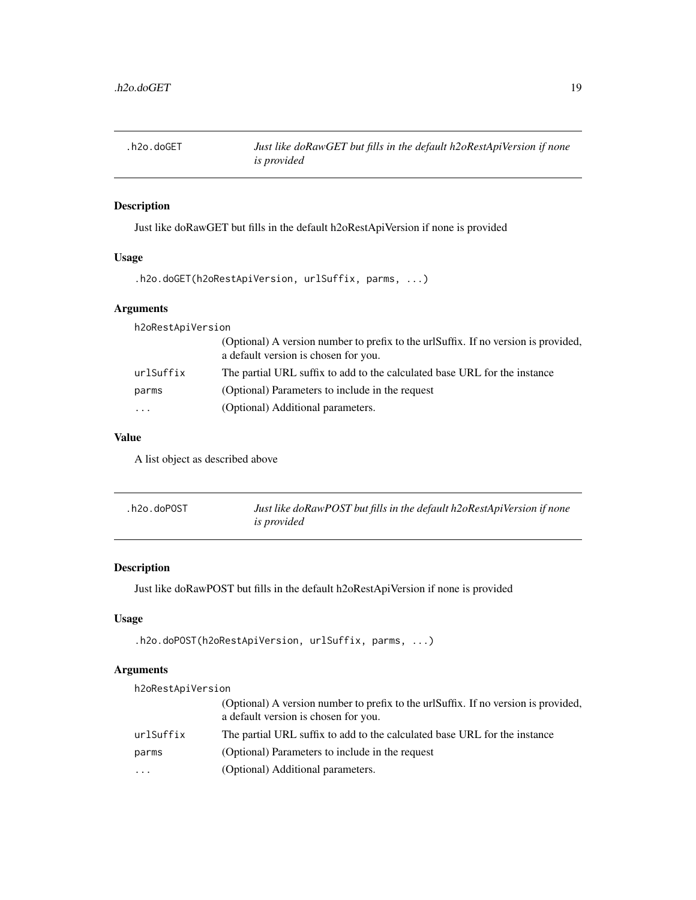<span id="page-18-0"></span>

Just like doRawGET but fills in the default h2oRestApiVersion if none is provided

# Usage

```
.h2o.doGET(h2oRestApiVersion, urlSuffix, parms, ...)
```
# Arguments

| h2oRestApiVersion |                                                                                                                            |
|-------------------|----------------------------------------------------------------------------------------------------------------------------|
|                   | (Optional) A version number to prefix to the urlSuffix. If no version is provided,<br>a default version is chosen for you. |
| urlSuffix         | The partial URL suffix to add to the calculated base URL for the instance                                                  |
| parms             | (Optional) Parameters to include in the request                                                                            |
| $\cdot$           | (Optional) Additional parameters.                                                                                          |
|                   |                                                                                                                            |

# Value

A list object as described above

| .h2o.doPOST | Just like doRawPOST but fills in the default h2oRestApiVersion if none |
|-------------|------------------------------------------------------------------------|
|             | <i>is provided</i>                                                     |

# Description

Just like doRawPOST but fills in the default h2oRestApiVersion if none is provided

# Usage

```
.h2o.doPOST(h2oRestApiVersion, urlSuffix, parms, ...)
```
# Arguments

| h2oRestApiVersion |                                                                                                                            |  |
|-------------------|----------------------------------------------------------------------------------------------------------------------------|--|
|                   | (Optional) A version number to prefix to the urlSuffix. If no version is provided,<br>a default version is chosen for you. |  |
| urlSuffix         | The partial URL suffix to add to the calculated base URL for the instance                                                  |  |
| parms             | (Optional) Parameters to include in the request                                                                            |  |
| .                 | (Optional) Additional parameters.                                                                                          |  |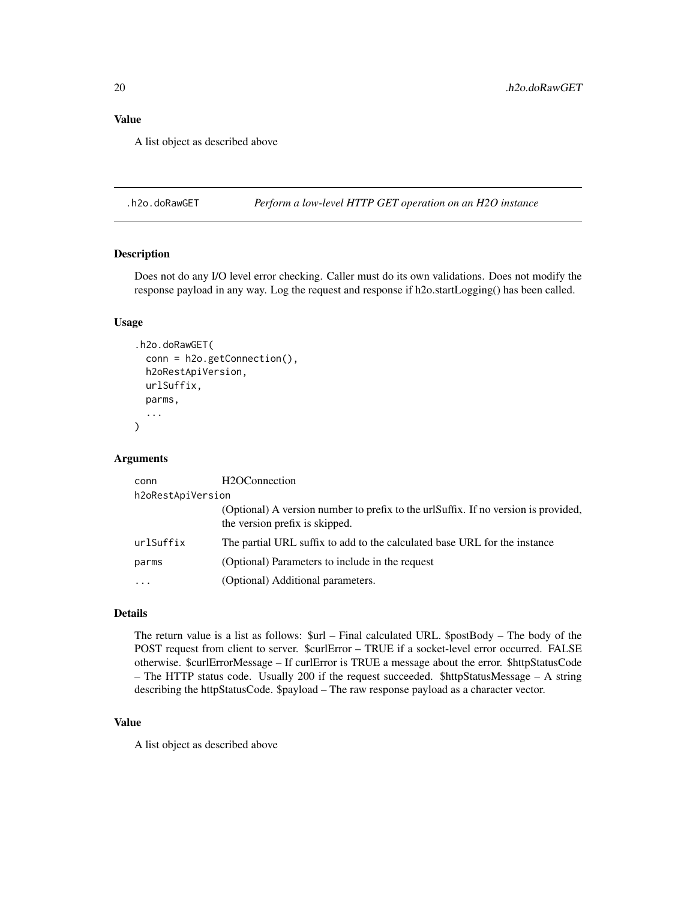#### <span id="page-19-0"></span>Value

A list object as described above

.h2o.doRawGET *Perform a low-level HTTP GET operation on an H2O instance*

#### Description

Does not do any I/O level error checking. Caller must do its own validations. Does not modify the response payload in any way. Log the request and response if h2o.startLogging() has been called.

#### Usage

```
.h2o.doRawGET(
  conn = h2o.getConnection(),
  h2oRestApiVersion,
  urlSuffix,
  parms,
  ...
\mathcal{L}
```
#### Arguments

| conn                    | H <sub>2</sub> OConnection                                                                                           |
|-------------------------|----------------------------------------------------------------------------------------------------------------------|
| h2oRestApiVersion       |                                                                                                                      |
|                         | (Optional) A version number to prefix to the urlSuffix. If no version is provided,<br>the version prefix is skipped. |
| urlSuffix               | The partial URL suffix to add to the calculated base URL for the instance                                            |
| parms                   | (Optional) Parameters to include in the request                                                                      |
| $\cdot$ $\cdot$ $\cdot$ | (Optional) Additional parameters.                                                                                    |
|                         |                                                                                                                      |

#### Details

The return value is a list as follows: \$url – Final calculated URL. \$postBody – The body of the POST request from client to server. \$curlError – TRUE if a socket-level error occurred. FALSE otherwise. \$curlErrorMessage – If curlError is TRUE a message about the error. \$httpStatusCode – The HTTP status code. Usually 200 if the request succeeded. \$httpStatusMessage – A string describing the httpStatusCode. \$payload – The raw response payload as a character vector.

#### Value

A list object as described above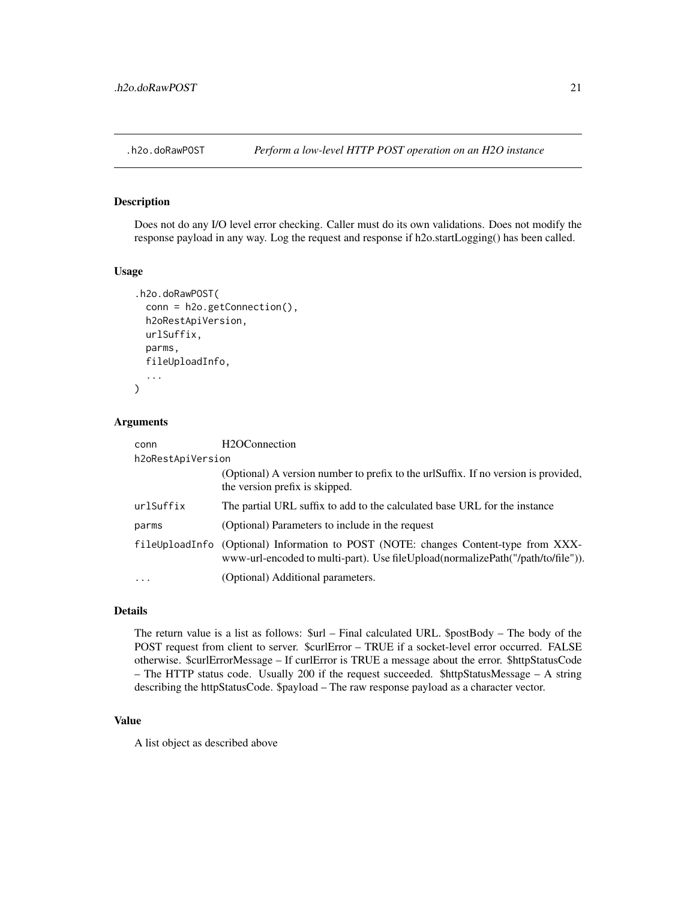<span id="page-20-0"></span>

Does not do any I/O level error checking. Caller must do its own validations. Does not modify the response payload in any way. Log the request and response if h2o.startLogging() has been called.

#### Usage

```
.h2o.doRawPOST(
  conn = h2o.getConnection(),
  h2oRestApiVersion,
  urlSuffix,
  parms,
  fileUploadInfo,
  ...
\mathcal{L}
```
#### Arguments

| conn              | H <sub>2</sub> OConnection                                                                                                                                                 |
|-------------------|----------------------------------------------------------------------------------------------------------------------------------------------------------------------------|
| h2oRestApiVersion |                                                                                                                                                                            |
|                   | (Optional) A version number to prefix to the urlSuffix. If no version is provided,<br>the version prefix is skipped.                                                       |
| urlSuffix         | The partial URL suffix to add to the calculated base URL for the instance                                                                                                  |
| parms             | (Optional) Parameters to include in the request                                                                                                                            |
|                   | fileUploadInfo (Optional) Information to POST (NOTE: changes Content-type from XXX-<br>www-url-encoded to multi-part). Use file Upload (normalize Path ("/path/to/file")). |
| $\ddotsc$         | (Optional) Additional parameters.                                                                                                                                          |

#### Details

The return value is a list as follows: \$url – Final calculated URL. \$postBody – The body of the POST request from client to server. \$curlError – TRUE if a socket-level error occurred. FALSE otherwise. \$curlErrorMessage – If curlError is TRUE a message about the error. \$httpStatusCode – The HTTP status code. Usually 200 if the request succeeded. \$httpStatusMessage – A string describing the httpStatusCode. \$payload – The raw response payload as a character vector.

#### Value

A list object as described above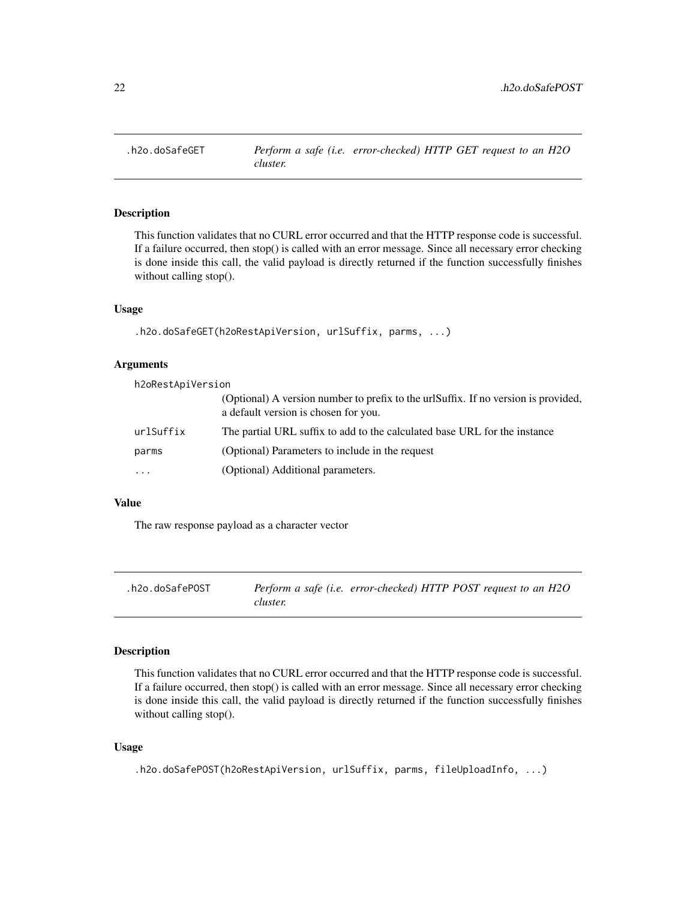<span id="page-21-0"></span>

This function validates that no CURL error occurred and that the HTTP response code is successful. If a failure occurred, then stop() is called with an error message. Since all necessary error checking is done inside this call, the valid payload is directly returned if the function successfully finishes without calling stop().

#### Usage

```
.h2o.doSafeGET(h2oRestApiVersion, urlSuffix, parms, ...)
```
#### Arguments

h2oRestApiVersion

|           | (Optional) A version number to prefix to the urlSuffix. If no version is provided,<br>a default version is chosen for you. |
|-----------|----------------------------------------------------------------------------------------------------------------------------|
| urlSuffix | The partial URL suffix to add to the calculated base URL for the instance                                                  |
| parms     | (Optional) Parameters to include in the request                                                                            |
| .         | (Optional) Additional parameters.                                                                                          |
|           |                                                                                                                            |

# Value

The raw response payload as a character vector

| .h2o.doSafePOST |          | Perform a safe (i.e. error-checked) HTTP POST request to an H2O |  |  |
|-----------------|----------|-----------------------------------------------------------------|--|--|
|                 | cluster. |                                                                 |  |  |

#### Description

This function validates that no CURL error occurred and that the HTTP response code is successful. If a failure occurred, then stop() is called with an error message. Since all necessary error checking is done inside this call, the valid payload is directly returned if the function successfully finishes without calling stop().

#### Usage

```
.h2o.doSafePOST(h2oRestApiVersion, urlSuffix, parms, fileUploadInfo, ...)
```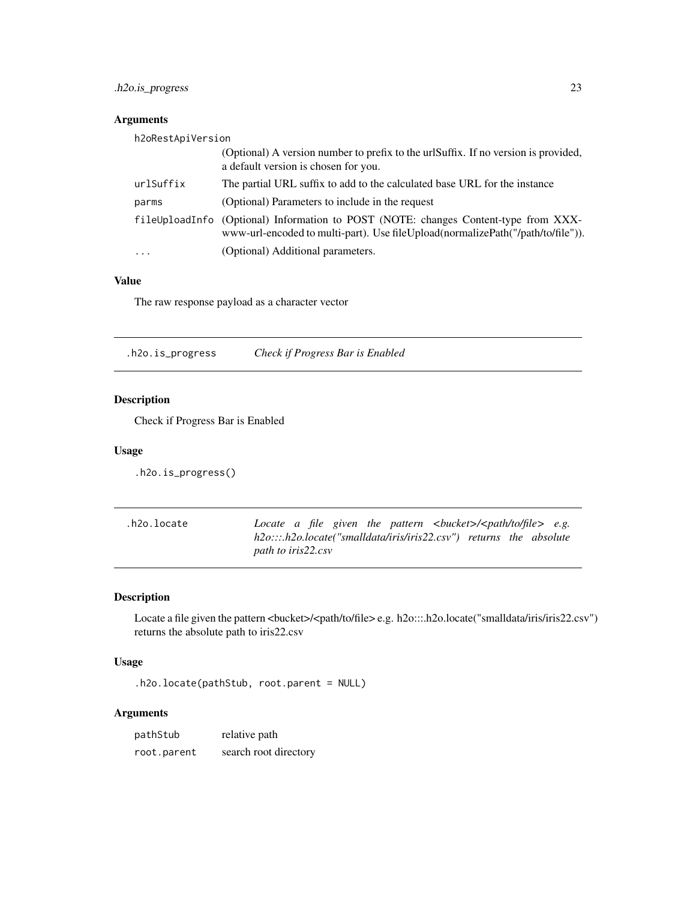# <span id="page-22-0"></span>.h2o.is\_progress 23

# Arguments

| h2oRestApiVersion |                                                                                                                                                                        |
|-------------------|------------------------------------------------------------------------------------------------------------------------------------------------------------------------|
|                   | (Optional) A version number to prefix to the urlSuffix. If no version is provided,<br>a default version is chosen for you.                                             |
| urlSuffix         | The partial URL suffix to add to the calculated base URL for the instance                                                                                              |
| parms             | (Optional) Parameters to include in the request                                                                                                                        |
|                   | fileUploadInfo (Optional) Information to POST (NOTE: changes Content-type from XXX-<br>www-url-encoded to multi-part). Use fileUpload(normalizePath("/path/to/file")). |
| $\cdots$          | (Optional) Additional parameters.                                                                                                                                      |

# Value

The raw response payload as a character vector

.h2o.is\_progress *Check if Progress Bar is Enabled*

# Description

Check if Progress Bar is Enabled

#### Usage

.h2o.is\_progress()

| .h2o.locate |                    |  |  | Locate a file given the pattern $\langle \text{bucket}\rangle \langle \text{path/to/file}\rangle$ e.g. |  |  |  |
|-------------|--------------------|--|--|--------------------------------------------------------------------------------------------------------|--|--|--|
|             |                    |  |  | h2o:::.h2o.locate("smalldata/iris/iris22.csv") returns the absolute                                    |  |  |  |
|             | path to iris22.csv |  |  |                                                                                                        |  |  |  |

# Description

Locate a file given the pattern <br/> <br/> <br/> <br/> <br/> <br/>e.g. h2o:::.h2o.locate("smalldata/iris/iris22.csv") returns the absolute path to iris22.csv

# Usage

.h2o.locate(pathStub, root.parent = NULL)

# Arguments

| pathStub    | relative path         |
|-------------|-----------------------|
| root.parent | search root directory |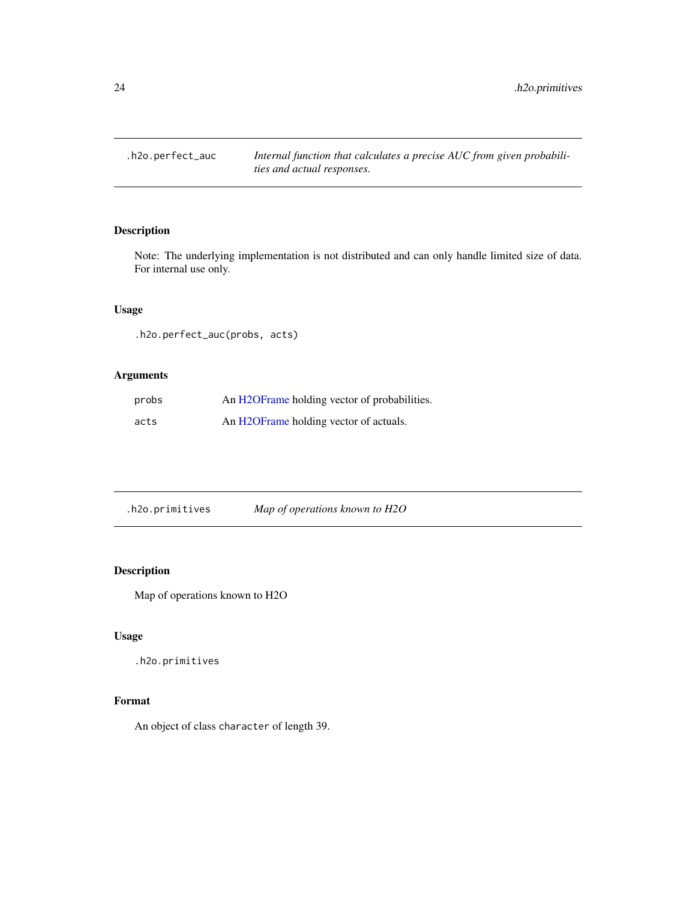<span id="page-23-0"></span>.h2o.perfect\_auc *Internal function that calculates a precise AUC from given probabilities and actual responses.*

# Description

Note: The underlying implementation is not distributed and can only handle limited size of data. For internal use only.

# Usage

.h2o.perfect\_auc(probs, acts)

# Arguments

| probs | An H2OFrame holding vector of probabilities. |
|-------|----------------------------------------------|
| acts  | An H2OFrame holding vector of actuals.       |

.h2o.primitives *Map of operations known to H2O*

# Description

Map of operations known to H2O

#### Usage

.h2o.primitives

# Format

An object of class character of length 39.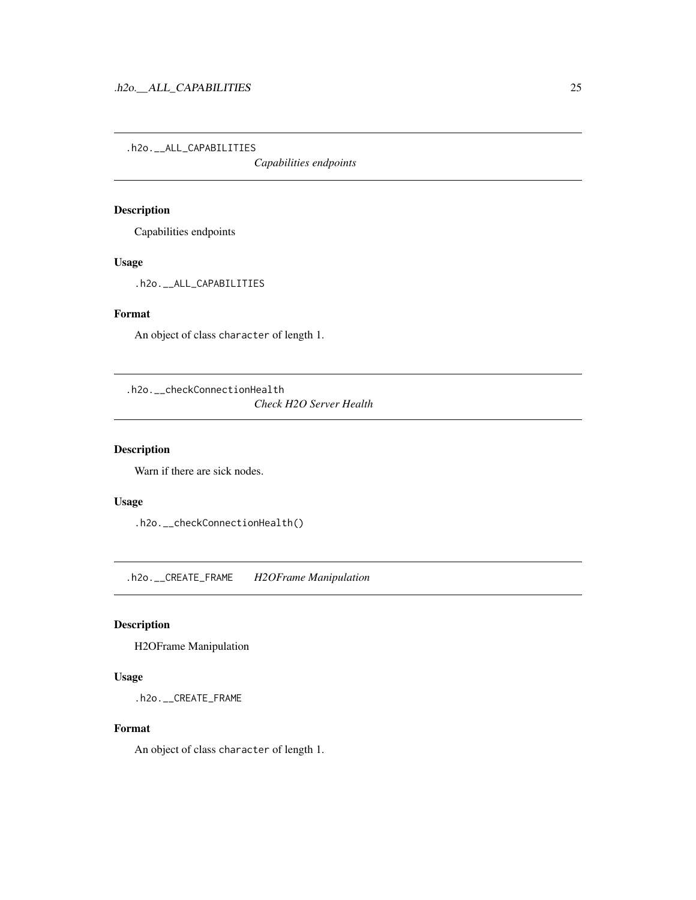<span id="page-24-0"></span>.h2o.\_\_ALL\_CAPABILITIES

*Capabilities endpoints*

# Description

Capabilities endpoints

# Usage

.h2o.\_\_ALL\_CAPABILITIES

#### Format

An object of class character of length 1.

.h2o.\_\_checkConnectionHealth

*Check H2O Server Health*

# Description

Warn if there are sick nodes.

# Usage

.h2o.\_\_checkConnectionHealth()

.h2o.\_\_CREATE\_FRAME *H2OFrame Manipulation*

# Description

H2OFrame Manipulation

# Usage

.h2o.\_\_CREATE\_FRAME

# Format

An object of class character of length 1.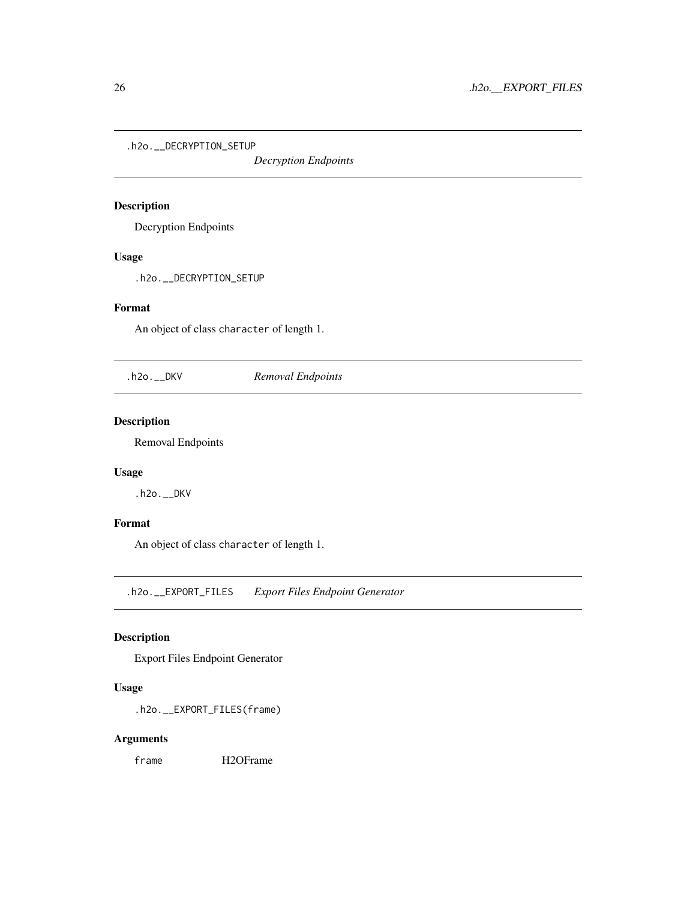<span id="page-25-0"></span>.h2o.\_\_DECRYPTION\_SETUP

*Decryption Endpoints*

# Description

Decryption Endpoints

# Usage

.h2o.\_\_DECRYPTION\_SETUP

# Format

An object of class character of length 1.

.h2o.\_\_DKV *Removal Endpoints*

# Description

Removal Endpoints

# Usage

.h2o.\_\_DKV

# Format

An object of class character of length 1.

.h2o.\_\_EXPORT\_FILES *Export Files Endpoint Generator*

# Description

Export Files Endpoint Generator

#### Usage

.h2o.\_\_EXPORT\_FILES(frame)

#### Arguments

frame H2OFrame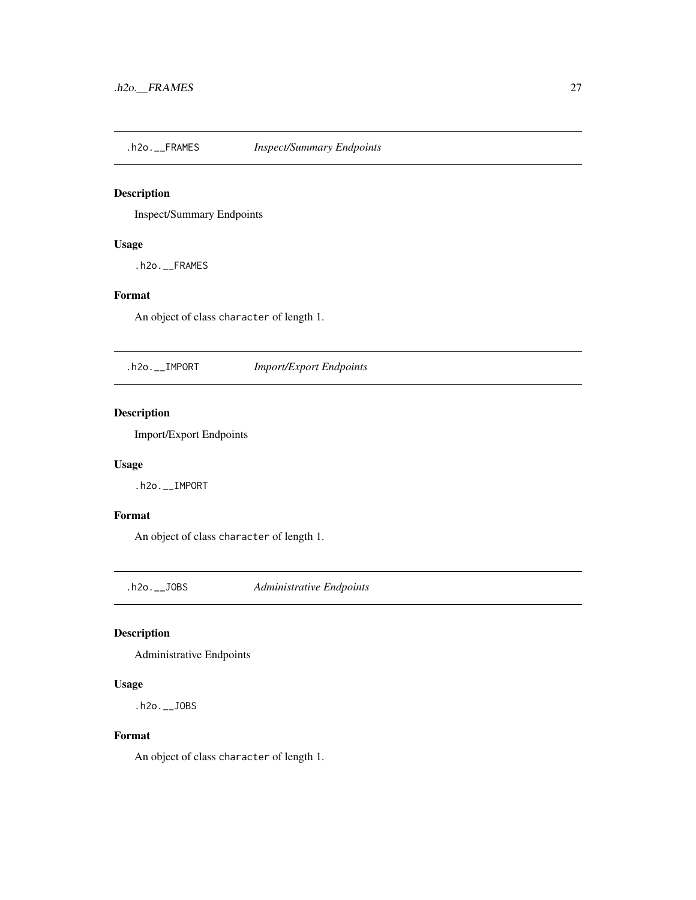<span id="page-26-0"></span>.h2o.\_\_FRAMES *Inspect/Summary Endpoints*

# Description

Inspect/Summary Endpoints

#### Usage

.h2o.\_\_FRAMES

# Format

An object of class character of length 1.

.h2o.\_\_IMPORT *Import/Export Endpoints*

# Description

Import/Export Endpoints

#### Usage

.h2o.\_\_IMPORT

# Format

An object of class character of length 1.

.h2o.\_\_JOBS *Administrative Endpoints*

# Description

Administrative Endpoints

#### Usage

.h2o.\_\_JOBS

#### Format

An object of class character of length 1.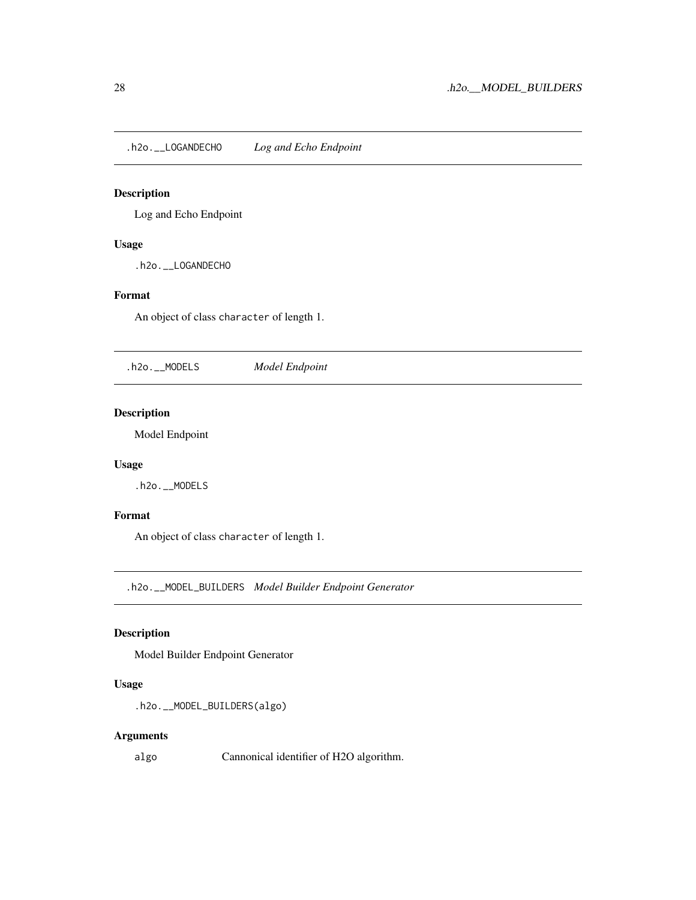<span id="page-27-0"></span>.h2o.\_\_LOGANDECHO *Log and Echo Endpoint*

# Description

Log and Echo Endpoint

#### Usage

.h2o.\_\_LOGANDECHO

# Format

An object of class character of length 1.

.h2o.\_\_MODELS *Model Endpoint*

# Description

Model Endpoint

# Usage

.h2o.\_\_MODELS

#### Format

An object of class character of length 1.

.h2o.\_\_MODEL\_BUILDERS *Model Builder Endpoint Generator*

# Description

Model Builder Endpoint Generator

#### Usage

```
.h2o.__MODEL_BUILDERS(algo)
```
#### Arguments

algo Cannonical identifier of H2O algorithm.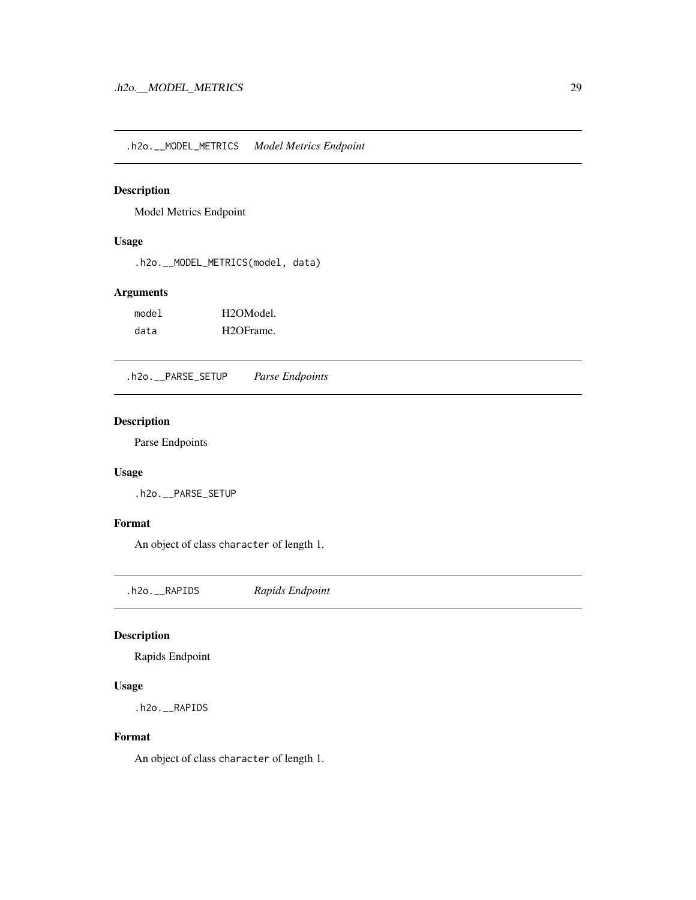<span id="page-28-0"></span>.h2o.\_\_MODEL\_METRICS *Model Metrics Endpoint*

#### Description

Model Metrics Endpoint

#### Usage

.h2o.\_\_MODEL\_METRICS(model, data)

# Arguments

| model | H <sub>2</sub> OM <sub>odel</sub> |
|-------|-----------------------------------|
| data  | H <sub>2</sub> OFrame.            |

.h2o.\_\_PARSE\_SETUP *Parse Endpoints*

# Description

Parse Endpoints

# Usage

.h2o.\_\_PARSE\_SETUP

#### Format

An object of class character of length 1.

.h2o.\_\_RAPIDS *Rapids Endpoint*

# Description

Rapids Endpoint

#### Usage

.h2o.\_\_RAPIDS

#### Format

An object of class character of length 1.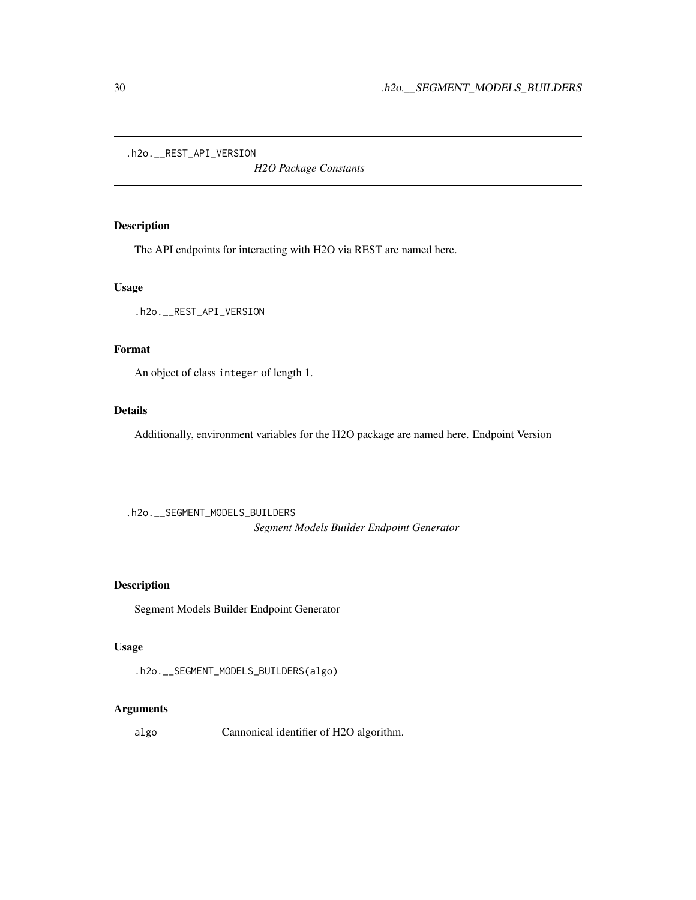<span id="page-29-0"></span>.h2o.\_\_REST\_API\_VERSION

*H2O Package Constants*

# Description

The API endpoints for interacting with H2O via REST are named here.

# Usage

.h2o.\_\_REST\_API\_VERSION

#### Format

An object of class integer of length 1.

#### Details

Additionally, environment variables for the H2O package are named here. Endpoint Version

.h2o.\_\_SEGMENT\_MODELS\_BUILDERS *Segment Models Builder Endpoint Generator*

# Description

Segment Models Builder Endpoint Generator

# Usage

```
.h2o.__SEGMENT_MODELS_BUILDERS(algo)
```
#### Arguments

algo Cannonical identifier of H2O algorithm.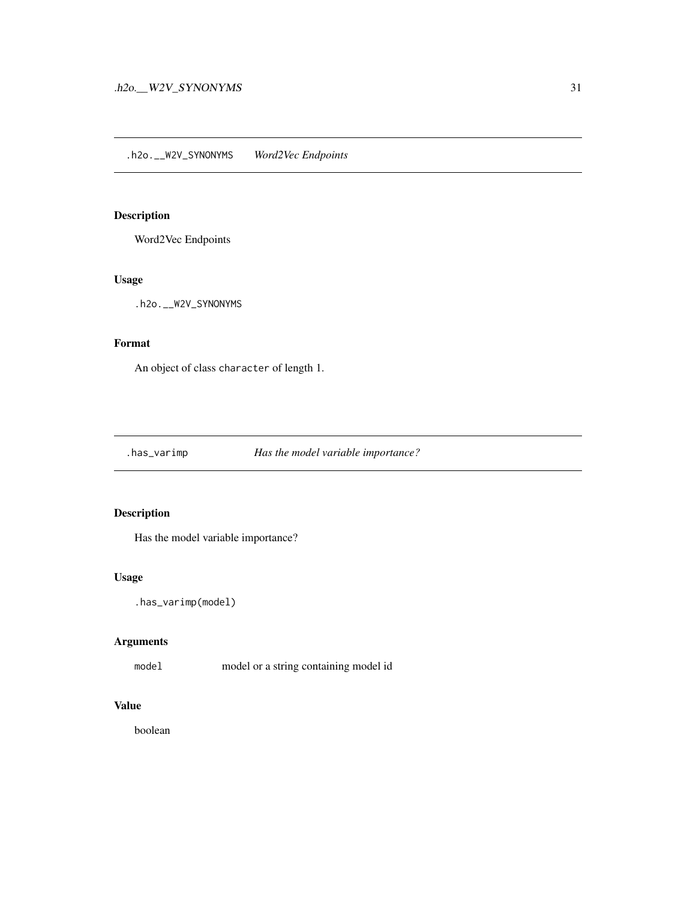<span id="page-30-0"></span>Word2Vec Endpoints

#### Usage

.h2o.\_\_W2V\_SYNONYMS

# Format

An object of class character of length 1.

.has\_varimp *Has the model variable importance?*

# Description

Has the model variable importance?

# Usage

.has\_varimp(model)

# Arguments

model model or a string containing model id

# Value

boolean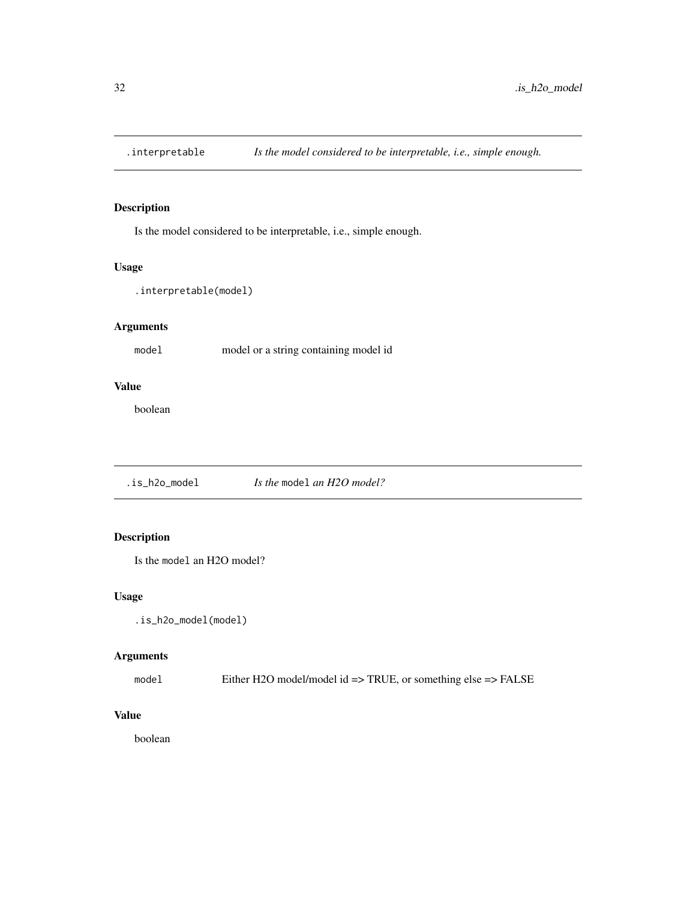<span id="page-31-0"></span>

Is the model considered to be interpretable, i.e., simple enough.

#### Usage

```
.interpretable(model)
```
# Arguments

model model or a string containing model id

#### Value

boolean

.is\_h2o\_model *Is the* model *an H2O model?*

# Description

Is the model an H2O model?

#### Usage

.is\_h2o\_model(model)

# Arguments

model Either H2O model/model id => TRUE, or something else => FALSE

# Value

boolean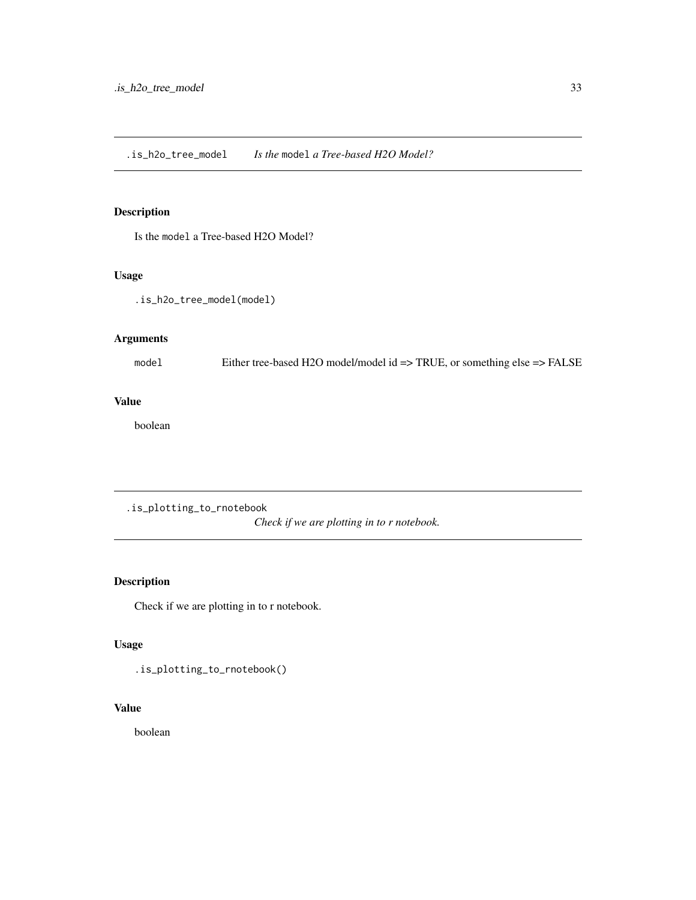<span id="page-32-0"></span>Is the model a Tree-based H2O Model?

# Usage

.is\_h2o\_tree\_model(model)

# Arguments

model Either tree-based H2O model/model id => TRUE, or something else => FALSE

# Value

boolean

.is\_plotting\_to\_rnotebook

*Check if we are plotting in to r notebook.*

# Description

Check if we are plotting in to r notebook.

# Usage

.is\_plotting\_to\_rnotebook()

#### Value

boolean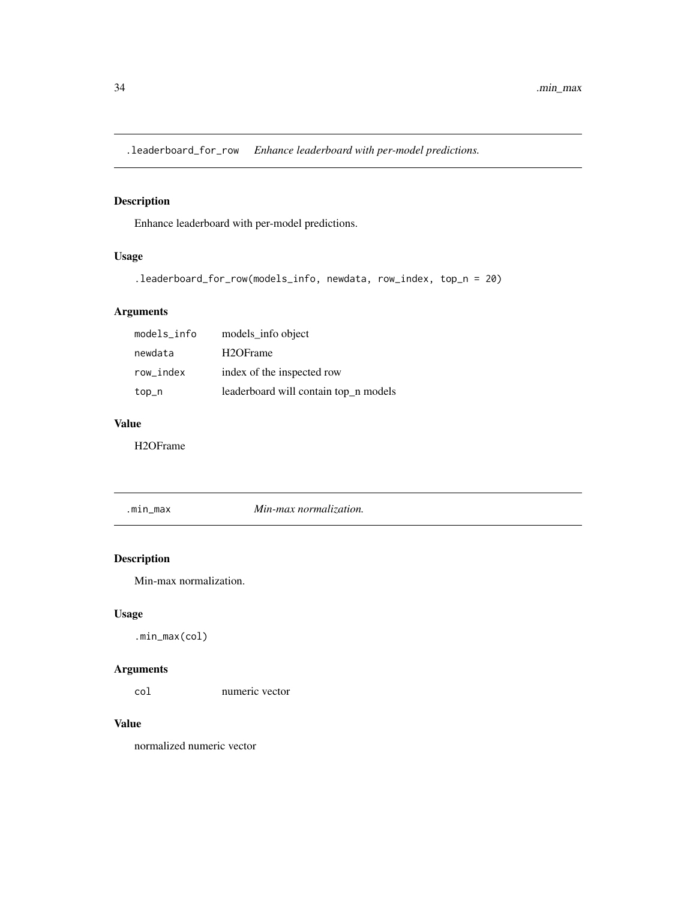<span id="page-33-0"></span>.leaderboard\_for\_row *Enhance leaderboard with per-model predictions.*

# Description

Enhance leaderboard with per-model predictions.

# Usage

```
.leaderboard_for_row(models_info, newdata, row_index, top_n = 20)
```
# Arguments

| models_info | models_info object                    |
|-------------|---------------------------------------|
| newdata     | H <sub>2</sub> OFrame                 |
| row index   | index of the inspected row            |
| top_n       | leaderboard will contain top_n models |

#### Value

H2OFrame

.min\_max *Min-max normalization.*

# Description

Min-max normalization.

# Usage

.min\_max(col)

# Arguments

col numeric vector

#### Value

normalized numeric vector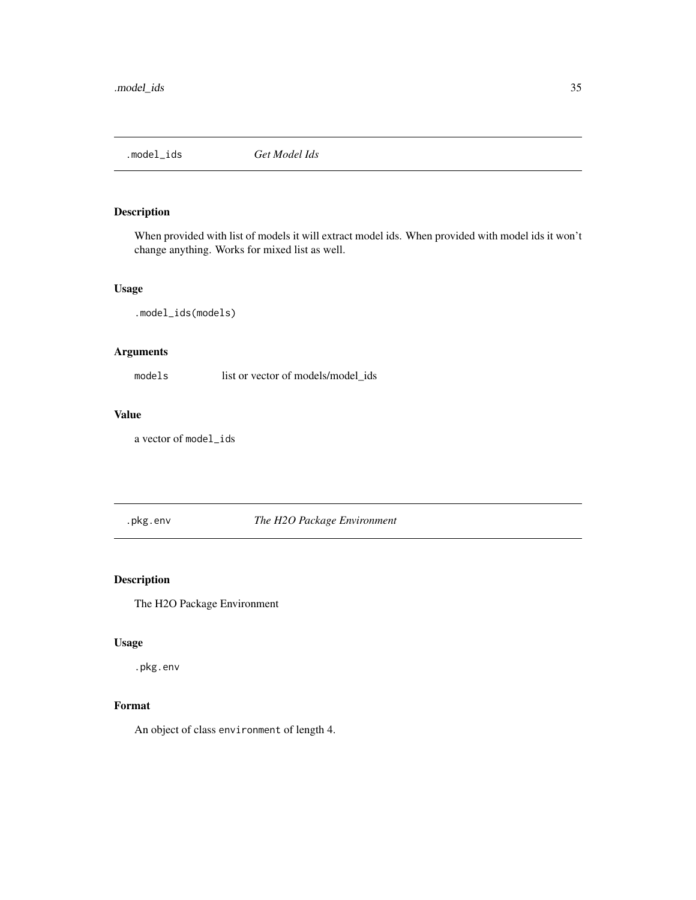<span id="page-34-0"></span>

When provided with list of models it will extract model ids. When provided with model ids it won't change anything. Works for mixed list as well.

# Usage

.model\_ids(models)

# Arguments

models list or vector of models/model\_ids

# Value

a vector of model\_ids

.pkg.env *The H2O Package Environment*

# Description

The H2O Package Environment

# Usage

.pkg.env

# Format

An object of class environment of length 4.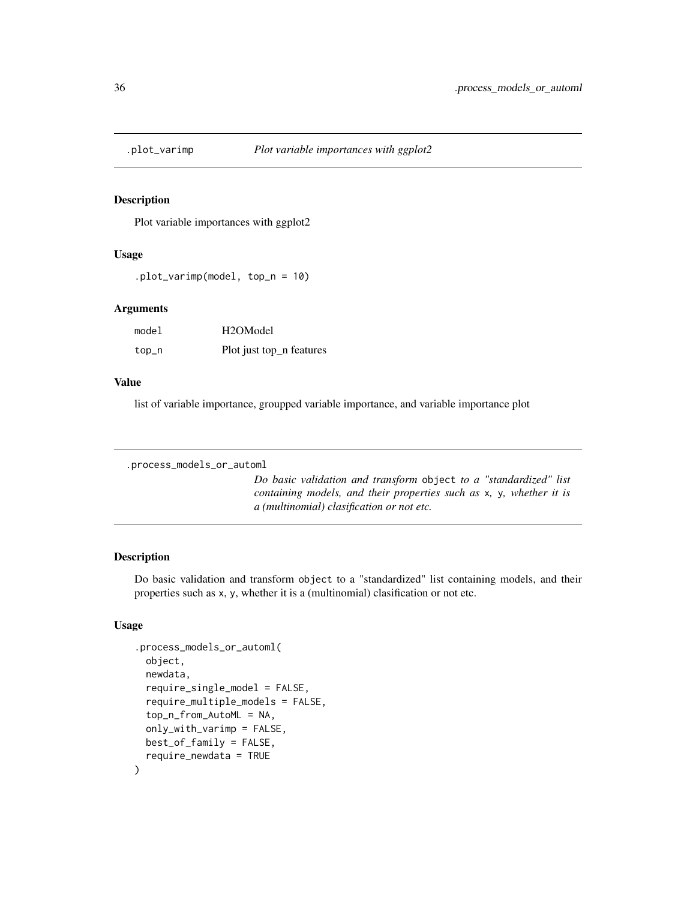<span id="page-35-0"></span>

Plot variable importances with ggplot2

#### Usage

.plot\_varimp(model, top\_n = 10)

#### Arguments

| model | H <sub>2</sub> OM <sub>odel</sub> |
|-------|-----------------------------------|
| top_n | Plot just top_n features          |

#### Value

list of variable importance, groupped variable importance, and variable importance plot

```
.process_models_or_automl
```
*Do basic validation and transform* object *to a "standardized" list containing models, and their properties such as* x*,* y*, whether it is a (multinomial) clasification or not etc.*

# Description

Do basic validation and transform object to a "standardized" list containing models, and their properties such as x, y, whether it is a (multinomial) clasification or not etc.

# Usage

```
.process_models_or_automl(
 object,
  newdata,
  require_single_model = FALSE,
  require_multiple_models = FALSE,
  top_n_from_AutoML = NA,
  only_with_varimp = FALSE,
 best_of_family = FALSE,
  require_newdata = TRUE
)
```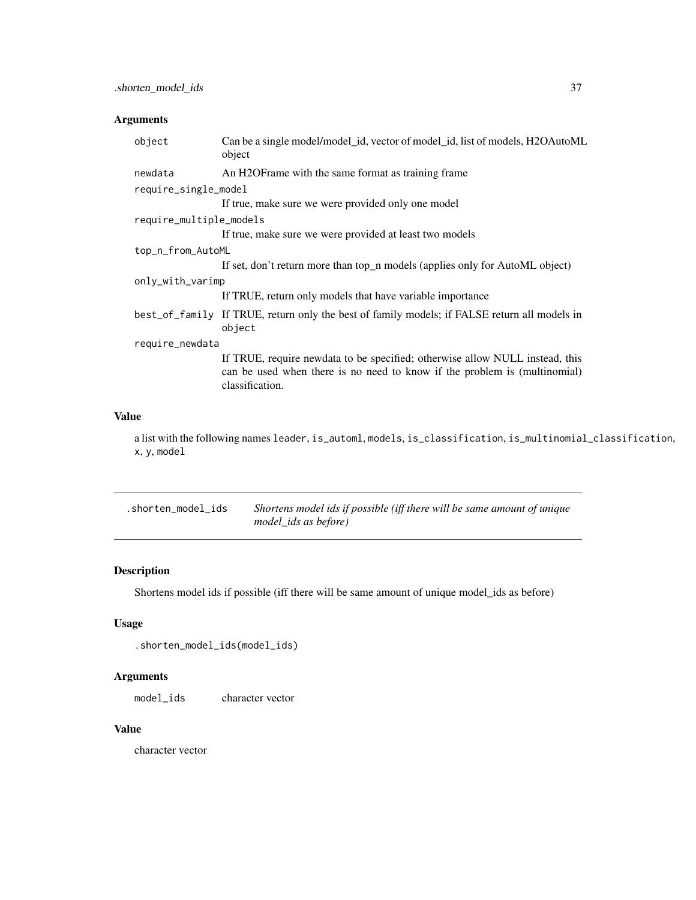# Arguments

| object                  | Can be a single model/model_id, vector of model_id, list of models, H2OAutoML<br>object                                                                                      |  |
|-------------------------|------------------------------------------------------------------------------------------------------------------------------------------------------------------------------|--|
| newdata                 | An H2OF rame with the same format as training frame                                                                                                                          |  |
| require_single_model    |                                                                                                                                                                              |  |
|                         | If true, make sure we were provided only one model                                                                                                                           |  |
| require_multiple_models |                                                                                                                                                                              |  |
|                         | If true, make sure we were provided at least two models                                                                                                                      |  |
| top_n_from_AutoML       |                                                                                                                                                                              |  |
|                         | If set, don't return more than top_n models (applies only for AutoML object)                                                                                                 |  |
| only_with_varimp        |                                                                                                                                                                              |  |
|                         | If TRUE, return only models that have variable importance                                                                                                                    |  |
|                         | best_of_family If TRUE, return only the best of family models; if FALSE return all models in<br>object                                                                       |  |
| require_newdata         |                                                                                                                                                                              |  |
|                         | If TRUE, require newdata to be specified; otherwise allow NULL instead, this<br>can be used when there is no need to know if the problem is (multinomial)<br>classification. |  |

# Value

a list with the following names leader, is\_automl, models, is\_classification, is\_multinomial\_classification, x, y, model

| .shorten model ids | Shortens model ids if possible (iff there will be same amount of unique |
|--------------------|-------------------------------------------------------------------------|
|                    | model ids as before)                                                    |

# Description

Shortens model ids if possible (iff there will be same amount of unique model\_ids as before)

# Usage

```
.shorten_model_ids(model_ids)
```
# Arguments

model\_ids character vector

## Value

character vector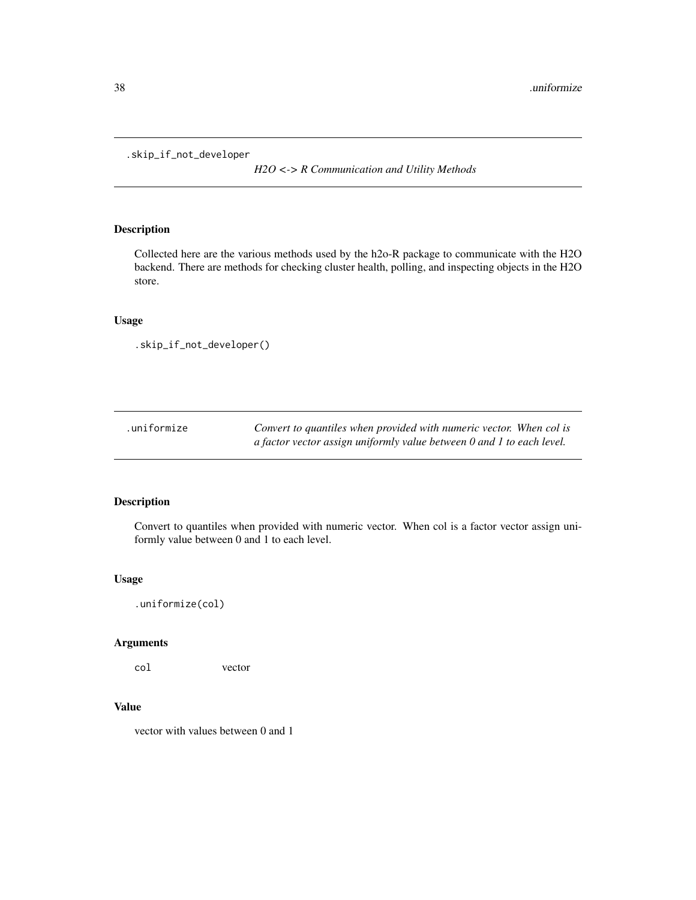.skip\_if\_not\_developer

*H2O <-> R Communication and Utility Methods*

# Description

Collected here are the various methods used by the h2o-R package to communicate with the H2O backend. There are methods for checking cluster health, polling, and inspecting objects in the H2O store.

## Usage

```
.skip_if_not_developer()
```

| .uniformize | Convert to quantiles when provided with numeric vector. When col is   |
|-------------|-----------------------------------------------------------------------|
|             | a factor vector assign uniformly value between 0 and 1 to each level. |

# Description

Convert to quantiles when provided with numeric vector. When col is a factor vector assign uniformly value between 0 and 1 to each level.

## Usage

.uniformize(col)

# Arguments

col vector

# Value

vector with values between 0 and 1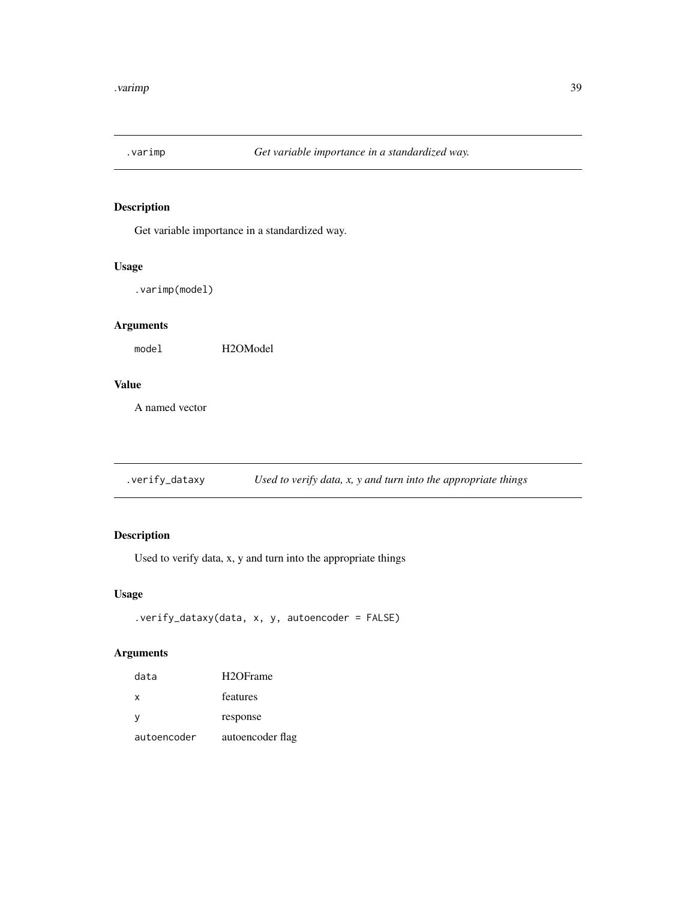Get variable importance in a standardized way.

# Usage

.varimp(model)

# Arguments

model H2OModel

## Value

A named vector

.verify\_dataxy *Used to verify data, x, y and turn into the appropriate things*

# Description

Used to verify data, x, y and turn into the appropriate things

## Usage

```
.verify_dataxy(data, x, y, autoencoder = FALSE)
```
# Arguments

| data        | H <sub>2</sub> OFrame |
|-------------|-----------------------|
| x           | features              |
| у           | response              |
| autoencoder | autoencoder flag      |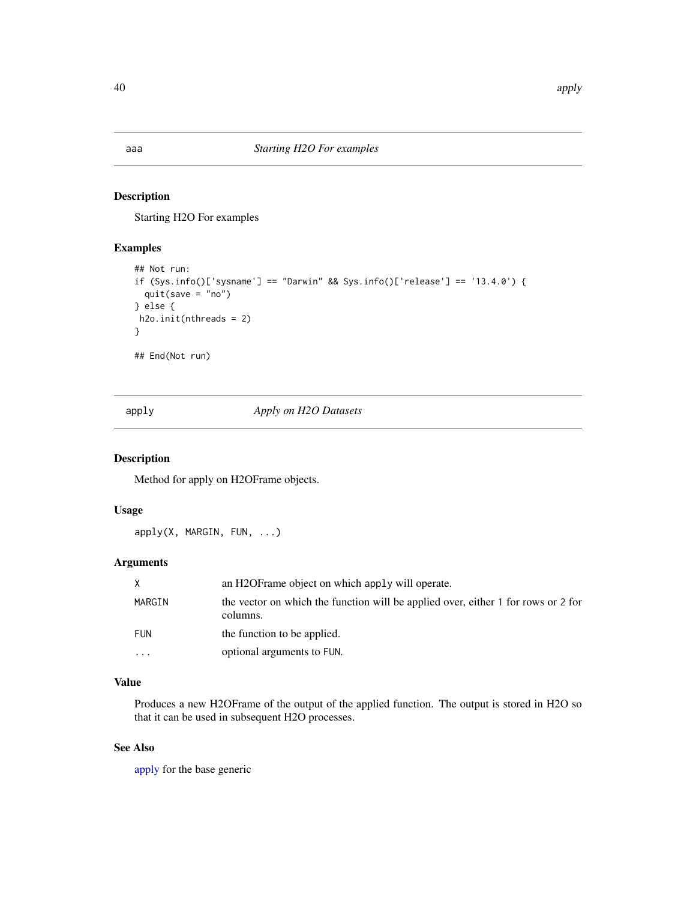Starting H2O For examples

## Examples

```
## Not run:
if (Sys.info()['sysname'] == "Darwin" && Sys.info()['release'] == '13.4.0') {
  quit(save = "no")
} else {
h2o.init(nthreads = 2)
}
## End(Not run)
```
<span id="page-39-0"></span>apply *Apply on H2O Datasets*

# Description

Method for apply on H2OFrame objects.

# Usage

apply(X, MARGIN, FUN, ...)

# Arguments

| X          | an H <sub>2</sub> OF rame object on which apply will operate.                                 |
|------------|-----------------------------------------------------------------------------------------------|
| MARGIN     | the vector on which the function will be applied over, either 1 for rows or 2 for<br>columns. |
| <b>FUN</b> | the function to be applied.                                                                   |
| .          | optional arguments to FUN.                                                                    |

# Value

Produces a new H2OFrame of the output of the applied function. The output is stored in H2O so that it can be used in subsequent H2O processes.

# See Also

[apply](#page-39-0) for the base generic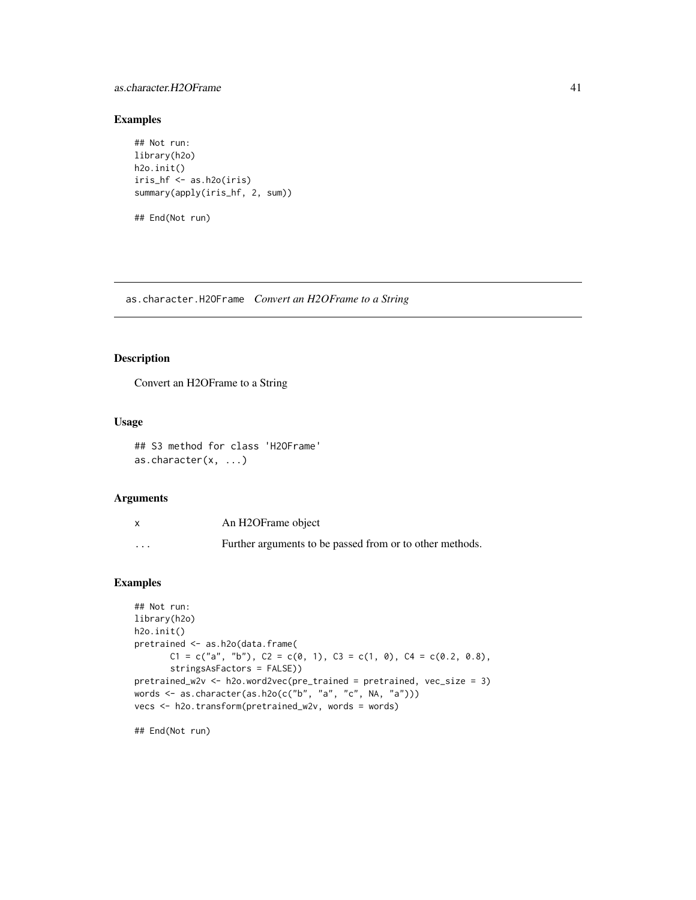## as.character.H2OFrame 41

## Examples

```
## Not run:
library(h2o)
h2o.init()
iris_hf <- as.h2o(iris)
summary(apply(iris_hf, 2, sum))
```
## End(Not run)

as.character.H2OFrame *Convert an H2OFrame to a String*

## Description

Convert an H2OFrame to a String

## Usage

```
## S3 method for class 'H2OFrame'
as.character(x, ...)
```
#### Arguments

|          | An H2OFrame object                                       |
|----------|----------------------------------------------------------|
| $\cdots$ | Further arguments to be passed from or to other methods. |

# Examples

```
## Not run:
library(h2o)
h2o.init()
pretrained <- as.h2o(data.frame(
       C1 = c("a", "b"), C2 = c(0, 1), C3 = c(1, 0), C4 = c(0.2, 0.8),stringsAsFactors = FALSE))
pretrained_w2v <- h2o.word2vec(pre_trained = pretrained, vec_size = 3)
words <- as.character(as.h2o(c("b", "a", "c", NA, "a")))
vecs <- h2o.transform(pretrained_w2v, words = words)
```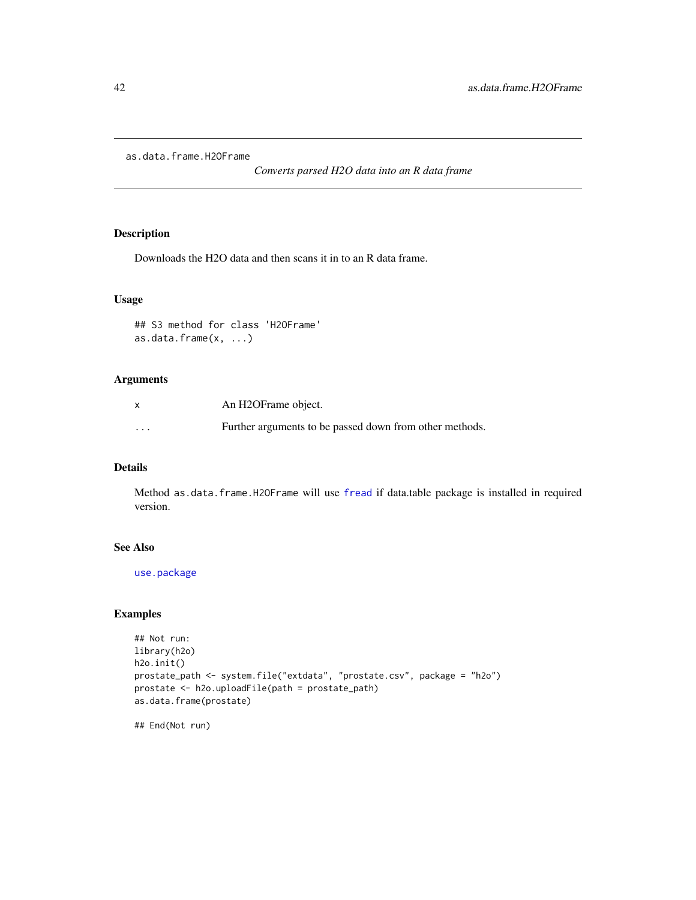as.data.frame.H2OFrame

*Converts parsed H2O data into an R data frame*

# Description

Downloads the H2O data and then scans it in to an R data frame.

# Usage

```
## S3 method for class 'H2OFrame'
as.data.frame(x, ...)
```
## Arguments

| $\mathsf{x}$            | An H2OFrame object.                                     |
|-------------------------|---------------------------------------------------------|
| $\cdot$ $\cdot$ $\cdot$ | Further arguments to be passed down from other methods. |

### Details

Method as.data.frame.H2OFrame will use [fread](#page-0-0) if data.table package is installed in required version.

## See Also

[use.package](#page-443-0)

## Examples

```
## Not run:
library(h2o)
h2o.init()
prostate_path <- system.file("extdata", "prostate.csv", package = "h2o")
prostate <- h2o.uploadFile(path = prostate_path)
as.data.frame(prostate)
```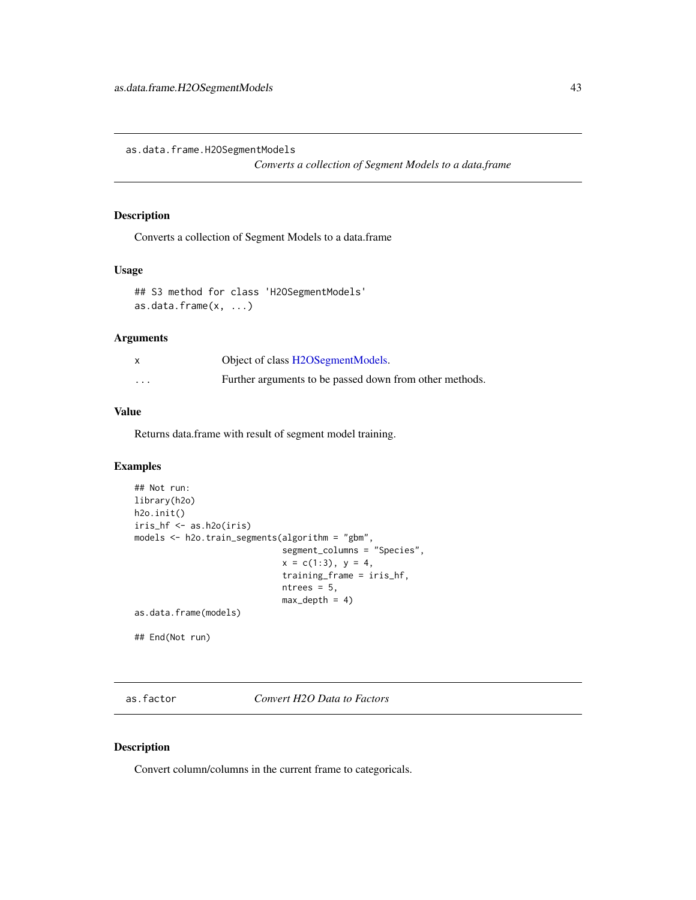as.data.frame.H2OSegmentModels

*Converts a collection of Segment Models to a data.frame*

#### Description

Converts a collection of Segment Models to a data.frame

## Usage

```
## S3 method for class 'H2OSegmentModels'
as.data.frame(x, ...)
```
#### Arguments

|          | Object of class H2OSegmentModels.                       |
|----------|---------------------------------------------------------|
| $\cdots$ | Further arguments to be passed down from other methods. |

# Value

Returns data.frame with result of segment model training.

### Examples

```
## Not run:
library(h2o)
h2o.init()
iris_hf <- as.h2o(iris)
models <- h2o.train_segments(algorithm = "gbm",
                             segment_columns = "Species",
                             x = c(1:3), y = 4,
                             training_frame = iris_hf,
                             ntrees = 5,
                             max\_depth = 4)
as.data.frame(models)
## End(Not run)
```
<span id="page-42-0"></span>as.factor *Convert H2O Data to Factors*

## Description

Convert column/columns in the current frame to categoricals.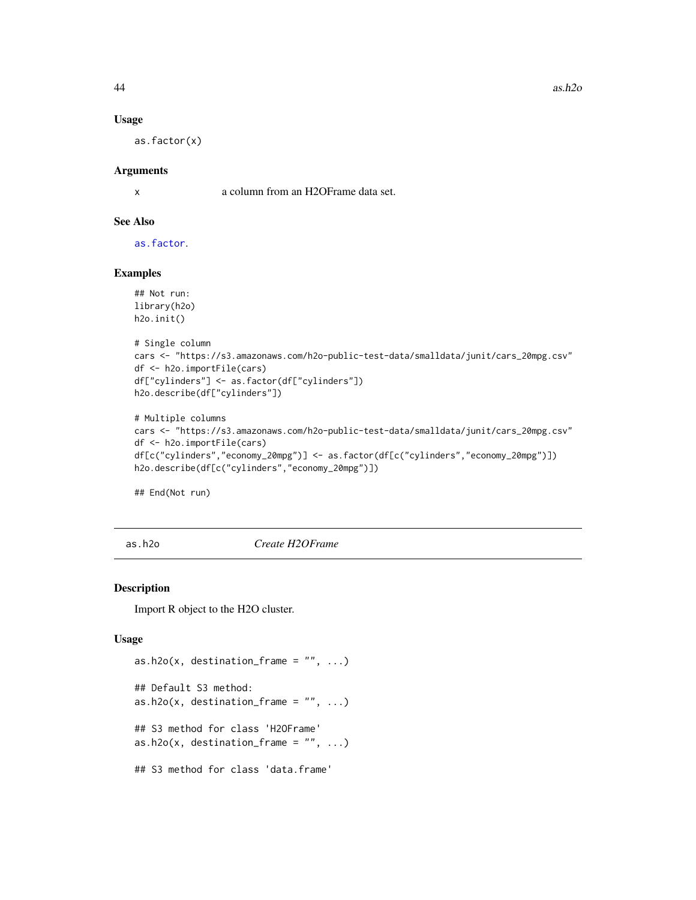$44$  as.h2o

#### Usage

as.factor(x)

## Arguments

x a column from an H2OFrame data set.

## See Also

[as.factor](#page-42-0).

## Examples

```
## Not run:
library(h2o)
h2o.init()
# Single column
cars <- "https://s3.amazonaws.com/h2o-public-test-data/smalldata/junit/cars_20mpg.csv"
df <- h2o.importFile(cars)
```

```
df["cylinders"] <- as.factor(df["cylinders"])
h2o.describe(df["cylinders"])
```

```
# Multiple columns
cars <- "https://s3.amazonaws.com/h2o-public-test-data/smalldata/junit/cars_20mpg.csv"
df <- h2o.importFile(cars)
df[c("cylinders","economy_20mpg")] <- as.factor(df[c("cylinders","economy_20mpg")])
h2o.describe(df[c("cylinders","economy_20mpg")])
```
## End(Not run)

as.h2o *Create H2OFrame*

## Description

Import R object to the H2O cluster.

#### Usage

```
as.h2o(x, destination_frame = ", ...)
## Default S3 method:
as.h2o(x, destination_frame = ", ...)
## S3 method for class 'H2OFrame'
as.h2o(x, destination-frame = "", ...)## S3 method for class 'data.frame'
```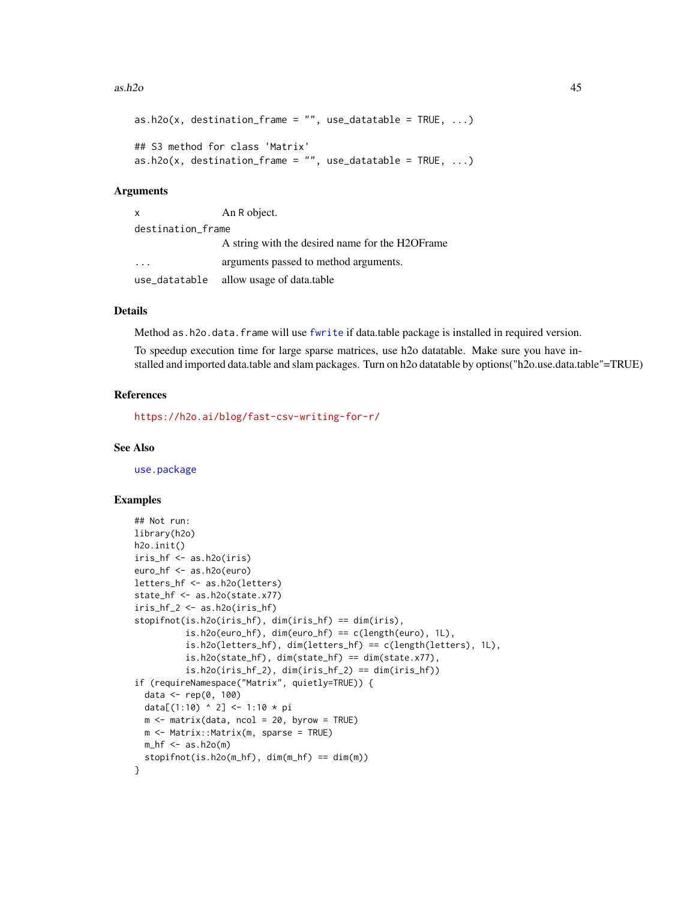#### $a$ s.h2o  $45$

```
as.h2o(x, destination-frame = "", use_datatable = TRUE, ...)## S3 method for class 'Matrix'
as.h2o(x, destination-frame = "", use_datatable = TRUE, ...)
```
#### Arguments

| $\mathsf{x}$            | An R object.                                     |  |
|-------------------------|--------------------------------------------------|--|
| destination_frame       |                                                  |  |
|                         | A string with the desired name for the H2OF rame |  |
| $\cdot$ $\cdot$ $\cdot$ | arguments passed to method arguments.            |  |
| use_datatable           | allow usage of data.table                        |  |

#### Details

Method as.h2o.data.frame will use [fwrite](#page-0-0) if data.table package is installed in required version.

To speedup execution time for large sparse matrices, use h2o datatable. Make sure you have installed and imported data.table and slam packages. Turn on h2o datatable by options("h2o.use.data.table"=TRUE)

#### References

<https://h2o.ai/blog/fast-csv-writing-for-r/>

#### See Also

[use.package](#page-443-0)

#### Examples

```
## Not run:
library(h2o)
h2o.init()
iris_hf <- as.h2o(iris)
euro_hf <- as.h2o(euro)
letters_hf <- as.h2o(letters)
state_hf <- as.h2o(state.x77)
iris_hf_2 \leftarrow as.h2o(iris_hf)stopifnot(is.h2o(iris_hf), dim(iris_hf) == dim(iris),
          is.h2o(euro_hf), dim(euro_hf) == c(length(euro), 1L),is.h2o(letters_hf), dim(letters_hf) == c(length(letters), 1L),
          is.h2o(state_hf), dim(state_hf) == dim(state.x77),
          is.h2o(iris_hf_2), dim(iris_hf_2) == dim(iris_hf))if (requireNamespace("Matrix", quietly=TRUE)) {
  data <- rep(0, 100)
  data[(1:10) ^ 2] <- 1:10 * pi
  m \le - matrix(data, ncol = 20, byrow = TRUE)
  m <- Matrix::Matrix(m, sparse = TRUE)
  m_hf <- as.h2o(m)
  stopifnot(is.h2o(m_hf), dim(m_hf) == dim(m))
}
```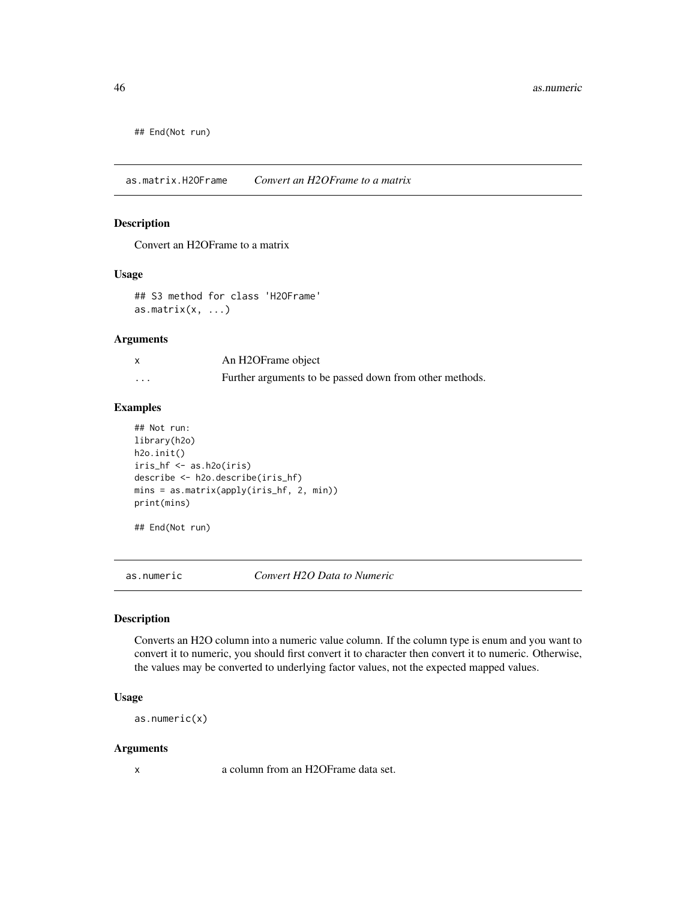## End(Not run)

as.matrix.H2OFrame *Convert an H2OFrame to a matrix*

## Description

Convert an H2OFrame to a matrix

## Usage

## S3 method for class 'H2OFrame' as.matrix $(x, \ldots)$ 

# Arguments

|                         | An H2OFrame object                                      |
|-------------------------|---------------------------------------------------------|
| $\cdot$ $\cdot$ $\cdot$ | Further arguments to be passed down from other methods. |

## Examples

```
## Not run:
library(h2o)
h2o.init()
iris_hf <- as.h2o(iris)
describe <- h2o.describe(iris_hf)
mins = as.matrix(apply(iris_hf, 2, min))
print(mins)
```
## End(Not run)

as.numeric *Convert H2O Data to Numeric*

## Description

Converts an H2O column into a numeric value column. If the column type is enum and you want to convert it to numeric, you should first convert it to character then convert it to numeric. Otherwise, the values may be converted to underlying factor values, not the expected mapped values.

## Usage

as.numeric(x)

#### Arguments

x a column from an H2OFrame data set.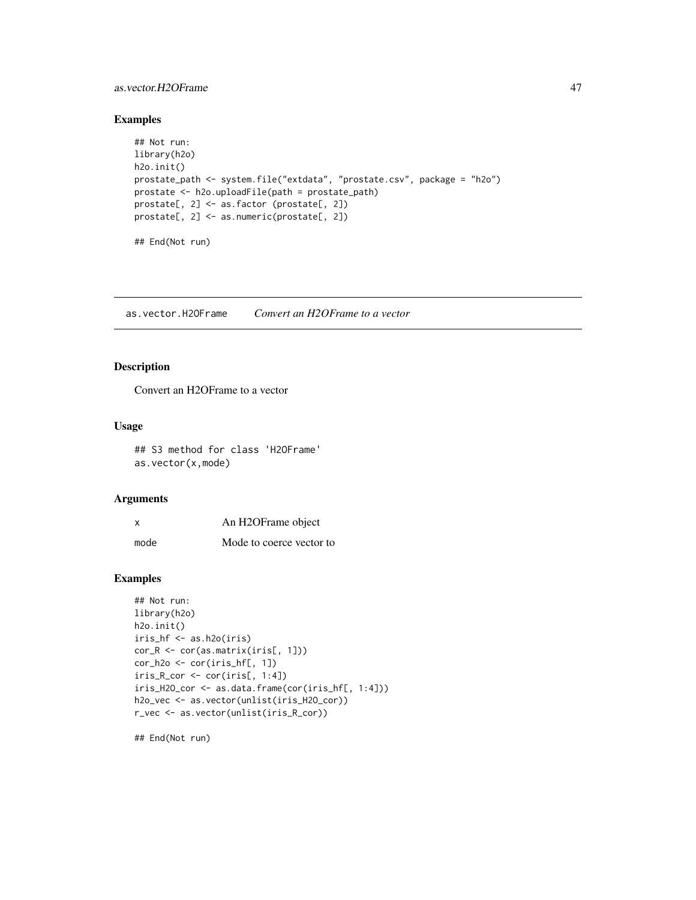## as.vector.H2OFrame 47

## Examples

```
## Not run:
library(h2o)
h2o.init()
prostate_path <- system.file("extdata", "prostate.csv", package = "h2o")
prostate <- h2o.uploadFile(path = prostate_path)
prostate[, 2] <- as.factor (prostate[, 2])
prostate[, 2] <- as.numeric(prostate[, 2])
## End(Not run)
```
as.vector.H2OFrame *Convert an H2OFrame to a vector*

# Description

Convert an H2OFrame to a vector

#### Usage

## S3 method for class 'H2OFrame' as.vector(x,mode)

# Arguments

| $\boldsymbol{\mathsf{x}}$ | An H2OFrame object       |
|---------------------------|--------------------------|
| mode                      | Mode to coerce vector to |

#### Examples

```
## Not run:
library(h2o)
h2o.init()
iris_hf <- as.h2o(iris)
cor_R <- cor(as.matrix(iris[, 1]))
cor_h2o \leftarrow cor(iris_hf[, 1])iris_R_cor <- cor(iris[, 1:4])
iris_H2O_cor <- as.data.frame(cor(iris_hf[, 1:4]))
h2o_vec <- as.vector(unlist(iris_H2O_cor))
r_vec <- as.vector(unlist(iris_R_cor))
```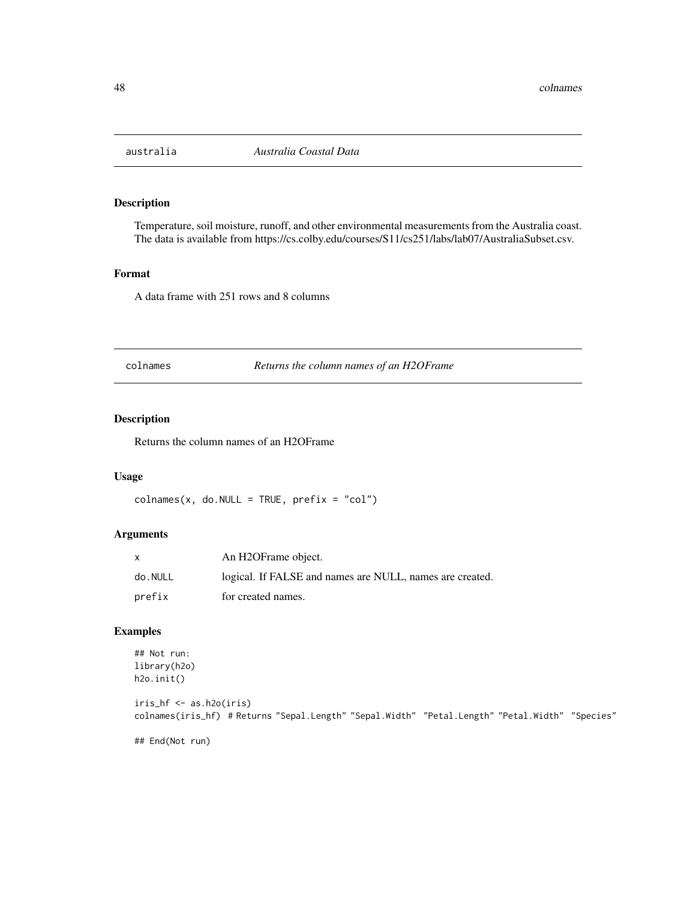Temperature, soil moisture, runoff, and other environmental measurements from the Australia coast. The data is available from https://cs.colby.edu/courses/S11/cs251/labs/lab07/AustraliaSubset.csv.

## Format

A data frame with 251 rows and 8 columns

colnames *Returns the column names of an H2OFrame*

# Description

Returns the column names of an H2OFrame

#### Usage

```
colnames(x, do.NULL = TRUE, prefix = "col")
```
## Arguments

|         | An H2OFrame object.                                      |
|---------|----------------------------------------------------------|
| do.NULL | logical. If FALSE and names are NULL, names are created. |
| prefix  | for created names.                                       |

# Examples

```
## Not run:
library(h2o)
h2o.init()
iris_hf <- as.h2o(iris)
colnames(iris_hf) # Returns "Sepal.Length" "Sepal.Width" "Petal.Length" "Petal.Width" "Species"
```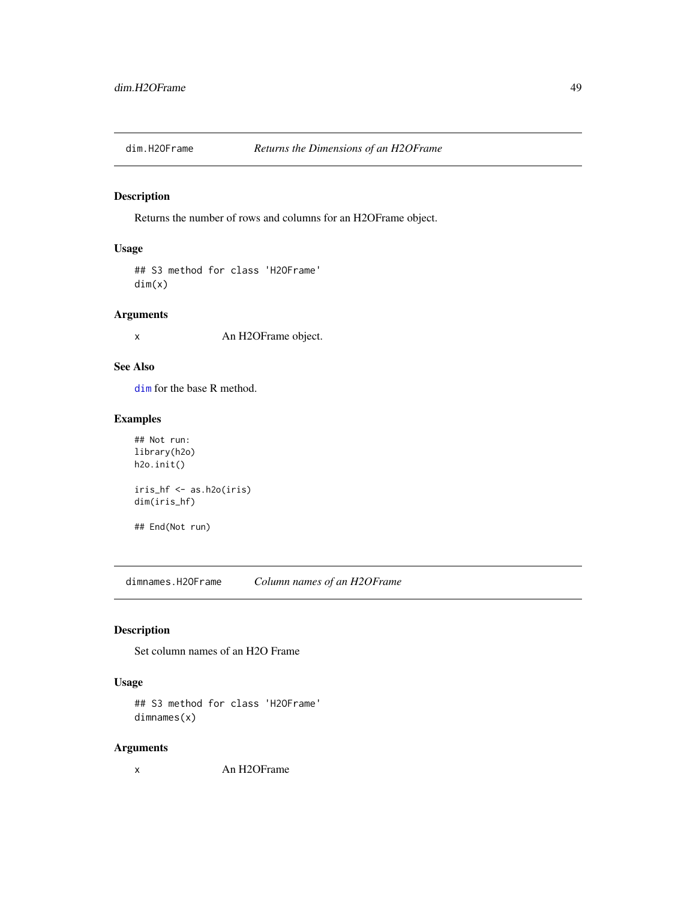Returns the number of rows and columns for an H2OFrame object.

# Usage

## S3 method for class 'H2OFrame' dim(x)

## Arguments

x An H2OFrame object.

# See Also

[dim](#page-0-0) for the base R method.

# Examples

```
## Not run:
library(h2o)
h2o.init()
iris_hf <- as.h2o(iris)
dim(iris_hf)
## End(Not run)
```
dimnames.H2OFrame *Column names of an H2OFrame*

## Description

Set column names of an H2O Frame

# Usage

```
## S3 method for class 'H2OFrame'
dimnames(x)
```
# Arguments

x An H2OFrame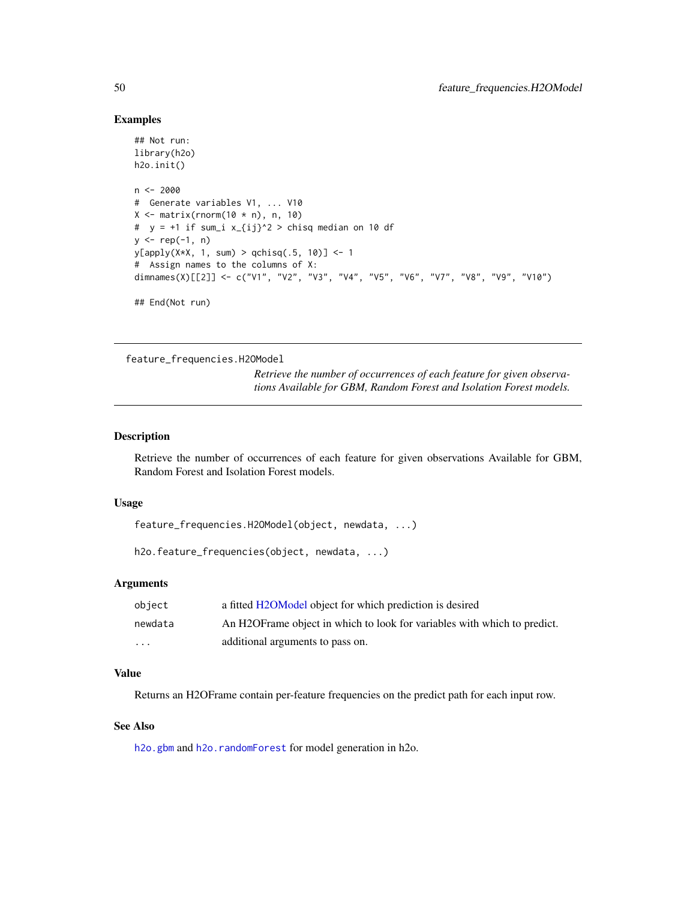## Examples

```
## Not run:
library(h2o)
h2o.init()
n < -2000# Generate variables V1, ... V10
X \leftarrow matrix(rnorm(10 * n), n, 10)# y = +1 if sum_i x_{ij}^2 > chisq median on 10 df
y \leq - rep(-1, n)
y[apply(X*X, 1, sum) > qchisq(.5, 10)] <- 1
# Assign names to the columns of X:
dimnames(X)[[2]] <- c("V1", "V2", "V3", "V4", "V5", "V6", "V7", "V8", "V9", "V10")
## End(Not run)
```
feature\_frequencies.H2OModel

*Retrieve the number of occurrences of each feature for given observations Available for GBM, Random Forest and Isolation Forest models.*

## Description

Retrieve the number of occurrences of each feature for given observations Available for GBM, Random Forest and Isolation Forest models.

## Usage

feature\_frequencies.H2OModel(object, newdata, ...)

h2o.feature\_frequencies(object, newdata, ...)

#### Arguments

| obiect   | a fitted H2OModel object for which prediction is desired                  |
|----------|---------------------------------------------------------------------------|
| newdata  | An H2OF rame object in which to look for variables with which to predict. |
| $\cdots$ | additional arguments to pass on.                                          |

## Value

Returns an H2OFrame contain per-feature frequencies on the predict path for each input row.

## See Also

[h2o.gbm](#page-153-0) and [h2o.randomForest](#page-304-0) for model generation in h2o.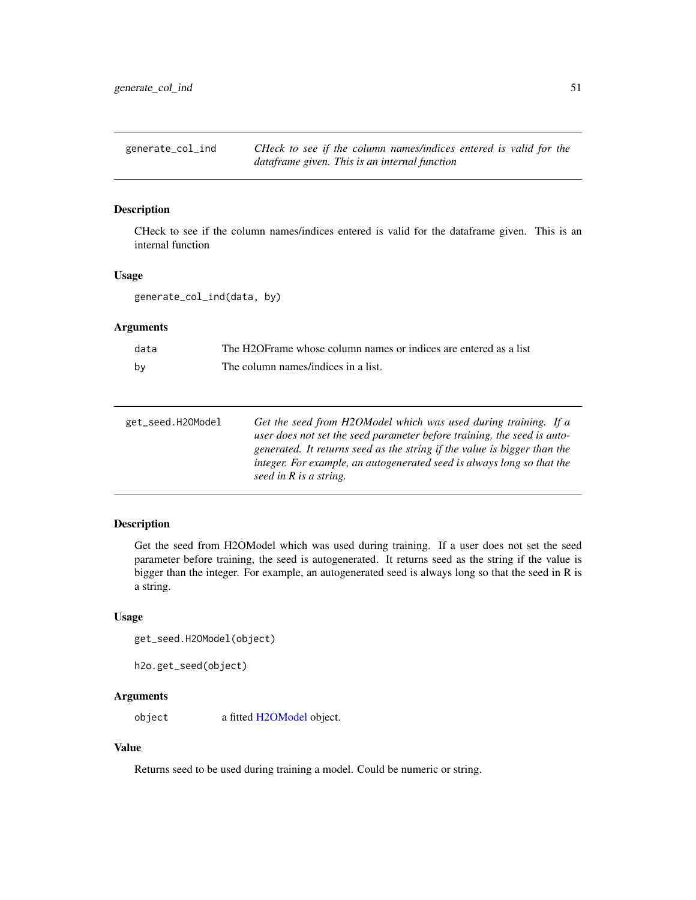generate\_col\_ind *CHeck to see if the column names/indices entered is valid for the dataframe given. This is an internal function*

## Description

CHeck to see if the column names/indices entered is valid for the dataframe given. This is an internal function

## Usage

generate\_col\_ind(data, by)

# Arguments

| data | The H2OFrame whose column names or indices are entered as a list |
|------|------------------------------------------------------------------|
| bv   | The column names/indices in a list.                              |

| Get the seed from H2OModel which was used during training. If a          |
|--------------------------------------------------------------------------|
| user does not set the seed parameter before training, the seed is auto-  |
| generated. It returns seed as the string if the value is bigger than the |
| integer. For example, an autogenerated seed is always long so that the   |
| seed in R is a string.                                                   |
|                                                                          |

# Description

Get the seed from H2OModel which was used during training. If a user does not set the seed parameter before training, the seed is autogenerated. It returns seed as the string if the value is bigger than the integer. For example, an autogenerated seed is always long so that the seed in R is a string.

# Usage

```
get_seed.H2OModel(object)
```

```
h2o.get_seed(object)
```
# Arguments

object a fitted [H2OModel](#page-415-0) object.

## Value

Returns seed to be used during training a model. Could be numeric or string.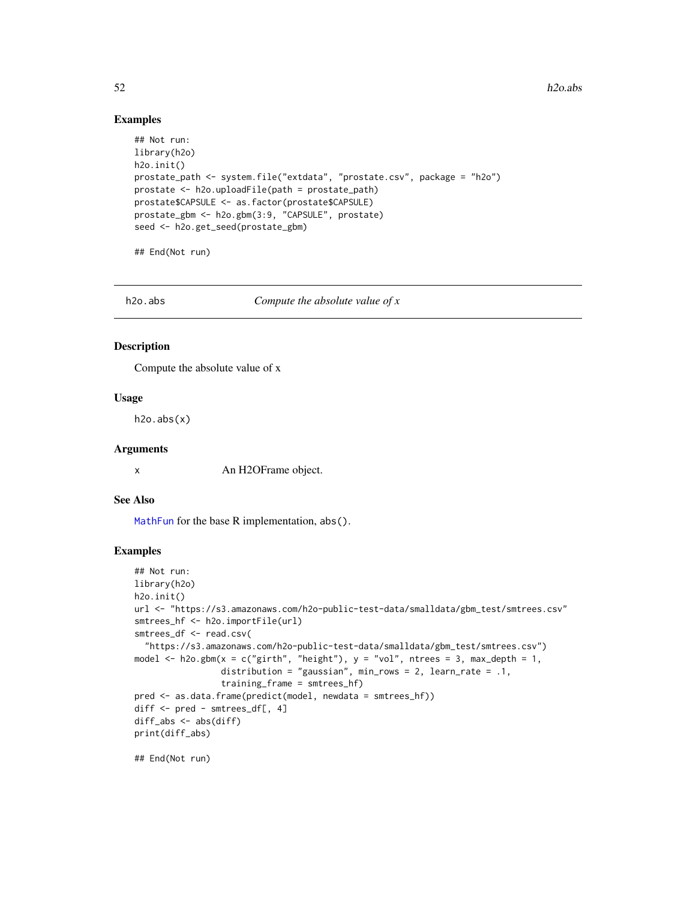$52$  h2o.abs

## Examples

```
## Not run:
library(h2o)
h2o.init()
prostate_path <- system.file("extdata", "prostate.csv", package = "h2o")
prostate <- h2o.uploadFile(path = prostate_path)
prostate$CAPSULE <- as.factor(prostate$CAPSULE)
prostate_gbm <- h2o.gbm(3:9, "CAPSULE", prostate)
seed <- h2o.get_seed(prostate_gbm)
```
## End(Not run)

h2o.abs *Compute the absolute value of x*

## Description

Compute the absolute value of x

## Usage

h2o.abs(x)

#### Arguments

x An H2OFrame object.

## See Also

[MathFun](#page-0-0) for the base R implementation, abs().

### Examples

```
## Not run:
library(h2o)
h2o.init()
url <- "https://s3.amazonaws.com/h2o-public-test-data/smalldata/gbm_test/smtrees.csv"
smtrees_hf <- h2o.importFile(url)
smtrees_df <- read.csv(
  "https://s3.amazonaws.com/h2o-public-test-data/smalldata/gbm_test/smtrees.csv")
model \leq h2o.gbm(x = c("girth", "height"), y = "vol", ntrees = 3, max_depth = 1,
                 distribution = "gaussian", min_rows = 2, learn_rate = .1,
                 training_frame = smtrees_hf)
pred <- as.data.frame(predict(model, newdata = smtrees_hf))
diff <- pred - smtrees_df[, 4]
diff_abs <- abs(diff)
print(diff_abs)
```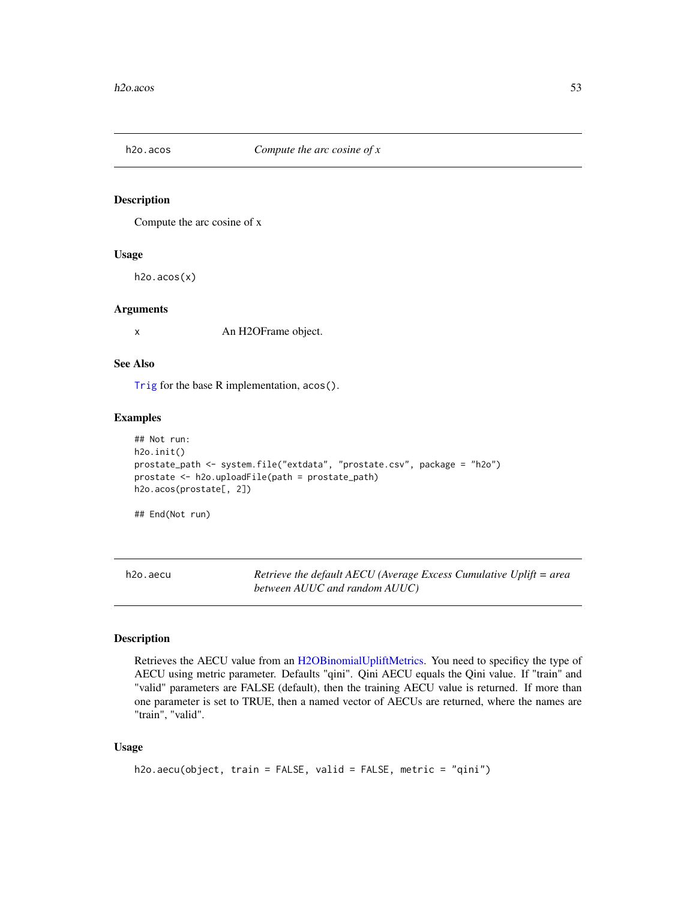Compute the arc cosine of x

#### Usage

h2o.acos(x)

#### Arguments

x An H2OFrame object.

# See Also

[Trig](#page-0-0) for the base R implementation, acos().

## Examples

```
## Not run:
h2o.init()
prostate_path <- system.file("extdata", "prostate.csv", package = "h2o")
prostate <- h2o.uploadFile(path = prostate_path)
h2o.acos(prostate[, 2])
```
## End(Not run)

h2o.aecu *Retrieve the default AECU (Average Excess Cumulative Uplift = area between AUUC and random AUUC)*

#### Description

Retrieves the AECU value from an [H2OBinomialUpliftMetrics.](#page-416-0) You need to specificy the type of AECU using metric parameter. Defaults "qini". Qini AECU equals the Qini value. If "train" and "valid" parameters are FALSE (default), then the training AECU value is returned. If more than one parameter is set to TRUE, then a named vector of AECUs are returned, where the names are "train", "valid".

#### Usage

```
h2o.aecu(object, train = FALSE, valid = FALSE, metric = "qini")
```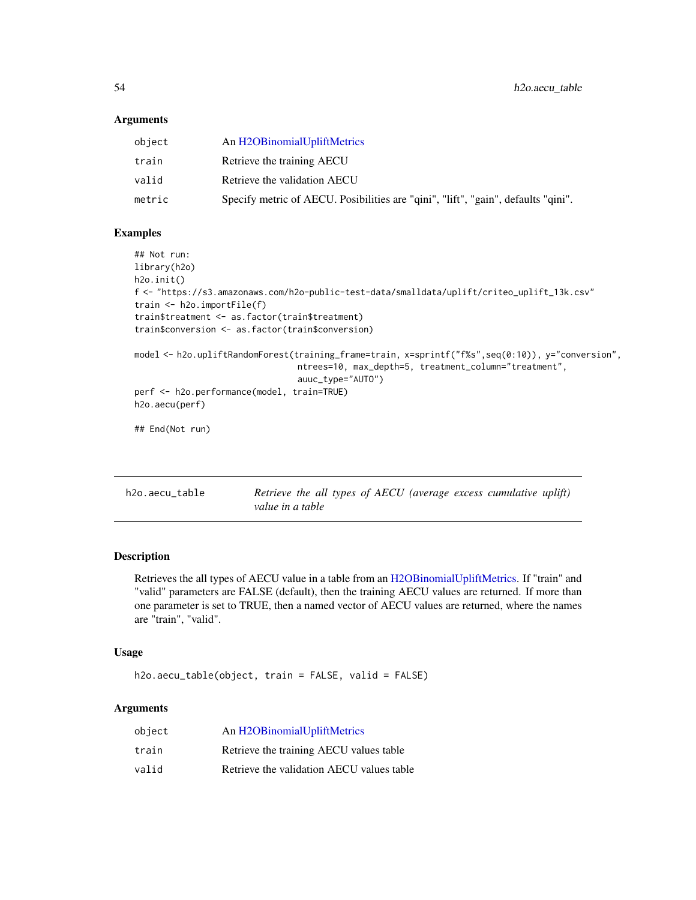#### **Arguments**

| object | An H2OBinomialUpliftMetrics                                                       |
|--------|-----------------------------------------------------------------------------------|
| train  | Retrieve the training AECU                                                        |
| valid  | Retrieve the validation AECU                                                      |
| metric | Specify metric of AECU. Posibilities are "qini", "lift", "gain", defaults "qini". |
|        |                                                                                   |

#### Examples

```
## Not run:
library(h2o)
h2o.init()
f <- "https://s3.amazonaws.com/h2o-public-test-data/smalldata/uplift/criteo_uplift_13k.csv"
train <- h2o.importFile(f)
train$treatment <- as.factor(train$treatment)
train$conversion <- as.factor(train$conversion)
model <- h2o.upliftRandomForest(training_frame=train, x=sprintf("f%s",seq(0:10)), y="conversion",
                                ntrees=10, max_depth=5, treatment_column="treatment",
                                auuc_type="AUTO")
perf <- h2o.performance(model, train=TRUE)
h2o.aecu(perf)
## End(Not run)
```

| h2o.aecu table | Retrieve the all types of AECU (average excess cumulative uplift) |  |  |  |
|----------------|-------------------------------------------------------------------|--|--|--|
|                | value in a table                                                  |  |  |  |

# Description

Retrieves the all types of AECU value in a table from an [H2OBinomialUpliftMetrics.](#page-416-0) If "train" and "valid" parameters are FALSE (default), then the training AECU values are returned. If more than one parameter is set to TRUE, then a named vector of AECU values are returned, where the names are "train", "valid".

## Usage

h2o.aecu\_table(object, train = FALSE, valid = FALSE)

# Arguments

| object | An H2OBinomialUpliftMetrics               |
|--------|-------------------------------------------|
| train  | Retrieve the training AECU values table   |
| valid  | Retrieve the validation AECU values table |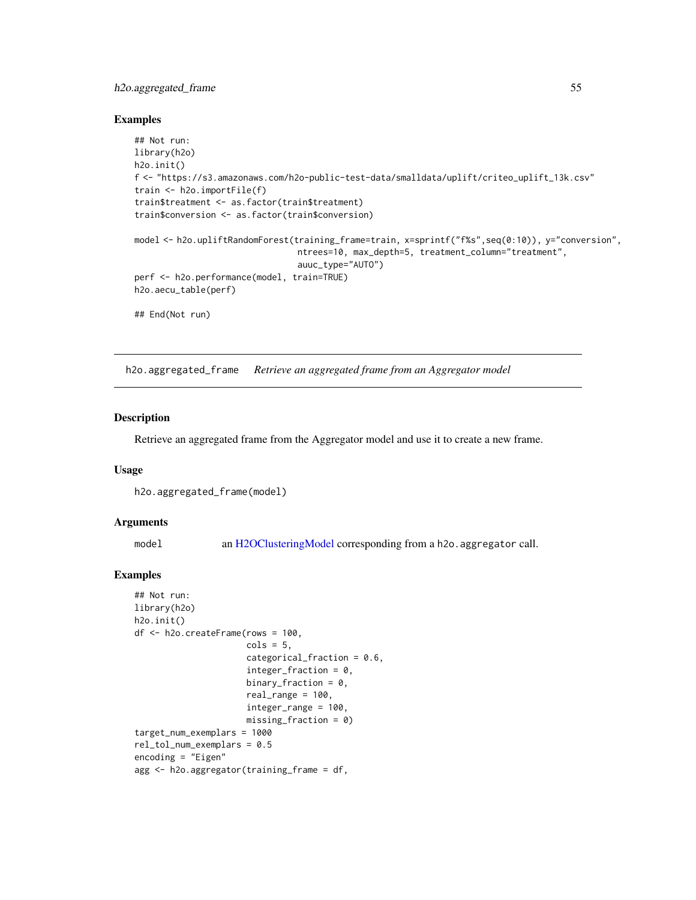# h2o.aggregated\_frame 55

#### Examples

```
## Not run:
library(h2o)
h2o.init()
f <- "https://s3.amazonaws.com/h2o-public-test-data/smalldata/uplift/criteo_uplift_13k.csv"
train <- h2o.importFile(f)
train$treatment <- as.factor(train$treatment)
train$conversion <- as.factor(train$conversion)
model <- h2o.upliftRandomForest(training_frame=train, x=sprintf("f%s",seq(0:10)), y="conversion",
                                ntrees=10, max_depth=5, treatment_column="treatment",
                                auuc_type="AUTO")
perf <- h2o.performance(model, train=TRUE)
h2o.aecu_table(perf)
## End(Not run)
```
h2o.aggregated\_frame *Retrieve an aggregated frame from an Aggregator model*

# Description

Retrieve an aggregated frame from the Aggregator model and use it to create a new frame.

## Usage

h2o.aggregated\_frame(model)

#### **Arguments**

model an [H2OClusteringModel](#page-408-0) corresponding from a h2o. aggregator call.

#### Examples

```
## Not run:
library(h2o)
h2o.init()
df <- h2o.createFrame(rows = 100,
                      \text{cols} = 5,
                      categorical_fraction = 0.6,
                      integer_fraction = 0,binary_fraction = 0,
                       real_range = 100,
                       integer_range = 100,
                      missing_fraction = 0)
target_num_exemplars = 1000
rel_tol_num_exemplars = 0.5
encoding = "Eigen"
agg <- h2o.aggregator(training_frame = df,
```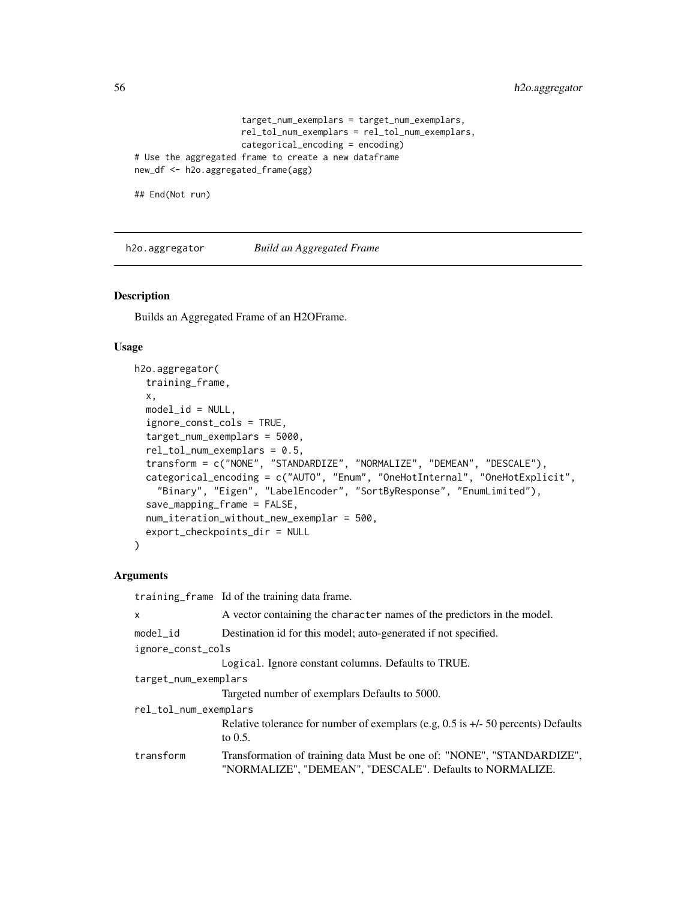```
target_num_exemplars = target_num_exemplars,
                     rel_tol_num_exemplars = rel_tol_num_exemplars,
                     categorical_encoding = encoding)
# Use the aggregated frame to create a new dataframe
new_df <- h2o.aggregated_frame(agg)
```
## End(Not run)

h2o.aggregator *Build an Aggregated Frame*

## Description

Builds an Aggregated Frame of an H2OFrame.

#### Usage

```
h2o.aggregator(
  training_frame,
 x,
 model_id = NULL,ignore_const_cols = TRUE,
  target_num_exemplars = 5000,
  rel_tol_num_exemplars = 0.5,
  transform = c("NONE", "STANDARDIZE", "NORMALIZE", "DEMEAN", "DESCALE"),
  categorical_encoding = c("AUTO", "Enum", "OneHotInternal", "OneHotExplicit",
    "Binary", "Eigen", "LabelEncoder", "SortByResponse", "EnumLimited"),
  save_mapping_frame = FALSE,
  num_iteration_without_new_exemplar = 500,
  export_checkpoints_dir = NULL
)
```
## Arguments

|                       | training frame Id of the training data frame.                                                                                      |  |  |
|-----------------------|------------------------------------------------------------------------------------------------------------------------------------|--|--|
| x                     | A vector containing the character names of the predictors in the model.                                                            |  |  |
| $model_id$            | Destination id for this model; auto-generated if not specified.                                                                    |  |  |
| ignore_const_cols     |                                                                                                                                    |  |  |
|                       | Logical. Ignore constant columns. Defaults to TRUE.                                                                                |  |  |
| target_num_exemplars  |                                                                                                                                    |  |  |
|                       | Targeted number of exemplars Defaults to 5000.                                                                                     |  |  |
| rel_tol_num_exemplars |                                                                                                                                    |  |  |
|                       | Relative tolerance for number of exemplars (e.g, $0.5$ is $+/-50$ percents) Defaults<br>to $0.5$ .                                 |  |  |
| transform             | Transformation of training data Must be one of: "NONE", "STANDARDIZE",<br>"NORMALIZE", "DEMEAN", "DESCALE". Defaults to NORMALIZE. |  |  |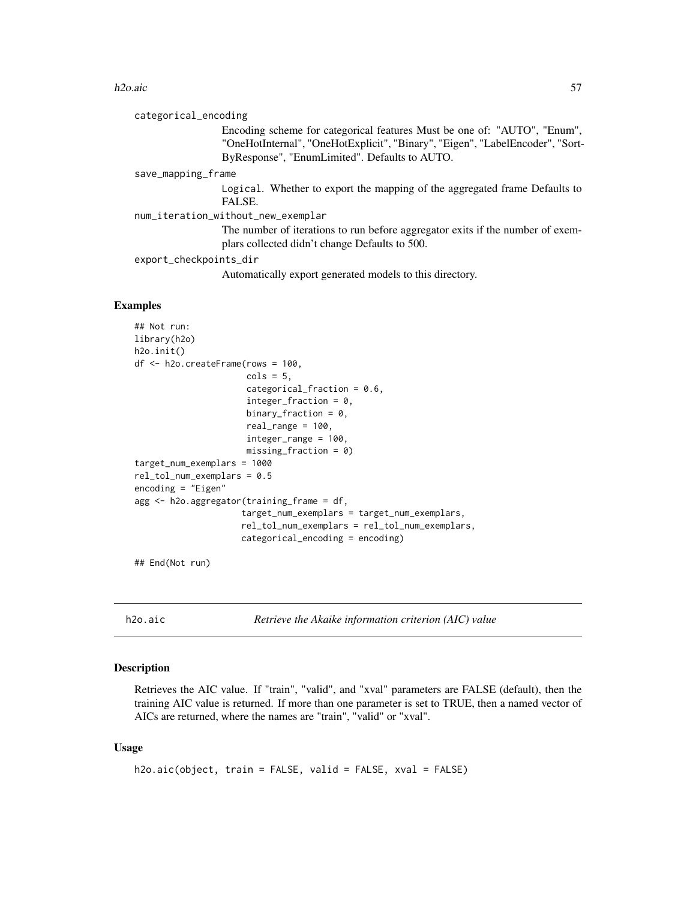#### h2o.aic 57

categorical\_encoding

Encoding scheme for categorical features Must be one of: "AUTO", "Enum", "OneHotInternal", "OneHotExplicit", "Binary", "Eigen", "LabelEncoder", "Sort-ByResponse", "EnumLimited". Defaults to AUTO.

save\_mapping\_frame

Logical. Whether to export the mapping of the aggregated frame Defaults to FALSE.

num\_iteration\_without\_new\_exemplar

The number of iterations to run before aggregator exits if the number of exemplars collected didn't change Defaults to 500.

export\_checkpoints\_dir

Automatically export generated models to this directory.

## Examples

```
## Not run:
library(h2o)
h2o.init()
df <- h2o.createFrame(rows = 100,
                      cols = 5,
                      categorical_fraction = 0.6,
                      integer_fraction = 0,
                      binary_fraction = 0,
                      real_range = 100,
                      integer_range = 100,
                      missing_fraction = 0)
target_num_exemplars = 1000
rel_tol_num_exemplars = 0.5
encoding = "Eigen"
agg <- h2o.aggregator(training_frame = df,
                     target_num_exemplars = target_num_exemplars,
                     rel_tol_num_exemplars = rel_tol_num_exemplars,
                     categorical_encoding = encoding)
```
## End(Not run)

h2o.aic *Retrieve the Akaike information criterion (AIC) value*

# **Description**

Retrieves the AIC value. If "train", "valid", and "xval" parameters are FALSE (default), then the training AIC value is returned. If more than one parameter is set to TRUE, then a named vector of AICs are returned, where the names are "train", "valid" or "xval".

### Usage

```
h2o.aic(object, train = FALSE, valid = FALSE, xval = FALSE)
```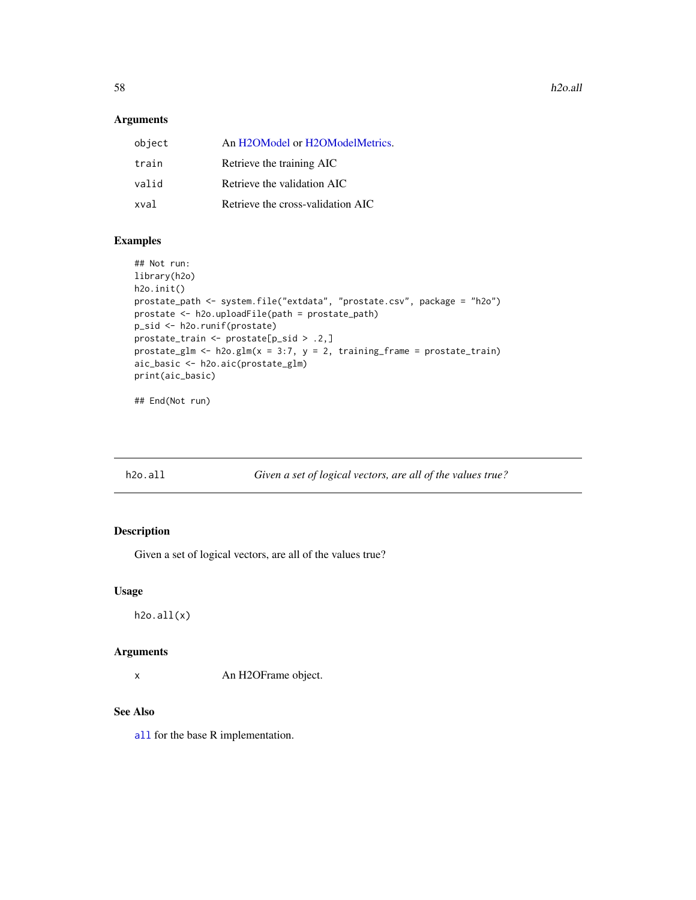## Arguments

| object | An H2OModel or H2OModelMetrics.   |
|--------|-----------------------------------|
| train  | Retrieve the training AIC         |
| valid  | Retrieve the validation AIC       |
| xval   | Retrieve the cross-validation AIC |

# Examples

```
## Not run:
library(h2o)
h2o.init()
prostate_path <- system.file("extdata", "prostate.csv", package = "h2o")
prostate <- h2o.uploadFile(path = prostate_path)
p_sid <- h2o.runif(prostate)
prostate_train <- prostate[p_sid > .2,]
prostate_glm <- h2o.glm(x = 3:7, y = 2, training-frame = prostate_train)aic_basic <- h2o.aic(prostate_glm)
print(aic_basic)
```
## End(Not run)

h2o.all *Given a set of logical vectors, are all of the values true?*

# Description

Given a set of logical vectors, are all of the values true?

#### Usage

h2o.all(x)

## Arguments

x An H2OFrame object.

## See Also

[all](#page-0-0) for the base R implementation.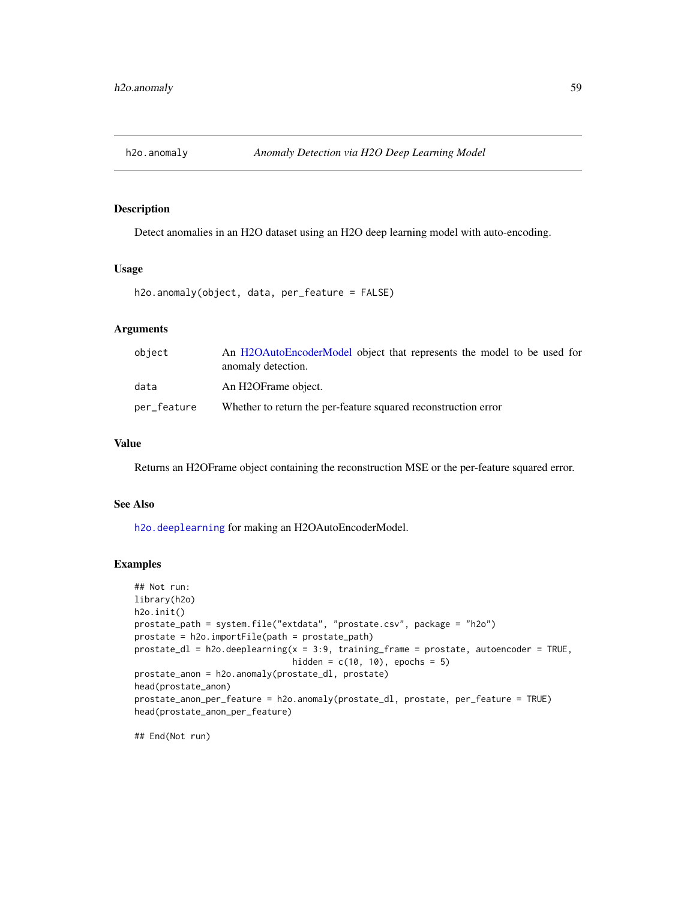Detect anomalies in an H2O dataset using an H2O deep learning model with auto-encoding.

## Usage

```
h2o.anomaly(object, data, per_feature = FALSE)
```
## Arguments

| object      | An H2OAutoEncoderModel object that represents the model to be used for<br>anomaly detection. |
|-------------|----------------------------------------------------------------------------------------------|
| data        | An H2OFrame object.                                                                          |
| per_feature | Whether to return the per-feature squared reconstruction error                               |

# Value

Returns an H2OFrame object containing the reconstruction MSE or the per-feature squared error.

#### See Also

[h2o.deeplearning](#page-114-0) for making an H2OAutoEncoderModel.

#### Examples

```
## Not run:
library(h2o)
h2o.init()
prostate_path = system.file("extdata", "prostate.csv", package = "h2o")
prostate = h2o.importFile(path = prostate_path)
prostate_dl = h2o.deeplearning(x = 3:9, training_frame = prostate, autoencoder = TRUE,
                               hidden = c(10, 10), epochs = 5)
prostate_anon = h2o.anomaly(prostate_dl, prostate)
head(prostate_anon)
prostate_anon_per_feature = h2o.anomaly(prostate_dl, prostate, per_feature = TRUE)
head(prostate_anon_per_feature)
```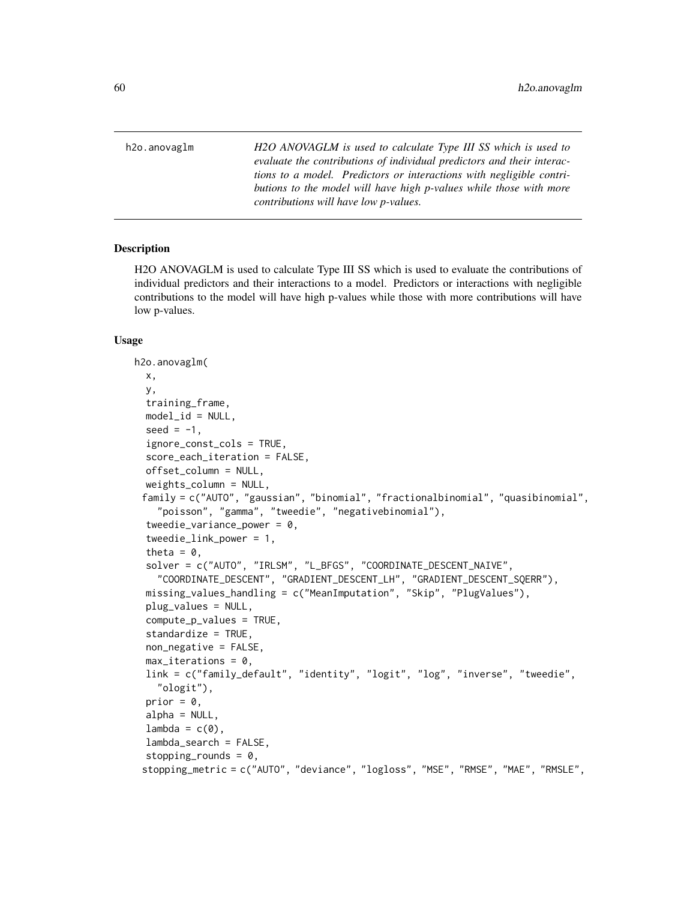h2o.anovaglm *H2O ANOVAGLM is used to calculate Type III SS which is used to evaluate the contributions of individual predictors and their interactions to a model. Predictors or interactions with negligible contributions to the model will have high p-values while those with more contributions will have low p-values.*

## Description

H2O ANOVAGLM is used to calculate Type III SS which is used to evaluate the contributions of individual predictors and their interactions to a model. Predictors or interactions with negligible contributions to the model will have high p-values while those with more contributions will have low p-values.

#### Usage

```
h2o.anovaglm(
  x,
 y,
  training_frame,
  model_id = NULL,seed = -1,
  ignore_const_cols = TRUE,
  score_each_iteration = FALSE,
  offset_column = NULL,
  weights_column = NULL,
 family = c("AUTO", "gaussian", "binomial", "fractionalbinomial", "quasibinomial",
    "poisson", "gamma", "tweedie", "negativebinomial"),
  tweedie_variance_power = 0,
  tweedie_link_power = 1,
  theta = 0.
  solver = c("AUTO", "IRLSM", "L_BFGS", "COORDINATE_DESCENT_NAIVE",
    "COORDINATE_DESCENT", "GRADIENT_DESCENT_LH", "GRADIENT_DESCENT_SQERR"),
  missing_values_handling = c("MeanImputation", "Skip", "PlugValues"),
  plug_values = NULL,
  compute_p_values = TRUE,
  standardize = TRUE,
  non_negative = FALSE,
  max\_iterations = 0,
  link = c("family_default", "identity", "logit", "log", "inverse", "tweedie",
    "ologit"),
  prior = 0,
  alpha = NULL,
  lambda = c(0),
  lambda_search = FALSE,
  stopping_rounds = 0,
 stopping_metric = c("AUTO", "deviance", "logloss", "MSE", "RMSE", "MAE", "RMSLE",
```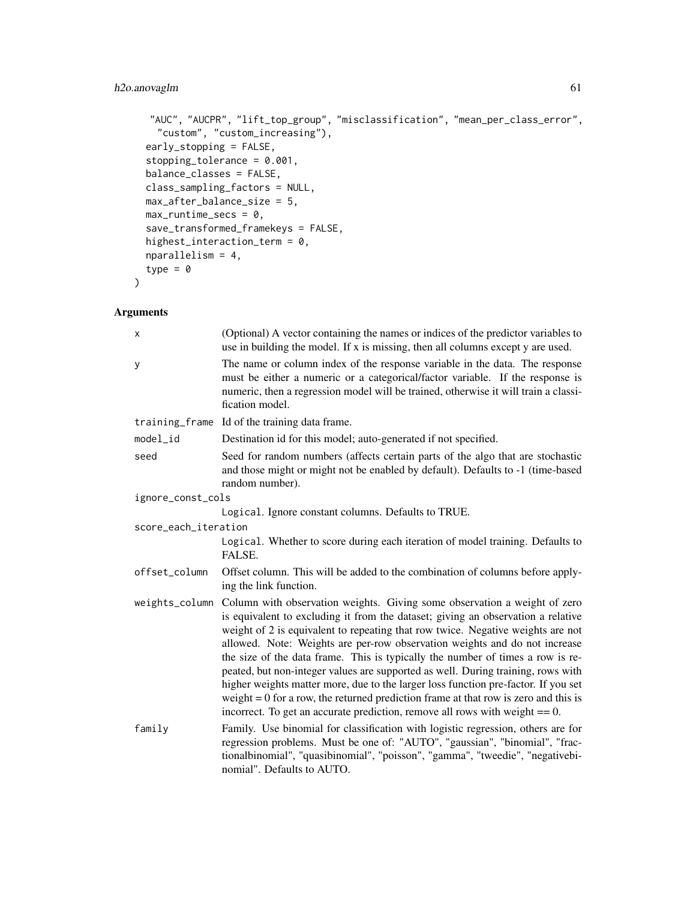# h2o.anovaglm 61

```
"AUC", "AUCPR", "lift_top_group", "misclassification", "mean_per_class_error",
  "custom", "custom_increasing"),
early_stopping = FALSE,
stopping_tolerance = 0.001,
balance_classes = FALSE,
class_sampling_factors = NULL,
max_after_balance_size = 5,
max_runtime_secs = 0,
save_transformed_framekeys = FALSE,
highest_interaction_term = 0,
nparallelism = 4,
type = \theta
```
# Arguments

)

| X                    | (Optional) A vector containing the names or indices of the predictor variables to<br>use in building the model. If x is missing, then all columns except y are used.                                                                                                                                                                                                                                                                                                                                                                                                                                                                                                                                                                                                                 |  |  |
|----------------------|--------------------------------------------------------------------------------------------------------------------------------------------------------------------------------------------------------------------------------------------------------------------------------------------------------------------------------------------------------------------------------------------------------------------------------------------------------------------------------------------------------------------------------------------------------------------------------------------------------------------------------------------------------------------------------------------------------------------------------------------------------------------------------------|--|--|
| y                    | The name or column index of the response variable in the data. The response<br>must be either a numeric or a categorical/factor variable. If the response is<br>numeric, then a regression model will be trained, otherwise it will train a classi-<br>fication model.                                                                                                                                                                                                                                                                                                                                                                                                                                                                                                               |  |  |
|                      | training_frame Id of the training data frame.                                                                                                                                                                                                                                                                                                                                                                                                                                                                                                                                                                                                                                                                                                                                        |  |  |
| model_id             | Destination id for this model; auto-generated if not specified.                                                                                                                                                                                                                                                                                                                                                                                                                                                                                                                                                                                                                                                                                                                      |  |  |
| seed                 | Seed for random numbers (affects certain parts of the algo that are stochastic<br>and those might or might not be enabled by default). Defaults to -1 (time-based<br>random number).                                                                                                                                                                                                                                                                                                                                                                                                                                                                                                                                                                                                 |  |  |
| ignore_const_cols    |                                                                                                                                                                                                                                                                                                                                                                                                                                                                                                                                                                                                                                                                                                                                                                                      |  |  |
|                      | Logical. Ignore constant columns. Defaults to TRUE.                                                                                                                                                                                                                                                                                                                                                                                                                                                                                                                                                                                                                                                                                                                                  |  |  |
| score_each_iteration |                                                                                                                                                                                                                                                                                                                                                                                                                                                                                                                                                                                                                                                                                                                                                                                      |  |  |
|                      | Logical. Whether to score during each iteration of model training. Defaults to<br>FALSE.                                                                                                                                                                                                                                                                                                                                                                                                                                                                                                                                                                                                                                                                                             |  |  |
| offset_column        | Offset column. This will be added to the combination of columns before apply-<br>ing the link function.                                                                                                                                                                                                                                                                                                                                                                                                                                                                                                                                                                                                                                                                              |  |  |
|                      | weights_column Column with observation weights. Giving some observation a weight of zero<br>is equivalent to excluding it from the dataset; giving an observation a relative<br>weight of 2 is equivalent to repeating that row twice. Negative weights are not<br>allowed. Note: Weights are per-row observation weights and do not increase<br>the size of the data frame. This is typically the number of times a row is re-<br>peated, but non-integer values are supported as well. During training, rows with<br>higher weights matter more, due to the larger loss function pre-factor. If you set<br>weight $= 0$ for a row, the returned prediction frame at that row is zero and this is<br>incorrect. To get an accurate prediction, remove all rows with weight $== 0$ . |  |  |
| family               | Family. Use binomial for classification with logistic regression, others are for<br>regression problems. Must be one of: "AUTO", "gaussian", "binomial", "frac-<br>tionalbinomial", "quasibinomial", "poisson", "gamma", "tweedie", "negativebi-<br>nomial". Defaults to AUTO.                                                                                                                                                                                                                                                                                                                                                                                                                                                                                                       |  |  |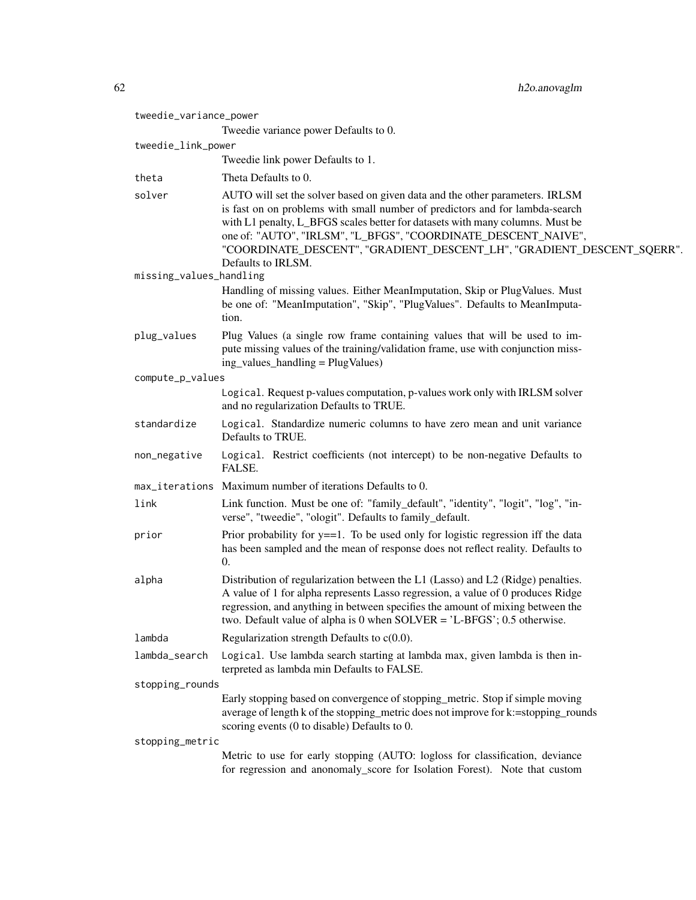| tweedie_variance_power  | Tweedie variance power Defaults to 0.                                                                                                                                                                                                                                                                                                                                                                           |  |  |
|-------------------------|-----------------------------------------------------------------------------------------------------------------------------------------------------------------------------------------------------------------------------------------------------------------------------------------------------------------------------------------------------------------------------------------------------------------|--|--|
| tweedie_link_power      |                                                                                                                                                                                                                                                                                                                                                                                                                 |  |  |
|                         | Tweedie link power Defaults to 1.                                                                                                                                                                                                                                                                                                                                                                               |  |  |
| theta                   | Theta Defaults to 0.                                                                                                                                                                                                                                                                                                                                                                                            |  |  |
| solver                  | AUTO will set the solver based on given data and the other parameters. IRLSM<br>is fast on on problems with small number of predictors and for lambda-search<br>with L1 penalty, L_BFGS scales better for datasets with many columns. Must be<br>one of: "AUTO", "IRLSM", "L_BFGS", "COORDINATE_DESCENT_NAIVE",<br>"COORDINATE_DESCENT", "GRADIENT_DESCENT_LH", "GRADIENT_DESCENT_SQERR".<br>Defaults to IRLSM. |  |  |
| missing_values_handling |                                                                                                                                                                                                                                                                                                                                                                                                                 |  |  |
|                         | Handling of missing values. Either MeanImputation, Skip or PlugValues. Must<br>be one of: "MeanImputation", "Skip", "PlugValues". Defaults to MeanImputa-<br>tion.                                                                                                                                                                                                                                              |  |  |
| plug_values             | Plug Values (a single row frame containing values that will be used to im-<br>pute missing values of the training/validation frame, use with conjunction miss-<br>ing_values_handling = PlugValues)                                                                                                                                                                                                             |  |  |
| compute_p_values        |                                                                                                                                                                                                                                                                                                                                                                                                                 |  |  |
|                         | Logical. Request p-values computation, p-values work only with IRLSM solver<br>and no regularization Defaults to TRUE.                                                                                                                                                                                                                                                                                          |  |  |
| standardize             | Logical. Standardize numeric columns to have zero mean and unit variance<br>Defaults to TRUE.                                                                                                                                                                                                                                                                                                                   |  |  |
| non_negative            | Logical. Restrict coefficients (not intercept) to be non-negative Defaults to<br>FALSE.                                                                                                                                                                                                                                                                                                                         |  |  |
| max_iterations          | Maximum number of iterations Defaults to 0.                                                                                                                                                                                                                                                                                                                                                                     |  |  |
| link                    | Link function. Must be one of: "family_default", "identity", "logit", "log", "in-<br>verse", "tweedie", "ologit". Defaults to family_default.                                                                                                                                                                                                                                                                   |  |  |
| prior                   | Prior probability for $y = 1$ . To be used only for logistic regression iff the data<br>has been sampled and the mean of response does not reflect reality. Defaults to<br>$\theta$ .                                                                                                                                                                                                                           |  |  |
| alpha                   | Distribution of regularization between the L1 (Lasso) and L2 (Ridge) penalties.<br>A value of 1 for alpha represents Lasso regression, a value of 0 produces Ridge<br>regression, and anything in between specifies the amount of mixing between the<br>two. Default value of alpha is 0 when $SOLVER = 'L-BFGS'; 0.5$ otherwise.                                                                               |  |  |
| lambda                  | Regularization strength Defaults to $c(0.0)$ .                                                                                                                                                                                                                                                                                                                                                                  |  |  |
| lambda_search           | Logical. Use lambda search starting at lambda max, given lambda is then in-<br>terpreted as lambda min Defaults to FALSE.                                                                                                                                                                                                                                                                                       |  |  |
| stopping_rounds         |                                                                                                                                                                                                                                                                                                                                                                                                                 |  |  |
|                         | Early stopping based on convergence of stopping metric. Stop if simple moving<br>average of length k of the stopping_metric does not improve for k:=stopping_rounds<br>scoring events (0 to disable) Defaults to 0.                                                                                                                                                                                             |  |  |
| stopping_metric         |                                                                                                                                                                                                                                                                                                                                                                                                                 |  |  |
|                         | Metric to use for early stopping (AUTO: logloss for classification, deviance<br>for regression and anonomaly_score for Isolation Forest). Note that custom                                                                                                                                                                                                                                                      |  |  |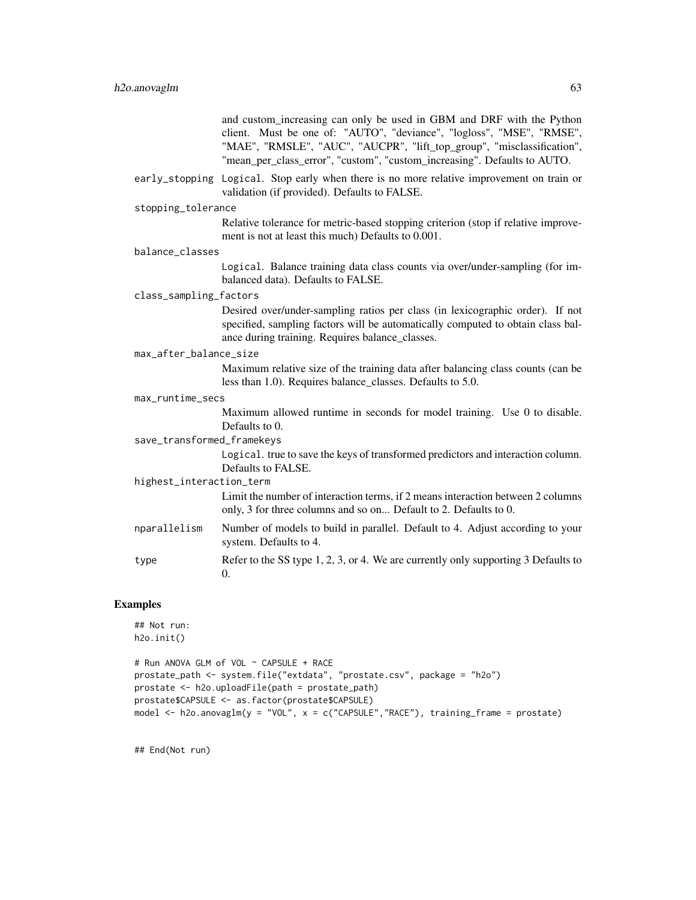and custom\_increasing can only be used in GBM and DRF with the Python client. Must be one of: "AUTO", "deviance", "logloss", "MSE", "RMSE", "MAE", "RMSLE", "AUC", "AUCPR", "lift top group", "misclassification", "mean\_per\_class\_error", "custom", "custom\_increasing". Defaults to AUTO.

early\_stopping Logical. Stop early when there is no more relative improvement on train or validation (if provided). Defaults to FALSE.

#### stopping\_tolerance

Relative tolerance for metric-based stopping criterion (stop if relative improvement is not at least this much) Defaults to 0.001.

#### balance\_classes

Logical. Balance training data class counts via over/under-sampling (for imbalanced data). Defaults to FALSE.

#### class\_sampling\_factors

Desired over/under-sampling ratios per class (in lexicographic order). If not specified, sampling factors will be automatically computed to obtain class balance during training. Requires balance\_classes.

#### max\_after\_balance\_size

Maximum relative size of the training data after balancing class counts (can be less than 1.0). Requires balance\_classes. Defaults to 5.0.

#### max\_runtime\_secs

Maximum allowed runtime in seconds for model training. Use 0 to disable. Defaults to 0.

## save\_transformed\_framekeys

Logical. true to save the keys of transformed predictors and interaction column. Defaults to FALSE.

## highest\_interaction\_term

Limit the number of interaction terms, if 2 means interaction between 2 columns only, 3 for three columns and so on... Default to 2. Defaults to 0.

- nparallelism Number of models to build in parallel. Default to 4. Adjust according to your system. Defaults to 4.
- type Refer to the SS type 1, 2, 3, or 4. We are currently only supporting 3 Defaults to 0.

## Examples

```
## Not run:
h2o.init()
```

```
# Run ANOVA GLM of VOL ~ CAPSULE + RACE
prostate_path <- system.file("extdata", "prostate.csv", package = "h2o")
prostate <- h2o.uploadFile(path = prostate_path)
prostate$CAPSULE <- as.factor(prostate$CAPSULE)
model <- h2o.anovaglm(y = "VOL", x = c("CAPSULE","RACE"), training_frame = prostate)
```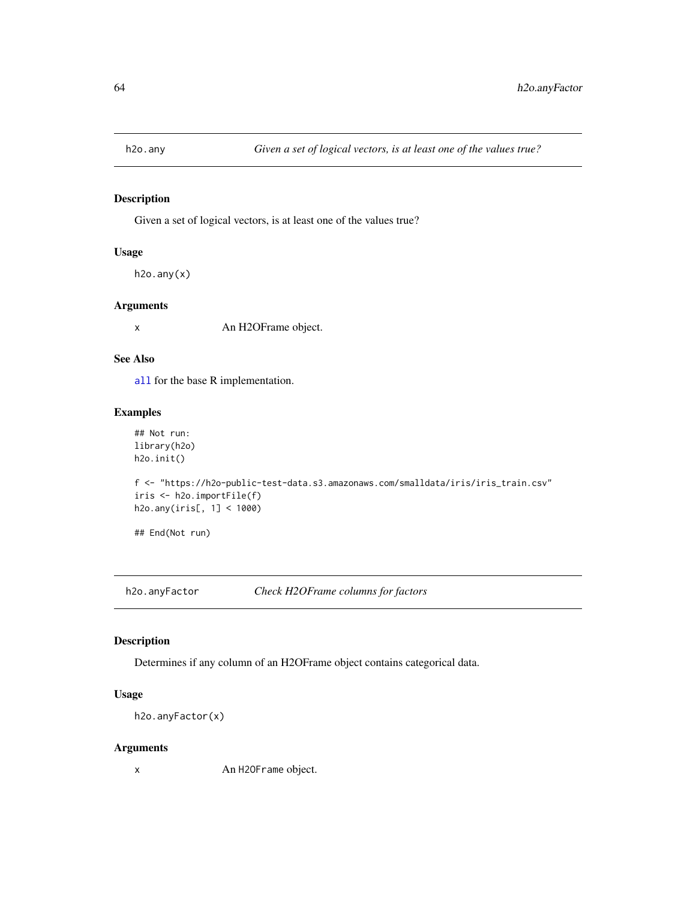Given a set of logical vectors, is at least one of the values true?

## Usage

h2o.any(x)

## Arguments

x An H2OFrame object.

#### See Also

[all](#page-0-0) for the base R implementation.

# Examples

```
## Not run:
library(h2o)
h2o.init()
f <- "https://h2o-public-test-data.s3.amazonaws.com/smalldata/iris/iris_train.csv"
iris <- h2o.importFile(f)
h2o.any(iris[, 1] < 1000)
## End(Not run)
```
h2o.anyFactor *Check H2OFrame columns for factors*

## Description

Determines if any column of an H2OFrame object contains categorical data.

# Usage

```
h2o.anyFactor(x)
```
## Arguments

x An H2OFrame object.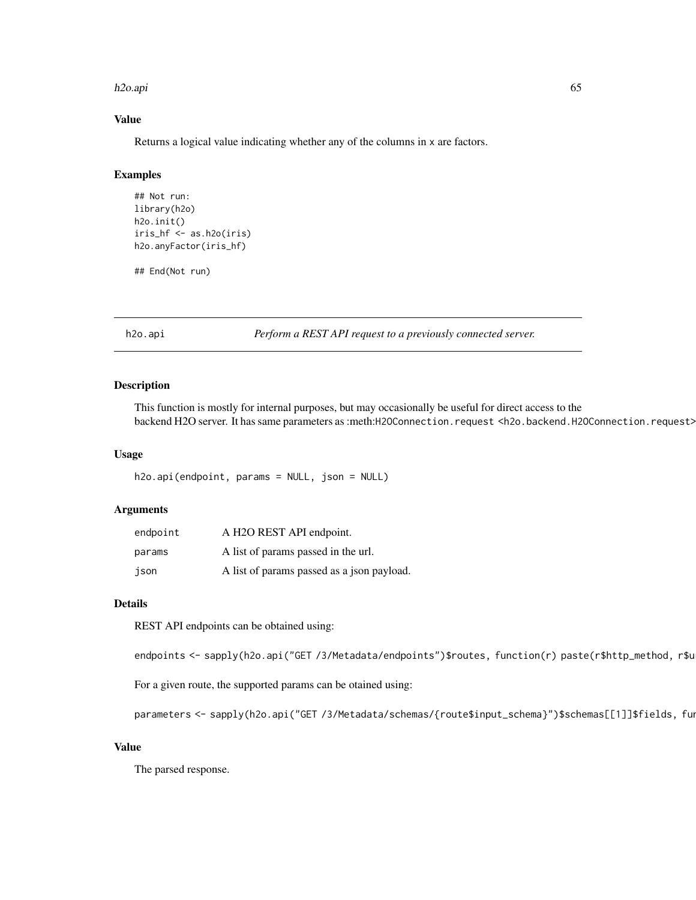#### h2o.api 65

# Value

Returns a logical value indicating whether any of the columns in x are factors.

# Examples

```
## Not run:
library(h2o)
h2o.init()
iris_hf <- as.h2o(iris)
h2o.anyFactor(iris_hf)
```
## End(Not run)

h2o.api *Perform a REST API request to a previously connected server.*

## Description

This function is mostly for internal purposes, but may occasionally be useful for direct access to the backend H2O server. It has same parameters as :meth:H2OConnection.request <h2o.backend.H2OConnection.request>

## Usage

h2o.api(endpoint, params = NULL, json = NULL)

## Arguments

| endpoint | A H2O REST API endpoint.                   |
|----------|--------------------------------------------|
| params   | A list of params passed in the url.        |
| json     | A list of params passed as a json payload. |

#### Details

REST API endpoints can be obtained using:

endpoints <- sapply(h2o.api("GET /3/Metadata/endpoints")\$routes, function(r) paste(r\$http\_method, r\$u

For a given route, the supported params can be otained using:

parameters <- sapply(h2o.api("GET /3/Metadata/schemas/{route\$input\_schema}")\$schemas[[1]]\$fields, fun

#### Value

The parsed response.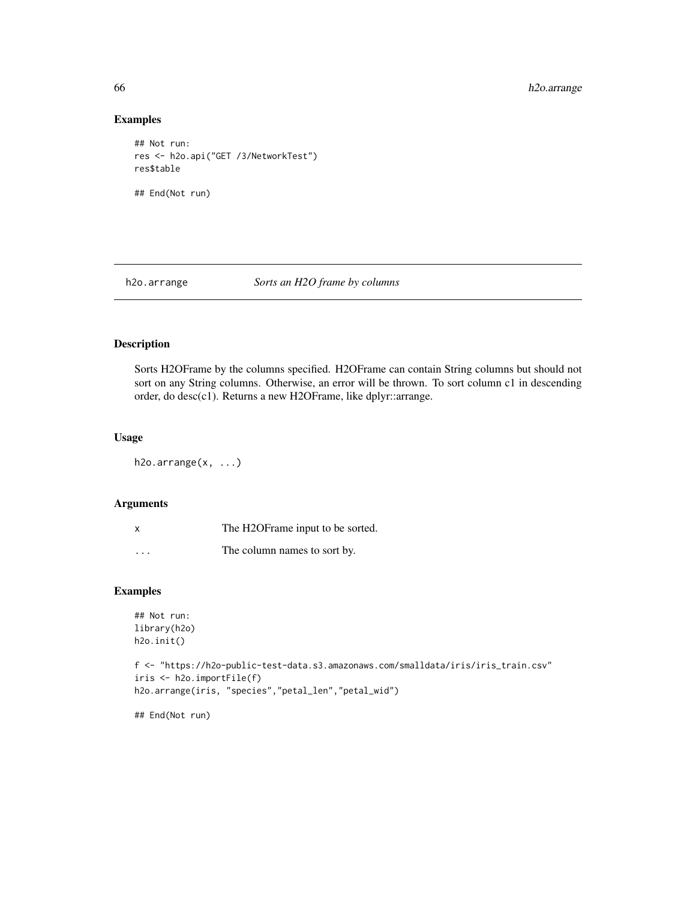66 h2o.arrange

## Examples

```
## Not run:
res <- h2o.api("GET /3/NetworkTest")
res$table
## End(Not run)
```
h2o.arrange *Sorts an H2O frame by columns*

# Description

Sorts H2OFrame by the columns specified. H2OFrame can contain String columns but should not sort on any String columns. Otherwise, an error will be thrown. To sort column c1 in descending order, do desc(c1). Returns a new H2OFrame, like dplyr::arrange.

# Usage

h2o.arrange(x, ...)

#### Arguments

| x                       | The H2OF rame input to be sorted. |
|-------------------------|-----------------------------------|
| $\cdot$ $\cdot$ $\cdot$ | The column names to sort by.      |

## Examples

```
## Not run:
library(h2o)
h2o.init()
f <- "https://h2o-public-test-data.s3.amazonaws.com/smalldata/iris/iris_train.csv"
iris <- h2o.importFile(f)
h2o.arrange(iris, "species","petal_len","petal_wid")
```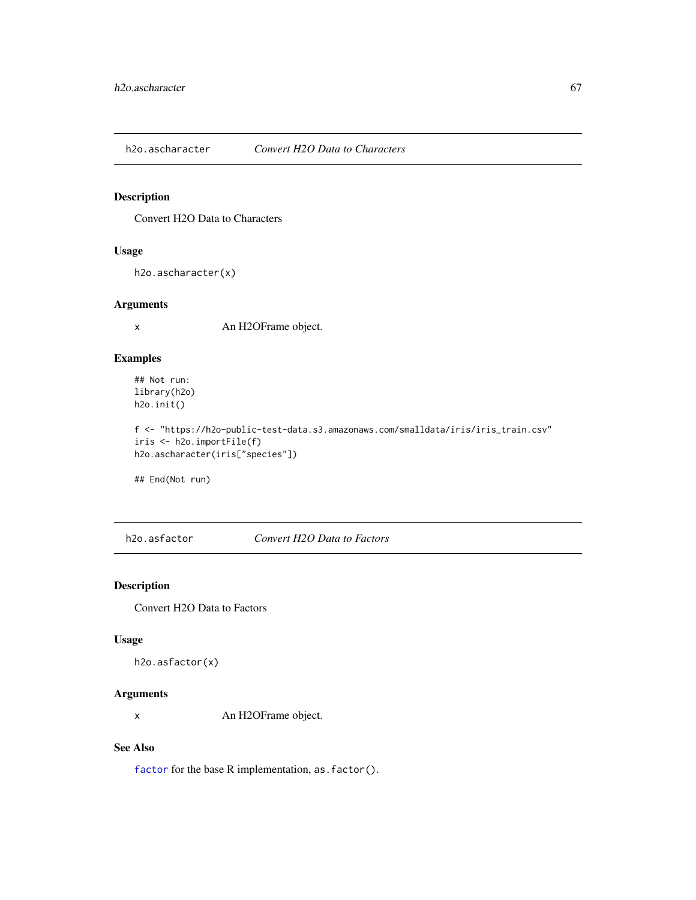h2o.ascharacter *Convert H2O Data to Characters*

# Description

Convert H2O Data to Characters

## Usage

h2o.ascharacter(x)

#### Arguments

x An H2OFrame object.

## Examples

## Not run: library(h2o) h2o.init()

f <- "https://h2o-public-test-data.s3.amazonaws.com/smalldata/iris/iris\_train.csv" iris <- h2o.importFile(f) h2o.ascharacter(iris["species"])

## End(Not run)

h2o.asfactor *Convert H2O Data to Factors*

## Description

Convert H2O Data to Factors

## Usage

```
h2o.asfactor(x)
```
# Arguments

x An H2OFrame object.

#### See Also

[factor](#page-0-0) for the base R implementation, as. factor().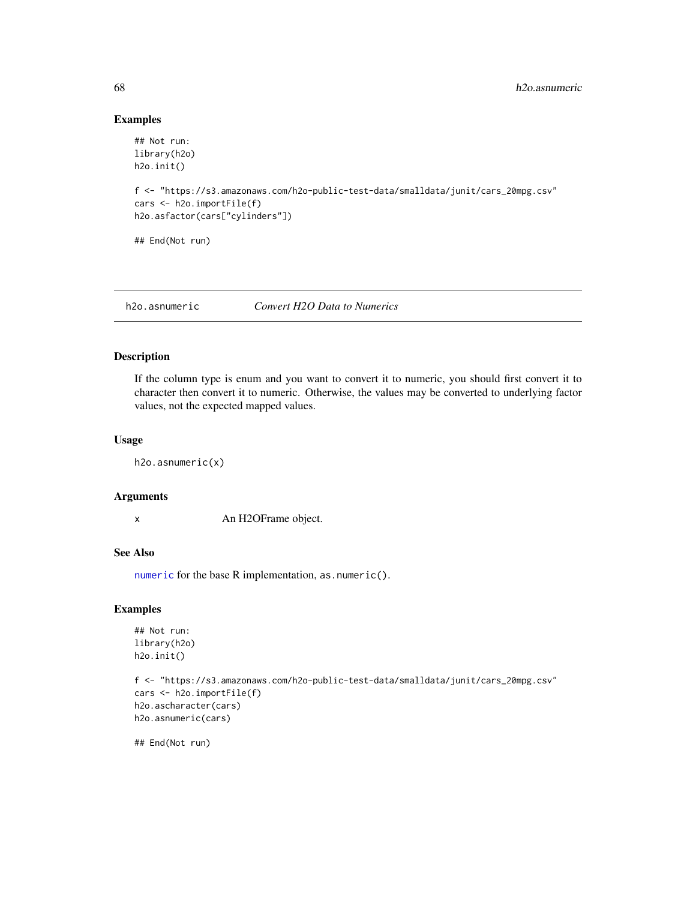# Examples

```
## Not run:
library(h2o)
h2o.init()
f <- "https://s3.amazonaws.com/h2o-public-test-data/smalldata/junit/cars_20mpg.csv"
cars <- h2o.importFile(f)
h2o.asfactor(cars["cylinders"])
## End(Not run)
```
h2o.asnumeric *Convert H2O Data to Numerics*

# Description

If the column type is enum and you want to convert it to numeric, you should first convert it to character then convert it to numeric. Otherwise, the values may be converted to underlying factor values, not the expected mapped values.

## Usage

h2o.asnumeric(x)

#### Arguments

x An H2OFrame object.

# See Also

[numeric](#page-0-0) for the base R implementation, as.numeric().

# Examples

```
## Not run:
library(h2o)
h2o.init()
```

```
f <- "https://s3.amazonaws.com/h2o-public-test-data/smalldata/junit/cars_20mpg.csv"
cars <- h2o.importFile(f)
h2o.ascharacter(cars)
h2o.asnumeric(cars)
```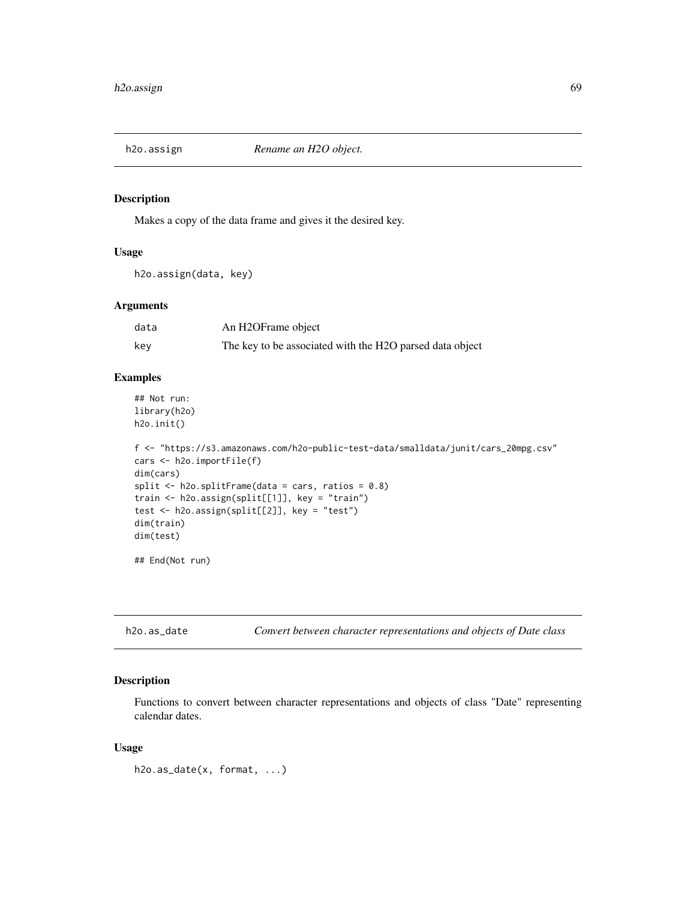Makes a copy of the data frame and gives it the desired key.

#### Usage

h2o.assign(data, key)

# Arguments

| data | An H2OFrame object                                       |
|------|----------------------------------------------------------|
| key  | The key to be associated with the H2O parsed data object |

#### Examples

```
## Not run:
library(h2o)
h2o.init()
```

```
f <- "https://s3.amazonaws.com/h2o-public-test-data/smalldata/junit/cars_20mpg.csv"
cars <- h2o.importFile(f)
dim(cars)
split \le h2o.splitFrame(data = cars, ratios = 0.8)
train <- h2o.assign(split[[1]], key = "train")
test <- h2o.assign(split[[2]], key = "test")
dim(train)
dim(test)
```
## End(Not run)

h2o.as\_date *Convert between character representations and objects of Date class*

# Description

Functions to convert between character representations and objects of class "Date" representing calendar dates.

### Usage

h2o.as\_date(x, format, ...)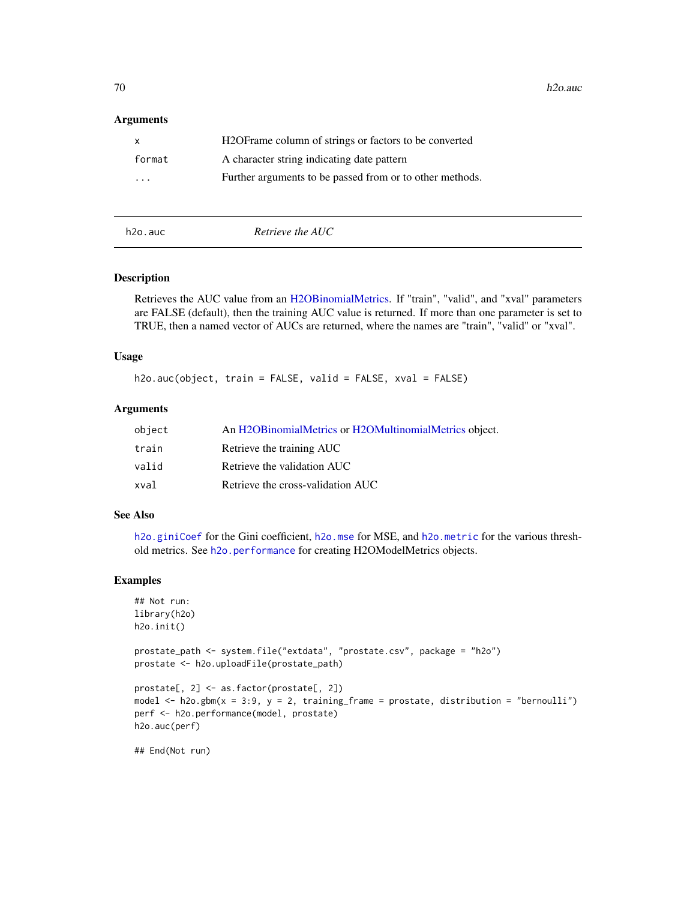70 h2o.auch and the state of the state of the state of the state of the state of the state of the state of the state of the state of the state of the state of the state of the state of the state of the state of the state o

#### **Arguments**

| $\mathsf{x}$ | H <sub>2</sub> OF rame column of strings or factors to be converted |
|--------------|---------------------------------------------------------------------|
| format       | A character string indicating date pattern                          |
| $\cdots$     | Further arguments to be passed from or to other methods.            |

h2o.auc *Retrieve the AUC*

## Description

Retrieves the AUC value from an [H2OBinomialMetrics.](#page-416-0) If "train", "valid", and "xval" parameters are FALSE (default), then the training AUC value is returned. If more than one parameter is set to TRUE, then a named vector of AUCs are returned, where the names are "train", "valid" or "xval".

## Usage

h2o.auc(object, train = FALSE, valid = FALSE, xval = FALSE)

#### Arguments

| object | An H2OBinomialMetrics or H2OMultinomialMetrics object. |
|--------|--------------------------------------------------------|
| train  | Retrieve the training AUC                              |
| valid  | Retrieve the validation AUC                            |
| xval   | Retrieve the cross-validation AUC                      |

## See Also

[h2o.giniCoef](#page-173-0) for the Gini coefficient, [h2o.mse](#page-263-0) for MSE, and [h2o.metric](#page-249-0) for the various threshold metrics. See [h2o.performance](#page-287-0) for creating H2OModelMetrics objects.

# Examples

```
## Not run:
library(h2o)
h2o.init()
```

```
prostate_path <- system.file("extdata", "prostate.csv", package = "h2o")
prostate <- h2o.uploadFile(prostate_path)
```

```
prostate[, 2] <- as.factor(prostate[, 2])
model \leq h2o.gbm(x = 3:9, y = 2, training_frame = prostate, distribution = "bernoulli")
perf <- h2o.performance(model, prostate)
h2o.auc(perf)
```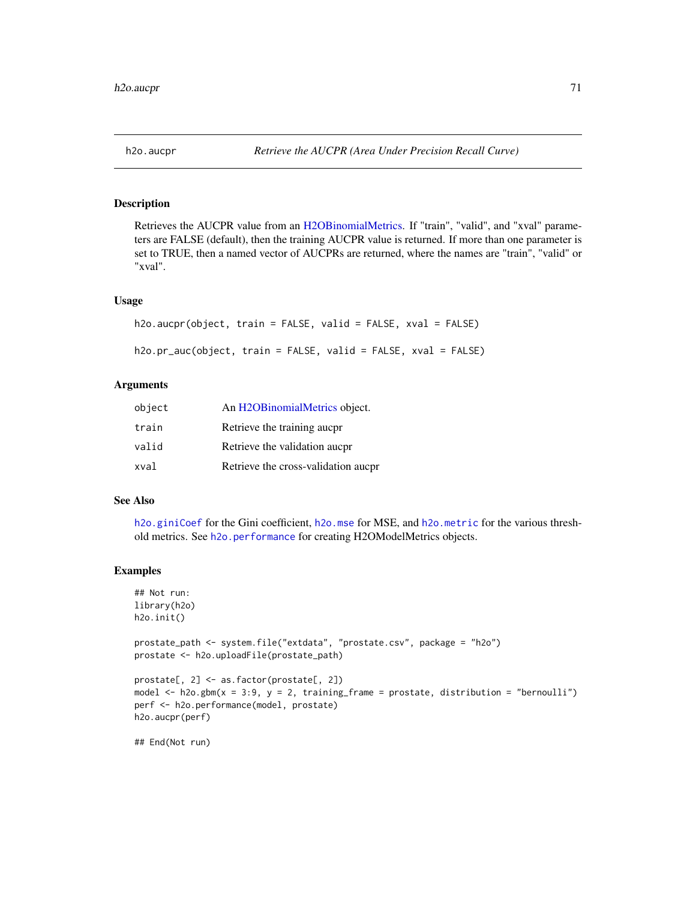Retrieves the AUCPR value from an [H2OBinomialMetrics.](#page-416-0) If "train", "valid", and "xval" parameters are FALSE (default), then the training AUCPR value is returned. If more than one parameter is set to TRUE, then a named vector of AUCPRs are returned, where the names are "train", "valid" or "xval".

#### Usage

```
h2o.aucpr(object, train = FALSE, valid = FALSE, xval = FALSE)
h2o.pr_auc(object, train = FALSE, valid = FALSE, xval = FALSE)
```
## Arguments

| object | An H2OBinomialMetrics object.       |
|--------|-------------------------------------|
| train  | Retrieve the training aucpr         |
| valid  | Retrieve the validation aucpr       |
| xval   | Retrieve the cross-validation aucpr |

# See Also

[h2o.giniCoef](#page-173-0) for the Gini coefficient, [h2o.mse](#page-263-0) for MSE, and [h2o.metric](#page-249-0) for the various threshold metrics. See [h2o.performance](#page-287-0) for creating H2OModelMetrics objects.

#### Examples

```
## Not run:
library(h2o)
h2o.init()
prostate_path <- system.file("extdata", "prostate.csv", package = "h2o")
prostate <- h2o.uploadFile(prostate_path)
prostate[, 2] <- as.factor(prostate[, 2])
model \leq h2o.gbm(x = 3:9, y = 2, training_frame = prostate, distribution = "bernoulli")
perf <- h2o.performance(model, prostate)
h2o.aucpr(perf)
## End(Not run)
```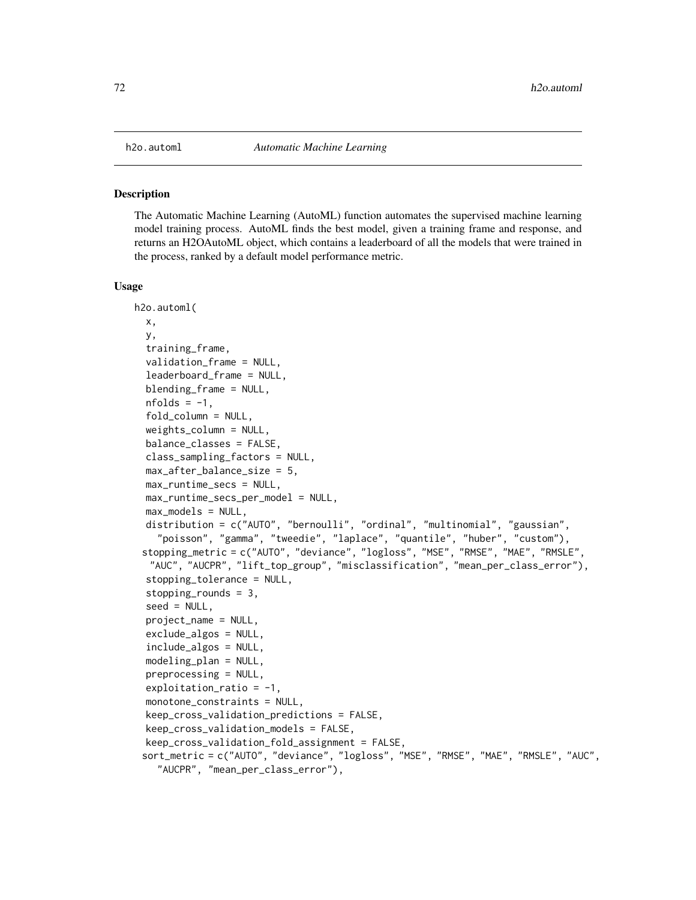The Automatic Machine Learning (AutoML) function automates the supervised machine learning model training process. AutoML finds the best model, given a training frame and response, and returns an H2OAutoML object, which contains a leaderboard of all the models that were trained in the process, ranked by a default model performance metric.

#### Usage

```
h2o.automl(
  x,
  y,
  training_frame,
  validation_frame = NULL,
  leaderboard_frame = NULL,
  blending_frame = NULL,
  nfolds = -1,
  fold_column = NULL,
  weights_column = NULL,
  balance_classes = FALSE,
  class_sampling_factors = NULL,
  max_after_balance_size = 5,
 max_runtime_secs = NULL,
  max_runtime_secs_per_model = NULL,
  max_models = NULL,
  distribution = c("AUTO", "bernoulli", "ordinal", "multinomial", "gaussian",
    "poisson", "gamma", "tweedie", "laplace", "quantile", "huber", "custom"),
 stopping_metric = c("AUTO", "deviance", "logloss", "MSE", "RMSE", "MAE", "RMSLE",
  "AUC", "AUCPR", "lift_top_group", "misclassification", "mean_per_class_error"),
  stopping_tolerance = NULL,
  stopping_rounds = 3,
  seed = NULL,
  project_name = NULL,
  exclude_algos = NULL,
  include_algos = NULL,
  modeling_plan = NULL,
  preprocessing = NULL,
  exploitation\_ratio = -1,monotone_constraints = NULL,
  keep_cross_validation_predictions = FALSE,
  keep_cross_validation_models = FALSE,
  keep_cross_validation_fold_assignment = FALSE,
 sort_metric = c("AUTO", "deviance", "logloss", "MSE", "RMSE", "MAE", "RMSLE", "AUC",
    "AUCPR", "mean_per_class_error"),
```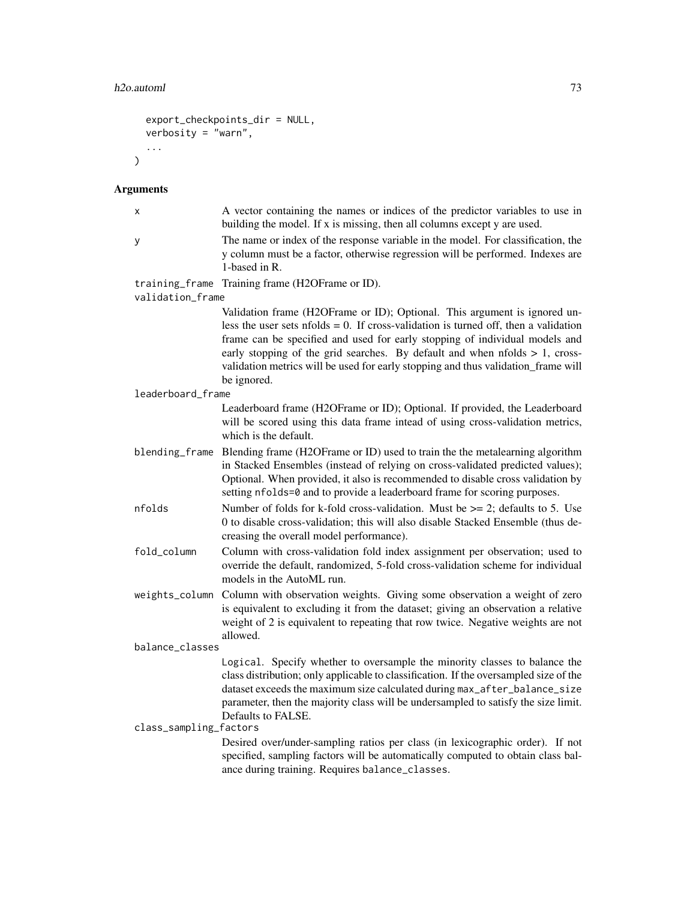```
export_checkpoints_dir = NULL,
  verbosity = "warn",
  ...
\lambda
```
# Arguments

| x                                  | A vector containing the names or indices of the predictor variables to use in<br>building the model. If x is missing, then all columns except y are used.                                                                                                                                                                                                                                                                                             |  |
|------------------------------------|-------------------------------------------------------------------------------------------------------------------------------------------------------------------------------------------------------------------------------------------------------------------------------------------------------------------------------------------------------------------------------------------------------------------------------------------------------|--|
| у                                  | The name or index of the response variable in the model. For classification, the<br>y column must be a factor, otherwise regression will be performed. Indexes are<br>1-based in R.                                                                                                                                                                                                                                                                   |  |
| training_frame<br>validation_frame | Training frame (H2OFrame or ID).                                                                                                                                                                                                                                                                                                                                                                                                                      |  |
|                                    | Validation frame (H2OFrame or ID); Optional. This argument is ignored un-<br>less the user sets $n_{\text{folds}} = 0$ . If cross-validation is turned off, then a validation<br>frame can be specified and used for early stopping of individual models and<br>early stopping of the grid searches. By default and when $n$ folds $> 1$ , cross-<br>validation metrics will be used for early stopping and thus validation_frame will<br>be ignored. |  |
| leaderboard_frame                  |                                                                                                                                                                                                                                                                                                                                                                                                                                                       |  |
|                                    | Leaderboard frame (H2OFrame or ID); Optional. If provided, the Leaderboard<br>will be scored using this data frame intead of using cross-validation metrics,<br>which is the default.                                                                                                                                                                                                                                                                 |  |
| blending_frame                     | Blending frame (H2OFrame or ID) used to train the the metalearning algorithm<br>in Stacked Ensembles (instead of relying on cross-validated predicted values);<br>Optional. When provided, it also is recommended to disable cross validation by<br>setting nfolds=0 and to provide a leaderboard frame for scoring purposes.                                                                                                                         |  |
| nfolds                             | Number of folds for k-fold cross-validation. Must be $\geq$ 2; defaults to 5. Use<br>0 to disable cross-validation; this will also disable Stacked Ensemble (thus de-<br>creasing the overall model performance).                                                                                                                                                                                                                                     |  |
| fold_column                        | Column with cross-validation fold index assignment per observation; used to<br>override the default, randomized, 5-fold cross-validation scheme for individual<br>models in the AutoML run.                                                                                                                                                                                                                                                           |  |
| weights_column                     | Column with observation weights. Giving some observation a weight of zero<br>is equivalent to excluding it from the dataset; giving an observation a relative<br>weight of 2 is equivalent to repeating that row twice. Negative weights are not<br>allowed.                                                                                                                                                                                          |  |
| balance_classes                    |                                                                                                                                                                                                                                                                                                                                                                                                                                                       |  |
| class_sampling_factors             | Logical. Specify whether to oversample the minority classes to balance the<br>class distribution; only applicable to classification. If the oversampled size of the<br>dataset exceeds the maximum size calculated during max_after_balance_size<br>parameter, then the majority class will be undersampled to satisfy the size limit.<br>Defaults to FALSE.<br>Desired over/under-sampling ratios per class (in lexicographic order). If not         |  |
|                                    | specified, sampling factors will be automatically computed to obtain class bal-<br>ance during training. Requires balance_classes.                                                                                                                                                                                                                                                                                                                    |  |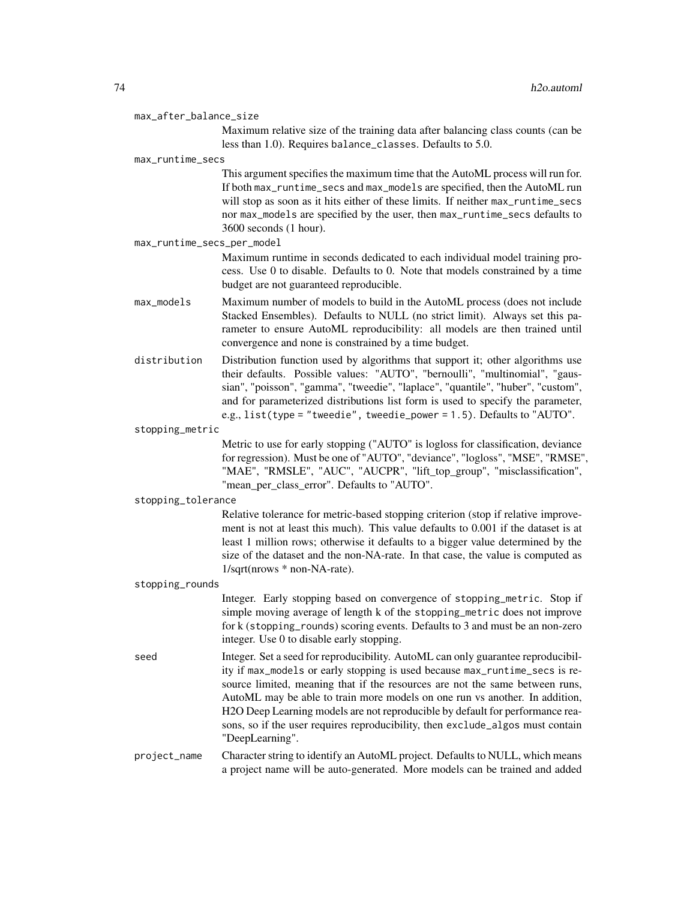| max_after_balance_size |  |  |
|------------------------|--|--|
|------------------------|--|--|

Maximum relative size of the training data after balancing class counts (can be less than 1.0). Requires balance\_classes. Defaults to 5.0.

#### max\_runtime\_secs

This argument specifies the maximum time that the AutoML process will run for. If both max\_runtime\_secs and max\_models are specified, then the AutoML run will stop as soon as it hits either of these limits. If neither max\_runtime\_secs nor max\_models are specified by the user, then max\_runtime\_secs defaults to 3600 seconds (1 hour).

max\_runtime\_secs\_per\_model

Maximum runtime in seconds dedicated to each individual model training process. Use 0 to disable. Defaults to 0. Note that models constrained by a time budget are not guaranteed reproducible.

- max\_models Maximum number of models to build in the AutoML process (does not include Stacked Ensembles). Defaults to NULL (no strict limit). Always set this parameter to ensure AutoML reproducibility: all models are then trained until convergence and none is constrained by a time budget.
- distribution Distribution function used by algorithms that support it; other algorithms use their defaults. Possible values: "AUTO", "bernoulli", "multinomial", "gaussian", "poisson", "gamma", "tweedie", "laplace", "quantile", "huber", "custom", and for parameterized distributions list form is used to specify the parameter, e.g., list(type = "tweedie", tweedie\_power = 1.5). Defaults to "AUTO".

stopping\_metric

Metric to use for early stopping ("AUTO" is logloss for classification, deviance for regression). Must be one of "AUTO", "deviance", "logloss", "MSE", "RMSE", "MAE", "RMSLE", "AUC", "AUCPR", "lift\_top\_group", "misclassification", "mean\_per\_class\_error". Defaults to "AUTO".

#### stopping\_tolerance

Relative tolerance for metric-based stopping criterion (stop if relative improvement is not at least this much). This value defaults to 0.001 if the dataset is at least 1 million rows; otherwise it defaults to a bigger value determined by the size of the dataset and the non-NA-rate. In that case, the value is computed as 1/sqrt(nrows \* non-NA-rate).

stopping\_rounds

Integer. Early stopping based on convergence of stopping\_metric. Stop if simple moving average of length k of the stopping\_metric does not improve for k (stopping\_rounds) scoring events. Defaults to 3 and must be an non-zero integer. Use 0 to disable early stopping.

seed Integer. Set a seed for reproducibility. AutoML can only guarantee reproducibility if max\_models or early stopping is used because max\_runtime\_secs is resource limited, meaning that if the resources are not the same between runs, AutoML may be able to train more models on one run vs another. In addition, H2O Deep Learning models are not reproducible by default for performance reasons, so if the user requires reproducibility, then exclude\_algos must contain "DeepLearning".

project\_name Character string to identify an AutoML project. Defaults to NULL, which means a project name will be auto-generated. More models can be trained and added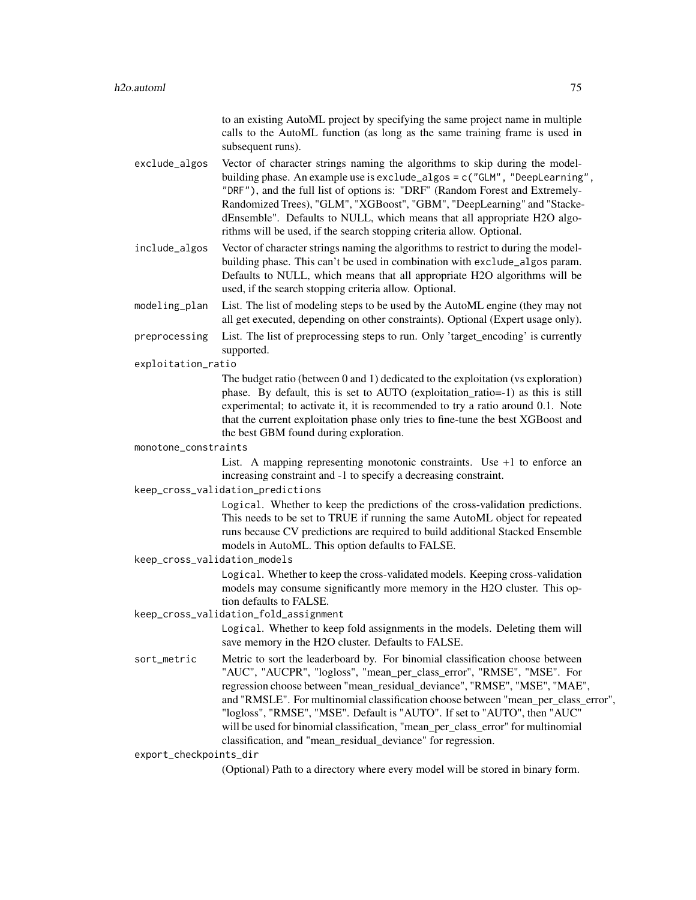to an existing AutoML project by specifying the same project name in multiple calls to the AutoML function (as long as the same training frame is used in subsequent runs).

- exclude\_algos Vector of character strings naming the algorithms to skip during the modelbuilding phase. An example use is exclude\_algos = c("GLM", "DeepLearning", "DRF"), and the full list of options is: "DRF" (Random Forest and Extremely-Randomized Trees), "GLM", "XGBoost", "GBM", "DeepLearning" and "StackedEnsemble". Defaults to NULL, which means that all appropriate H2O algorithms will be used, if the search stopping criteria allow. Optional.
- include\_algos Vector of character strings naming the algorithms to restrict to during the modelbuilding phase. This can't be used in combination with exclude\_algos param. Defaults to NULL, which means that all appropriate H2O algorithms will be used, if the search stopping criteria allow. Optional.
- modeling\_plan List. The list of modeling steps to be used by the AutoML engine (they may not all get executed, depending on other constraints). Optional (Expert usage only).
- preprocessing List. The list of preprocessing steps to run. Only 'target\_encoding' is currently supported.
- exploitation\_ratio

The budget ratio (between 0 and 1) dedicated to the exploitation (vs exploration) phase. By default, this is set to AUTO (exploitation\_ratio=-1) as this is still experimental; to activate it, it is recommended to try a ratio around 0.1. Note that the current exploitation phase only tries to fine-tune the best XGBoost and the best GBM found during exploration.

monotone\_constraints

List. A mapping representing monotonic constraints. Use +1 to enforce an increasing constraint and -1 to specify a decreasing constraint.

keep\_cross\_validation\_predictions

Logical. Whether to keep the predictions of the cross-validation predictions. This needs to be set to TRUE if running the same AutoML object for repeated runs because CV predictions are required to build additional Stacked Ensemble models in AutoML. This option defaults to FALSE.

keep\_cross\_validation\_models

Logical. Whether to keep the cross-validated models. Keeping cross-validation models may consume significantly more memory in the H2O cluster. This option defaults to FALSE.

keep\_cross\_validation\_fold\_assignment

Logical. Whether to keep fold assignments in the models. Deleting them will save memory in the H2O cluster. Defaults to FALSE.

sort\_metric Metric to sort the leaderboard by. For binomial classification choose between "AUC", "AUCPR", "logloss", "mean\_per\_class\_error", "RMSE", "MSE". For regression choose between "mean\_residual\_deviance", "RMSE", "MSE", "MAE", and "RMSLE". For multinomial classification choose between "mean\_per\_class\_error", "logloss", "RMSE", "MSE". Default is "AUTO". If set to "AUTO", then "AUC" will be used for binomial classification, "mean\_per\_class\_error" for multinomial classification, and "mean\_residual\_deviance" for regression.

export\_checkpoints\_dir

(Optional) Path to a directory where every model will be stored in binary form.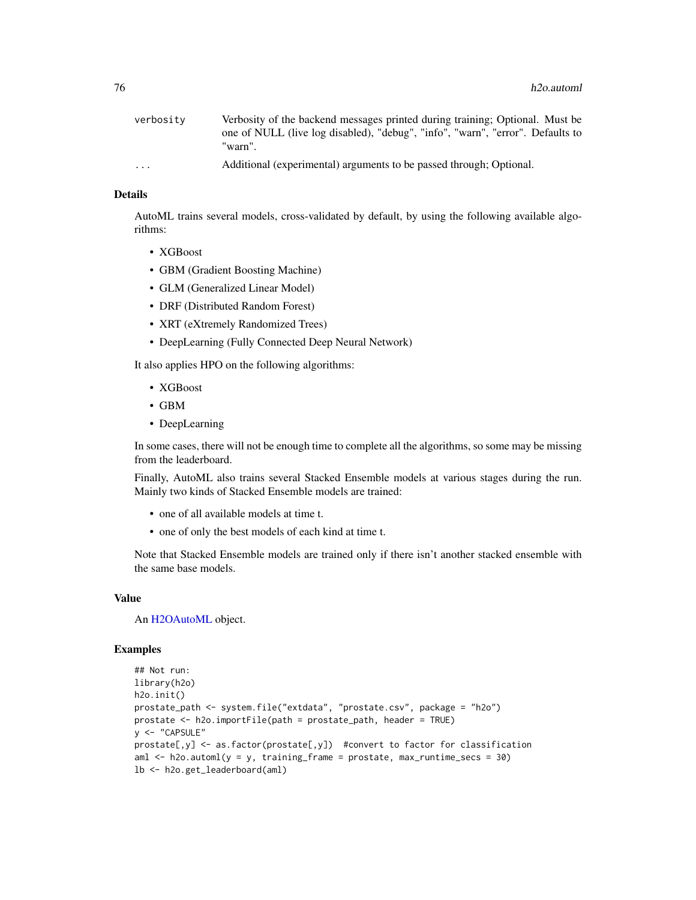| verbositv               | Verbosity of the backend messages printed during training; Optional. Must be   |
|-------------------------|--------------------------------------------------------------------------------|
|                         | one of NULL (live log disabled), "debug", "info", "warn", "error". Defaults to |
|                         | "warn".                                                                        |
| $\cdot$ $\cdot$ $\cdot$ | Additional (experimental) arguments to be passed through; Optional.            |

#### Details

AutoML trains several models, cross-validated by default, by using the following available algorithms:

- XGBoost
- GBM (Gradient Boosting Machine)
- GLM (Generalized Linear Model)
- DRF (Distributed Random Forest)
- XRT (eXtremely Randomized Trees)
- DeepLearning (Fully Connected Deep Neural Network)

It also applies HPO on the following algorithms:

- XGBoost
- GBM
- DeepLearning

In some cases, there will not be enough time to complete all the algorithms, so some may be missing from the leaderboard.

Finally, AutoML also trains several Stacked Ensemble models at various stages during the run. Mainly two kinds of Stacked Ensemble models are trained:

- one of all available models at time t.
- one of only the best models of each kind at time t.

Note that Stacked Ensemble models are trained only if there isn't another stacked ensemble with the same base models.

#### Value

An [H2OAutoML](#page-408-0) object.

#### Examples

```
## Not run:
library(h2o)
h2o.init()
prostate_path <- system.file("extdata", "prostate.csv", package = "h2o")
prostate <- h2o.importFile(path = prostate_path, header = TRUE)
y <- "CAPSULE"
prostate[,y] <- as.factor(prostate[,y]) #convert to factor for classification
aml \leq h2o.automl(y = y, training_frame = prostate, max_runtime_secs = 30)
lb <- h2o.get_leaderboard(aml)
```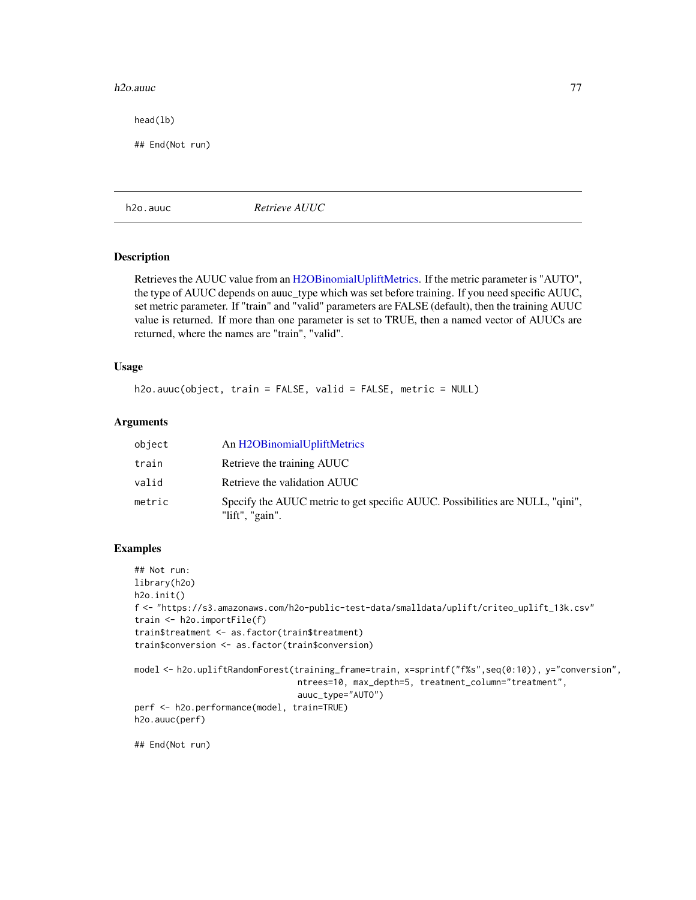#### h2o.auuc 77

head(lb)

## End(Not run)

h2o.auuc *Retrieve AUUC*

# Description

Retrieves the AUUC value from an [H2OBinomialUpliftMetrics.](#page-416-0) If the metric parameter is "AUTO", the type of AUUC depends on auuc\_type which was set before training. If you need specific AUUC, set metric parameter. If "train" and "valid" parameters are FALSE (default), then the training AUUC value is returned. If more than one parameter is set to TRUE, then a named vector of AUUCs are returned, where the names are "train", "valid".

#### Usage

```
h2o.auuc(object, train = FALSE, valid = FALSE, metric = NULL)
```
#### Arguments

| object | An H2OBinomialUpliftMetrics                                                                          |
|--------|------------------------------------------------------------------------------------------------------|
| train  | Retrieve the training AUUC                                                                           |
| valid  | Retrieve the validation AUUC                                                                         |
| metric | Specify the AUUC metric to get specific AUUC. Possibilities are NULL, "qini",<br>" $lift$ ", "gain". |

#### Examples

```
## Not run:
library(h2o)
h2o.init()
f <- "https://s3.amazonaws.com/h2o-public-test-data/smalldata/uplift/criteo_uplift_13k.csv"
train <- h2o.importFile(f)
train$treatment <- as.factor(train$treatment)
train$conversion <- as.factor(train$conversion)
model <- h2o.upliftRandomForest(training_frame=train, x=sprintf("f%s",seq(0:10)), y="conversion",
                                ntrees=10, max_depth=5, treatment_column="treatment",
                                auuc_type="AUTO")
perf <- h2o.performance(model, train=TRUE)
h2o.auuc(perf)
```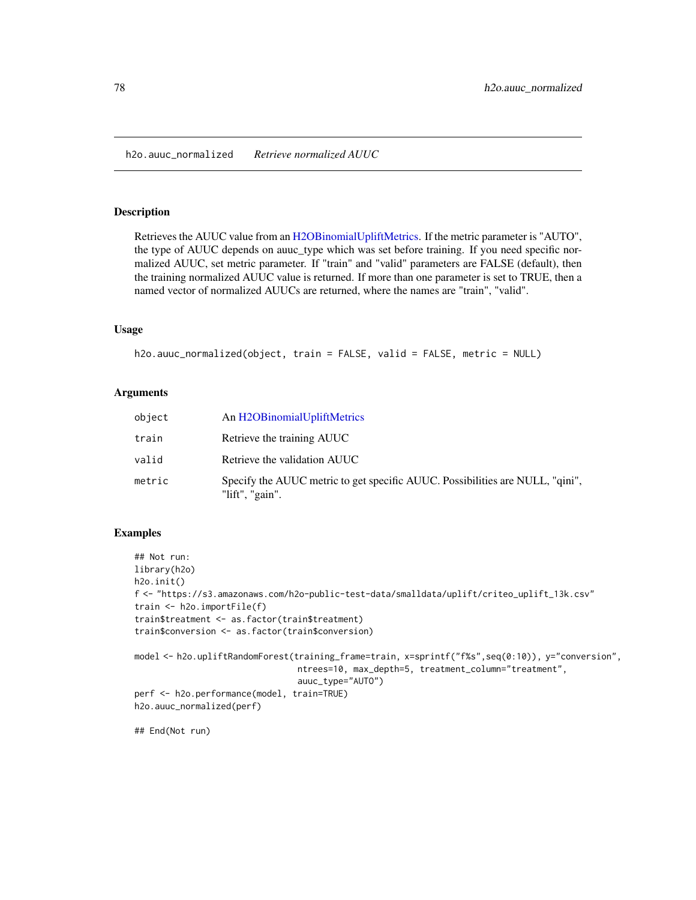h2o.auuc\_normalized *Retrieve normalized AUUC*

#### Description

Retrieves the AUUC value from an [H2OBinomialUpliftMetrics.](#page-416-0) If the metric parameter is "AUTO", the type of AUUC depends on auuc\_type which was set before training. If you need specific normalized AUUC, set metric parameter. If "train" and "valid" parameters are FALSE (default), then the training normalized AUUC value is returned. If more than one parameter is set to TRUE, then a named vector of normalized AUUCs are returned, where the names are "train", "valid".

#### Usage

```
h2o.auuc_normalized(object, train = FALSE, valid = FALSE, metric = NULL)
```
#### Arguments

| object | An H2OBinomialUpliftMetrics                                                                      |
|--------|--------------------------------------------------------------------------------------------------|
| train  | Retrieve the training AUUC                                                                       |
| valid  | Retrieve the validation AUUC                                                                     |
| metric | Specify the AUUC metric to get specific AUUC. Possibilities are NULL, "qini",<br>"lift", "gain". |

#### Examples

```
## Not run:
library(h2o)
h2o.init()
f <- "https://s3.amazonaws.com/h2o-public-test-data/smalldata/uplift/criteo_uplift_13k.csv"
train <- h2o.importFile(f)
train$treatment <- as.factor(train$treatment)
train$conversion <- as.factor(train$conversion)
model <- h2o.upliftRandomForest(training_frame=train, x=sprintf("f%s",seq(0:10)), y="conversion",
                                ntrees=10, max_depth=5, treatment_column="treatment",
                                auuc_type="AUTO")
perf <- h2o.performance(model, train=TRUE)
h2o.auuc_normalized(perf)
```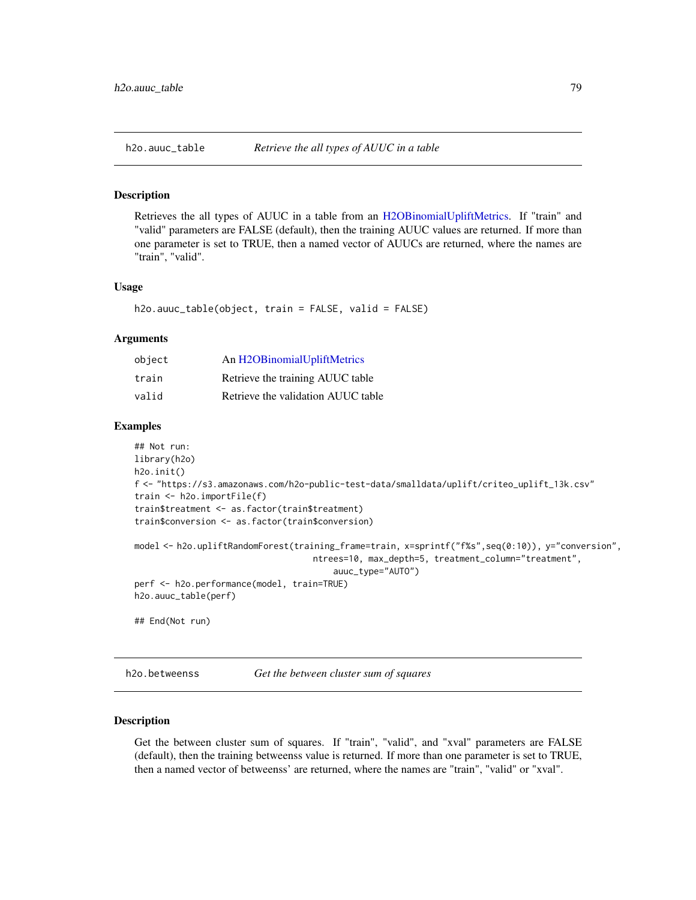#### **Description**

Retrieves the all types of AUUC in a table from an [H2OBinomialUpliftMetrics.](#page-416-0) If "train" and "valid" parameters are FALSE (default), then the training AUUC values are returned. If more than one parameter is set to TRUE, then a named vector of AUUCs are returned, where the names are "train", "valid".

#### Usage

```
h2o.auuc_table(object, train = FALSE, valid = FALSE)
```
#### Arguments

| object | An H2OBinomialUpliftMetrics        |
|--------|------------------------------------|
| train  | Retrieve the training AUUC table   |
| valid  | Retrieve the validation AUUC table |

#### Examples

```
## Not run:
library(h2o)
h2o.init()
f <- "https://s3.amazonaws.com/h2o-public-test-data/smalldata/uplift/criteo_uplift_13k.csv"
train <- h2o.importFile(f)
train$treatment <- as.factor(train$treatment)
train$conversion <- as.factor(train$conversion)
model <- h2o.upliftRandomForest(training_frame=train, x=sprintf("f%s",seq(0:10)), y="conversion",
                                   ntrees=10, max_depth=5, treatment_column="treatment",
                                       auuc_type="AUTO")
perf <- h2o.performance(model, train=TRUE)
h2o.auuc_table(perf)
## End(Not run)
```
h2o.betweenss *Get the between cluster sum of squares*

#### Description

Get the between cluster sum of squares. If "train", "valid", and "xval" parameters are FALSE (default), then the training betweenss value is returned. If more than one parameter is set to TRUE, then a named vector of betweenss' are returned, where the names are "train", "valid" or "xval".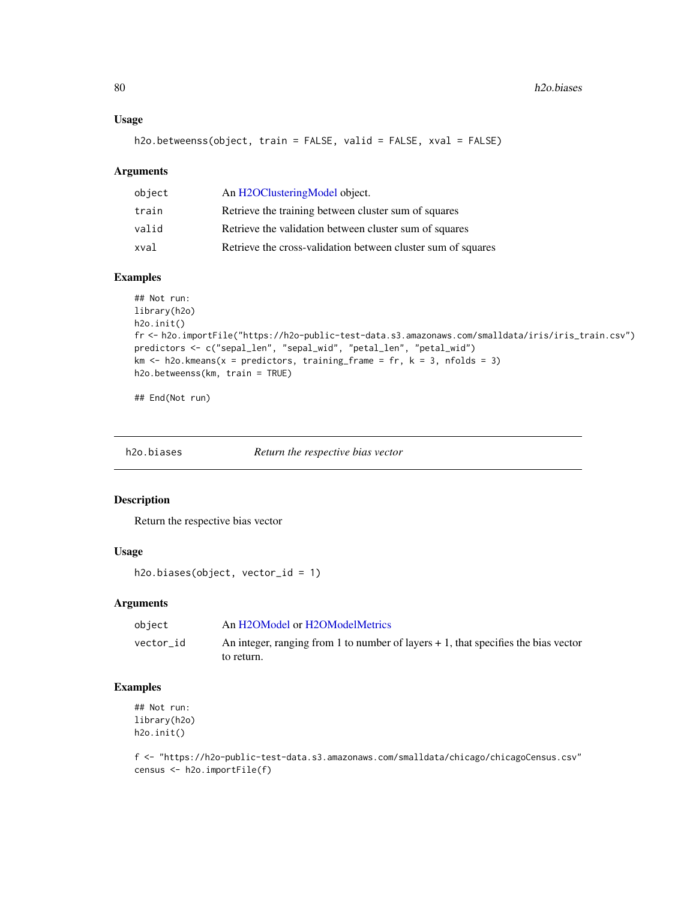### Usage

h2o.betweenss(object, train = FALSE, valid = FALSE, xval = FALSE)

#### Arguments

| object | An H2OClusteringModel object.                                |
|--------|--------------------------------------------------------------|
| train  | Retrieve the training between cluster sum of squares         |
| valid  | Retrieve the validation between cluster sum of squares       |
| xval   | Retrieve the cross-validation between cluster sum of squares |

### Examples

```
## Not run:
library(h2o)
h2o.init()
fr <- h2o.importFile("https://h2o-public-test-data.s3.amazonaws.com/smalldata/iris/iris_train.csv")
predictors <- c("sepal_len", "sepal_wid", "petal_len", "petal_wid")
km \leq -h2o.kmeans(x = predictors, training_frame = fr, k = 3, nfolds = 3)
h2o.betweenss(km, train = TRUE)
```
## End(Not run)

| h2o.biases | Return the respective bias vector |  |
|------------|-----------------------------------|--|
|------------|-----------------------------------|--|

#### Description

Return the respective bias vector

#### Usage

```
h2o.biases(object, vector_id = 1)
```
#### Arguments

| object    | An H2OModel or H2OModelMetrics                                                       |
|-----------|--------------------------------------------------------------------------------------|
| vector id | An integer, ranging from 1 to number of layers $+1$ , that specifies the bias vector |
|           | to return.                                                                           |

### Examples

## Not run: library(h2o) h2o.init()

f <- "https://h2o-public-test-data.s3.amazonaws.com/smalldata/chicago/chicagoCensus.csv" census <- h2o.importFile(f)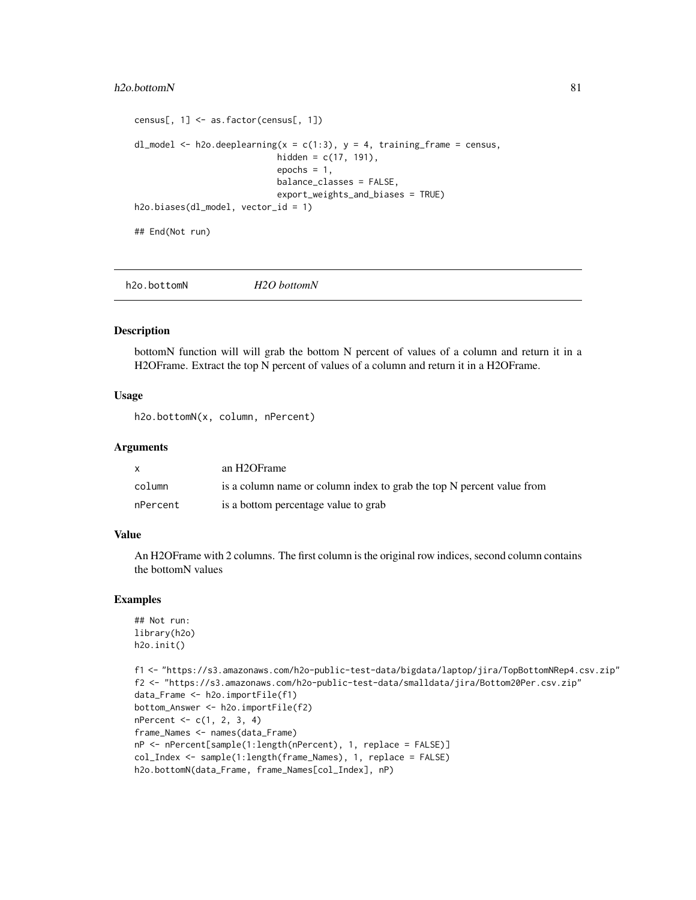#### h2o.bottomN 81

```
census[, 1] <- as.factor(census[, 1])
dl_model <- h2o.deeplearning(x = c(1:3), y = 4, training_frame = census,
                            hidden = c(17, 191),
                            epochs = 1,
                            balance_classes = FALSE,
                            export_weights_and_biases = TRUE)
h2o.biases(dl_model, vector_id = 1)
## End(Not run)
```
h2o.bottomN *H2O bottomN*

### Description

bottomN function will will grab the bottom N percent of values of a column and return it in a H2OFrame. Extract the top N percent of values of a column and return it in a H2OFrame.

### Usage

h2o.bottomN(x, column, nPercent)

### Arguments

|          | an H2OFrame                                                           |
|----------|-----------------------------------------------------------------------|
| column   | is a column name or column index to grab the top N percent value from |
| nPercent | is a bottom percentage value to grab                                  |

### Value

An H2OFrame with 2 columns. The first column is the original row indices, second column contains the bottomN values

#### Examples

```
## Not run:
library(h2o)
h2o.init()
```

```
f1 <- "https://s3.amazonaws.com/h2o-public-test-data/bigdata/laptop/jira/TopBottomNRep4.csv.zip"
f2 <- "https://s3.amazonaws.com/h2o-public-test-data/smalldata/jira/Bottom20Per.csv.zip"
data_Frame <- h2o.importFile(f1)
bottom_Answer <- h2o.importFile(f2)
nPercent <- c(1, 2, 3, 4)
frame_Names <- names(data_Frame)
nP <- nPercent[sample(1:length(nPercent), 1, replace = FALSE)]
col_Index <- sample(1:length(frame_Names), 1, replace = FALSE)
h2o.bottomN(data_Frame, frame_Names[col_Index], nP)
```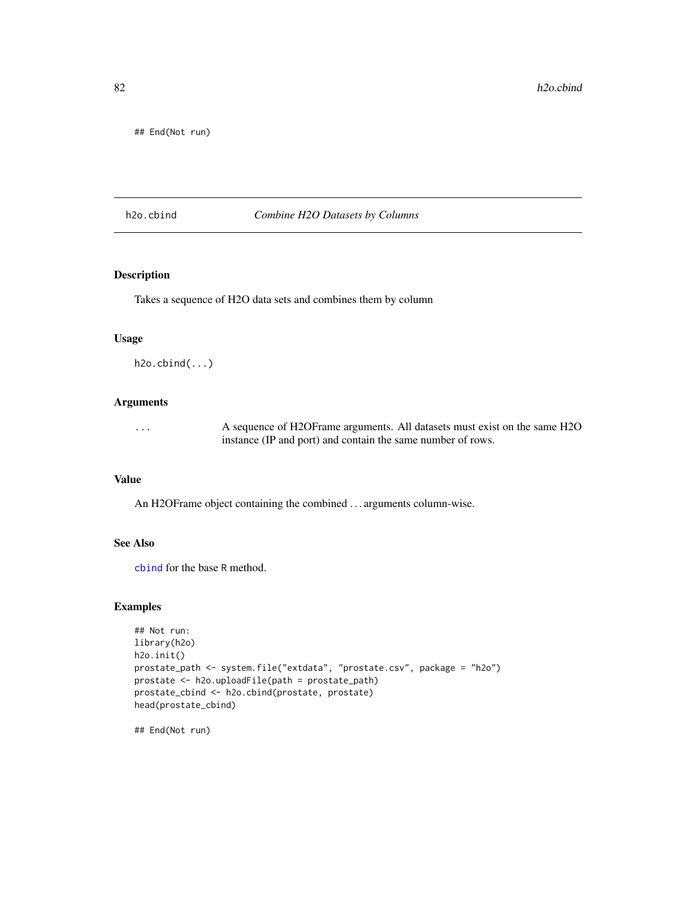## End(Not run)

#### h2o.cbind *Combine H2O Datasets by Columns*

# Description

Takes a sequence of H2O data sets and combines them by column

#### Usage

 $h2o.cbind(...)$ 

#### Arguments

... A sequence of H2OFrame arguments. All datasets must exist on the same H2O instance (IP and port) and contain the same number of rows.

#### Value

An H2OFrame object containing the combined . . . arguments column-wise.

#### See Also

[cbind](#page-0-0) for the base R method.

### Examples

```
## Not run:
library(h2o)
h2o.init()
prostate_path <- system.file("extdata", "prostate.csv", package = "h2o")
prostate <- h2o.uploadFile(path = prostate_path)
prostate_cbind <- h2o.cbind(prostate, prostate)
head(prostate_cbind)
```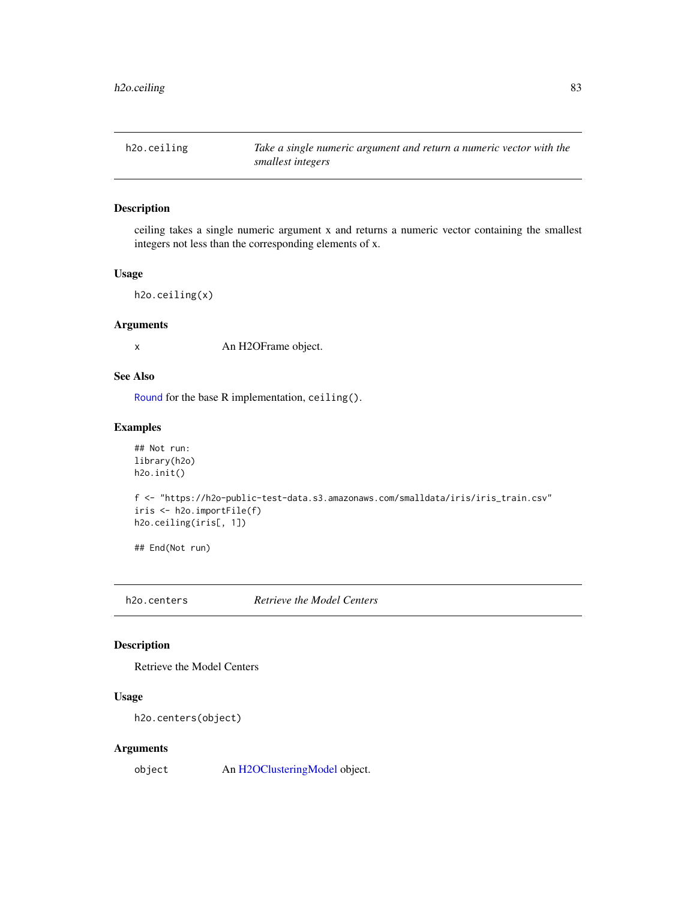h2o.ceiling *Take a single numeric argument and return a numeric vector with the smallest integers*

### Description

ceiling takes a single numeric argument x and returns a numeric vector containing the smallest integers not less than the corresponding elements of x.

#### Usage

h2o.ceiling(x)

### Arguments

x An H2OFrame object.

### See Also

[Round](#page-0-0) for the base R implementation, ceiling().

### Examples

```
## Not run:
library(h2o)
h2o.init()
```

```
f <- "https://h2o-public-test-data.s3.amazonaws.com/smalldata/iris/iris_train.csv"
iris <- h2o.importFile(f)
h2o.ceiling(iris[, 1])
```
## End(Not run)

h2o.centers *Retrieve the Model Centers*

### Description

Retrieve the Model Centers

### Usage

h2o.centers(object)

#### Arguments

object An [H2OClusteringModel](#page-408-1) object.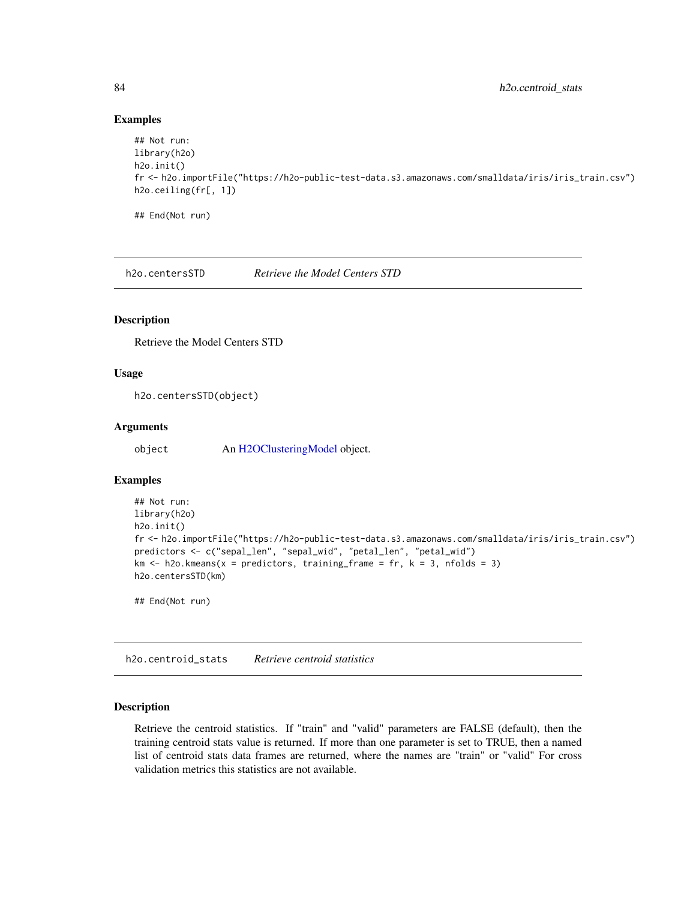### Examples

```
## Not run:
library(h2o)
h2o.init()
fr <- h2o.importFile("https://h2o-public-test-data.s3.amazonaws.com/smalldata/iris/iris_train.csv")
h2o.ceiling(fr[, 1])
```
## End(Not run)

h2o.centersSTD *Retrieve the Model Centers STD*

## Description

Retrieve the Model Centers STD

### Usage

h2o.centersSTD(object)

### Arguments

object An [H2OClusteringModel](#page-408-1) object.

### Examples

```
## Not run:
library(h2o)
h2o.init()
fr <- h2o.importFile("https://h2o-public-test-data.s3.amazonaws.com/smalldata/iris/iris_train.csv")
predictors <- c("sepal_len", "sepal_wid", "petal_len", "petal_wid")
km \leq -h2o.kmeans(x = predictors, training-frame = fr, k = 3, n folds = 3)h2o.centersSTD(km)
```
## End(Not run)

h2o.centroid\_stats *Retrieve centroid statistics*

#### Description

Retrieve the centroid statistics. If "train" and "valid" parameters are FALSE (default), then the training centroid stats value is returned. If more than one parameter is set to TRUE, then a named list of centroid stats data frames are returned, where the names are "train" or "valid" For cross validation metrics this statistics are not available.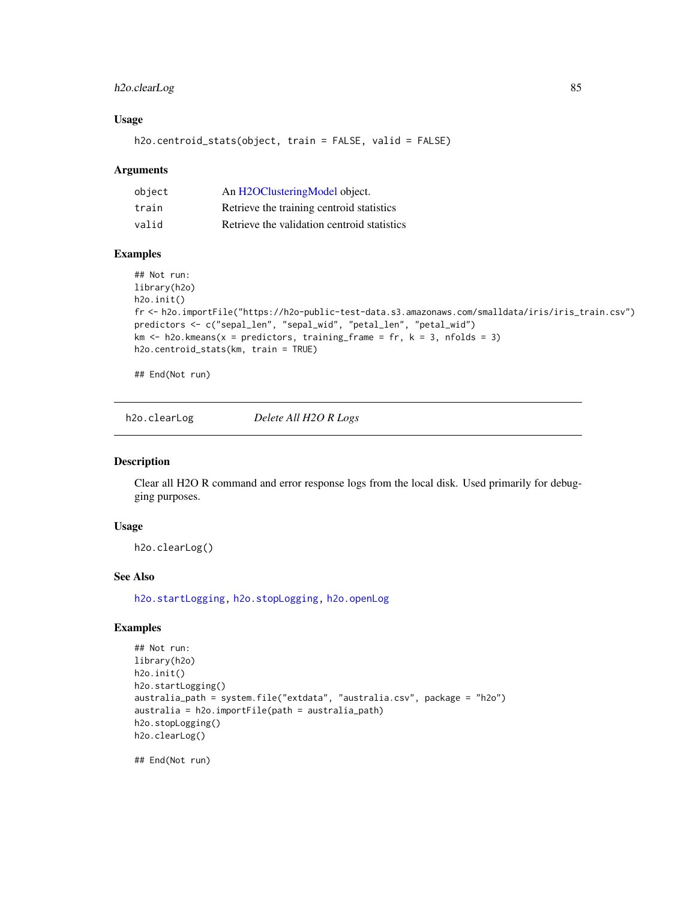## h2o.clearLog 85

#### Usage

h2o.centroid\_stats(object, train = FALSE, valid = FALSE)

#### Arguments

| object | An H2OClusteringModel object.               |
|--------|---------------------------------------------|
| train  | Retrieve the training centroid statistics   |
| valid  | Retrieve the validation centroid statistics |

#### Examples

```
## Not run:
library(h2o)
h2o.init()
fr <- h2o.importFile("https://h2o-public-test-data.s3.amazonaws.com/smalldata/iris/iris_train.csv")
predictors <- c("sepal_len", "sepal_wid", "petal_len", "petal_wid")
km \le -h2o.kmeans(x = predictors, training-frame = fr, k = 3, n folds = 3)h2o.centroid_stats(km, train = TRUE)
```
## End(Not run)

h2o.clearLog *Delete All H2O R Logs*

### Description

Clear all H2O R command and error response logs from the local disk. Used primarily for debugging purposes.

## Usage

h2o.clearLog()

## See Also

[h2o.startLogging,](#page-352-0) [h2o.stopLogging,](#page-354-0) [h2o.openLog](#page-278-0)

## Examples

```
## Not run:
library(h2o)
h2o.init()
h2o.startLogging()
australia_path = system.file("extdata", "australia.csv", package = "h2o")
australia = h2o.importFile(path = australia_path)
h2o.stopLogging()
h2o.clearLog()
```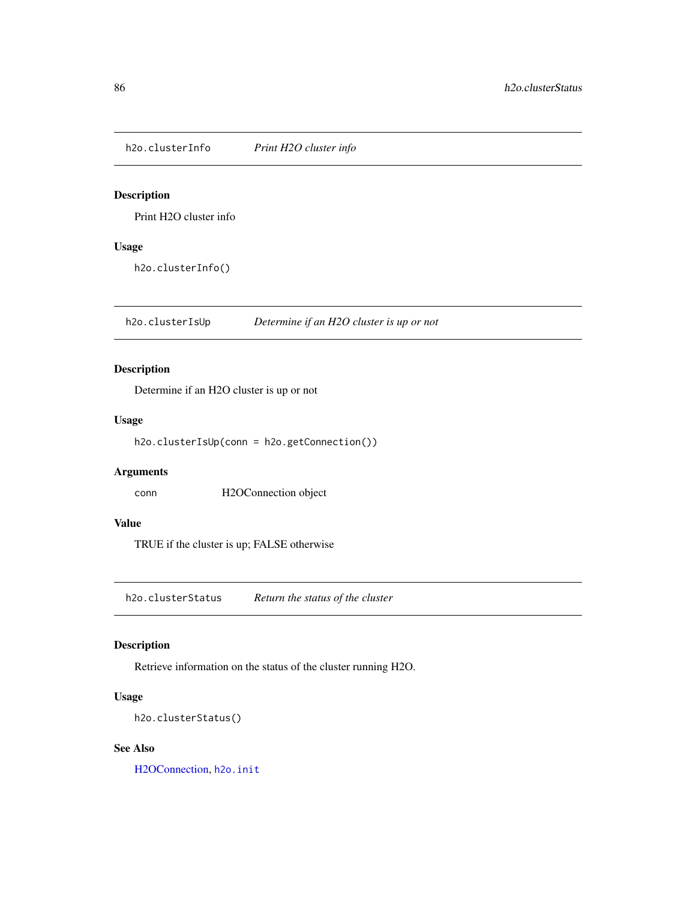h2o.clusterInfo *Print H2O cluster info*

## Description

Print H2O cluster info

## Usage

h2o.clusterInfo()

h2o.clusterIsUp *Determine if an H2O cluster is up or not*

## Description

Determine if an H2O cluster is up or not

### Usage

```
h2o.clusterIsUp(conn = h2o.getConnection())
```
### Arguments

conn H2OConnection object

### Value

TRUE if the cluster is up; FALSE otherwise

h2o.clusterStatus *Return the status of the cluster*

### Description

Retrieve information on the status of the cluster running H2O.

## Usage

```
h2o.clusterStatus()
```
### See Also

[H2OConnection,](#page-409-0) [h2o.init](#page-209-0)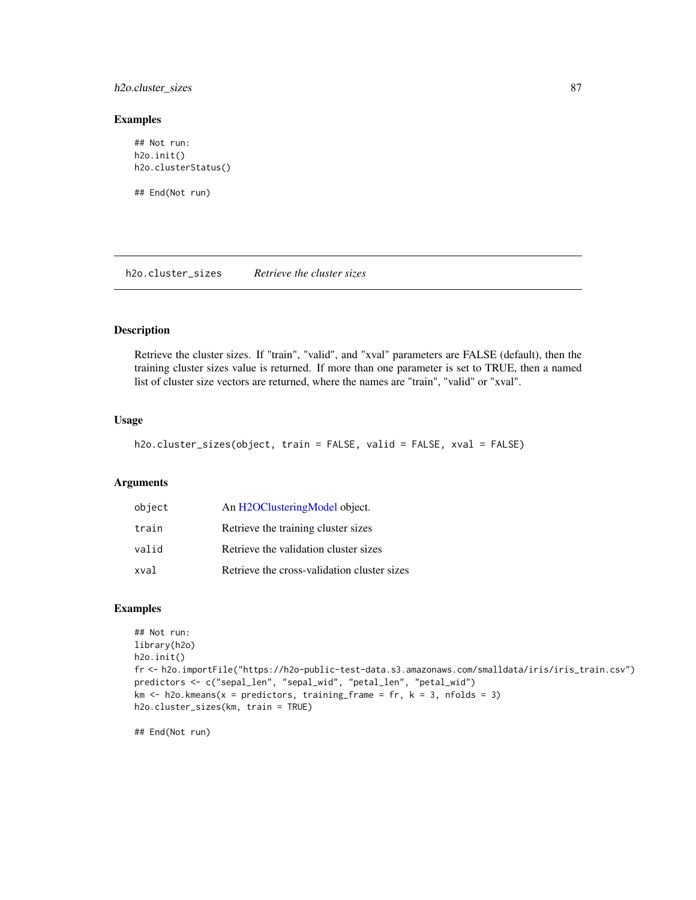h2o.cluster\_sizes 87

#### Examples

## Not run: h2o.init() h2o.clusterStatus()

## End(Not run)

h2o.cluster\_sizes *Retrieve the cluster sizes*

## Description

Retrieve the cluster sizes. If "train", "valid", and "xval" parameters are FALSE (default), then the training cluster sizes value is returned. If more than one parameter is set to TRUE, then a named list of cluster size vectors are returned, where the names are "train", "valid" or "xval".

### Usage

```
h2o.cluster_sizes(object, train = FALSE, valid = FALSE, xval = FALSE)
```
#### Arguments

| object | An H2OClusteringModel object.               |
|--------|---------------------------------------------|
| train  | Retrieve the training cluster sizes         |
| valid  | Retrieve the validation cluster sizes       |
| xval   | Retrieve the cross-validation cluster sizes |

#### Examples

```
## Not run:
library(h2o)
h2o.init()
fr <- h2o.importFile("https://h2o-public-test-data.s3.amazonaws.com/smalldata/iris/iris_train.csv")
predictors <- c("sepal_len", "sepal_wid", "petal_len", "petal_wid")
km \leq -h2o.kmeans(x = predictors, training_frame = fr, k = 3, nfolds = 3)
h2o.cluster_sizes(km, train = TRUE)
```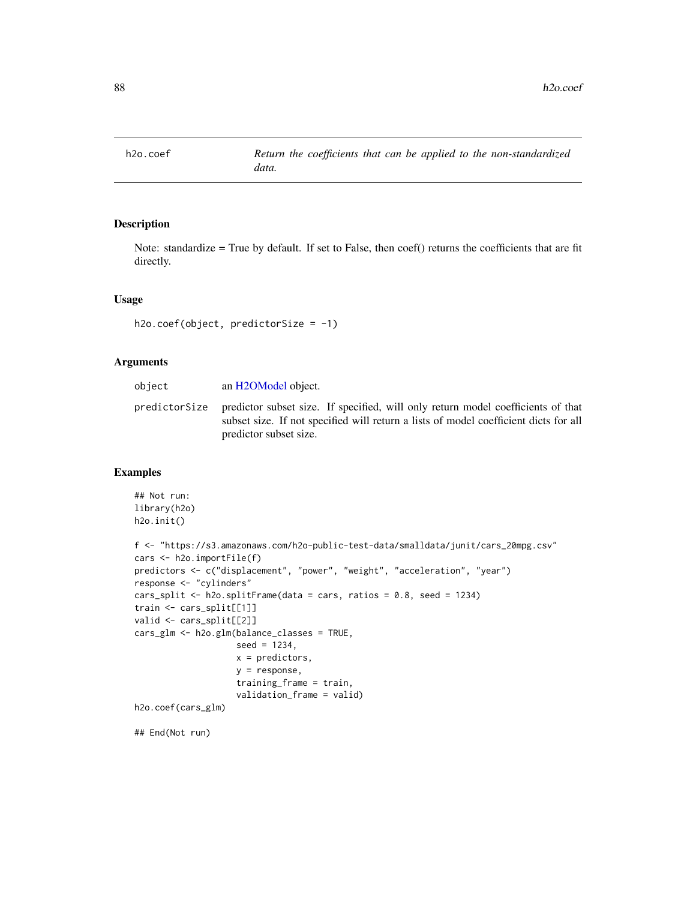## Description

Note: standardize = True by default. If set to False, then coef() returns the coefficients that are fit directly.

### Usage

```
h2o.coef(object, predictorSize = -1)
```
### Arguments

| object        | an H2OModel object.                                                                                                                                                                                |
|---------------|----------------------------------------------------------------------------------------------------------------------------------------------------------------------------------------------------|
| predictorSize | predictor subset size. If specified, will only return model coefficients of that<br>subset size. If not specified will return a lists of model coefficient dicts for all<br>predictor subset size. |

#### Examples

```
## Not run:
library(h2o)
h2o.init()
f <- "https://s3.amazonaws.com/h2o-public-test-data/smalldata/junit/cars_20mpg.csv"
cars <- h2o.importFile(f)
predictors <- c("displacement", "power", "weight", "acceleration", "year")
response <- "cylinders"
cars_split <- h2o.splitFrame(data = cars, ratios = 0.8, seed = 1234)
train <- cars_split[[1]]
valid <- cars_split[[2]]
cars_glm <- h2o.glm(balance_classes = TRUE,
                    seed = 1234,
                    x = predictors,
                    y = response,
                    training_frame = train,
                    validation_frame = valid)
h2o.coef(cars_glm)
## End(Not run)
```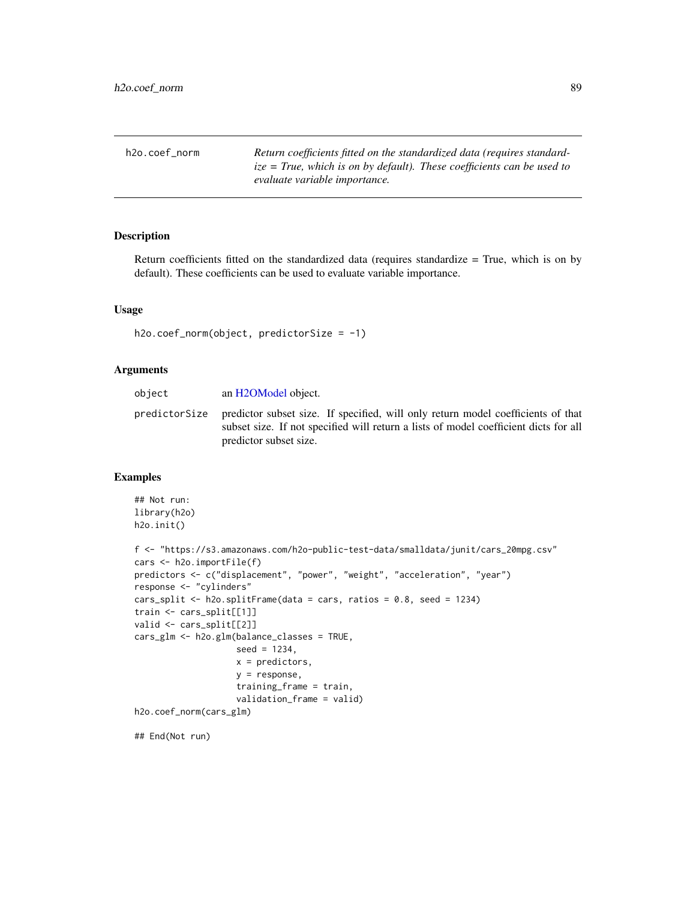h2o.coef\_norm *Return coefficients fitted on the standardized data (requires standardize = True, which is on by default). These coefficients can be used to evaluate variable importance.*

#### Description

Return coefficients fitted on the standardized data (requires standardize = True, which is on by default). These coefficients can be used to evaluate variable importance.

#### Usage

```
h2o.coef_norm(object, predictorSize = -1)
```
### Arguments

| object | an H2OModel object.                                                                                                                                                                                              |
|--------|------------------------------------------------------------------------------------------------------------------------------------------------------------------------------------------------------------------|
|        | predictorSize predictor subset size. If specified, will only return model coefficients of that<br>subset size. If not specified will return a lists of model coefficient dicts for all<br>predictor subset size. |

### Examples

```
## Not run:
library(h2o)
h2o.init()
f <- "https://s3.amazonaws.com/h2o-public-test-data/smalldata/junit/cars_20mpg.csv"
cars <- h2o.importFile(f)
predictors <- c("displacement", "power", "weight", "acceleration", "year")
response <- "cylinders"
cars_split <- h2o.splitFrame(data = cars, ratios = 0.8, seed = 1234)
train <- cars_split[[1]]
valid <- cars_split[[2]]
cars_glm <- h2o.glm(balance_classes = TRUE,
                    seed = 1234,
                    x = predictors,
                    y = response,
                    training_frame = train,
                    validation_frame = valid)
h2o.coef_norm(cars_glm)
```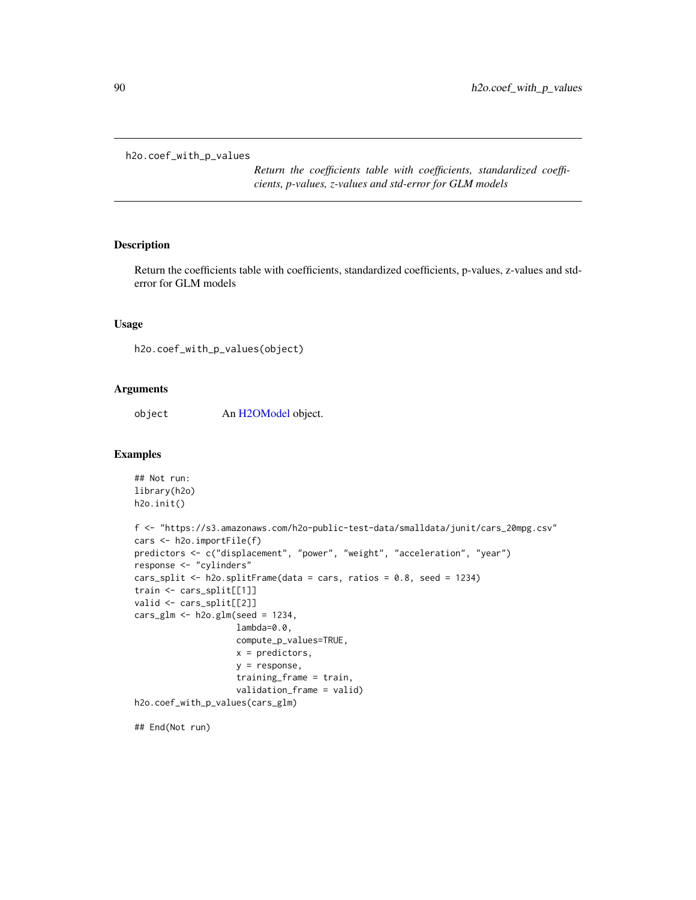h2o.coef\_with\_p\_values

*Return the coefficients table with coefficients, standardized coefficients, p-values, z-values and std-error for GLM models*

### Description

Return the coefficients table with coefficients, standardized coefficients, p-values, z-values and stderror for GLM models

#### Usage

h2o.coef\_with\_p\_values(object)

#### Arguments

object An [H2OModel](#page-415-0) object.

#### Examples

```
## Not run:
library(h2o)
h2o.init()
f <- "https://s3.amazonaws.com/h2o-public-test-data/smalldata/junit/cars_20mpg.csv"
cars <- h2o.importFile(f)
predictors <- c("displacement", "power", "weight", "acceleration", "year")
response <- "cylinders"
cars_split <- h2o.splitFrame(data = cars, ratios = 0.8, seed = 1234)
train <- cars_split[[1]]
valid <- cars_split[[2]]
cars_glm <- h2o.glm(seed = 1234,
                    lambda=0.0,
                    compute_p_values=TRUE,
                    x = predictors,
                    y = response,
                    training_frame = train,
                    validation_frame = valid)
h2o.coef_with_p_values(cars_glm)
```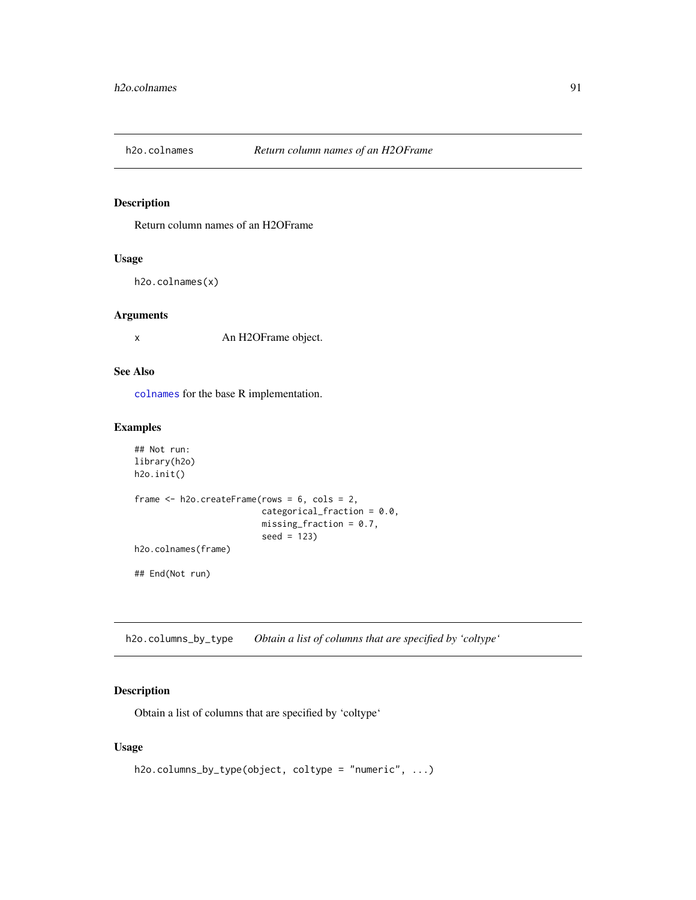### Description

Return column names of an H2OFrame

### Usage

h2o.colnames(x)

## Arguments

x An H2OFrame object.

## See Also

[colnames](#page-47-0) for the base R implementation.

### Examples

```
## Not run:
library(h2o)
h2o.init()
frame <- h2o.createFrame(rows = 6, cols = 2,
                         categorical_fraction = 0.0,
                         missing_fraction = 0.7,
                         seed = 123)
h2o.colnames(frame)
## End(Not run)
```
h2o.columns\_by\_type *Obtain a list of columns that are specified by 'coltype'*

## Description

Obtain a list of columns that are specified by 'coltype'

#### Usage

```
h2o.columns_by_type(object, coltype = "numeric", ...)
```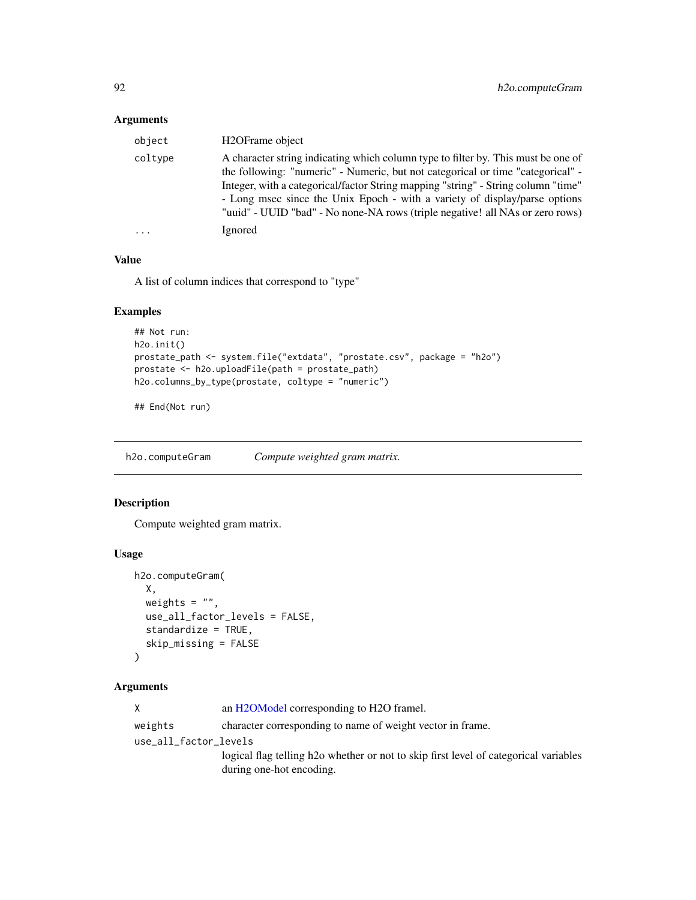### Arguments

| object  | H <sub>2</sub> OFrame object                                                                                                                                                                                                                                                                                                                                                                                             |
|---------|--------------------------------------------------------------------------------------------------------------------------------------------------------------------------------------------------------------------------------------------------------------------------------------------------------------------------------------------------------------------------------------------------------------------------|
| coltype | A character string indicating which column type to filter by. This must be one of<br>the following: "numeric" - Numeric, but not categorical or time "categorical" -<br>Integer, with a categorical/factor String mapping "string" - String column "time"<br>- Long msec since the Unix Epoch - with a variety of display/parse options<br>"uuid" - UUID "bad" - No none-NA rows (triple negative! all NAs or zero rows) |
|         | Ignored                                                                                                                                                                                                                                                                                                                                                                                                                  |

### Value

A list of column indices that correspond to "type"

## Examples

```
## Not run:
h2o.init()
prostate_path <- system.file("extdata", "prostate.csv", package = "h2o")
prostate <- h2o.uploadFile(path = prostate_path)
h2o.columns_by_type(prostate, coltype = "numeric")
```
## End(Not run)

h2o.computeGram *Compute weighted gram matrix.*

#### Description

Compute weighted gram matrix.

#### Usage

```
h2o.computeGram(
 X,
 weights = ",
 use_all_factor_levels = FALSE,
 standardize = TRUE,
 skip_missing = FALSE
)
```
## Arguments

| X                     | an H2OModel corresponding to H2O framel.                                                          |
|-----------------------|---------------------------------------------------------------------------------------------------|
| weights               | character corresponding to name of weight vector in frame.                                        |
| use_all_factor_levels |                                                                                                   |
|                       | logical flag telling h <sub>2</sub> o whether or not to skip first level of categorical variables |
|                       | during one-hot encoding.                                                                          |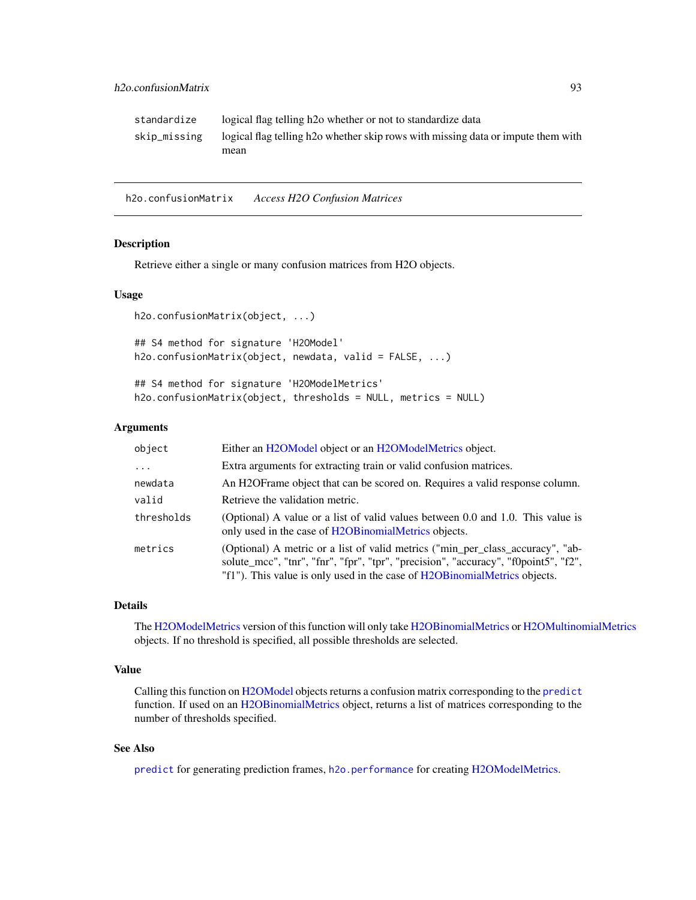| standardize  | logical flag telling h <sub>20</sub> whether or not to standardize data                      |
|--------------|----------------------------------------------------------------------------------------------|
| skip_missing | logical flag telling h <sub>20</sub> whether skip rows with missing data or impute them with |
|              | mean                                                                                         |

h2o.confusionMatrix *Access H2O Confusion Matrices*

## Description

Retrieve either a single or many confusion matrices from H2O objects.

### Usage

```
h2o.confusionMatrix(object, ...)
```
## S4 method for signature 'H2OModel' h2o.confusionMatrix(object, newdata, valid = FALSE, ...)

## S4 method for signature 'H2OModelMetrics' h2o.confusionMatrix(object, thresholds = NULL, metrics = NULL)

#### Arguments

| object     | Either an H2OModel object or an H2OModelMetrics object.                                                                                                                                                                                             |
|------------|-----------------------------------------------------------------------------------------------------------------------------------------------------------------------------------------------------------------------------------------------------|
| .          | Extra arguments for extracting train or valid confusion matrices.                                                                                                                                                                                   |
| newdata    | An H2OF rame object that can be scored on. Requires a valid response column.                                                                                                                                                                        |
| valid      | Retrieve the validation metric.                                                                                                                                                                                                                     |
| thresholds | (Optional) A value or a list of valid values between 0.0 and 1.0. This value is<br>only used in the case of H2OB inomialMetrics objects.                                                                                                            |
| metrics    | (Optional) A metric or a list of valid metrics ("min_per_class_accuracy", "ab-<br>solute_mcc", "tnr", "fnr", "fpr", "tpr", "precision", "accuracy", "f0point5", "f2",<br>"f1"). This value is only used in the case of H2OB inomialMetrics objects. |

## Details

The [H2OModelMetrics](#page-416-1) version of this function will only take [H2OBinomialMetrics](#page-416-0) or [H2OMultinomialMetrics](#page-416-0) objects. If no threshold is specified, all possible thresholds are selected.

### Value

Calling this function on [H2OModel](#page-415-0) objects returns a confusion matrix corresponding to the [predict](#page-0-0) function. If used on an [H2OBinomialMetrics](#page-416-0) object, returns a list of matrices corresponding to the number of thresholds specified.

## See Also

[predict](#page-0-0) for generating prediction frames, [h2o.performance](#page-287-0) for creating [H2OModelMetrics.](#page-416-1)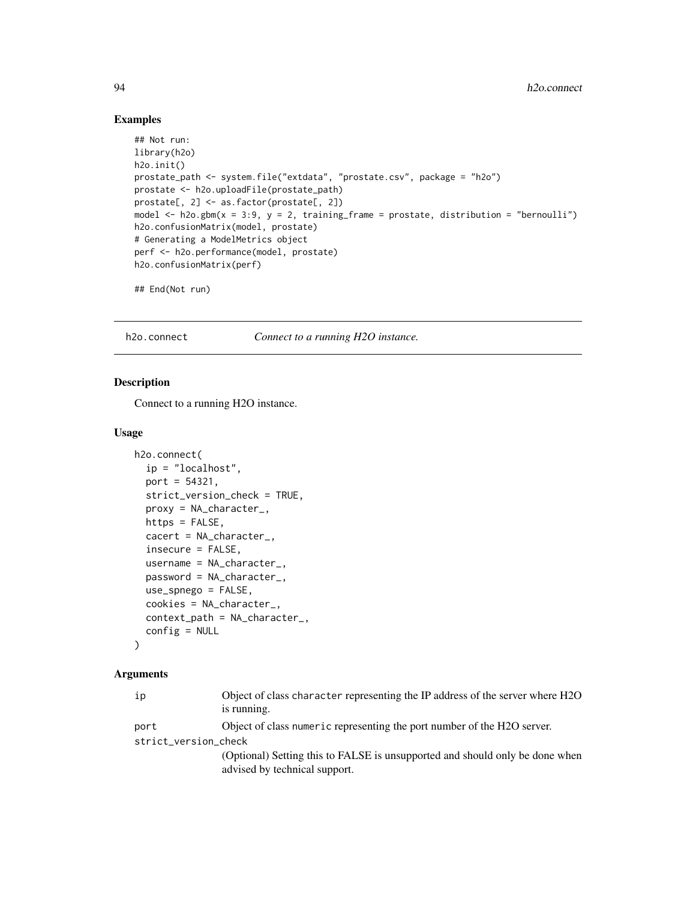### Examples

```
## Not run:
library(h2o)
h2o.init()
prostate_path <- system.file("extdata", "prostate.csv", package = "h2o")
prostate <- h2o.uploadFile(prostate_path)
prostate[, 2] <- as.factor(prostate[, 2])
model \leq h2o.gbm(x = 3:9, y = 2, training_frame = prostate, distribution = "bernoulli")
h2o.confusionMatrix(model, prostate)
# Generating a ModelMetrics object
perf <- h2o.performance(model, prostate)
h2o.confusionMatrix(perf)
## End(Not run)
```
h2o.connect *Connect to a running H2O instance.*

#### Description

Connect to a running H2O instance.

#### Usage

```
h2o.connect(
  ip = "localhost",
  port = 54321,
  strict_version_check = TRUE,
  proxy = NA_character_,
  https = FALSE,
  cacert = NA_character_,
  insecure = FALSE,
  username = NA_character_,
  password = NA_character_,
  use_spnego = FALSE,
  cookies = NA_character_,
  context_path = NA_character_,
  config = NULL
)
```
### Arguments

| ip                   | Object of class character representing the IP address of the server where H2O<br>is running.                  |  |
|----------------------|---------------------------------------------------------------------------------------------------------------|--|
| port                 | Object of class numeric representing the port number of the H2O server.                                       |  |
| strict_version_check |                                                                                                               |  |
|                      | (Optional) Setting this to FALSE is unsupported and should only be done when<br>advised by technical support. |  |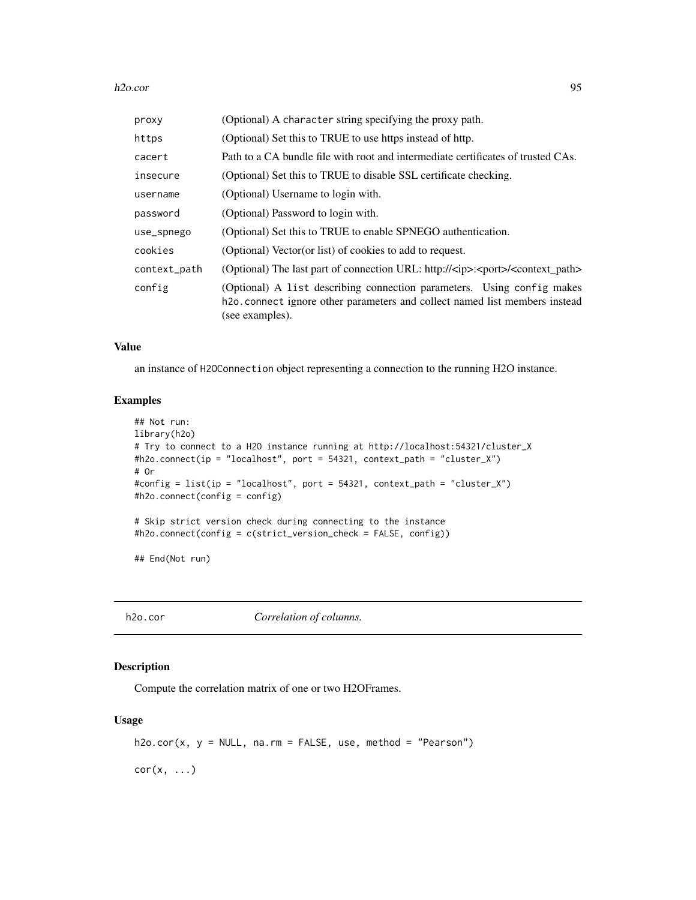#### h2o.cor 95

| proxy        | (Optional) A character string specifying the proxy path.                                                                                                                              |
|--------------|---------------------------------------------------------------------------------------------------------------------------------------------------------------------------------------|
| https        | (Optional) Set this to TRUE to use https instead of http.                                                                                                                             |
| cacert       | Path to a CA bundle file with root and intermediate certificates of trusted CAs.                                                                                                      |
| insecure     | (Optional) Set this to TRUE to disable SSL certificate checking.                                                                                                                      |
| username     | (Optional) Username to login with.                                                                                                                                                    |
| password     | (Optional) Password to login with.                                                                                                                                                    |
| use_spnego   | (Optional) Set this to TRUE to enable SPNEGO authentication.                                                                                                                          |
| cookies      | (Optional) Vector (or list) of cookies to add to request.                                                                                                                             |
| context_path | (Optional) The last part of connection URL: http:// <ip>:<port>/<context_path></context_path></port></ip>                                                                             |
| config       | (Optional) A list describing connection parameters. Using config makes<br>h <sub>2</sub> o. connect ignore other parameters and collect named list members instead<br>(see examples). |

## Value

an instance of H2OConnection object representing a connection to the running H2O instance.

### Examples

```
## Not run:
library(h2o)
# Try to connect to a H2O instance running at http://localhost:54321/cluster_X
#h2o.connect(ip = "localhost", port = 54321, context_path = "cluster_X")
# Or
#config = list(ip = "localhost", port = 54321, context_path = "cluster_X")
#h2o.connect(config = config)
# Skip strict version check during connecting to the instance
#h2o.connect(config = c(strict_version_check = FALSE, config))
## End(Not run)
```
h2o.cor *Correlation of columns.*

#### Description

Compute the correlation matrix of one or two H2OFrames.

### Usage

```
h2o.cor(x, y = NULL, na.rm = FALSE, use, method = "Pearson")
```
 $cor(x, \ldots)$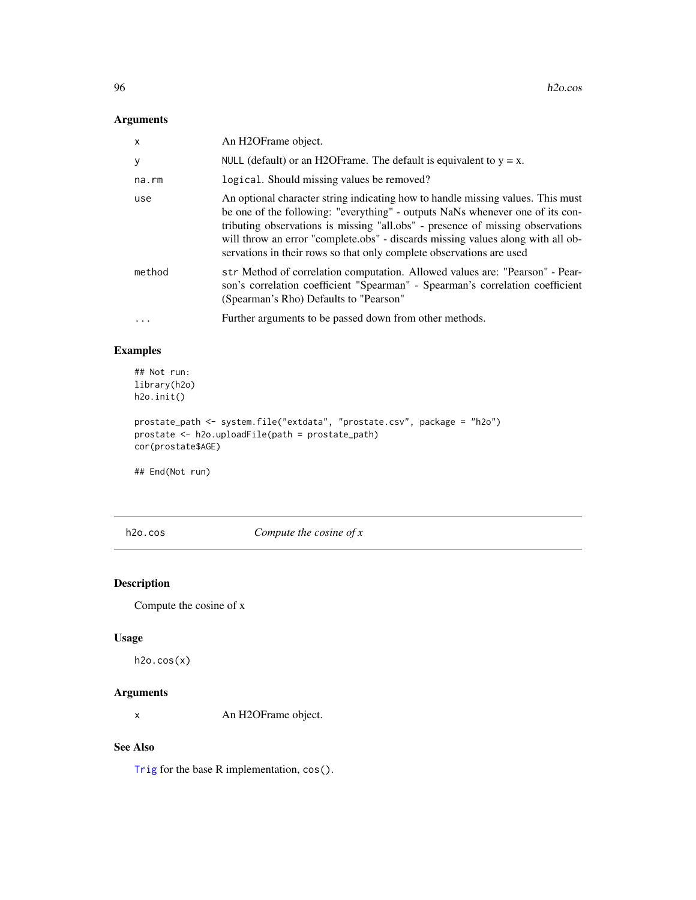## Arguments

| $\mathsf{x}$ | An H <sub>2</sub> OFrame object.                                                                                                                                                                                                                                                                                                                                                                              |
|--------------|---------------------------------------------------------------------------------------------------------------------------------------------------------------------------------------------------------------------------------------------------------------------------------------------------------------------------------------------------------------------------------------------------------------|
| y            | NULL (default) or an H2OF rame. The default is equivalent to $y = x$ .                                                                                                                                                                                                                                                                                                                                        |
| na.rm        | logical. Should missing values be removed?                                                                                                                                                                                                                                                                                                                                                                    |
| use          | An optional character string indicating how to handle missing values. This must<br>be one of the following: "everything" - outputs NaNs whenever one of its con-<br>tributing observations is missing "all.obs" - presence of missing observations<br>will throw an error "complete.obs" - discards missing values along with all ob-<br>servations in their rows so that only complete observations are used |
| method       | str Method of correlation computation. Allowed values are: "Pearson" - Pear-<br>son's correlation coefficient "Spearman" - Spearman's correlation coefficient<br>(Spearman's Rho) Defaults to "Pearson"                                                                                                                                                                                                       |
| .            | Further arguments to be passed down from other methods.                                                                                                                                                                                                                                                                                                                                                       |

## Examples

```
## Not run:
library(h2o)
h2o.init()
```

```
prostate_path <- system.file("extdata", "prostate.csv", package = "h2o")
prostate <- h2o.uploadFile(path = prostate_path)
cor(prostate$AGE)
```
## End(Not run)

h2o.cos *Compute the cosine of x*

# Description

Compute the cosine of x

#### Usage

h2o.cos(x)

## Arguments

x An H2OFrame object.

### See Also

[Trig](#page-0-0) for the base R implementation, cos().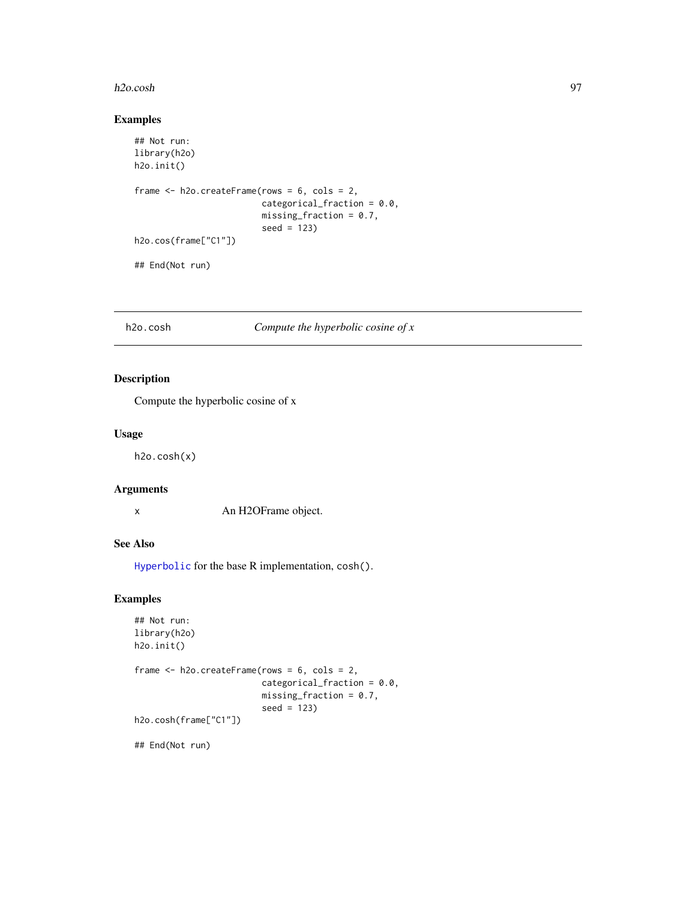#### h2o.cosh 97

### Examples

```
## Not run:
library(h2o)
h2o.init()
frame <- h2o.createFrame(rows = 6, cols = 2,
                         categorical_fraction = 0.0,
                         missing_fraction = 0.7,
                         seed = 123h2o.cos(frame["C1"])
## End(Not run)
```
## h2o.cosh *Compute the hyperbolic cosine of x*

## Description

Compute the hyperbolic cosine of x

### Usage

h2o.cosh(x)

### Arguments

x An H2OFrame object.

### See Also

[Hyperbolic](#page-0-0) for the base R implementation, cosh().

## Examples

```
## Not run:
library(h2o)
h2o.init()
frame <- h2o.createFrame(rows = 6, cols = 2,
                         categorical_fraction = 0.0,
                         missing_fraction = 0.7,
                         seed = 123)
h2o.cosh(frame["C1"])
```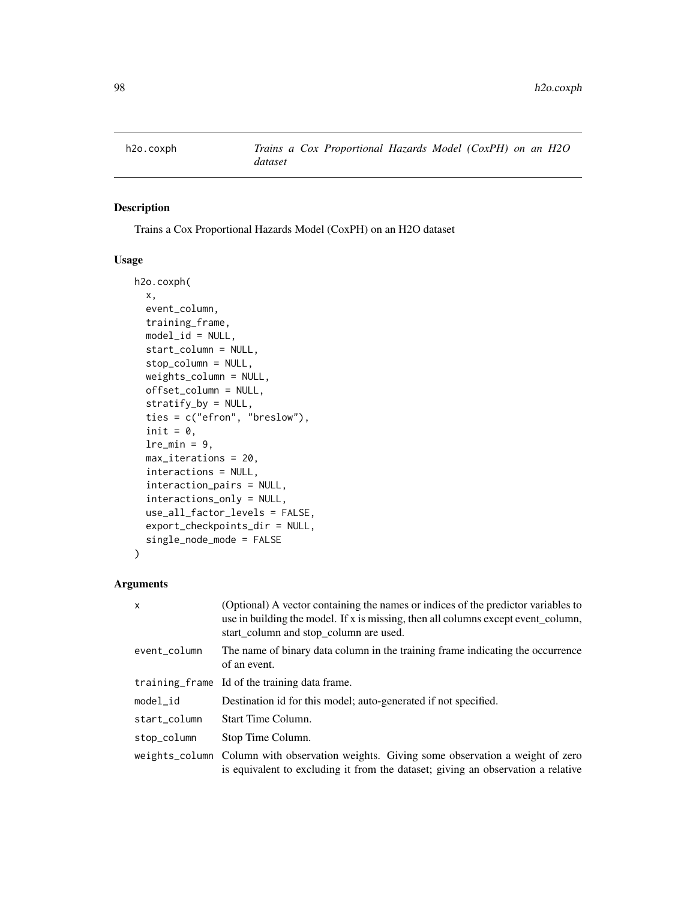## Description

Trains a Cox Proportional Hazards Model (CoxPH) on an H2O dataset

#### Usage

```
h2o.coxph(
  x,
  event_column,
  training_frame,
  model_id = NULL,start_column = NULL,
  stop_column = NULL,
  weights_column = NULL,
  offset_column = NULL,
  stratify_by = NULL,
  ties = c("efron", "breslow"),
  init = 0,lre_min = 9,
  max_iterations = 20,
  interactions = NULL,
  interaction_pairs = NULL,
  interactions_only = NULL,
  use_all_factor_levels = FALSE,
  export_checkpoints_dir = NULL,
  single_node_mode = FALSE
)
```
## Arguments

| $\mathsf{x}$ | (Optional) A vector containing the names or indices of the predictor variables to<br>use in building the model. If x is missing, then all columns except event_column,<br>start_column and stop_column are used. |
|--------------|------------------------------------------------------------------------------------------------------------------------------------------------------------------------------------------------------------------|
| event_column | The name of binary data column in the training frame indicating the occurrence<br>of an event.                                                                                                                   |
|              | training frame Id of the training data frame.                                                                                                                                                                    |
| $model_id$   | Destination id for this model; auto-generated if not specified.                                                                                                                                                  |
| start column | Start Time Column.                                                                                                                                                                                               |
| stop_column  | Stop Time Column.                                                                                                                                                                                                |
|              | weights_column Column with observation weights. Giving some observation a weight of zero<br>is equivalent to excluding it from the dataset; giving an observation a relative                                     |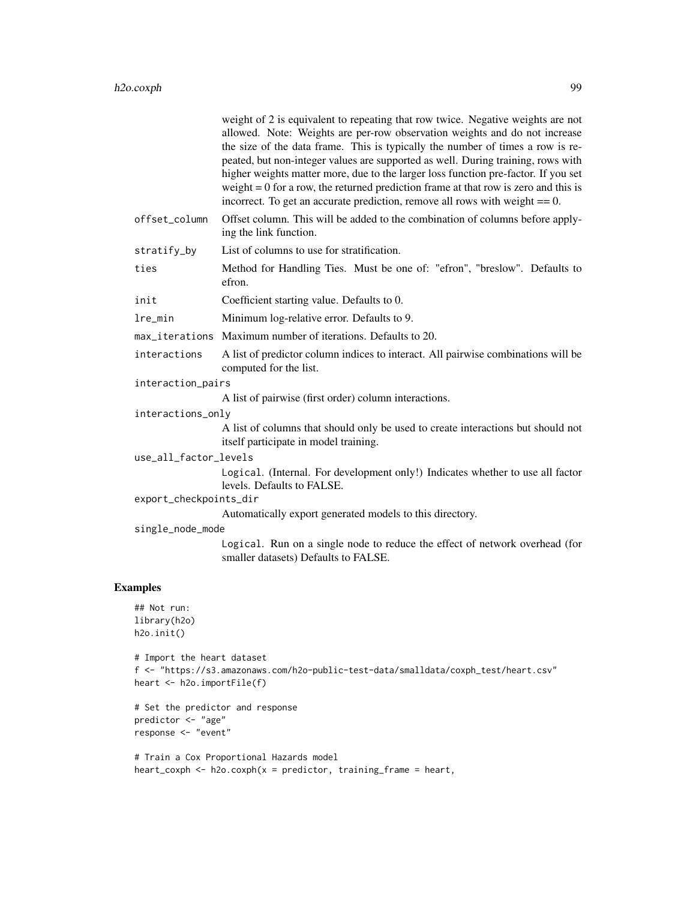|                        | weight of 2 is equivalent to repeating that row twice. Negative weights are not<br>allowed. Note: Weights are per-row observation weights and do not increase<br>the size of the data frame. This is typically the number of times a row is re-<br>peated, but non-integer values are supported as well. During training, rows with<br>higher weights matter more, due to the larger loss function pre-factor. If you set<br>weight $= 0$ for a row, the returned prediction frame at that row is zero and this is<br>incorrect. To get an accurate prediction, remove all rows with weight $== 0$ . |
|------------------------|------------------------------------------------------------------------------------------------------------------------------------------------------------------------------------------------------------------------------------------------------------------------------------------------------------------------------------------------------------------------------------------------------------------------------------------------------------------------------------------------------------------------------------------------------------------------------------------------------|
| offset_column          | Offset column. This will be added to the combination of columns before apply-<br>ing the link function.                                                                                                                                                                                                                                                                                                                                                                                                                                                                                              |
| stratify_by            | List of columns to use for stratification.                                                                                                                                                                                                                                                                                                                                                                                                                                                                                                                                                           |
| ties                   | Method for Handling Ties. Must be one of: "efron", "breslow". Defaults to<br>efron.                                                                                                                                                                                                                                                                                                                                                                                                                                                                                                                  |
| init                   | Coefficient starting value. Defaults to 0.                                                                                                                                                                                                                                                                                                                                                                                                                                                                                                                                                           |
| lre_min                | Minimum log-relative error. Defaults to 9.                                                                                                                                                                                                                                                                                                                                                                                                                                                                                                                                                           |
|                        | max_iterations Maximum number of iterations. Defaults to 20.                                                                                                                                                                                                                                                                                                                                                                                                                                                                                                                                         |
| interactions           | A list of predictor column indices to interact. All pairwise combinations will be<br>computed for the list.                                                                                                                                                                                                                                                                                                                                                                                                                                                                                          |
| interaction_pairs      |                                                                                                                                                                                                                                                                                                                                                                                                                                                                                                                                                                                                      |
|                        | A list of pairwise (first order) column interactions.                                                                                                                                                                                                                                                                                                                                                                                                                                                                                                                                                |
| interactions_only      |                                                                                                                                                                                                                                                                                                                                                                                                                                                                                                                                                                                                      |
|                        | A list of columns that should only be used to create interactions but should not<br>itself participate in model training.                                                                                                                                                                                                                                                                                                                                                                                                                                                                            |
| use_all_factor_levels  |                                                                                                                                                                                                                                                                                                                                                                                                                                                                                                                                                                                                      |
|                        | Logical. (Internal. For development only!) Indicates whether to use all factor<br>levels. Defaults to FALSE.                                                                                                                                                                                                                                                                                                                                                                                                                                                                                         |
| export_checkpoints_dir |                                                                                                                                                                                                                                                                                                                                                                                                                                                                                                                                                                                                      |
|                        | Automatically export generated models to this directory.                                                                                                                                                                                                                                                                                                                                                                                                                                                                                                                                             |
| single_node_mode       | Logical. Run on a single node to reduce the effect of network overhead (for<br>smaller datasets) Defaults to FALSE.                                                                                                                                                                                                                                                                                                                                                                                                                                                                                  |
| Examples               |                                                                                                                                                                                                                                                                                                                                                                                                                                                                                                                                                                                                      |

# $E$

```
## Not run:
library(h2o)
h2o.init()
# Import the heart dataset
f <- "https://s3.amazonaws.com/h2o-public-test-data/smalldata/coxph_test/heart.csv"
heart <- h2o.importFile(f)
# Set the predictor and response
predictor <- "age"
```

```
response <- "event"
# Train a Cox Proportional Hazards model
```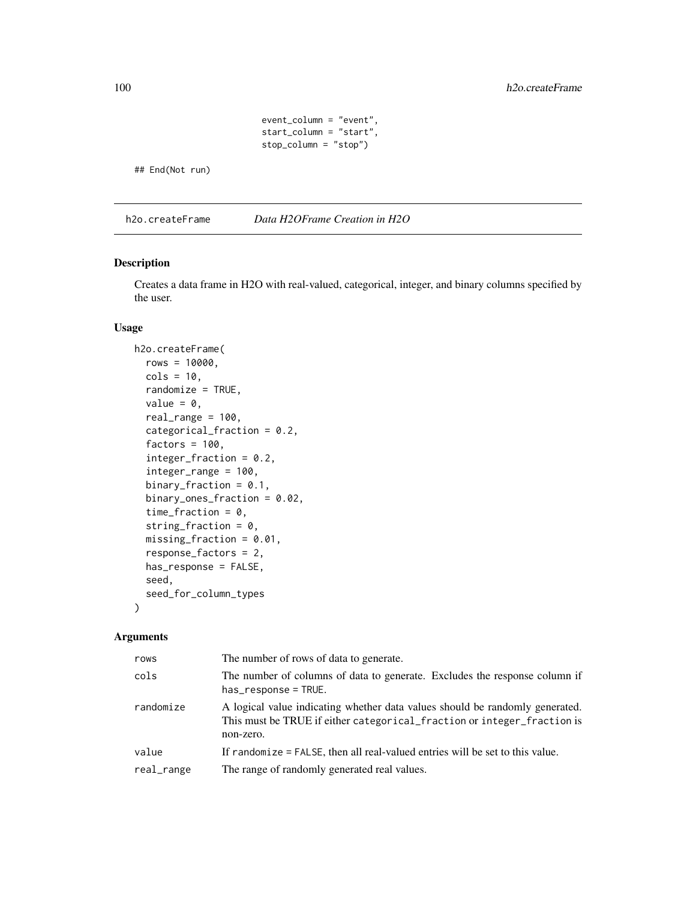```
event_column = "event",
start_column = "start",
stop_column = "stop")
```
## End(Not run)

h2o.createFrame *Data H2OFrame Creation in H2O*

### Description

Creates a data frame in H2O with real-valued, categorical, integer, and binary columns specified by the user.

### Usage

```
h2o.createFrame(
  rows = 10000,\text{cols} = 10,randomize = TRUE,
  value = 0,
  real_range = 100,
  categorical_fraction = 0.2,
  factors = 100,
  integer_fraction = 0.2,
  integer_range = 100,
  binary_fraction = 0.1,
  binary_ones_fraction = 0.02,
  time_fraction = 0,
  string_fraction = 0,
  missing\_fraction = 0.01,
  response_factors = 2,
  has_response = FALSE,
  seed,
  seed_for_column_types
)
```
## Arguments

| rows       | The number of rows of data to generate.                                                                                                                              |
|------------|----------------------------------------------------------------------------------------------------------------------------------------------------------------------|
| cols       | The number of columns of data to generate. Excludes the response column if<br>$has\_response = TRUE.$                                                                |
| randomize  | A logical value indicating whether data values should be randomly generated.<br>This must be TRUE if either categorical_fraction or integer_fraction is<br>non-zero. |
| value      | If randomize = FALSE, then all real-valued entries will be set to this value.                                                                                        |
| real_range | The range of randomly generated real values.                                                                                                                         |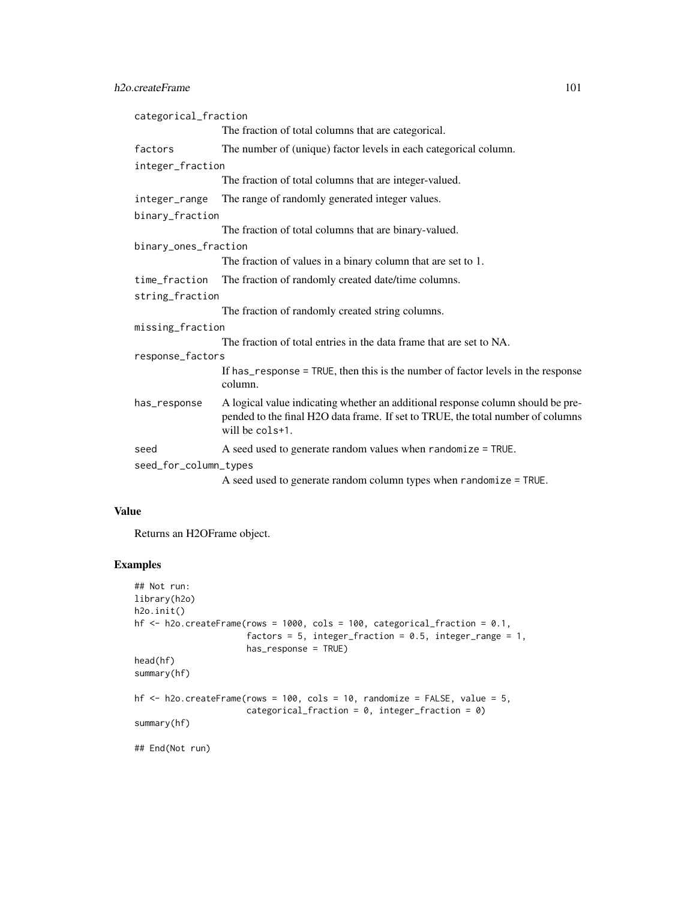| categorical_fraction  |                                                                                                                                                                                       |  |
|-----------------------|---------------------------------------------------------------------------------------------------------------------------------------------------------------------------------------|--|
|                       | The fraction of total columns that are categorical.                                                                                                                                   |  |
| factors               | The number of (unique) factor levels in each categorical column.                                                                                                                      |  |
| integer_fraction      |                                                                                                                                                                                       |  |
|                       | The fraction of total columns that are integer-valued.                                                                                                                                |  |
| integer_range         | The range of randomly generated integer values.                                                                                                                                       |  |
| binary_fraction       |                                                                                                                                                                                       |  |
|                       | The fraction of total columns that are binary-valued.                                                                                                                                 |  |
| binary_ones_fraction  |                                                                                                                                                                                       |  |
|                       | The fraction of values in a binary column that are set to 1.                                                                                                                          |  |
| time_fraction         | The fraction of randomly created date/time columns.                                                                                                                                   |  |
| string_fraction       |                                                                                                                                                                                       |  |
|                       | The fraction of randomly created string columns.                                                                                                                                      |  |
| missing_fraction      |                                                                                                                                                                                       |  |
|                       | The fraction of total entries in the data frame that are set to NA.                                                                                                                   |  |
| response_factors      |                                                                                                                                                                                       |  |
|                       | If has response = TRUE, then this is the number of factor levels in the response<br>column.                                                                                           |  |
| has_response          | A logical value indicating whether an additional response column should be pre-<br>pended to the final H2O data frame. If set to TRUE, the total number of columns<br>will be cols+1. |  |
| seed                  | A seed used to generate random values when randomize = TRUE.                                                                                                                          |  |
| seed_for_column_types |                                                                                                                                                                                       |  |
|                       |                                                                                                                                                                                       |  |

A seed used to generate random column types when randomize = TRUE.

## Value

Returns an H2OFrame object.

### Examples

```
## Not run:
library(h2o)
h2o.init()
hf <- h2o.createFrame(rows = 1000, cols = 100, categorical_fraction = 0.1,
                      factors = 5, integer_fraction = 0.5, integer_range = 1,
                      has_response = TRUE)
head(hf)
summary(hf)
hf \le h2o.createFrame(rows = 100, cols = 10, randomize = FALSE, value = 5,
                      categorical_fraction = 0, integer_fraction = 0)
summary(hf)
## End(Not run)
```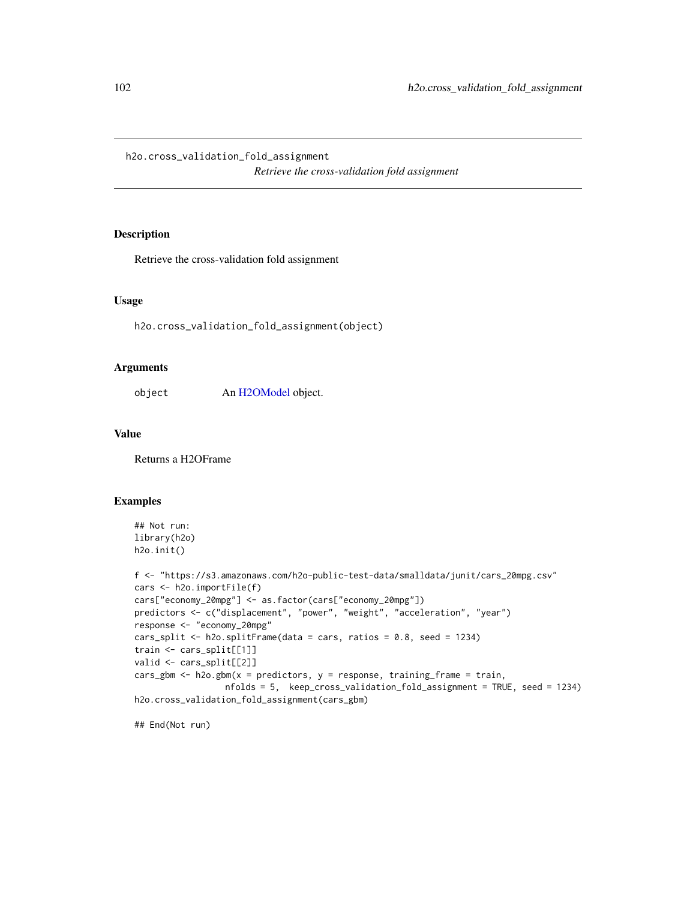h2o.cross\_validation\_fold\_assignment *Retrieve the cross-validation fold assignment*

### Description

Retrieve the cross-validation fold assignment

### Usage

h2o.cross\_validation\_fold\_assignment(object)

### Arguments

object An [H2OModel](#page-415-0) object.

#### Value

Returns a H2OFrame

### Examples

```
## Not run:
library(h2o)
h2o.init()
f <- "https://s3.amazonaws.com/h2o-public-test-data/smalldata/junit/cars_20mpg.csv"
cars <- h2o.importFile(f)
cars["economy_20mpg"] <- as.factor(cars["economy_20mpg"])
predictors <- c("displacement", "power", "weight", "acceleration", "year")
response <- "economy_20mpg"
```

```
cars_split <- h2o.splitFrame(data = cars, ratios = 0.8, seed = 1234)
train <- cars_split[[1]]
valid <- cars_split[[2]]
cars_gbm <- h2o.gbm(x = predictors, y = response, training_frame = train,
                 nfolds = 5, keep_cross_validation_fold_assignment = TRUE, seed = 1234)
h2o.cross_validation_fold_assignment(cars_gbm)
```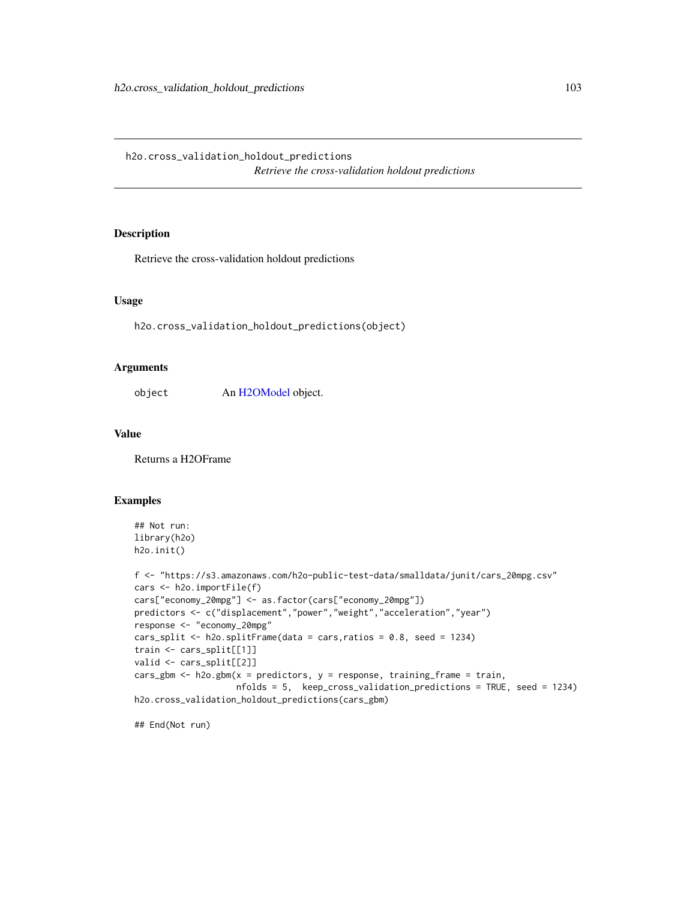h2o.cross\_validation\_holdout\_predictions *Retrieve the cross-validation holdout predictions*

### Description

Retrieve the cross-validation holdout predictions

### Usage

h2o.cross\_validation\_holdout\_predictions(object)

#### Arguments

object An [H2OModel](#page-415-0) object.

#### Value

Returns a H2OFrame

### Examples

```
## Not run:
library(h2o)
h2o.init()
```

```
f <- "https://s3.amazonaws.com/h2o-public-test-data/smalldata/junit/cars_20mpg.csv"
cars <- h2o.importFile(f)
cars["economy_20mpg"] <- as.factor(cars["economy_20mpg"])
predictors <- c("displacement","power","weight","acceleration","year")
response <- "economy_20mpg"
cars_split <- h2o.splitFrame(data = cars,ratios = 0.8, seed = 1234)
train <- cars_split[[1]]
valid <- cars_split[[2]]
cars_gbm <- h2o.gbm(x = predictors, y = response, training_frame = train,
                    nfolds = 5, keep_cross_validation_predictions = TRUE, seed = 1234)
h2o.cross_validation_holdout_predictions(cars_gbm)
```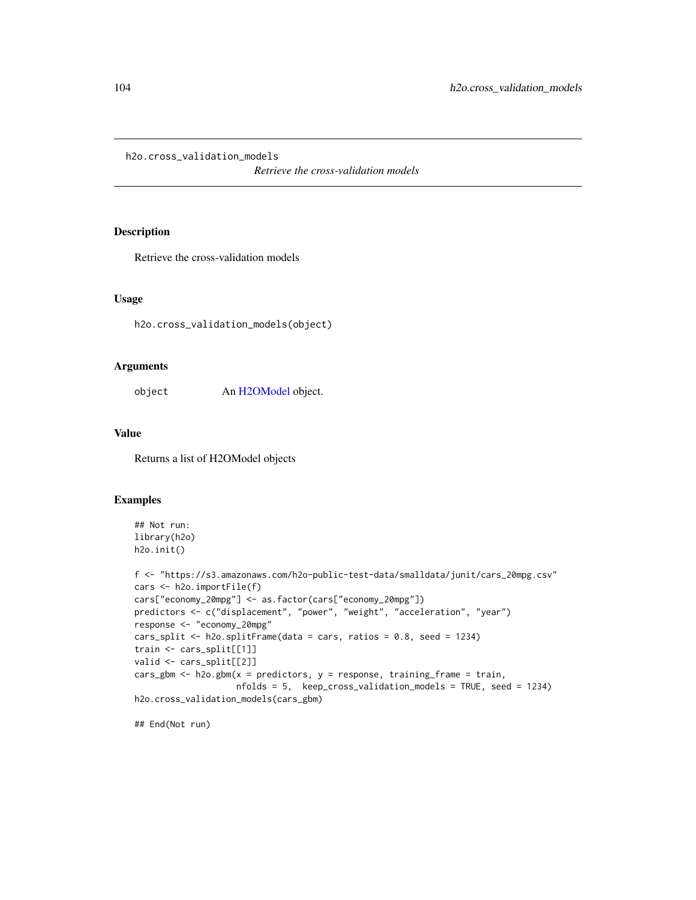h2o.cross\_validation\_models

*Retrieve the cross-validation models*

### Description

Retrieve the cross-validation models

### Usage

h2o.cross\_validation\_models(object)

### Arguments

object An [H2OModel](#page-415-0) object.

### Value

Returns a list of H2OModel objects

## Examples

```
## Not run:
library(h2o)
h2o.init()
```

```
f <- "https://s3.amazonaws.com/h2o-public-test-data/smalldata/junit/cars_20mpg.csv"
cars <- h2o.importFile(f)
cars["economy_20mpg"] <- as.factor(cars["economy_20mpg"])
predictors <- c("displacement", "power", "weight", "acceleration", "year")
response <- "economy_20mpg"
cars_split <- h2o.splitFrame(data = cars, ratios = 0.8, seed = 1234)
train <- cars_split[[1]]
valid <- cars_split[[2]]
cars_gbm <- h2o.gbm(x = predictors, y = response, training_frame = train,
                    nfolds = 5, keep_cross_validation_models = TRUE, seed = 1234)
h2o.cross_validation_models(cars_gbm)
```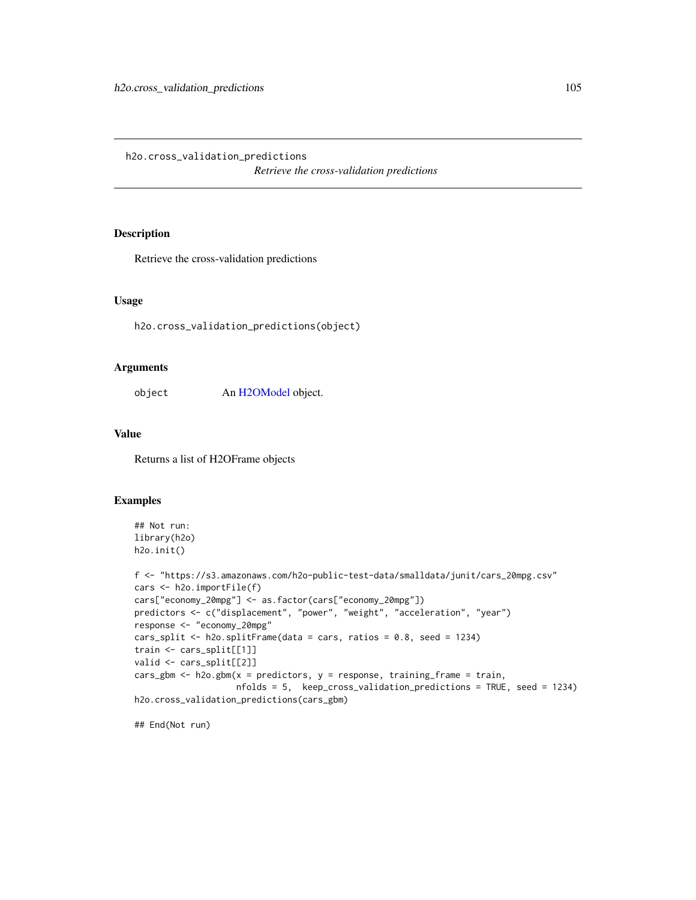h2o.cross\_validation\_predictions *Retrieve the cross-validation predictions*

### Description

Retrieve the cross-validation predictions

### Usage

h2o.cross\_validation\_predictions(object)

#### Arguments

object An [H2OModel](#page-415-0) object.

#### Value

Returns a list of H2OFrame objects

# Examples

```
## Not run:
library(h2o)
h2o.init()
```

```
f <- "https://s3.amazonaws.com/h2o-public-test-data/smalldata/junit/cars_20mpg.csv"
cars <- h2o.importFile(f)
cars["economy_20mpg"] <- as.factor(cars["economy_20mpg"])
predictors <- c("displacement", "power", "weight", "acceleration", "year")
response <- "economy_20mpg"
cars_split <- h2o.splitFrame(data = cars, ratios = 0.8, seed = 1234)
train <- cars_split[[1]]
valid <- cars_split[[2]]
cars_gbm <- h2o.gbm(x = predictors, y = response, training_frame = train,
                    nfolds = 5, keep_cross_validation_predictions = TRUE, seed = 1234)
h2o.cross_validation_predictions(cars_gbm)
```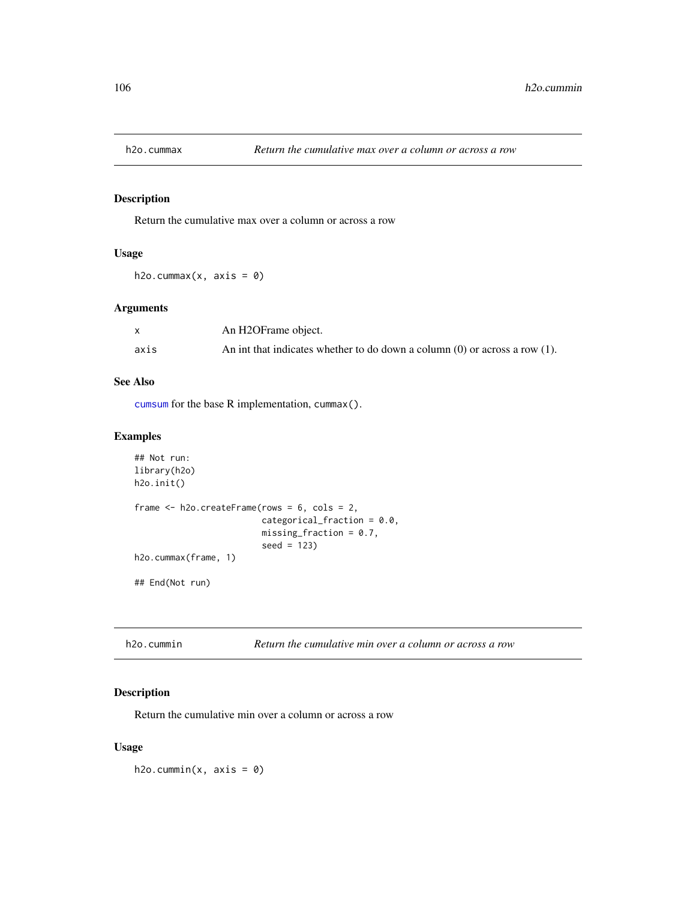## Description

Return the cumulative max over a column or across a row

### Usage

h2o.cummax(x,  $axis = 0$ )

### Arguments

|      | An H2OFrame object.                                                             |
|------|---------------------------------------------------------------------------------|
| axis | An int that indicates whether to do down a column $(0)$ or across a row $(1)$ . |

### See Also

[cumsum](#page-0-0) for the base R implementation, cummax().

## Examples

```
## Not run:
library(h2o)
h2o.init()
frame <- h2o.createFrame(rows = 6, cols = 2,
                         categorical_fraction = 0.0,
                         missing\_fraction = 0.7,
                         seed = 123)
h2o.cummax(frame, 1)
## End(Not run)
```

| h2o.cummin |  | Return the cumulative min over a column or across a row |
|------------|--|---------------------------------------------------------|
|------------|--|---------------------------------------------------------|

## Description

Return the cumulative min over a column or across a row

## Usage

 $h2o.cummin(x, axis = 0)$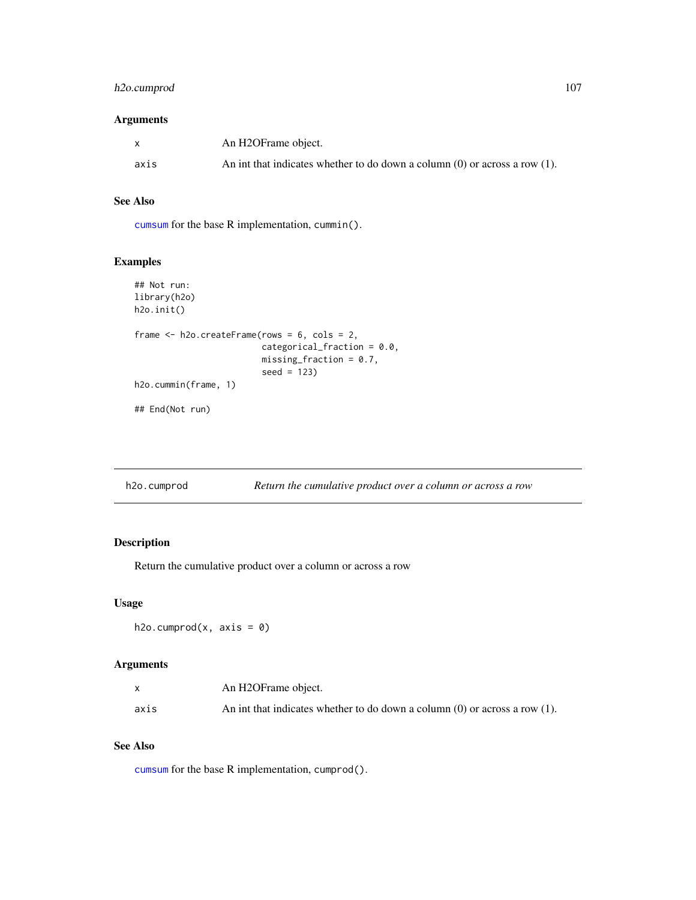## h2o.cumprod 107

## Arguments

|      | An H2OFrame object.                                                             |
|------|---------------------------------------------------------------------------------|
| axis | An int that indicates whether to do down a column $(0)$ or across a row $(1)$ . |

## See Also

[cumsum](#page-0-0) for the base R implementation, cummin().

# Examples

```
## Not run:
library(h2o)
h2o.init()
frame <- h2o.createFrame(rows = 6, cols = 2,
                         categorical_fraction = 0.0,
                         missing_fraction = 0.7,
                         seed = 123)
h2o.cummin(frame, 1)
## End(Not run)
```

| h2o.cumprod |  | Return the cumulative product over a column or across a row |  |  |
|-------------|--|-------------------------------------------------------------|--|--|
|-------------|--|-------------------------------------------------------------|--|--|

## Description

Return the cumulative product over a column or across a row

## Usage

```
h2o.cumprod(x, axis = 0)
```
#### Arguments

|      | An H2OFrame object.                                                             |
|------|---------------------------------------------------------------------------------|
| axis | An int that indicates whether to do down a column $(0)$ or across a row $(1)$ . |

# See Also

[cumsum](#page-0-0) for the base R implementation, cumprod().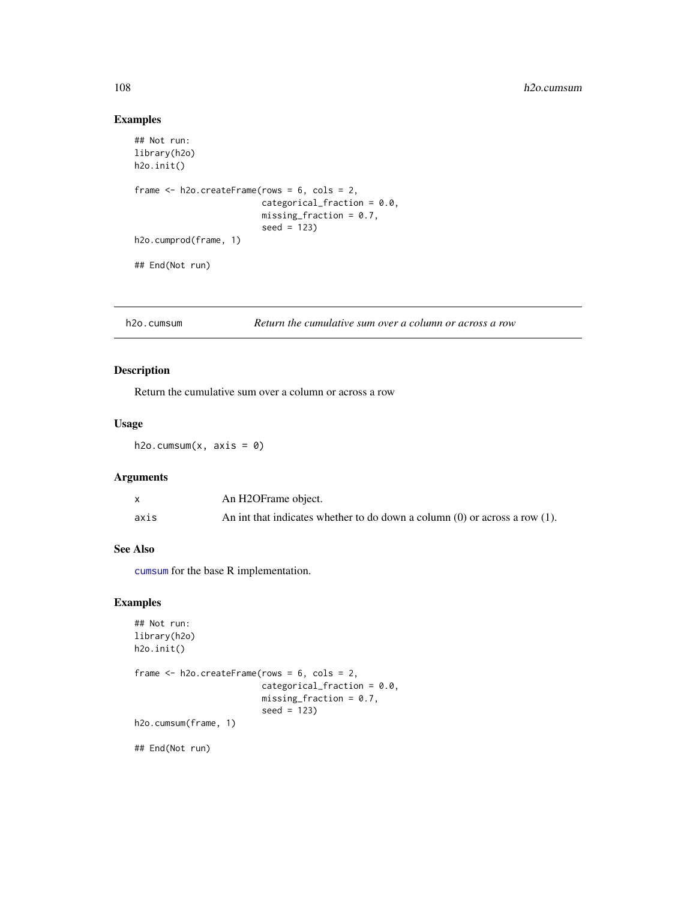### Examples

```
## Not run:
library(h2o)
h2o.init()
frame <- h2o.createFrame(rows = 6, cols = 2,
                         categorical_fraction = 0.0,
                         missing\_fraction = 0.7,
                         seed = 123h2o.cumprod(frame, 1)
## End(Not run)
```
h2o.cumsum *Return the cumulative sum over a column or across a row*

### Description

Return the cumulative sum over a column or across a row

#### Usage

h2o.cumsum $(x, axis = 0)$ 

### Arguments

|      | An H2OFrame object.                                                             |
|------|---------------------------------------------------------------------------------|
| axis | An int that indicates whether to do down a column $(0)$ or across a row $(1)$ . |

### See Also

[cumsum](#page-0-0) for the base R implementation.

#### Examples

```
## Not run:
library(h2o)
h2o.init()
frame <- h2o.createFrame(rows = 6, cols = 2,
                         categorical_fraction = 0.0,
                         missing_fraction = 0.7,
                         seed = 123)
h2o.cumsum(frame, 1)
## End(Not run)
```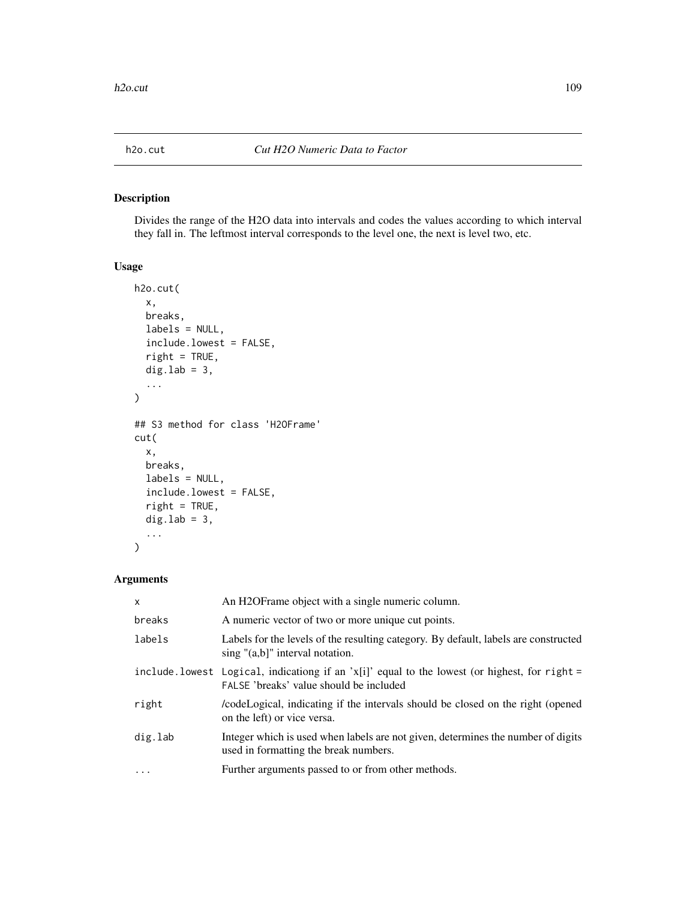## Description

Divides the range of the H2O data into intervals and codes the values according to which interval they fall in. The leftmost interval corresponds to the level one, the next is level two, etc.

#### Usage

```
h2o.cut(
  x,
 breaks,
  labels = NULL,
  include.lowest = FALSE,
  right = TRUE,dig.lab = 3,
  ...
)
## S3 method for class 'H2OFrame'
cut(
 x,
 breaks,
 labels = NULL,
  include.lowest = FALSE,
  right = TRUE,dig.lab = 3,
  ...
)
```
## Arguments

| X        | An H2OF rame object with a single numeric column.                                                                                         |
|----------|-------------------------------------------------------------------------------------------------------------------------------------------|
| breaks   | A numeric vector of two or more unique cut points.                                                                                        |
| labels   | Labels for the levels of the resulting category. By default, labels are constructed<br>sing "(a,b]" interval notation.                    |
|          | include. lowest Logical, indicationg if an 'x[i]' equal to the lowest (or highest, for right =<br>FALSE 'breaks' value should be included |
| right    | codeLogical, indicating if the intervals should be closed on the right (opened<br>on the left) or vice versa.                             |
| dig.lab  | Integer which is used when labels are not given, determines the number of digits<br>used in formatting the break numbers.                 |
| $\cdots$ | Further arguments passed to or from other methods.                                                                                        |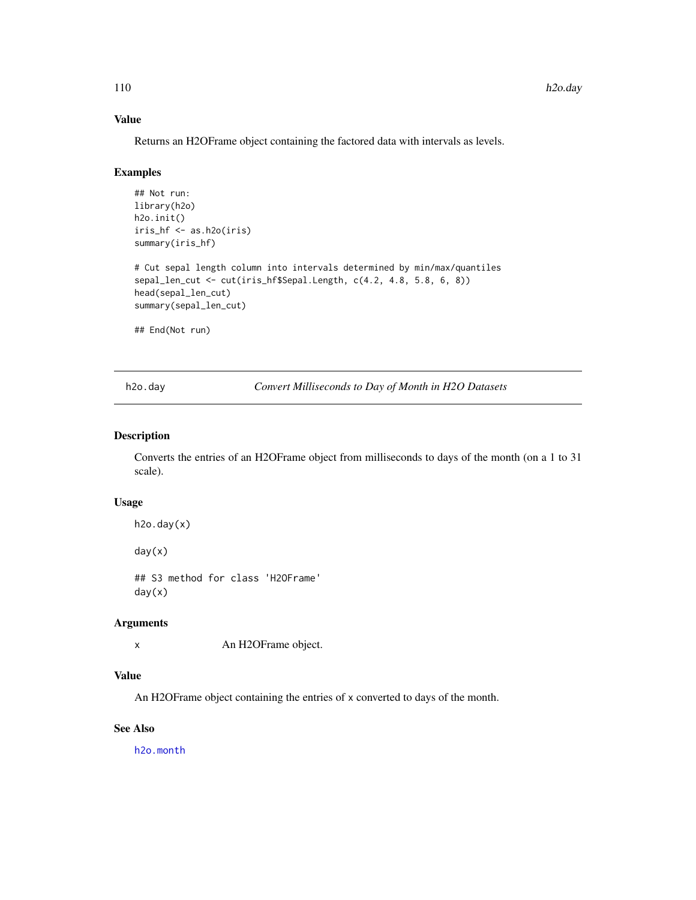## Value

Returns an H2OFrame object containing the factored data with intervals as levels.

#### Examples

```
## Not run:
library(h2o)
h2o.init()
iris_hf <- as.h2o(iris)
summary(iris_hf)
# Cut sepal length column into intervals determined by min/max/quantiles
sepal_len_cut <- cut(iris_hf$Sepal.Length, c(4.2, 4.8, 5.8, 6, 8))
head(sepal_len_cut)
summary(sepal_len_cut)
## End(Not run)
```
<span id="page-109-0"></span>h2o.day *Convert Milliseconds to Day of Month in H2O Datasets*

#### Description

Converts the entries of an H2OFrame object from milliseconds to days of the month (on a 1 to 31 scale).

## Usage

```
h2o.day(x)
```
day(x)

## S3 method for class 'H2OFrame' day(x)

#### Arguments

x An H2OFrame object.

## Value

An H2OFrame object containing the entries of x converted to days of the month.

## See Also

[h2o.month](#page-263-0)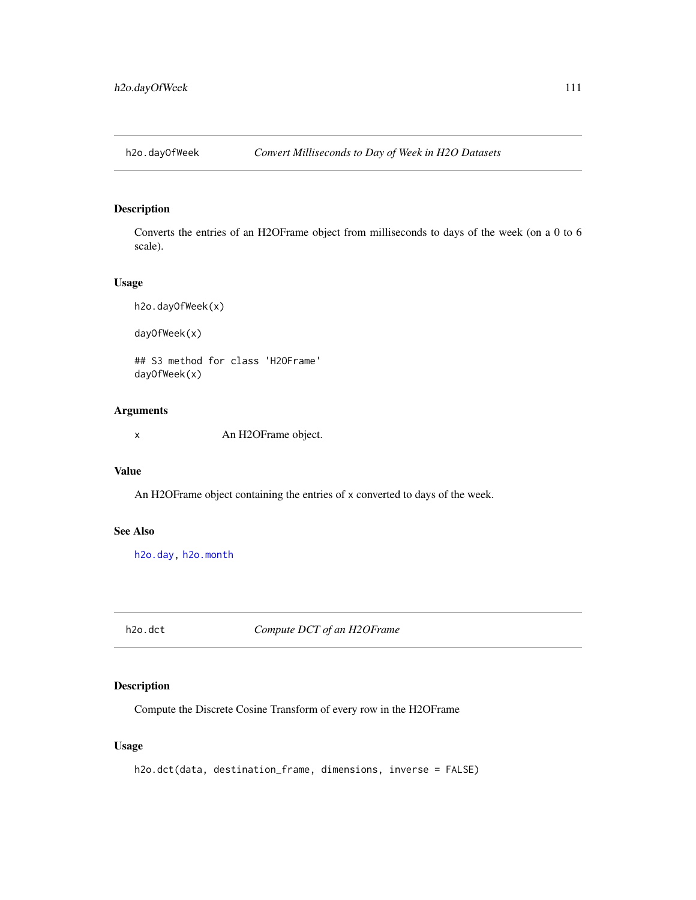## Description

Converts the entries of an H2OFrame object from milliseconds to days of the week (on a 0 to 6 scale).

#### Usage

h2o.dayOfWeek(x) dayOfWeek(x)

## S3 method for class 'H2OFrame' dayOfWeek(x)

#### Arguments

x An H2OFrame object.

#### Value

An H2OFrame object containing the entries of x converted to days of the week.

## See Also

[h2o.day,](#page-109-0) [h2o.month](#page-263-0)

h2o.dct *Compute DCT of an H2OFrame*

## Description

Compute the Discrete Cosine Transform of every row in the H2OFrame

## Usage

h2o.dct(data, destination\_frame, dimensions, inverse = FALSE)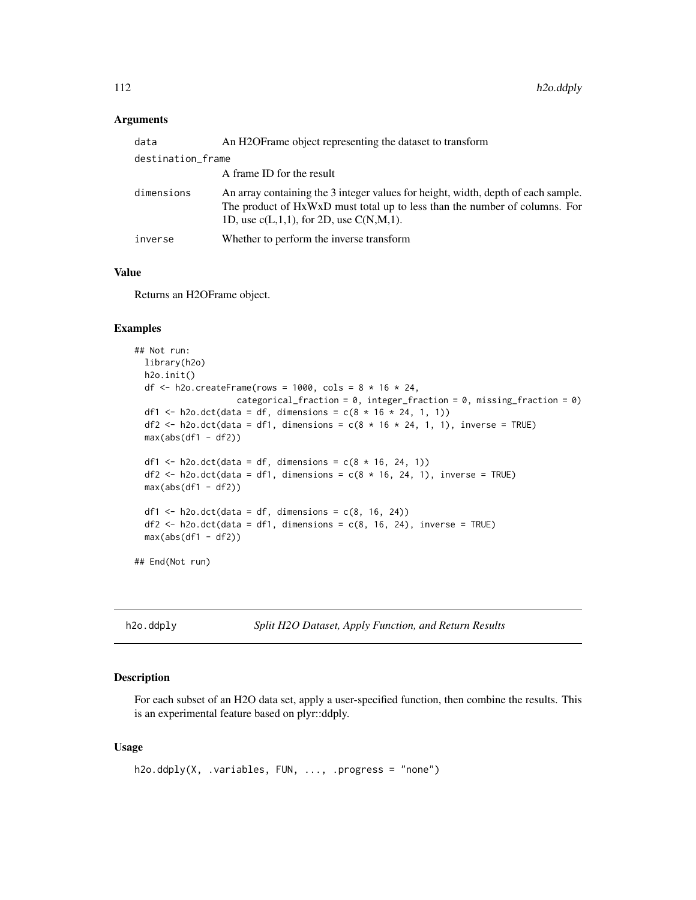| data              | An H2OF rame object representing the dataset to transform                                                                                                                                                        |  |
|-------------------|------------------------------------------------------------------------------------------------------------------------------------------------------------------------------------------------------------------|--|
| destination_frame |                                                                                                                                                                                                                  |  |
|                   | A frame ID for the result                                                                                                                                                                                        |  |
| dimensions        | An array containing the 3 integer values for height, width, depth of each sample.<br>The product of HxWxD must total up to less than the number of columns. For<br>1D, use $c(L,1,1)$ , for 2D, use $C(N,M,1)$ . |  |
| inverse           | Whether to perform the inverse transform                                                                                                                                                                         |  |

#### Value

Returns an H2OFrame object.

#### Examples

```
## Not run:
 library(h2o)
 h2o.init()
 df \le h2o.createFrame(rows = 1000, cols = 8 \star 16 \star 24,
                     categorical_fraction = 0, integer_fraction = 0, missing_fraction = 0)
 df1 <- h2o.dct(data = df, dimensions = c(8 * 16 * 24, 1, 1))
 df2 <- h2o.dct(data = df1, dimensions = c(8 * 16 * 24, 1, 1), inverse = TRUE)
 max(abs(df1 - df2))df1 <- h2o.dct(data = df, dimensions = c(8 * 16, 24, 1))
 df2 <- h2o.dct(data = df1, dimensions = c(8 * 16, 24, 1), inverse = TRUE)
 max(abs(df1 - df2))df1 <- h2o.dct(data = df, dimensions = c(8, 16, 24))
 df2 \leq -h2o. \det(\text{data} = df1, \text{ dimensions} = c(8, 16, 24), \text{ inverse} = TRUE)max(abs(df1 - df2))## End(Not run)
```
h2o.ddply *Split H2O Dataset, Apply Function, and Return Results*

#### Description

For each subset of an H2O data set, apply a user-specified function, then combine the results. This is an experimental feature based on plyr::ddply.

#### Usage

```
h2o.ddply(X, .variables, FUN, ..., .progress = "none")
```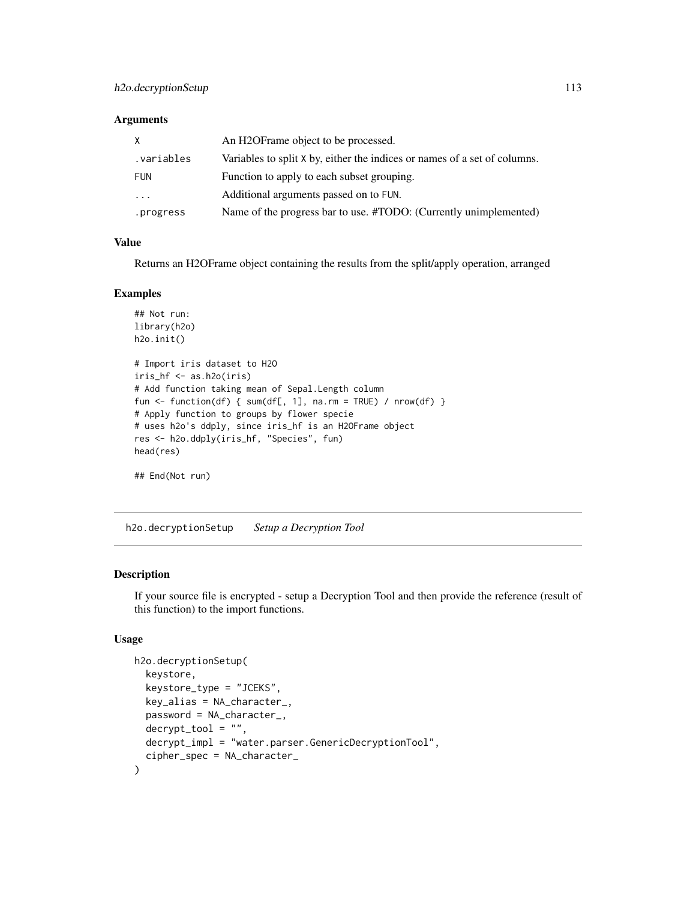| X          | An H2OF rame object to be processed.                                      |
|------------|---------------------------------------------------------------------------|
| .variables | Variables to split X by, either the indices or names of a set of columns. |
| FUN        | Function to apply to each subset grouping.                                |
| .          | Additional arguments passed on to FUN.                                    |
| .progress  | Name of the progress bar to use. #TODO: (Currently unimplemented)         |

#### Value

Returns an H2OFrame object containing the results from the split/apply operation, arranged

#### Examples

```
## Not run:
library(h2o)
h2o.init()
# Import iris dataset to H2O
iris_hf <- as.h2o(iris)
# Add function taking mean of Sepal.Length column
fun <- function(df) { sum(df[, 1], na.rm = TRUE) / nrow(df) }
# Apply function to groups by flower specie
# uses h2o's ddply, since iris_hf is an H2OFrame object
res <- h2o.ddply(iris_hf, "Species", fun)
head(res)
```
## End(Not run)

h2o.decryptionSetup *Setup a Decryption Tool*

## Description

If your source file is encrypted - setup a Decryption Tool and then provide the reference (result of this function) to the import functions.

#### Usage

```
h2o.decryptionSetup(
  keystore,
  keystore_type = "JCEKS",
  key\_alias = NA_{character_{-}}password = NA_character_,
  decrvpt\_tool = "".decrypt_impl = "water.parser.GenericDecryptionTool",
  cipher_spec = NA_character_
)
```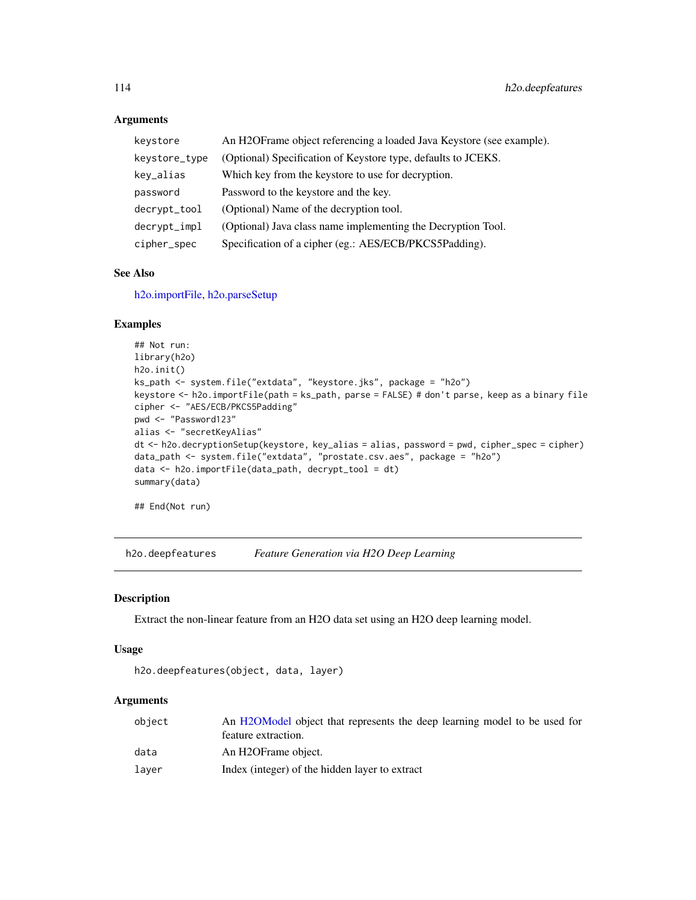| keystore      | An H2OFrame object referencing a loaded Java Keystore (see example). |  |
|---------------|----------------------------------------------------------------------|--|
| keystore_type | (Optional) Specification of Keystore type, defaults to JCEKS.        |  |
| key_alias     | Which key from the keystore to use for decryption.                   |  |
| password      | Password to the keystore and the key.                                |  |
| decrypt_tool  | (Optional) Name of the decryption tool.                              |  |
| decrypt_impl  | (Optional) Java class name implementing the Decryption Tool.         |  |
| cipher_spec   | Specification of a cipher (eg.: AES/ECB/PKCS5Padding).               |  |

#### See Also

[h2o.importFile,](#page-196-0) [h2o.parseSetup](#page-280-0)

## Examples

```
## Not run:
library(h2o)
h2o.init()
ks_path <- system.file("extdata", "keystore.jks", package = "h2o")
keystore <- h2o.importFile(path = ks_path, parse = FALSE) # don't parse, keep as a binary file
cipher <- "AES/ECB/PKCS5Padding"
pwd <- "Password123"
alias <- "secretKeyAlias"
dt <- h2o.decryptionSetup(keystore, key_alias = alias, password = pwd, cipher_spec = cipher)
data_path <- system.file("extdata", "prostate.csv.aes", package = "h2o")
data <- h2o.importFile(data_path, decrypt_tool = dt)
summary(data)
```
## End(Not run)

h2o.deepfeatures *Feature Generation via H2O Deep Learning*

#### Description

Extract the non-linear feature from an H2O data set using an H2O deep learning model.

#### Usage

```
h2o.deepfeatures(object, data, layer)
```
## Arguments

| object | An H2OModel object that represents the deep learning model to be used for |
|--------|---------------------------------------------------------------------------|
|        | feature extraction.                                                       |
| data   | An H2OFrame object.                                                       |
| laver  | Index (integer) of the hidden layer to extract                            |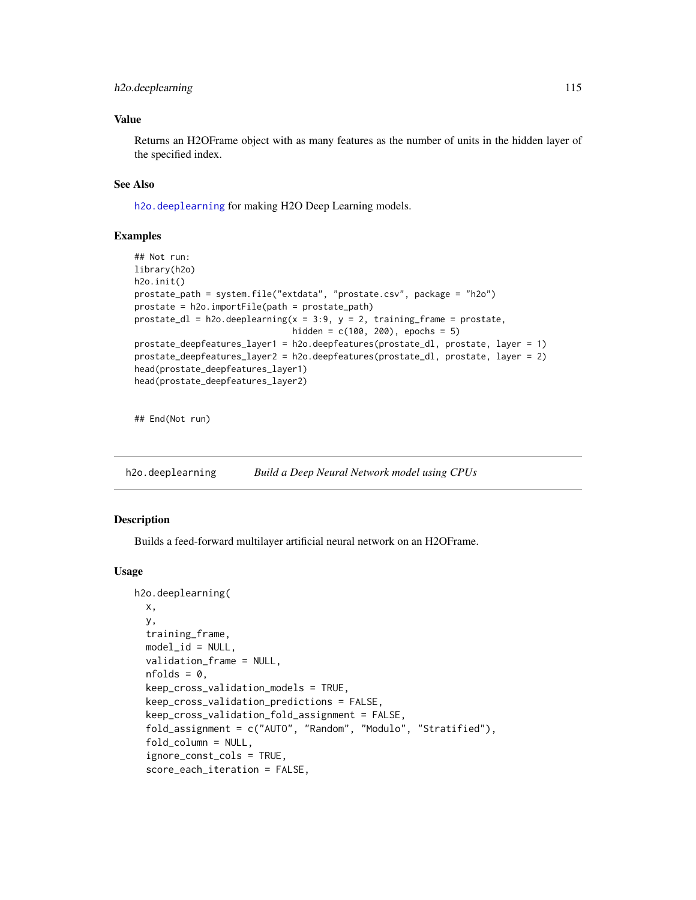## h2o.deeplearning 115

## Value

Returns an H2OFrame object with as many features as the number of units in the hidden layer of the specified index.

#### See Also

[h2o.deeplearning](#page-114-0) for making H2O Deep Learning models.

#### Examples

```
## Not run:
library(h2o)
h2o.init()
prostate_path = system.file("extdata", "prostate.csv", package = "h2o")
prostate = h2o.importFile(path = prostate_path)
prostate_dl = h2o.deeplearning(x = 3:9, y = 2, training_frame = prostate,
                               hidden = c(100, 200), epochs = 5)
prostate_deepfeatures_layer1 = h2o.deepfeatures(prostate_dl, prostate, layer = 1)
prostate_deepfeatures_layer2 = h2o.deepfeatures(prostate_dl, prostate, layer = 2)
head(prostate_deepfeatures_layer1)
head(prostate_deepfeatures_layer2)
```
## End(Not run)

<span id="page-114-0"></span>h2o.deeplearning *Build a Deep Neural Network model using CPUs*

#### Description

Builds a feed-forward multilayer artificial neural network on an H2OFrame.

#### Usage

```
h2o.deeplearning(
 x,
 y,
  training_frame,
 model_id = NULL,validation_frame = NULL,
  nfolds = 0,
  keep_cross_validation_models = TRUE,
  keep_cross_validation_predictions = FALSE,
  keep_cross_validation_fold_assignment = FALSE,
  fold_assignment = c("AUTO", "Random", "Modulo", "Stratified"),
  fold_column = NULL,
  ignore_const_cols = TRUE,
  score_each_iteration = FALSE,
```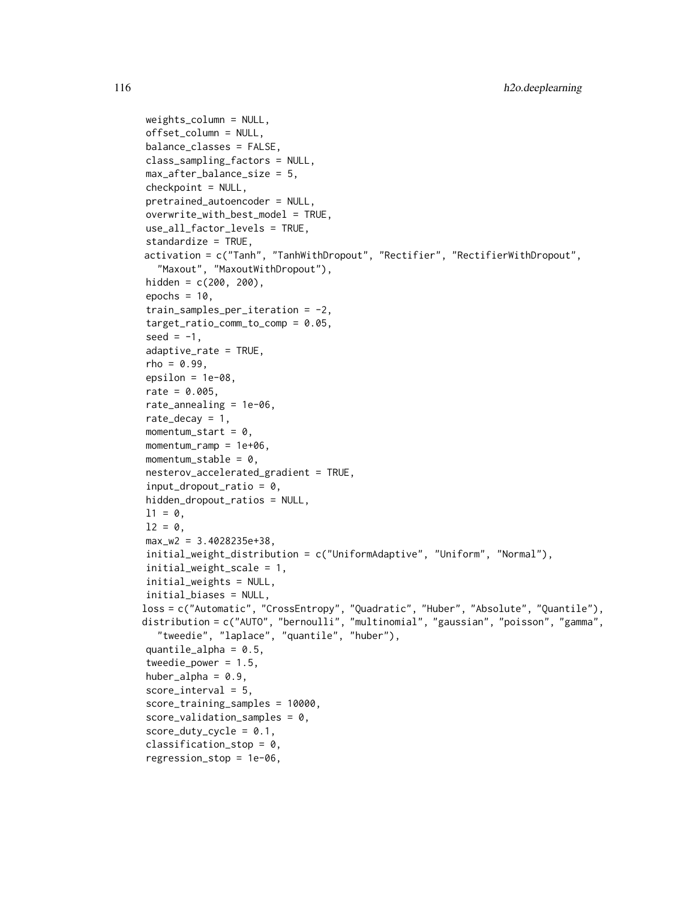```
weights_column = NULL,
offset_column = NULL,
balance_classes = FALSE,
class_sampling_factors = NULL,
max_after_balance_size = 5,
checkpoint = NULL,
pretrained_autoencoder = NULL,
overwrite\_with\_best\_model = TRUE,use_all_factor_levels = TRUE,
standardize = TRUE,
activation = c("Tanh", "TanhWithDropout", "Rectifier", "RectifierWithDropout",
  "Maxout", "MaxoutWithDropout"),
hidden = c(200, 200),
epochs = 10,
train_samples_per_iteration = -2,
target_ratio_comm_to_comp = 0.05,
seed = -1,
adaptive_rate = TRUE,
rho = 0.99.
epsilon = 1e-08.
rate = 0.005,rate_annealing = 1e-06,
rate_decay = 1,
momentum_start = 0,
momentum_ramp = 1e+06,
momentum_stable = 0,
nesterov_accelerated_gradient = TRUE,
input_dropout_ratio = 0,
hidden_dropout_ratios = NULL,
11 = 0,
12 = 0,
max_w2 = 3.4028235e+38,
initial_weight_distribution = c("UniformAdaptive", "Uniform", "Normal"),
initial_weight_scale = 1,
initial_weights = NULL,
initial_biases = NULL,
loss = c("Automatic", "CrossEntropy", "Quadratic", "Huber", "Absolute", "Quantile"),
distribution = c("AUTO", "bernoulli", "multinomial", "gaussian", "poisson", "gamma",
  "tweedie", "laplace", "quantile", "huber"),
quantile_alpha = 0.5,
tweedie_power = 1.5,
huber_alpha = 0.9,
score_interestval = 5,
score_training_samples = 10000,
score\_validation\_samples = 0,score\_duty\_cycle = 0.1,
classification_stop = 0,
regression_stop = 1e-06,
```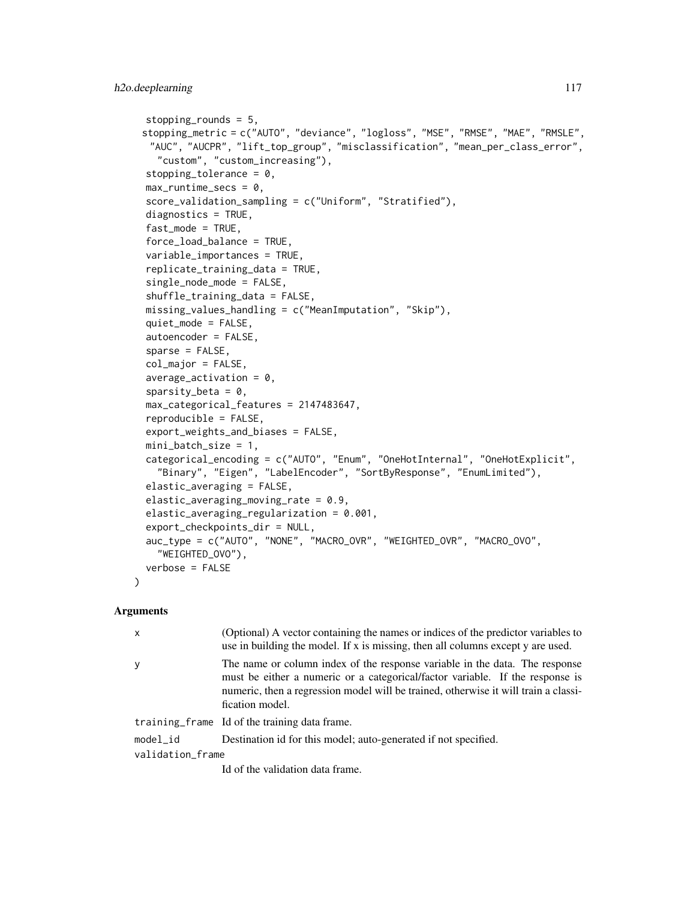```
stopping_rounds = 5,
stopping_metric = c("AUTO", "deviance", "logloss", "MSE", "RMSE", "MAE", "RMSLE",
 "AUC", "AUCPR", "lift_top_group", "misclassification", "mean_per_class_error",
  "custom", "custom_increasing"),
stopping_tolerance = 0,
max_runtime_secs = 0,
score_validation_sampling = c("Uniform", "Stratified"),
diagnostics = TRUE,
fast_model = TRUE,force_load_balance = TRUE,
variable_importances = TRUE,
replicate_training_data = TRUE,
single_node_mode = FALSE,
shuffle_training_data = FALSE,
missing_values_handling = c("MeanImputation", "Skip"),
quiet_mode = FALSE,
autoencoder = FALSE,
sparse = FALSE,col_major = FALSE,
average\_activation = 0,
sparsity_beta = 0,
max_categorical_features = 2147483647,
reproducible = FALSE,
export_weights_and_biases = FALSE,
mini_batch_size = 1,
categorical_encoding = c("AUTO", "Enum", "OneHotInternal", "OneHotExplicit",
  "Binary", "Eigen", "LabelEncoder", "SortByResponse", "EnumLimited"),
elastic_averaging = FALSE,
elastic_averaging_moving_rate = 0.9,
elastic_averaging_regularization = 0.001,
export_checkpoints_dir = NULL,
auc_type = c("AUTO", "NONE", "MACRO_OVR", "WEIGHTED_OVR", "MACRO_OVO",
  "WEIGHTED_OVO"),
verbose = FALSE
```
)

| $\mathsf{x}$     | (Optional) A vector containing the names or indices of the predictor variables to<br>use in building the model. If x is missing, then all columns except y are used.                                                                                                   |
|------------------|------------------------------------------------------------------------------------------------------------------------------------------------------------------------------------------------------------------------------------------------------------------------|
| y                | The name or column index of the response variable in the data. The response<br>must be either a numeric or a categorical/factor variable. If the response is<br>numeric, then a regression model will be trained, otherwise it will train a classi-<br>fication model. |
|                  | training frame Id of the training data frame.                                                                                                                                                                                                                          |
| $model_id$       | Destination id for this model; auto-generated if not specified.                                                                                                                                                                                                        |
| validation_frame |                                                                                                                                                                                                                                                                        |
|                  | Id of the validation data frame.                                                                                                                                                                                                                                       |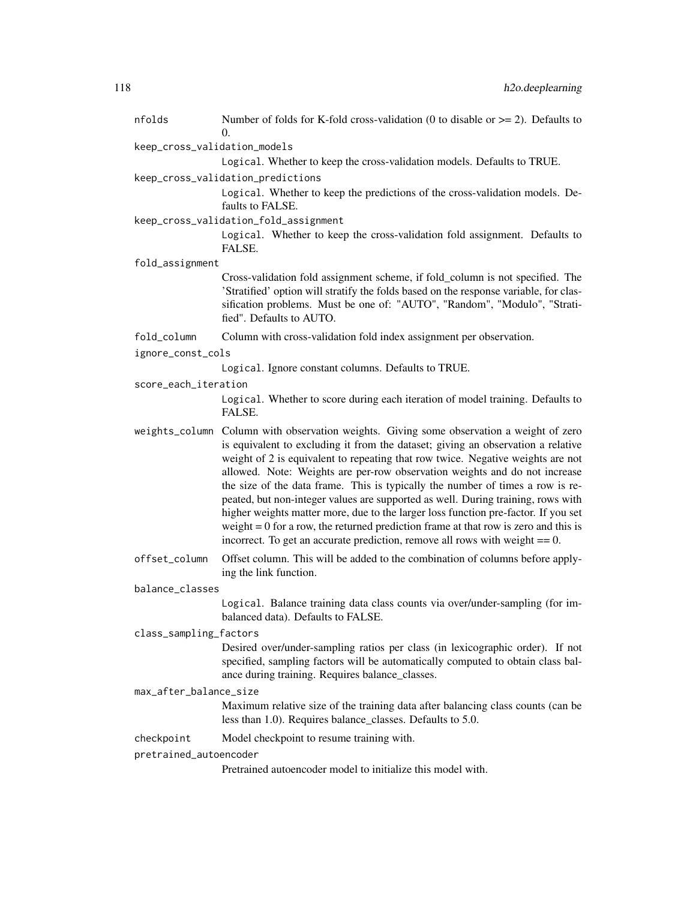| nfolds                       | Number of folds for K-fold cross-validation (0 to disable or $\geq$ = 2). Defaults to<br>0.                                                                                                                                                                                                                                                                                                                                                                                                                                                                                                                                                                                                                                                                                          |  |
|------------------------------|--------------------------------------------------------------------------------------------------------------------------------------------------------------------------------------------------------------------------------------------------------------------------------------------------------------------------------------------------------------------------------------------------------------------------------------------------------------------------------------------------------------------------------------------------------------------------------------------------------------------------------------------------------------------------------------------------------------------------------------------------------------------------------------|--|
| keep_cross_validation_models |                                                                                                                                                                                                                                                                                                                                                                                                                                                                                                                                                                                                                                                                                                                                                                                      |  |
|                              | Logical. Whether to keep the cross-validation models. Defaults to TRUE.                                                                                                                                                                                                                                                                                                                                                                                                                                                                                                                                                                                                                                                                                                              |  |
|                              | keep_cross_validation_predictions                                                                                                                                                                                                                                                                                                                                                                                                                                                                                                                                                                                                                                                                                                                                                    |  |
|                              | Logical. Whether to keep the predictions of the cross-validation models. De-<br>faults to FALSE.                                                                                                                                                                                                                                                                                                                                                                                                                                                                                                                                                                                                                                                                                     |  |
|                              | keep_cross_validation_fold_assignment                                                                                                                                                                                                                                                                                                                                                                                                                                                                                                                                                                                                                                                                                                                                                |  |
|                              | Logical. Whether to keep the cross-validation fold assignment. Defaults to<br>FALSE.                                                                                                                                                                                                                                                                                                                                                                                                                                                                                                                                                                                                                                                                                                 |  |
| fold_assignment              |                                                                                                                                                                                                                                                                                                                                                                                                                                                                                                                                                                                                                                                                                                                                                                                      |  |
|                              | Cross-validation fold assignment scheme, if fold_column is not specified. The<br>'Stratified' option will stratify the folds based on the response variable, for clas-<br>sification problems. Must be one of: "AUTO", "Random", "Modulo", "Strati-<br>fied". Defaults to AUTO.                                                                                                                                                                                                                                                                                                                                                                                                                                                                                                      |  |
| fold_column                  | Column with cross-validation fold index assignment per observation.                                                                                                                                                                                                                                                                                                                                                                                                                                                                                                                                                                                                                                                                                                                  |  |
| ignore_const_cols            |                                                                                                                                                                                                                                                                                                                                                                                                                                                                                                                                                                                                                                                                                                                                                                                      |  |
|                              | Logical. Ignore constant columns. Defaults to TRUE.                                                                                                                                                                                                                                                                                                                                                                                                                                                                                                                                                                                                                                                                                                                                  |  |
| score_each_iteration         |                                                                                                                                                                                                                                                                                                                                                                                                                                                                                                                                                                                                                                                                                                                                                                                      |  |
|                              | Logical. Whether to score during each iteration of model training. Defaults to<br>FALSE.                                                                                                                                                                                                                                                                                                                                                                                                                                                                                                                                                                                                                                                                                             |  |
|                              | weights_column Column with observation weights. Giving some observation a weight of zero<br>is equivalent to excluding it from the dataset; giving an observation a relative<br>weight of 2 is equivalent to repeating that row twice. Negative weights are not<br>allowed. Note: Weights are per-row observation weights and do not increase<br>the size of the data frame. This is typically the number of times a row is re-<br>peated, but non-integer values are supported as well. During training, rows with<br>higher weights matter more, due to the larger loss function pre-factor. If you set<br>weight $= 0$ for a row, the returned prediction frame at that row is zero and this is<br>incorrect. To get an accurate prediction, remove all rows with weight $== 0$ . |  |
| offset_column                | Offset column. This will be added to the combination of columns before apply-<br>ing the link function.                                                                                                                                                                                                                                                                                                                                                                                                                                                                                                                                                                                                                                                                              |  |
| balance_classes              |                                                                                                                                                                                                                                                                                                                                                                                                                                                                                                                                                                                                                                                                                                                                                                                      |  |
|                              | Logical. Balance training data class counts via over/under-sampling (for im-<br>balanced data). Defaults to FALSE.                                                                                                                                                                                                                                                                                                                                                                                                                                                                                                                                                                                                                                                                   |  |
| class_sampling_factors       |                                                                                                                                                                                                                                                                                                                                                                                                                                                                                                                                                                                                                                                                                                                                                                                      |  |
|                              | Desired over/under-sampling ratios per class (in lexicographic order). If not<br>specified, sampling factors will be automatically computed to obtain class bal-<br>ance during training. Requires balance_classes.                                                                                                                                                                                                                                                                                                                                                                                                                                                                                                                                                                  |  |
| max_after_balance_size       |                                                                                                                                                                                                                                                                                                                                                                                                                                                                                                                                                                                                                                                                                                                                                                                      |  |
|                              | Maximum relative size of the training data after balancing class counts (can be<br>less than 1.0). Requires balance_classes. Defaults to 5.0.                                                                                                                                                                                                                                                                                                                                                                                                                                                                                                                                                                                                                                        |  |
| checkpoint                   | Model checkpoint to resume training with.                                                                                                                                                                                                                                                                                                                                                                                                                                                                                                                                                                                                                                                                                                                                            |  |
| pretrained_autoencoder       |                                                                                                                                                                                                                                                                                                                                                                                                                                                                                                                                                                                                                                                                                                                                                                                      |  |
|                              | Pretrained autoencoder model to initialize this model with.                                                                                                                                                                                                                                                                                                                                                                                                                                                                                                                                                                                                                                                                                                                          |  |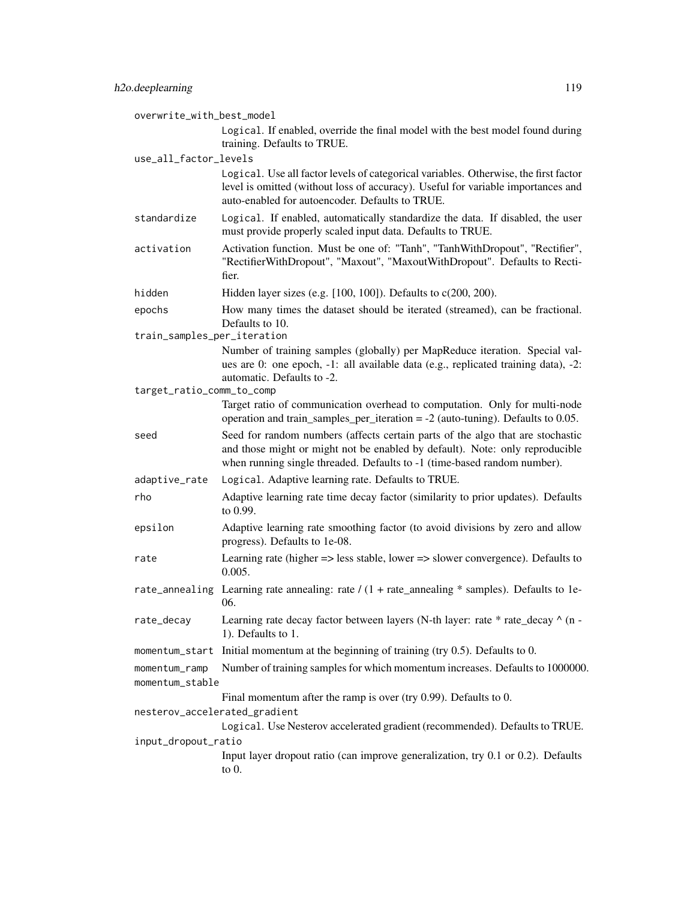| overwrite_with_best_model        |                                                                                                                                                                                                                                            |  |
|----------------------------------|--------------------------------------------------------------------------------------------------------------------------------------------------------------------------------------------------------------------------------------------|--|
|                                  | Logical. If enabled, override the final model with the best model found during<br>training. Defaults to TRUE.                                                                                                                              |  |
| use_all_factor_levels            |                                                                                                                                                                                                                                            |  |
|                                  | Logical. Use all factor levels of categorical variables. Otherwise, the first factor                                                                                                                                                       |  |
|                                  | level is omitted (without loss of accuracy). Useful for variable importances and<br>auto-enabled for autoencoder. Defaults to TRUE.                                                                                                        |  |
| standardize                      | Logical. If enabled, automatically standardize the data. If disabled, the user<br>must provide properly scaled input data. Defaults to TRUE.                                                                                               |  |
| activation                       | Activation function. Must be one of: "Tanh", "TanhWithDropout", "Rectifier",<br>"RectifierWithDropout", "Maxout", "MaxoutWithDropout". Defaults to Recti-<br>fier.                                                                         |  |
| hidden                           | Hidden layer sizes (e.g. $[100, 100]$ ). Defaults to $c(200, 200)$ .                                                                                                                                                                       |  |
| epochs                           | How many times the dataset should be iterated (streamed), can be fractional.<br>Defaults to 10.                                                                                                                                            |  |
| train_samples_per_iteration      |                                                                                                                                                                                                                                            |  |
|                                  | Number of training samples (globally) per MapReduce iteration. Special val-<br>ues are 0: one epoch, -1: all available data (e.g., replicated training data), -2:<br>automatic. Defaults to -2.                                            |  |
| target_ratio_comm_to_comp        |                                                                                                                                                                                                                                            |  |
|                                  | Target ratio of communication overhead to computation. Only for multi-node<br>operation and train_samples_per_iteration = $-2$ (auto-tuning). Defaults to 0.05.                                                                            |  |
| seed                             | Seed for random numbers (affects certain parts of the algo that are stochastic<br>and those might or might not be enabled by default). Note: only reproducible<br>when running single threaded. Defaults to -1 (time-based random number). |  |
| adaptive_rate                    | Logical. Adaptive learning rate. Defaults to TRUE.                                                                                                                                                                                         |  |
| rho                              | Adaptive learning rate time decay factor (similarity to prior updates). Defaults<br>to 0.99.                                                                                                                                               |  |
| epsilon                          | Adaptive learning rate smoothing factor (to avoid divisions by zero and allow<br>progress). Defaults to 1e-08.                                                                                                                             |  |
| rate                             | Learning rate (higher $\Rightarrow$ less stable, lower $\Rightarrow$ slower convergence). Defaults to<br>0.005.                                                                                                                            |  |
| rate_annealing                   | Learning rate annealing: rate $/(1 + \text{rate\_annealing} * \text{samples})$ . Defaults to 1e-<br>06.                                                                                                                                    |  |
| rate_decay                       | Learning rate decay factor between layers (N-th layer: rate * rate_decay ^ (n -<br>1). Defaults to 1.                                                                                                                                      |  |
| momentum_start                   | Initial momentum at the beginning of training (try $0.5$ ). Defaults to $0.$                                                                                                                                                               |  |
| momentum_ramp<br>momentum_stable | Number of training samples for which momentum increases. Defaults to 1000000.                                                                                                                                                              |  |
|                                  | Final momentum after the ramp is over (try $0.99$ ). Defaults to $0$ .                                                                                                                                                                     |  |
| nesterov_accelerated_gradient    |                                                                                                                                                                                                                                            |  |
| input_dropout_ratio              | Logical. Use Nesterov accelerated gradient (recommended). Defaults to TRUE.                                                                                                                                                                |  |
|                                  | Input layer dropout ratio (can improve generalization, try 0.1 or 0.2). Defaults<br>to $0$ .                                                                                                                                               |  |
|                                  |                                                                                                                                                                                                                                            |  |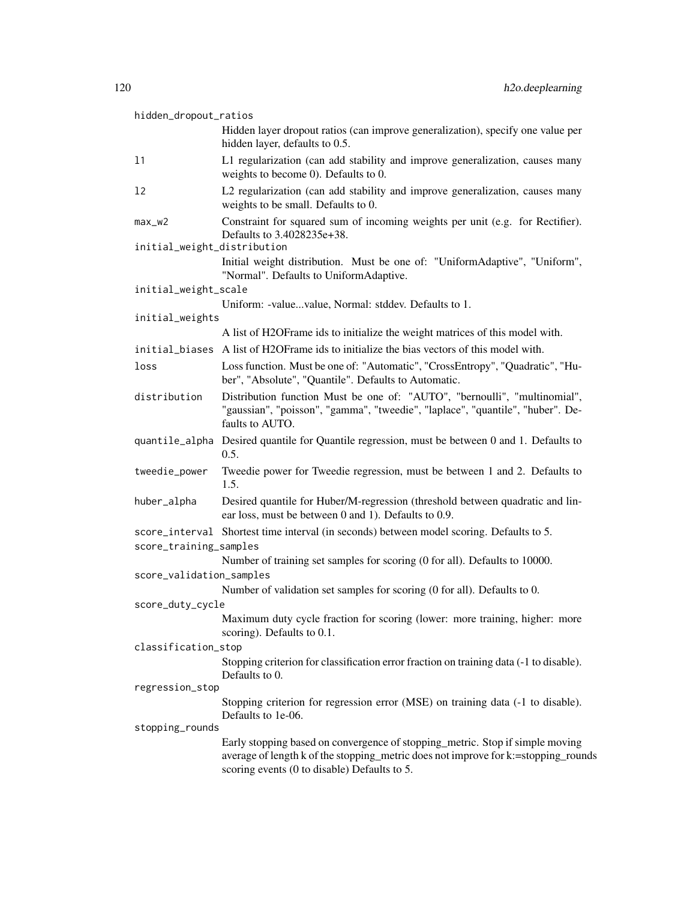| hidden_dropout_ratios       |                                                                                                                                                                                                                     |
|-----------------------------|---------------------------------------------------------------------------------------------------------------------------------------------------------------------------------------------------------------------|
|                             | Hidden layer dropout ratios (can improve generalization), specify one value per<br>hidden layer, defaults to 0.5.                                                                                                   |
| 11                          | L1 regularization (can add stability and improve generalization, causes many<br>weights to become 0). Defaults to 0.                                                                                                |
| 12                          | L2 regularization (can add stability and improve generalization, causes many<br>weights to be small. Defaults to 0.                                                                                                 |
| $max_w2$                    | Constraint for squared sum of incoming weights per unit (e.g. for Rectifier).<br>Defaults to 3.4028235e+38.                                                                                                         |
| initial_weight_distribution |                                                                                                                                                                                                                     |
|                             | Initial weight distribution. Must be one of: "UniformAdaptive", "Uniform",<br>"Normal". Defaults to UniformAdaptive.                                                                                                |
| initial_weight_scale        |                                                                                                                                                                                                                     |
| initial_weights             | Uniform: -valuevalue, Normal: stddev. Defaults to 1.                                                                                                                                                                |
|                             | A list of H2OF rame ids to initialize the weight matrices of this model with.                                                                                                                                       |
|                             | initial_biases A list of H2OFrame ids to initialize the bias vectors of this model with.                                                                                                                            |
|                             |                                                                                                                                                                                                                     |
| loss                        | Loss function. Must be one of: "Automatic", "CrossEntropy", "Quadratic", "Hu-<br>ber", "Absolute", "Quantile". Defaults to Automatic.                                                                               |
| distribution                | Distribution function Must be one of: "AUTO", "bernoulli", "multinomial",<br>"gaussian", "poisson", "gamma", "tweedie", "laplace", "quantile", "huber". De-<br>faults to AUTO.                                      |
|                             | quantile_alpha Desired quantile for Quantile regression, must be between 0 and 1. Defaults to<br>0.5.                                                                                                               |
| tweedie_power               | Tweedie power for Tweedie regression, must be between 1 and 2. Defaults to<br>1.5.                                                                                                                                  |
| huber_alpha                 | Desired quantile for Huber/M-regression (threshold between quadratic and lin-<br>ear loss, must be between 0 and 1). Defaults to 0.9.                                                                               |
| score_training_samples      | score_interval Shortest time interval (in seconds) between model scoring. Defaults to 5.                                                                                                                            |
|                             | Number of training set samples for scoring (0 for all). Defaults to 10000.                                                                                                                                          |
| score_validation_samples    |                                                                                                                                                                                                                     |
|                             | Number of validation set samples for scoring (0 for all). Defaults to 0.                                                                                                                                            |
| score_duty_cycle            |                                                                                                                                                                                                                     |
|                             | Maximum duty cycle fraction for scoring (lower: more training, higher: more<br>scoring). Defaults to 0.1.                                                                                                           |
| classification_stop         |                                                                                                                                                                                                                     |
|                             | Stopping criterion for classification error fraction on training data (-1 to disable).<br>Defaults to 0.                                                                                                            |
| regression_stop             |                                                                                                                                                                                                                     |
|                             | Stopping criterion for regression error (MSE) on training data (-1 to disable).<br>Defaults to 1e-06.                                                                                                               |
| stopping_rounds             |                                                                                                                                                                                                                     |
|                             | Early stopping based on convergence of stopping_metric. Stop if simple moving<br>average of length k of the stopping_metric does not improve for k:=stopping_rounds<br>scoring events (0 to disable) Defaults to 5. |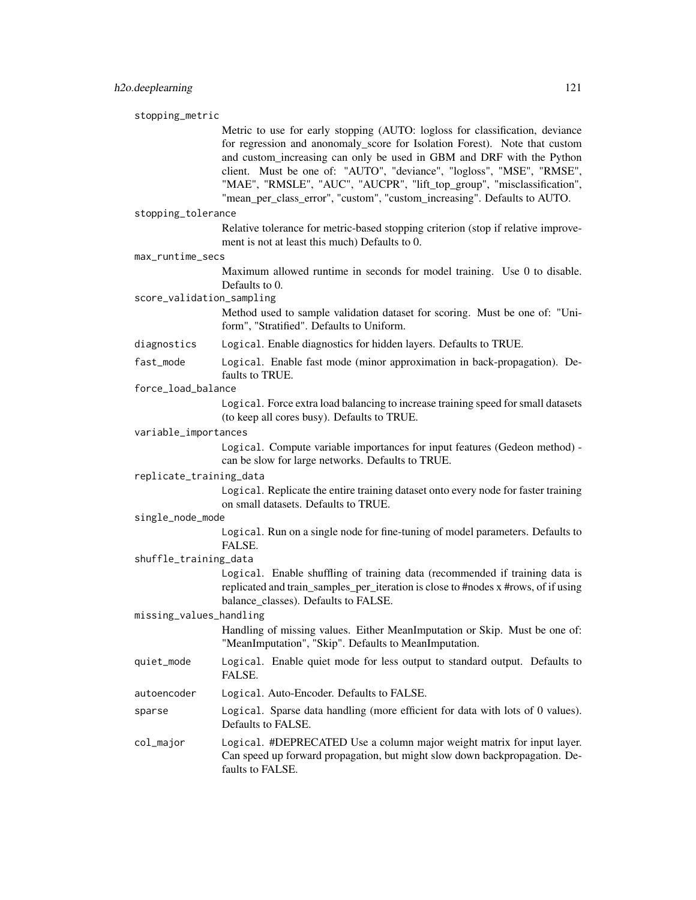stopping\_metric

Metric to use for early stopping (AUTO: logloss for classification, deviance for regression and anonomaly\_score for Isolation Forest). Note that custom and custom increasing can only be used in GBM and DRF with the Python client. Must be one of: "AUTO", "deviance", "logloss", "MSE", "RMSE", "MAE", "RMSLE", "AUC", "AUCPR", "lift\_top\_group", "misclassification", "mean\_per\_class\_error", "custom", "custom\_increasing". Defaults to AUTO.

stopping\_tolerance

Relative tolerance for metric-based stopping criterion (stop if relative improvement is not at least this much) Defaults to 0.

max\_runtime\_secs

Maximum allowed runtime in seconds for model training. Use 0 to disable. Defaults to 0.

score\_validation\_sampling

Method used to sample validation dataset for scoring. Must be one of: "Uniform", "Stratified". Defaults to Uniform.

diagnostics Logical. Enable diagnostics for hidden layers. Defaults to TRUE.

fast\_mode Logical. Enable fast mode (minor approximation in back-propagation). Defaults to TRUE.

force\_load\_balance

Logical. Force extra load balancing to increase training speed for small datasets (to keep all cores busy). Defaults to TRUE.

variable\_importances

Logical. Compute variable importances for input features (Gedeon method) can be slow for large networks. Defaults to TRUE.

replicate\_training\_data

Logical. Replicate the entire training dataset onto every node for faster training on small datasets. Defaults to TRUE.

single\_node\_mode

Logical. Run on a single node for fine-tuning of model parameters. Defaults to FALSE.

shuffle\_training\_data

Logical. Enable shuffling of training data (recommended if training data is replicated and train\_samples\_per\_iteration is close to #nodes x #rows, of if using balance\_classes). Defaults to FALSE.

missing\_values\_handling

Handling of missing values. Either MeanImputation or Skip. Must be one of: "MeanImputation", "Skip". Defaults to MeanImputation.

- quiet\_mode Logical. Enable quiet mode for less output to standard output. Defaults to FALSE.
- autoencoder Logical. Auto-Encoder. Defaults to FALSE.
- sparse Logical. Sparse data handling (more efficient for data with lots of 0 values). Defaults to FALSE.

col\_major Logical. #DEPRECATED Use a column major weight matrix for input layer. Can speed up forward propagation, but might slow down backpropagation. Defaults to FALSE.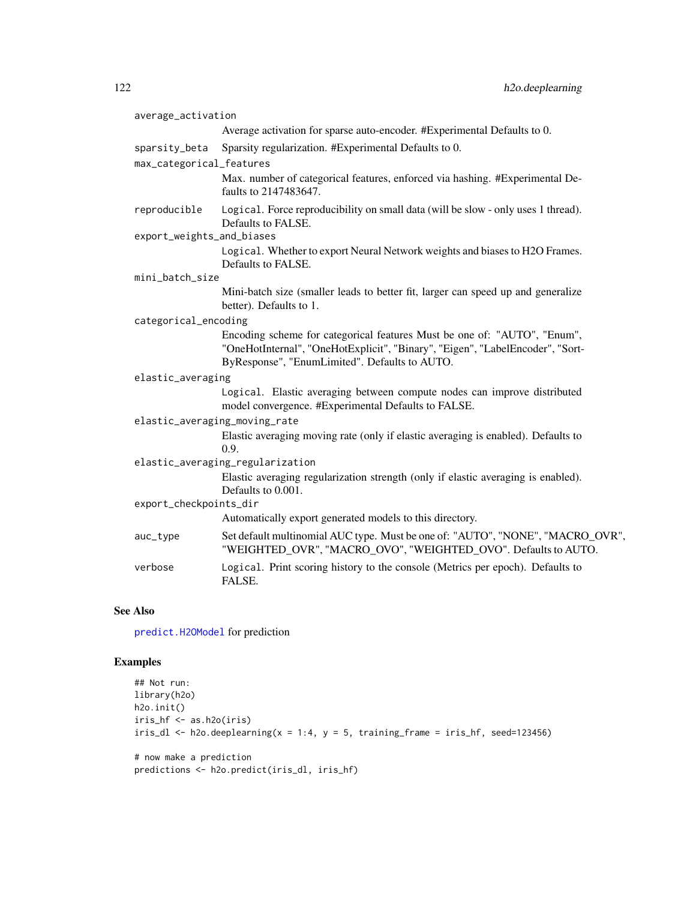| average_activation                        |                                                                                                                                                                                                            |
|-------------------------------------------|------------------------------------------------------------------------------------------------------------------------------------------------------------------------------------------------------------|
|                                           | Average activation for sparse auto-encoder. #Experimental Defaults to 0.                                                                                                                                   |
| sparsity_beta<br>max_categorical_features | Sparsity regularization. #Experimental Defaults to 0.                                                                                                                                                      |
|                                           | Max. number of categorical features, enforced via hashing. #Experimental De-<br>faults to 2147483647.                                                                                                      |
| reproducible                              | Logical. Force reproducibility on small data (will be slow - only uses 1 thread).<br>Defaults to FALSE.                                                                                                    |
| export_weights_and_biases                 |                                                                                                                                                                                                            |
|                                           | Logical. Whether to export Neural Network weights and biases to H2O Frames.<br>Defaults to FALSE.                                                                                                          |
| mini_batch_size                           |                                                                                                                                                                                                            |
|                                           | Mini-batch size (smaller leads to better fit, larger can speed up and generalize<br>better). Defaults to 1.                                                                                                |
| categorical_encoding                      |                                                                                                                                                                                                            |
|                                           | Encoding scheme for categorical features Must be one of: "AUTO", "Enum",<br>"OneHotInternal", "OneHotExplicit", "Binary", "Eigen", "LabelEncoder", "Sort-<br>ByResponse", "EnumLimited". Defaults to AUTO. |
| elastic_averaging                         |                                                                                                                                                                                                            |
|                                           | Logical. Elastic averaging between compute nodes can improve distributed<br>model convergence. #Experimental Defaults to FALSE.                                                                            |
| elastic_averaging_moving_rate             |                                                                                                                                                                                                            |
|                                           | Elastic averaging moving rate (only if elastic averaging is enabled). Defaults to<br>0.9.                                                                                                                  |
|                                           | elastic_averaging_regularization                                                                                                                                                                           |
|                                           | Elastic averaging regularization strength (only if elastic averaging is enabled).<br>Defaults to 0.001.                                                                                                    |
| export_checkpoints_dir                    |                                                                                                                                                                                                            |
|                                           | Automatically export generated models to this directory.                                                                                                                                                   |
| auc_type                                  | Set default multinomial AUC type. Must be one of: "AUTO", "NONE", "MACRO_OVR",<br>"WEIGHTED_OVR", "MACRO_OVO", "WEIGHTED_OVO". Defaults to AUTO.                                                           |
| verbose                                   | Logical. Print scoring history to the console (Metrics per epoch). Defaults to<br>FALSE.                                                                                                                   |

## See Also

[predict.H2OModel](#page-432-0) for prediction

## Examples

```
## Not run:
library(h2o)
h2o.init()
iris_hf <- as.h2o(iris)
iris_d1 <- h2o.deeplearning(x = 1:4, y = 5, training_frame = iris_hf, seed=123456)
# now make a prediction
predictions <- h2o.predict(iris_dl, iris_hf)
```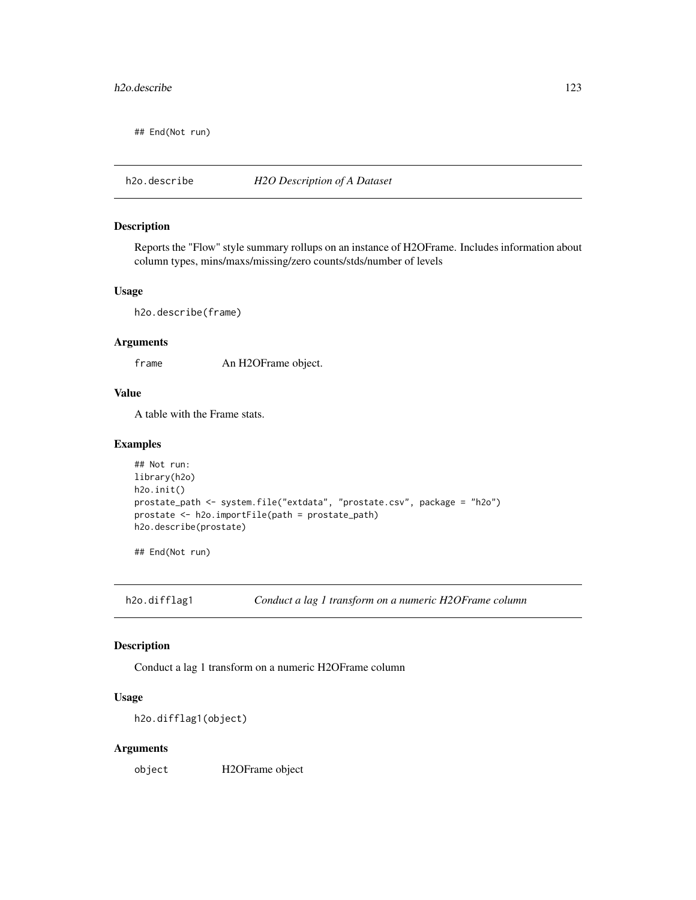#### h2o.describe 123

## End(Not run)

h2o.describe *H2O Description of A Dataset*

#### Description

Reports the "Flow" style summary rollups on an instance of H2OFrame. Includes information about column types, mins/maxs/missing/zero counts/stds/number of levels

#### Usage

h2o.describe(frame)

#### Arguments

frame An H2OFrame object.

#### Value

A table with the Frame stats.

#### Examples

```
## Not run:
library(h2o)
h2o.init()
prostate_path <- system.file("extdata", "prostate.csv", package = "h2o")
prostate <- h2o.importFile(path = prostate_path)
h2o.describe(prostate)
```
## End(Not run)

h2o.difflag1 *Conduct a lag 1 transform on a numeric H2OFrame column*

#### Description

Conduct a lag 1 transform on a numeric H2OFrame column

#### Usage

h2o.difflag1(object)

#### Arguments

object H2OFrame object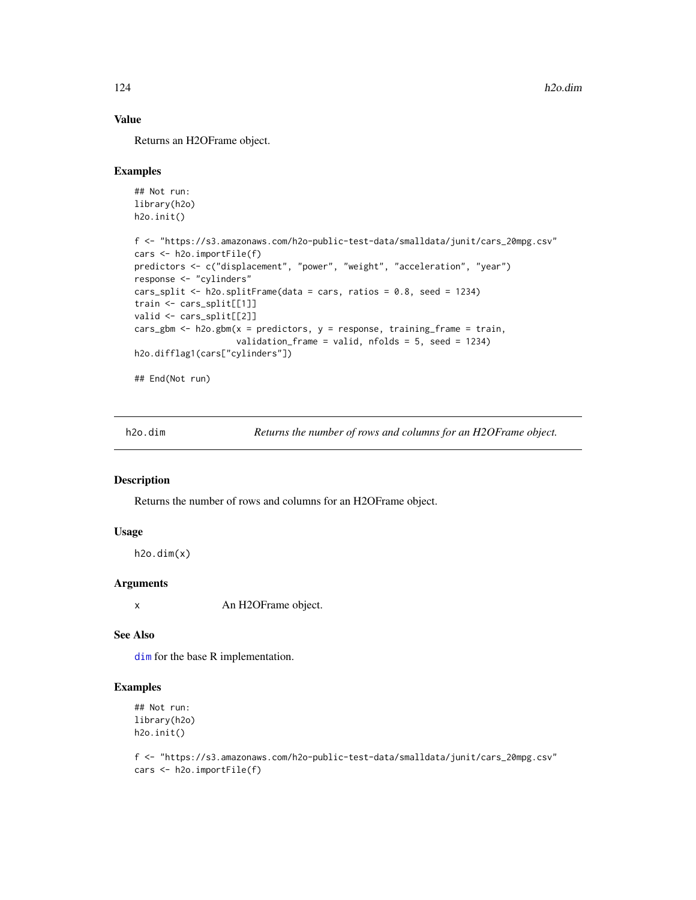## Value

Returns an H2OFrame object.

#### Examples

```
## Not run:
library(h2o)
h2o.init()
f <- "https://s3.amazonaws.com/h2o-public-test-data/smalldata/junit/cars_20mpg.csv"
cars <- h2o.importFile(f)
predictors <- c("displacement", "power", "weight", "acceleration", "year")
response <- "cylinders"
cars_split <- h2o.splitFrame(data = cars, ratios = 0.8, seed = 1234)
train <- cars_split[[1]]
valid <- cars_split[[2]]
cars_gbm <- h2o.gbm(x = predictors, y = response, training_frame = train,
                    validation_frame = valid, nfolds = 5, seed = 1234)
h2o.difflag1(cars["cylinders"])
## End(Not run)
```
h2o.dim *Returns the number of rows and columns for an H2OFrame object.*

## Description

Returns the number of rows and columns for an H2OFrame object.

## Usage

 $h2o.dim(x)$ 

#### Arguments

x An H2OFrame object.

#### See Also

[dim](#page-0-0) for the base R implementation.

#### Examples

```
## Not run:
library(h2o)
h2o.init()
```
f <- "https://s3.amazonaws.com/h2o-public-test-data/smalldata/junit/cars\_20mpg.csv" cars <- h2o.importFile(f)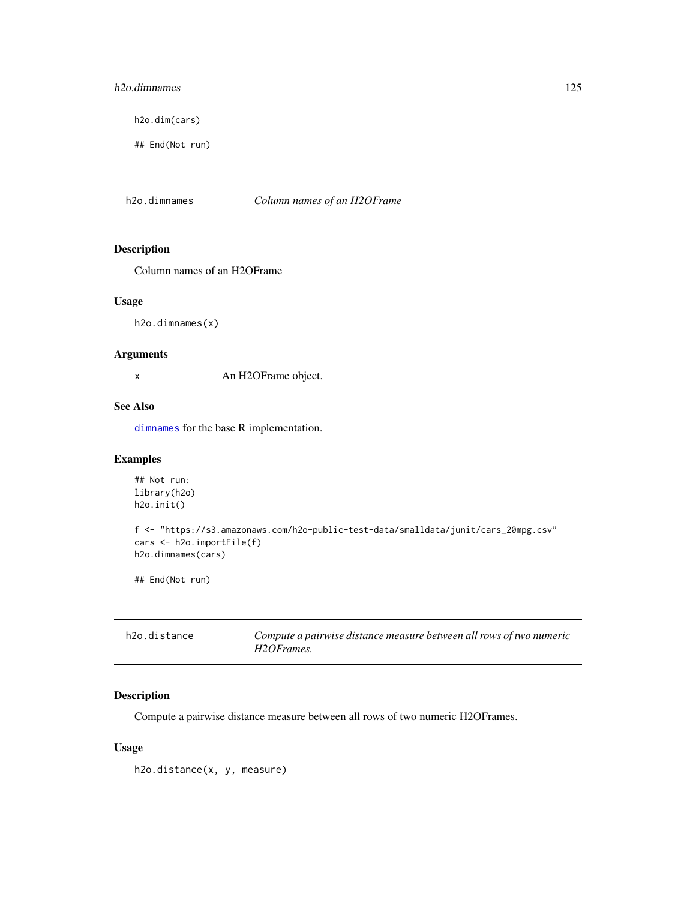## h2o.dimnames 125

h2o.dim(cars)

## End(Not run)

h2o.dimnames *Column names of an H2OFrame*

## Description

Column names of an H2OFrame

#### Usage

h2o.dimnames(x)

#### Arguments

x An H2OFrame object.

## See Also

[dimnames](#page-0-0) for the base R implementation.

## Examples

```
## Not run:
library(h2o)
h2o.init()
f <- "https://s3.amazonaws.com/h2o-public-test-data/smalldata/junit/cars_20mpg.csv"
cars <- h2o.importFile(f)
h2o.dimnames(cars)
```
## End(Not run)

| h2o.distance | Compute a pairwise distance measure between all rows of two numeric |
|--------------|---------------------------------------------------------------------|
|              | H2OFrames.                                                          |

## Description

Compute a pairwise distance measure between all rows of two numeric H2OFrames.

## Usage

h2o.distance(x, y, measure)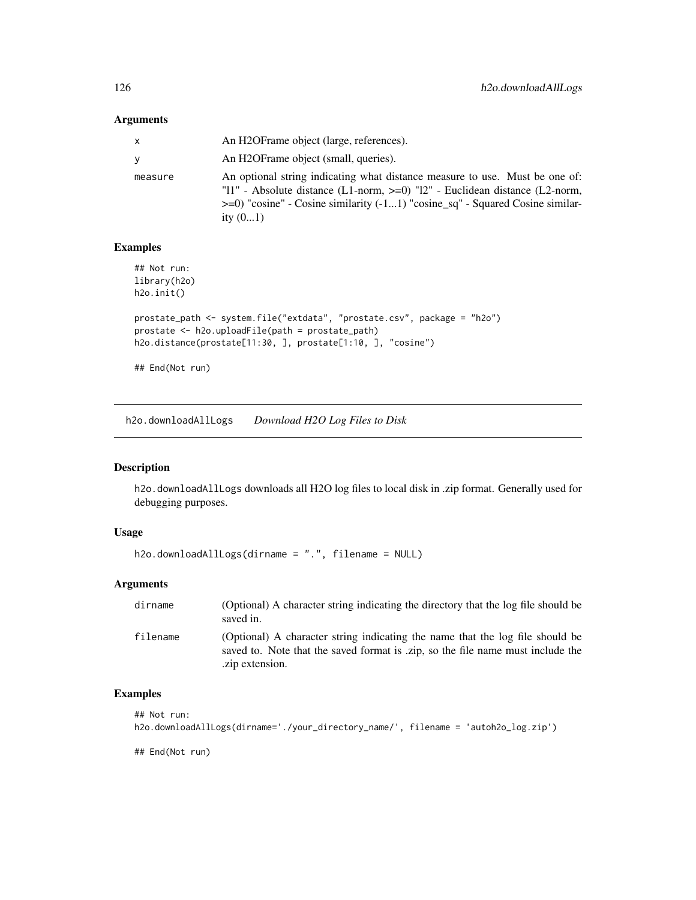| x       | An H2OFrame object (large, references).                                                                                                                                                                                                                           |
|---------|-------------------------------------------------------------------------------------------------------------------------------------------------------------------------------------------------------------------------------------------------------------------|
| V       | An H2OFrame object (small, queries).                                                                                                                                                                                                                              |
| measure | An optional string indicating what distance measure to use. Must be one of:<br>"11" - Absolute distance (L1-norm, $>=0$ ) "12" - Euclidean distance (L2-norm,<br>$\ge$ =0) "cosine" - Cosine similarity (-11) "cosine_sq" - Squared Cosine similar-<br>ity $(01)$ |

## Examples

```
## Not run:
library(h2o)
h2o.init()
prostate_path <- system.file("extdata", "prostate.csv", package = "h2o")
prostate <- h2o.uploadFile(path = prostate_path)
h2o.distance(prostate[11:30, ], prostate[1:10, ], "cosine")
```
## End(Not run)

h2o.downloadAllLogs *Download H2O Log Files to Disk*

## Description

h2o.downloadAllLogs downloads all H2O log files to local disk in .zip format. Generally used for debugging purposes.

## Usage

```
h2o.downloadAllLogs(dirname = ".", filename = NULL)
```
## Arguments

| dirname  | (Optional) A character string indicating the directory that the log file should be<br>saved in.                                                                                     |
|----------|-------------------------------------------------------------------------------------------------------------------------------------------------------------------------------------|
| filename | (Optional) A character string indicating the name that the log file should be<br>saved to. Note that the saved format is .zip, so the file name must include the<br>.zip extension. |

## Examples

```
## Not run:
h2o.downloadAllLogs(dirname='./your_directory_name/', filename = 'autoh2o_log.zip')
```
## End(Not run)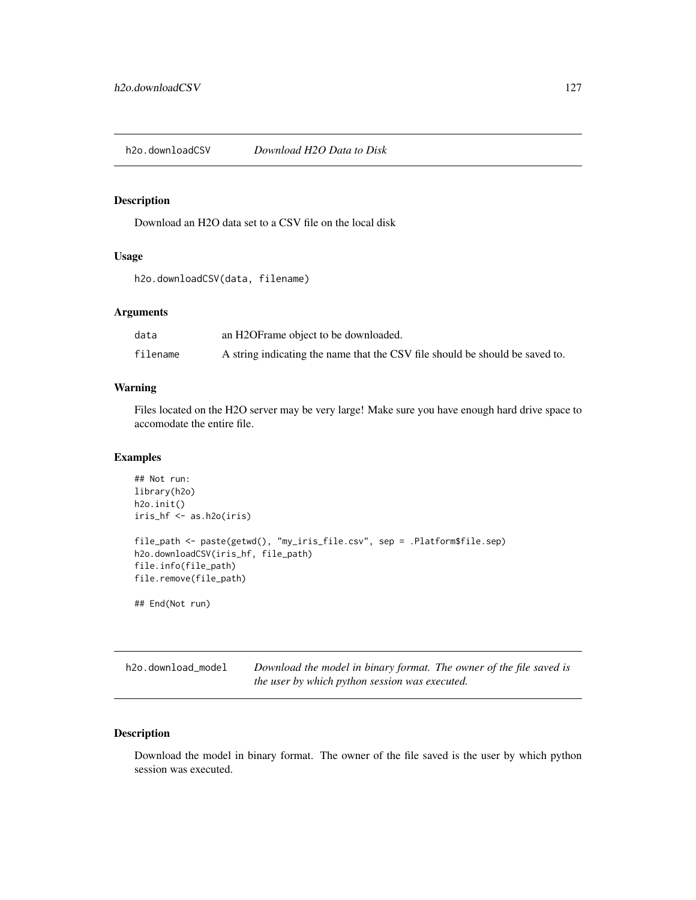h2o.downloadCSV *Download H2O Data to Disk*

## Description

Download an H2O data set to a CSV file on the local disk

## Usage

h2o.downloadCSV(data, filename)

## Arguments

| data     | an H2OFrame object to be downloaded.                                         |
|----------|------------------------------------------------------------------------------|
| filename | A string indicating the name that the CSV file should be should be saved to. |

## Warning

Files located on the H2O server may be very large! Make sure you have enough hard drive space to accomodate the entire file.

#### Examples

```
## Not run:
library(h2o)
h2o.init()
iris_hf <- as.h2o(iris)
file_path <- paste(getwd(), "my_iris_file.csv", sep = .Platform$file.sep)
h2o.downloadCSV(iris_hf, file_path)
file.info(file_path)
file.remove(file_path)
```
## End(Not run)

h2o.download\_model *Download the model in binary format. The owner of the file saved is the user by which python session was executed.*

## Description

Download the model in binary format. The owner of the file saved is the user by which python session was executed.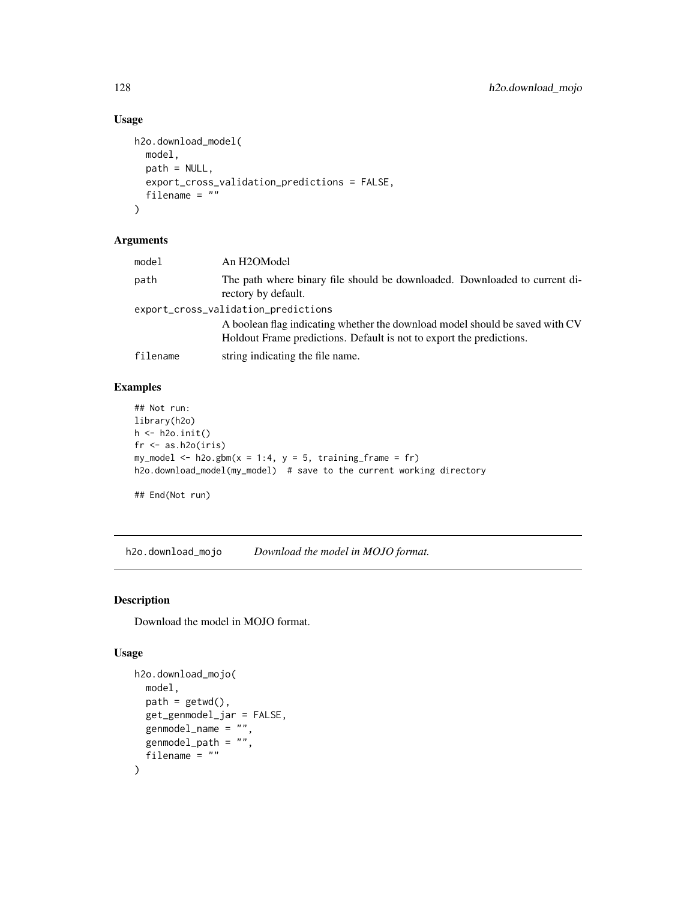## Usage

```
h2o.download_model(
  model,
  path = NULL,
  export_cross_validation_predictions = FALSE,
  filename = ""
\mathcal{L}
```
## Arguments

| model    | An H2OModel                                                                                                                                                                                 |
|----------|---------------------------------------------------------------------------------------------------------------------------------------------------------------------------------------------|
| path     | The path where binary file should be downloaded. Downloaded to current di-<br>rectory by default.                                                                                           |
|          | export_cross_validation_predictions<br>A boolean flag indicating whether the download model should be saved with CV<br>Holdout Frame predictions. Default is not to export the predictions. |
| filename | string indicating the file name.                                                                                                                                                            |

## Examples

```
## Not run:
library(h2o)
h \leftarrow h2o.init()fr < - as.h2o(iris)
my_model <- h2o.gbm(x = 1:4, y = 5, training_frame = fr)
h2o.download_model(my_model) # save to the current working directory
## End(Not run)
```
h2o.download\_mojo *Download the model in MOJO format.*

## Description

Download the model in MOJO format.

## Usage

```
h2o.download_mojo(
  model,
 path = getwd(),
  get_genmodel_jar = FALSE,
  genmodel_name = "",genmodel_path = "",
  filename = ""\mathcal{E}
```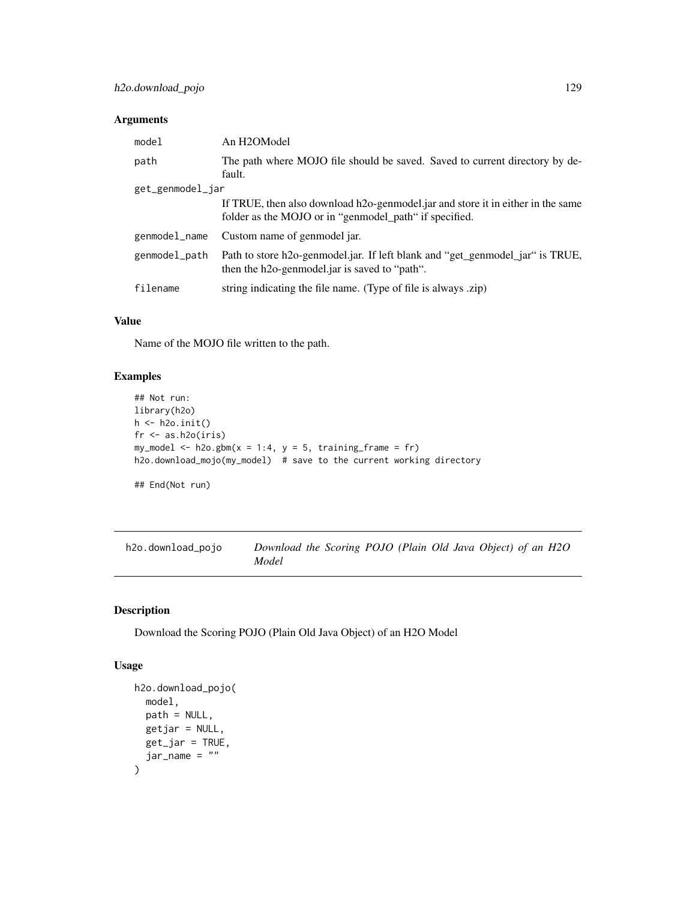| model            | An H2OModel                                                                                                                               |  |
|------------------|-------------------------------------------------------------------------------------------------------------------------------------------|--|
| path             | The path where MOJO file should be saved. Saved to current directory by de-<br>fault.                                                     |  |
| get_genmodel_jar |                                                                                                                                           |  |
|                  | If TRUE, then also download h2o-genmodel jar and store it in either in the same<br>folder as the MOJO or in "genmodel_path" if specified. |  |
| genmodel_name    | Custom name of genmodel jar.                                                                                                              |  |
| genmodel_path    | Path to store h2o-genmodel.jar. If left blank and "get_genmodel_jar" is TRUE,<br>then the h2o-genmodel.jar is saved to "path".            |  |
| filename         | string indicating the file name. (Type of file is always .zip)                                                                            |  |

## Value

Name of the MOJO file written to the path.

## Examples

```
## Not run:
library(h2o)
h \leftarrow h20.init()fr < - as.h2o(iris)
my_model <- h2o.gbm(x = 1:4, y = 5, training-frame = fr)h2o.download_mojo(my_model) # save to the current working directory
## End(Not run)
```
h2o.download\_pojo *Download the Scoring POJO (Plain Old Java Object) of an H2O Model*

## Description

Download the Scoring POJO (Plain Old Java Object) of an H2O Model

#### Usage

```
h2o.download_pojo(
  model,
  path = NULL,
  getjar = NULL,
  get_jar = TRUE,jar_name = ""\mathcal{E}
```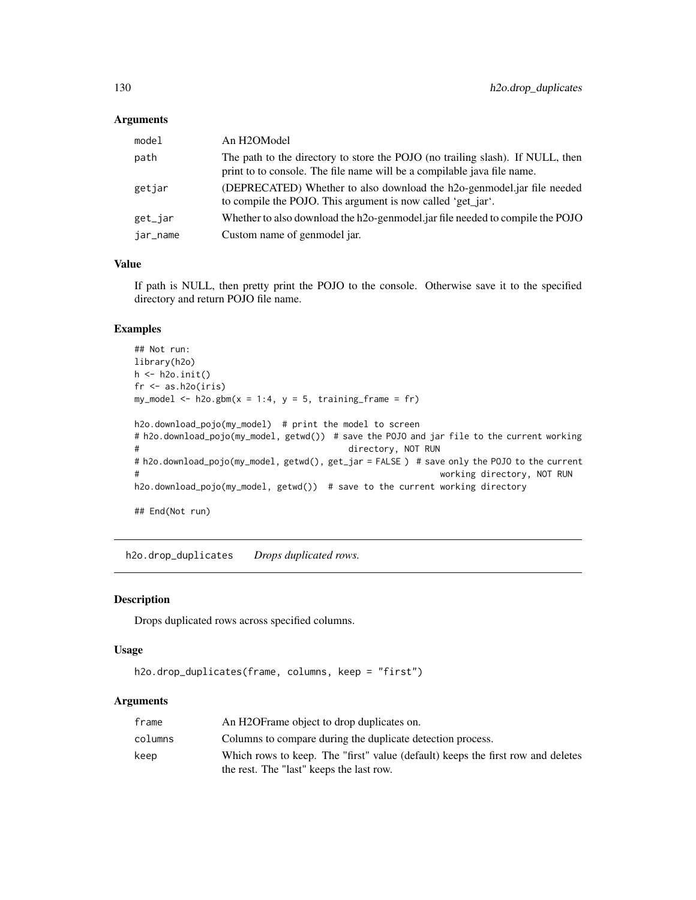| model    | An H2OModel                                                                                                                                               |
|----------|-----------------------------------------------------------------------------------------------------------------------------------------------------------|
| path     | The path to the directory to store the POJO (no trailing slash). If NULL, then<br>print to to console. The file name will be a compilable java file name. |
| getjar   | (DEPRECATED) Whether to also download the h2o-genmodel.jar file needed<br>to compile the POJO. This argument is now called 'get_jar'.                     |
| get_jar  | Whether to also download the h2o-genmodel.jar file needed to compile the POJO                                                                             |
| jar_name | Custom name of genmodel jar.                                                                                                                              |

## Value

If path is NULL, then pretty print the POJO to the console. Otherwise save it to the specified directory and return POJO file name.

#### Examples

```
## Not run:
library(h2o)
h \leftarrow h20.init()fr < - as.h2o(iris)
my_model <- h2o.gbm(x = 1:4, y = 5, training-frame = fr)h2o.download_pojo(my_model) # print the model to screen
# h2o.download_pojo(my_model, getwd()) # save the POJO and jar file to the current working
# directory, NOT RUN
# h2o.download_pojo(my_model, getwd(), get_jar = FALSE ) # save only the POJO to the current
# working directory, NOT RUN
h2o.download_pojo(my_model, getwd()) # save to the current working directory
## End(Not run)
```
h2o.drop\_duplicates *Drops duplicated rows.*

## Description

Drops duplicated rows across specified columns.

#### Usage

```
h2o.drop_duplicates(frame, columns, keep = "first")
```
## Arguments

| frame   | An H2OF rame object to drop duplicates on.                                                                                  |
|---------|-----------------------------------------------------------------------------------------------------------------------------|
| columns | Columns to compare during the duplicate detection process.                                                                  |
| keep    | Which rows to keep. The "first" value (default) keeps the first row and deletes<br>the rest. The "last" keeps the last row. |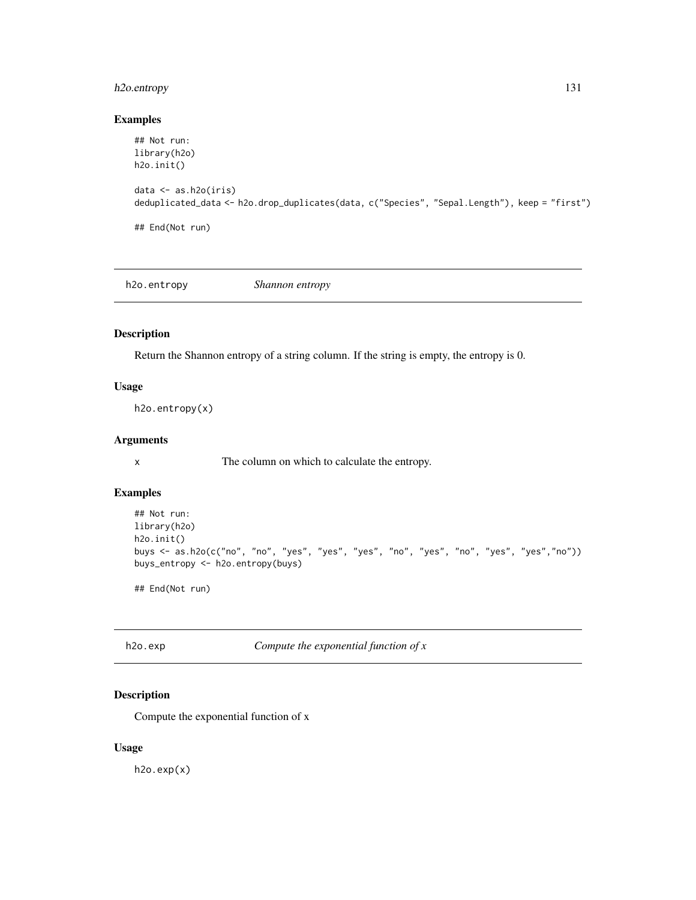## h2o.entropy 131

#### Examples

```
## Not run:
library(h2o)
h2o.init()
data <- as.h2o(iris)
deduplicated_data <- h2o.drop_duplicates(data, c("Species", "Sepal.Length"), keep = "first")
## End(Not run)
```
h2o.entropy *Shannon entropy*

Description

Return the Shannon entropy of a string column. If the string is empty, the entropy is 0.

#### Usage

h2o.entropy(x)

## Arguments

x The column on which to calculate the entropy.

## Examples

```
## Not run:
library(h2o)
h2o.init()
buys <- as.h2o(c("no", "no", "yes", "yes", "yes", "no", "yes", "no", "yes", "yes","no"))
buys_entropy <- h2o.entropy(buys)
```
## End(Not run)

h2o.exp *Compute the exponential function of x*

## Description

Compute the exponential function of x

#### Usage

h2o.exp(x)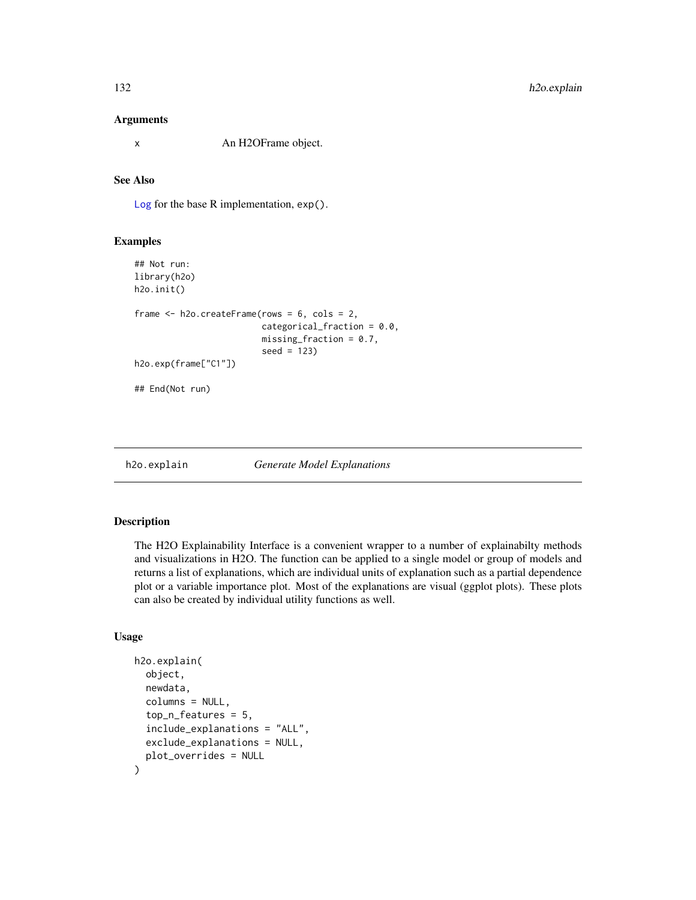x An H2OFrame object.

## See Also

[Log](#page-0-0) for the base R implementation, exp().

#### Examples

```
## Not run:
library(h2o)
h2o.init()
frame <- h2o.createFrame(rows = 6, cols = 2,
                         categorical_fraction = 0.0,
                         missing_fraction = 0.7,
                         seed = 123)
h2o.exp(frame["C1"])
## End(Not run)
```
h2o.explain *Generate Model Explanations*

#### Description

The H2O Explainability Interface is a convenient wrapper to a number of explainabilty methods and visualizations in H2O. The function can be applied to a single model or group of models and returns a list of explanations, which are individual units of explanation such as a partial dependence plot or a variable importance plot. Most of the explanations are visual (ggplot plots). These plots can also be created by individual utility functions as well.

## Usage

```
h2o.explain(
  object,
  newdata,
  columns = NULL,
  top_n_features = 5,
  include_explanations = "ALL",
  exclude_explanations = NULL,
  plot_overrides = NULL
)
```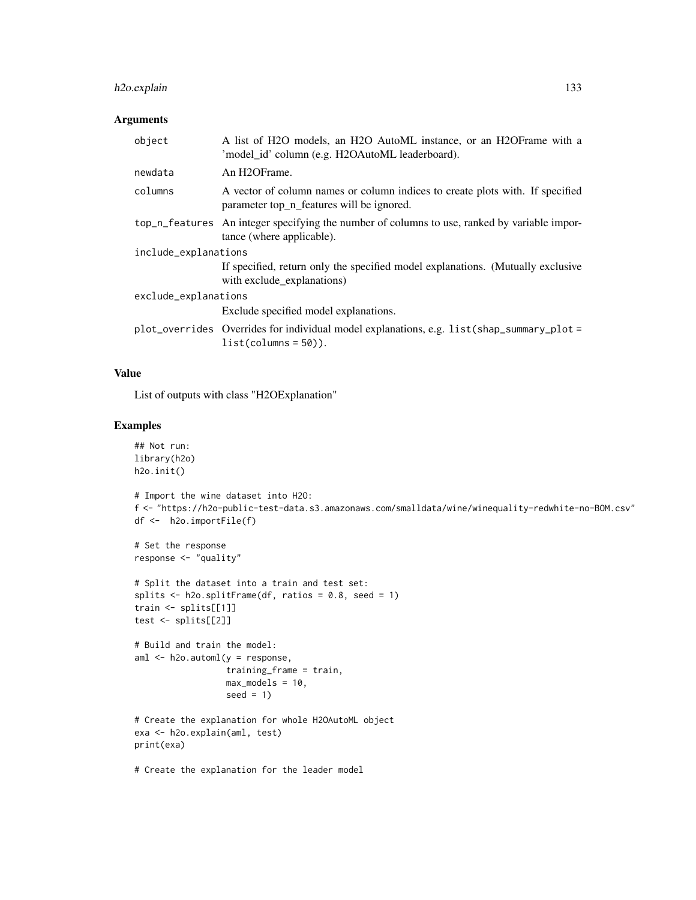## h2o.explain 133

#### Arguments

| object               | A list of H2O models, an H2O AutoML instance, or an H2OFrame with a<br>'model_id' column (e.g. H2OAutoML leaderboard).     |  |
|----------------------|----------------------------------------------------------------------------------------------------------------------------|--|
| newdata              | An H <sub>2</sub> OFrame.                                                                                                  |  |
| columns              | A vector of column names or column indices to create plots with. If specified<br>parameter top_n_features will be ignored. |  |
|                      | top_n_features An integer specifying the number of columns to use, ranked by variable impor-<br>tance (where applicable).  |  |
| include_explanations |                                                                                                                            |  |
|                      | If specified, return only the specified model explanations. (Mutually exclusive<br>with exclude explanations)              |  |
| exclude_explanations |                                                                                                                            |  |
|                      | Exclude specified model explanations.                                                                                      |  |
|                      | plot_overrides Overrides for individual model explanations, e.g. list(shap_summary_plot =<br>$list(column = 50).$          |  |

## Value

List of outputs with class "H2OExplanation"

## Examples

```
## Not run:
library(h2o)
h2o.init()
# Import the wine dataset into H2O:
f <- "https://h2o-public-test-data.s3.amazonaws.com/smalldata/wine/winequality-redwhite-no-BOM.csv"
df <- h2o.importFile(f)
# Set the response
response <- "quality"
# Split the dataset into a train and test set:
splits \le h2o.splitFrame(df, ratios = 0.8, seed = 1)
train <- splits[[1]]
test <- splits[[2]]
# Build and train the model:
aml <- h2o.automl(y = response,
                 training_frame = train,
                  max_models = 10,seed = 1)
# Create the explanation for whole H2OAutoML object
exa <- h2o.explain(aml, test)
print(exa)
# Create the explanation for the leader model
```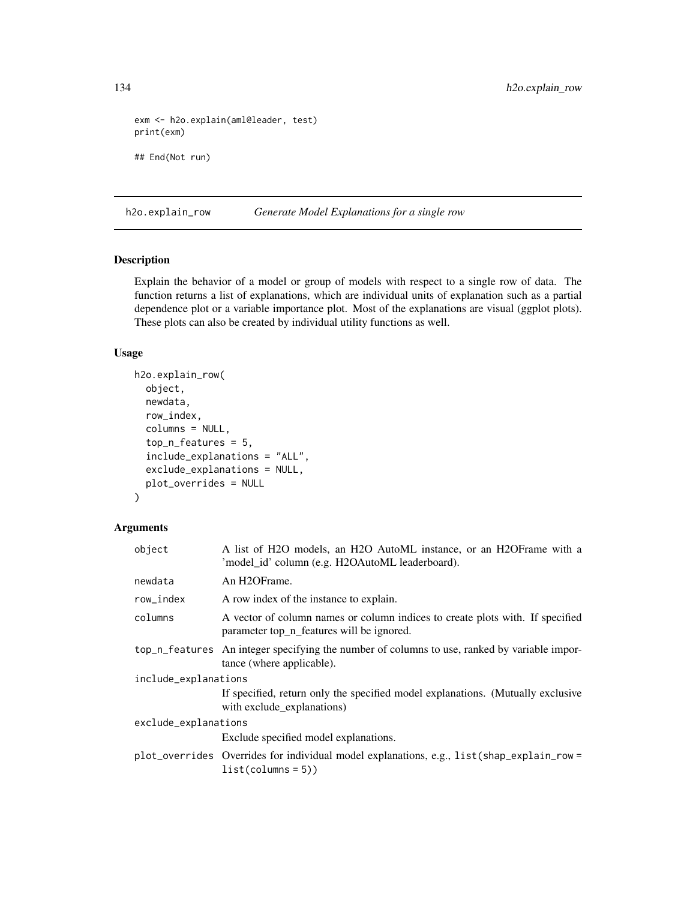```
exm <- h2o.explain(aml@leader, test)
print(exm)
## End(Not run)
```
h2o.explain\_row *Generate Model Explanations for a single row*

### Description

Explain the behavior of a model or group of models with respect to a single row of data. The function returns a list of explanations, which are individual units of explanation such as a partial dependence plot or a variable importance plot. Most of the explanations are visual (ggplot plots). These plots can also be created by individual utility functions as well.

#### Usage

```
h2o.explain_row(
  object,
  newdata,
  row_index,
  columns = NULL,
  top_n_features = 5,
  include_explanations = "ALL",
  exclude_explanations = NULL,
  plot_overrides = NULL
\mathcal{L}
```
#### Arguments

| object               | A list of H2O models, an H2O AutoML instance, or an H2OFrame with a<br>'model_id' column (e.g. H2OAutoML leaderboard).     |
|----------------------|----------------------------------------------------------------------------------------------------------------------------|
| newdata              | An H <sub>2</sub> OFrame.                                                                                                  |
| row_index            | A row index of the instance to explain.                                                                                    |
| columns              | A vector of column names or column indices to create plots with. If specified<br>parameter top n features will be ignored. |
|                      | top_n_features An integer specifying the number of columns to use, ranked by variable impor-<br>tance (where applicable).  |
| include_explanations |                                                                                                                            |
|                      | If specified, return only the specified model explanations. (Mutually exclusive<br>with exclude_explanations)              |
| exclude_explanations |                                                                                                                            |
|                      | Exclude specified model explanations.                                                                                      |
|                      | plot_overrides Overrides for individual model explanations, e.g., list(shap_explain_row =<br>$list(column = 5))$           |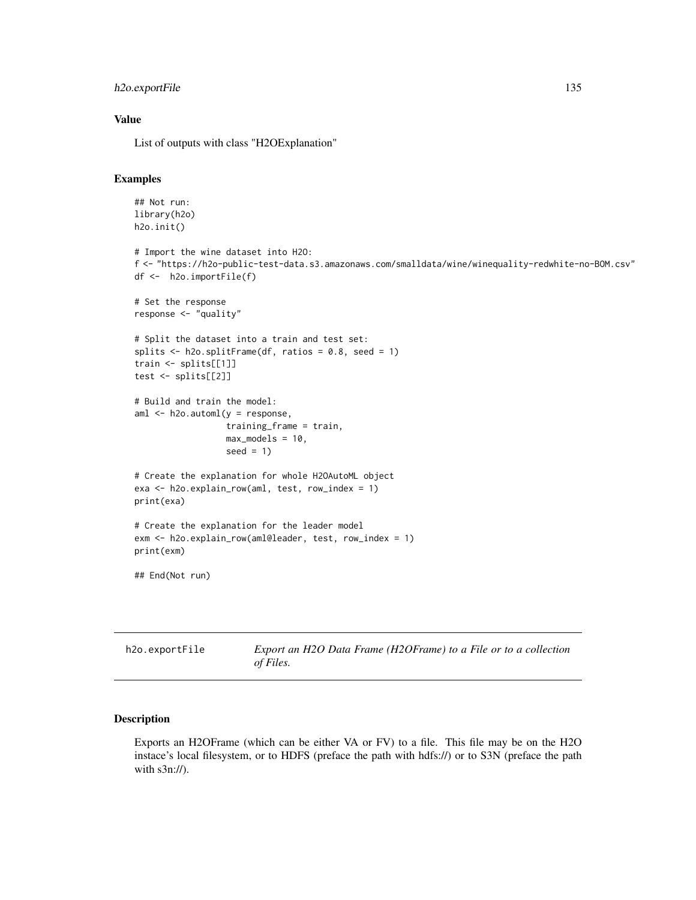## h2o.exportFile 135

#### Value

List of outputs with class "H2OExplanation"

## Examples

```
## Not run:
 library(h2o)
 h2o.init()
  # Import the wine dataset into H2O:
  f <- "https://h2o-public-test-data.s3.amazonaws.com/smalldata/wine/winequality-redwhite-no-BOM.csv"
 df <- h2o.importFile(f)
 # Set the response
 response <- "quality"
 # Split the dataset into a train and test set:
 splits \le h2o.splitFrame(df, ratios = 0.8, seed = 1)
 train <- splits[[1]]
 test <- splits[[2]]
 # Build and train the model:
 aml <- h2o.automl(y = response,
                   training_frame = train,
                   max_models = 10,
                   seed = 1)# Create the explanation for whole H2OAutoML object
 exa <- h2o.explain_row(aml, test, row_index = 1)
 print(exa)
 # Create the explanation for the leader model
 exm <- h2o.explain_row(aml@leader, test, row_index = 1)
 print(exm)
  ## End(Not run)
h2o.exportFile Export an H2O Data Frame (H2OFrame) to a File or to a collection
```
# **Description**

Exports an H2OFrame (which can be either VA or FV) to a file. This file may be on the H2O instace's local filesystem, or to HDFS (preface the path with hdfs://) or to S3N (preface the path with s3n://).

*of Files.*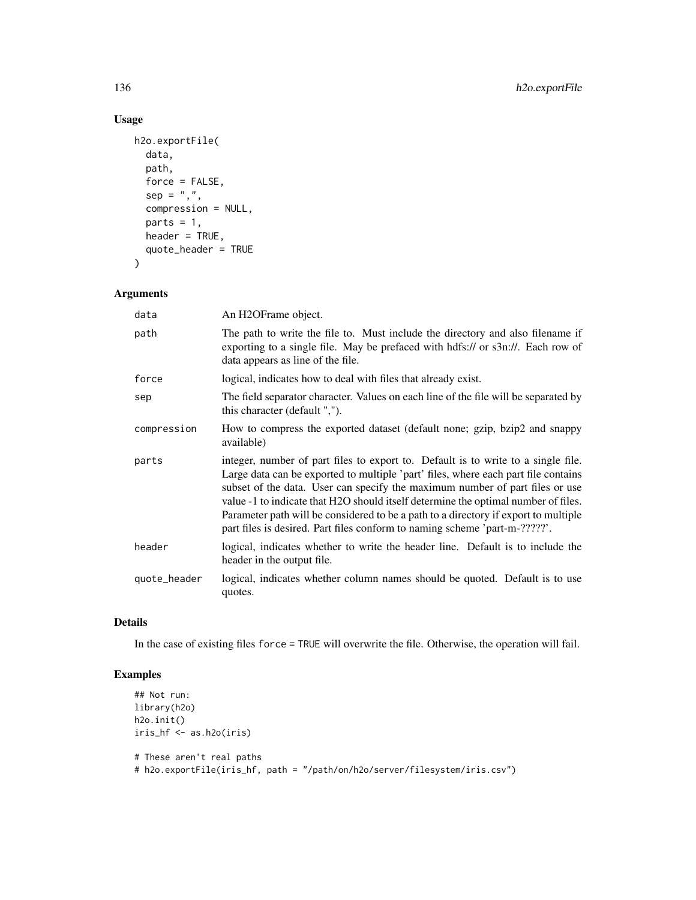## Usage

```
h2o.exportFile(
 data,
 path,
 force = FALSE,
  sep = ","compression = NULL,
 parts = 1,
 header = TRUE,
 quote_header = TRUE
)
```
## Arguments

| data         | An H <sub>2</sub> OFrame object.                                                                                                                                                                                                                                                                                                                                                                                                                                                                                   |
|--------------|--------------------------------------------------------------------------------------------------------------------------------------------------------------------------------------------------------------------------------------------------------------------------------------------------------------------------------------------------------------------------------------------------------------------------------------------------------------------------------------------------------------------|
| path         | The path to write the file to. Must include the directory and also filename if<br>exporting to a single file. May be prefaced with hdfs:// or s3n://. Each row of<br>data appears as line of the file.                                                                                                                                                                                                                                                                                                             |
| force        | logical, indicates how to deal with files that already exist.                                                                                                                                                                                                                                                                                                                                                                                                                                                      |
| sep          | The field separator character. Values on each line of the file will be separated by<br>this character (default ",").                                                                                                                                                                                                                                                                                                                                                                                               |
| compression  | How to compress the exported dataset (default none; gzip, bzip2 and snappy<br>available)                                                                                                                                                                                                                                                                                                                                                                                                                           |
| parts        | integer, number of part files to export to. Default is to write to a single file.<br>Large data can be exported to multiple 'part' files, where each part file contains<br>subset of the data. User can specify the maximum number of part files or use<br>value -1 to indicate that H2O should itself determine the optimal number of files.<br>Parameter path will be considered to be a path to a directory if export to multiple<br>part files is desired. Part files conform to naming scheme 'part-m-?????'. |
| header       | logical, indicates whether to write the header line. Default is to include the<br>header in the output file.                                                                                                                                                                                                                                                                                                                                                                                                       |
| quote_header | logical, indicates whether column names should be quoted. Default is to use<br>quotes.                                                                                                                                                                                                                                                                                                                                                                                                                             |

## Details

In the case of existing files force = TRUE will overwrite the file. Otherwise, the operation will fail.

## Examples

```
## Not run:
library(h2o)
h2o.init()
iris_hf <- as.h2o(iris)
# These aren't real paths
```
# h2o.exportFile(iris\_hf, path = "/path/on/h2o/server/filesystem/iris.csv")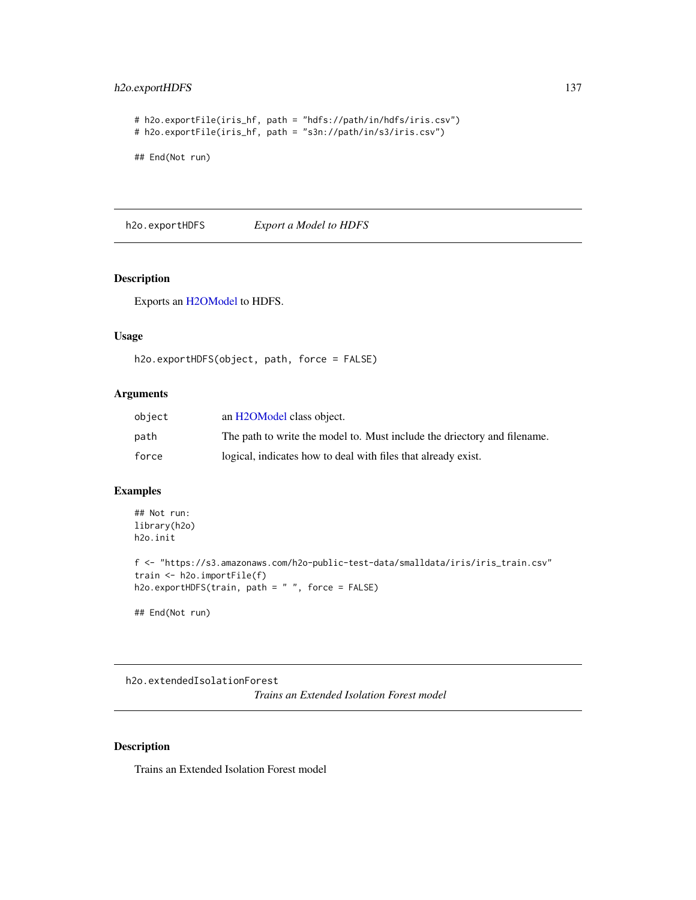## h2o.exportHDFS 137

```
# h2o.exportFile(iris_hf, path = "hdfs://path/in/hdfs/iris.csv")
# h2o.exportFile(iris_hf, path = "s3n://path/in/s3/iris.csv")
## End(Not run)
```
h2o.exportHDFS *Export a Model to HDFS*

## Description

Exports an [H2OModel](#page-415-0) to HDFS.

## Usage

```
h2o.exportHDFS(object, path, force = FALSE)
```
## Arguments

| object | an H <sub>2</sub> OM odel class object.                                  |
|--------|--------------------------------------------------------------------------|
| path   | The path to write the model to. Must include the driectory and filename. |
| force  | logical, indicates how to deal with files that already exist.            |

## Examples

```
## Not run:
library(h2o)
h2o.init
```

```
f <- "https://s3.amazonaws.com/h2o-public-test-data/smalldata/iris/iris_train.csv"
train <- h2o.importFile(f)
h2o.exportHDFS(train, path = " ", force = FALSE)
```
## End(Not run)

h2o.extendedIsolationForest *Trains an Extended Isolation Forest model*

#### Description

Trains an Extended Isolation Forest model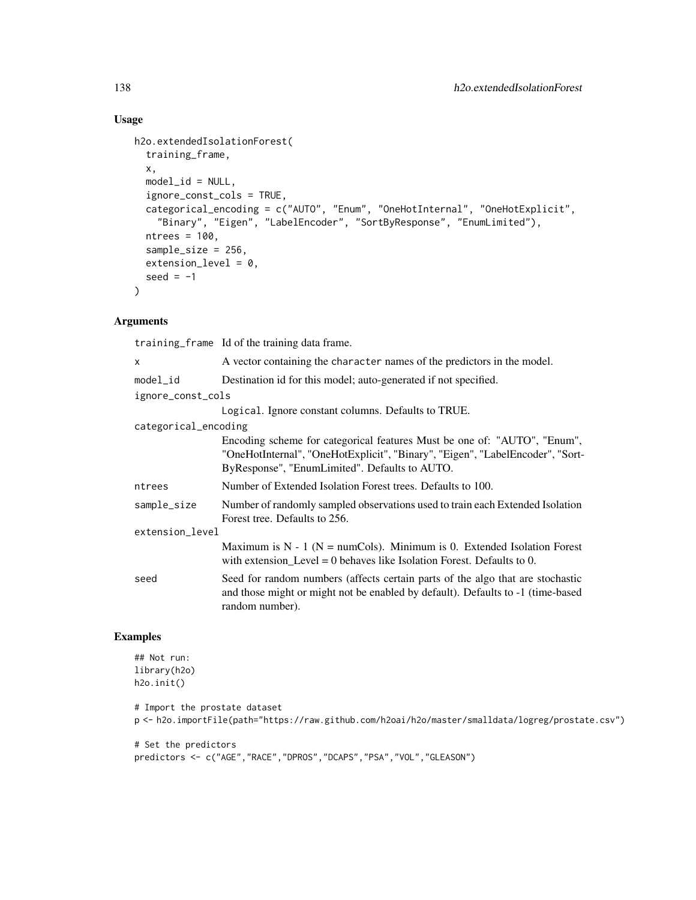## Usage

```
h2o.extendedIsolationForest(
  training_frame,
  x,
  model_id = NULL,ignore_const_cols = TRUE,
  categorical_encoding = c("AUTO", "Enum", "OneHotInternal", "OneHotExplicit",
    "Binary", "Eigen", "LabelEncoder", "SortByResponse", "EnumLimited"),
  ntrees = 100,
  sample_size = 256,
  extension\_level = 0,
 seed = -1\mathcal{L}
```
## Arguments

training\_frame Id of the training data frame.

| X                    | A vector containing the character names of the predictors in the model.                                                                                                                                    |
|----------------------|------------------------------------------------------------------------------------------------------------------------------------------------------------------------------------------------------------|
| $model_id$           | Destination id for this model; auto-generated if not specified.                                                                                                                                            |
| ignore_const_cols    |                                                                                                                                                                                                            |
|                      | Logical. Ignore constant columns. Defaults to TRUE.                                                                                                                                                        |
| categorical_encoding |                                                                                                                                                                                                            |
|                      | Encoding scheme for categorical features Must be one of: "AUTO", "Enum",<br>"OneHotInternal", "OneHotExplicit", "Binary", "Eigen", "LabelEncoder", "Sort-<br>ByResponse", "EnumLimited". Defaults to AUTO. |
| ntrees               | Number of Extended Isolation Forest trees. Defaults to 100.                                                                                                                                                |
| sample_size          | Number of randomly sampled observations used to train each Extended Isolation<br>Forest tree. Defaults to 256.                                                                                             |
| extension_level      |                                                                                                                                                                                                            |
|                      | Maximum is $N - 1$ ( $N = numCols$ ). Minimum is 0. Extended Isolation Forest<br>with extension_Level = $0$ behaves like Isolation Forest. Defaults to 0.                                                  |
| seed                 | Seed for random numbers (affects certain parts of the algo that are stochastic<br>and those might or might not be enabled by default). Defaults to -1 (time-based<br>random number).                       |

## Examples

```
## Not run:
library(h2o)
h2o.init()
```

```
# Import the prostate dataset
p <- h2o.importFile(path="https://raw.github.com/h2oai/h2o/master/smalldata/logreg/prostate.csv")
```

```
# Set the predictors
predictors <- c("AGE","RACE","DPROS","DCAPS","PSA","VOL","GLEASON")
```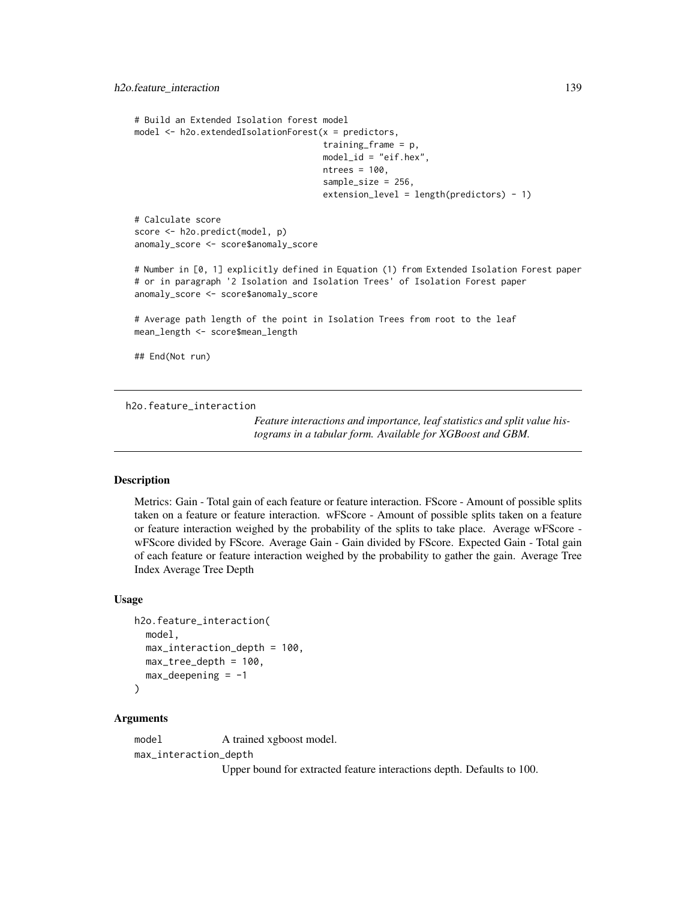```
# Build an Extended Isolation forest model
model \leq h2o.extendedIsolationForest(x = predictors,
                                     training_frame = p,
                                     model_id = "eif.hex",
                                     ntrees = 100,
                                     sample_size = 256,
                                     extension_level = length(predictors) - 1)
# Calculate score
score <- h2o.predict(model, p)
anomaly_score <- score$anomaly_score
# Number in [0, 1] explicitly defined in Equation (1) from Extended Isolation Forest paper
# or in paragraph '2 Isolation and Isolation Trees' of Isolation Forest paper
anomaly_score <- score$anomaly_score
# Average path length of the point in Isolation Trees from root to the leaf
mean_length <- score$mean_length
## End(Not run)
```
h2o.feature\_interaction

*Feature interactions and importance, leaf statistics and split value histograms in a tabular form. Available for XGBoost and GBM.*

## **Description**

Metrics: Gain - Total gain of each feature or feature interaction. FScore - Amount of possible splits taken on a feature or feature interaction. wFScore - Amount of possible splits taken on a feature or feature interaction weighed by the probability of the splits to take place. Average wFScore wFScore divided by FScore. Average Gain - Gain divided by FScore. Expected Gain - Total gain of each feature or feature interaction weighed by the probability to gather the gain. Average Tree Index Average Tree Depth

#### Usage

```
h2o.feature_interaction(
 model,
 max_interaction_depth = 100,
 max_tree_depth = 100,
  max\_deepening = -1\lambda
```
#### Arguments

model A trained xgboost model. max\_interaction\_depth Upper bound for extracted feature interactions depth. Defaults to 100.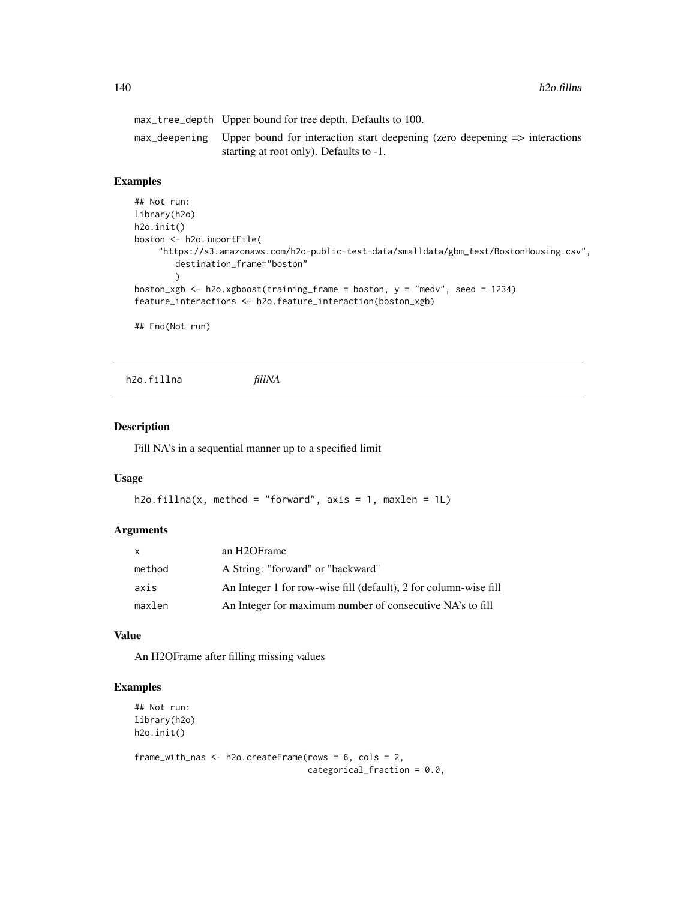| max_tree_depth Upper bound for tree depth. Defaults to 100.                                                                                       |
|---------------------------------------------------------------------------------------------------------------------------------------------------|
| $max$ deepening Upper bound for interaction start deepening (zero deepening $\Rightarrow$ interactions<br>starting at root only). Defaults to -1. |

## Examples

```
## Not run:
library(h2o)
h2o.init()
boston <- h2o.importFile(
    "https://s3.amazonaws.com/h2o-public-test-data/smalldata/gbm_test/BostonHousing.csv",
        destination_frame="boston"
        \lambdaboston_xgb <- h2o.xgboost(training_frame = boston, y = "medv", seed = 1234)
feature_interactions <- h2o.feature_interaction(boston_xgb)
```
## End(Not run)

h2o.fillna *fillNA*

#### Description

Fill NA's in a sequential manner up to a specified limit

#### Usage

```
h2o.fillna(x, method = "forward", axis = 1, maxlen = 1L)
```
#### Arguments

| X      | an H2OFrame                                                      |
|--------|------------------------------------------------------------------|
| method | A String: "forward" or "backward"                                |
| axis   | An Integer 1 for row-wise fill (default), 2 for column-wise fill |
| maxlen | An Integer for maximum number of consecutive NA's to fill        |

#### Value

An H2OFrame after filling missing values

#### Examples

```
## Not run:
library(h2o)
h2o.init()
```

```
frame_with_nas <- h2o.createFrame(rows = 6, cols = 2,
                                 categorical_fraction = 0.0,
```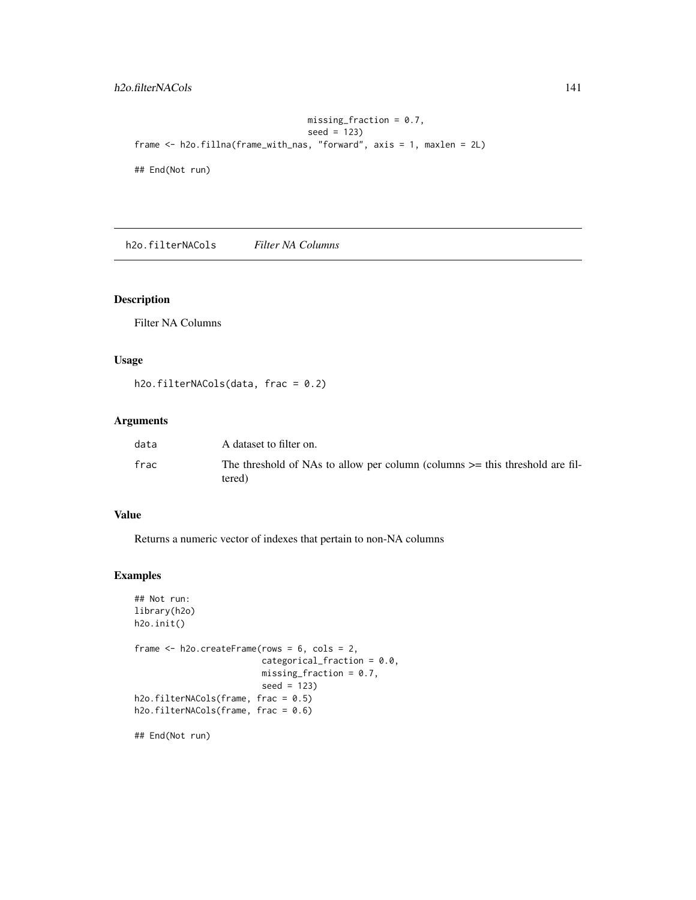## h2o.filterNACols 141

```
missing_fraction = 0.7,
                                  seed = 123)
frame <- h2o.fillna(frame_with_nas, "forward", axis = 1, maxlen = 2L)
## End(Not run)
```
h2o.filterNACols *Filter NA Columns*

## Description

Filter NA Columns

#### Usage

h2o.filterNACols(data, frac = 0.2)

## Arguments

| data | A dataset to filter on.                                                                    |
|------|--------------------------------------------------------------------------------------------|
| frac | The threshold of NAs to allow per column (columns $\geq$ this threshold are fil-<br>tered) |

## Value

Returns a numeric vector of indexes that pertain to non-NA columns

#### Examples

```
## Not run:
library(h2o)
h2o.init()
frame <- h2o.createFrame(rows = 6, cols = 2,
                         categorical_fraction = 0.0,
                         missing_fraction = 0.7,
                         seed = 123)
h2o.filterNACols(frame, frac = 0.5)
h2o.filterNACols(frame, frac = 0.6)
```
## End(Not run)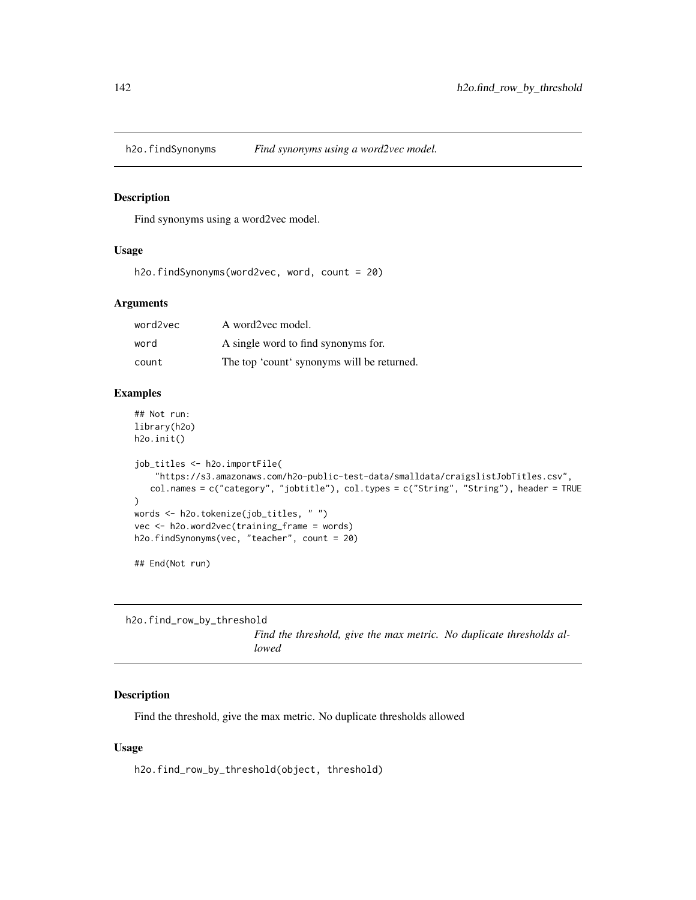#### Description

Find synonyms using a word2vec model.

## Usage

h2o.findSynonyms(word2vec, word, count = 20)

#### Arguments

| word2vec | A word2yec model.                          |
|----------|--------------------------------------------|
| word     | A single word to find synonyms for.        |
| count    | The top 'count' synonyms will be returned. |

## Examples

```
## Not run:
library(h2o)
h2o.init()
```

```
job_titles <- h2o.importFile(
    "https://s3.amazonaws.com/h2o-public-test-data/smalldata/craigslistJobTitles.csv",
   col.names = c("category", "jobtitle"), col.types = c("String", "String"), header = TRUE
)
words <- h2o.tokenize(job_titles, " ")
vec <- h2o.word2vec(training_frame = words)
h2o.findSynonyms(vec, "teacher", count = 20)
```
## End(Not run)

h2o.find\_row\_by\_threshold *lowed*

*Find the threshold, give the max metric. No duplicate thresholds al-*

#### Description

Find the threshold, give the max metric. No duplicate thresholds allowed

#### Usage

h2o.find\_row\_by\_threshold(object, threshold)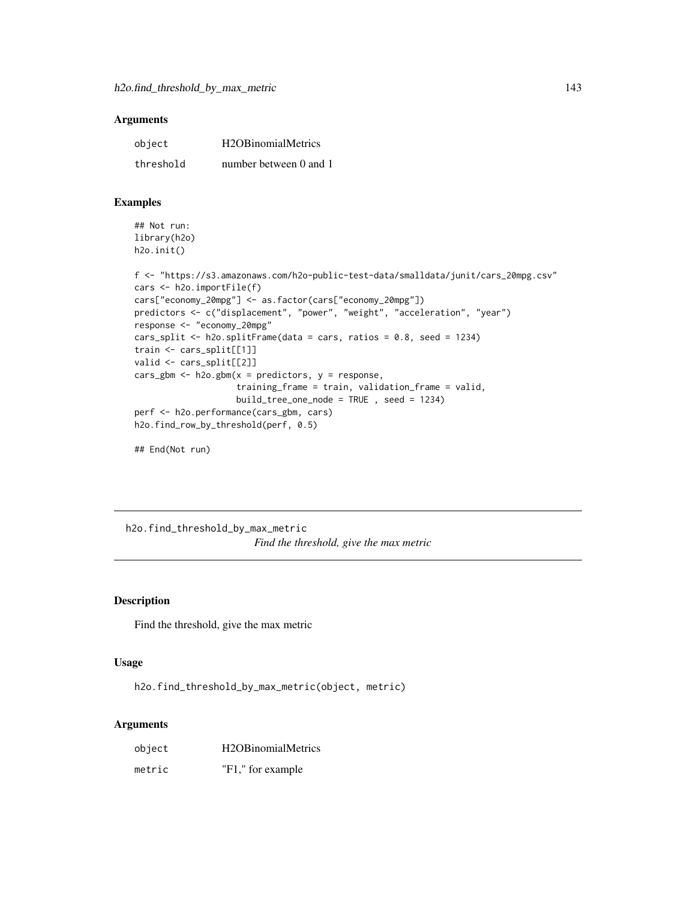| object    | H <sub>2</sub> OB <sub>inomial</sub> Metrics |
|-----------|----------------------------------------------|
| threshold | number between 0 and 1                       |

#### Examples

```
## Not run:
library(h2o)
h2o.init()
```

```
f <- "https://s3.amazonaws.com/h2o-public-test-data/smalldata/junit/cars_20mpg.csv"
cars <- h2o.importFile(f)
cars["economy_20mpg"] <- as.factor(cars["economy_20mpg"])
predictors <- c("displacement", "power", "weight", "acceleration", "year")
response <- "economy_20mpg"
cars_split <- h2o.splitFrame(data = cars, ratios = 0.8, seed = 1234)
train <- cars_split[[1]]
valid <- cars_split[[2]]
cars_gbm <- h2o.gbm(x = predicteds, y = response,training_frame = train, validation_frame = valid,
                    build_tree_one_node = TRUE , seed = 1234)
perf <- h2o.performance(cars_gbm, cars)
h2o.find_row_by_threshold(perf, 0.5)
## End(Not run)
```
h2o.find\_threshold\_by\_max\_metric *Find the threshold, give the max metric*

## Description

Find the threshold, give the max metric

#### Usage

```
h2o.find_threshold_by_max_metric(object, metric)
```
#### Arguments

| object | H <sub>2</sub> OB <sub>inomial</sub> Metrics |
|--------|----------------------------------------------|
| metric | "F1," for example                            |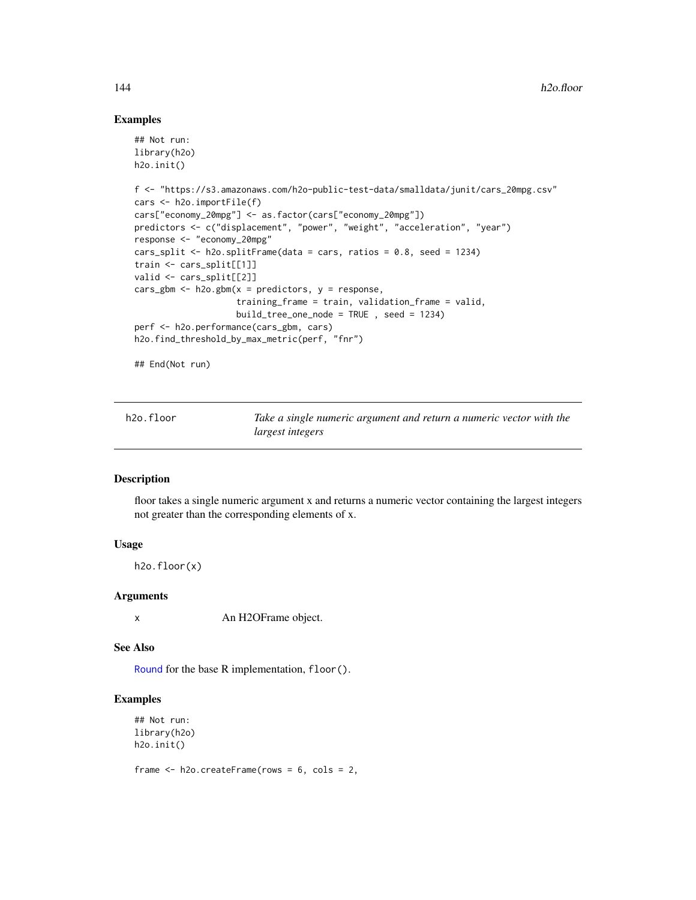#### Examples

```
## Not run:
library(h2o)
h2o.init()
f <- "https://s3.amazonaws.com/h2o-public-test-data/smalldata/junit/cars_20mpg.csv"
cars <- h2o.importFile(f)
cars["economy_20mpg"] <- as.factor(cars["economy_20mpg"])
predictors <- c("displacement", "power", "weight", "acceleration", "year")
response <- "economy_20mpg"
cars_split <- h2o.splitFrame(data = cars, ratios = 0.8, seed = 1234)
train <- cars_split[[1]]
valid <- cars_split[[2]]
cars_gbm <- h2o.gbm(x = predictors, y = response,
                    training_frame = train, validation_frame = valid,
                    build\_tree\_one\_node = TRUE , seed = 1234)perf <- h2o.performance(cars_gbm, cars)
h2o.find_threshold_by_max_metric(perf, "fnr")
```
## End(Not run)

| h2o.floor | Take a single numeric argument and return a numeric vector with the |
|-----------|---------------------------------------------------------------------|
|           | <i>largest integers</i>                                             |

#### Description

floor takes a single numeric argument x and returns a numeric vector containing the largest integers not greater than the corresponding elements of x.

#### Usage

h2o.floor(x)

#### Arguments

x An H2OFrame object.

#### See Also

[Round](#page-0-0) for the base R implementation, floor().

## Examples

```
## Not run:
library(h2o)
h2o.init()
```
frame <- h2o.createFrame(rows = 6, cols = 2,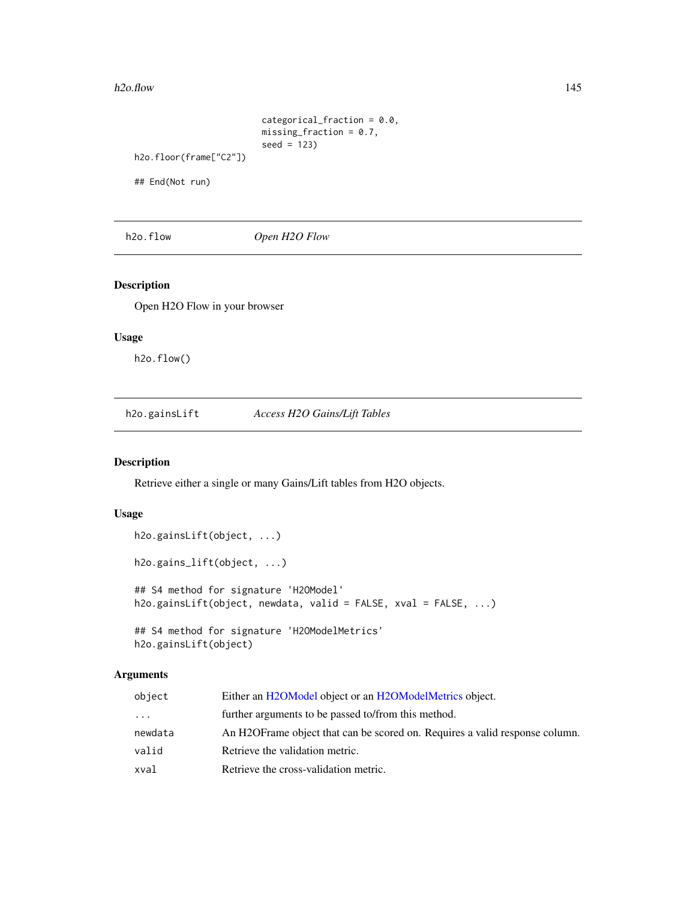#### h2o.flow 145

```
categorical_fraction = 0.0,
                         missing_fraction = 0.7,
                         seed = 123)
h2o.floor(frame["C2"])
```
## End(Not run)

h2o.flow *Open H2O Flow*

### Description

Open H2O Flow in your browser

## Usage

h2o.flow()

h2o.gainsLift *Access H2O Gains/Lift Tables*

## Description

Retrieve either a single or many Gains/Lift tables from H2O objects.

### Usage

```
h2o.gainsLift(object, ...)
h2o.gains_lift(object, ...)
## S4 method for signature 'H2OModel'
h2o.gainsLift(object, newdata, valid = FALSE, xval = FALSE, ...)
## S4 method for signature 'H2OModelMetrics'
h2o.gainsLift(object)
```
## Arguments

| object  | Either an H2OModel object or an H2OModelMetrics object.                      |
|---------|------------------------------------------------------------------------------|
| .       | further arguments to be passed to/from this method.                          |
| newdata | An H2OF rame object that can be scored on. Requires a valid response column. |
| valid   | Retrieve the validation metric.                                              |
| xval    | Retrieve the cross-validation metric.                                        |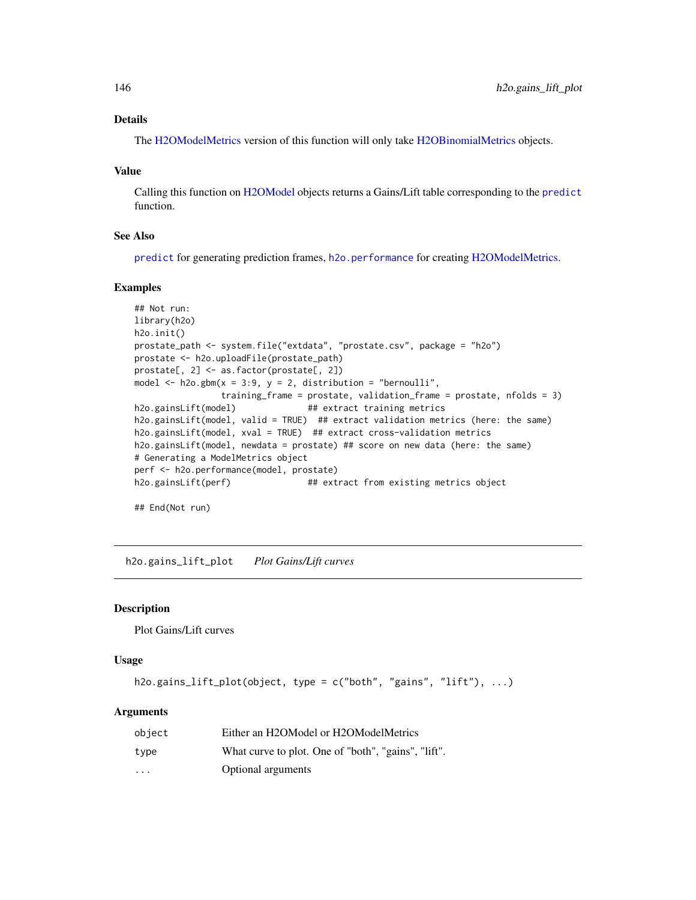## Details

The [H2OModelMetrics](#page-416-0) version of this function will only take [H2OBinomialMetrics](#page-416-1) objects.

#### Value

Calling this function on [H2OModel](#page-415-0) objects returns a Gains/Lift table corresponding to the [predict](#page-0-0) function.

### See Also

[predict](#page-0-0) for generating prediction frames, [h2o.performance](#page-287-0) for creating [H2OModelMetrics.](#page-416-0)

#### Examples

```
## Not run:
library(h2o)
h2o.init()
prostate_path <- system.file("extdata", "prostate.csv", package = "h2o")
prostate <- h2o.uploadFile(prostate_path)
prostate[, 2] <- as.factor(prostate[, 2])
model \leq h2o.gbm(x = 3:9, y = 2, distribution = "bernoulli",
                training_frame = prostate, validation_frame = prostate, nfolds = 3)
h2o.gainsLift(model) ## extract training metrics
h2o.gainsLift(model, valid = TRUE) ## extract validation metrics (here: the same)
h2o.gainsLift(model, xval = TRUE) ## extract cross-validation metrics
h2o.gainsLift(model, newdata = prostate) ## score on new data (here: the same)
# Generating a ModelMetrics object
perf <- h2o.performance(model, prostate)
h2o.gainsLift(perf) ## extract from existing metrics object
```
## End(Not run)

h2o.gains\_lift\_plot *Plot Gains/Lift curves*

### Description

Plot Gains/Lift curves

## Usage

```
h2o.gains_lift_plot(object, type = c("both", "gains", "lift"), ...)
```
#### Arguments

| object   | Either an H2OModel or H2OModelMetrics               |  |
|----------|-----------------------------------------------------|--|
| type     | What curve to plot. One of "both", "gains", "lift". |  |
| $\cdots$ | <b>Optional arguments</b>                           |  |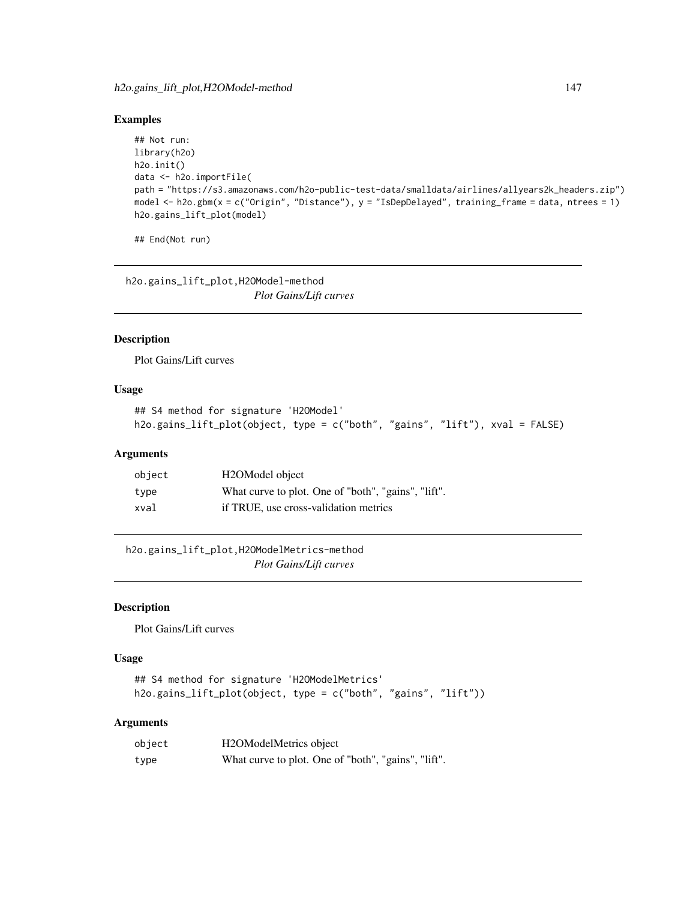### Examples

```
## Not run:
library(h2o)
h2o.init()
data <- h2o.importFile(
path = "https://s3.amazonaws.com/h2o-public-test-data/smalldata/airlines/allyears2k_headers.zip")
model <- h2o.gbm(x = c("Origin", "Distance"), y = "IsDepDelayed", training_frame = data, ntrees = 1)
h2o.gains_lift_plot(model)
```
## End(Not run)

h2o.gains\_lift\_plot,H2OModel-method *Plot Gains/Lift curves*

# Description

Plot Gains/Lift curves

### Usage

```
## S4 method for signature 'H2OModel'
h2o.gains_lift_plot(object, type = c("both", "gains", "lift"), xval = FALSE)
```
### Arguments

| object | H <sub>2</sub> OModel object                        |
|--------|-----------------------------------------------------|
| tvpe   | What curve to plot. One of "both", "gains", "lift". |
| xval   | if TRUE, use cross-validation metrics               |

h2o.gains\_lift\_plot,H2OModelMetrics-method *Plot Gains/Lift curves*

# Description

Plot Gains/Lift curves

## Usage

```
## S4 method for signature 'H2OModelMetrics'
h2o.gains_lift_plot(object, type = c("both", "gains", "lift"))
```
### Arguments

| object | H2OModelMetrics object                              |
|--------|-----------------------------------------------------|
| type   | What curve to plot. One of "both", "gains", "lift". |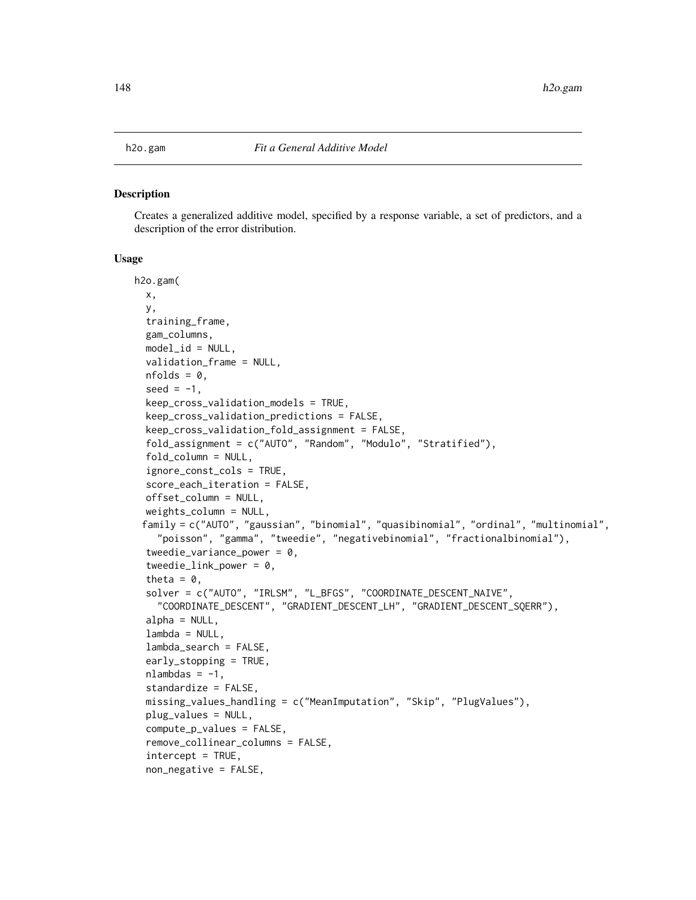#### Description

Creates a generalized additive model, specified by a response variable, a set of predictors, and a description of the error distribution.

## Usage

```
h2o.gam(
  x,
 y,
  training_frame,
  gam_columns,
 model_id = NULL,validation_frame = NULL,
  nfolds = 0,
  seed = -1,
  keep_cross_validation_models = TRUE,
  keep_cross_validation_predictions = FALSE,
  keep_cross_validation_fold_assignment = FALSE,
  fold_assignment = c("AUTO", "Random", "Modulo", "Stratified"),
  fold_column = NULL,
  ignore_const_cols = TRUE,
  score_each_iteration = FALSE,
  offset_column = NULL,
  weights_column = NULL,
 family = c("AUTO", "gaussian", "binomial", "quasibinomial", "ordinal", "multinomial",
    "poisson", "gamma", "tweedie", "negativebinomial", "fractionalbinomial"),
  tweedie_variance_power = 0,
  tweedie_link_power = 0,
  theta = 0,
  solver = c("AUTO", "IRLSM", "L_BFGS", "COORDINATE_DESCENT_NAIVE",
    "COORDINATE_DESCENT", "GRADIENT_DESCENT_LH", "GRADIENT_DESCENT_SQERR"),
  alpha = NULL,lambda = NULL,lambda_search = FALSE,
  early_stopping = TRUE,
  nlambdas = -1,
  standardize = FALSE,
  missing_values_handling = c("MeanImputation", "Skip", "Playvalues").plug_values = NULL,
  compute_p_values = FALSE,
  remove_collinear_columns = FALSE,
  intercept = TRUE,
  non_negative = FALSE,
```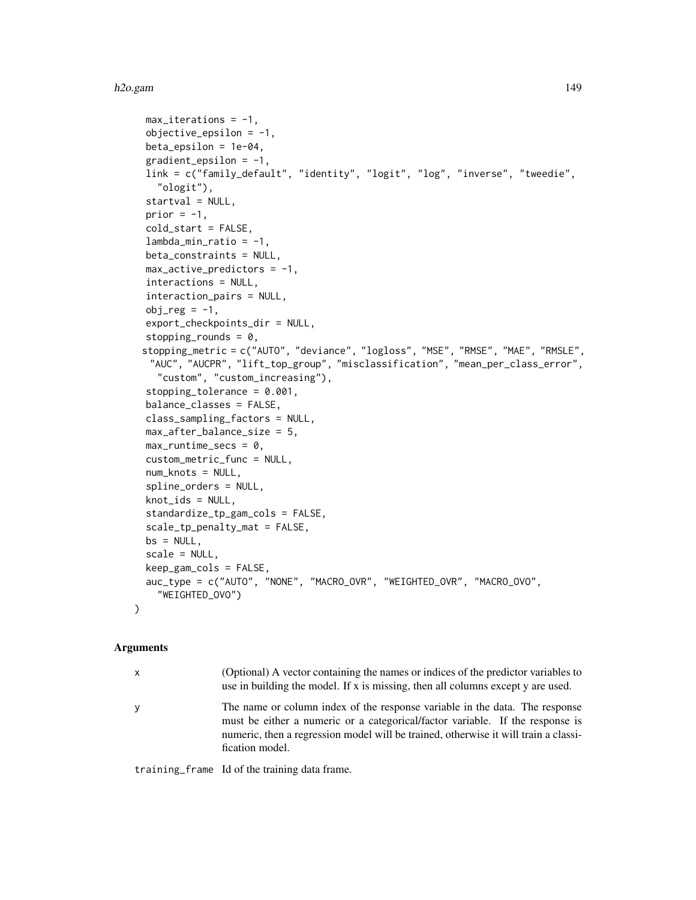```
max\_iterations = -1,
objective_epsilonion = -1,
beta_epsilon = 1e-04,
gradient_epsilon = -1,
link = c("family_default", "identity", "logit", "log", "inverse", "tweedie",
  "ologit"),
startval = NULL,
prior = -1,
cold_start = FALSE,
lambda_min_ratio = -1,
beta_constraints = NULL,
max_active_predictors = -1,interactions = NULL,
interaction_pairs = NULL,
obj_reg = -1,
export_checkpoints_dir = NULL,
stopping_rounds = 0,
stopping_metric = c("AUTO", "deviance", "logloss", "MSE", "RMSE", "MAE", "RMSLE",
 "AUC", "AUCPR", "lift_top_group", "misclassification", "mean_per_class_error",
  "custom", "custom_increasing"),
stopping_tolerance = 0.001,
balance_classes = FALSE,
class_sampling_factors = NULL,
max_after_balance_size = 5,
max_runtime_secs = 0,
custom_metric_func = NULL,
num_knots = NULL,
spline_orders = NULL,
knot_ids = NULL,
standardize_tp_gam_cols = FALSE,
scale_tp_penalty_mat = FALSE,
bs = NULL,scale = NULL,
keep_gam_cols = FALSE,
auc_type = c("AUTO", "NONE", "MACRO_OVR", "WEIGHTED_OVR", "MACRO_OVO",
  "WEIGHTED_OVO")
```
### Arguments

)

| X | (Optional) A vector containing the names or indices of the predictor variables to<br>use in building the model. If x is missing, then all columns except y are used.                                                                                                   |
|---|------------------------------------------------------------------------------------------------------------------------------------------------------------------------------------------------------------------------------------------------------------------------|
| y | The name or column index of the response variable in the data. The response<br>must be either a numeric or a categorical/factor variable. If the response is<br>numeric, then a regression model will be trained, otherwise it will train a classi-<br>fication model. |

training\_frame Id of the training data frame.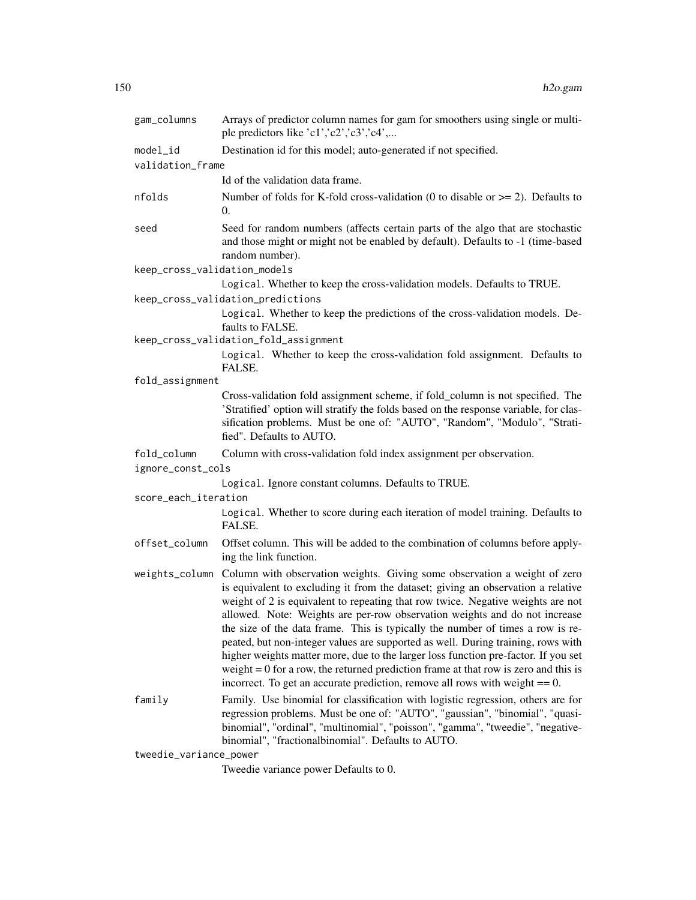| gam_columns                  | Arrays of predictor column names for gam for smoothers using single or multi-<br>ple predictors like 'c1','c2','c3','c4',                                                                                                                                                                                                                                                                                                                                                                                                                                                                                                                                                                                                                                                            |
|------------------------------|--------------------------------------------------------------------------------------------------------------------------------------------------------------------------------------------------------------------------------------------------------------------------------------------------------------------------------------------------------------------------------------------------------------------------------------------------------------------------------------------------------------------------------------------------------------------------------------------------------------------------------------------------------------------------------------------------------------------------------------------------------------------------------------|
| model_id                     | Destination id for this model; auto-generated if not specified.                                                                                                                                                                                                                                                                                                                                                                                                                                                                                                                                                                                                                                                                                                                      |
| validation_frame             |                                                                                                                                                                                                                                                                                                                                                                                                                                                                                                                                                                                                                                                                                                                                                                                      |
|                              | Id of the validation data frame.                                                                                                                                                                                                                                                                                                                                                                                                                                                                                                                                                                                                                                                                                                                                                     |
| nfolds                       | Number of folds for K-fold cross-validation (0 to disable or $\ge$ = 2). Defaults to<br>$\theta$ .                                                                                                                                                                                                                                                                                                                                                                                                                                                                                                                                                                                                                                                                                   |
| seed                         | Seed for random numbers (affects certain parts of the algo that are stochastic<br>and those might or might not be enabled by default). Defaults to -1 (time-based<br>random number).                                                                                                                                                                                                                                                                                                                                                                                                                                                                                                                                                                                                 |
| keep_cross_validation_models |                                                                                                                                                                                                                                                                                                                                                                                                                                                                                                                                                                                                                                                                                                                                                                                      |
|                              | Logical. Whether to keep the cross-validation models. Defaults to TRUE.                                                                                                                                                                                                                                                                                                                                                                                                                                                                                                                                                                                                                                                                                                              |
|                              | keep_cross_validation_predictions                                                                                                                                                                                                                                                                                                                                                                                                                                                                                                                                                                                                                                                                                                                                                    |
|                              | Logical. Whether to keep the predictions of the cross-validation models. De-<br>faults to FALSE.                                                                                                                                                                                                                                                                                                                                                                                                                                                                                                                                                                                                                                                                                     |
|                              | keep_cross_validation_fold_assignment                                                                                                                                                                                                                                                                                                                                                                                                                                                                                                                                                                                                                                                                                                                                                |
|                              | Logical. Whether to keep the cross-validation fold assignment. Defaults to<br>FALSE.                                                                                                                                                                                                                                                                                                                                                                                                                                                                                                                                                                                                                                                                                                 |
| fold_assignment              |                                                                                                                                                                                                                                                                                                                                                                                                                                                                                                                                                                                                                                                                                                                                                                                      |
|                              | Cross-validation fold assignment scheme, if fold_column is not specified. The<br>'Stratified' option will stratify the folds based on the response variable, for clas-<br>sification problems. Must be one of: "AUTO", "Random", "Modulo", "Strati-<br>fied". Defaults to AUTO.                                                                                                                                                                                                                                                                                                                                                                                                                                                                                                      |
| fold_column                  | Column with cross-validation fold index assignment per observation.                                                                                                                                                                                                                                                                                                                                                                                                                                                                                                                                                                                                                                                                                                                  |
| ignore_const_cols            |                                                                                                                                                                                                                                                                                                                                                                                                                                                                                                                                                                                                                                                                                                                                                                                      |
|                              | Logical. Ignore constant columns. Defaults to TRUE.                                                                                                                                                                                                                                                                                                                                                                                                                                                                                                                                                                                                                                                                                                                                  |
| score_each_iteration         |                                                                                                                                                                                                                                                                                                                                                                                                                                                                                                                                                                                                                                                                                                                                                                                      |
|                              | Logical. Whether to score during each iteration of model training. Defaults to<br>FALSE.                                                                                                                                                                                                                                                                                                                                                                                                                                                                                                                                                                                                                                                                                             |
| offset_column                | Offset column. This will be added to the combination of columns before apply-<br>ing the link function.                                                                                                                                                                                                                                                                                                                                                                                                                                                                                                                                                                                                                                                                              |
|                              | weights_column Column with observation weights. Giving some observation a weight of zero<br>is equivalent to excluding it from the dataset; giving an observation a relative<br>weight of 2 is equivalent to repeating that row twice. Negative weights are not<br>allowed. Note: Weights are per-row observation weights and do not increase<br>the size of the data frame. This is typically the number of times a row is re-<br>peated, but non-integer values are supported as well. During training, rows with<br>higher weights matter more, due to the larger loss function pre-factor. If you set<br>weight $= 0$ for a row, the returned prediction frame at that row is zero and this is<br>incorrect. To get an accurate prediction, remove all rows with weight $== 0$ . |
| family                       | Family. Use binomial for classification with logistic regression, others are for<br>regression problems. Must be one of: "AUTO", "gaussian", "binomial", "quasi-<br>binomial", "ordinal", "multinomial", "poisson", "gamma", "tweedie", "negative-<br>binomial", "fractionalbinomial". Defaults to AUTO.                                                                                                                                                                                                                                                                                                                                                                                                                                                                             |
| tweedie variance nower       |                                                                                                                                                                                                                                                                                                                                                                                                                                                                                                                                                                                                                                                                                                                                                                                      |

tweedie\_variance\_power

Tweedie variance power Defaults to 0.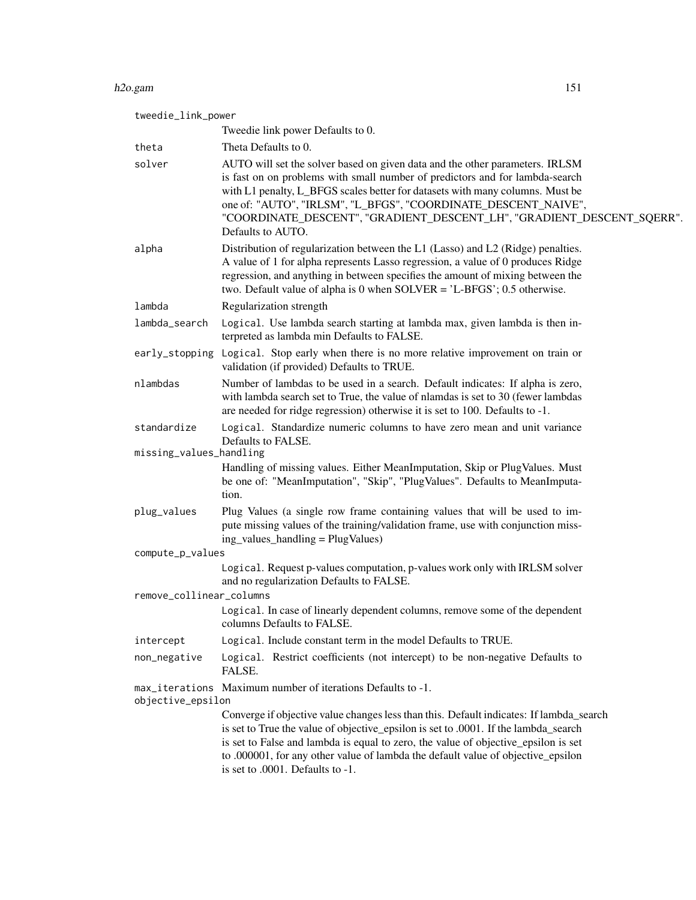#### h2o.gam 151

| tweedie_link_power       |                                                                                                                                                                                                                                                                                                                                                                                                                |
|--------------------------|----------------------------------------------------------------------------------------------------------------------------------------------------------------------------------------------------------------------------------------------------------------------------------------------------------------------------------------------------------------------------------------------------------------|
|                          | Tweedie link power Defaults to 0.                                                                                                                                                                                                                                                                                                                                                                              |
| theta                    | Theta Defaults to 0.                                                                                                                                                                                                                                                                                                                                                                                           |
| solver                   | AUTO will set the solver based on given data and the other parameters. IRLSM<br>is fast on on problems with small number of predictors and for lambda-search<br>with L1 penalty, L_BFGS scales better for datasets with many columns. Must be<br>one of: "AUTO", "IRLSM", "L_BFGS", "COORDINATE_DESCENT_NAIVE",<br>"COORDINATE_DESCENT", "GRADIENT_DESCENT_LH", "GRADIENT_DESCENT_SQERR".<br>Defaults to AUTO. |
| alpha                    | Distribution of regularization between the L1 (Lasso) and L2 (Ridge) penalties.<br>A value of 1 for alpha represents Lasso regression, a value of 0 produces Ridge<br>regression, and anything in between specifies the amount of mixing between the<br>two. Default value of alpha is 0 when $SOLVER = 'L-BFGS'; 0.5$ otherwise.                                                                              |
| lambda                   | Regularization strength                                                                                                                                                                                                                                                                                                                                                                                        |
| lambda_search            | Logical. Use lambda search starting at lambda max, given lambda is then in-<br>terpreted as lambda min Defaults to FALSE.                                                                                                                                                                                                                                                                                      |
|                          | early_stopping Logical. Stop early when there is no more relative improvement on train or<br>validation (if provided) Defaults to TRUE.                                                                                                                                                                                                                                                                        |
| nlambdas                 | Number of lambdas to be used in a search. Default indicates: If alpha is zero,<br>with lambda search set to True, the value of nlamdas is set to 30 (fewer lambdas<br>are needed for ridge regression) otherwise it is set to 100. Defaults to -1.                                                                                                                                                             |
| standardize              | Logical. Standardize numeric columns to have zero mean and unit variance<br>Defaults to FALSE.                                                                                                                                                                                                                                                                                                                 |
| missing_values_handling  |                                                                                                                                                                                                                                                                                                                                                                                                                |
|                          | Handling of missing values. Either MeanImputation, Skip or PlugValues. Must<br>be one of: "MeanImputation", "Skip", "PlugValues". Defaults to MeanImputa-<br>tion.                                                                                                                                                                                                                                             |
| plug_values              | Plug Values (a single row frame containing values that will be used to im-<br>pute missing values of the training/validation frame, use with conjunction miss-<br>ing_values_handling = PlugValues)                                                                                                                                                                                                            |
| compute_p_values         |                                                                                                                                                                                                                                                                                                                                                                                                                |
|                          | Logical. Request p-values computation, p-values work only with IRLSM solver<br>and no regularization Defaults to FALSE.                                                                                                                                                                                                                                                                                        |
| remove_collinear_columns |                                                                                                                                                                                                                                                                                                                                                                                                                |
|                          | Logical. In case of linearly dependent columns, remove some of the dependent<br>columns Defaults to FALSE.                                                                                                                                                                                                                                                                                                     |
| intercept                | Logical. Include constant term in the model Defaults to TRUE.                                                                                                                                                                                                                                                                                                                                                  |
| non_negative             | Logical. Restrict coefficients (not intercept) to be non-negative Defaults to<br>FALSE.                                                                                                                                                                                                                                                                                                                        |
| objective_epsilon        | max_iterations Maximum number of iterations Defaults to -1.                                                                                                                                                                                                                                                                                                                                                    |
|                          | Converge if objective value changes less than this. Default indicates: If lambda_search<br>is set to True the value of objective_epsilon is set to .0001. If the lambda_search<br>is set to False and lambda is equal to zero, the value of objective_epsilon is set<br>to .000001, for any other value of lambda the default value of objective_epsilon<br>is set to .0001. Defaults to -1.                   |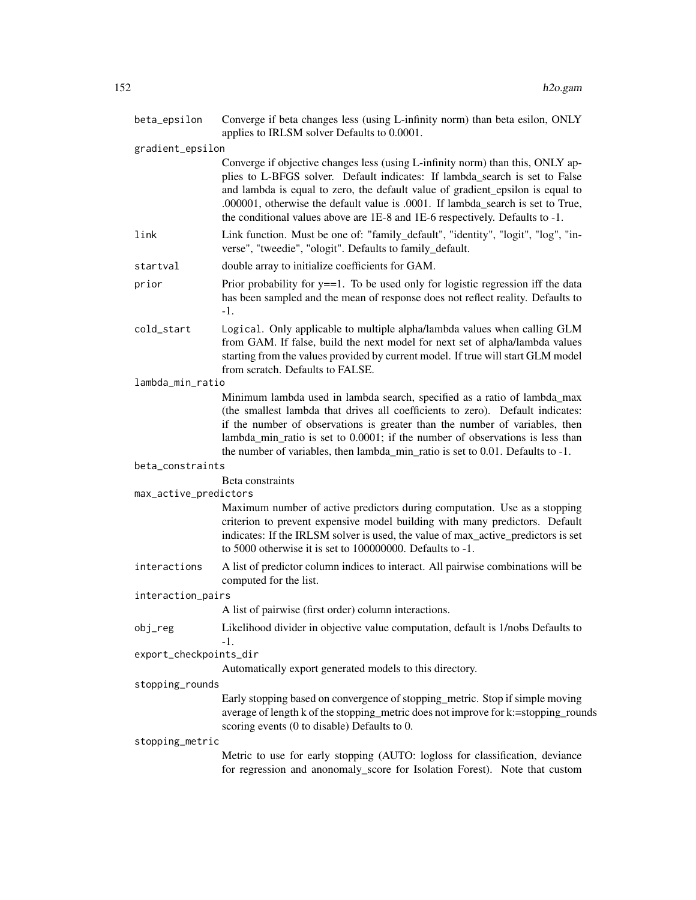| beta_epsilon           | Converge if beta changes less (using L-infinity norm) than beta esilon, ONLY<br>applies to IRLSM solver Defaults to 0.0001.                                                                                                                                                                                                                                                                                        |
|------------------------|--------------------------------------------------------------------------------------------------------------------------------------------------------------------------------------------------------------------------------------------------------------------------------------------------------------------------------------------------------------------------------------------------------------------|
| gradient_epsilon       |                                                                                                                                                                                                                                                                                                                                                                                                                    |
|                        | Converge if objective changes less (using L-infinity norm) than this, ONLY ap-<br>plies to L-BFGS solver. Default indicates: If lambda_search is set to False<br>and lambda is equal to zero, the default value of gradient_epsilon is equal to<br>.000001, otherwise the default value is .0001. If lambda_search is set to True,<br>the conditional values above are 1E-8 and 1E-6 respectively. Defaults to -1. |
| link                   | Link function. Must be one of: "family_default", "identity", "logit", "log", "in-<br>verse", "tweedie", "ologit". Defaults to family_default.                                                                                                                                                                                                                                                                      |
| startval               | double array to initialize coefficients for GAM.                                                                                                                                                                                                                                                                                                                                                                   |
| prior                  | Prior probability for $y = 1$ . To be used only for logistic regression iff the data<br>has been sampled and the mean of response does not reflect reality. Defaults to<br>$-1.$                                                                                                                                                                                                                                   |
| cold_start             | Logical. Only applicable to multiple alpha/lambda values when calling GLM<br>from GAM. If false, build the next model for next set of alpha/lambda values<br>starting from the values provided by current model. If true will start GLM model<br>from scratch. Defaults to FALSE.                                                                                                                                  |
| lambda_min_ratio       |                                                                                                                                                                                                                                                                                                                                                                                                                    |
|                        | Minimum lambda used in lambda search, specified as a ratio of lambda_max<br>(the smallest lambda that drives all coefficients to zero). Default indicates:<br>if the number of observations is greater than the number of variables, then<br>lambda_min_ratio is set to 0.0001; if the number of observations is less than<br>the number of variables, then lambda_min_ratio is set to 0.01. Defaults to -1.       |
| beta_constraints       |                                                                                                                                                                                                                                                                                                                                                                                                                    |
| max_active_predictors  | Beta constraints                                                                                                                                                                                                                                                                                                                                                                                                   |
|                        | Maximum number of active predictors during computation. Use as a stopping<br>criterion to prevent expensive model building with many predictors. Default<br>indicates: If the IRLSM solver is used, the value of max_active_predictors is set<br>to 5000 otherwise it is set to 100000000. Defaults to -1.                                                                                                         |
| interactions           | A list of predictor column indices to interact. All pairwise combinations will be<br>computed for the list.                                                                                                                                                                                                                                                                                                        |
| interaction_pairs      |                                                                                                                                                                                                                                                                                                                                                                                                                    |
|                        | A list of pairwise (first order) column interactions.                                                                                                                                                                                                                                                                                                                                                              |
| obj_reg                | Likelihood divider in objective value computation, default is 1/nobs Defaults to<br>-1.                                                                                                                                                                                                                                                                                                                            |
| export_checkpoints_dir |                                                                                                                                                                                                                                                                                                                                                                                                                    |
|                        | Automatically export generated models to this directory.                                                                                                                                                                                                                                                                                                                                                           |
| stopping_rounds        |                                                                                                                                                                                                                                                                                                                                                                                                                    |
|                        | Early stopping based on convergence of stopping_metric. Stop if simple moving<br>average of length k of the stopping_metric does not improve for k:=stopping_rounds<br>scoring events (0 to disable) Defaults to 0.                                                                                                                                                                                                |
| stopping_metric        |                                                                                                                                                                                                                                                                                                                                                                                                                    |
|                        | Metric to use for early stopping (AUTO: logloss for classification, deviance<br>for regression and anonomaly_score for Isolation Forest). Note that custom                                                                                                                                                                                                                                                         |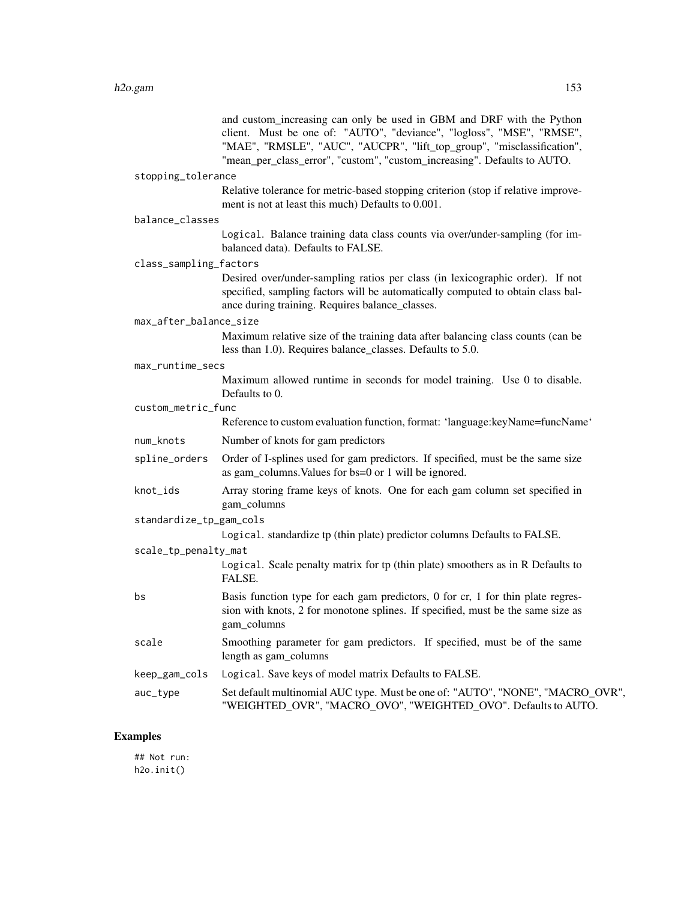and custom\_increasing can only be used in GBM and DRF with the Python client. Must be one of: "AUTO", "deviance", "logloss", "MSE", "RMSE", "MAE", "RMSLE", "AUC", "AUCPR", "lift top\_group", "misclassification", "mean\_per\_class\_error", "custom", "custom\_increasing". Defaults to AUTO.

#### stopping\_tolerance

Relative tolerance for metric-based stopping criterion (stop if relative improvement is not at least this much) Defaults to 0.001.

| balance_classes |  |
|-----------------|--|
|-----------------|--|

Logical. Balance training data class counts via over/under-sampling (for imbalanced data). Defaults to FALSE.

|  | class_sampling_factors |  |  |  |  |
|--|------------------------|--|--|--|--|
|--|------------------------|--|--|--|--|

Desired over/under-sampling ratios per class (in lexicographic order). If not specified, sampling factors will be automatically computed to obtain class balance during training. Requires balance\_classes.

#### max\_after\_balance\_size

Maximum relative size of the training data after balancing class counts (can be less than 1.0). Requires balance\_classes. Defaults to 5.0.

#### max\_runtime\_secs

Maximum allowed runtime in seconds for model training. Use 0 to disable. Defaults to 0.

custom\_metric\_func

|           | Reference to custom evaluation function, format: 'language: key Name=funcName'                                                                         |
|-----------|--------------------------------------------------------------------------------------------------------------------------------------------------------|
| num_knots | Number of knots for gam predictors                                                                                                                     |
|           | spline_orders Order of I-splines used for gam predictors. If specified, must be the same size<br>as gam columns. Values for bs=0 or 1 will be ignored. |

knot\_ids Array storing frame keys of knots. One for each gam column set specified in gam\_columns

standardize\_tp\_gam\_cols

Logical. standardize tp (thin plate) predictor columns Defaults to FALSE.

```
scale_tp_penalty_mat
```

| Logical. Scale penalty matrix for tp (thin plate) smoothers as in R Defaults to |
|---------------------------------------------------------------------------------|
| FALSE.                                                                          |

- bs Basis function type for each gam predictors, 0 for cr, 1 for thin plate regression with knots, 2 for monotone splines. If specified, must be the same size as gam\_columns
- scale Smoothing parameter for gam predictors. If specified, must be of the same length as gam\_columns

keep\_gam\_cols Logical. Save keys of model matrix Defaults to FALSE.

### Examples

## Not run: h2o.init()

auc\_type Set default multinomial AUC type. Must be one of: "AUTO", "NONE", "MACRO\_OVR", "WEIGHTED\_OVR", "MACRO\_OVO", "WEIGHTED\_OVO". Defaults to AUTO.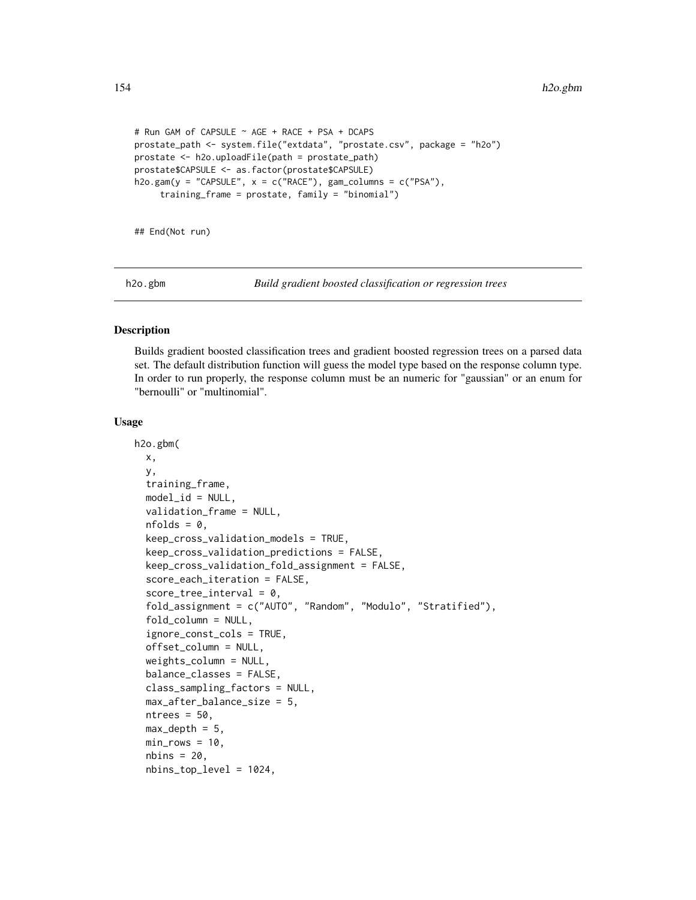```
# Run GAM of CAPSULE ~ AGE + RACE + PSA + DCAPS
prostate_path <- system.file("extdata", "prostate.csv", package = "h2o")
prostate <- h2o.uploadFile(path = prostate_path)
prostate$CAPSULE <- as.factor(prostate$CAPSULE)
h2o.gam(y = "CAPSULE", x = c("RACE"), gam_columns = c("PSA"),training_frame = prostate, family = "binomial")
```
## End(Not run)

h2o.gbm *Build gradient boosted classification or regression trees*

## Description

Builds gradient boosted classification trees and gradient boosted regression trees on a parsed data set. The default distribution function will guess the model type based on the response column type. In order to run properly, the response column must be an numeric for "gaussian" or an enum for "bernoulli" or "multinomial".

#### Usage

```
h2o.gbm(
 x,
 y,
  training_frame,
  model_id = NULL,
  validation_frame = NULL,
  nfolds = 0,
  keep_cross_validation_models = TRUE,
  keep_cross_validation_predictions = FALSE,
  keep_cross_validation_fold_assignment = FALSE,
  score_each_iteration = FALSE,
  score\_tree\_interval = 0,
  fold_assignment = c("AUTO", "Random", "Modulo", "Stratified"),
  fold\_column = NULL,ignore_const_cols = TRUE,
  offset_column = NULL,
  weights_column = NULL,
  balance_classes = FALSE,
  class_sampling_factors = NULL,
  max_after_balance_size = 5,
  ntrees = 50,
  max\_depth = 5,
 min\_rows = 10,
  nbins = 20,
  nbins_top_level = 1024,
```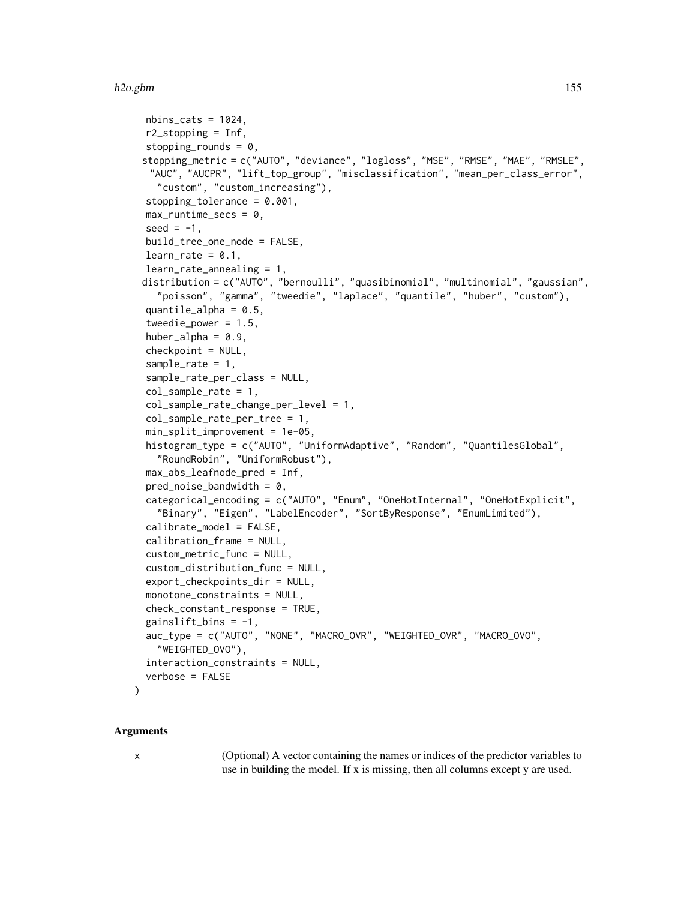```
nbins\_cats = 1024,
 r2_stopping = Inf,
  stopping_rounds = 0,
 stopping_metric = c("AUTO", "deviance", "logloss", "MSE", "RMSE", "MAE", "RMSLE",
  "AUC", "AUCPR", "lift_top_group", "misclassification", "mean_per_class_error",
    "custom", "custom_increasing"),
  stopping_tolerance = 0.001,
 max_runtime_secs = 0,
  seed = -1,
 build_tree_one_node = FALSE,
  learn_rate = 0.1,
  learn_rate_annealing = 1,
 distribution = c("AUTO", "bernoulli", "quasibinomial", "multinomial", "gaussian",
    "poisson", "gamma", "tweedie", "laplace", "quantile", "huber", "custom"),
  quantile_alpha = 0.5,
  tweedie_power = 1.5,
  huber_alpha = 0.9,
  checkpoint = NULL,
  sample_rate = 1,
  sample_rate_per_class = NULL,
  col_sample_rate = 1,
  col_sample_rate_change_per_level = 1,
  col_sample_rate_per_tree = 1,
  min_split_improvement = 1e-05,
 histogram_type = c("AUTO", "UniformAdaptive", "Random", "QuantilesGlobal",
    "RoundRobin", "UniformRobust"),
  max_abs_leafnode_pred = Inf,
 pred\_noise\_bandwidth = 0,categorical_encoding = c("AUTO", "Enum", "OneHotInternal", "OneHotExplicit",
    "Binary", "Eigen", "LabelEncoder", "SortByResponse", "EnumLimited"),
  calibrate_model = FALSE,
  calibration_frame = NULL,
  custom_metric_func = NULL,
  custom_distribution_func = NULL,
  export_checkpoints_dir = NULL,
 monotone_constraints = NULL,
  check_constant_response = TRUE,
  gainslift\_bins = -1,
  auc_type = c("AUTO", "NONE", "MACRO_OVR", "WEIGHTED_OVR", "MACRO_OVO",
    "WEIGHTED_OVO"),
  interaction_constraints = NULL,
  verbose = FALSE
)
```
#### Arguments

x (Optional) A vector containing the names or indices of the predictor variables to use in building the model. If x is missing, then all columns except y are used.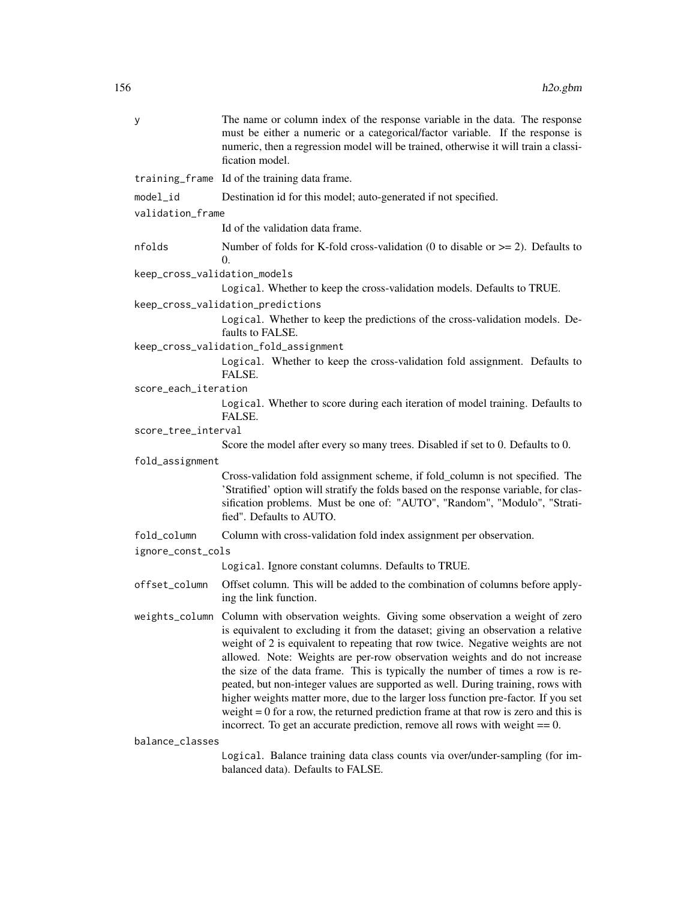| У                            | The name or column index of the response variable in the data. The response<br>must be either a numeric or a categorical/factor variable. If the response is<br>numeric, then a regression model will be trained, otherwise it will train a classi-<br>fication model.                                                                                                                                                                                                                                                                                                                                                                                                                                                                                                               |
|------------------------------|--------------------------------------------------------------------------------------------------------------------------------------------------------------------------------------------------------------------------------------------------------------------------------------------------------------------------------------------------------------------------------------------------------------------------------------------------------------------------------------------------------------------------------------------------------------------------------------------------------------------------------------------------------------------------------------------------------------------------------------------------------------------------------------|
|                              | training_frame Id of the training data frame.                                                                                                                                                                                                                                                                                                                                                                                                                                                                                                                                                                                                                                                                                                                                        |
| model_id                     | Destination id for this model; auto-generated if not specified.                                                                                                                                                                                                                                                                                                                                                                                                                                                                                                                                                                                                                                                                                                                      |
| validation_frame             |                                                                                                                                                                                                                                                                                                                                                                                                                                                                                                                                                                                                                                                                                                                                                                                      |
|                              | Id of the validation data frame.                                                                                                                                                                                                                                                                                                                                                                                                                                                                                                                                                                                                                                                                                                                                                     |
| nfolds                       | Number of folds for K-fold cross-validation (0 to disable or $\ge$ = 2). Defaults to<br>0.                                                                                                                                                                                                                                                                                                                                                                                                                                                                                                                                                                                                                                                                                           |
| keep_cross_validation_models |                                                                                                                                                                                                                                                                                                                                                                                                                                                                                                                                                                                                                                                                                                                                                                                      |
|                              | Logical. Whether to keep the cross-validation models. Defaults to TRUE.                                                                                                                                                                                                                                                                                                                                                                                                                                                                                                                                                                                                                                                                                                              |
|                              | keep_cross_validation_predictions                                                                                                                                                                                                                                                                                                                                                                                                                                                                                                                                                                                                                                                                                                                                                    |
|                              | Logical. Whether to keep the predictions of the cross-validation models. De-<br>faults to FALSE.                                                                                                                                                                                                                                                                                                                                                                                                                                                                                                                                                                                                                                                                                     |
|                              | keep_cross_validation_fold_assignment                                                                                                                                                                                                                                                                                                                                                                                                                                                                                                                                                                                                                                                                                                                                                |
|                              | Logical. Whether to keep the cross-validation fold assignment. Defaults to<br>FALSE.                                                                                                                                                                                                                                                                                                                                                                                                                                                                                                                                                                                                                                                                                                 |
| score_each_iteration         |                                                                                                                                                                                                                                                                                                                                                                                                                                                                                                                                                                                                                                                                                                                                                                                      |
|                              | Logical. Whether to score during each iteration of model training. Defaults to<br>FALSE.                                                                                                                                                                                                                                                                                                                                                                                                                                                                                                                                                                                                                                                                                             |
| score_tree_interval          |                                                                                                                                                                                                                                                                                                                                                                                                                                                                                                                                                                                                                                                                                                                                                                                      |
|                              | Score the model after every so many trees. Disabled if set to 0. Defaults to 0.                                                                                                                                                                                                                                                                                                                                                                                                                                                                                                                                                                                                                                                                                                      |
| fold_assignment              |                                                                                                                                                                                                                                                                                                                                                                                                                                                                                                                                                                                                                                                                                                                                                                                      |
|                              | Cross-validation fold assignment scheme, if fold_column is not specified. The<br>'Stratified' option will stratify the folds based on the response variable, for clas-<br>sification problems. Must be one of: "AUTO", "Random", "Modulo", "Strati-<br>fied". Defaults to AUTO.                                                                                                                                                                                                                                                                                                                                                                                                                                                                                                      |
| fold_column                  | Column with cross-validation fold index assignment per observation.                                                                                                                                                                                                                                                                                                                                                                                                                                                                                                                                                                                                                                                                                                                  |
| ignore_const_cols            |                                                                                                                                                                                                                                                                                                                                                                                                                                                                                                                                                                                                                                                                                                                                                                                      |
|                              | Logical. Ignore constant columns. Defaults to TRUE.                                                                                                                                                                                                                                                                                                                                                                                                                                                                                                                                                                                                                                                                                                                                  |
| offset_column                | Offset column. This will be added to the combination of columns before apply-<br>ing the link function.                                                                                                                                                                                                                                                                                                                                                                                                                                                                                                                                                                                                                                                                              |
|                              | weights_column Column with observation weights. Giving some observation a weight of zero<br>is equivalent to excluding it from the dataset; giving an observation a relative<br>weight of 2 is equivalent to repeating that row twice. Negative weights are not<br>allowed. Note: Weights are per-row observation weights and do not increase<br>the size of the data frame. This is typically the number of times a row is re-<br>peated, but non-integer values are supported as well. During training, rows with<br>higher weights matter more, due to the larger loss function pre-factor. If you set<br>weight $= 0$ for a row, the returned prediction frame at that row is zero and this is<br>incorrect. To get an accurate prediction, remove all rows with weight $== 0$ . |
| balance_classes              |                                                                                                                                                                                                                                                                                                                                                                                                                                                                                                                                                                                                                                                                                                                                                                                      |
|                              | Logical. Balance training data class counts via over/under-sampling (for im-<br>balanced data). Defaults to FALSE.                                                                                                                                                                                                                                                                                                                                                                                                                                                                                                                                                                                                                                                                   |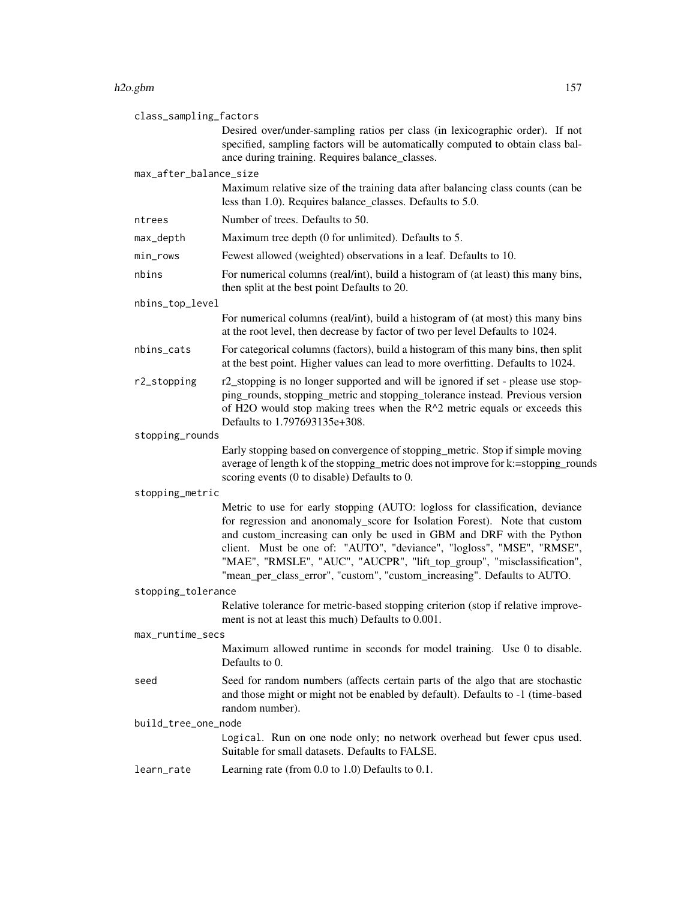#### h2o.gbm 157

| class_sampling_factors |                                                                                                                                                                                                                                                                                                                                                                                                                                                                    |  |
|------------------------|--------------------------------------------------------------------------------------------------------------------------------------------------------------------------------------------------------------------------------------------------------------------------------------------------------------------------------------------------------------------------------------------------------------------------------------------------------------------|--|
|                        | Desired over/under-sampling ratios per class (in lexicographic order). If not<br>specified, sampling factors will be automatically computed to obtain class bal-<br>ance during training. Requires balance_classes.                                                                                                                                                                                                                                                |  |
| max_after_balance_size |                                                                                                                                                                                                                                                                                                                                                                                                                                                                    |  |
|                        | Maximum relative size of the training data after balancing class counts (can be<br>less than 1.0). Requires balance_classes. Defaults to 5.0.                                                                                                                                                                                                                                                                                                                      |  |
| ntrees                 | Number of trees. Defaults to 50.                                                                                                                                                                                                                                                                                                                                                                                                                                   |  |
| max_depth              | Maximum tree depth (0 for unlimited). Defaults to 5.                                                                                                                                                                                                                                                                                                                                                                                                               |  |
| min_rows               | Fewest allowed (weighted) observations in a leaf. Defaults to 10.                                                                                                                                                                                                                                                                                                                                                                                                  |  |
| nbins                  | For numerical columns (real/int), build a histogram of (at least) this many bins,<br>then split at the best point Defaults to 20.                                                                                                                                                                                                                                                                                                                                  |  |
| nbins_top_level        |                                                                                                                                                                                                                                                                                                                                                                                                                                                                    |  |
|                        | For numerical columns (real/int), build a histogram of (at most) this many bins<br>at the root level, then decrease by factor of two per level Defaults to 1024.                                                                                                                                                                                                                                                                                                   |  |
| nbins_cats             | For categorical columns (factors), build a histogram of this many bins, then split<br>at the best point. Higher values can lead to more overfitting. Defaults to 1024.                                                                                                                                                                                                                                                                                             |  |
| r2_stopping            | r2_stopping is no longer supported and will be ignored if set - please use stop-<br>ping_rounds, stopping_metric and stopping_tolerance instead. Previous version<br>of H2O would stop making trees when the $R^2$ metric equals or exceeds this<br>Defaults to 1.797693135e+308.                                                                                                                                                                                  |  |
| stopping_rounds        |                                                                                                                                                                                                                                                                                                                                                                                                                                                                    |  |
|                        | Early stopping based on convergence of stopping_metric. Stop if simple moving<br>average of length k of the stopping_metric does not improve for k:=stopping_rounds<br>scoring events (0 to disable) Defaults to 0.                                                                                                                                                                                                                                                |  |
| stopping_metric        |                                                                                                                                                                                                                                                                                                                                                                                                                                                                    |  |
|                        | Metric to use for early stopping (AUTO: logloss for classification, deviance<br>for regression and anonomaly_score for Isolation Forest). Note that custom<br>and custom_increasing can only be used in GBM and DRF with the Python<br>client. Must be one of: "AUTO", "deviance", "logloss", "MSE", "RMSE",<br>"MAE", "RMSLE", "AUC", "AUCPR", "lift_top_group", "misclassification",<br>"mean_per_class_error", "custom", "custom_increasing". Defaults to AUTO. |  |
| stopping_tolerance     |                                                                                                                                                                                                                                                                                                                                                                                                                                                                    |  |
|                        | Relative tolerance for metric-based stopping criterion (stop if relative improve-<br>ment is not at least this much) Defaults to 0.001.                                                                                                                                                                                                                                                                                                                            |  |
| max_runtime_secs       |                                                                                                                                                                                                                                                                                                                                                                                                                                                                    |  |
|                        | Maximum allowed runtime in seconds for model training. Use 0 to disable.<br>Defaults to 0.                                                                                                                                                                                                                                                                                                                                                                         |  |
| seed                   | Seed for random numbers (affects certain parts of the algo that are stochastic<br>and those might or might not be enabled by default). Defaults to -1 (time-based<br>random number).                                                                                                                                                                                                                                                                               |  |
| build_tree_one_node    |                                                                                                                                                                                                                                                                                                                                                                                                                                                                    |  |
|                        | Logical. Run on one node only; no network overhead but fewer cpus used.<br>Suitable for small datasets. Defaults to FALSE.                                                                                                                                                                                                                                                                                                                                         |  |
| learn_rate             | Learning rate (from $0.0$ to $1.0$ ) Defaults to $0.1$ .                                                                                                                                                                                                                                                                                                                                                                                                           |  |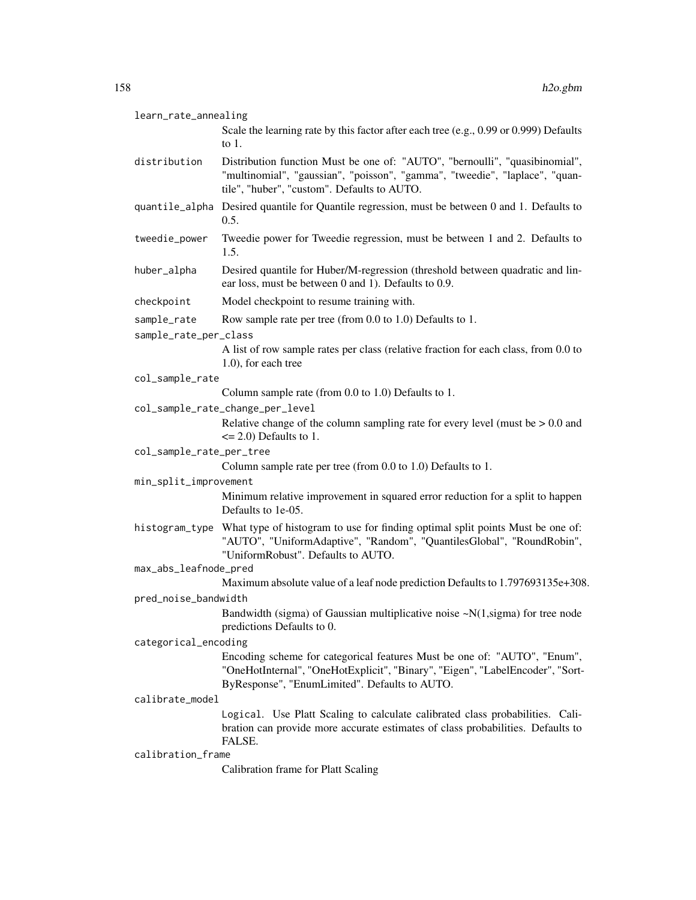| learn_rate_annealing |  |
|----------------------|--|
|----------------------|--|

| Scale the learning rate by this factor after each tree (e.g., 0.99 or 0.999) Defaults |
|---------------------------------------------------------------------------------------|
| to 1.                                                                                 |

- distribution Distribution function Must be one of: "AUTO", "bernoulli", "quasibinomial", "multinomial", "gaussian", "poisson", "gamma", "tweedie", "laplace", "quantile", "huber", "custom". Defaults to AUTO.
- quantile\_alpha Desired quantile for Quantile regression, must be between 0 and 1. Defaults to 0.5.
- tweedie\_power Tweedie power for Tweedie regression, must be between 1 and 2. Defaults to 1.5.
- huber\_alpha Desired quantile for Huber/M-regression (threshold between quadratic and linear loss, must be between 0 and 1). Defaults to 0.9.
- checkpoint Model checkpoint to resume training with.

```
sample_rate Row sample rate per tree (from 0.0 to 1.0) Defaults to 1.
```
- sample\_rate\_per\_class
	- A list of row sample rates per class (relative fraction for each class, from 0.0 to 1.0), for each tree
- col\_sample\_rate

Column sample rate (from 0.0 to 1.0) Defaults to 1.

col\_sample\_rate\_change\_per\_level

Relative change of the column sampling rate for every level (must be > 0.0 and  $\leq$  2.0) Defaults to 1.

col\_sample\_rate\_per\_tree

Column sample rate per tree (from 0.0 to 1.0) Defaults to 1.

min\_split\_improvement

Minimum relative improvement in squared error reduction for a split to happen Defaults to 1e-05.

histogram\_type What type of histogram to use for finding optimal split points Must be one of: "AUTO", "UniformAdaptive", "Random", "QuantilesGlobal", "RoundRobin", "UniformRobust". Defaults to AUTO.

max\_abs\_leafnode\_pred

Maximum absolute value of a leaf node prediction Defaults to 1.797693135e+308.

### pred\_noise\_bandwidth

Bandwidth (sigma) of Gaussian multiplicative noise  $\sim N(1, sigma)$  for tree node predictions Defaults to 0.

#### categorical\_encoding

Encoding scheme for categorical features Must be one of: "AUTO", "Enum", "OneHotInternal", "OneHotExplicit", "Binary", "Eigen", "LabelEncoder", "Sort-ByResponse", "EnumLimited". Defaults to AUTO.

#### calibrate\_model

Logical. Use Platt Scaling to calculate calibrated class probabilities. Calibration can provide more accurate estimates of class probabilities. Defaults to FALSE.

#### calibration\_frame

Calibration frame for Platt Scaling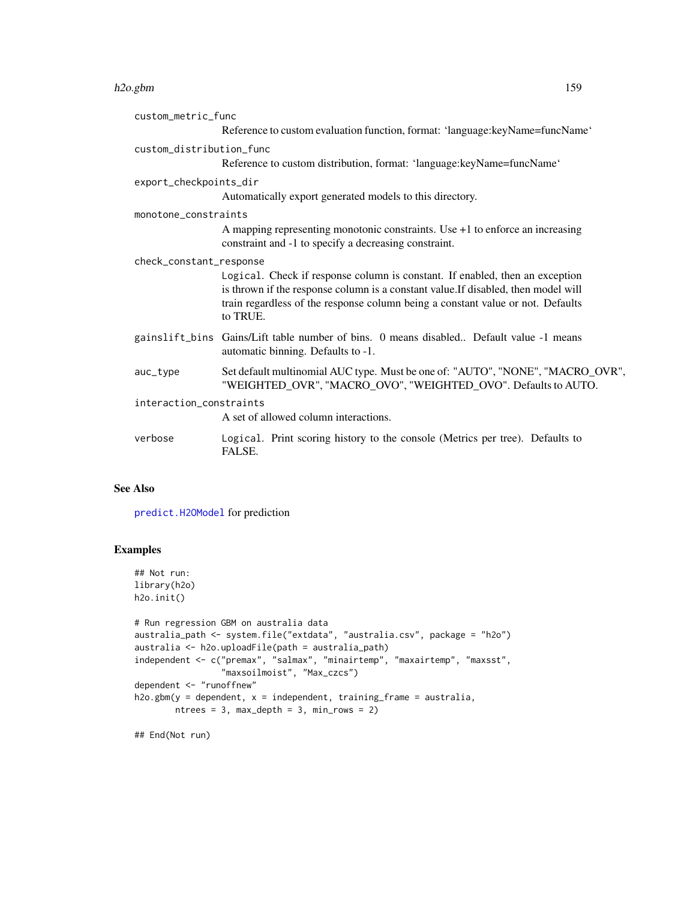#### h2o.gbm 159

| custom_metric_func                                                                                                                                                                                                                                                                           |  |  |
|----------------------------------------------------------------------------------------------------------------------------------------------------------------------------------------------------------------------------------------------------------------------------------------------|--|--|
| Reference to custom evaluation function, format: 'language:keyName=funcName'                                                                                                                                                                                                                 |  |  |
| custom distribution func                                                                                                                                                                                                                                                                     |  |  |
| Reference to custom distribution, format: 'language:keyName=funcName'                                                                                                                                                                                                                        |  |  |
| export_checkpoints_dir                                                                                                                                                                                                                                                                       |  |  |
| Automatically export generated models to this directory.                                                                                                                                                                                                                                     |  |  |
| monotone constraints                                                                                                                                                                                                                                                                         |  |  |
| A mapping representing monotonic constraints. Use $+1$ to enforce an increasing<br>constraint and -1 to specify a decreasing constraint.                                                                                                                                                     |  |  |
| check_constant_response<br>Logical. Check if response column is constant. If enabled, then an exception<br>is thrown if the response column is a constant value. If disabled, then model will<br>train regardless of the response column being a constant value or not. Defaults<br>to TRUE. |  |  |
| gainslift_bins Gains/Lift table number of bins. 0 means disabled Default value -1 means<br>automatic binning. Defaults to -1.                                                                                                                                                                |  |  |
| Set default multinomial AUC type. Must be one of: "AUTO", "NONE", "MACRO_OVR",<br>"WEIGHTED_OVR", "MACRO_OVO", "WEIGHTED_OVO". Defaults to AUTO.                                                                                                                                             |  |  |
| interaction_constraints                                                                                                                                                                                                                                                                      |  |  |
| A set of allowed column interactions.                                                                                                                                                                                                                                                        |  |  |
| Logical. Print scoring history to the console (Metrics per tree). Defaults to<br>FALSE.                                                                                                                                                                                                      |  |  |
|                                                                                                                                                                                                                                                                                              |  |  |

## See Also

[predict.H2OModel](#page-432-0) for prediction

# Examples

```
## Not run:
library(h2o)
h2o.init()
# Run regression GBM on australia data
australia_path <- system.file("extdata", "australia.csv", package = "h2o")
australia <- h2o.uploadFile(path = australia_path)
independent <- c("premax", "salmax", "minairtemp", "maxairtemp", "maxsst",
                 "maxsoilmoist", "Max_czcs")
dependent <- "runoffnew"
h2o.gbm(y = dependent, x = independent, training-frame = australia,ntrees = 3, max\_depth = 3, min\_rows = 2)
```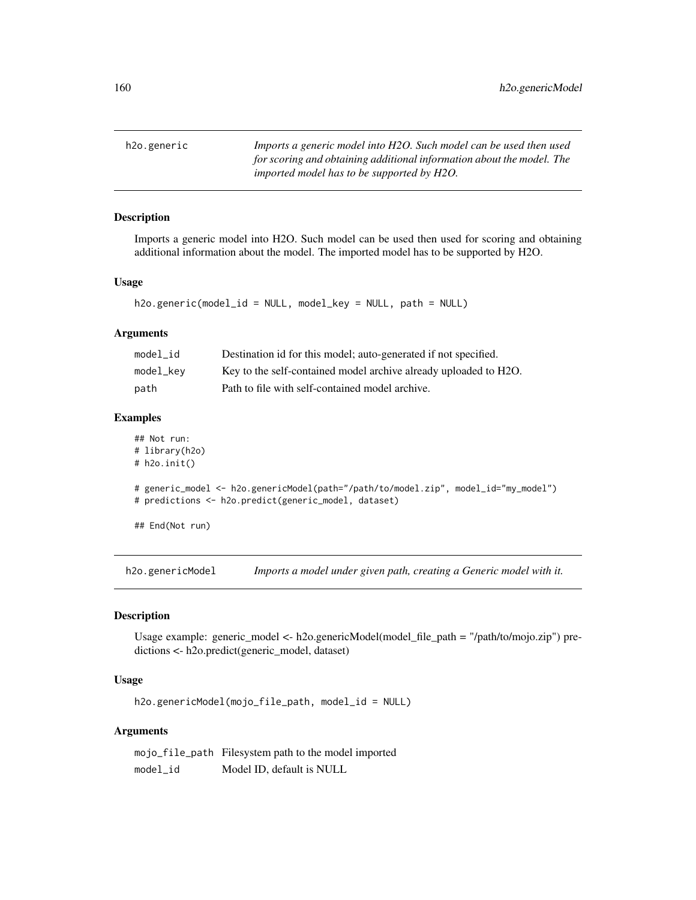h2o.generic *Imports a generic model into H2O. Such model can be used then used for scoring and obtaining additional information about the model. The imported model has to be supported by H2O.*

## Description

Imports a generic model into H2O. Such model can be used then used for scoring and obtaining additional information about the model. The imported model has to be supported by H2O.

#### Usage

```
h2o.generic(model_id = NULL, model_key = NULL, path = NULL)
```
#### Arguments

| model id  | Destination id for this model; auto-generated if not specified.  |
|-----------|------------------------------------------------------------------|
| model_key | Key to the self-contained model archive already uploaded to H2O. |
| path      | Path to file with self-contained model archive.                  |

## Examples

```
## Not run:
# library(h2o)
# h2o.init()
# generic_model <- h2o.genericModel(path="/path/to/model.zip", model_id="my_model")
# predictions <- h2o.predict(generic_model, dataset)
## End(Not run)
```
h2o.genericModel *Imports a model under given path, creating a Generic model with it.*

#### Description

Usage example: generic\_model <- h2o.genericModel(model\_file\_path = "/path/to/mojo.zip") predictions <- h2o.predict(generic\_model, dataset)

### Usage

h2o.genericModel(mojo\_file\_path, model\_id = NULL)

### Arguments

mojo\_file\_path Filesystem path to the model imported model\_id Model ID, default is NULL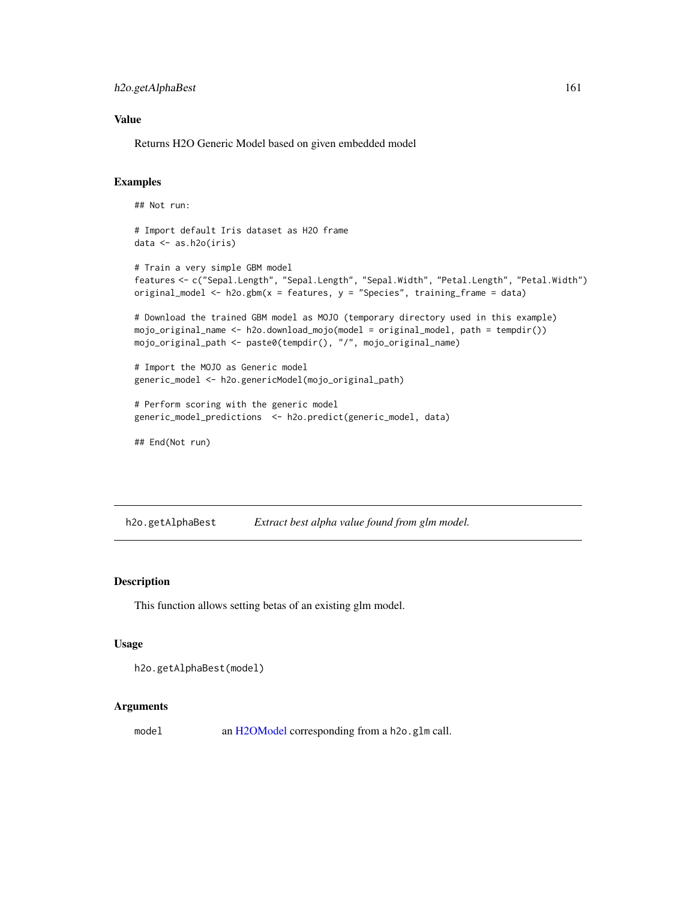h2o.getAlphaBest 161

### Value

Returns H2O Generic Model based on given embedded model

## Examples

```
## Not run:
# Import default Iris dataset as H2O frame
data <- as.h2o(iris)
# Train a very simple GBM model
features <- c("Sepal.Length", "Sepal.Length", "Sepal.Width", "Petal.Length", "Petal.Width")
original_model <- h2o.gbm(x = features, y = "Species", training_frame = data)
# Download the trained GBM model as MOJO (temporary directory used in this example)
mojo_original_name <- h2o.download_mojo(model = original_model, path = tempdir())
mojo_original_path <- paste0(tempdir(), "/", mojo_original_name)
# Import the MOJO as Generic model
generic_model <- h2o.genericModel(mojo_original_path)
# Perform scoring with the generic model
generic_model_predictions <- h2o.predict(generic_model, data)
## End(Not run)
```
h2o.getAlphaBest *Extract best alpha value found from glm model.*

# Description

This function allows setting betas of an existing glm model.

### Usage

```
h2o.getAlphaBest(model)
```
### Arguments

model an [H2OModel](#page-415-0) corresponding from a h2o.glm call.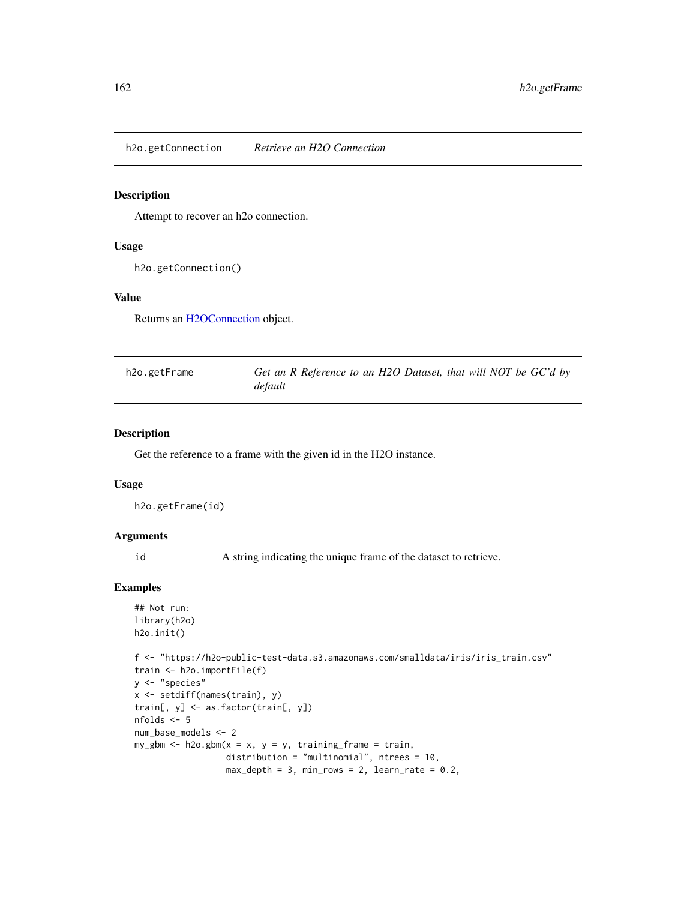h2o.getConnection *Retrieve an H2O Connection*

#### Description

Attempt to recover an h2o connection.

### Usage

h2o.getConnection()

## Value

Returns an [H2OConnection](#page-409-0) object.

| h2o.getFrame | Get an R Reference to an H2O Dataset, that will NOT be GC'd by |
|--------------|----------------------------------------------------------------|
|              | default                                                        |

## Description

Get the reference to a frame with the given id in the H2O instance.

#### Usage

```
h2o.getFrame(id)
```
### Arguments

id A string indicating the unique frame of the dataset to retrieve.

## Examples

```
## Not run:
library(h2o)
h2o.init()
```

```
f <- "https://h2o-public-test-data.s3.amazonaws.com/smalldata/iris/iris_train.csv"
train <- h2o.importFile(f)
y <- "species"
x <- setdiff(names(train), y)
train[, y] <- as.factor(train[, y])
nfolds <- 5
num_base_models <- 2
my\_gbm \leq -h2o.gbm(x = x, y = y, training-frame = train,distribution = "multinomial", ntrees = 10,
                   max_{\text{depth}} = 3, min_{\text{rows}} = 2, learn_{\text{rate}} = 0.2,
```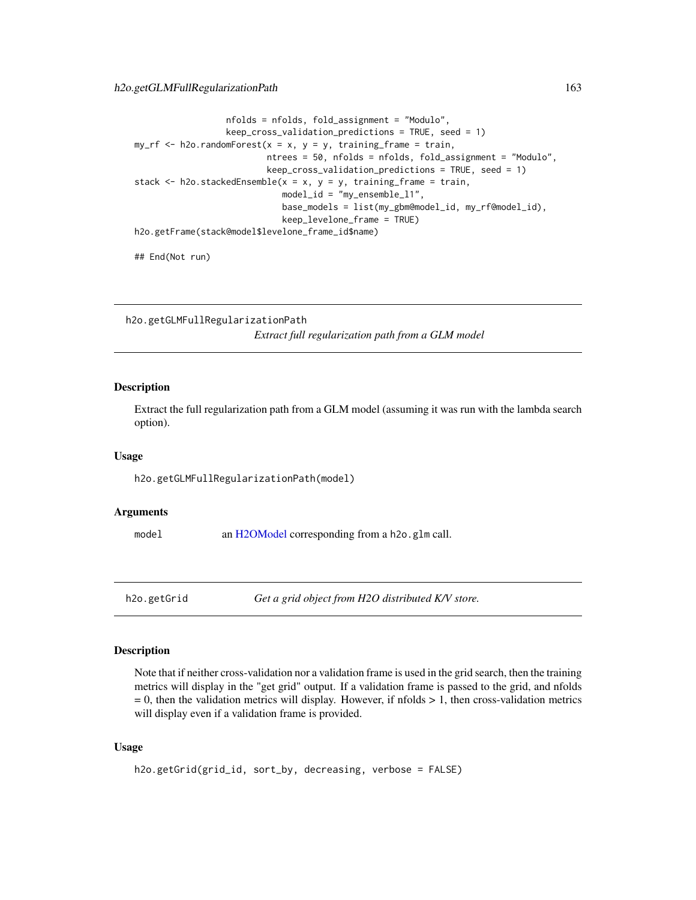```
nfolds = nfolds, fold_assignment = "Modulo",
                  keep_cross_validation_predictions = TRUE, seed = 1)
my\_rf \leq -h2o.randomForest(x = x, y = y, training\_frame = train,ntrees = 50, nfolds = nfolds, fold_assignment = "Modulo",
                          keep_cross_validation_predictions = TRUE, seed = 1)
stack \leq h2o.stackedEnsemble(x = x, y = y, training_frame = train,
                             model_id = "my_ensemble_l1",
                             base_models = list(my_gbm@model_id, my_rf@model_id),
                             keep_levelone_frame = TRUE)
h2o.getFrame(stack@model$levelone_frame_id$name)
```
## End(Not run)

h2o.getGLMFullRegularizationPath *Extract full regularization path from a GLM model*

### Description

Extract the full regularization path from a GLM model (assuming it was run with the lambda search option).

#### Usage

h2o.getGLMFullRegularizationPath(model)

#### Arguments

model an [H2OModel](#page-415-0) corresponding from a h2o.glm call.

h2o.getGrid *Get a grid object from H2O distributed K/V store.*

### Description

Note that if neither cross-validation nor a validation frame is used in the grid search, then the training metrics will display in the "get grid" output. If a validation frame is passed to the grid, and nfolds  $= 0$ , then the validation metrics will display. However, if nfolds  $> 1$ , then cross-validation metrics will display even if a validation frame is provided.

### Usage

```
h2o.getGrid(grid_id, sort_by, decreasing, verbose = FALSE)
```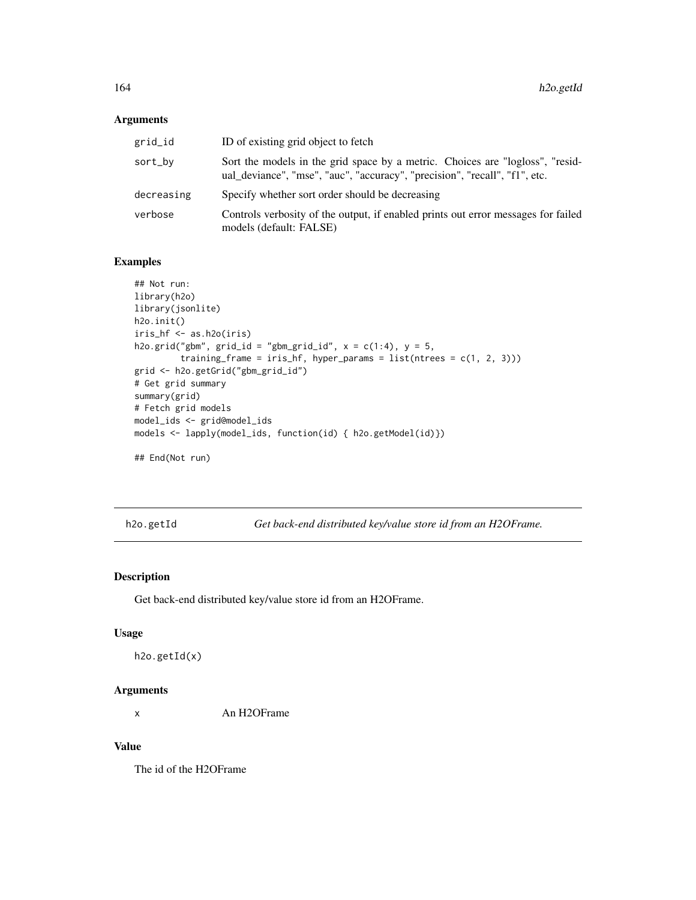## Arguments

| grid_id    | ID of existing grid object to fetch                                                                                                                         |
|------------|-------------------------------------------------------------------------------------------------------------------------------------------------------------|
| sort_by    | Sort the models in the grid space by a metric. Choices are "logloss", "resid-<br>ual_deviance", "mse", "auc", "accuracy", "precision", "recall", "f1", etc. |
| decreasing | Specify whether sort order should be decreasing                                                                                                             |
| verbose    | Controls verbosity of the output, if enabled prints out error messages for failed<br>models (default: FALSE)                                                |

# Examples

```
## Not run:
library(h2o)
library(jsonlite)
h2o.init()
iris_hf <- as.h2o(iris)
h2o.grid("gbm", grid_id = "gbm_grid_id", x = c(1:4), y = 5,
         training_frame = iris_hf, hyper_params = list(ntrees = c(1, 2, 3)))grid <- h2o.getGrid("gbm_grid_id")
# Get grid summary
summary(grid)
# Fetch grid models
model_ids <- grid@model_ids
models <- lapply(model_ids, function(id) { h2o.getModel(id)})
## End(Not run)
```
h2o.getId *Get back-end distributed key/value store id from an H2OFrame.*

## Description

Get back-end distributed key/value store id from an H2OFrame.

## Usage

```
h2o.getId(x)
```
#### Arguments

x An H2OFrame

### Value

The id of the H2OFrame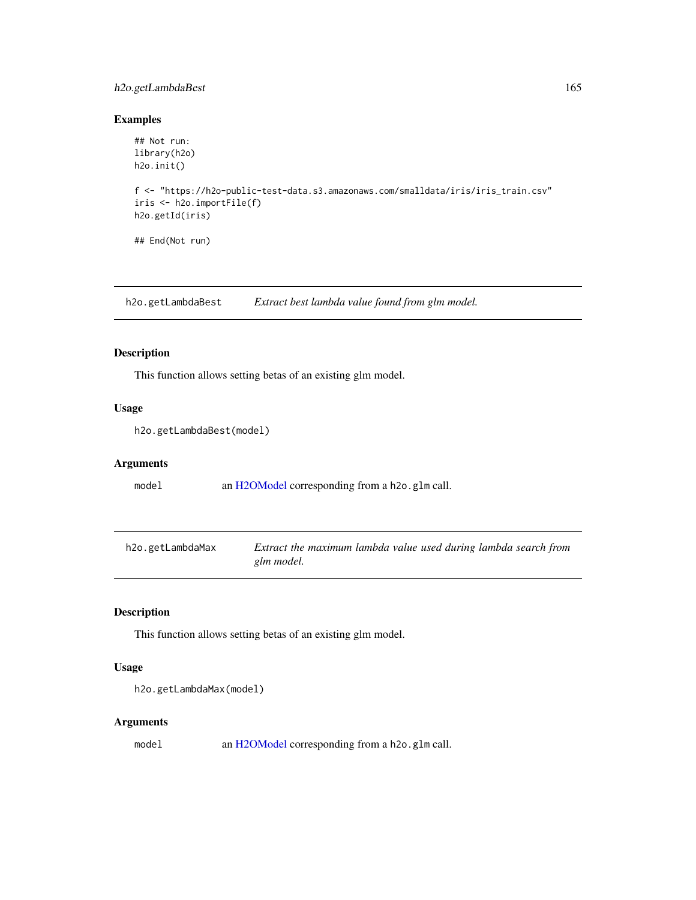## h2o.getLambdaBest 165

## Examples

```
## Not run:
library(h2o)
h2o.init()
f <- "https://h2o-public-test-data.s3.amazonaws.com/smalldata/iris/iris_train.csv"
iris <- h2o.importFile(f)
h2o.getId(iris)
## End(Not run)
```
h2o.getLambdaBest *Extract best lambda value found from glm model.*

## Description

This function allows setting betas of an existing glm model.

## Usage

```
h2o.getLambdaBest(model)
```
## Arguments

model an [H2OModel](#page-415-0) corresponding from a h2o.glm call.

| h2o.getLambdaMax | Extract the maximum lambda value used during lambda search from |
|------------------|-----------------------------------------------------------------|
|                  | glm model.                                                      |

# Description

This function allows setting betas of an existing glm model.

### Usage

```
h2o.getLambdaMax(model)
```
### Arguments

model an [H2OModel](#page-415-0) corresponding from a h2o.glm call.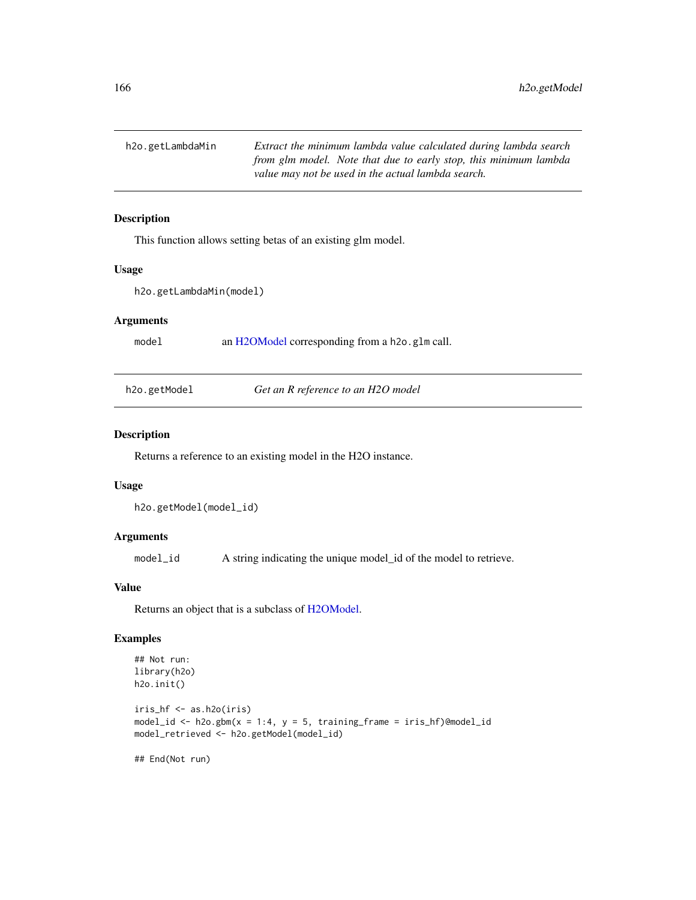h2o.getLambdaMin *Extract the minimum lambda value calculated during lambda search from glm model. Note that due to early stop, this minimum lambda value may not be used in the actual lambda search.*

## Description

This function allows setting betas of an existing glm model.

#### Usage

```
h2o.getLambdaMin(model)
```
#### Arguments

model an [H2OModel](#page-415-0) corresponding from a h2o.glm call.

h2o.getModel *Get an R reference to an H2O model*

### Description

Returns a reference to an existing model in the H2O instance.

#### Usage

```
h2o.getModel(model_id)
```
### Arguments

model\_id A string indicating the unique model\_id of the model to retrieve.

## Value

Returns an object that is a subclass of [H2OModel.](#page-415-0)

#### Examples

```
## Not run:
library(h2o)
h2o.init()
iris_hf <- as.h2o(iris)
model_id <- h2o.gbm(x = 1:4, y = 5, training_frame = iris_hf)@model_id
model_retrieved <- h2o.getModel(model_id)
```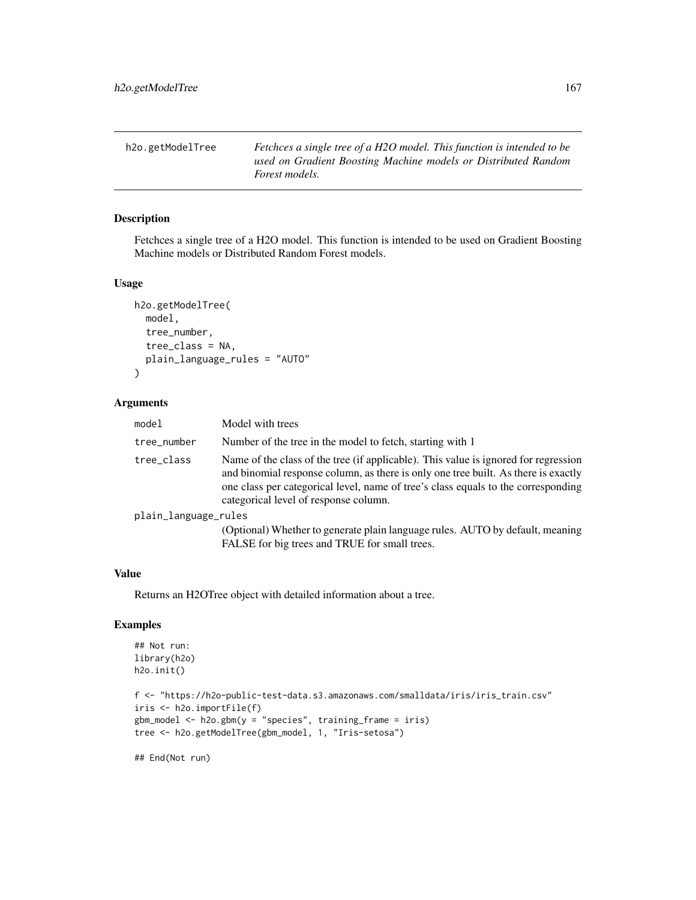h2o.getModelTree *Fetchces a single tree of a H2O model. This function is intended to be used on Gradient Boosting Machine models or Distributed Random Forest models.*

# Description

Fetchces a single tree of a H2O model. This function is intended to be used on Gradient Boosting Machine models or Distributed Random Forest models.

#### Usage

```
h2o.getModelTree(
  model,
  tree_number,
  tree_class = NA,
  plain_language_rules = "AUTO"
)
```
## Arguments

| model                | Model with trees                                                                                                                                                                                                                                                                                        |  |
|----------------------|---------------------------------------------------------------------------------------------------------------------------------------------------------------------------------------------------------------------------------------------------------------------------------------------------------|--|
| tree_number          | Number of the tree in the model to fetch, starting with 1                                                                                                                                                                                                                                               |  |
| tree_class           | Name of the class of the tree (if applicable). This value is ignored for regression<br>and binomial response column, as there is only one tree built. As there is exactly<br>one class per categorical level, name of tree's class equals to the corresponding<br>categorical level of response column. |  |
| plain_language_rules |                                                                                                                                                                                                                                                                                                         |  |
|                      | (Optional) Whether to generate plain language rules. AUTO by default, meaning<br>FALSE for big trees and TRUE for small trees.                                                                                                                                                                          |  |

### Value

Returns an H2OTree object with detailed information about a tree.

# Examples

```
## Not run:
library(h2o)
h2o.init()
f <- "https://h2o-public-test-data.s3.amazonaws.com/smalldata/iris/iris_train.csv"
iris <- h2o.importFile(f)
gbm_model <- h2o.gbm(y = "species", training_frame = iris)
tree <- h2o.getModelTree(gbm_model, 1, "Iris-setosa")
```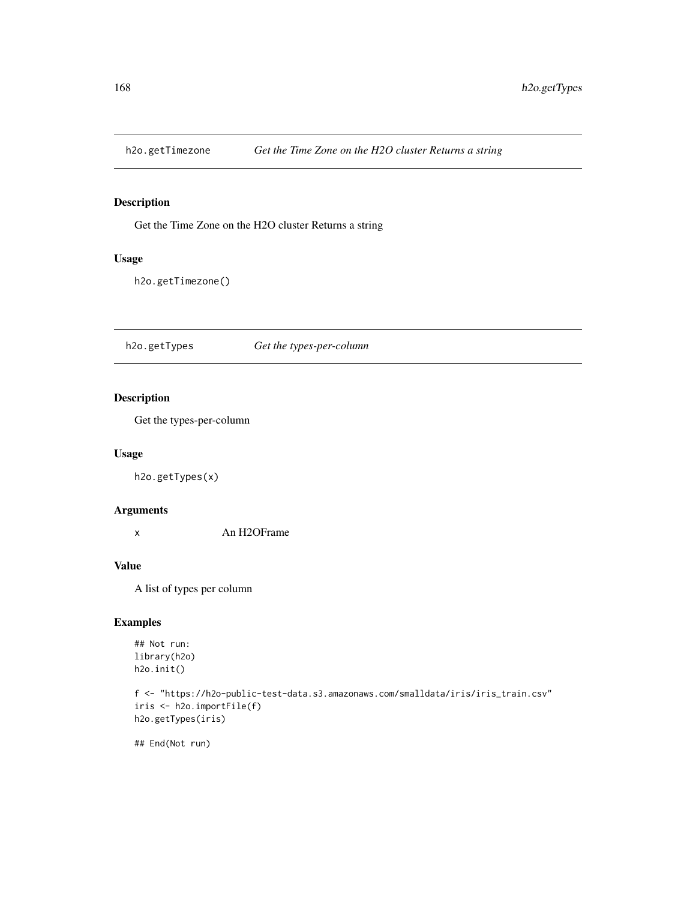### Description

Get the Time Zone on the H2O cluster Returns a string

## Usage

h2o.getTimezone()

h2o.getTypes *Get the types-per-column*

## Description

Get the types-per-column

### Usage

h2o.getTypes(x)

## Arguments

x An H2OFrame

#### Value

A list of types per column

## Examples

```
## Not run:
library(h2o)
h2o.init()
```

```
f <- "https://h2o-public-test-data.s3.amazonaws.com/smalldata/iris/iris_train.csv"
iris <- h2o.importFile(f)
h2o.getTypes(iris)
```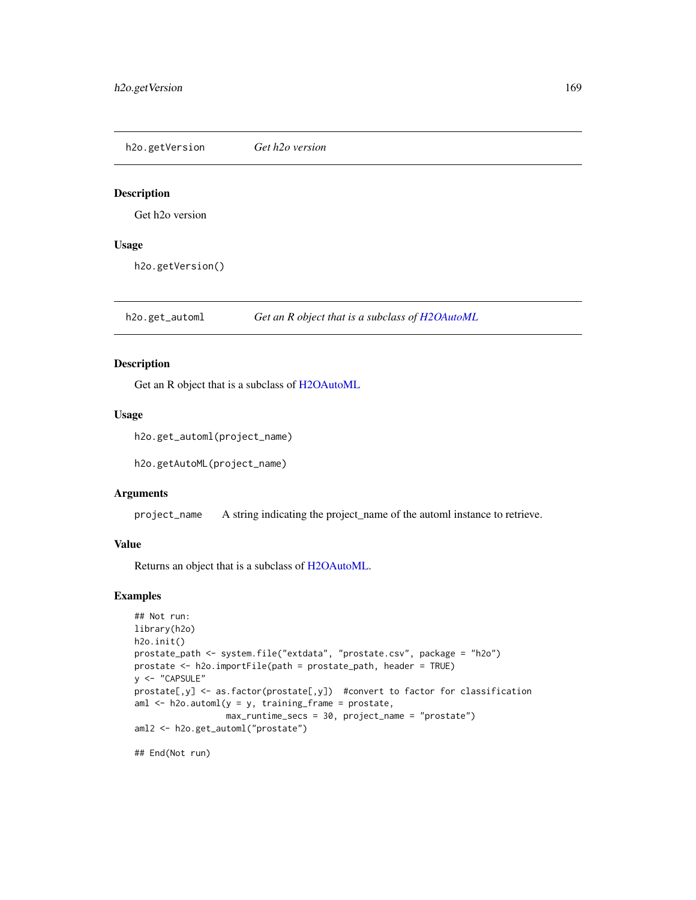h2o.getVersion *Get h2o version*

## Description

Get h2o version

### Usage

h2o.getVersion()

h2o.get\_automl *Get an R object that is a subclass of [H2OAutoML](#page-408-0)*

## Description

Get an R object that is a subclass of [H2OAutoML](#page-408-0)

#### Usage

h2o.get\_automl(project\_name)

h2o.getAutoML(project\_name)

### Arguments

project\_name A string indicating the project\_name of the automl instance to retrieve.

## Value

Returns an object that is a subclass of [H2OAutoML.](#page-408-0)

### Examples

```
## Not run:
library(h2o)
h2o.init()
prostate_path <- system.file("extdata", "prostate.csv", package = "h2o")
prostate <- h2o.importFile(path = prostate_path, header = TRUE)
y <- "CAPSULE"
prostate[,y] <- as.factor(prostate[,y]) #convert to factor for classification
aml \leq h2o.automl(y = y, training_frame = prostate,
                  max_runtime_secs = 30, project_name = "prostate")
aml2 <- h2o.get_automl("prostate")
```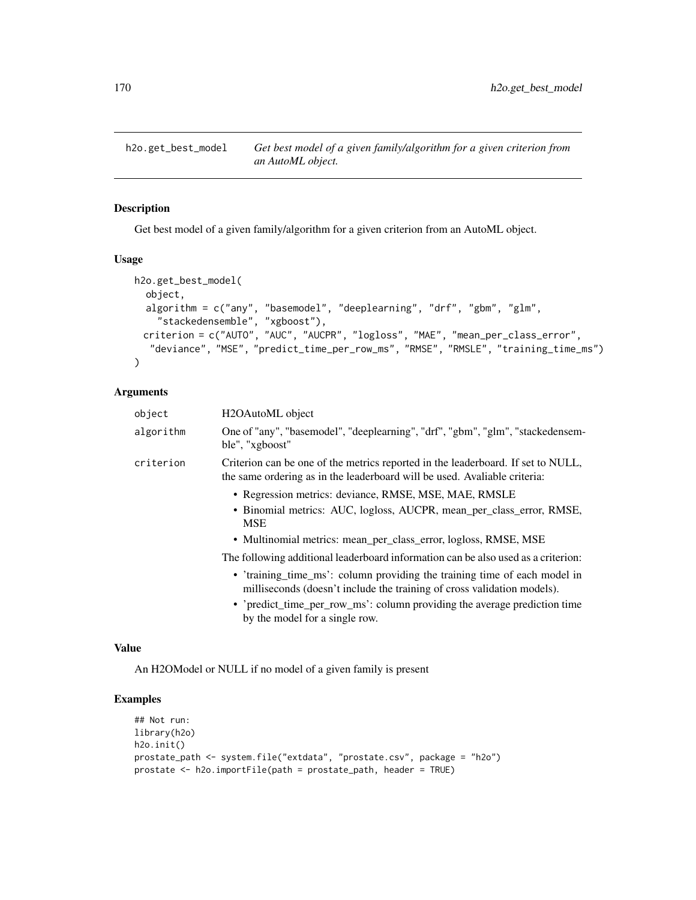h2o.get\_best\_model *Get best model of a given family/algorithm for a given criterion from an AutoML object.*

## Description

Get best model of a given family/algorithm for a given criterion from an AutoML object.

### Usage

```
h2o.get_best_model(
  object,
  algorithm = c("any", "basemodel", "deeplearning", "drf", "gbm", "glm",
    "stackedensemble", "xgboost"),
 criterion = c("AUTO", "AUC", "AUCPR", "logloss", "MAE", "mean_per_class_error",
  "deviance", "MSE", "predict_time_per_row_ms", "RMSE", "RMSLE", "training_time_ms")
)
```
### Arguments

| object    | H <sub>2</sub> OAutoML object                                                                                                                                 |
|-----------|---------------------------------------------------------------------------------------------------------------------------------------------------------------|
| algorithm | One of "any", "basemodel", "deeplearning", "drf", "gbm", "glm", "stackedensem-<br>ble", "xgboost"                                                             |
| criterion | Criterion can be one of the metrics reported in the leaderboard. If set to NULL,<br>the same ordering as in the leaderboard will be used. Avaliable criteria: |
|           | • Regression metrics: deviance, RMSE, MSE, MAE, RMSLE                                                                                                         |
|           | • Binomial metrics: AUC, logloss, AUCPR, mean_per_class_error, RMSE,<br><b>MSE</b>                                                                            |
|           | • Multinomial metrics: mean_per_class_error, logloss, RMSE, MSE                                                                                               |
|           | The following additional leaderboard information can be also used as a criterion:                                                                             |
|           | • 'training_time_ms': column providing the training time of each model in<br>milliseconds (doesn't include the training of cross validation models).          |
|           | • 'predict_time_per_row_ms': column providing the average prediction time<br>by the model for a single row.                                                   |

#### Value

An H2OModel or NULL if no model of a given family is present

## Examples

```
## Not run:
library(h2o)
h2o.init()
prostate_path <- system.file("extdata", "prostate.csv", package = "h2o")
prostate <- h2o.importFile(path = prostate_path, header = TRUE)
```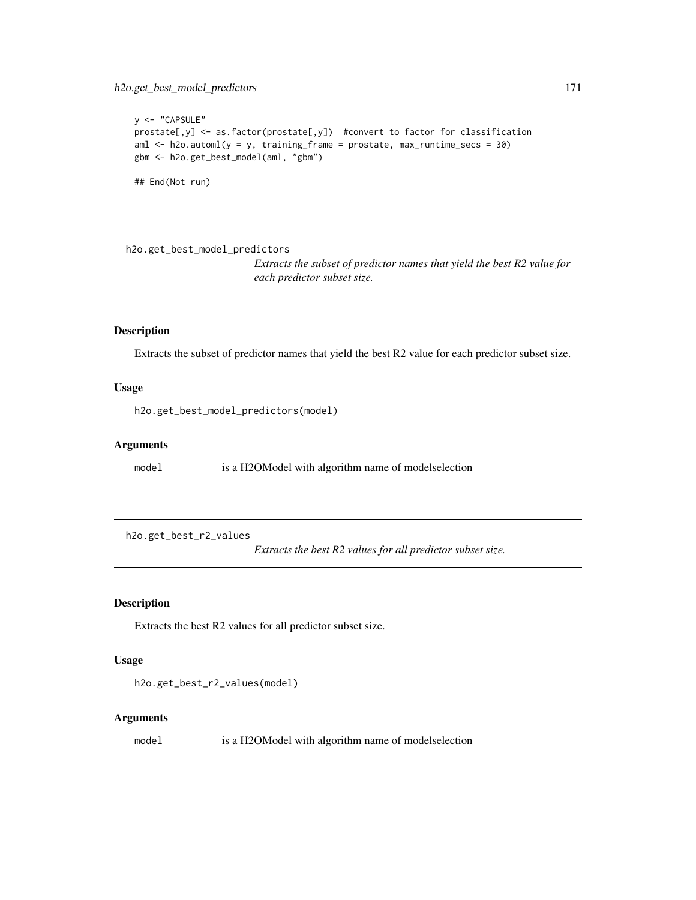```
y <- "CAPSULE"
prostate[,y] <- as.factor(prostate[,y]) #convert to factor for classification
aml \le h2o.automl(y = y, training_frame = prostate, max_runtime_secs = 30)
gbm <- h2o.get_best_model(aml, "gbm")
## End(Not run)
```
h2o.get\_best\_model\_predictors

*Extracts the subset of predictor names that yield the best R2 value for each predictor subset size.*

### Description

Extracts the subset of predictor names that yield the best R2 value for each predictor subset size.

## Usage

h2o.get\_best\_model\_predictors(model)

#### Arguments

model is a H2OModel with algorithm name of modelselection

h2o.get\_best\_r2\_values

*Extracts the best R2 values for all predictor subset size.*

### Description

Extracts the best R2 values for all predictor subset size.

### Usage

```
h2o.get_best_r2_values(model)
```
### Arguments

model is a H2OModel with algorithm name of modelselection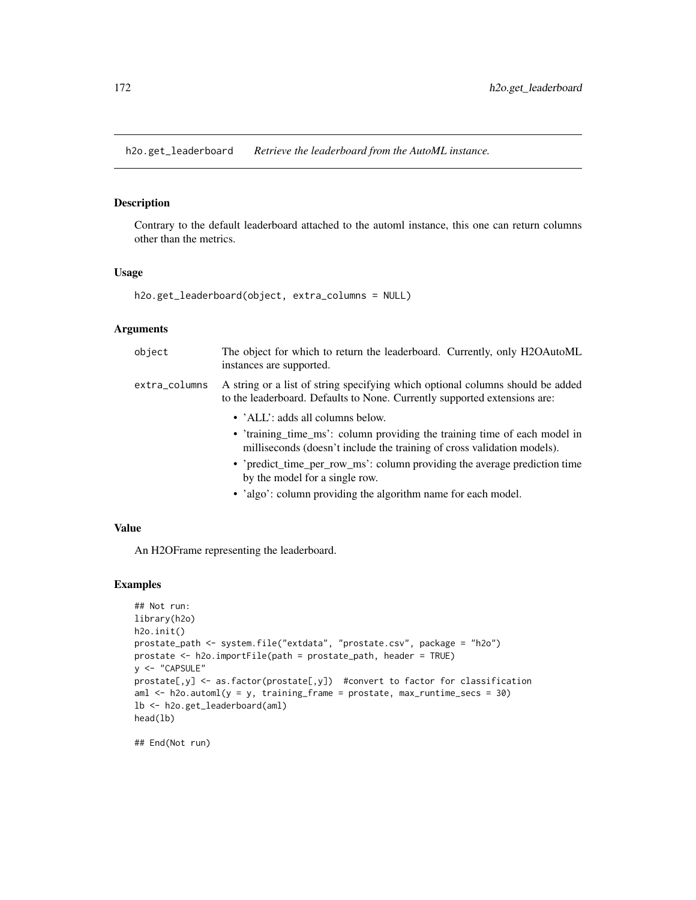h2o.get\_leaderboard *Retrieve the leaderboard from the AutoML instance.*

### Description

Contrary to the default leaderboard attached to the automl instance, this one can return columns other than the metrics.

### Usage

h2o.get\_leaderboard(object, extra\_columns = NULL)

### Arguments

| object        | The object for which to return the leaderboard. Currently, only H2OAutoML<br>instances are supported.                                                       |
|---------------|-------------------------------------------------------------------------------------------------------------------------------------------------------------|
| extra_columns | A string or a list of string specifying which optional columns should be added<br>to the leaderboard. Defaults to None. Currently supported extensions are: |
|               | • 'ALL': adds all columns below.                                                                                                                            |
|               | • 'training time ms': column providing the training time of each model in<br>milliseconds (doesn't include the training of cross validation models).        |
|               | • 'predict_time_per_row_ms': column providing the average prediction time<br>by the model for a single row.                                                 |
|               | • 'algo': column providing the algorithm name for each model.                                                                                               |

### Value

An H2OFrame representing the leaderboard.

## Examples

```
## Not run:
library(h2o)
h2o.init()
prostate_path <- system.file("extdata", "prostate.csv", package = "h2o")
prostate <- h2o.importFile(path = prostate_path, header = TRUE)
y <- "CAPSULE"
prostate[,y] <- as.factor(prostate[,y]) #convert to factor for classification
aml \leq h2o.automl(y = y, training_frame = prostate, max_runtime_secs = 30)
lb <- h2o.get_leaderboard(aml)
head(lb)
```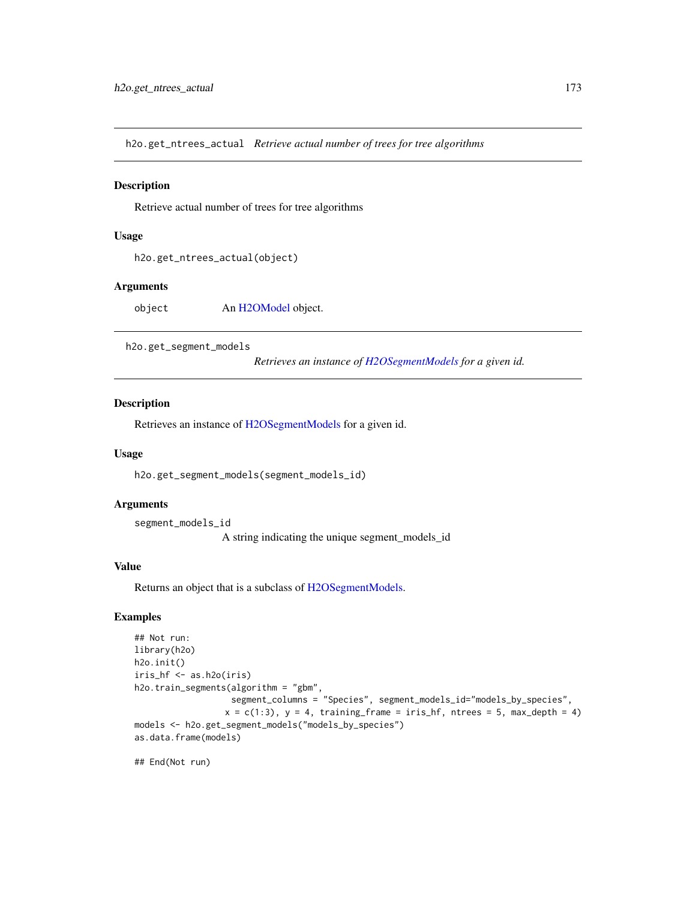h2o.get\_ntrees\_actual *Retrieve actual number of trees for tree algorithms*

#### Description

Retrieve actual number of trees for tree algorithms

### Usage

```
h2o.get_ntrees_actual(object)
```
#### Arguments

object An [H2OModel](#page-415-0) object.

h2o.get\_segment\_models

*Retrieves an instance of [H2OSegmentModels](#page-418-0) for a given id.*

#### Description

Retrieves an instance of [H2OSegmentModels](#page-418-0) for a given id.

### Usage

h2o.get\_segment\_models(segment\_models\_id)

### Arguments

segment\_models\_id

A string indicating the unique segment\_models\_id

### Value

Returns an object that is a subclass of [H2OSegmentModels.](#page-418-0)

### Examples

```
## Not run:
library(h2o)
h2o.init()
iris_hf <- as.h2o(iris)
h2o.train_segments(algorithm = "gbm",
                   segment_columns = "Species", segment_models_id="models_by_species",
                  x = c(1:3), y = 4, training_frame = iris_hf, ntrees = 5, max_depth = 4)
models <- h2o.get_segment_models("models_by_species")
as.data.frame(models)
```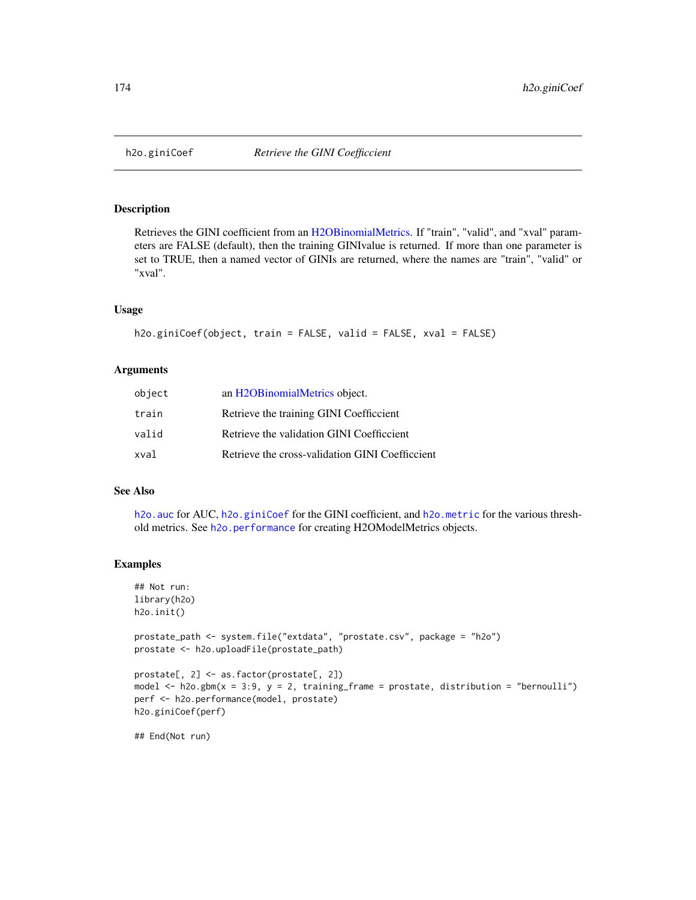<span id="page-173-0"></span>

## Description

Retrieves the GINI coefficient from an [H2OBinomialMetrics.](#page-416-1) If "train", "valid", and "xval" parameters are FALSE (default), then the training GINIvalue is returned. If more than one parameter is set to TRUE, then a named vector of GINIs are returned, where the names are "train", "valid" or "xval".

#### Usage

```
h2o.giniCoef(object, train = FALSE, valid = FALSE, xval = FALSE)
```
## Arguments

| object | an H2OBinomialMetrics object.                   |
|--------|-------------------------------------------------|
| train  | Retrieve the training GINI Coefficcient         |
| valid  | Retrieve the validation GINI Coefficcient       |
| xval   | Retrieve the cross-validation GINI Coefficcient |

### See Also

[h2o.auc](#page-69-0) for AUC, [h2o.giniCoef](#page-173-0) for the GINI coefficient, and [h2o.metric](#page-249-0) for the various threshold metrics. See [h2o.performance](#page-287-0) for creating H2OModelMetrics objects.

### Examples

```
## Not run:
library(h2o)
h2o.init()
prostate_path <- system.file("extdata", "prostate.csv", package = "h2o")
prostate <- h2o.uploadFile(prostate_path)
prostate[, 2] <- as.factor(prostate[, 2])
model \leq h2o.gbm(x = 3:9, y = 2, training_frame = prostate, distribution = "bernoulli")
perf <- h2o.performance(model, prostate)
h2o.giniCoef(perf)
## End(Not run)
```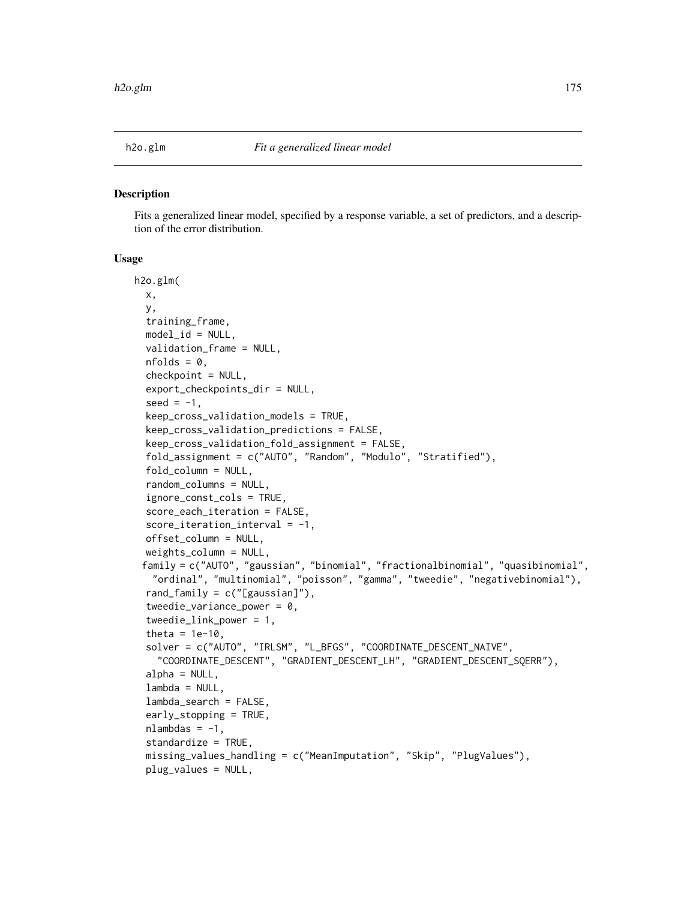#### Description

Fits a generalized linear model, specified by a response variable, a set of predictors, and a description of the error distribution.

#### Usage

```
h2o.glm(
  x,
 y,
  training_frame,
 model_id = NULL,validation_frame = NULL,
  nfolds = 0,
  checkpoint = NULL,
  export_checkpoints_dir = NULL,
  seed = -1,
  keep_cross_validation_models = TRUE,
  keep_cross_validation_predictions = FALSE,
  keep_cross_validation_fold_assignment = FALSE,
  fold_assignment = c("AUTO", "Random", "Modulo", "Stratified"),
  fold_column = NULL,
  random_columns = NULL,
  ignore_const_cols = TRUE,
  score_each_iteration = FALSE,
  score\_iteration\_interval = -1,
  offset_column = NULL,
  weights_column = NULL,
 family = c("AUTO", "gaussian", "binomial", "fractionalbinomial", "quasibinomial",
   "ordinal", "multinomial", "poisson", "gamma", "tweedie", "negativebinomial"),
  rand_family = c("[gaussian]"),
  tweedie_variance_power = 0,
  tweedie_link_power = 1,
  theta = 1e-10,
  solver = c("AUTO", "IRLSM", "L_BFGS", "COORDINATE_DESCENT_NAIVE",
    "COORDINATE_DESCENT", "GRADIENT_DESCENT_LH", "GRADIENT_DESCENT_SQERR"),
  alpha = NULL,lambda = NULL,lambda_search = FALSE,
  early_stopping = TRUE,
  nlambdas = -1,
  standardize = TRUE,
  missing_values_handling = c("MeanImputation", "Skip", "PlugValues"),
  plug_values = NULL,
```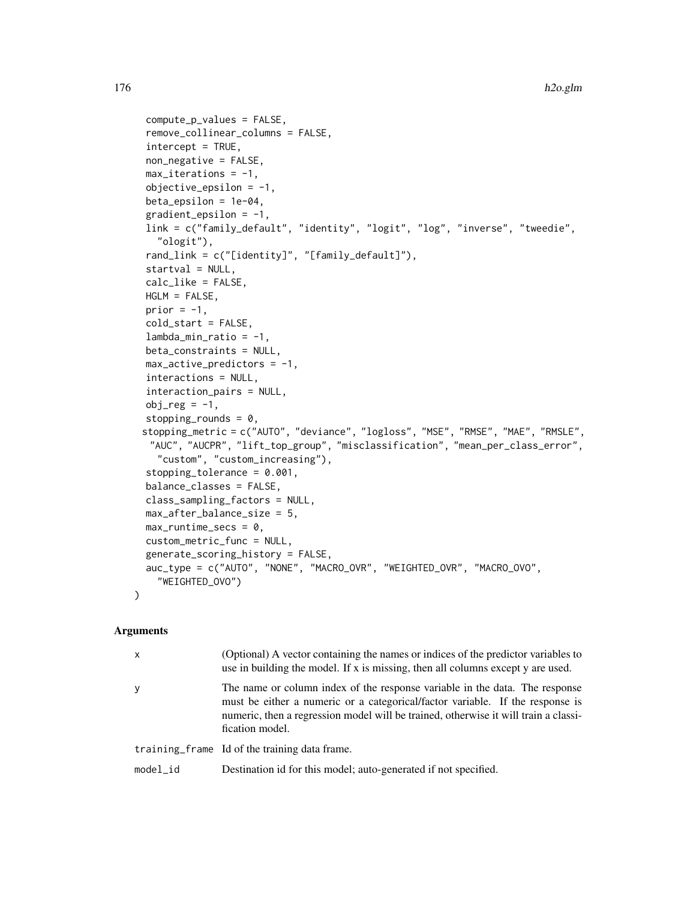```
compute_p_values = FALSE,
remove_collinear_columns = FALSE,
intercept = TRUE,non_negative = FALSE,
max\_iterations = -1,
objective_epsilonion = -1,
beta_epsilon = 1e-04,
gradient_epsilonion = -1,
link = c("family_default", "identity", "logit", "log", "inverse", "tweedie",
  "ologit"),
rand_link = c("[identity]", "[family_default]"),
startval = NULL,calc_like = FALSE,
HGLM = FALSE,
prior = -1,
cold_start = FALSE,
lambda_min_ratio = -1,
beta_constraints = NULL,
max_active_predictors = -1,interactions = NULL,
interaction_pairs = NULL,
obj_reg = -1,
stopping_rounds = 0,
stopping_metric = c("AUTO", "deviance", "logloss", "MSE", "RMSE", "MAE", "RMSLE",
 "AUC", "AUCPR", "lift_top_group", "misclassification", "mean_per_class_error",
  "custom", "custom_increasing"),
stopping_tolerance = 0.001,
balance_classes = FALSE,
class_sampling_factors = NULL,
max_after_balance_size = 5,
max_runtime_secs = 0,
custom_metric_func = NULL,
generate_scoring_history = FALSE,
auc_type = c("AUTO", "NONE", "MACRO_OVR", "WEIGHTED_OVR", "MACRO_OVO",
  "WEIGHTED_OVO")
```

```
Arguments
```
 $\mathcal{L}$ 

| x        | (Optional) A vector containing the names or indices of the predictor variables to<br>use in building the model. If x is missing, then all columns except y are used.                                                                                                   |
|----------|------------------------------------------------------------------------------------------------------------------------------------------------------------------------------------------------------------------------------------------------------------------------|
| У        | The name or column index of the response variable in the data. The response<br>must be either a numeric or a categorical/factor variable. If the response is<br>numeric, then a regression model will be trained, otherwise it will train a classi-<br>fication model. |
|          | training frame Id of the training data frame.                                                                                                                                                                                                                          |
| model_id | Destination id for this model; auto-generated if not specified.                                                                                                                                                                                                        |
|          |                                                                                                                                                                                                                                                                        |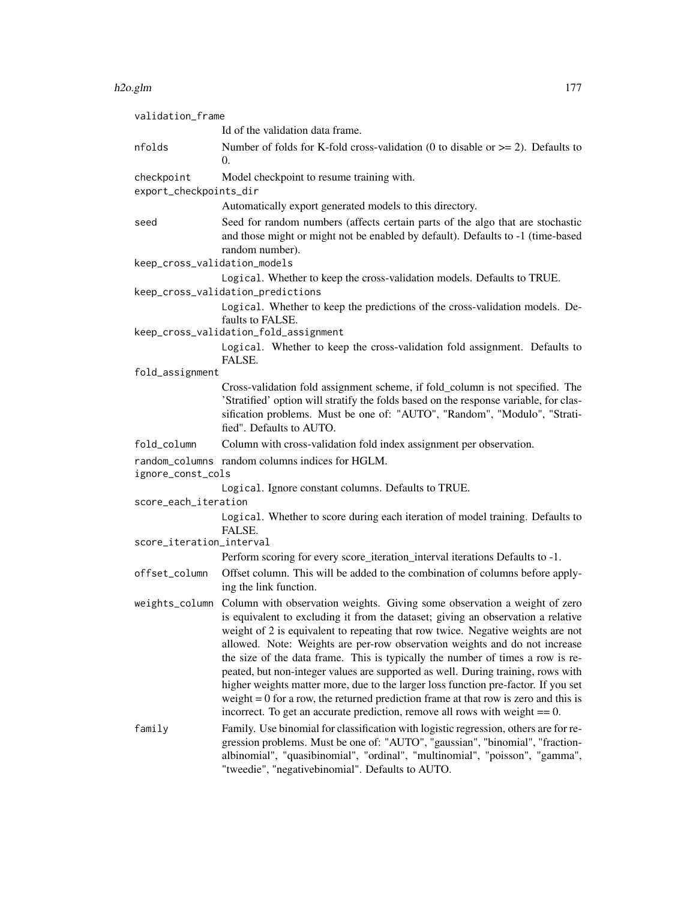#### h2o.glm 177

| validation_frame             |                                                                                                                                                                                                                                                                                                                                                                                                                                                                                                                                                                                                                                                                                                                                                                                      |
|------------------------------|--------------------------------------------------------------------------------------------------------------------------------------------------------------------------------------------------------------------------------------------------------------------------------------------------------------------------------------------------------------------------------------------------------------------------------------------------------------------------------------------------------------------------------------------------------------------------------------------------------------------------------------------------------------------------------------------------------------------------------------------------------------------------------------|
|                              | Id of the validation data frame.                                                                                                                                                                                                                                                                                                                                                                                                                                                                                                                                                                                                                                                                                                                                                     |
| nfolds                       | Number of folds for K-fold cross-validation (0 to disable or $\geq$ = 2). Defaults to<br>$\Omega$ .                                                                                                                                                                                                                                                                                                                                                                                                                                                                                                                                                                                                                                                                                  |
| checkpoint                   | Model checkpoint to resume training with.                                                                                                                                                                                                                                                                                                                                                                                                                                                                                                                                                                                                                                                                                                                                            |
| export_checkpoints_dir       |                                                                                                                                                                                                                                                                                                                                                                                                                                                                                                                                                                                                                                                                                                                                                                                      |
|                              | Automatically export generated models to this directory.                                                                                                                                                                                                                                                                                                                                                                                                                                                                                                                                                                                                                                                                                                                             |
| seed                         | Seed for random numbers (affects certain parts of the algo that are stochastic<br>and those might or might not be enabled by default). Defaults to -1 (time-based<br>random number).                                                                                                                                                                                                                                                                                                                                                                                                                                                                                                                                                                                                 |
| keep_cross_validation_models |                                                                                                                                                                                                                                                                                                                                                                                                                                                                                                                                                                                                                                                                                                                                                                                      |
|                              | Logical. Whether to keep the cross-validation models. Defaults to TRUE.                                                                                                                                                                                                                                                                                                                                                                                                                                                                                                                                                                                                                                                                                                              |
|                              | keep_cross_validation_predictions<br>Logical. Whether to keep the predictions of the cross-validation models. De-<br>faults to FALSE.<br>keep_cross_validation_fold_assignment                                                                                                                                                                                                                                                                                                                                                                                                                                                                                                                                                                                                       |
|                              | Logical. Whether to keep the cross-validation fold assignment. Defaults to<br>FALSE.                                                                                                                                                                                                                                                                                                                                                                                                                                                                                                                                                                                                                                                                                                 |
| fold_assignment              |                                                                                                                                                                                                                                                                                                                                                                                                                                                                                                                                                                                                                                                                                                                                                                                      |
|                              | Cross-validation fold assignment scheme, if fold_column is not specified. The<br>'Stratified' option will stratify the folds based on the response variable, for clas-<br>sification problems. Must be one of: "AUTO", "Random", "Modulo", "Strati-<br>fied". Defaults to AUTO.                                                                                                                                                                                                                                                                                                                                                                                                                                                                                                      |
| fold_column                  | Column with cross-validation fold index assignment per observation.                                                                                                                                                                                                                                                                                                                                                                                                                                                                                                                                                                                                                                                                                                                  |
| ignore_const_cols            | random_columns random columns indices for HGLM.                                                                                                                                                                                                                                                                                                                                                                                                                                                                                                                                                                                                                                                                                                                                      |
|                              | Logical. Ignore constant columns. Defaults to TRUE.                                                                                                                                                                                                                                                                                                                                                                                                                                                                                                                                                                                                                                                                                                                                  |
| score_each_iteration         |                                                                                                                                                                                                                                                                                                                                                                                                                                                                                                                                                                                                                                                                                                                                                                                      |
|                              | Logical. Whether to score during each iteration of model training. Defaults to<br>FALSE.                                                                                                                                                                                                                                                                                                                                                                                                                                                                                                                                                                                                                                                                                             |
| score_iteration_interval     |                                                                                                                                                                                                                                                                                                                                                                                                                                                                                                                                                                                                                                                                                                                                                                                      |
|                              | Perform scoring for every score_iteration_interval iterations Defaults to -1.                                                                                                                                                                                                                                                                                                                                                                                                                                                                                                                                                                                                                                                                                                        |
| offset_column                | Offset column. This will be added to the combination of columns before apply-<br>ing the link function.                                                                                                                                                                                                                                                                                                                                                                                                                                                                                                                                                                                                                                                                              |
|                              | weights_column Column with observation weights. Giving some observation a weight of zero<br>is equivalent to excluding it from the dataset; giving an observation a relative<br>weight of 2 is equivalent to repeating that row twice. Negative weights are not<br>allowed. Note: Weights are per-row observation weights and do not increase<br>the size of the data frame. This is typically the number of times a row is re-<br>peated, but non-integer values are supported as well. During training, rows with<br>higher weights matter more, due to the larger loss function pre-factor. If you set<br>weight $= 0$ for a row, the returned prediction frame at that row is zero and this is<br>incorrect. To get an accurate prediction, remove all rows with weight $== 0$ . |
| family                       | Family. Use binomial for classification with logistic regression, others are for re-<br>gression problems. Must be one of: "AUTO", "gaussian", "binomial", "fraction-<br>albinomial", "quasibinomial", "ordinal", "multinomial", "poisson", "gamma",<br>"tweedie", "negativebinomial". Defaults to AUTO.                                                                                                                                                                                                                                                                                                                                                                                                                                                                             |
|                              |                                                                                                                                                                                                                                                                                                                                                                                                                                                                                                                                                                                                                                                                                                                                                                                      |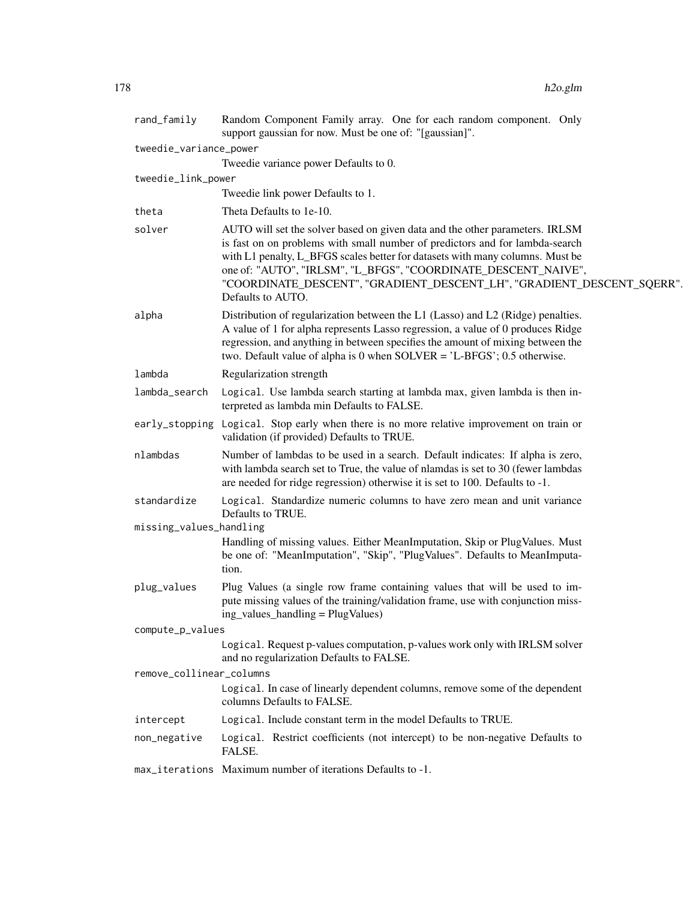| rand_family              | Random Component Family array. One for each random component. Only<br>support gaussian for now. Must be one of: "[gaussian]".                                                                                                                                                                                                                                                                                  |
|--------------------------|----------------------------------------------------------------------------------------------------------------------------------------------------------------------------------------------------------------------------------------------------------------------------------------------------------------------------------------------------------------------------------------------------------------|
| tweedie_variance_power   |                                                                                                                                                                                                                                                                                                                                                                                                                |
|                          | Tweedie variance power Defaults to 0.                                                                                                                                                                                                                                                                                                                                                                          |
| tweedie_link_power       |                                                                                                                                                                                                                                                                                                                                                                                                                |
|                          | Tweedie link power Defaults to 1.                                                                                                                                                                                                                                                                                                                                                                              |
| theta                    | Theta Defaults to 1e-10.                                                                                                                                                                                                                                                                                                                                                                                       |
| solver                   | AUTO will set the solver based on given data and the other parameters. IRLSM<br>is fast on on problems with small number of predictors and for lambda-search<br>with L1 penalty, L_BFGS scales better for datasets with many columns. Must be<br>one of: "AUTO", "IRLSM", "L_BFGS", "COORDINATE_DESCENT_NAIVE",<br>"COORDINATE_DESCENT", "GRADIENT_DESCENT_LH", "GRADIENT_DESCENT_SQERR".<br>Defaults to AUTO. |
| alpha                    | Distribution of regularization between the L1 (Lasso) and L2 (Ridge) penalties.<br>A value of 1 for alpha represents Lasso regression, a value of 0 produces Ridge<br>regression, and anything in between specifies the amount of mixing between the<br>two. Default value of alpha is 0 when $SOLVER = 'L-BFGS'; 0.5$ otherwise.                                                                              |
| lambda                   | Regularization strength                                                                                                                                                                                                                                                                                                                                                                                        |
| lambda_search            | Logical. Use lambda search starting at lambda max, given lambda is then in-<br>terpreted as lambda min Defaults to FALSE.                                                                                                                                                                                                                                                                                      |
|                          | early_stopping Logical. Stop early when there is no more relative improvement on train or<br>validation (if provided) Defaults to TRUE.                                                                                                                                                                                                                                                                        |
| nlambdas                 | Number of lambdas to be used in a search. Default indicates: If alpha is zero,<br>with lambda search set to True, the value of nlamdas is set to 30 (fewer lambdas<br>are needed for ridge regression) otherwise it is set to 100. Defaults to -1.                                                                                                                                                             |
| standardize              | Logical. Standardize numeric columns to have zero mean and unit variance<br>Defaults to TRUE.                                                                                                                                                                                                                                                                                                                  |
| missing_values_handling  |                                                                                                                                                                                                                                                                                                                                                                                                                |
|                          | Handling of missing values. Either MeanImputation, Skip or PlugValues. Must<br>be one of: "MeanImputation", "Skip", "PlugValues". Defaults to MeanImputa-<br>tion.                                                                                                                                                                                                                                             |
| plug_values              | Plug Values (a single row frame containing values that will be used to im-<br>pute missing values of the training/validation frame, use with conjunction miss-<br>ing_values_handling = PlugValues)                                                                                                                                                                                                            |
| compute_p_values         |                                                                                                                                                                                                                                                                                                                                                                                                                |
|                          | Logical. Request p-values computation, p-values work only with IRLSM solver<br>and no regularization Defaults to FALSE.                                                                                                                                                                                                                                                                                        |
| remove_collinear_columns |                                                                                                                                                                                                                                                                                                                                                                                                                |
|                          | Logical. In case of linearly dependent columns, remove some of the dependent<br>columns Defaults to FALSE.                                                                                                                                                                                                                                                                                                     |
| intercept                | Logical. Include constant term in the model Defaults to TRUE.                                                                                                                                                                                                                                                                                                                                                  |
| non_negative             | Logical. Restrict coefficients (not intercept) to be non-negative Defaults to<br>FALSE.                                                                                                                                                                                                                                                                                                                        |
|                          | max_iterations Maximum number of iterations Defaults to -1.                                                                                                                                                                                                                                                                                                                                                    |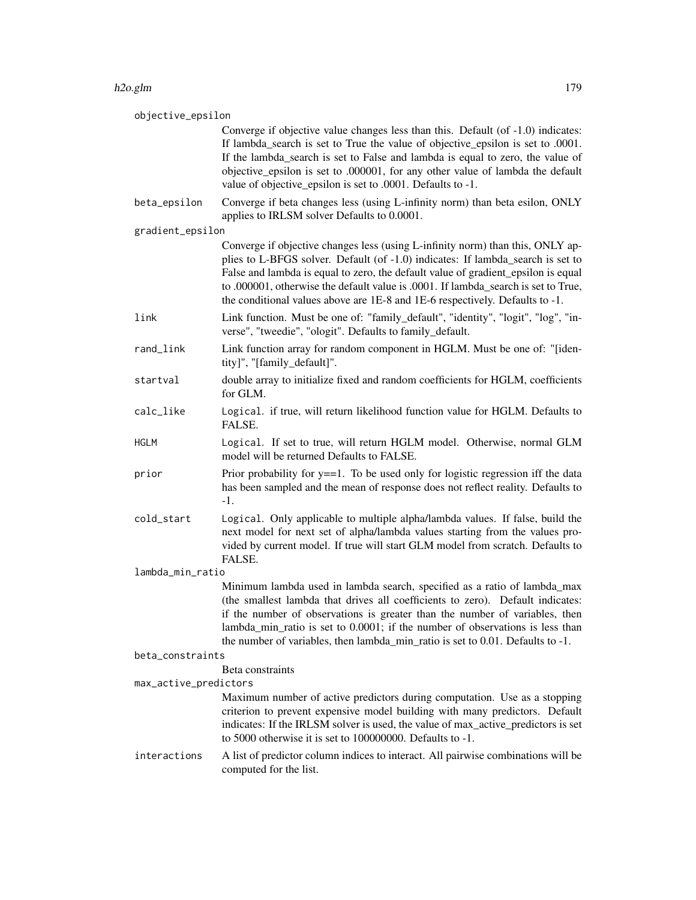| objective_epsilon                         |                                                                                                                                                                                                                                                                                                                                                                                                                              |  |
|-------------------------------------------|------------------------------------------------------------------------------------------------------------------------------------------------------------------------------------------------------------------------------------------------------------------------------------------------------------------------------------------------------------------------------------------------------------------------------|--|
|                                           | Converge if objective value changes less than this. Default (of -1.0) indicates:<br>If lambda_search is set to True the value of objective_epsilon is set to .0001.<br>If the lambda_search is set to False and lambda is equal to zero, the value of<br>objective_epsilon is set to .000001, for any other value of lambda the default<br>value of objective_epsilon is set to .0001. Defaults to -1.                       |  |
| beta_epsilon                              | Converge if beta changes less (using L-infinity norm) than beta esilon, ONLY<br>applies to IRLSM solver Defaults to 0.0001.                                                                                                                                                                                                                                                                                                  |  |
| gradient_epsilon                          |                                                                                                                                                                                                                                                                                                                                                                                                                              |  |
|                                           | Converge if objective changes less (using L-infinity norm) than this, ONLY ap-<br>plies to L-BFGS solver. Default (of -1.0) indicates: If lambda_search is set to<br>False and lambda is equal to zero, the default value of gradient_epsilon is equal<br>to .000001, otherwise the default value is .0001. If lambda_search is set to True,<br>the conditional values above are 1E-8 and 1E-6 respectively. Defaults to -1. |  |
| link                                      | Link function. Must be one of: "family_default", "identity", "logit", "log", "in-<br>verse", "tweedie", "ologit". Defaults to family_default.                                                                                                                                                                                                                                                                                |  |
| rand_link                                 | Link function array for random component in HGLM. Must be one of: "[iden-<br>tity]", "[family_default]".                                                                                                                                                                                                                                                                                                                     |  |
| startval                                  | double array to initialize fixed and random coefficients for HGLM, coefficients<br>for GLM.                                                                                                                                                                                                                                                                                                                                  |  |
| calc_like                                 | Logical. if true, will return likelihood function value for HGLM. Defaults to<br>FALSE.                                                                                                                                                                                                                                                                                                                                      |  |
| <b>HGLM</b>                               | Logical. If set to true, will return HGLM model. Otherwise, normal GLM<br>model will be returned Defaults to FALSE.                                                                                                                                                                                                                                                                                                          |  |
| prior                                     | Prior probability for $y = 1$ . To be used only for logistic regression iff the data<br>has been sampled and the mean of response does not reflect reality. Defaults to<br>$-1.$                                                                                                                                                                                                                                             |  |
| cold_start                                | Logical. Only applicable to multiple alpha/lambda values. If false, build the<br>next model for next set of alpha/lambda values starting from the values pro-<br>vided by current model. If true will start GLM model from scratch. Defaults to<br>FALSE.                                                                                                                                                                    |  |
| lambda_min_ratio                          |                                                                                                                                                                                                                                                                                                                                                                                                                              |  |
|                                           | Minimum lambda used in lambda search, specified as a ratio of lambda_max<br>(the smallest lambda that drives all coefficients to zero). Default indicates:<br>if the number of observations is greater than the number of variables, then<br>lambda_min_ratio is set to 0.0001; if the number of observations is less than<br>the number of variables, then lambda_min_ratio is set to 0.01. Defaults to -1.                 |  |
| beta_constraints                          |                                                                                                                                                                                                                                                                                                                                                                                                                              |  |
| Beta constraints<br>max_active_predictors |                                                                                                                                                                                                                                                                                                                                                                                                                              |  |
|                                           | Maximum number of active predictors during computation. Use as a stopping<br>criterion to prevent expensive model building with many predictors. Default<br>indicates: If the IRLSM solver is used, the value of max_active_predictors is set<br>to 5000 otherwise it is set to $100000000$ . Defaults to $-1$ .                                                                                                             |  |
| interactions                              | A list of predictor column indices to interact. All pairwise combinations will be<br>computed for the list.                                                                                                                                                                                                                                                                                                                  |  |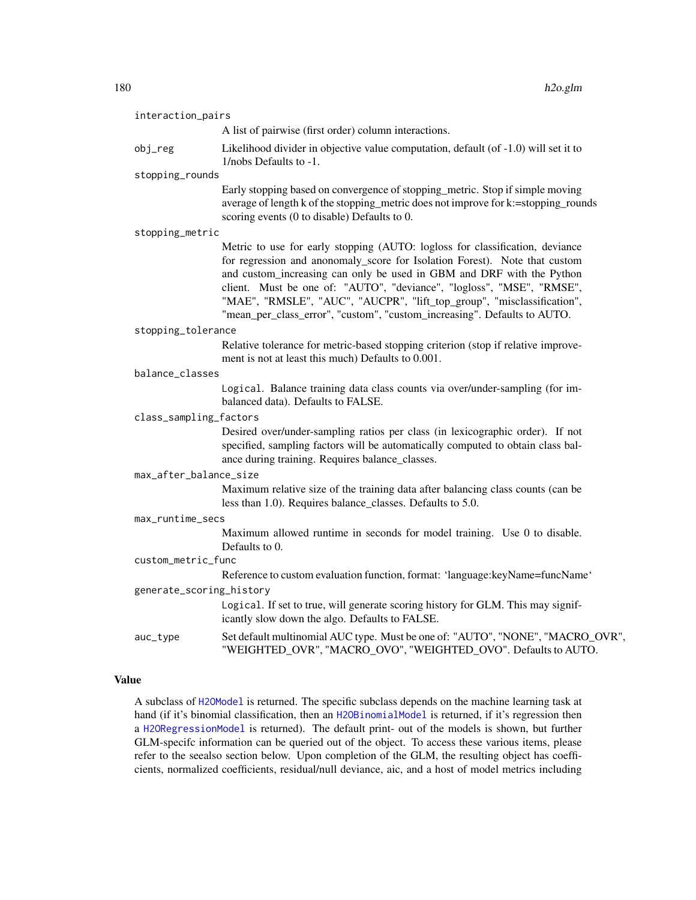| interaction_pairs        |                                                                                                                                                                                                                                                                                                                                                                                                                                                                    |
|--------------------------|--------------------------------------------------------------------------------------------------------------------------------------------------------------------------------------------------------------------------------------------------------------------------------------------------------------------------------------------------------------------------------------------------------------------------------------------------------------------|
|                          | A list of pairwise (first order) column interactions.                                                                                                                                                                                                                                                                                                                                                                                                              |
| obj_reg                  | Likelihood divider in objective value computation, default (of -1.0) will set it to<br>1/nobs Defaults to -1.                                                                                                                                                                                                                                                                                                                                                      |
| stopping_rounds          |                                                                                                                                                                                                                                                                                                                                                                                                                                                                    |
|                          | Early stopping based on convergence of stopping_metric. Stop if simple moving<br>average of length k of the stopping_metric does not improve for k:=stopping_rounds<br>scoring events (0 to disable) Defaults to 0.                                                                                                                                                                                                                                                |
| stopping_metric          |                                                                                                                                                                                                                                                                                                                                                                                                                                                                    |
|                          | Metric to use for early stopping (AUTO: logloss for classification, deviance<br>for regression and anonomaly_score for Isolation Forest). Note that custom<br>and custom_increasing can only be used in GBM and DRF with the Python<br>client. Must be one of: "AUTO", "deviance", "logloss", "MSE", "RMSE",<br>"MAE", "RMSLE", "AUC", "AUCPR", "lift_top_group", "misclassification",<br>"mean_per_class_error", "custom", "custom_increasing". Defaults to AUTO. |
| stopping_tolerance       |                                                                                                                                                                                                                                                                                                                                                                                                                                                                    |
|                          | Relative tolerance for metric-based stopping criterion (stop if relative improve-<br>ment is not at least this much) Defaults to 0.001.                                                                                                                                                                                                                                                                                                                            |
| balance_classes          |                                                                                                                                                                                                                                                                                                                                                                                                                                                                    |
|                          | Logical. Balance training data class counts via over/under-sampling (for im-<br>balanced data). Defaults to FALSE.                                                                                                                                                                                                                                                                                                                                                 |
| class_sampling_factors   |                                                                                                                                                                                                                                                                                                                                                                                                                                                                    |
|                          | Desired over/under-sampling ratios per class (in lexicographic order). If not<br>specified, sampling factors will be automatically computed to obtain class bal-<br>ance during training. Requires balance_classes.                                                                                                                                                                                                                                                |
| max_after_balance_size   |                                                                                                                                                                                                                                                                                                                                                                                                                                                                    |
|                          | Maximum relative size of the training data after balancing class counts (can be<br>less than 1.0). Requires balance_classes. Defaults to 5.0.                                                                                                                                                                                                                                                                                                                      |
| max_runtime_secs         |                                                                                                                                                                                                                                                                                                                                                                                                                                                                    |
|                          | Maximum allowed runtime in seconds for model training. Use 0 to disable.<br>Defaults to 0.                                                                                                                                                                                                                                                                                                                                                                         |
| custom_metric_func       |                                                                                                                                                                                                                                                                                                                                                                                                                                                                    |
|                          | Reference to custom evaluation function, format: 'language:keyName=funcName'                                                                                                                                                                                                                                                                                                                                                                                       |
| generate_scoring_history |                                                                                                                                                                                                                                                                                                                                                                                                                                                                    |
|                          | Logical. If set to true, will generate scoring history for GLM. This may signif-<br>icantly slow down the algo. Defaults to FALSE.                                                                                                                                                                                                                                                                                                                                 |
| auc_type                 | Set default multinomial AUC type. Must be one of: "AUTO", "NONE", "MACRO_OVR",<br>"WEIGHTED_OVR", "MACRO_OVO", "WEIGHTED_OVO". Defaults to AUTO.                                                                                                                                                                                                                                                                                                                   |
|                          |                                                                                                                                                                                                                                                                                                                                                                                                                                                                    |

# Value

A subclass of [H2OModel](#page-415-0) is returned. The specific subclass depends on the machine learning task at hand (if it's binomial classification, then an [H2OBinomialModel](#page-415-1) is returned, if it's regression then a [H2ORegressionModel](#page-415-1) is returned). The default print- out of the models is shown, but further GLM-specifc information can be queried out of the object. To access these various items, please refer to the seealso section below. Upon completion of the GLM, the resulting object has coefficients, normalized coefficients, residual/null deviance, aic, and a host of model metrics including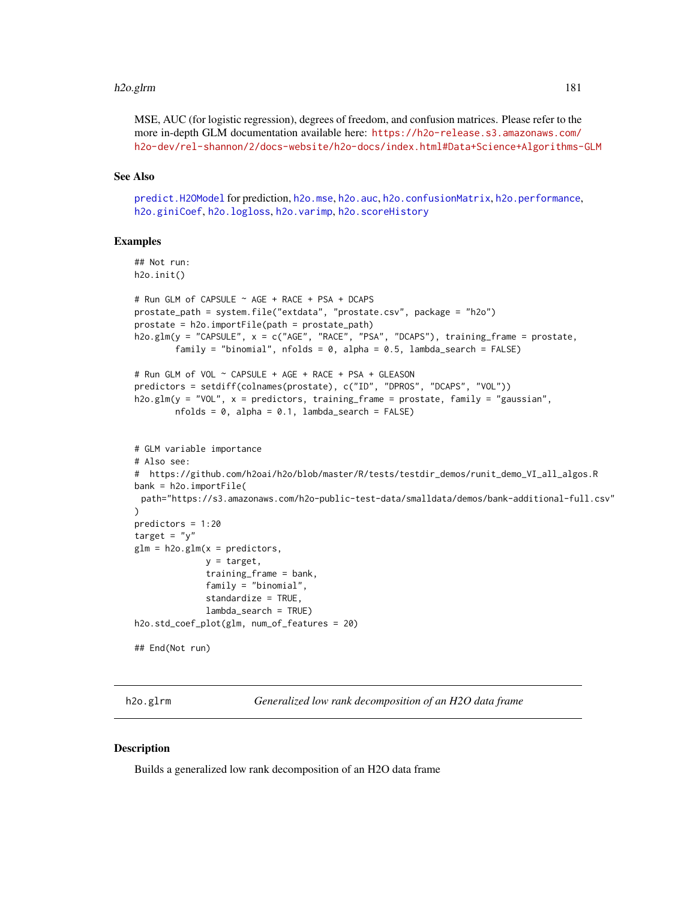#### h2o.glrm 181

MSE, AUC (for logistic regression), degrees of freedom, and confusion matrices. Please refer to the more in-depth GLM documentation available here: [https://h2o-release.s3.amazonaws.com/](https://h2o-release.s3.amazonaws.com/h2o-dev/rel-shannon/2/docs-website/h2o-docs/index.html#Data+Science+Algorithms-GLM) [h2o-dev/rel-shannon/2/docs-website/h2o-docs/index.html#Data+Science+Algorithms-GLM](https://h2o-release.s3.amazonaws.com/h2o-dev/rel-shannon/2/docs-website/h2o-docs/index.html#Data+Science+Algorithms-GLM)

## See Also

[predict.H2OModel](#page-432-0) for prediction, [h2o.mse](#page-263-0), [h2o.auc](#page-69-0), [h2o.confusionMatrix](#page-92-0), [h2o.performance](#page-287-0), [h2o.giniCoef](#page-173-0), [h2o.logloss](#page-237-0), [h2o.varimp](#page-389-0), [h2o.scoreHistory](#page-336-0)

#### Examples

```
## Not run:
h2o.init()
# Run GLM of CAPSULE ~ AGE + RACE + PSA + DCAPS
prostate_path = system.file("extdata", "prostate.csv", package = "h2o")
prostate = h2o.importFile(path = prostate_path)
h2o.glm(y = "CAPSULE", x = c("AGE", "RACE", "PSA", "DCAPS"), training_frame = prostate,
        family = "binomial", nfolds = 0, alpha = 0.5, lambda_search = FALSE)
# Run GLM of VOL ~ CAPSULE + AGE + RACE + PSA + GLEASON
predictors = setdiff(colnames(prostate), c("ID", "DPROS", "DCAPS", "VOL"))
h2o.glm(y = "VOL", x = predictors, training_frame = prostate, family = "gaussian",
       nfolds = 0, alpha = 0.1, lambda_search = FALSE)
# GLM variable importance
# Also see:
# https://github.com/h2oai/h2o/blob/master/R/tests/testdir_demos/runit_demo_VI_all_algos.R
bank = h2o.importFile(
 path="https://s3.amazonaws.com/h2o-public-test-data/smalldata/demos/bank-additional-full.csv"
)
predictors = 1:20
target = "y"glm = h2o.glm(x = predictors,y = target,
              training_frame = bank,
              family = "binomial",
              standardize = TRUE,
              lambda_search = TRUE)
h2o.std_coef_plot(glm, num_of_features = 20)
## End(Not run)
```
h2o.glrm *Generalized low rank decomposition of an H2O data frame*

# **Description**

Builds a generalized low rank decomposition of an H2O data frame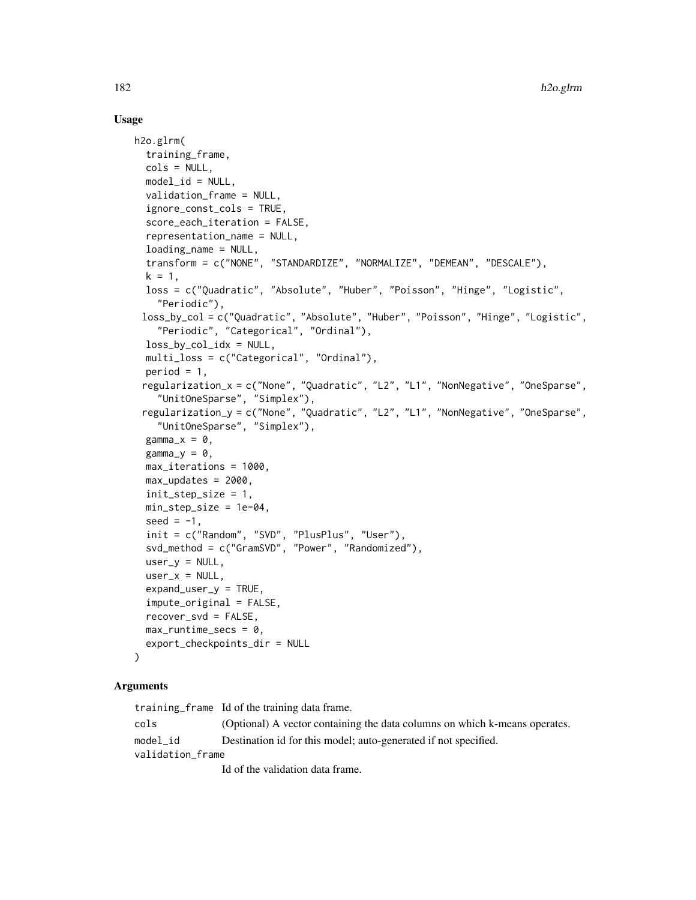# Usage

```
h2o.glrm(
  training_frame,
  cols = NULL,model_id = NULL,validation_frame = NULL,
  ignore_const_cols = TRUE,
  score_each_iteration = FALSE,
  representation_name = NULL,
  loading_name = NULL,
  transform = c("NONE", "STANDARDIZE", "NORMALIZE", "DEMEAN", "DESCALE"),
  k = 1,
  loss = c("Quadratic", "Absolute", "Huber", "Poisson", "Hinge", "Logistic",
    "Periodic"),
 loss_by_col = c("Quadratic", "Absolute", "Huber", "Poisson", "Hinge", "Logistic",
    "Periodic", "Categorical", "Ordinal"),
  loss_by_col_idx = NULL,multi_loss = c("Categorical", "Ordinal"),
 period = 1,
 regularization_x = c("None", "Quadratic", "L2", "L1", "NonNegative", "OneSparse",
    "UnitOneSparse", "Simplex"),
 regularization_y = c("None", "Quadratic", "L2", "L1", "NonNegative", "OneSparse",
    "UnitOneSparse", "Simplex"),
  gamma_x = 0,
  gamma_y = 0,
 max_iterations = 1000,
 max_updates = 2000,
  init_step_size = 1,
 min_step_size = 1e-04,
  seed = -1,
  init = c("Random", "SVD", "PlusPlus", "User"),
  svd_method = c("GramSVD", "Power", "Randomized"),
  user_y = NULL,user_x = NULL,expand_user_y = TRUE,
  impute_original = FALSE,
  recover_svd = FALSE,
 max_runtime_secs = 0,
  export_checkpoints_dir = NULL
)
```
# Arguments

training\_frame Id of the training data frame. cols (Optional) A vector containing the data columns on which k-means operates. model\_id Destination id for this model; auto-generated if not specified. validation\_frame Id of the validation data frame.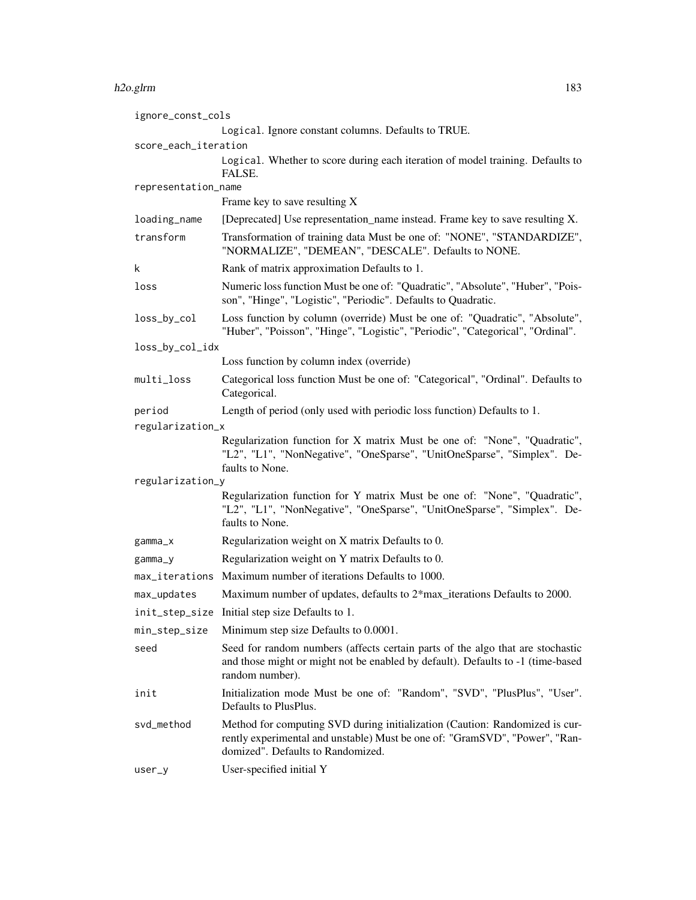#### h2o.glrm 183

| ignore_const_cols    |                                                                                                                                                                                                 |  |
|----------------------|-------------------------------------------------------------------------------------------------------------------------------------------------------------------------------------------------|--|
|                      | Logical. Ignore constant columns. Defaults to TRUE.                                                                                                                                             |  |
| score_each_iteration |                                                                                                                                                                                                 |  |
|                      | Logical. Whether to score during each iteration of model training. Defaults to<br>FALSE.                                                                                                        |  |
| representation_name  |                                                                                                                                                                                                 |  |
|                      | Frame key to save resulting X                                                                                                                                                                   |  |
| loading_name         | [Deprecated] Use representation_name instead. Frame key to save resulting X.                                                                                                                    |  |
| transform            | Transformation of training data Must be one of: "NONE", "STANDARDIZE",<br>"NORMALIZE", "DEMEAN", "DESCALE". Defaults to NONE.                                                                   |  |
| k                    | Rank of matrix approximation Defaults to 1.                                                                                                                                                     |  |
| loss                 | Numeric loss function Must be one of: "Quadratic", "Absolute", "Huber", "Pois-<br>son", "Hinge", "Logistic", "Periodic". Defaults to Quadratic.                                                 |  |
| loss_by_col          | Loss function by column (override) Must be one of: "Quadratic", "Absolute",<br>"Huber", "Poisson", "Hinge", "Logistic", "Periodic", "Categorical", "Ordinal".                                   |  |
| loss_by_col_idx      |                                                                                                                                                                                                 |  |
|                      | Loss function by column index (override)                                                                                                                                                        |  |
| multi_loss           | Categorical loss function Must be one of: "Categorical", "Ordinal". Defaults to<br>Categorical.                                                                                                 |  |
| period               | Length of period (only used with periodic loss function) Defaults to 1.                                                                                                                         |  |
| regularization_x     |                                                                                                                                                                                                 |  |
|                      | Regularization function for X matrix Must be one of: "None", "Quadratic",<br>"L2", "L1", "NonNegative", "OneSparse", "UnitOneSparse", "Simplex". De-<br>faults to None.                         |  |
| regularization_y     |                                                                                                                                                                                                 |  |
|                      | Regularization function for Y matrix Must be one of: "None", "Quadratic",<br>"L2", "L1", "NonNegative", "OneSparse", "UnitOneSparse", "Simplex". De-<br>faults to None.                         |  |
| $gamma_x$            | Regularization weight on X matrix Defaults to 0.                                                                                                                                                |  |
| gamma_y              | Regularization weight on Y matrix Defaults to 0.                                                                                                                                                |  |
|                      | max_iterations Maximum number of iterations Defaults to 1000.                                                                                                                                   |  |
| max_updates          | Maximum number of updates, defaults to 2*max_iterations Defaults to 2000.                                                                                                                       |  |
| init_step_size       | Initial step size Defaults to 1.                                                                                                                                                                |  |
| min_step_size        | Minimum step size Defaults to 0.0001.                                                                                                                                                           |  |
| seed                 | Seed for random numbers (affects certain parts of the algo that are stochastic<br>and those might or might not be enabled by default). Defaults to -1 (time-based<br>random number).            |  |
| init                 | Initialization mode Must be one of: "Random", "SVD", "PlusPlus", "User".<br>Defaults to PlusPlus.                                                                                               |  |
| svd_method           | Method for computing SVD during initialization (Caution: Randomized is cur-<br>rently experimental and unstable) Must be one of: "GramSVD", "Power", "Ran-<br>domized". Defaults to Randomized. |  |
| $user_y$             | User-specified initial Y                                                                                                                                                                        |  |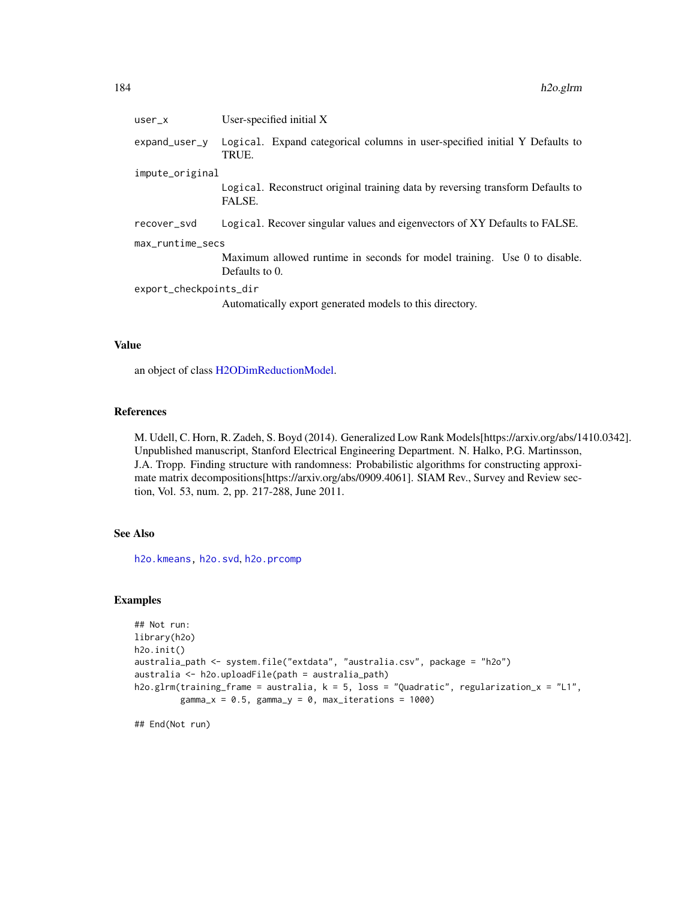| $user_x$               | User-specified initial $X$                                                                 |  |
|------------------------|--------------------------------------------------------------------------------------------|--|
| $expand_user_y$        | Logical. Expand categorical columns in user-specified initial Y Defaults to<br>TRUE.       |  |
| impute_original        |                                                                                            |  |
|                        | Logical. Reconstruct original training data by reversing transform Defaults to<br>FALSE.   |  |
| recover svd            | Logical. Recover singular values and eigenvectors of XY Defaults to FALSE.                 |  |
| max_runtime_secs       |                                                                                            |  |
|                        | Maximum allowed runtime in seconds for model training. Use 0 to disable.<br>Defaults to 0. |  |
| export_checkpoints_dir |                                                                                            |  |
|                        | Automatically export generated models to this directory.                                   |  |

# Value

an object of class [H2ODimReductionModel.](#page-415-0)

# References

M. Udell, C. Horn, R. Zadeh, S. Boyd (2014). Generalized Low Rank Models[https://arxiv.org/abs/1410.0342]. Unpublished manuscript, Stanford Electrical Engineering Department. N. Halko, P.G. Martinsson, J.A. Tropp. Finding structure with randomness: Probabilistic algorithms for constructing approximate matrix decompositions[https://arxiv.org/abs/0909.4061]. SIAM Rev., Survey and Review section, Vol. 53, num. 2, pp. 217-288, June 2011.

# See Also

[h2o.kmeans,](#page-223-0) [h2o.svd](#page-360-0), [h2o.prcomp](#page-292-0)

# Examples

```
## Not run:
library(h2o)
h2o.init()
australia_path <- system.file("extdata", "australia.csv", package = "h2o")
australia <- h2o.uploadFile(path = australia_path)
h2o.glrm(training_frame = australia, k = 5, loss = "Quadratic", regularization_x = "L1",
         gamma_x = 0.5, gamma_y = 0, max_iterations = 1000)
```
## End(Not run)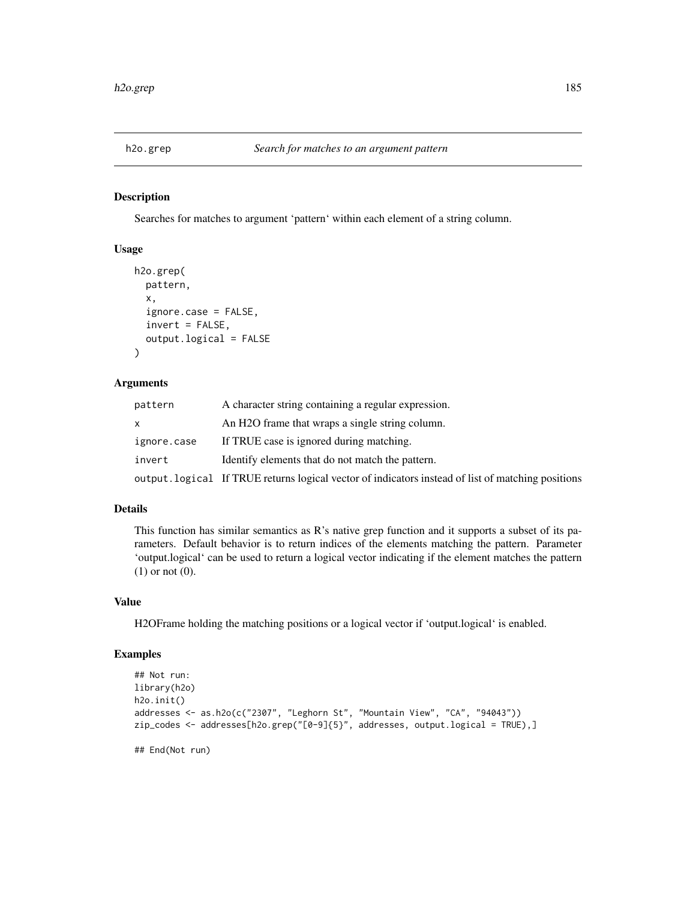## Description

Searches for matches to argument 'pattern' within each element of a string column.

# Usage

```
h2o.grep(
 pattern,
  x,
  ignore.case = FALSE,
  invert = FALSE,
  output.logical = FALSE
)
```
#### Arguments

| pattern     | A character string containing a regular expression.                                                |
|-------------|----------------------------------------------------------------------------------------------------|
|             | An H <sub>2</sub> O frame that wraps a single string column.                                       |
| ignore.case | If TRUE case is ignored during matching.                                                           |
| invert      | Identify elements that do not match the pattern.                                                   |
|             | output. logical If TRUE returns logical vector of indicators instead of list of matching positions |

# Details

This function has similar semantics as R's native grep function and it supports a subset of its parameters. Default behavior is to return indices of the elements matching the pattern. Parameter 'output.logical' can be used to return a logical vector indicating if the element matches the pattern (1) or not (0).

#### Value

H2OFrame holding the matching positions or a logical vector if 'output.logical' is enabled.

## Examples

```
## Not run:
library(h2o)
h2o.init()
addresses <- as.h2o(c("2307", "Leghorn St", "Mountain View", "CA", "94043"))
zip_codes <- addresses[h2o.grep("[0-9]{5}", addresses, output.logical = TRUE),]
```
## End(Not run)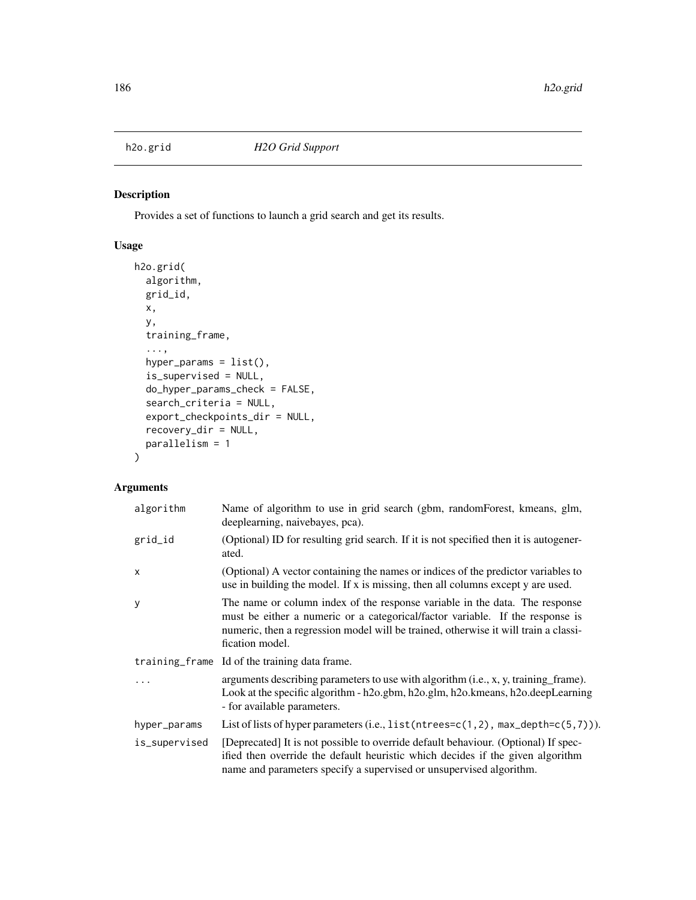# Description

Provides a set of functions to launch a grid search and get its results.

# Usage

```
h2o.grid(
  algorithm,
  grid_id,
 x,
 y,
  training_frame,
  ...,
 hyper_params = list(),
  is_supervised = NULL,
  do_hyper_params_check = FALSE,
  search_criteria = NULL,
  export_checkpoints_dir = NULL,
  recovery_dir = NULL,
 parallelism = 1
)
```

| algorithm     | Name of algorithm to use in grid search (gbm, randomForest, kmeans, glm,<br>deeplearning, naivebayes, pca).                                                                                                                                                            |
|---------------|------------------------------------------------------------------------------------------------------------------------------------------------------------------------------------------------------------------------------------------------------------------------|
| grid_id       | (Optional) ID for resulting grid search. If it is not specified then it is autogener-<br>ated.                                                                                                                                                                         |
| $\times$      | (Optional) A vector containing the names or indices of the predictor variables to<br>use in building the model. If x is missing, then all columns except y are used.                                                                                                   |
| y             | The name or column index of the response variable in the data. The response<br>must be either a numeric or a categorical/factor variable. If the response is<br>numeric, then a regression model will be trained, otherwise it will train a classi-<br>fication model. |
|               | training frame Id of the training data frame.                                                                                                                                                                                                                          |
| .             | arguments describing parameters to use with algorithm (i.e., x, y, training frame).<br>Look at the specific algorithm - h2o.gbm, h2o.glm, h2o.kmeans, h2o.deepLearning<br>- for available parameters.                                                                  |
| hyper_params  | List of lists of hyper parameters (i.e., $list(ntrees=c(1,2))$ , $max_{def}the(c(5,7))$ ).                                                                                                                                                                             |
| is_supervised | [Deprecated] It is not possible to override default behaviour. (Optional) If spec-<br>ified then override the default heuristic which decides if the given algorithm<br>name and parameters specify a supervised or unsupervised algorithm.                            |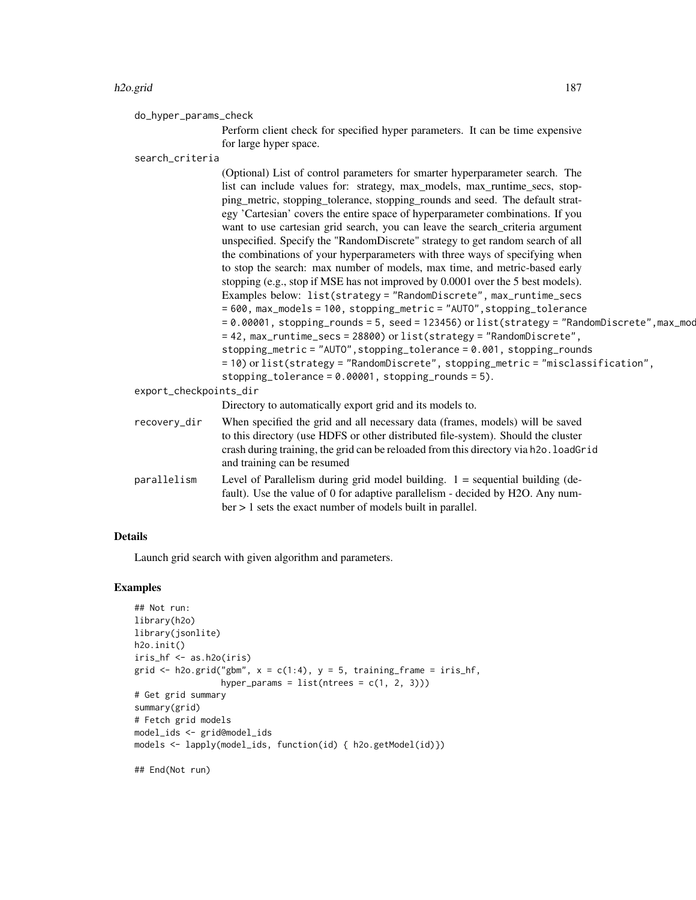#### h2o.grid 187

do\_hyper\_params\_check

Perform client check for specified hyper parameters. It can be time expensive for large hyper space.

search\_criteria

(Optional) List of control parameters for smarter hyperparameter search. The list can include values for: strategy, max\_models, max\_runtime\_secs, stopping\_metric, stopping\_tolerance, stopping\_rounds and seed. The default strategy 'Cartesian' covers the entire space of hyperparameter combinations. If you want to use cartesian grid search, you can leave the search criteria argument unspecified. Specify the "RandomDiscrete" strategy to get random search of all the combinations of your hyperparameters with three ways of specifying when to stop the search: max number of models, max time, and metric-based early stopping (e.g., stop if MSE has not improved by 0.0001 over the 5 best models). Examples below: list(strategy = "RandomDiscrete", max\_runtime\_secs = 600, max\_models = 100, stopping\_metric = "AUTO",stopping\_tolerance  $= 0.00001$ , stopping\_rounds = 5, seed = 123456) or list(strategy = "RandomDiscrete", max\_mod = 42, max\_runtime\_secs = 28800) or list(strategy = "RandomDiscrete", stopping\_metric = "AUTO",stopping\_tolerance = 0.001, stopping\_rounds = 10) or list(strategy = "RandomDiscrete", stopping\_metric = "misclassification", stopping\_tolerance =  $0.00001$ , stopping\_rounds =  $5$ ). export\_checkpoints\_dir Directory to automatically export grid and its models to. recovery\_dir When specified the grid and all necessary data (frames, models) will be saved to this directory (use HDFS or other distributed file-system). Should the cluster crash during training, the grid can be reloaded from this directory via h2o. loadGrid and training can be resumed parallelism Level of Parallelism during grid model building. 1 = sequential building (default). Use the value of 0 for adaptive parallelism - decided by H2O. Any num-

ber > 1 sets the exact number of models built in parallel.

#### Details

Launch grid search with given algorithm and parameters.

# Examples

```
## Not run:
library(h2o)
library(jsonlite)
h2o.init()
iris_hf <- as.h2o(iris)
grid \le h2o.grid("gbm", x = c(1:4), y = 5, training_frame = iris_hf,
                 hyper_params = list(ntrees = c(1, 2, 3)))# Get grid summary
summary(grid)
# Fetch grid models
model_ids <- grid@model_ids
models <- lapply(model_ids, function(id) { h2o.getModel(id)})
```
## End(Not run)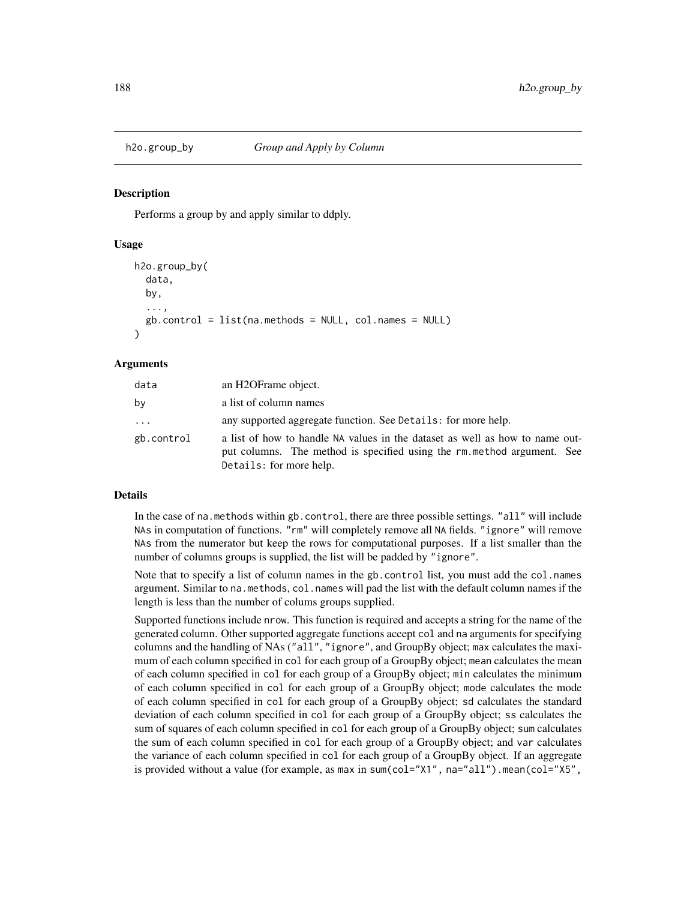#### Description

Performs a group by and apply similar to ddply.

#### Usage

```
h2o.group_by(
  data,
  by,
  ...,
  gb.control = list(na.methods = NULL, col.names = NULL))
```
## Arguments

| data       | an H2OFrame object.                                                                                                                                                               |
|------------|-----------------------------------------------------------------------------------------------------------------------------------------------------------------------------------|
| by         | a list of column names                                                                                                                                                            |
| $\cdots$   | any supported aggregate function. See Details: for more help.                                                                                                                     |
| gb.control | a list of how to handle NA values in the dataset as well as how to name out-<br>put columns. The method is specified using the rm method argument. See<br>Details: for more help. |

#### Details

In the case of na.methods within gb.control, there are three possible settings. "all" will include NAs in computation of functions. "rm" will completely remove all NA fields. "ignore" will remove NAs from the numerator but keep the rows for computational purposes. If a list smaller than the number of columns groups is supplied, the list will be padded by "ignore".

Note that to specify a list of column names in the gb.control list, you must add the col.names argument. Similar to na.methods, col.names will pad the list with the default column names if the length is less than the number of colums groups supplied.

Supported functions include nrow. This function is required and accepts a string for the name of the generated column. Other supported aggregate functions accept col and na arguments for specifying columns and the handling of NAs ("all", "ignore", and GroupBy object; max calculates the maximum of each column specified in col for each group of a GroupBy object; mean calculates the mean of each column specified in col for each group of a GroupBy object; min calculates the minimum of each column specified in col for each group of a GroupBy object; mode calculates the mode of each column specified in col for each group of a GroupBy object; sd calculates the standard deviation of each column specified in col for each group of a GroupBy object; ss calculates the sum of squares of each column specified in col for each group of a GroupBy object; sum calculates the sum of each column specified in col for each group of a GroupBy object; and var calculates the variance of each column specified in col for each group of a GroupBy object. If an aggregate is provided without a value (for example, as max in sum(col="X1", na="all"). mean(col="X5",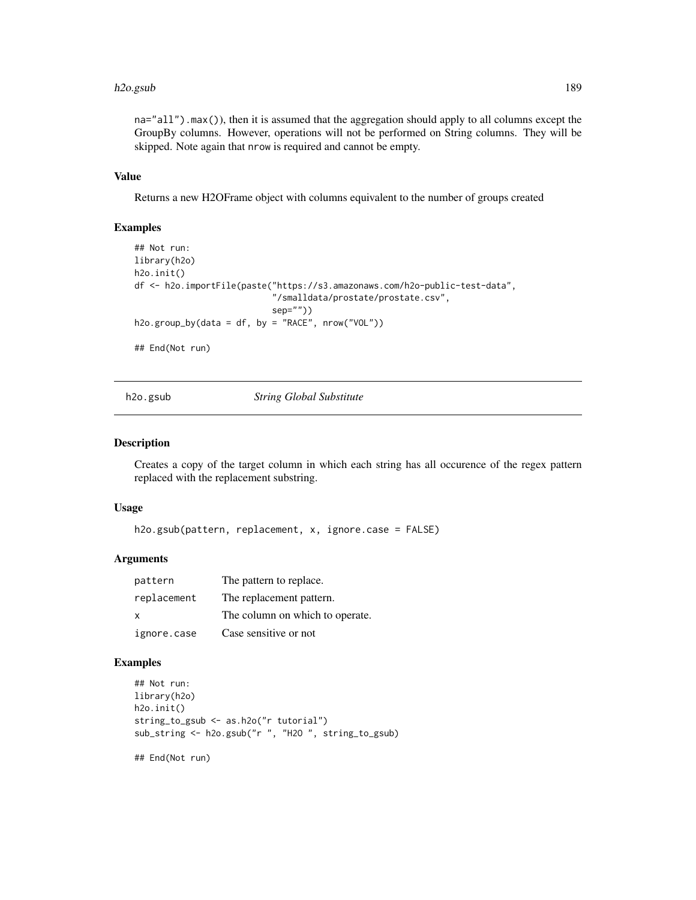#### h2o.gsub 189

na="all").max()), then it is assumed that the aggregation should apply to all columns except the GroupBy columns. However, operations will not be performed on String columns. They will be skipped. Note again that nrow is required and cannot be empty.

# Value

Returns a new H2OFrame object with columns equivalent to the number of groups created

#### Examples

```
## Not run:
library(h2o)
h2o.init()
df <- h2o.importFile(paste("https://s3.amazonaws.com/h2o-public-test-data",
                           "/smalldata/prostate/prostate.csv",
                           sep=""))
h2o.group_by(data = df, by = "RACE", nrow("VOL"))
```
## End(Not run)

h2o.gsub *String Global Substitute*

## Description

Creates a copy of the target column in which each string has all occurence of the regex pattern replaced with the replacement substring.

#### Usage

h2o.gsub(pattern, replacement, x, ignore.case = FALSE)

# Arguments

| pattern      | The pattern to replace.         |
|--------------|---------------------------------|
| replacement  | The replacement pattern.        |
| $\mathbf{x}$ | The column on which to operate. |
| ignore.case  | Case sensitive or not           |

# Examples

```
## Not run:
library(h2o)
h2o.init()
string_to_gsub <- as.h2o("r tutorial")
sub_string <- h2o.gsub("r ", "H2O ", string_to_gsub)
```
## End(Not run)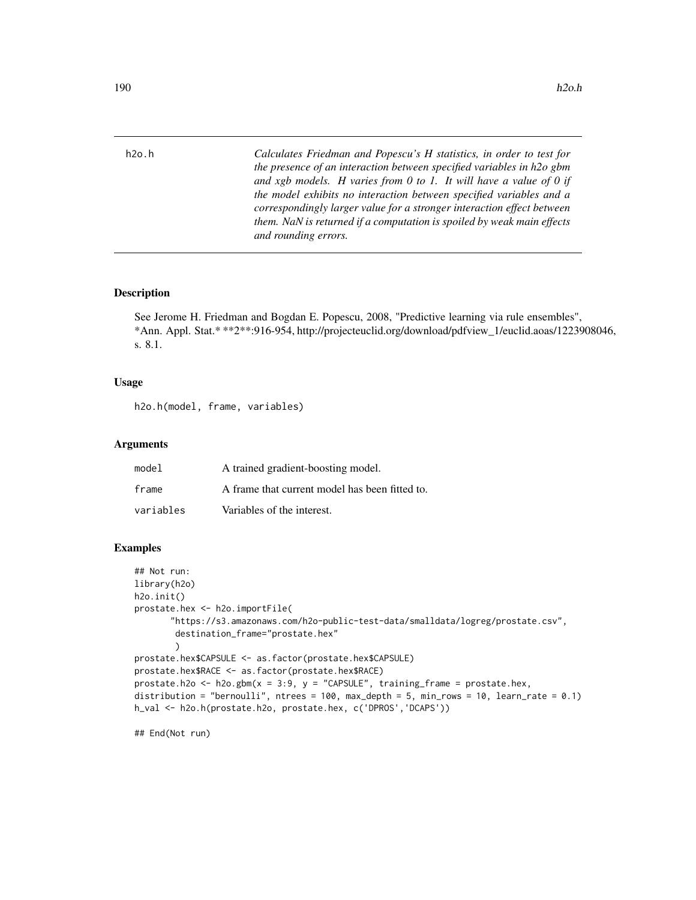h2o.h *Calculates Friedman and Popescu's H statistics, in order to test for the presence of an interaction between specified variables in h2o gbm and xgb models. H varies from 0 to 1. It will have a value of 0 if the model exhibits no interaction between specified variables and a correspondingly larger value for a stronger interaction effect between them. NaN is returned if a computation is spoiled by weak main effects and rounding errors.*

# Description

See Jerome H. Friedman and Bogdan E. Popescu, 2008, "Predictive learning via rule ensembles", \*Ann. Appl. Stat.\* \*\*2\*\*:916-954, http://projecteuclid.org/download/pdfview\_1/euclid.aoas/1223908046, s. 8.1.

#### Usage

```
h2o.h(model, frame, variables)
```
#### Arguments

| model     | A trained gradient-boosting model.             |
|-----------|------------------------------------------------|
| frame     | A frame that current model has been fitted to. |
| variables | Variables of the interest.                     |

#### Examples

```
## Not run:
library(h2o)
h2o.init()
prostate.hex <- h2o.importFile(
       "https://s3.amazonaws.com/h2o-public-test-data/smalldata/logreg/prostate.csv",
        destination_frame="prostate.hex"
        )
prostate.hex$CAPSULE <- as.factor(prostate.hex$CAPSULE)
prostate.hex$RACE <- as.factor(prostate.hex$RACE)
prostate.h2o <- h2o.gbm(x = 3:9, y = "CAPSULE", training-frame = prostate.hex,distribution = "bernoulli", ntrees = 100, max_depth = 5, min_rows = 10, learn_rate = 0.1)
h_val <- h2o.h(prostate.h2o, prostate.hex, c('DPROS','DCAPS'))
```
## End(Not run)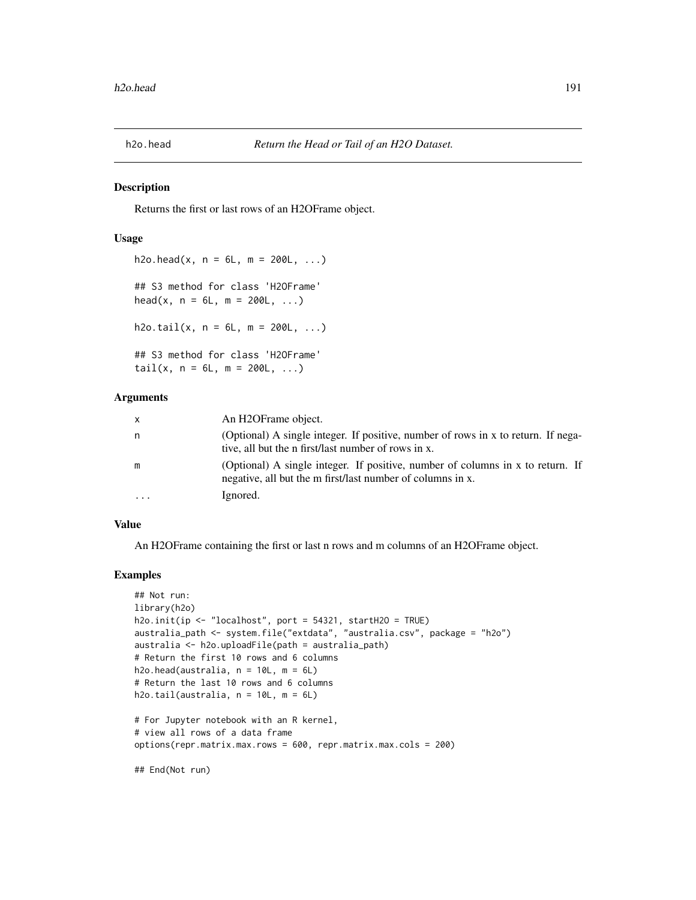# Description

Returns the first or last rows of an H2OFrame object.

# Usage

```
h2o.head(x, n = 6L, m = 200L, ...)## S3 method for class 'H2OFrame'
head(x, n = 6L, m = 200L, ...)
h2o.tail(x, n = 6L, m = 200L, ...)## S3 method for class 'H2OFrame'
tail(x, n = 6L, m = 200L, ...)
```
# Arguments

| $\mathsf{X}$ | An H <sub>2</sub> OFrame object.                                                                                                             |
|--------------|----------------------------------------------------------------------------------------------------------------------------------------------|
| n            | (Optional) A single integer. If positive, number of rows in x to return. If nega-<br>tive, all but the n first/last number of rows in x.     |
| m            | (Optional) A single integer. If positive, number of columns in x to return. If<br>negative, all but the m first/last number of columns in x. |
| $\ddotsc$    | Ignored.                                                                                                                                     |

## Value

An H2OFrame containing the first or last n rows and m columns of an H2OFrame object.

#### Examples

```
## Not run:
library(h2o)
h2o.init(ip \le "localhost", port = 54321, startH2O = TRUE)
australia_path <- system.file("extdata", "australia.csv", package = "h2o")
australia <- h2o.uploadFile(path = australia_path)
# Return the first 10 rows and 6 columns
h2o.head(australia, n = 10L, m = 6L)
# Return the last 10 rows and 6 columns
h2o.tail(australia, n = 10L, m = 6L)
# For Jupyter notebook with an R kernel,
# view all rows of a data frame
options(repr.matrix.max.rows = 600, repr.matrix.max.cols = 200)
```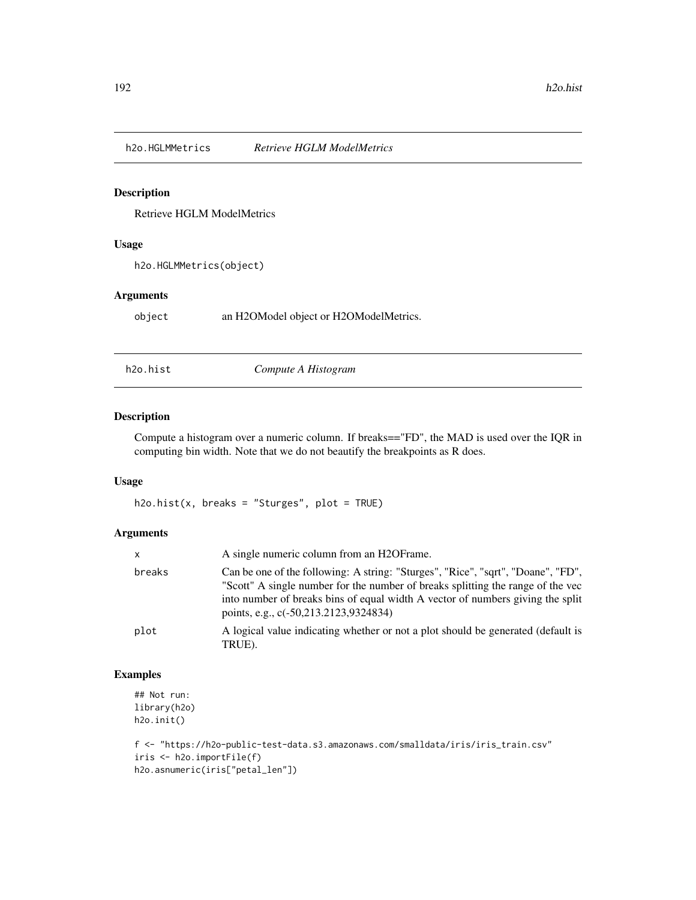# Description

Retrieve HGLM ModelMetrics

# Usage

h2o.HGLMMetrics(object)

# Arguments

object an H2OModel object or H2OModelMetrics.

h2o.hist *Compute A Histogram*

# Description

Compute a histogram over a numeric column. If breaks=="FD", the MAD is used over the IQR in computing bin width. Note that we do not beautify the breakpoints as R does.

# Usage

 $h2o.hist(x, breaks = "Sturges", plot = TRUE)$ 

# Arguments

| X      | A single numeric column from an H2OFrame.                                                                                                                                                                                                                                                      |
|--------|------------------------------------------------------------------------------------------------------------------------------------------------------------------------------------------------------------------------------------------------------------------------------------------------|
| breaks | Can be one of the following: A string: "Sturges", "Rice", "sqrt", "Doane", "FD",<br>"Scott" A single number for the number of breaks splitting the range of the vec<br>into number of breaks bins of equal width A vector of numbers giving the split<br>points, e.g., c(-50,213.2123,9324834) |
| plot   | A logical value indicating whether or not a plot should be generated (default is<br>TRUE).                                                                                                                                                                                                     |

# Examples

```
## Not run:
library(h2o)
h2o.init()
```

```
f <- "https://h2o-public-test-data.s3.amazonaws.com/smalldata/iris/iris_train.csv"
iris <- h2o.importFile(f)
h2o.asnumeric(iris["petal_len"])
```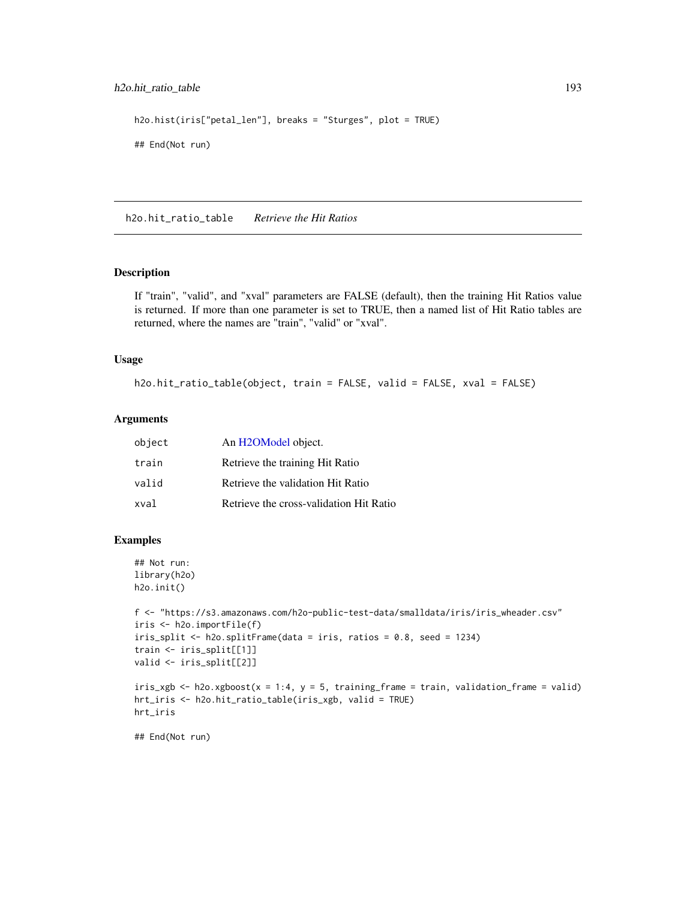# h2o.hit\_ratio\_table 193

```
h2o.hist(iris["petal_len"], breaks = "Sturges", plot = TRUE)
## End(Not run)
```
h2o.hit\_ratio\_table *Retrieve the Hit Ratios*

#### Description

If "train", "valid", and "xval" parameters are FALSE (default), then the training Hit Ratios value is returned. If more than one parameter is set to TRUE, then a named list of Hit Ratio tables are returned, where the names are "train", "valid" or "xval".

#### Usage

```
h2o.hit_ratio_table(object, train = FALSE, valid = FALSE, xval = FALSE)
```
# Arguments

| object | An H2OModel object.                     |
|--------|-----------------------------------------|
| train  | Retrieve the training Hit Ratio         |
| valid  | Retrieve the validation Hit Ratio       |
| xval   | Retrieve the cross-validation Hit Ratio |

## Examples

```
## Not run:
library(h2o)
h2o.init()
```

```
f <- "https://s3.amazonaws.com/h2o-public-test-data/smalldata/iris/iris_wheader.csv"
iris <- h2o.importFile(f)
iris_split <- h2o.splitFrame(data = iris, ratios = 0.8, seed = 1234)
train <- iris_split[[1]]
valid <- iris_split[[2]]
```

```
iris\_xgb \leq h2o.xgboost(x = 1:4, y = 5, training-frame = train, validation-frame = valid)hrt_iris <- h2o.hit_ratio_table(iris_xgb, valid = TRUE)
hrt_iris
```
## End(Not run)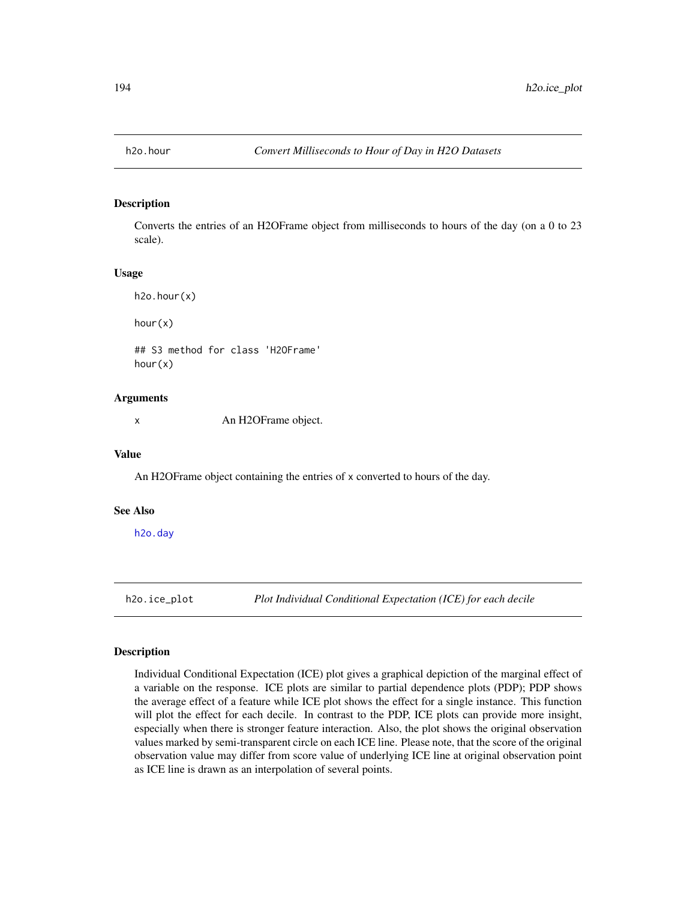## Description

Converts the entries of an H2OFrame object from milliseconds to hours of the day (on a 0 to 23 scale).

#### Usage

h2o.hour(x) hour(x) ## S3 method for class 'H2OFrame' hour(x)

# Arguments

x An H2OFrame object.

#### Value

An H2OFrame object containing the entries of x converted to hours of the day.

#### See Also

[h2o.day](#page-109-0)

h2o.ice\_plot *Plot Individual Conditional Expectation (ICE) for each decile*

# Description

Individual Conditional Expectation (ICE) plot gives a graphical depiction of the marginal effect of a variable on the response. ICE plots are similar to partial dependence plots (PDP); PDP shows the average effect of a feature while ICE plot shows the effect for a single instance. This function will plot the effect for each decile. In contrast to the PDP, ICE plots can provide more insight, especially when there is stronger feature interaction. Also, the plot shows the original observation values marked by semi-transparent circle on each ICE line. Please note, that the score of the original observation value may differ from score value of underlying ICE line at original observation point as ICE line is drawn as an interpolation of several points.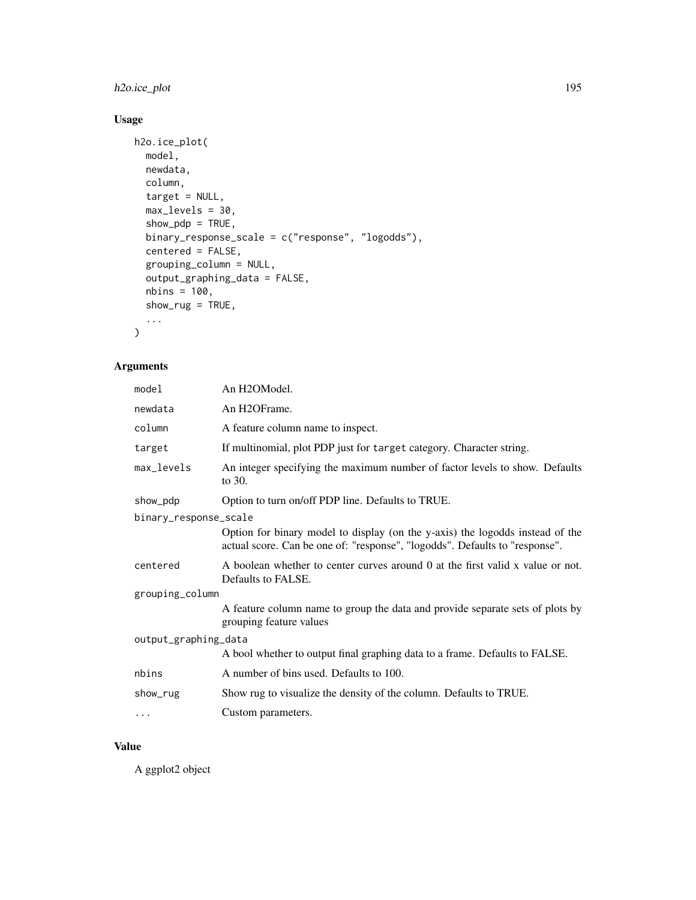# h2o.ice\_plot 195

# Usage

```
h2o.ice_plot(
  model,
  newdata,
  column,
  target = NULL,
  max_levels = 30,
  show\_pdp = TRUE,binary_response_scale = c("response", "logodds"),
  centered = FALSE,
  grouping_column = NULL,
  output_graphing_data = FALSE,
  nbins = 100,show_rug = TRUE,
  ...
\mathcal{L}
```
# Arguments

| model                 | An H2OModel.                                                                                                                                                 |  |
|-----------------------|--------------------------------------------------------------------------------------------------------------------------------------------------------------|--|
| newdata               | An H2OFrame.                                                                                                                                                 |  |
| column                | A feature column name to inspect.                                                                                                                            |  |
| target                | If multinomial, plot PDP just for target category. Character string.                                                                                         |  |
| max_levels            | An integer specifying the maximum number of factor levels to show. Defaults<br>to 30.                                                                        |  |
| show_pdp              | Option to turn on/off PDP line. Defaults to TRUE.                                                                                                            |  |
| binary_response_scale |                                                                                                                                                              |  |
|                       | Option for binary model to display (on the y-axis) the logodds instead of the<br>actual score. Can be one of: "response", "logodds". Defaults to "response". |  |
| centered              | A boolean whether to center curves around 0 at the first valid x value or not.<br>Defaults to FALSE.                                                         |  |
| grouping_column       |                                                                                                                                                              |  |
|                       | A feature column name to group the data and provide separate sets of plots by<br>grouping feature values                                                     |  |
| output_graphing_data  |                                                                                                                                                              |  |
|                       | A bool whether to output final graphing data to a frame. Defaults to FALSE.                                                                                  |  |
| nbins                 | A number of bins used. Defaults to 100.                                                                                                                      |  |
| show_rug              | Show rug to visualize the density of the column. Defaults to TRUE.                                                                                           |  |
| $\cdots$              | Custom parameters.                                                                                                                                           |  |

# Value

A ggplot2 object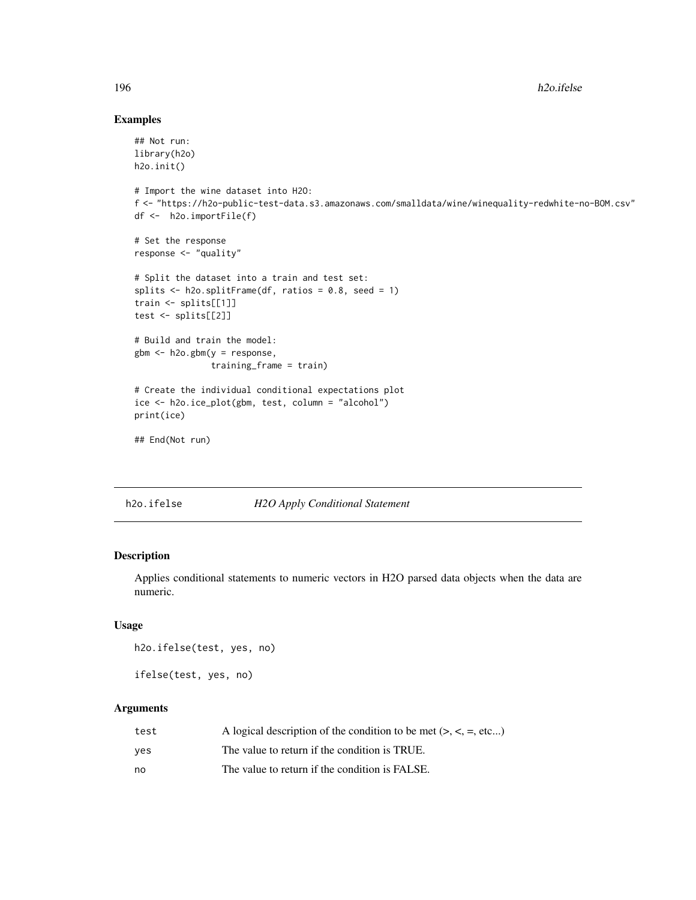# Examples

```
## Not run:
library(h2o)
h2o.init()
# Import the wine dataset into H2O:
f <- "https://h2o-public-test-data.s3.amazonaws.com/smalldata/wine/winequality-redwhite-no-BOM.csv"
df <- h2o.importFile(f)
# Set the response
response <- "quality"
# Split the dataset into a train and test set:
splits \le h2o.splitFrame(df, ratios = 0.8, seed = 1)
train <- splits[[1]]
test <- splits[[2]]
# Build and train the model:
gbm <- h2o.gbm(y = response,
               training_frame = train)
# Create the individual conditional expectations plot
ice <- h2o.ice_plot(gbm, test, column = "alcohol")
print(ice)
## End(Not run)
```
h2o.ifelse *H2O Apply Conditional Statement*

# Description

Applies conditional statements to numeric vectors in H2O parsed data objects when the data are numeric.

# Usage

h2o.ifelse(test, yes, no)

ifelse(test, yes, no)

| test | A logical description of the condition to be met $(> , < , = , etc)$ |
|------|----------------------------------------------------------------------|
| ves  | The value to return if the condition is TRUE.                        |
| no   | The value to return if the condition is FALSE.                       |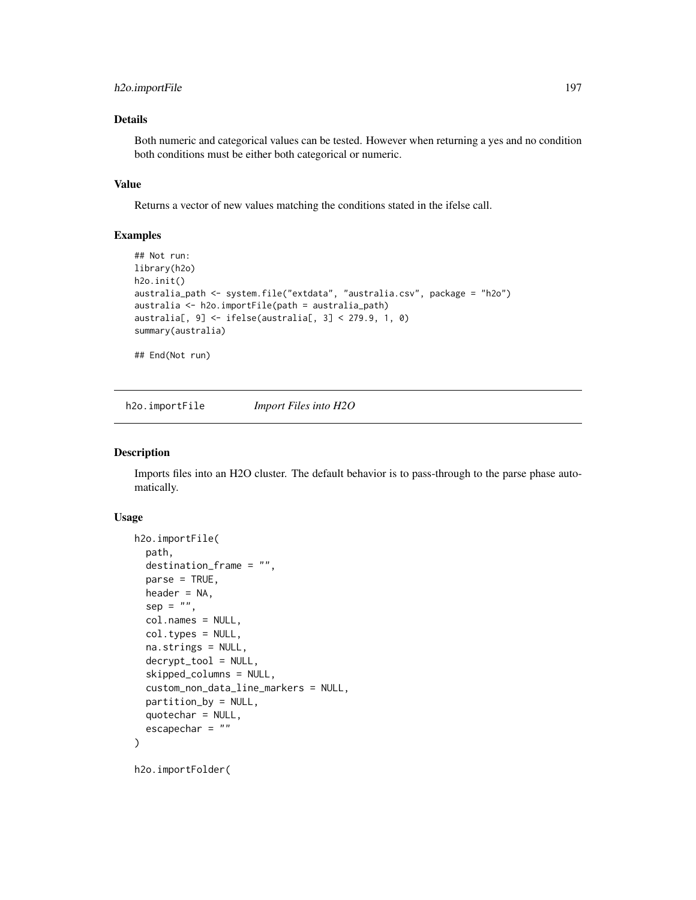# h2o.importFile 197

# Details

Both numeric and categorical values can be tested. However when returning a yes and no condition both conditions must be either both categorical or numeric.

# Value

Returns a vector of new values matching the conditions stated in the ifelse call.

# Examples

```
## Not run:
library(h2o)
h2o.init()
australia_path <- system.file("extdata", "australia.csv", package = "h2o")
australia <- h2o.importFile(path = australia_path)
australia[, 9] <- ifelse(australia[, 3] < 279.9, 1, 0)
summary(australia)
```
## End(Not run)

h2o.importFile *Import Files into H2O*

#### Description

Imports files into an H2O cluster. The default behavior is to pass-through to the parse phase automatically.

#### Usage

```
h2o.importFile(
  path,
  destination_frame = "",
  parse = TRUE,
  header = NA,
  sep = "",col.names = NULL,
  col.types = NULL,
  na.strings = NULL,
  decrypt_tool = NULL,
  skipped_columns = NULL,
  custom_non_data_line_markers = NULL,
  partition_by = NULL,
  quotechar = NULL,
  escapechar = "")
h2o.importFolder(
```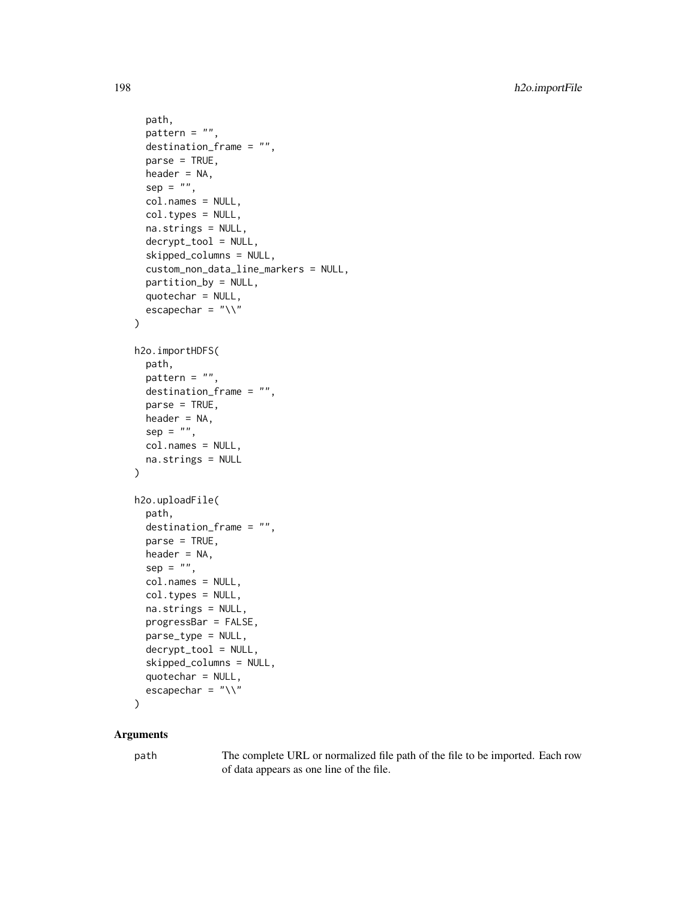```
path,
  pattern = ",
  destination-frame = "".parse = TRUE,
  header = NA,
  sep = "",col.names = NULL,
  col.types = NULL,
  na.strings = NULL,
  decrypt_tool = NULL,
  skipped_columns = NULL,
  custom_non_data_line_markers = NULL,
  partition_by = NULL,
  quotechar = NULL,
  escapechar = "\wedge")
h2o.importHDFS(
 path,
 pattern = ",
  destination_frame = "",
  parse = TRUE,
  header = NA,
  sep = "",col.names = NULL,
  na.strings = NULL
)
h2o.uploadFile(
  path,
  destination_frame = "",
  parse = TRUE,header = NA,
  sep = "",col.names = NULL,
  col.types = NULL,
  na.strings = NULL,
  progressBar = FALSE,
  parse_type = NULL,
  decrypt_tool = NULL,
  skipped_columns = NULL,
  quotechar = NULL,
  escapechar = ''\wedge)
```
# Arguments

path The complete URL or normalized file path of the file to be imported. Each row of data appears as one line of the file.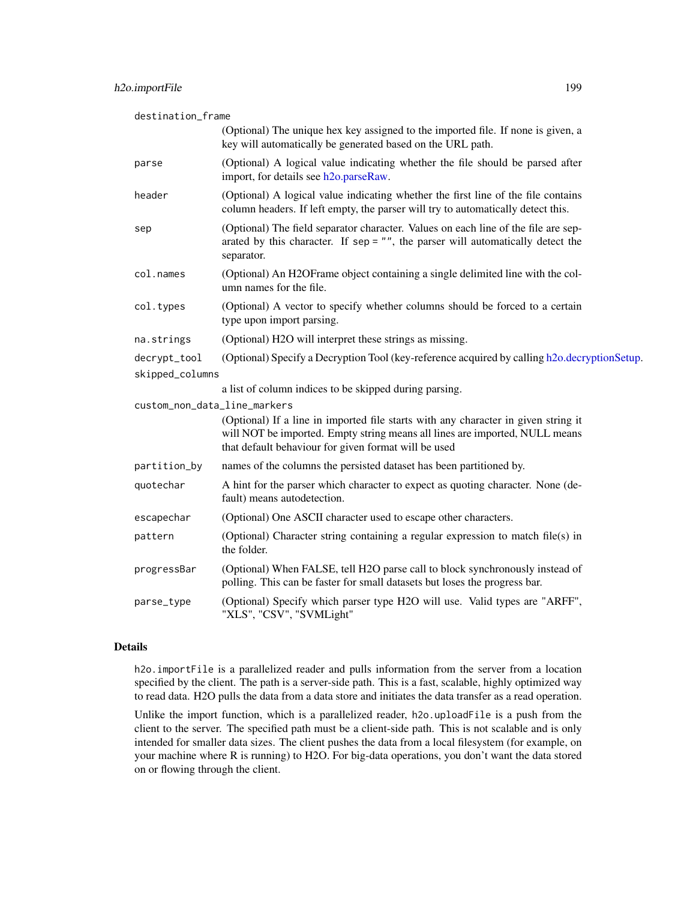| destination_frame |                                                                                                                                                                                                                           |
|-------------------|---------------------------------------------------------------------------------------------------------------------------------------------------------------------------------------------------------------------------|
|                   | (Optional) The unique hex key assigned to the imported file. If none is given, a<br>key will automatically be generated based on the URL path.                                                                            |
| parse             | (Optional) A logical value indicating whether the file should be parsed after<br>import, for details see h2o.parseRaw.                                                                                                    |
| header            | (Optional) A logical value indicating whether the first line of the file contains<br>column headers. If left empty, the parser will try to automatically detect this.                                                     |
| sep               | (Optional) The field separator character. Values on each line of the file are sep-<br>arated by this character. If $sep = ""$ , the parser will automatically detect the<br>separator.                                    |
| col.names         | (Optional) An H2OFrame object containing a single delimited line with the col-<br>umn names for the file.                                                                                                                 |
| col.types         | (Optional) A vector to specify whether columns should be forced to a certain<br>type upon import parsing.                                                                                                                 |
| na.strings        | (Optional) H2O will interpret these strings as missing.                                                                                                                                                                   |
| decrypt_tool      | (Optional) Specify a Decryption Tool (key-reference acquired by calling h2o.decryptionSetup.                                                                                                                              |
| skipped_columns   |                                                                                                                                                                                                                           |
|                   | a list of column indices to be skipped during parsing.                                                                                                                                                                    |
|                   | custom_non_data_line_markers                                                                                                                                                                                              |
|                   | (Optional) If a line in imported file starts with any character in given string it<br>will NOT be imported. Empty string means all lines are imported, NULL means<br>that default behaviour for given format will be used |
| partition_by      | names of the columns the persisted dataset has been partitioned by.                                                                                                                                                       |
| quotechar         | A hint for the parser which character to expect as quoting character. None (de-<br>fault) means autodetection.                                                                                                            |
| escapechar        | (Optional) One ASCII character used to escape other characters.                                                                                                                                                           |
| pattern           | (Optional) Character string containing a regular expression to match file(s) in<br>the folder.                                                                                                                            |
| progressBar       | (Optional) When FALSE, tell H2O parse call to block synchronously instead of<br>polling. This can be faster for small datasets but loses the progress bar.                                                                |
| parse_type        | (Optional) Specify which parser type H2O will use. Valid types are "ARFF",<br>"XLS", "CSV", "SVMLight"                                                                                                                    |

# Details

h2o.importFile is a parallelized reader and pulls information from the server from a location specified by the client. The path is a server-side path. This is a fast, scalable, highly optimized way to read data. H2O pulls the data from a data store and initiates the data transfer as a read operation.

Unlike the import function, which is a parallelized reader, h2o.uploadFile is a push from the client to the server. The specified path must be a client-side path. This is not scalable and is only intended for smaller data sizes. The client pushes the data from a local filesystem (for example, on your machine where R is running) to H2O. For big-data operations, you don't want the data stored on or flowing through the client.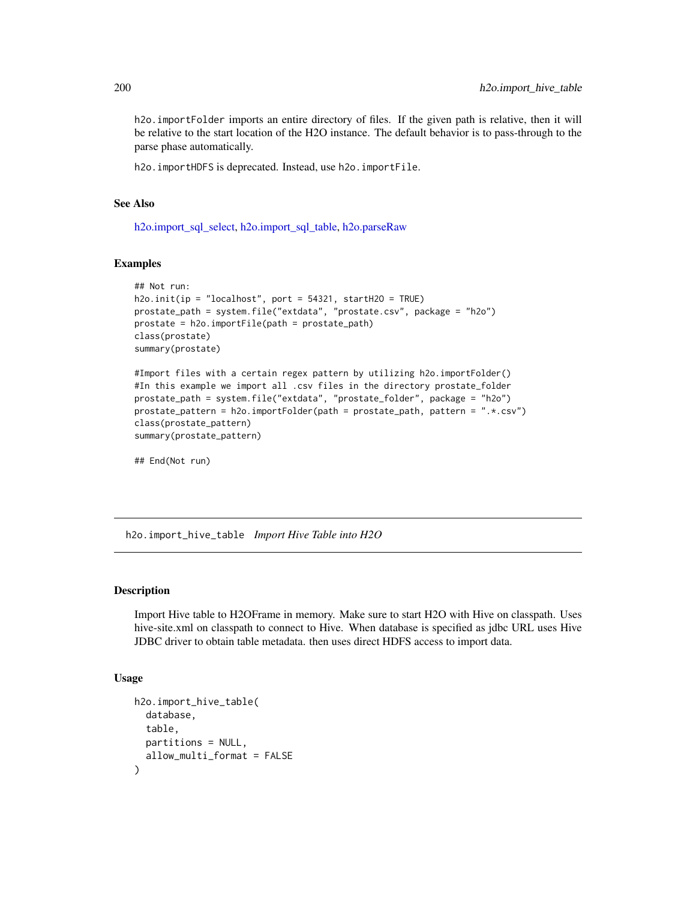h2o.importFolder imports an entire directory of files. If the given path is relative, then it will be relative to the start location of the H2O instance. The default behavior is to pass-through to the parse phase automatically.

h2o.importHDFS is deprecated. Instead, use h2o.importFile.

#### See Also

[h2o.import\\_sql\\_select,](#page-201-0) [h2o.import\\_sql\\_table,](#page-202-0) [h2o.parseRaw](#page-278-0)

# Examples

```
## Not run:
h2o.init(ip = "localhost", port = 54321, startH2O = TRUE)
prostate_path = system.file("extdata", "prostate.csv", package = "h2o")
prostate = h2o.importFile(path = prostate_path)
class(prostate)
summary(prostate)
```

```
#Import files with a certain regex pattern by utilizing h2o.importFolder()
#In this example we import all .csv files in the directory prostate_folder
prostate_path = system.file("extdata", "prostate_folder", package = "h2o")
prostate_pattern = h2o.importFolder(path = prostate_path, pattern = ".*.csv")
class(prostate_pattern)
summary(prostate_pattern)
```
## End(Not run)

h2o.import\_hive\_table *Import Hive Table into H2O*

# Description

Import Hive table to H2OFrame in memory. Make sure to start H2O with Hive on classpath. Uses hive-site.xml on classpath to connect to Hive. When database is specified as jdbc URL uses Hive JDBC driver to obtain table metadata. then uses direct HDFS access to import data.

# Usage

```
h2o.import_hive_table(
  database,
  table,
 partitions = NULL,
  allow_multi_format = FALSE
)
```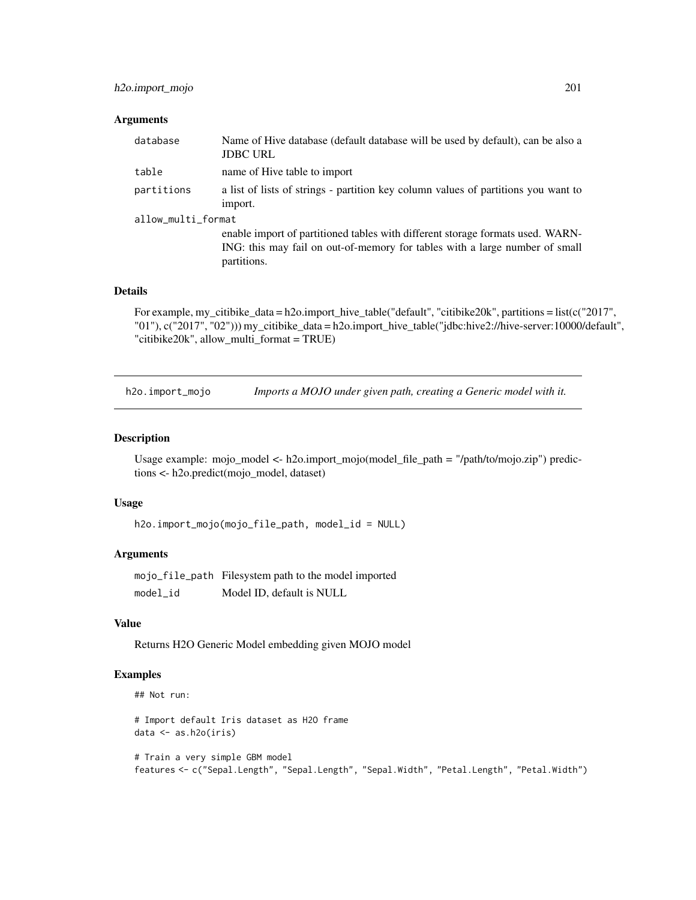# h2o.import\_mojo 201

#### Arguments

| database           | Name of Hive database (default database will be used by default), can be also a<br><b>JDBC URL</b>                                                                           |  |
|--------------------|------------------------------------------------------------------------------------------------------------------------------------------------------------------------------|--|
| table              | name of Hive table to import                                                                                                                                                 |  |
| partitions         | a list of lists of strings - partition key column values of partitions you want to<br>import.                                                                                |  |
| allow_multi_format |                                                                                                                                                                              |  |
|                    | enable import of partitioned tables with different storage formats used. WARN-<br>ING: this may fail on out-of-memory for tables with a large number of small<br>partitions. |  |

#### Details

For example, my\_citibike\_data = h2o.import\_hive\_table("default", "citibike20k", partitions = list(c("2017", "01"), c("2017", "02"))) my\_citibike\_data = h2o.import\_hive\_table("jdbc:hive2://hive-server:10000/default", "citibike20k", allow\_multi\_format = TRUE)

h2o.import\_mojo *Imports a MOJO under given path, creating a Generic model with it.*

# Description

Usage example: mojo\_model <- h2o.import\_mojo(model\_file\_path = "/path/to/mojo.zip") predictions <- h2o.predict(mojo\_model, dataset)

# Usage

```
h2o.import_mojo(mojo_file_path, model_id = NULL)
```
# Arguments

mojo\_file\_path Filesystem path to the model imported model\_id Model ID, default is NULL

## Value

Returns H2O Generic Model embedding given MOJO model

# Examples

```
## Not run:
```
# Import default Iris dataset as H2O frame data <- as.h2o(iris)

# Train a very simple GBM model features <- c("Sepal.Length", "Sepal.Length", "Sepal.Width", "Petal.Length", "Petal.Width")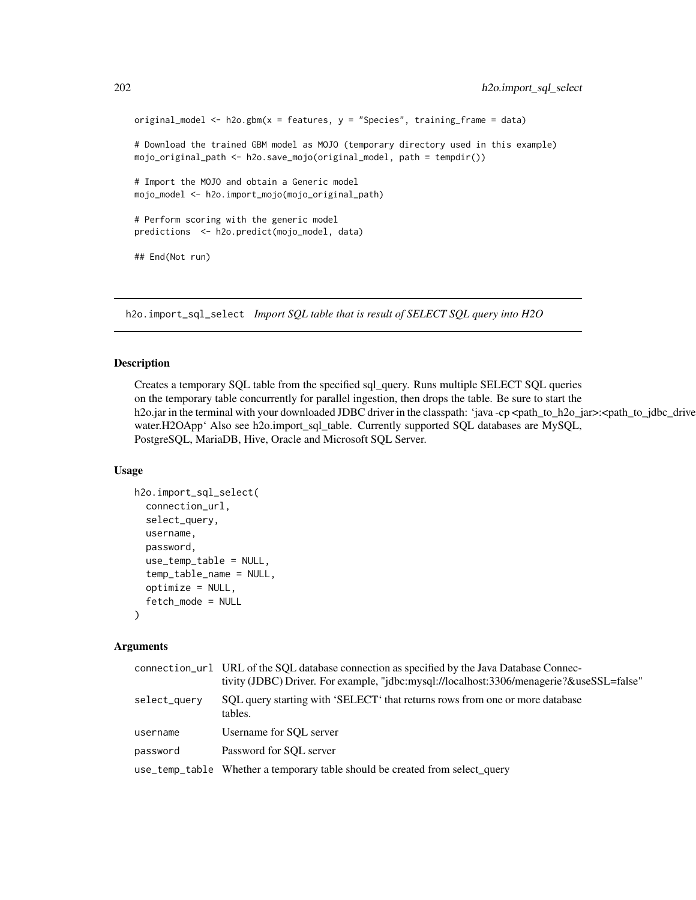```
original_model <- h2o.gbm(x = features, y = "Species", training_frame = data)
# Download the trained GBM model as MOJO (temporary directory used in this example)
mojo_original_path <- h2o.save_mojo(original_model, path = tempdir())
# Import the MOJO and obtain a Generic model
mojo_model <- h2o.import_mojo(mojo_original_path)
# Perform scoring with the generic model
predictions <- h2o.predict(mojo_model, data)
## End(Not run)
```
<span id="page-201-0"></span>h2o.import\_sql\_select *Import SQL table that is result of SELECT SQL query into H2O*

# Description

Creates a temporary SQL table from the specified sql\_query. Runs multiple SELECT SQL queries on the temporary table concurrently for parallel ingestion, then drops the table. Be sure to start the h2o.jar in the terminal with your downloaded JDBC driver in the classpath: 'java -cp <path\_to\_h2o\_jar>:<path\_to\_jdbc\_drive water.H2OApp' Also see h2o.import\_sql\_table. Currently supported SQL databases are MySQL, PostgreSQL, MariaDB, Hive, Oracle and Microsoft SQL Server.

## Usage

```
h2o.import_sql_select(
  connection_url,
  select_query,
  username,
  password,
  use_temp_table = NULL,
  temp_table_name = NULL,
  optimize = NULL,
  fetch_mode = NULL
)
```

|              | connection_url URL of the SQL database connection as specified by the Java Database Connec-<br>tivity (JDBC) Driver. For example, "jdbc:mysql://localhost:3306/menagerie?&useSSL=false" |
|--------------|-----------------------------------------------------------------------------------------------------------------------------------------------------------------------------------------|
| select_query | SQL query starting with 'SELECT' that returns rows from one or more database<br>tables.                                                                                                 |
| username     | Username for SQL server                                                                                                                                                                 |
| password     | Password for SQL server                                                                                                                                                                 |
|              | use_temp_table Whether a temporary table should be created from select_query                                                                                                            |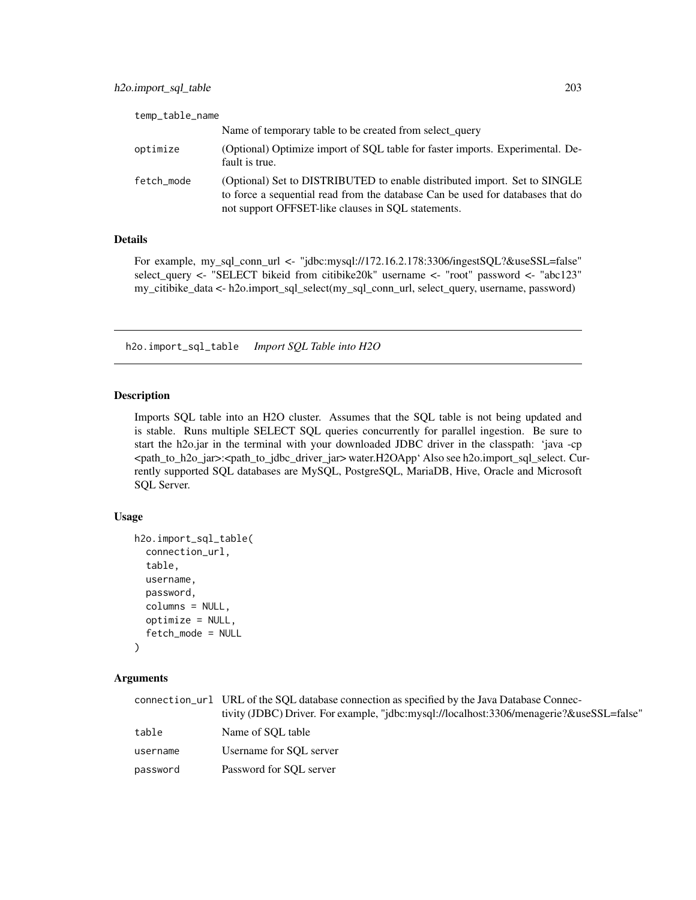| temp_table_name |                                                                                                                                                                                                                   |
|-----------------|-------------------------------------------------------------------------------------------------------------------------------------------------------------------------------------------------------------------|
|                 | Name of temporary table to be created from select_query                                                                                                                                                           |
| optimize        | (Optional) Optimize import of SQL table for faster imports. Experimental. De-<br>fault is true.                                                                                                                   |
| fetch_mode      | (Optional) Set to DISTRIBUTED to enable distributed import. Set to SINGLE<br>to force a sequential read from the database Can be used for databases that do<br>not support OFFSET-like clauses in SQL statements. |

## Details

For example, my\_sql\_conn\_url <- "jdbc:mysql://172.16.2.178:3306/ingestSQL?&useSSL=false" select\_query <- "SELECT bikeid from citibike20k" username <- "root" password <- "abc123" my\_citibike\_data <- h2o.import\_sql\_select(my\_sql\_conn\_url, select\_query, username, password)

<span id="page-202-0"></span>h2o.import\_sql\_table *Import SQL Table into H2O*

# Description

Imports SQL table into an H2O cluster. Assumes that the SQL table is not being updated and is stable. Runs multiple SELECT SQL queries concurrently for parallel ingestion. Be sure to start the h2o.jar in the terminal with your downloaded JDBC driver in the classpath: 'java -cp <path\_to\_h2o\_jar>:<path\_to\_jdbc\_driver\_jar> water.H2OApp' Also see h2o.import\_sql\_select. Currently supported SQL databases are MySQL, PostgreSQL, MariaDB, Hive, Oracle and Microsoft SQL Server.

#### Usage

```
h2o.import_sql_table(
  connection_url,
  table,
  username,
  password,
  columns = NULL,
  optimize = NULL,
  fetch_mode = NULL
)
```

|          | connection_url URL of the SOL database connection as specified by the Java Database Connec- |
|----------|---------------------------------------------------------------------------------------------|
|          | tivity (JDBC) Driver. For example, "idbc:mysql://localhost:3306/menagerie?&useSSL=false"    |
| table    | Name of SOL table                                                                           |
| username | Username for SOL server                                                                     |
| password | Password for SOL server                                                                     |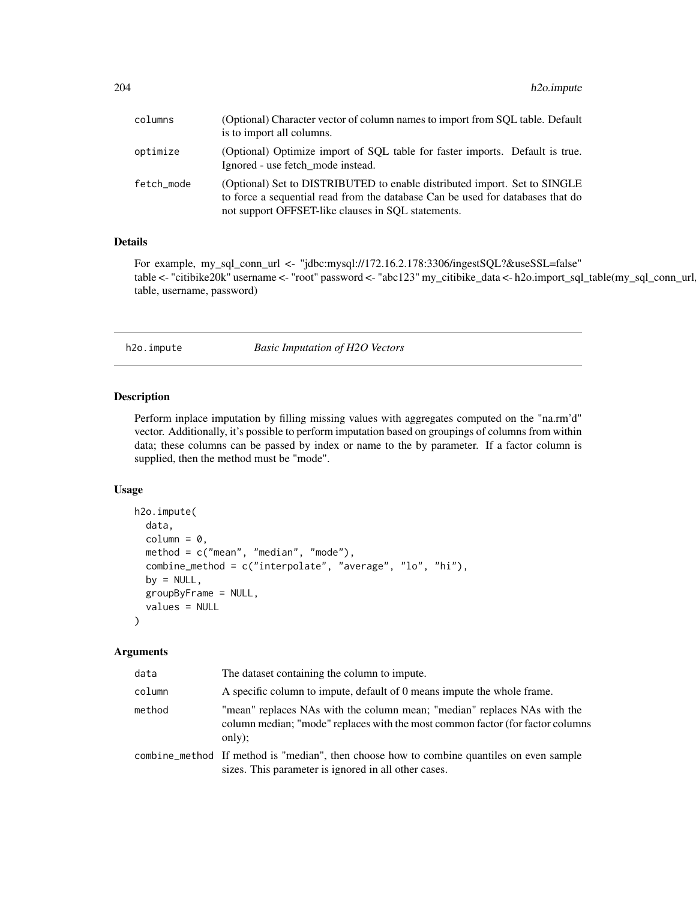| columns    | (Optional) Character vector of column names to import from SQL table. Default<br>is to import all columns.                                                                                                        |
|------------|-------------------------------------------------------------------------------------------------------------------------------------------------------------------------------------------------------------------|
| optimize   | (Optional) Optimize import of SQL table for faster imports. Default is true.<br>Ignored - use fetch mode instead.                                                                                                 |
| fetch mode | (Optional) Set to DISTRIBUTED to enable distributed import. Set to SINGLE<br>to force a sequential read from the database Can be used for databases that do<br>not support OFFSET-like clauses in SQL statements. |

#### Details

For example, my\_sql\_conn\_url <- "jdbc:mysql://172.16.2.178:3306/ingestSQL?&useSSL=false" table <- "citibike20k" username <- "root" password <- "abc123" my\_citibike\_data <- h2o.import\_sql\_table(my\_sql\_conn\_url, table, username, password)

h2o.impute *Basic Imputation of H2O Vectors*

# Description

Perform inplace imputation by filling missing values with aggregates computed on the "na.rm'd" vector. Additionally, it's possible to perform imputation based on groupings of columns from within data; these columns can be passed by index or name to the by parameter. If a factor column is supplied, then the method must be "mode".

# Usage

```
h2o.impute(
  data,
  column = 0,method = c("mean", "median", "mode"),
  combine_method = c("interpolate", "average", "lo", "hi"),
  by = NULL,
  groupByFrame = NULL,
  values = NULL
\lambda
```

| data   | The dataset containing the column to impute.                                                                                                                         |
|--------|----------------------------------------------------------------------------------------------------------------------------------------------------------------------|
| column | A specific column to impute, default of 0 means impute the whole frame.                                                                                              |
| method | "mean" replaces NAs with the column mean; "median" replaces NAs with the<br>column median; "mode" replaces with the most common factor (for factor columns<br>only); |
|        | combine_method If method is "median", then choose how to combine quantiles on even sample<br>sizes. This parameter is ignored in all other cases.                    |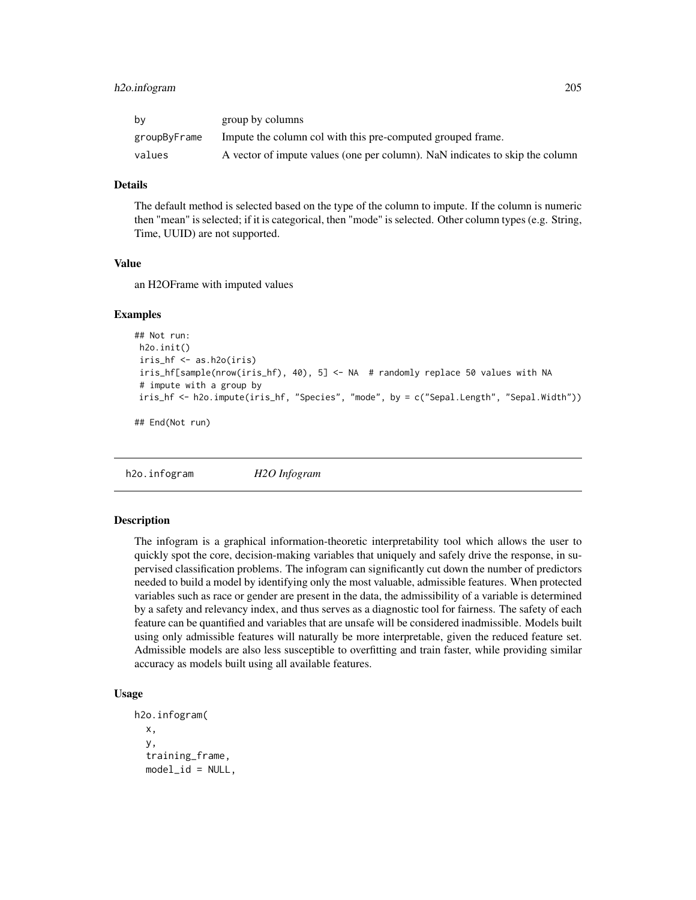# h2o.infogram 205

| bν           | group by columns                                                             |
|--------------|------------------------------------------------------------------------------|
| groupByFrame | Impute the column col with this pre-computed grouped frame.                  |
| values       | A vector of impute values (one per column). NaN indicates to skip the column |

## Details

The default method is selected based on the type of the column to impute. If the column is numeric then "mean" is selected; if it is categorical, then "mode" is selected. Other column types (e.g. String, Time, UUID) are not supported.

# Value

an H2OFrame with imputed values

#### Examples

```
## Not run:
h2o.init()
 iris_hf <- as.h2o(iris)
 iris_hf[sample(nrow(iris_hf), 40), 5] <- NA # randomly replace 50 values with NA
 # impute with a group by
iris_hf <- h2o.impute(iris_hf, "Species", "mode", by = c("Sepal.Length", "Sepal.Width"))
```
## End(Not run)

h2o.infogram *H2O Infogram*

#### **Description**

The infogram is a graphical information-theoretic interpretability tool which allows the user to quickly spot the core, decision-making variables that uniquely and safely drive the response, in supervised classification problems. The infogram can significantly cut down the number of predictors needed to build a model by identifying only the most valuable, admissible features. When protected variables such as race or gender are present in the data, the admissibility of a variable is determined by a safety and relevancy index, and thus serves as a diagnostic tool for fairness. The safety of each feature can be quantified and variables that are unsafe will be considered inadmissible. Models built using only admissible features will naturally be more interpretable, given the reduced feature set. Admissible models are also less susceptible to overfitting and train faster, while providing similar accuracy as models built using all available features.

## Usage

```
h2o.infogram(
  x,
  y,
  training_frame,
  model_id = NULL,
```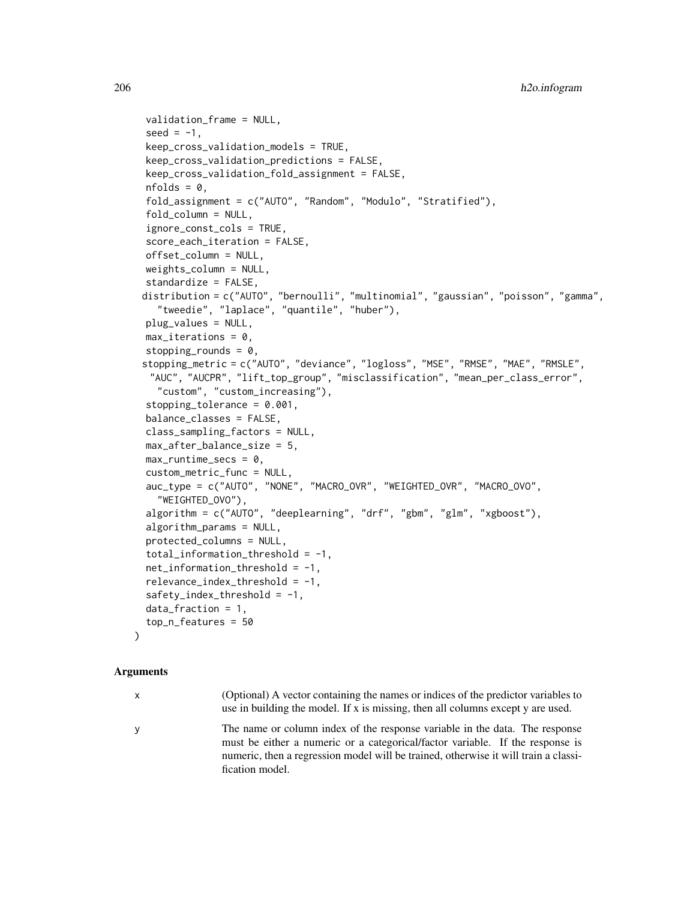```
validation_frame = NULL,
seed = -1,
keep_cross_validation_models = TRUE,
keep_cross_validation_predictions = FALSE,
keep_cross_validation_fold_assignment = FALSE,
nfolds = 0,fold_assignment = c("AUTO", "Random", "Modulo", "Stratified"),
fold\_column = NULL,ignore_const_cols = TRUE,
score_each_iteration = FALSE,
offset_column = NULL,
weights_column = NULL,
standardize = FALSE,
distribution = c("AUTO", "bernoulli", "multinomial", "gaussian", "poisson", "gamma",
  "tweedie", "laplace", "quantile", "huber"),
plug_values = NULL,
max\_iterations = 0,
stopping_rounds = 0,
stopping_metric = c("AUTO", "deviance", "logloss", "MSE", "RMSE", "MAE", "RMSLE",
 "AUC", "AUCPR", "lift_top_group", "misclassification", "mean_per_class_error",
  "custom", "custom_increasing"),
stopping_tolerance = 0.001,
balance_classes = FALSE,
class_sampling_factors = NULL,
max_after_balance_size = 5,
max_runtime_secs = 0,
custom_metric_func = NULL,
auc_type = c("AUTO", "NONE", "MACRO_OVR", "WEIGHTED_OVR", "MACRO_OVO",
  "WEIGHTED_OVO"),
algorithm = c("AUTO", "deeplearning", "drf", "gbm", "glm", "xgboost"),
algorithm_params = NULL,
protected_columns = NULL,
total_information_threshold = -1,net_information_threshold = -1,
relevance_index_threshold = -1,
safety_index_threshold = -1,
data_fraction = 1,
top_n_features = 50
```
#### Arguments

)

| x. | (Optional) A vector containing the names or indices of the predictor variables to<br>use in building the model. If x is missing, then all columns except y are used.                                                                                |
|----|-----------------------------------------------------------------------------------------------------------------------------------------------------------------------------------------------------------------------------------------------------|
| ٧  | The name or column index of the response variable in the data. The response<br>must be either a numeric or a categorical/factor variable. If the response is<br>numeric, then a regression model will be trained, otherwise it will train a classi- |
|    | fication model.                                                                                                                                                                                                                                     |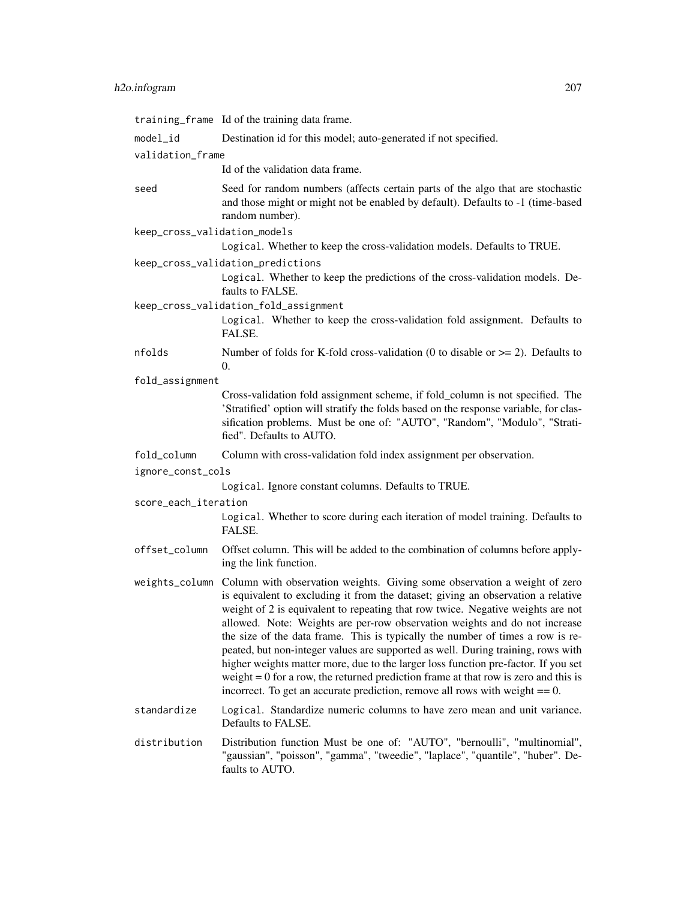# h2o.infogram 207

|                              | training_frame Id of the training data frame.                                                                                                                                                                                                                                                                                                                                                                                                                                                                                                                                                                                                                                                                                                                                        |
|------------------------------|--------------------------------------------------------------------------------------------------------------------------------------------------------------------------------------------------------------------------------------------------------------------------------------------------------------------------------------------------------------------------------------------------------------------------------------------------------------------------------------------------------------------------------------------------------------------------------------------------------------------------------------------------------------------------------------------------------------------------------------------------------------------------------------|
| $model_id$                   | Destination id for this model; auto-generated if not specified.                                                                                                                                                                                                                                                                                                                                                                                                                                                                                                                                                                                                                                                                                                                      |
| validation_frame             |                                                                                                                                                                                                                                                                                                                                                                                                                                                                                                                                                                                                                                                                                                                                                                                      |
|                              | Id of the validation data frame.                                                                                                                                                                                                                                                                                                                                                                                                                                                                                                                                                                                                                                                                                                                                                     |
| seed                         | Seed for random numbers (affects certain parts of the algo that are stochastic<br>and those might or might not be enabled by default). Defaults to -1 (time-based<br>random number).                                                                                                                                                                                                                                                                                                                                                                                                                                                                                                                                                                                                 |
| keep_cross_validation_models |                                                                                                                                                                                                                                                                                                                                                                                                                                                                                                                                                                                                                                                                                                                                                                                      |
|                              | Logical. Whether to keep the cross-validation models. Defaults to TRUE.                                                                                                                                                                                                                                                                                                                                                                                                                                                                                                                                                                                                                                                                                                              |
|                              | keep_cross_validation_predictions                                                                                                                                                                                                                                                                                                                                                                                                                                                                                                                                                                                                                                                                                                                                                    |
|                              | Logical. Whether to keep the predictions of the cross-validation models. De-<br>faults to FALSE.                                                                                                                                                                                                                                                                                                                                                                                                                                                                                                                                                                                                                                                                                     |
|                              | keep_cross_validation_fold_assignment                                                                                                                                                                                                                                                                                                                                                                                                                                                                                                                                                                                                                                                                                                                                                |
|                              | Logical. Whether to keep the cross-validation fold assignment. Defaults to<br>FALSE.                                                                                                                                                                                                                                                                                                                                                                                                                                                                                                                                                                                                                                                                                                 |
| nfolds                       | Number of folds for K-fold cross-validation (0 to disable or $>= 2$ ). Defaults to<br>0.                                                                                                                                                                                                                                                                                                                                                                                                                                                                                                                                                                                                                                                                                             |
| fold_assignment              |                                                                                                                                                                                                                                                                                                                                                                                                                                                                                                                                                                                                                                                                                                                                                                                      |
|                              | Cross-validation fold assignment scheme, if fold_column is not specified. The<br>'Stratified' option will stratify the folds based on the response variable, for clas-<br>sification problems. Must be one of: "AUTO", "Random", "Modulo", "Strati-<br>fied". Defaults to AUTO.                                                                                                                                                                                                                                                                                                                                                                                                                                                                                                      |
| fold_column                  | Column with cross-validation fold index assignment per observation.                                                                                                                                                                                                                                                                                                                                                                                                                                                                                                                                                                                                                                                                                                                  |
| ignore_const_cols            |                                                                                                                                                                                                                                                                                                                                                                                                                                                                                                                                                                                                                                                                                                                                                                                      |
|                              | Logical. Ignore constant columns. Defaults to TRUE.                                                                                                                                                                                                                                                                                                                                                                                                                                                                                                                                                                                                                                                                                                                                  |
| score_each_iteration         |                                                                                                                                                                                                                                                                                                                                                                                                                                                                                                                                                                                                                                                                                                                                                                                      |
|                              | Logical. Whether to score during each iteration of model training. Defaults to<br>FALSE.                                                                                                                                                                                                                                                                                                                                                                                                                                                                                                                                                                                                                                                                                             |
| offset_column                | Offset column. This will be added to the combination of columns before apply-<br>ing the link function.                                                                                                                                                                                                                                                                                                                                                                                                                                                                                                                                                                                                                                                                              |
|                              | weights_column Column with observation weights. Giving some observation a weight of zero<br>is equivalent to excluding it from the dataset; giving an observation a relative<br>weight of 2 is equivalent to repeating that row twice. Negative weights are not<br>allowed. Note: Weights are per-row observation weights and do not increase<br>the size of the data frame. This is typically the number of times a row is re-<br>peated, but non-integer values are supported as well. During training, rows with<br>higher weights matter more, due to the larger loss function pre-factor. If you set<br>weight $= 0$ for a row, the returned prediction frame at that row is zero and this is<br>incorrect. To get an accurate prediction, remove all rows with weight $== 0$ . |
|                              |                                                                                                                                                                                                                                                                                                                                                                                                                                                                                                                                                                                                                                                                                                                                                                                      |
| standardize                  | Logical. Standardize numeric columns to have zero mean and unit variance.<br>Defaults to FALSE.                                                                                                                                                                                                                                                                                                                                                                                                                                                                                                                                                                                                                                                                                      |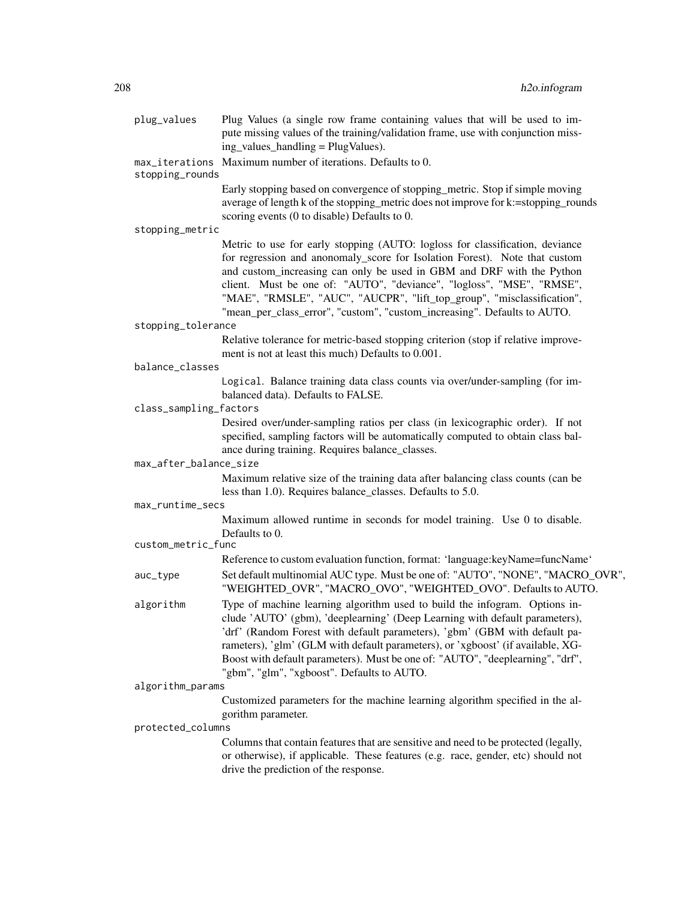| plug_values            | Plug Values (a single row frame containing values that will be used to im-<br>pute missing values of the training/validation frame, use with conjunction miss-<br>ing_values_handling = PlugValues).                                                                                                                                                                                                                                                               |
|------------------------|--------------------------------------------------------------------------------------------------------------------------------------------------------------------------------------------------------------------------------------------------------------------------------------------------------------------------------------------------------------------------------------------------------------------------------------------------------------------|
| stopping_rounds        | max_iterations Maximum number of iterations. Defaults to 0.                                                                                                                                                                                                                                                                                                                                                                                                        |
|                        | Early stopping based on convergence of stopping_metric. Stop if simple moving<br>average of length k of the stopping_metric does not improve for k:=stopping_rounds<br>scoring events (0 to disable) Defaults to 0.                                                                                                                                                                                                                                                |
| stopping_metric        |                                                                                                                                                                                                                                                                                                                                                                                                                                                                    |
|                        | Metric to use for early stopping (AUTO: logloss for classification, deviance<br>for regression and anonomaly_score for Isolation Forest). Note that custom<br>and custom_increasing can only be used in GBM and DRF with the Python<br>client. Must be one of: "AUTO", "deviance", "logloss", "MSE", "RMSE",<br>"MAE", "RMSLE", "AUC", "AUCPR", "lift_top_group", "misclassification",<br>"mean_per_class_error", "custom", "custom_increasing". Defaults to AUTO. |
| stopping_tolerance     |                                                                                                                                                                                                                                                                                                                                                                                                                                                                    |
|                        | Relative tolerance for metric-based stopping criterion (stop if relative improve-<br>ment is not at least this much) Defaults to 0.001.                                                                                                                                                                                                                                                                                                                            |
| balance_classes        |                                                                                                                                                                                                                                                                                                                                                                                                                                                                    |
|                        | Logical. Balance training data class counts via over/under-sampling (for im-<br>balanced data). Defaults to FALSE.                                                                                                                                                                                                                                                                                                                                                 |
| class_sampling_factors |                                                                                                                                                                                                                                                                                                                                                                                                                                                                    |
|                        | Desired over/under-sampling ratios per class (in lexicographic order). If not<br>specified, sampling factors will be automatically computed to obtain class bal-<br>ance during training. Requires balance_classes.                                                                                                                                                                                                                                                |
| max_after_balance_size |                                                                                                                                                                                                                                                                                                                                                                                                                                                                    |
|                        | Maximum relative size of the training data after balancing class counts (can be<br>less than 1.0). Requires balance_classes. Defaults to 5.0.                                                                                                                                                                                                                                                                                                                      |
| max_runtime_secs       |                                                                                                                                                                                                                                                                                                                                                                                                                                                                    |
|                        | Maximum allowed runtime in seconds for model training. Use 0 to disable.<br>Defaults to 0.                                                                                                                                                                                                                                                                                                                                                                         |
| custom_metric_func     | Reference to custom evaluation function, format: 'language: keyName=funcName'                                                                                                                                                                                                                                                                                                                                                                                      |
| auc_type               | Set default multinomial AUC type. Must be one of: "AUTO", "NONE", "MACRO_OVR",<br>"WEIGHTED_OVR", "MACRO_OVO", "WEIGHTED_OVO". Defaults to AUTO.                                                                                                                                                                                                                                                                                                                   |
| algorithm              | Type of machine learning algorithm used to build the infogram. Options in-<br>clude 'AUTO' (gbm), 'deeplearning' (Deep Learning with default parameters),<br>'drf' (Random Forest with default parameters), 'gbm' (GBM with default pa-<br>rameters), 'glm' (GLM with default parameters), or 'xgboost' (if available, XG-<br>Boost with default parameters). Must be one of: "AUTO", "deeplearning", "drf",<br>"gbm", "glm", "xgboost". Defaults to AUTO.         |
| algorithm_params       |                                                                                                                                                                                                                                                                                                                                                                                                                                                                    |
|                        | Customized parameters for the machine learning algorithm specified in the al-<br>gorithm parameter.                                                                                                                                                                                                                                                                                                                                                                |
| protected_columns      |                                                                                                                                                                                                                                                                                                                                                                                                                                                                    |
|                        | Columns that contain features that are sensitive and need to be protected (legally,<br>or otherwise), if applicable. These features (e.g. race, gender, etc) should not<br>drive the prediction of the response.                                                                                                                                                                                                                                                   |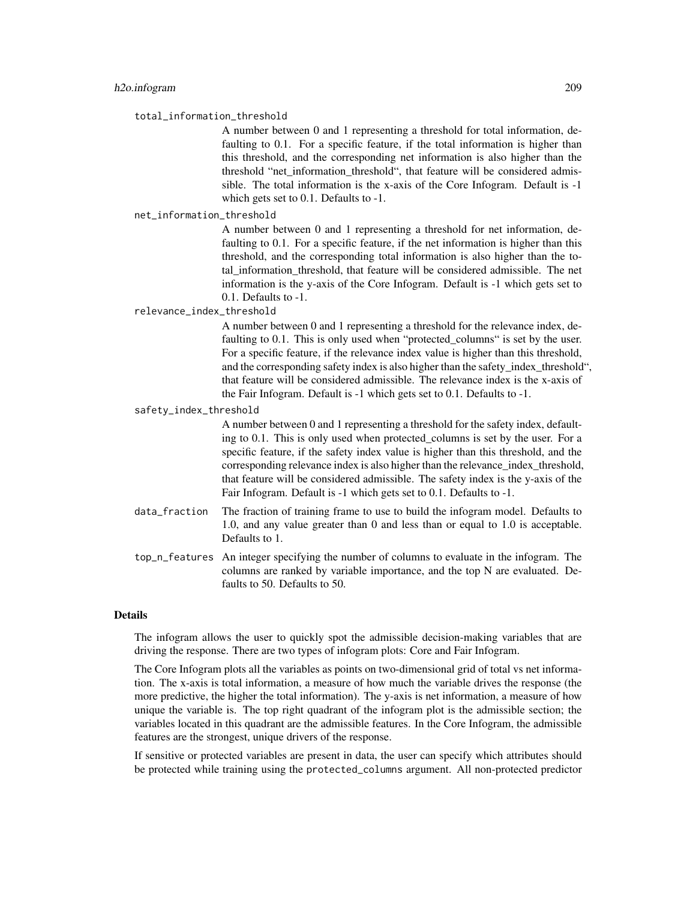#### total\_information\_threshold

A number between 0 and 1 representing a threshold for total information, defaulting to 0.1. For a specific feature, if the total information is higher than this threshold, and the corresponding net information is also higher than the threshold "net information threshold", that feature will be considered admissible. The total information is the x-axis of the Core Infogram. Default is -1 which gets set to 0.1. Defaults to -1.

net\_information\_threshold

A number between 0 and 1 representing a threshold for net information, defaulting to 0.1. For a specific feature, if the net information is higher than this threshold, and the corresponding total information is also higher than the total\_information\_threshold, that feature will be considered admissible. The net information is the y-axis of the Core Infogram. Default is -1 which gets set to 0.1. Defaults to -1.

#### relevance\_index\_threshold

A number between 0 and 1 representing a threshold for the relevance index, defaulting to 0.1. This is only used when "protected\_columns" is set by the user. For a specific feature, if the relevance index value is higher than this threshold, and the corresponding safety index is also higher than the safety\_index\_threshold", that feature will be considered admissible. The relevance index is the x-axis of the Fair Infogram. Default is -1 which gets set to 0.1. Defaults to -1.

#### safety\_index\_threshold

A number between 0 and 1 representing a threshold for the safety index, defaulting to 0.1. This is only used when protected\_columns is set by the user. For a specific feature, if the safety index value is higher than this threshold, and the corresponding relevance index is also higher than the relevance index threshold, that feature will be considered admissible. The safety index is the y-axis of the Fair Infogram. Default is -1 which gets set to 0.1. Defaults to -1.

- data\_fraction The fraction of training frame to use to build the infogram model. Defaults to 1.0, and any value greater than 0 and less than or equal to 1.0 is acceptable. Defaults to 1.
- top\_n\_features An integer specifying the number of columns to evaluate in the infogram. The columns are ranked by variable importance, and the top N are evaluated. Defaults to 50. Defaults to 50.

#### Details

The infogram allows the user to quickly spot the admissible decision-making variables that are driving the response. There are two types of infogram plots: Core and Fair Infogram.

The Core Infogram plots all the variables as points on two-dimensional grid of total vs net information. The x-axis is total information, a measure of how much the variable drives the response (the more predictive, the higher the total information). The y-axis is net information, a measure of how unique the variable is. The top right quadrant of the infogram plot is the admissible section; the variables located in this quadrant are the admissible features. In the Core Infogram, the admissible features are the strongest, unique drivers of the response.

If sensitive or protected variables are present in data, the user can specify which attributes should be protected while training using the protected\_columns argument. All non-protected predictor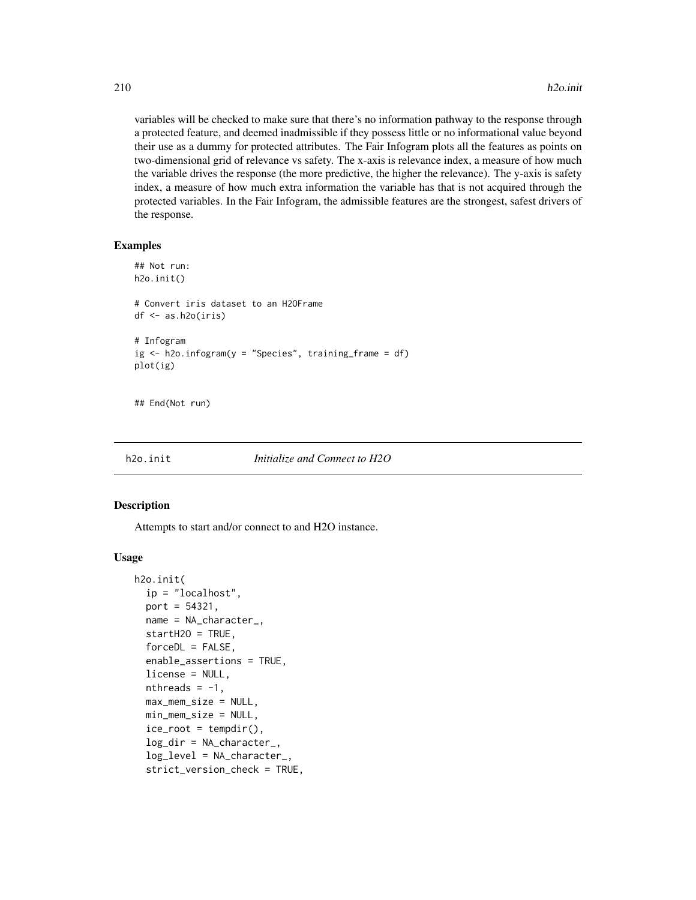variables will be checked to make sure that there's no information pathway to the response through a protected feature, and deemed inadmissible if they possess little or no informational value beyond their use as a dummy for protected attributes. The Fair Infogram plots all the features as points on two-dimensional grid of relevance vs safety. The x-axis is relevance index, a measure of how much the variable drives the response (the more predictive, the higher the relevance). The y-axis is safety index, a measure of how much extra information the variable has that is not acquired through the protected variables. In the Fair Infogram, the admissible features are the strongest, safest drivers of the response.

#### Examples

```
## Not run:
h2o.init()
# Convert iris dataset to an H2OFrame
df <- as.h2o(iris)
# Infogram
ig \leq h2o.infogram(y = "Species", training_frame = df)
plot(ig)
```
## End(Not run)

h2o.init *Initialize and Connect to H2O*

# **Description**

Attempts to start and/or connect to and H2O instance.

#### Usage

```
h2o.init(
  ip = "localhost",
 port = 54321,name = NA_character_,
  startH2O = TRUE,forceDL = FALSE,enable_assertions = TRUE,
  license = NULL,
  nthreads = -1,
  max_mem_size = NULL,
 min_mem_size = NULL,
  ice\_root = tempdir(),
  log_dir = NA_character_,
  log_level = NA_character_,
  strict_version_check = TRUE,
```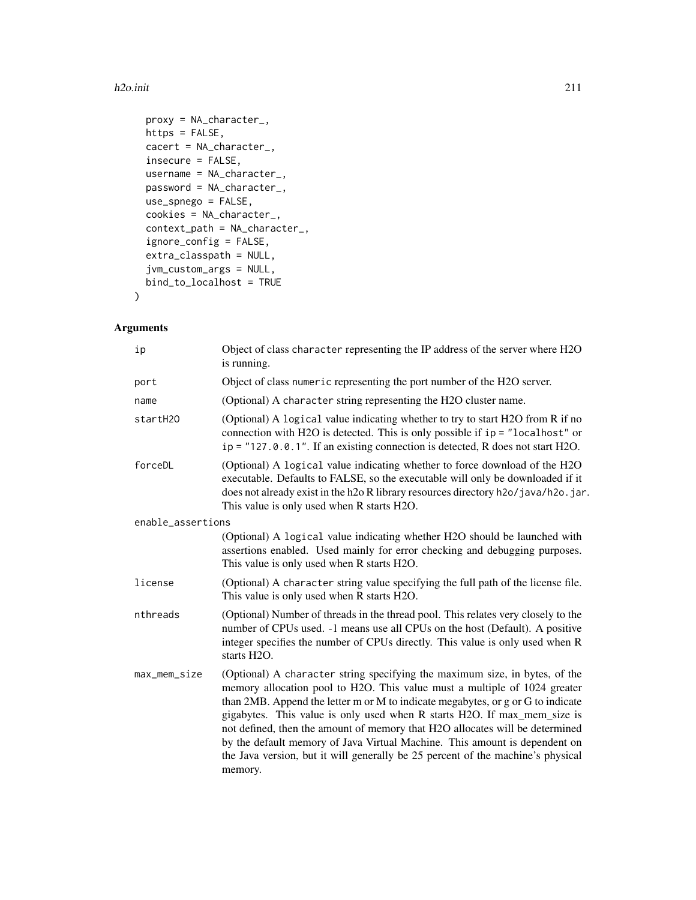#### h2o.init 211

```
proxy = NA_character_,
https = FALSE,
cacert = NA_character_,
insecure = FALSE,
username = NA_character_,
password = NA_character_,
use_spnego = FALSE,
cookies = NA_character_,
context_path = NA_character_,
ignore_config = FALSE,
extra_classpath = NULL,
jvm_custom_args = NULL,
bind_to_localhost = TRUE
```
# Arguments

 $\mathcal{L}$ 

| ip                | Object of class character representing the IP address of the server where H2O<br>is running.                                                                                                                                                                                                                                                                                                                                                                                                                                                                                        |
|-------------------|-------------------------------------------------------------------------------------------------------------------------------------------------------------------------------------------------------------------------------------------------------------------------------------------------------------------------------------------------------------------------------------------------------------------------------------------------------------------------------------------------------------------------------------------------------------------------------------|
| port              | Object of class numeric representing the port number of the H2O server.                                                                                                                                                                                                                                                                                                                                                                                                                                                                                                             |
| name              | (Optional) A character string representing the H2O cluster name.                                                                                                                                                                                                                                                                                                                                                                                                                                                                                                                    |
| startH2O          | (Optional) A logical value indicating whether to try to start H2O from R if no<br>connection with H2O is detected. This is only possible if $ip = "localhost"$ or<br>$ip = "127.0.0.1"$ . If an existing connection is detected, R does not start H2O.                                                                                                                                                                                                                                                                                                                              |
| forceDL           | (Optional) A logical value indicating whether to force download of the H2O<br>executable. Defaults to FALSE, so the executable will only be downloaded if it<br>does not already exist in the h2o R library resources directory h2o/java/h2o.jar.<br>This value is only used when R starts H2O.                                                                                                                                                                                                                                                                                     |
| enable_assertions |                                                                                                                                                                                                                                                                                                                                                                                                                                                                                                                                                                                     |
|                   | (Optional) A logical value indicating whether H2O should be launched with<br>assertions enabled. Used mainly for error checking and debugging purposes.<br>This value is only used when R starts H2O.                                                                                                                                                                                                                                                                                                                                                                               |
| license           | (Optional) A character string value specifying the full path of the license file.<br>This value is only used when R starts H2O.                                                                                                                                                                                                                                                                                                                                                                                                                                                     |
| nthreads          | (Optional) Number of threads in the thread pool. This relates very closely to the<br>number of CPUs used. -1 means use all CPUs on the host (Default). A positive<br>integer specifies the number of CPUs directly. This value is only used when R<br>starts H2O.                                                                                                                                                                                                                                                                                                                   |
| max_mem_size      | (Optional) A character string specifying the maximum size, in bytes, of the<br>memory allocation pool to H2O. This value must a multiple of 1024 greater<br>than 2MB. Append the letter m or M to indicate megabytes, or g or G to indicate<br>gigabytes. This value is only used when R starts H2O. If max_mem_size is<br>not defined, then the amount of memory that H2O allocates will be determined<br>by the default memory of Java Virtual Machine. This amount is dependent on<br>the Java version, but it will generally be 25 percent of the machine's physical<br>memory. |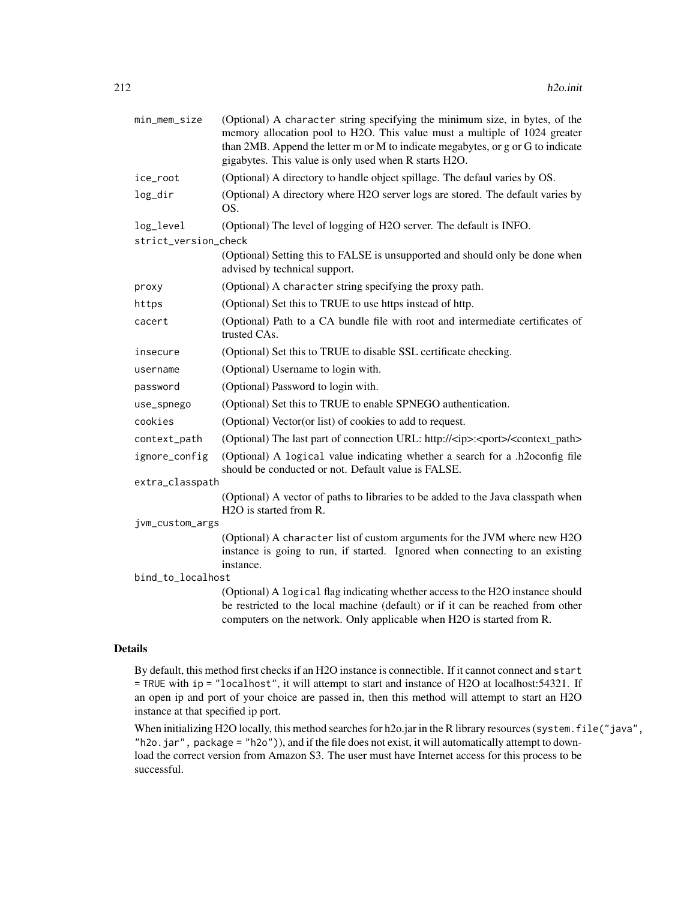| min_mem_size                      | (Optional) A character string specifying the minimum size, in bytes, of the<br>memory allocation pool to H2O. This value must a multiple of 1024 greater<br>than 2MB. Append the letter m or M to indicate megabytes, or g or G to indicate<br>gigabytes. This value is only used when R starts H2O. |
|-----------------------------------|------------------------------------------------------------------------------------------------------------------------------------------------------------------------------------------------------------------------------------------------------------------------------------------------------|
| ice_root                          | (Optional) A directory to handle object spillage. The defaul varies by OS.                                                                                                                                                                                                                           |
| log_dir                           | (Optional) A directory where H2O server logs are stored. The default varies by<br>OS.                                                                                                                                                                                                                |
| log_level<br>strict_version_check | (Optional) The level of logging of H2O server. The default is INFO.                                                                                                                                                                                                                                  |
|                                   | (Optional) Setting this to FALSE is unsupported and should only be done when<br>advised by technical support.                                                                                                                                                                                        |
| proxy                             | (Optional) A character string specifying the proxy path.                                                                                                                                                                                                                                             |
| https                             | (Optional) Set this to TRUE to use https instead of http.                                                                                                                                                                                                                                            |
| cacert                            | (Optional) Path to a CA bundle file with root and intermediate certificates of<br>trusted CAs.                                                                                                                                                                                                       |
| insecure                          | (Optional) Set this to TRUE to disable SSL certificate checking.                                                                                                                                                                                                                                     |
| username                          | (Optional) Username to login with.                                                                                                                                                                                                                                                                   |
| password                          | (Optional) Password to login with.                                                                                                                                                                                                                                                                   |
| use_spnego                        | (Optional) Set this to TRUE to enable SPNEGO authentication.                                                                                                                                                                                                                                         |
| cookies                           | (Optional) Vector(or list) of cookies to add to request.                                                                                                                                                                                                                                             |
| context_path                      | (Optional) The last part of connection URL: http:// <ip>:<port>/<context_path></context_path></port></ip>                                                                                                                                                                                            |
| ignore_config                     | (Optional) A logical value indicating whether a search for a .h2oconfig file<br>should be conducted or not. Default value is FALSE.                                                                                                                                                                  |
| extra_classpath                   |                                                                                                                                                                                                                                                                                                      |
|                                   | (Optional) A vector of paths to libraries to be added to the Java classpath when<br>H <sub>2</sub> O is started from R.                                                                                                                                                                              |
| jvm_custom_args                   |                                                                                                                                                                                                                                                                                                      |
|                                   | (Optional) A character list of custom arguments for the JVM where new H2O<br>instance is going to run, if started. Ignored when connecting to an existing<br>instance.                                                                                                                               |
| bind_to_localhost                 |                                                                                                                                                                                                                                                                                                      |
|                                   | (Optional) A logical flag indicating whether access to the H2O instance should<br>be restricted to the local machine (default) or if it can be reached from other<br>computers on the network. Only applicable when H2O is started from R.                                                           |

# Details

By default, this method first checks if an H2O instance is connectible. If it cannot connect and start = TRUE with ip = "localhost", it will attempt to start and instance of H2O at localhost:54321. If an open ip and port of your choice are passed in, then this method will attempt to start an H2O instance at that specified ip port.

When initializing H2O locally, this method searches for h2o.jar in the R library resources (system.file("java", "h2o.jar", package = "h2o")), and if the file does not exist, it will automatically attempt to download the correct version from Amazon S3. The user must have Internet access for this process to be successful.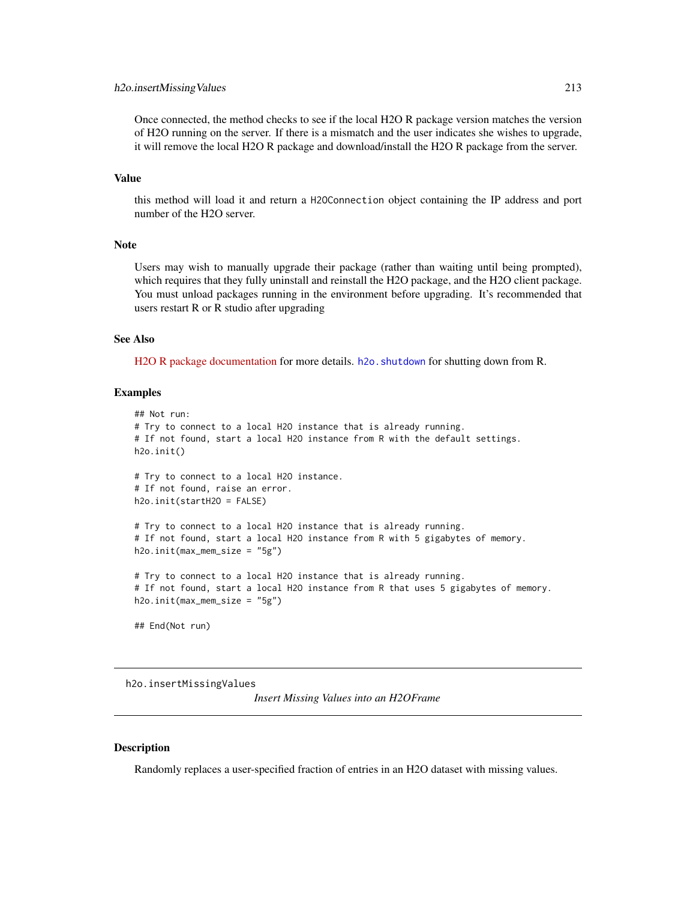#### h2o.insertMissingValues 213

Once connected, the method checks to see if the local H2O R package version matches the version of H2O running on the server. If there is a mismatch and the user indicates she wishes to upgrade, it will remove the local H2O R package and download/install the H2O R package from the server.

# Value

this method will load it and return a H2OConnection object containing the IP address and port number of the H2O server.

## Note

Users may wish to manually upgrade their package (rather than waiting until being prompted), which requires that they fully uninstall and reinstall the H2O package, and the H2O client package. You must unload packages running in the environment before upgrading. It's recommended that users restart R or R studio after upgrading

#### See Also

[H2O R package documentation](https://docs.h2o.ai/h2o/latest-stable/h2o-r/h2o_package.pdf) for more details. h2o. shutdown for shutting down from R.

#### Examples

```
## Not run:
# Try to connect to a local H2O instance that is already running.
# If not found, start a local H2O instance from R with the default settings.
h2o.init()
# Try to connect to a local H2O instance.
# If not found, raise an error.
h2o.init(startH2O = FALSE)
# Try to connect to a local H2O instance that is already running.
# If not found, start a local H2O instance from R with 5 gigabytes of memory.
h2o.init(max_mem_size = "5g")
# Try to connect to a local H2O instance that is already running.
# If not found, start a local H2O instance from R that uses 5 gigabytes of memory.
h2o.init(max_mem_size = "5g")
## End(Not run)
```
h2o.insertMissingValues

*Insert Missing Values into an H2OFrame*

#### Description

Randomly replaces a user-specified fraction of entries in an H2O dataset with missing values.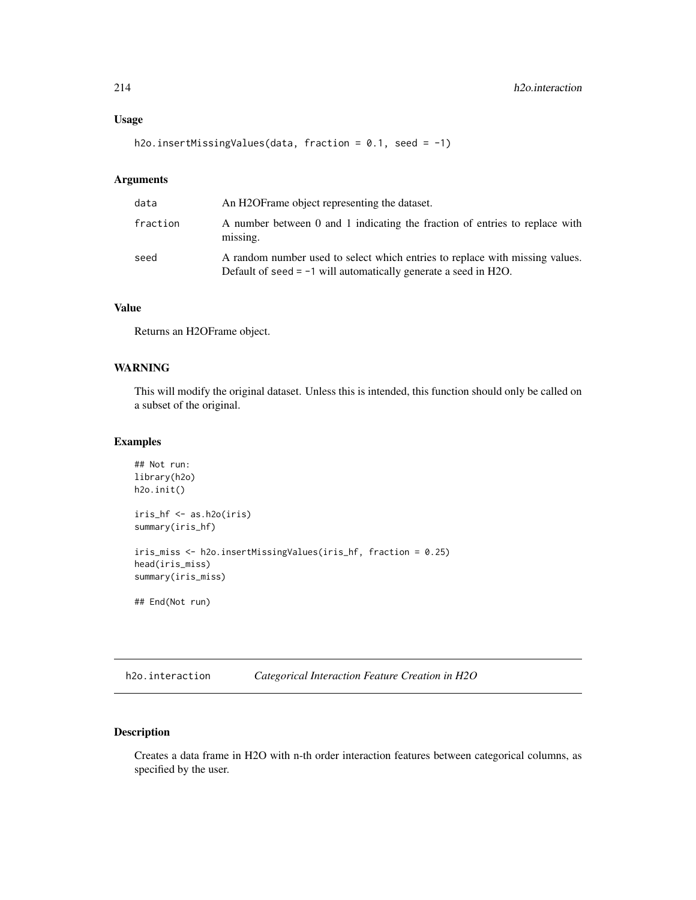# Usage

h2o.insertMissingValues(data, fraction = 0.1, seed = -1)

#### Arguments

| data     | An H2OF rame object representing the dataset.                                                                                                     |
|----------|---------------------------------------------------------------------------------------------------------------------------------------------------|
| fraction | A number between 0 and 1 indicating the fraction of entries to replace with<br>missing.                                                           |
| seed     | A random number used to select which entries to replace with missing values.<br>Default of seed $= -1$ will automatically generate a seed in H2O. |

# Value

Returns an H2OFrame object.

# WARNING

This will modify the original dataset. Unless this is intended, this function should only be called on a subset of the original.

# Examples

```
## Not run:
library(h2o)
h2o.init()
iris_hf <- as.h2o(iris)
summary(iris_hf)
iris_miss <- h2o.insertMissingValues(iris_hf, fraction = 0.25)
head(iris_miss)
summary(iris_miss)
## End(Not run)
```
h2o.interaction *Categorical Interaction Feature Creation in H2O*

# Description

Creates a data frame in H2O with n-th order interaction features between categorical columns, as specified by the user.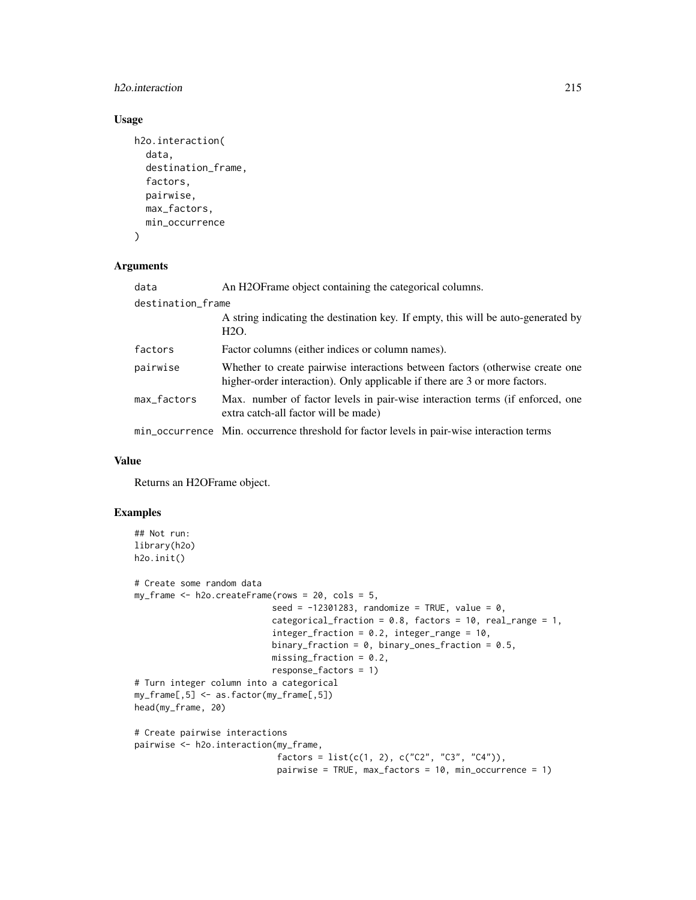# h<sub>2</sub>o.interaction 215

# Usage

```
h2o.interaction(
  data,
  destination_frame,
  factors,
 pairwise,
 max_factors,
 min_occurrence
)
```
## Arguments

| data              | An H2OF rame object containing the categorical columns.                                                                                                     |  |
|-------------------|-------------------------------------------------------------------------------------------------------------------------------------------------------------|--|
| destination_frame |                                                                                                                                                             |  |
|                   | A string indicating the destination key. If empty, this will be auto-generated by<br>H <sub>2</sub> O.                                                      |  |
| factors           | Factor columns (either indices or column names).                                                                                                            |  |
| pairwise          | Whether to create pairwise interactions between factors (otherwise create one<br>higher-order interaction). Only applicable if there are 3 or more factors. |  |
| max_factors       | Max. number of factor levels in pair-wise interaction terms (if enforced, one<br>extra catch-all factor will be made)                                       |  |
|                   | min_occurrence Min. occurrence threshold for factor levels in pair-wise interaction terms                                                                   |  |

# Value

Returns an H2OFrame object.

# Examples

```
## Not run:
library(h2o)
h2o.init()
# Create some random data
my_frame <- h2o.createFrame(rows = 20, cols = 5,
                           seed = -12301283, randomize = TRUE, value = 0,
                           categorical_fraction = 0.8, factors = 10, real_range = 1,
                           integer_fraction = 0.2, integer_{range} = 10,
                           binary_fraction = 0, binary_ones_fraction = 0.5,
                           missing_fraction = 0.2,
                           response_factors = 1)
# Turn integer column into a categorical
my_frame[,5] <- as.factor(my_frame[,5])
head(my_frame, 20)
# Create pairwise interactions
pairwise <- h2o.interaction(my_frame,
                            factors = list(c(1, 2), c("C2", "C3", "C4")),
                            pairwise = TRUE, max_factors = 10, min_occurrence = 1)
```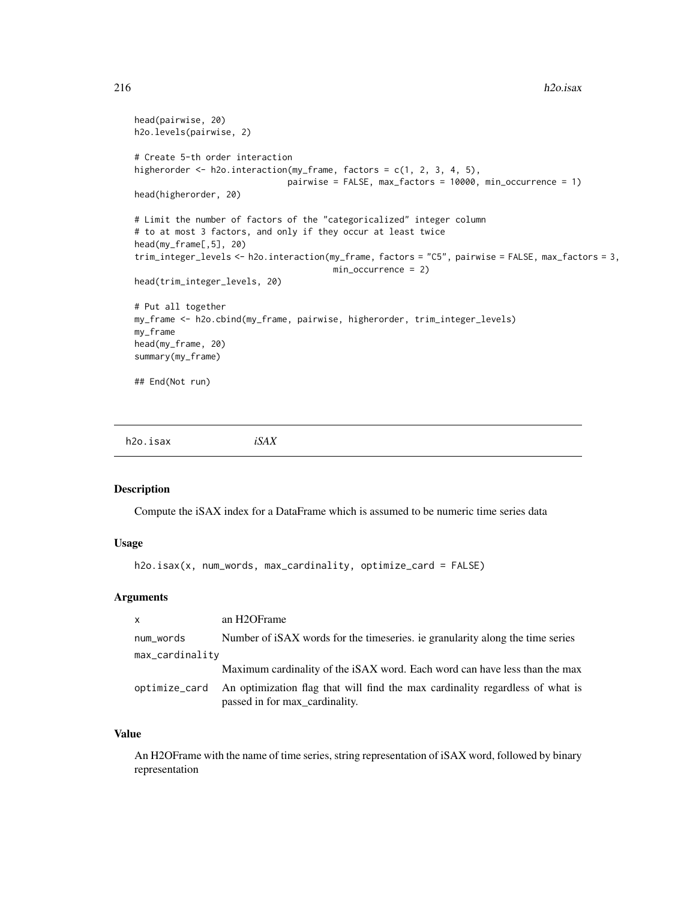```
head(pairwise, 20)
h2o.levels(pairwise, 2)
# Create 5-th order interaction
higherorder <- h2o.interaction(my_frame, factors = c(1, 2, 3, 4, 5),
                              pairwise = FALSE, max_factors = 10000, min_occurrence = 1)
head(higherorder, 20)
# Limit the number of factors of the "categoricalized" integer column
# to at most 3 factors, and only if they occur at least twice
head(my_frame[,5], 20)
trim_integer_levels <- h2o.interaction(my_frame, factors = "C5", pairwise = FALSE, max_factors = 3,
                                       min_occurrence = 2)
head(trim_integer_levels, 20)
# Put all together
my_frame <- h2o.cbind(my_frame, pairwise, higherorder, trim_integer_levels)
my_frame
head(my_frame, 20)
summary(my_frame)
## End(Not run)
```
h2o.isax *iSAX*

#### Description

Compute the iSAX index for a DataFrame which is assumed to be numeric time series data

# Usage

```
h2o.isax(x, num_words, max_cardinality, optimize_card = FALSE)
```
## Arguments

| $\mathsf{x}$    | an H <sub>2</sub> OF <sub>rame</sub>                                                                            |
|-----------------|-----------------------------------------------------------------------------------------------------------------|
| num_words       | Number of iSAX words for the timeseries, ie granularity along the time series                                   |
| max_cardinality |                                                                                                                 |
|                 | Maximum cardinality of the iSAX word. Each word can have less than the max                                      |
| optimize_card   | An optimization flag that will find the max cardinality regardless of what is<br>passed in for max cardinality. |

# Value

An H2OFrame with the name of time series, string representation of iSAX word, followed by binary representation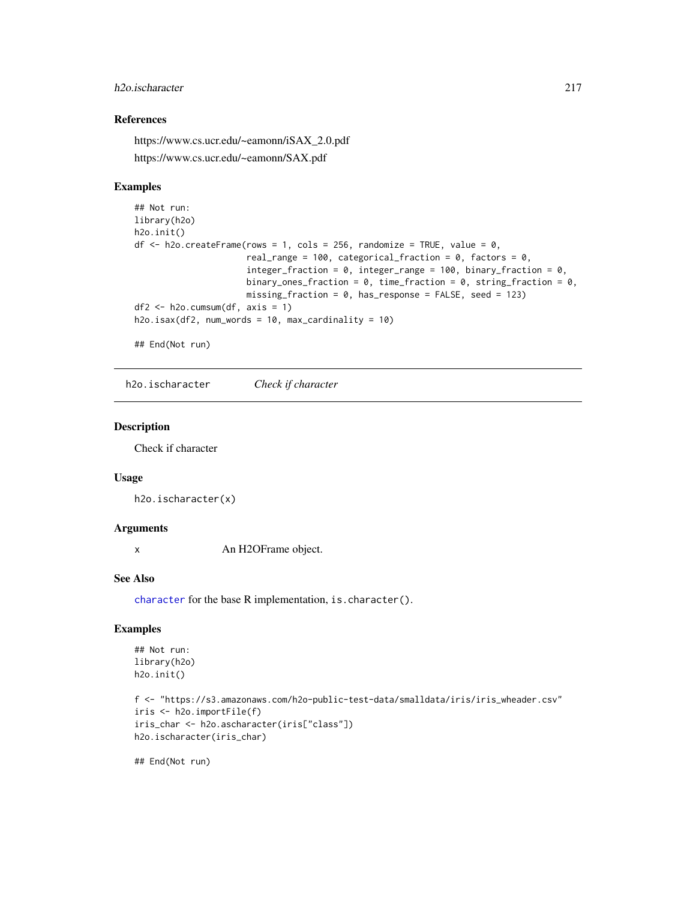## h2o.ischaracter 217

## References

https://www.cs.ucr.edu/~eamonn/iSAX\_2.0.pdf https://www.cs.ucr.edu/~eamonn/SAX.pdf

## Examples

```
## Not run:
library(h2o)
h2o.init()
df \leq h2o.createFrame(rows = 1, cols = 256, randomize = TRUE, value = 0,
                      real_range = 100, categorical_fraction = 0, factors = 0,
                      integer_fraction = 0, integer_range = 100, binary_fraction = 0,
                      binary_ones_fraction = 0, time_fraction = 0, string_fraction = 0,
                      missing_fraction = 0, has_response = FALSE, seed = 123)
df2 \leq -h2o.cumsum(df, axis = 1)h2o.isax(df2, num_words = 10, max_cardinality = 10)
```
## End(Not run)

h2o.ischaracter *Check if character*

#### Description

Check if character

#### Usage

h2o.ischaracter(x)

#### Arguments

x An H2OFrame object.

#### See Also

[character](#page-0-0) for the base R implementation, is.character().

#### Examples

```
## Not run:
library(h2o)
h2o.init()
```

```
f <- "https://s3.amazonaws.com/h2o-public-test-data/smalldata/iris/iris_wheader.csv"
iris <- h2o.importFile(f)
iris_char <- h2o.ascharacter(iris["class"])
h2o.ischaracter(iris_char)
```
## End(Not run)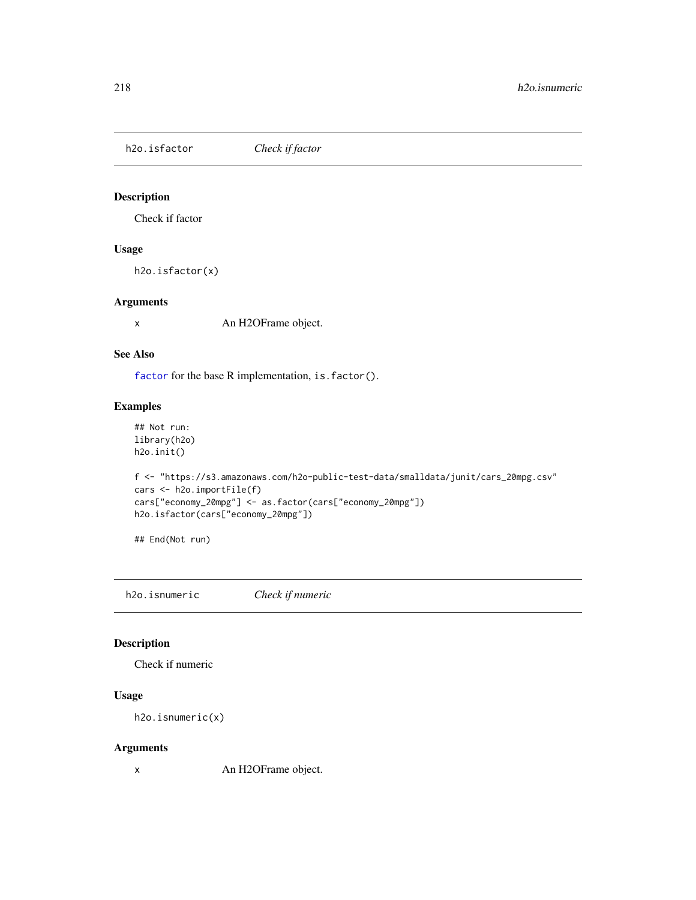h2o.isfactor *Check if factor*

## Description

Check if factor

## Usage

h2o.isfactor(x)

#### Arguments

x An H2OFrame object.

#### See Also

[factor](#page-0-0) for the base R implementation, is. factor().

## Examples

```
## Not run:
library(h2o)
h2o.init()
```

```
f <- "https://s3.amazonaws.com/h2o-public-test-data/smalldata/junit/cars_20mpg.csv"
cars <- h2o.importFile(f)
cars["economy_20mpg"] <- as.factor(cars["economy_20mpg"])
h2o.isfactor(cars["economy_20mpg"])
```
## End(Not run)

h2o.isnumeric *Check if numeric*

## Description

Check if numeric

# Usage

h2o.isnumeric(x)

## Arguments

x An H2OFrame object.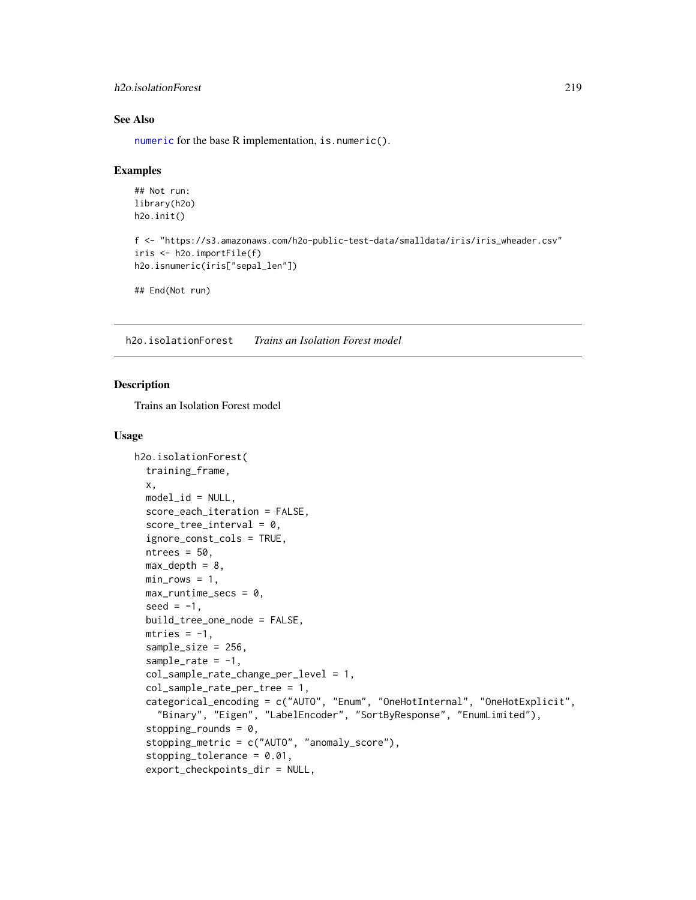### h2o.isolationForest 219

#### See Also

[numeric](#page-0-0) for the base R implementation, is.numeric().

#### Examples

```
## Not run:
library(h2o)
h2o.init()
f <- "https://s3.amazonaws.com/h2o-public-test-data/smalldata/iris/iris_wheader.csv"
iris <- h2o.importFile(f)
h2o.isnumeric(iris["sepal_len"])
## End(Not run)
```
h2o.isolationForest *Trains an Isolation Forest model*

#### Description

Trains an Isolation Forest model

#### Usage

```
h2o.isolationForest(
  training_frame,
  x,
  model_id = NULL,score_each_iteration = FALSE,
  score\_tree\_interval = 0,
  ignore_const_cols = TRUE,
  ntrees = 50,
  max\_depth = 8,
  min\_rows = 1,
  max_runtime_secs = 0,
  seed = -1,
  build_tree_one_node = FALSE,
  mtries = -1,
  sample_size = 256,
  sample_rate = -1,
  col_sample_rate_change_per_level = 1,
  col_sample_rate_per_tree = 1,
  categorical_encoding = c("AUTO", "Enum", "OneHotInternal", "OneHotExplicit",
    "Binary", "Eigen", "LabelEncoder", "SortByResponse", "EnumLimited"),
  stopping rounds = 0,
  stopping_metric = c("AUTO", "anomaly_score"),
  stopping_tolerance = 0.01,
  export_checkpoints_dir = NULL,
```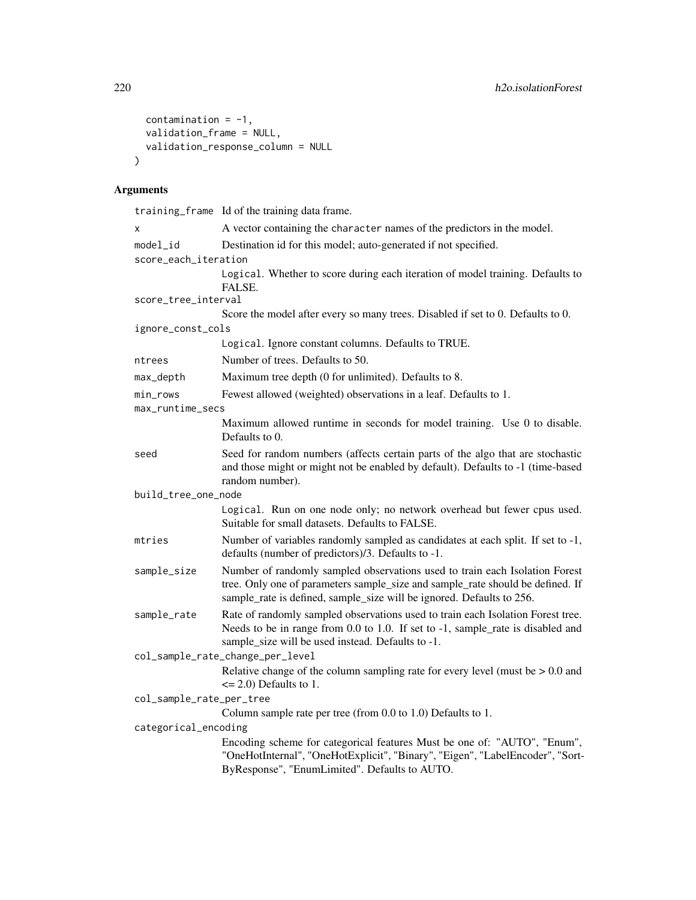```
contamination = -1,
  validation_frame = NULL,
  validation_response_column = NULL
\mathcal{L}
```
# Arguments

|                          | training_frame Id of the training data frame.                                                                                                                                                                                          |
|--------------------------|----------------------------------------------------------------------------------------------------------------------------------------------------------------------------------------------------------------------------------------|
| X                        | A vector containing the character names of the predictors in the model.                                                                                                                                                                |
| model_id                 | Destination id for this model; auto-generated if not specified.                                                                                                                                                                        |
| score_each_iteration     |                                                                                                                                                                                                                                        |
|                          | Logical. Whether to score during each iteration of model training. Defaults to<br>FALSE.                                                                                                                                               |
| score_tree_interval      |                                                                                                                                                                                                                                        |
|                          | Score the model after every so many trees. Disabled if set to 0. Defaults to 0.                                                                                                                                                        |
| ignore_const_cols        |                                                                                                                                                                                                                                        |
|                          | Logical. Ignore constant columns. Defaults to TRUE.                                                                                                                                                                                    |
| ntrees                   | Number of trees. Defaults to 50.                                                                                                                                                                                                       |
| max_depth                | Maximum tree depth (0 for unlimited). Defaults to 8.                                                                                                                                                                                   |
| min_rows                 | Fewest allowed (weighted) observations in a leaf. Defaults to 1.                                                                                                                                                                       |
| max_runtime_secs         |                                                                                                                                                                                                                                        |
|                          | Maximum allowed runtime in seconds for model training. Use 0 to disable.<br>Defaults to 0.                                                                                                                                             |
| seed                     | Seed for random numbers (affects certain parts of the algo that are stochastic<br>and those might or might not be enabled by default). Defaults to -1 (time-based<br>random number).                                                   |
| build_tree_one_node      |                                                                                                                                                                                                                                        |
|                          | Logical. Run on one node only; no network overhead but fewer cpus used.<br>Suitable for small datasets. Defaults to FALSE.                                                                                                             |
| mtries                   | Number of variables randomly sampled as candidates at each split. If set to -1,<br>defaults (number of predictors)/3. Defaults to -1.                                                                                                  |
| sample_size              | Number of randomly sampled observations used to train each Isolation Forest<br>tree. Only one of parameters sample_size and sample_rate should be defined. If<br>sample_rate is defined, sample_size will be ignored. Defaults to 256. |
| sample_rate              | Rate of randomly sampled observations used to train each Isolation Forest tree.<br>Needs to be in range from 0.0 to 1.0. If set to -1, sample_rate is disabled and<br>sample_size will be used instead. Defaults to -1.                |
|                          | col_sample_rate_change_per_level                                                                                                                                                                                                       |
|                          | Relative change of the column sampling rate for every level (must be $> 0.0$ and<br>$\leq$ 2.0) Defaults to 1.                                                                                                                         |
| col_sample_rate_per_tree |                                                                                                                                                                                                                                        |
|                          | Column sample rate per tree (from 0.0 to 1.0) Defaults to 1.                                                                                                                                                                           |
| categorical_encoding     |                                                                                                                                                                                                                                        |
|                          | Encoding scheme for categorical features Must be one of: "AUTO", "Enum",<br>"OneHotInternal", "OneHotExplicit", "Binary", "Eigen", "LabelEncoder", "Sort-<br>ByResponse", "EnumLimited". Defaults to AUTO.                             |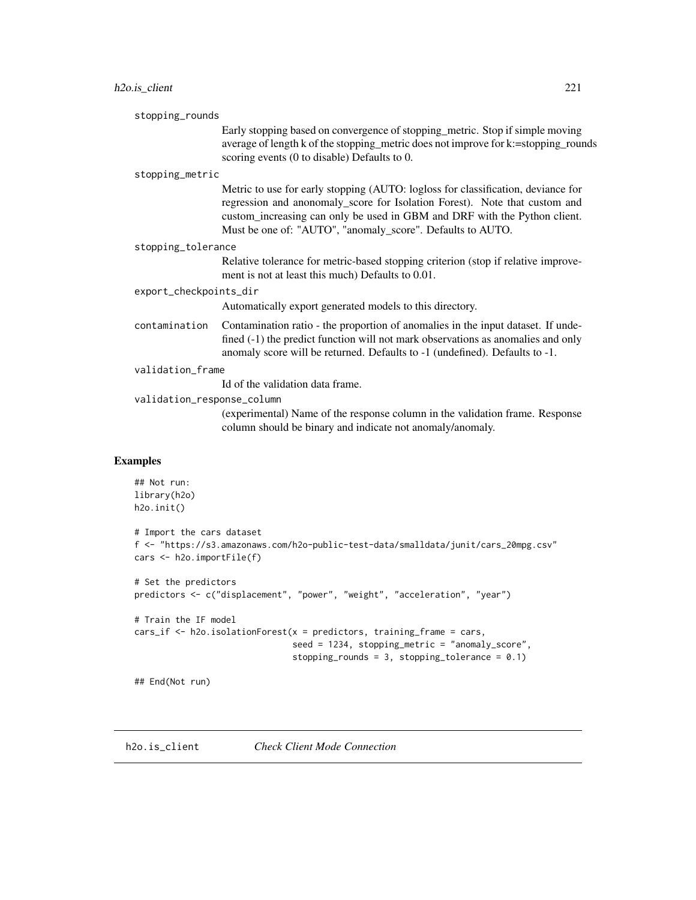|                            | Early stopping based on convergence of stopping metric. Stop if simple moving<br>average of length k of the stopping_metric does not improve for k:=stopping_rounds<br>scoring events (0 to disable) Defaults to 0.                                                                                       |
|----------------------------|-----------------------------------------------------------------------------------------------------------------------------------------------------------------------------------------------------------------------------------------------------------------------------------------------------------|
| stopping_metric            |                                                                                                                                                                                                                                                                                                           |
|                            | Metric to use for early stopping (AUTO: logloss for classification, deviance for<br>regression and anonomaly_score for Isolation Forest). Note that custom and<br>custom_increasing can only be used in GBM and DRF with the Python client.<br>Must be one of: "AUTO", "anomaly_score". Defaults to AUTO. |
| stopping_tolerance         |                                                                                                                                                                                                                                                                                                           |
|                            | Relative tolerance for metric-based stopping criterion (stop if relative improve-<br>ment is not at least this much) Defaults to 0.01.                                                                                                                                                                    |
| export_checkpoints_dir     |                                                                                                                                                                                                                                                                                                           |
|                            | Automatically export generated models to this directory.                                                                                                                                                                                                                                                  |
| contamination              | Contamination ratio - the proportion of anomalies in the input dataset. If unde-<br>fined (-1) the predict function will not mark observations as anomalies and only<br>anomaly score will be returned. Defaults to -1 (undefined). Defaults to -1.                                                       |
| validation_frame           |                                                                                                                                                                                                                                                                                                           |
|                            | Id of the validation data frame.                                                                                                                                                                                                                                                                          |
| validation_response_column |                                                                                                                                                                                                                                                                                                           |
|                            | (experimental) Name of the response column in the validation frame. Response<br>column should be binary and indicate not anomaly/anomaly.                                                                                                                                                                 |
|                            | stopping_rounds                                                                                                                                                                                                                                                                                           |

```
## Not run:
library(h2o)
h2o.init()
# Import the cars dataset
f <- "https://s3.amazonaws.com/h2o-public-test-data/smalldata/junit/cars_20mpg.csv"
cars <- h2o.importFile(f)
# Set the predictors
predictors <- c("displacement", "power", "weight", "acceleration", "year")
# Train the IF model
cars_if \leq h2o.isolationForest(x = predictors, training_frame = cars,
                               seed = 1234, stopping_metric = "anomaly_score",
                               stopping_rounds = 3, stopping_tolerance = 0.1)
## End(Not run)
```
h2o.is\_client *Check Client Mode Connection*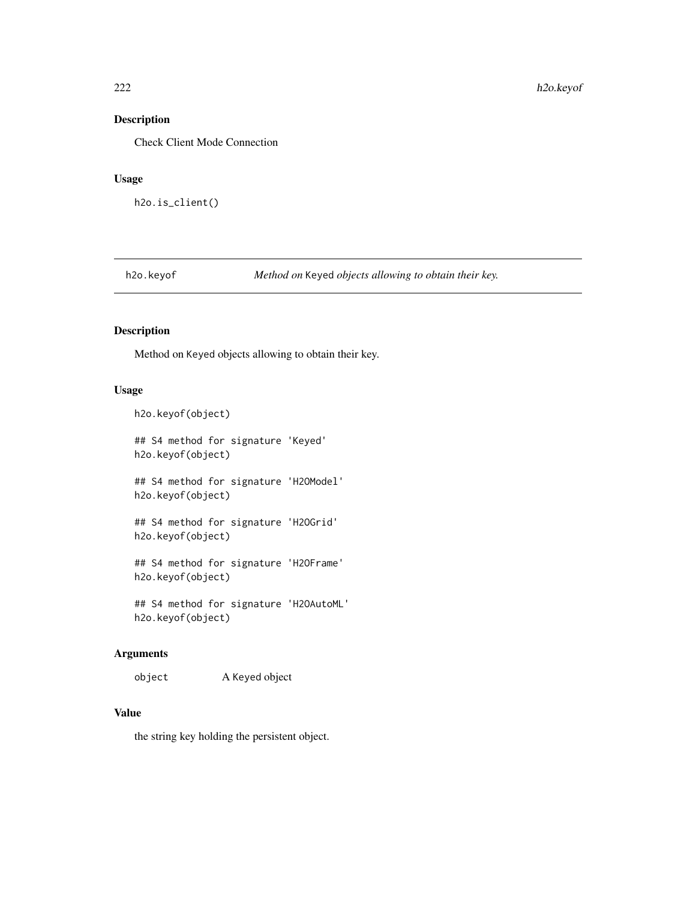Check Client Mode Connection

#### Usage

h2o.is\_client()

h2o.keyof *Method on* Keyed *objects allowing to obtain their key.*

# Description

Method on Keyed objects allowing to obtain their key.

## Usage

h2o.keyof(object)

## S4 method for signature 'Keyed' h2o.keyof(object)

## S4 method for signature 'H2OModel' h2o.keyof(object)

## S4 method for signature 'H2OGrid' h2o.keyof(object)

## S4 method for signature 'H2OFrame' h2o.keyof(object)

## S4 method for signature 'H2OAutoML' h2o.keyof(object)

## Arguments

object A Keyed object

# Value

the string key holding the persistent object.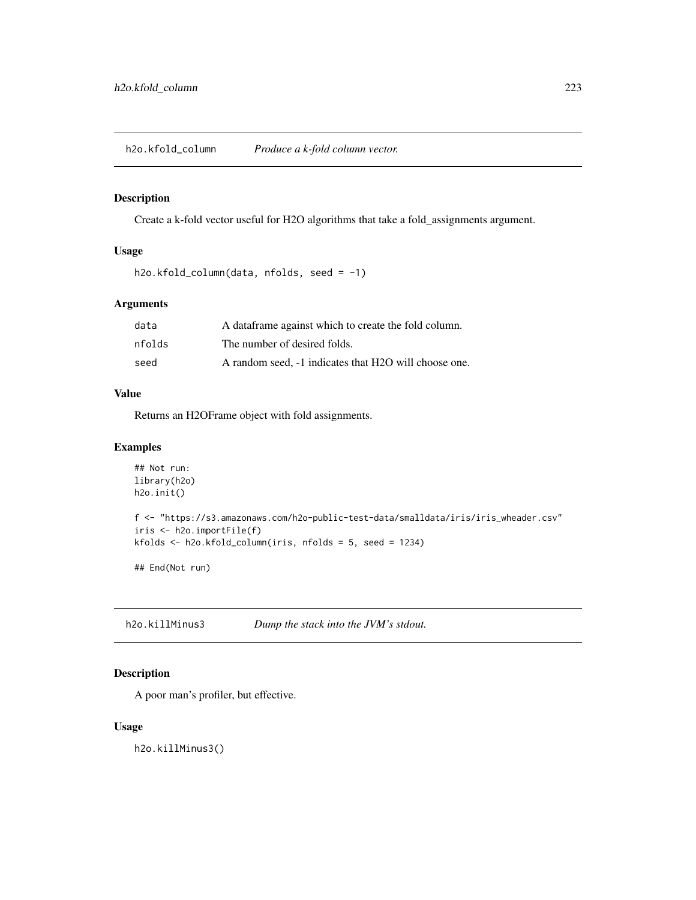h2o.kfold\_column *Produce a k-fold column vector.*

## Description

Create a k-fold vector useful for H2O algorithms that take a fold\_assignments argument.

## Usage

```
h2o.kfold_column(data, nfolds, seed = -1)
```
# Arguments

| data   | A dataframe against which to create the fold column.  |
|--------|-------------------------------------------------------|
| nfolds | The number of desired folds.                          |
| seed   | A random seed, -1 indicates that H2O will choose one. |

## Value

Returns an H2OFrame object with fold assignments.

#### Examples

```
## Not run:
library(h2o)
h2o.init()
f <- "https://s3.amazonaws.com/h2o-public-test-data/smalldata/iris/iris_wheader.csv"
iris <- h2o.importFile(f)
kfolds <- h2o.kfold_column(iris, nfolds = 5, seed = 1234)
## End(Not run)
```
h2o.killMinus3 *Dump the stack into the JVM's stdout.*

## Description

A poor man's profiler, but effective.

## Usage

h2o.killMinus3()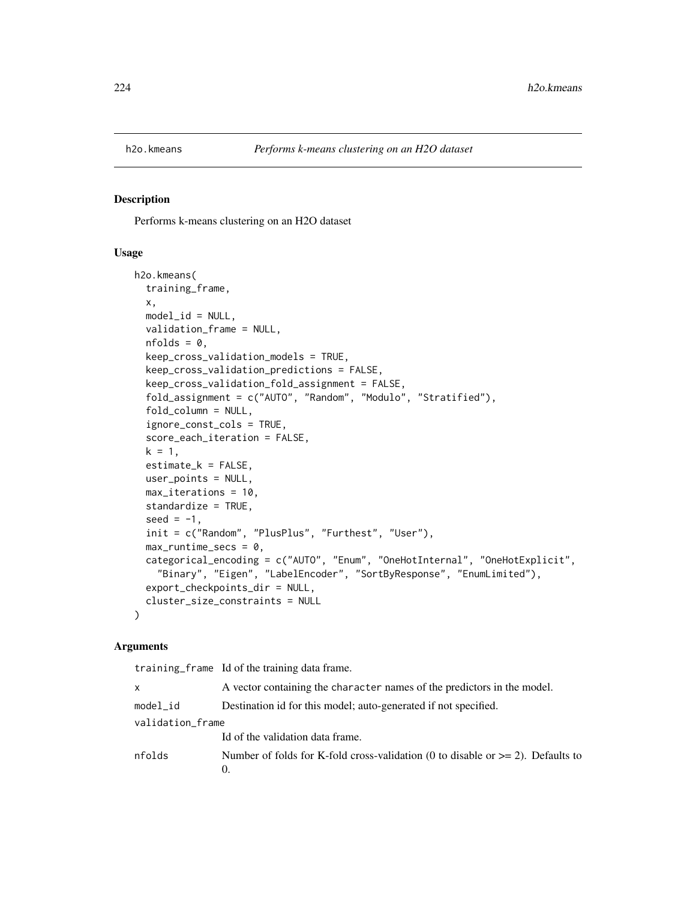Performs k-means clustering on an H2O dataset

#### Usage

```
h2o.kmeans(
  training_frame,
  x,
  model_id = NULL,validation_frame = NULL,
  nfolds = 0,
  keep_cross_validation_models = TRUE,
  keep_cross_validation_predictions = FALSE,
  keep_cross_validation_fold_assignment = FALSE,
  fold_assignment = c("AUTO", "Random", "Modulo", "Stratified"),
  fold_column = NULL,
  ignore_const_cols = TRUE,
  score_each_iteration = FALSE,
  k = 1,
  estimate_k = FALSE,
  user_points = NULL,
  max_iterations = 10,
  standardize = TRUE,
  seed = -1,
  init = c("Random", "PlusPlus", "Furthest", "User"),
  max_runtime_secs = 0,
  categorical_encoding = c("AUTO", "Enum", "OneHotInternal", "OneHotExplicit",
    "Binary", "Eigen", "LabelEncoder", "SortByResponse", "EnumLimited"),
  export_checkpoints_dir = NULL,
  cluster_size_constraints = NULL
\lambda
```
#### Arguments

|                  | training frame Id of the training data frame.                                                    |
|------------------|--------------------------------------------------------------------------------------------------|
| X                | A vector containing the character names of the predictors in the model.                          |
| model_id         | Destination id for this model; auto-generated if not specified.                                  |
| validation_frame |                                                                                                  |
|                  | Id of the validation data frame.                                                                 |
| nfolds           | Number of folds for K-fold cross-validation (0 to disable or $>= 2$ ). Defaults to<br>$\Omega$ . |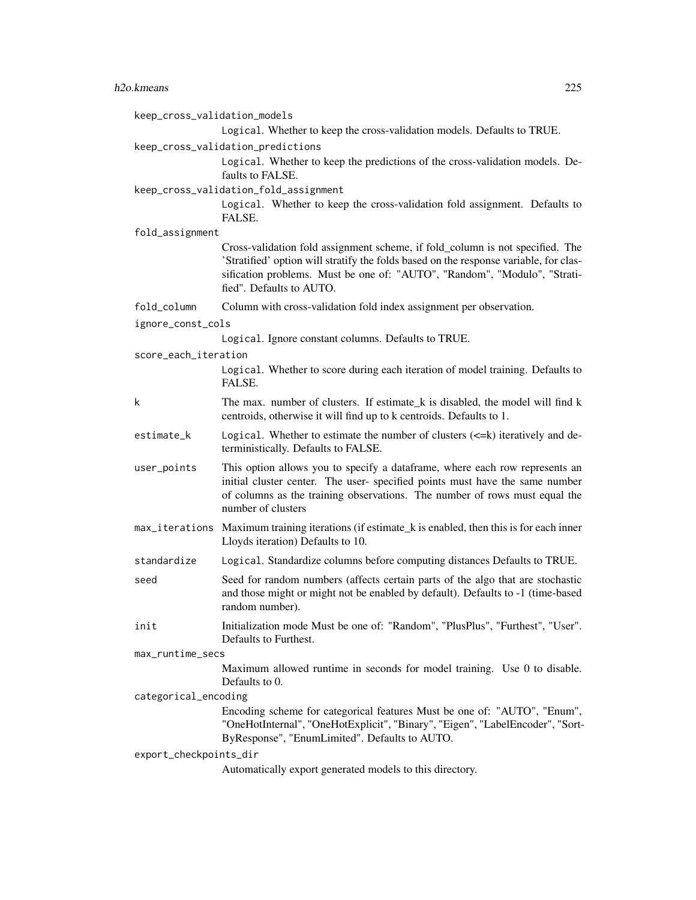| keep_cross_validation_models | Logical. Whether to keep the cross-validation models. Defaults to TRUE.                                                                                                                                                                                                         |
|------------------------------|---------------------------------------------------------------------------------------------------------------------------------------------------------------------------------------------------------------------------------------------------------------------------------|
|                              | keep_cross_validation_predictions<br>Logical. Whether to keep the predictions of the cross-validation models. De-<br>faults to FALSE.                                                                                                                                           |
|                              | keep_cross_validation_fold_assignment<br>Logical. Whether to keep the cross-validation fold assignment. Defaults to<br>FALSE.                                                                                                                                                   |
| fold_assignment              |                                                                                                                                                                                                                                                                                 |
|                              | Cross-validation fold assignment scheme, if fold_column is not specified. The<br>'Stratified' option will stratify the folds based on the response variable, for clas-<br>sification problems. Must be one of: "AUTO", "Random", "Modulo", "Strati-<br>fied". Defaults to AUTO. |
| fold_column                  | Column with cross-validation fold index assignment per observation.                                                                                                                                                                                                             |
| ignore_const_cols            |                                                                                                                                                                                                                                                                                 |
|                              | Logical. Ignore constant columns. Defaults to TRUE.                                                                                                                                                                                                                             |
| score_each_iteration         |                                                                                                                                                                                                                                                                                 |
|                              | Logical. Whether to score during each iteration of model training. Defaults to<br>FALSE.                                                                                                                                                                                        |
| k                            | The max. number of clusters. If estimate_k is disabled, the model will find k<br>centroids, otherwise it will find up to k centroids. Defaults to 1.                                                                                                                            |
| estimate_k                   | Logical. Whether to estimate the number of clusters $(\leq=k)$ iteratively and de-<br>terministically. Defaults to FALSE.                                                                                                                                                       |
| user_points                  | This option allows you to specify a dataframe, where each row represents an<br>initial cluster center. The user- specified points must have the same number<br>of columns as the training observations. The number of rows must equal the<br>number of clusters                 |
|                              | max_iterations Maximum training iterations (if estimate_k is enabled, then this is for each inner<br>Lloyds iteration) Defaults to 10.                                                                                                                                          |
| standardize                  | Logical. Standardize columns before computing distances Defaults to TRUE.                                                                                                                                                                                                       |
| seed                         | Seed for random numbers (affects certain parts of the algo that are stochastic<br>and those might or might not be enabled by default). Defaults to -1 (time-based<br>random number).                                                                                            |
| init                         | Initialization mode Must be one of: "Random", "PlusPlus", "Furthest", "User".<br>Defaults to Furthest.                                                                                                                                                                          |
| max_runtime_secs             |                                                                                                                                                                                                                                                                                 |
|                              | Maximum allowed runtime in seconds for model training. Use 0 to disable.<br>Defaults to 0.                                                                                                                                                                                      |
| categorical_encoding         |                                                                                                                                                                                                                                                                                 |
|                              | Encoding scheme for categorical features Must be one of: "AUTO", "Enum",<br>"OneHotInternal", "OneHotExplicit", "Binary", "Eigen", "LabelEncoder", "Sort-<br>ByResponse", "EnumLimited". Defaults to AUTO.                                                                      |
| export_checkpoints_dir       |                                                                                                                                                                                                                                                                                 |
|                              | Automatically export generated models to this directory.                                                                                                                                                                                                                        |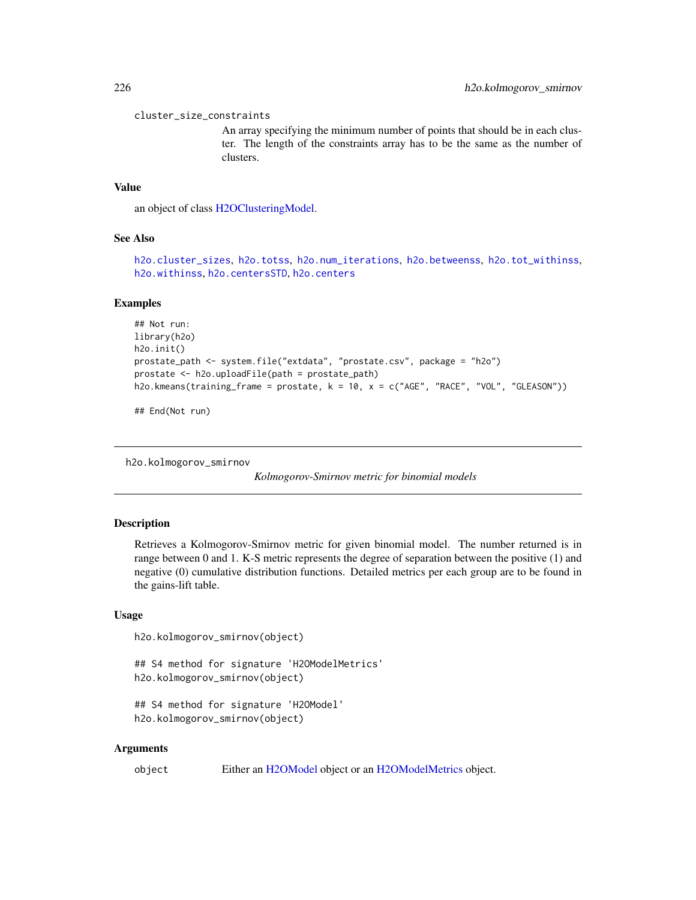cluster\_size\_constraints

An array specifying the minimum number of points that should be in each cluster. The length of the constraints array has to be the same as the number of clusters.

### Value

an object of class [H2OClusteringModel.](#page-408-0)

#### See Also

[h2o.cluster\\_sizes](#page-86-0), [h2o.totss](#page-375-0), [h2o.num\\_iterations](#page-276-0), [h2o.betweenss](#page-78-0), [h2o.tot\\_withinss](#page-376-0), [h2o.withinss](#page-399-0), [h2o.centersSTD](#page-83-0), [h2o.centers](#page-82-0)

#### Examples

```
## Not run:
library(h2o)
h2o.init()
prostate_path <- system.file("extdata", "prostate.csv", package = "h2o")
prostate <- h2o.uploadFile(path = prostate_path)
h2o.kmeans(training_frame = prostate, k = 10, x = c("AGE", "RACE", "VOL", "GLEASON"))
```
## End(Not run)

h2o.kolmogorov\_smirnov

*Kolmogorov-Smirnov metric for binomial models*

#### Description

Retrieves a Kolmogorov-Smirnov metric for given binomial model. The number returned is in range between 0 and 1. K-S metric represents the degree of separation between the positive (1) and negative (0) cumulative distribution functions. Detailed metrics per each group are to be found in the gains-lift table.

#### Usage

```
h2o.kolmogorov_smirnov(object)
```
## S4 method for signature 'H2OModelMetrics' h2o.kolmogorov\_smirnov(object)

```
## S4 method for signature 'H2OModel'
h2o.kolmogorov_smirnov(object)
```
#### Arguments

object Either an [H2OModel](#page-415-0) object or an [H2OModelMetrics](#page-416-0) object.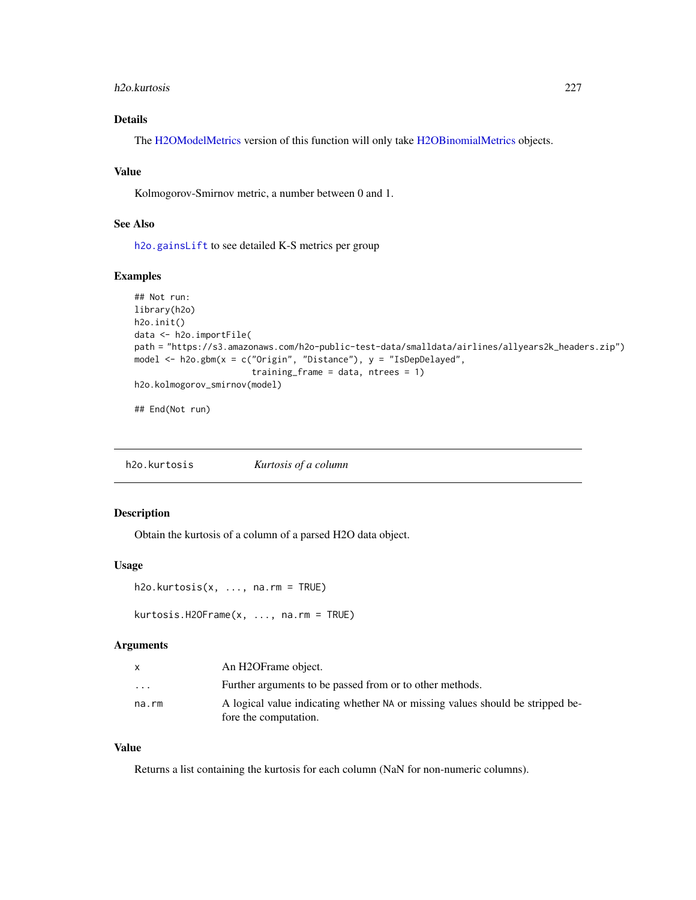#### h2o.kurtosis 227

# Details

The [H2OModelMetrics](#page-416-0) version of this function will only take [H2OBinomialMetrics](#page-416-1) objects.

## Value

Kolmogorov-Smirnov metric, a number between 0 and 1.

## See Also

[h2o.gainsLift](#page-144-0) to see detailed K-S metrics per group

## Examples

```
## Not run:
library(h2o)
h2o.init()
data <- h2o.importFile(
path = "https://s3.amazonaws.com/h2o-public-test-data/smalldata/airlines/allyears2k_headers.zip")
model <- h2o.gbm(x = c("Origin", "Distance"), y = "IsDepDelayed",
                       training_frame = data, ntrees = 1)
h2o.kolmogorov_smirnov(model)
```
## End(Not run)

h2o.kurtosis *Kurtosis of a column*

# Description

Obtain the kurtosis of a column of a parsed H2O data object.

#### Usage

```
h2o.kurtosis(x, ..., na.rm = TRUE)
```
kurtosis.H2OFrame(x, ..., na.rm = TRUE)

# Arguments

| X        | An H2OFrame object.                                                            |
|----------|--------------------------------------------------------------------------------|
| $\cdots$ | Further arguments to be passed from or to other methods.                       |
| na.rm    | A logical value indicating whether NA or missing values should be stripped be- |
|          | fore the computation.                                                          |

## Value

Returns a list containing the kurtosis for each column (NaN for non-numeric columns).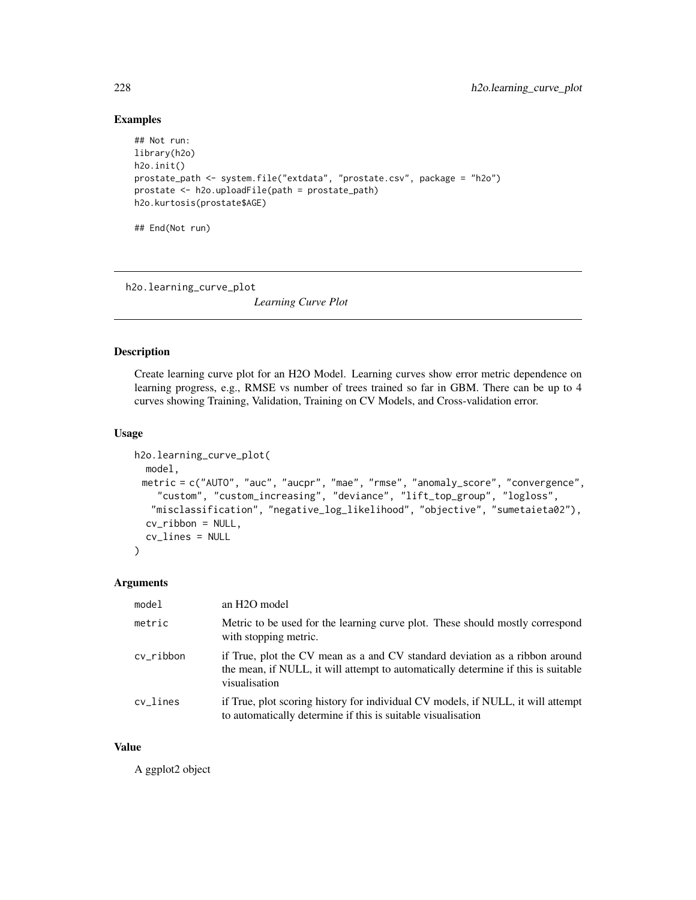```
## Not run:
library(h2o)
h2o.init()
prostate_path <- system.file("extdata", "prostate.csv", package = "h2o")
prostate <- h2o.uploadFile(path = prostate_path)
h2o.kurtosis(prostate$AGE)
## End(Not run)
```
h2o.learning\_curve\_plot

*Learning Curve Plot*

#### Description

Create learning curve plot for an H2O Model. Learning curves show error metric dependence on learning progress, e.g., RMSE vs number of trees trained so far in GBM. There can be up to 4 curves showing Training, Validation, Training on CV Models, and Cross-validation error.

#### Usage

```
h2o.learning_curve_plot(
 model,
 metric = c("AUTO", "auc", "aucpr", "mae", "rmse", "anomaly_score", "convergence",
    "custom", "custom_increasing", "deviance", "lift_top_group", "logloss",
   "misclassification", "negative_log_likelihood", "objective", "sumetaieta02"),
  cv_ribbon = NULL,
  cv_lines = NULL
\mathcal{L}
```
## Arguments

| model     | an H <sub>2</sub> O model                                                                                                                                                         |
|-----------|-----------------------------------------------------------------------------------------------------------------------------------------------------------------------------------|
| metric    | Metric to be used for the learning curve plot. These should mostly correspond<br>with stopping metric.                                                                            |
| cv_ribbon | if True, plot the CV mean as a and CV standard deviation as a ribbon around<br>the mean, if NULL, it will attempt to automatically determine if this is suitable<br>visualisation |
| cv lines  | if True, plot scoring history for individual CV models, if NULL, it will attempt<br>to automatically determine if this is suitable visualisation                                  |

#### Value

A ggplot2 object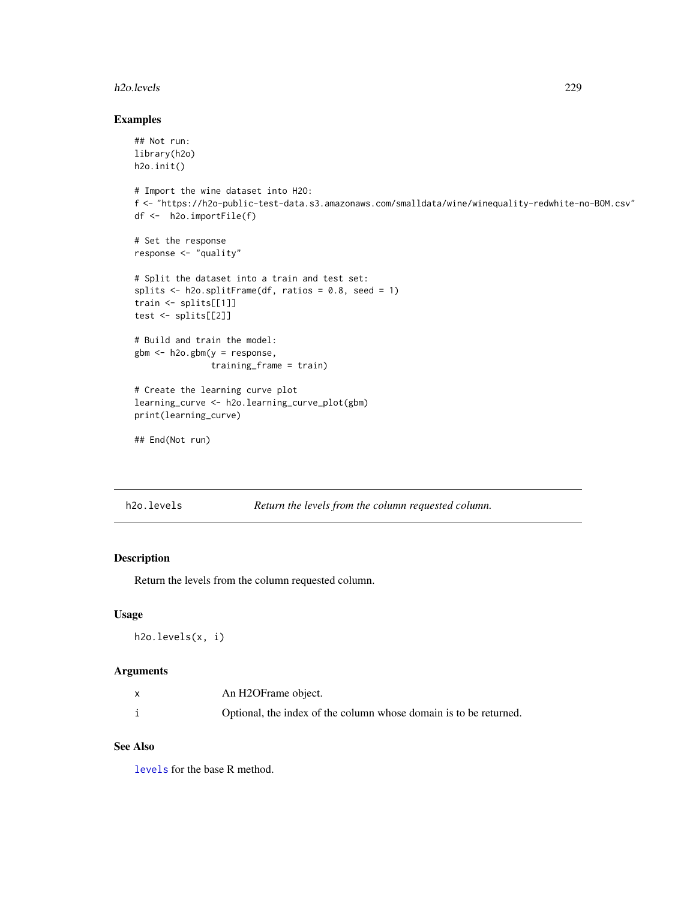#### h2o.levels 229

#### Examples

```
## Not run:
library(h2o)
h2o.init()
# Import the wine dataset into H2O:
f <- "https://h2o-public-test-data.s3.amazonaws.com/smalldata/wine/winequality-redwhite-no-BOM.csv"
df <- h2o.importFile(f)
# Set the response
response <- "quality"
# Split the dataset into a train and test set:
splits \le h2o.splitFrame(df, ratios = 0.8, seed = 1)
train <- splits[[1]]
test <- splits[[2]]
# Build and train the model:
gbm <- h2o.gbm(y = response,
               training_frame = train)
# Create the learning curve plot
learning_curve <- h2o.learning_curve_plot(gbm)
print(learning_curve)
```

```
## End(Not run)
```
h2o.levels *Return the levels from the column requested column.*

## Description

Return the levels from the column requested column.

#### Usage

h2o.levels(x, i)

#### Arguments

| An H2OFrame object.                                               |
|-------------------------------------------------------------------|
| Optional, the index of the column whose domain is to be returned. |

#### See Also

[levels](#page-0-0) for the base R method.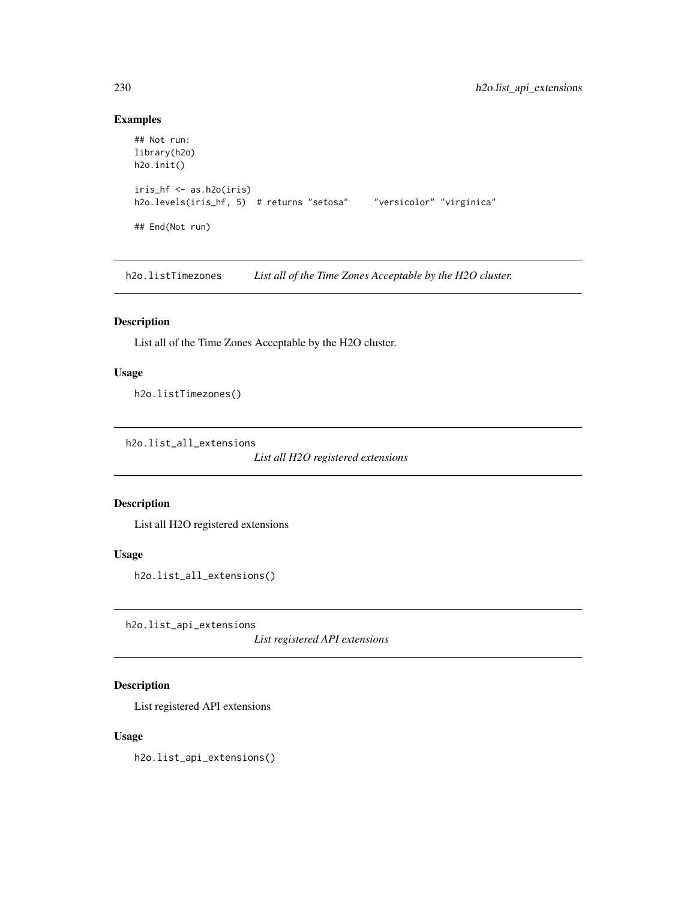```
## Not run:
library(h2o)
h2o.init()
iris_hf <- as.h2o(iris)
h2o.levels(iris_hf, 5) # returns "setosa" "versicolor" "virginica"
## End(Not run)
```
h2o.listTimezones *List all of the Time Zones Acceptable by the H2O cluster.*

## Description

List all of the Time Zones Acceptable by the H2O cluster.

## Usage

h2o.listTimezones()

h2o.list\_all\_extensions

*List all H2O registered extensions*

#### Description

List all H2O registered extensions

#### Usage

```
h2o.list_all_extensions()
```
h2o.list\_api\_extensions

*List registered API extensions*

## Description

List registered API extensions

#### Usage

h2o.list\_api\_extensions()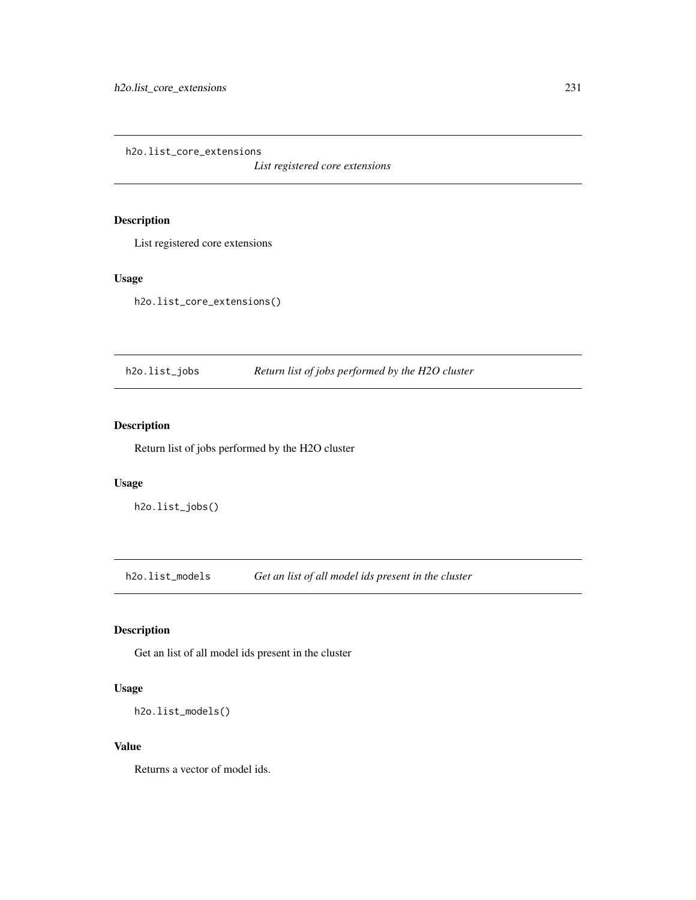h2o.list\_core\_extensions

*List registered core extensions*

# Description

List registered core extensions

## Usage

h2o.list\_core\_extensions()

h2o.list\_jobs *Return list of jobs performed by the H2O cluster*

# Description

Return list of jobs performed by the H2O cluster

## Usage

h2o.list\_jobs()

h2o.list\_models *Get an list of all model ids present in the cluster*

## Description

Get an list of all model ids present in the cluster

## Usage

```
h2o.list_models()
```
#### Value

Returns a vector of model ids.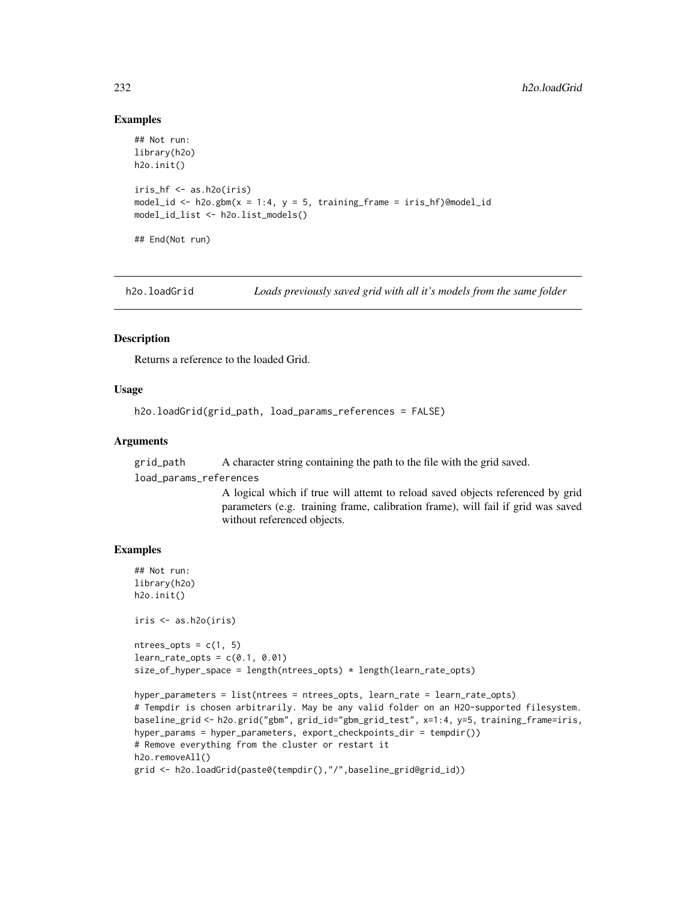```
## Not run:
library(h2o)
h2o.init()
iris_hf <- as.h2o(iris)
model_id <- h2o.gbm(x = 1:4, y = 5, training_frame = iris_hf)@model_id
model_id_list <- h2o.list_models()
## End(Not run)
```
h2o.loadGrid *Loads previously saved grid with all it's models from the same folder*

#### Description

Returns a reference to the loaded Grid.

#### Usage

h2o.loadGrid(grid\_path, load\_params\_references = FALSE)

#### Arguments

grid\_path A character string containing the path to the file with the grid saved.

load\_params\_references

A logical which if true will attemt to reload saved objects referenced by grid parameters (e.g. training frame, calibration frame), will fail if grid was saved without referenced objects.

### Examples

```
## Not run:
library(h2o)
h2o.init()
iris <- as.h2o(iris)
ntrees\_opts = c(1, 5)learn_rate\_opts = c(0.1, 0.01)size_of_hyper_space = length(ntrees_opts) * length(learn_rate_opts)
hyper_parameters = list(ntrees = ntrees_opts, learn_rate = learn_rate_opts)
# Tempdir is chosen arbitrarily. May be any valid folder on an H2O-supported filesystem.
baseline_grid <- h2o.grid("gbm", grid_id="gbm_grid_test", x=1:4, y=5, training_frame=iris,
hyper_params = hyper_parameters, export_checkpoints_dir = tempdir())
# Remove everything from the cluster or restart it
h2o.removeAll()
grid <- h2o.loadGrid(paste0(tempdir(),"/",baseline_grid@grid_id))
```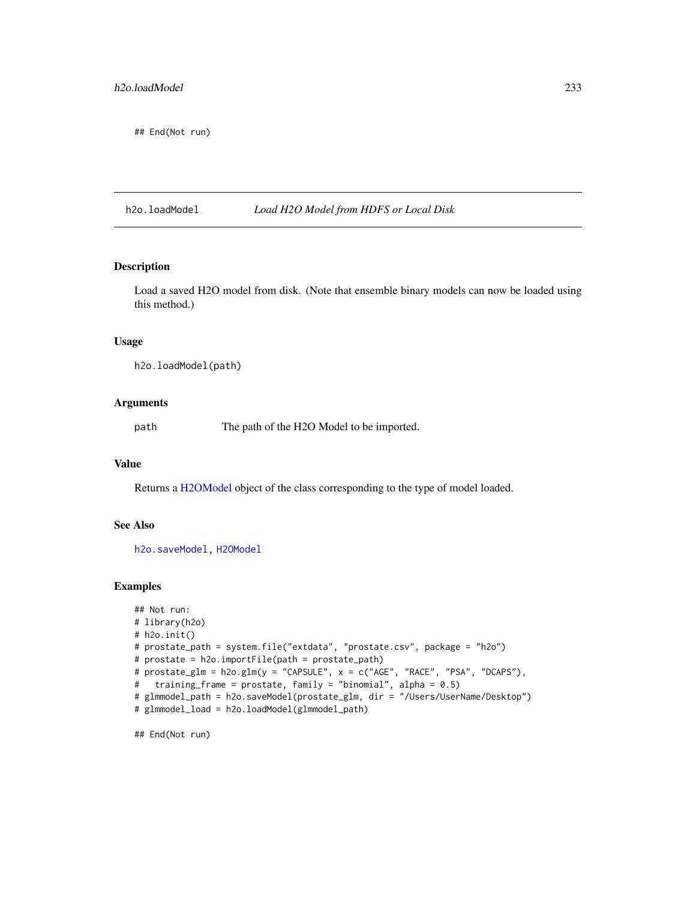## End(Not run)

#### h2o.loadModel *Load H2O Model from HDFS or Local Disk*

#### Description

Load a saved H2O model from disk. (Note that ensemble binary models can now be loaded using this method.)

#### Usage

h2o.loadModel(path)

## Arguments

path The path of the H2O Model to be imported.

#### Value

Returns a [H2OModel](#page-415-0) object of the class corresponding to the type of model loaded.

## See Also

[h2o.saveModel,](#page-331-0) [H2OModel](#page-415-0)

#### Examples

```
## Not run:
# library(h2o)
# h2o.init()
# prostate_path = system.file("extdata", "prostate.csv", package = "h2o")
# prostate = h2o.importFile(path = prostate_path)
# prostate_glm = h2o.glm(y = "CAPSULE", x = c("AGE", "RACE", "PSA", "DCAPS"),
# training_frame = prostate, family = "binomial", alpha = 0.5)
# glmmodel_path = h2o.saveModel(prostate_glm, dir = "/Users/UserName/Desktop")
# glmmodel_load = h2o.loadModel(glmmodel_path)
```
## End(Not run)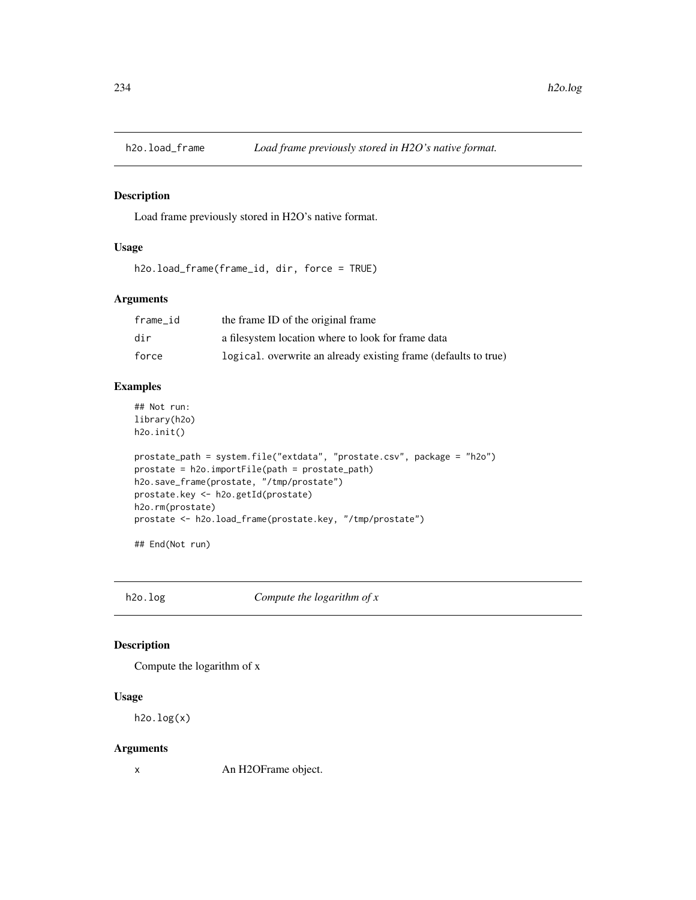Load frame previously stored in H2O's native format.

#### Usage

h2o.load\_frame(frame\_id, dir, force = TRUE)

## Arguments

| frame id | the frame ID of the original frame                              |
|----------|-----------------------------------------------------------------|
| dir      | a filesystem location where to look for frame data              |
| force    | logical, overwrite an already existing frame (defaults to true) |

## Examples

## Not run: library(h2o) h2o.init()

```
prostate_path = system.file("extdata", "prostate.csv", package = "h2o")
prostate = h2o.importFile(path = prostate_path)
h2o.save_frame(prostate, "/tmp/prostate")
prostate.key <- h2o.getId(prostate)
h2o.rm(prostate)
prostate <- h2o.load_frame(prostate.key, "/tmp/prostate")
```
## End(Not run)

h2o.log *Compute the logarithm of x*

## Description

Compute the logarithm of x

#### Usage

h2o.log(x)

#### Arguments

x An H2OFrame object.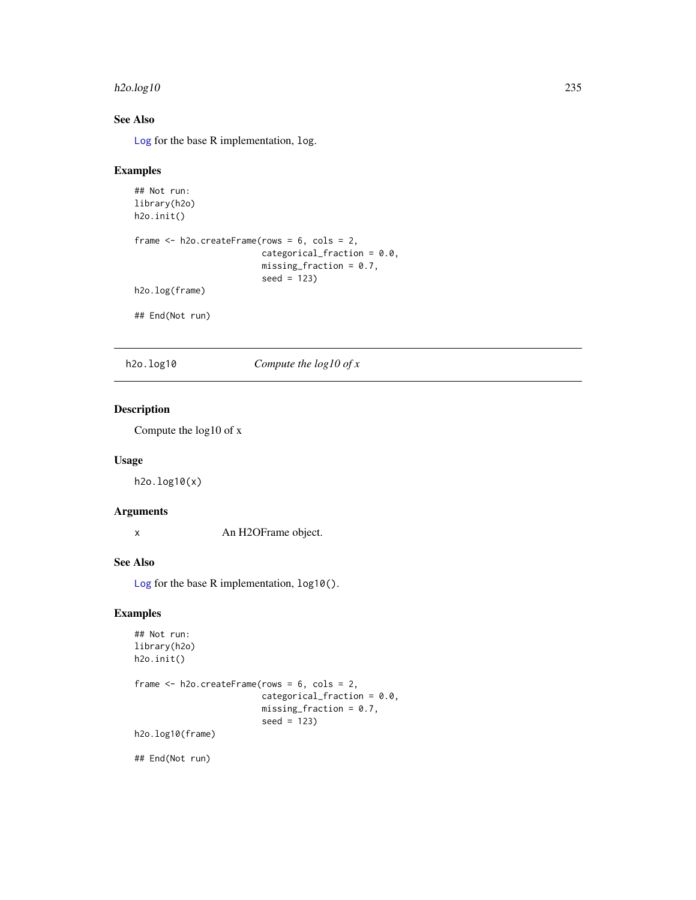#### $h2o.log10$  235

# See Also

[Log](#page-0-0) for the base R implementation, log.

#### Examples

```
## Not run:
library(h2o)
h2o.init()
frame <- h2o.createFrame(rows = 6, cols = 2,
                         categorical_fraction = 0.0,
                         missing_fraction = 0.7,
                         seed = 123)
h2o.log(frame)
## End(Not run)
```
h2o.log10 *Compute the log10 of x*

## Description

Compute the log10 of x

#### Usage

h2o.log10(x)

# Arguments

x An H2OFrame object.

# See Also

[Log](#page-0-0) for the base R implementation, log10().

#### Examples

```
## Not run:
library(h2o)
h2o.init()
frame <- h2o.createFrame(rows = 6, cols = 2,
                         categorical_fraction = 0.0,
                         missing\_fraction = 0.7,
                         seed = 123)
h2o.log10(frame)
```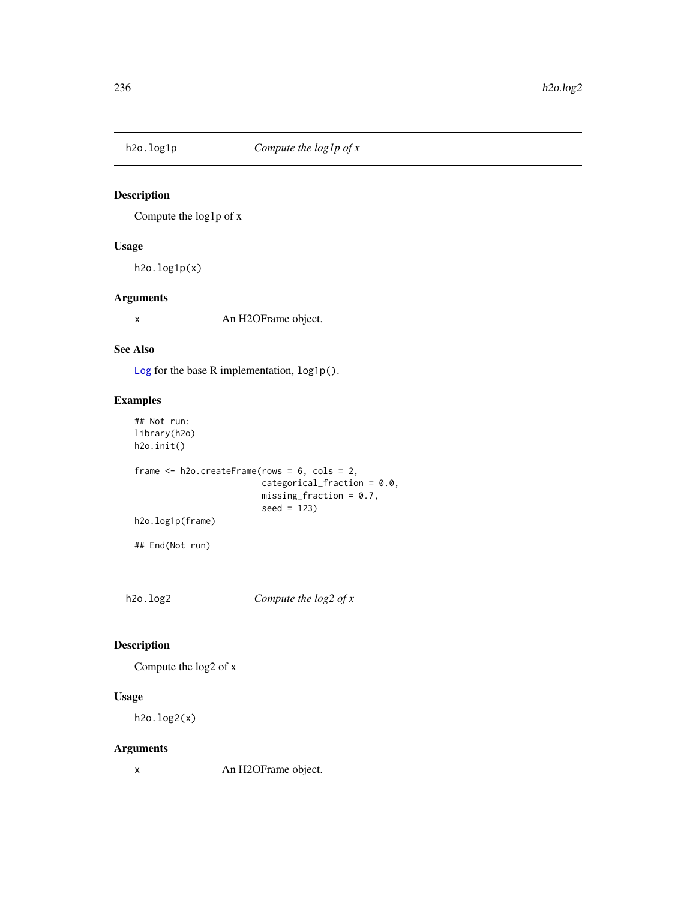Compute the log1p of x

## Usage

h2o.log1p(x)

## Arguments

x An H2OFrame object.

#### See Also

[Log](#page-0-0) for the base R implementation, log1p().

## Examples

```
## Not run:
library(h2o)
h2o.init()
frame <- h2o.createFrame(rows = 6, cols = 2,
                         categorical_fraction = 0.0,
                         missing_fraction = 0.7,
                         seed = 123)
h2o.log1p(frame)
## End(Not run)
```
h2o.log2 *Compute the log2 of x*

## Description

Compute the log2 of x

## Usage

h2o.log2(x)

## Arguments

x An H2OFrame object.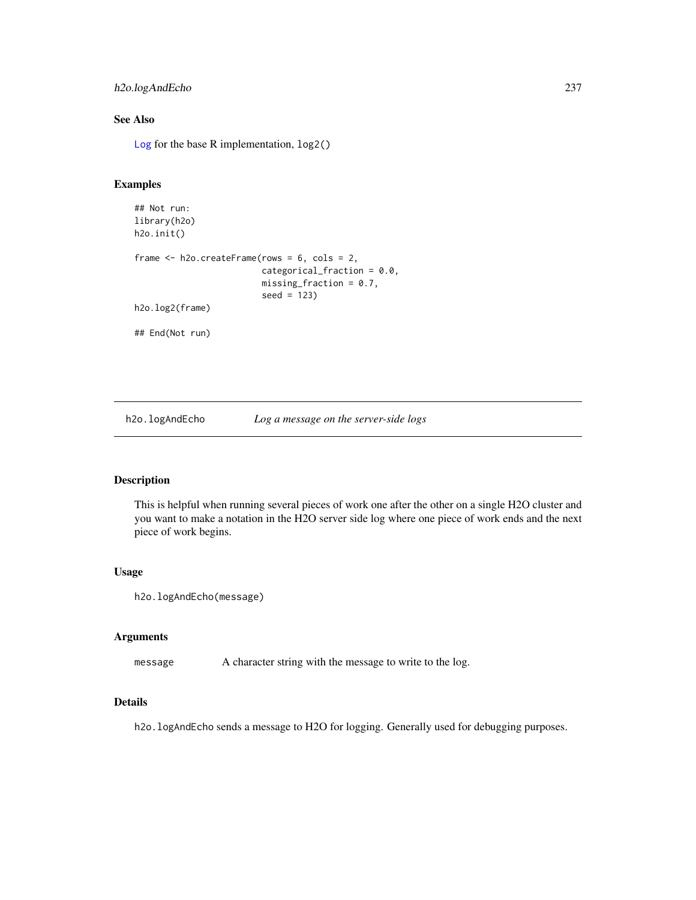## h2o.logAndEcho 237

## See Also

[Log](#page-0-0) for the base R implementation, log2()

## Examples

```
## Not run:
library(h2o)
h2o.init()
frame <- h2o.createFrame(rows = 6, cols = 2,
                         categorical_fraction = 0.0,
                         missing_fraction = 0.7,
                         seed = 123)
h2o.log2(frame)
## End(Not run)
```
h2o.logAndEcho *Log a message on the server-side logs*

## Description

This is helpful when running several pieces of work one after the other on a single H2O cluster and you want to make a notation in the H2O server side log where one piece of work ends and the next piece of work begins.

#### Usage

```
h2o.logAndEcho(message)
```
## Arguments

message A character string with the message to write to the log.

#### Details

h2o.logAndEcho sends a message to H2O for logging. Generally used for debugging purposes.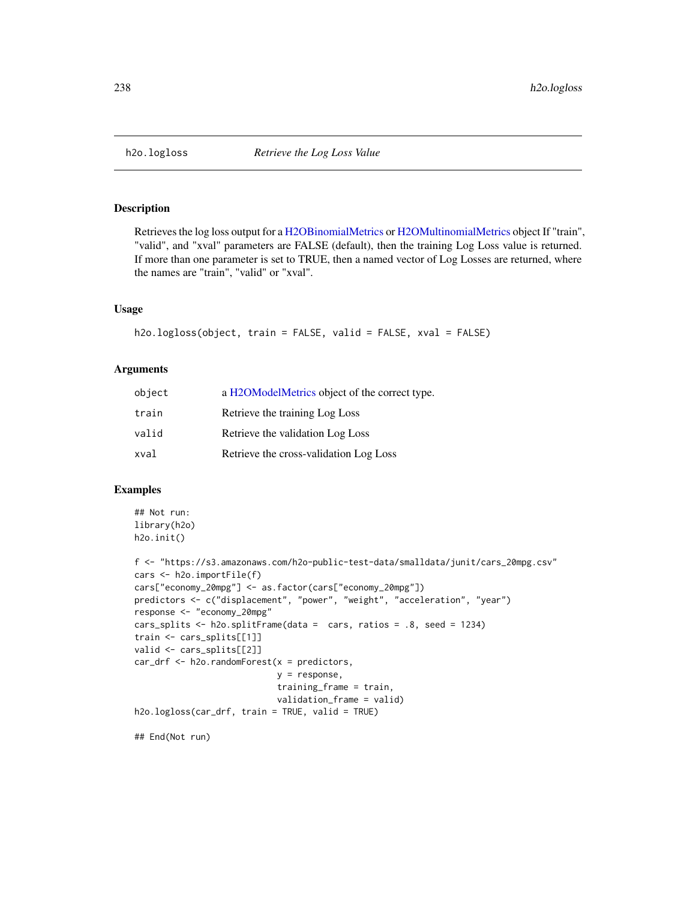Retrieves the log loss output for a [H2OBinomialMetrics](#page-416-1) or [H2OMultinomialMetrics](#page-416-1) object If "train", "valid", and "xval" parameters are FALSE (default), then the training Log Loss value is returned. If more than one parameter is set to TRUE, then a named vector of Log Losses are returned, where the names are "train", "valid" or "xval".

#### Usage

```
h2o.logloss(object, train = FALSE, valid = FALSE, xval = FALSE)
```
#### Arguments

| object | a H2OModelMetrics object of the correct type. |
|--------|-----------------------------------------------|
| train  | Retrieve the training Log Loss                |
| valid  | Retrieve the validation Log Loss              |
| xval   | Retrieve the cross-validation Log Loss        |

#### Examples

```
## Not run:
library(h2o)
h2o.init()
```

```
f <- "https://s3.amazonaws.com/h2o-public-test-data/smalldata/junit/cars_20mpg.csv"
cars <- h2o.importFile(f)
cars["economy_20mpg"] <- as.factor(cars["economy_20mpg"])
predictors <- c("displacement", "power", "weight", "acceleration", "year")
response <- "economy_20mpg"
cars_splits <- h2o.splitFrame(data = cars, ratios = .8, seed = 1234)
train <- cars_splits[[1]]
valid <- cars_splits[[2]]
car_drf <- h2o.randomForest(x = predictors,
                            y = response,
                            training_frame = train,
                            validation_frame = valid)
h2o.logloss(car_drf, train = TRUE, valid = TRUE)
```
## End(Not run)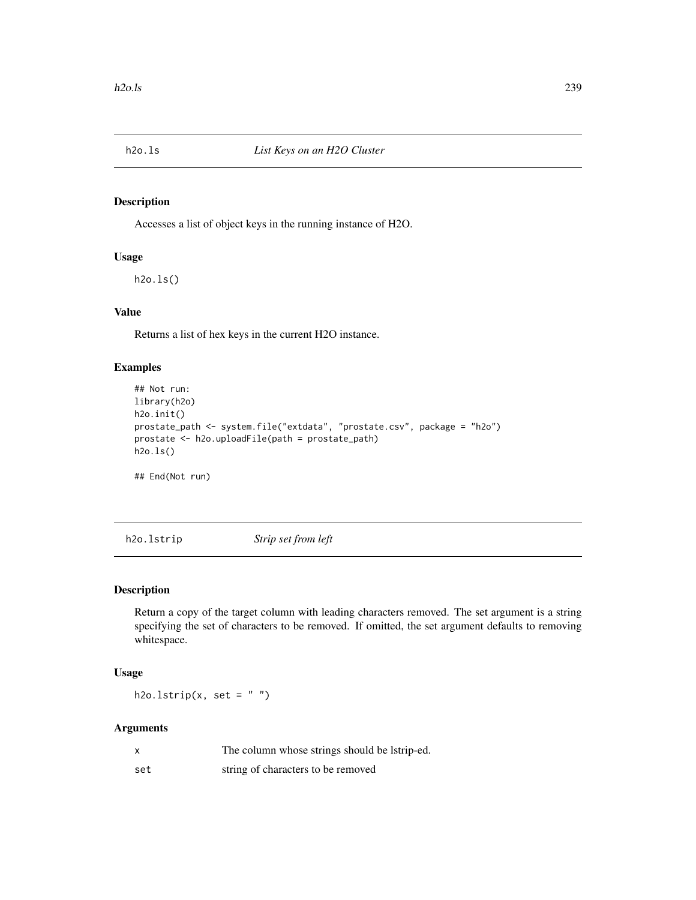Accesses a list of object keys in the running instance of H2O.

## Usage

h2o.ls()

## Value

Returns a list of hex keys in the current H2O instance.

## Examples

```
## Not run:
library(h2o)
h2o.init()
prostate_path <- system.file("extdata", "prostate.csv", package = "h2o")
prostate <- h2o.uploadFile(path = prostate_path)
h2o.ls()
## End(Not run)
```
h2o.lstrip *Strip set from left*

#### Description

Return a copy of the target column with leading characters removed. The set argument is a string specifying the set of characters to be removed. If omitted, the set argument defaults to removing whitespace.

#### Usage

h2o.lstrip(x, set =  $"$ )

#### Arguments

| X   | The column whose strings should be latrip-ed. |
|-----|-----------------------------------------------|
| set | string of characters to be removed            |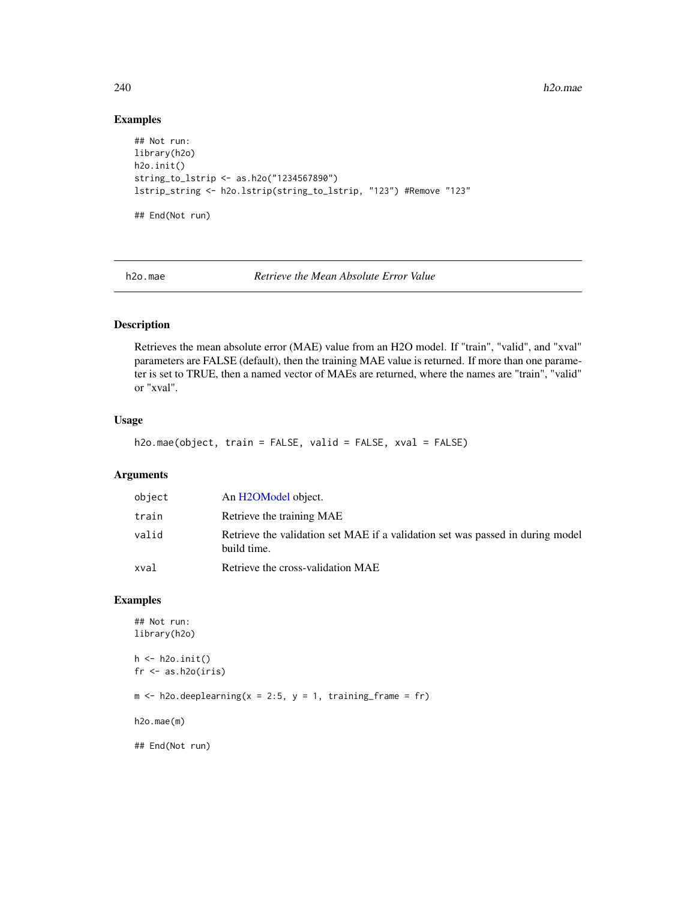240 h2o.mae had a strong between the contract of the contract of the contract of the contract of the contract of the contract of the contract of the contract of the contract of the contract of the contract of the contract

## Examples

```
## Not run:
library(h2o)
h2o.init()
string_to_lstrip <- as.h2o("1234567890")
lstrip_string <- h2o.lstrip(string_to_lstrip, "123") #Remove "123"
## End(Not run)
```
h2o.mae *Retrieve the Mean Absolute Error Value*

## Description

Retrieves the mean absolute error (MAE) value from an H2O model. If "train", "valid", and "xval" parameters are FALSE (default), then the training MAE value is returned. If more than one parameter is set to TRUE, then a named vector of MAEs are returned, where the names are "train", "valid" or "xval".

#### Usage

```
h2o.mae(object, train = FALSE, valid = FALSE, xval = FALSE)
```
#### Arguments

| object | An H2OModel object.                                                                           |
|--------|-----------------------------------------------------------------------------------------------|
| train  | Retrieve the training MAE                                                                     |
| valid  | Retrieve the validation set MAE if a validation set was passed in during model<br>build time. |
| xval   | Retrieve the cross-validation MAE                                                             |

## Examples

```
## Not run:
library(h2o)
h <- h2o.init()
fr < - as.h2o(iris)
m \le -h2o.deeplearning(x = 2:5, y = 1, training_frame = fr)
h2o.mae(m)
## End(Not run)
```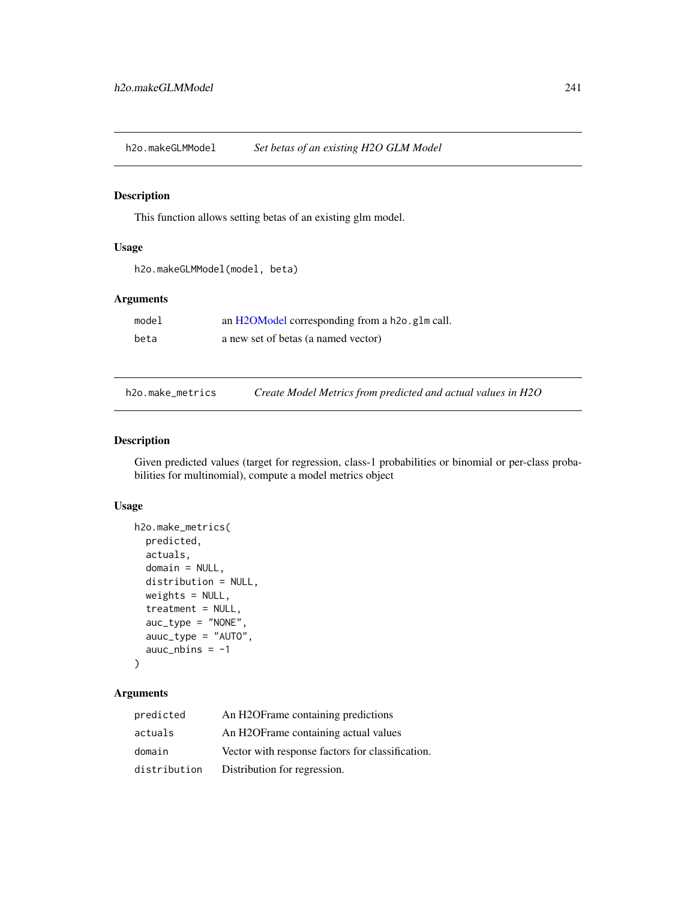h2o.makeGLMModel *Set betas of an existing H2O GLM Model*

## Description

This function allows setting betas of an existing glm model.

## Usage

```
h2o.makeGLMModel(model, beta)
```
## Arguments

| model | an H2OModel corresponding from a h2o. g1m call. |
|-------|-------------------------------------------------|
| beta  | a new set of betas (a named vector)             |

h2o.make\_metrics *Create Model Metrics from predicted and actual values in H2O*

#### Description

Given predicted values (target for regression, class-1 probabilities or binomial or per-class probabilities for multinomial), compute a model metrics object

## Usage

```
h2o.make_metrics(
 predicted,
  actuals,
  domain = NULL,
  distribution = NULL,
 weights = NULL,
  treatment = NULL,
  auc_type = "NONE",
  auuc_type = "AUTO",
  auuc_nbins = -1)
```
## Arguments

| predicted    | An H2OF rame containing predictions              |
|--------------|--------------------------------------------------|
| actuals      | An H2OF rame containing actual values            |
| domain       | Vector with response factors for classification. |
| distribution | Distribution for regression.                     |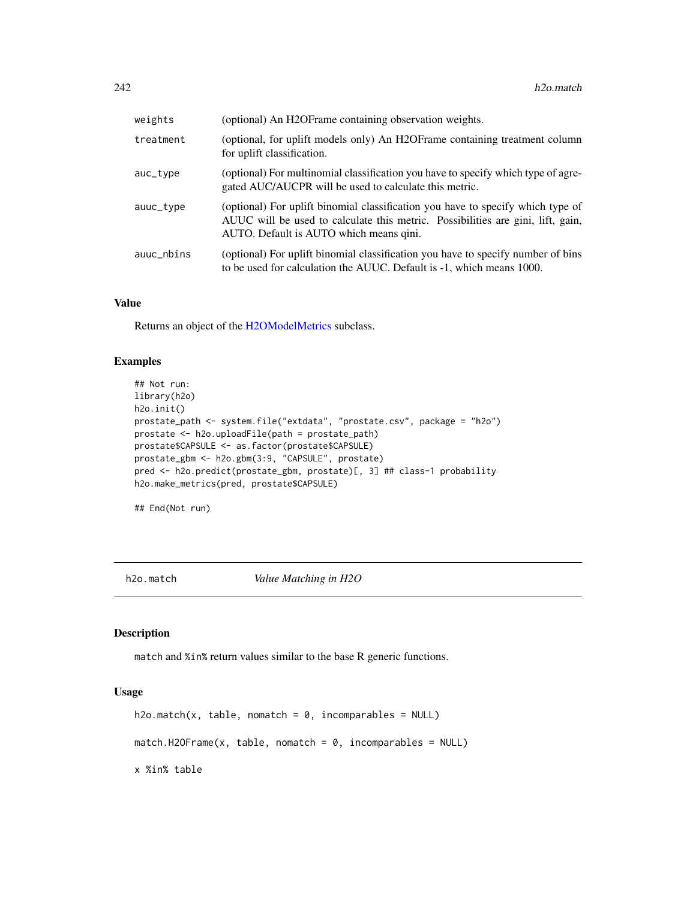| weights    | (optional) An H2OFrame containing observation weights.                                                                                                                                                        |
|------------|---------------------------------------------------------------------------------------------------------------------------------------------------------------------------------------------------------------|
| treatment  | (optional, for uplift models only) An H2OFrame containing treatment column<br>for uplift classification.                                                                                                      |
| auc_type   | (optional) For multinomial classification you have to specify which type of agre-<br>gated AUC/AUCPR will be used to calculate this metric.                                                                   |
| auuc_type  | (optional) For uplift binomial classification you have to specify which type of<br>AUUC will be used to calculate this metric. Possibilities are gini, lift, gain,<br>AUTO. Default is AUTO which means qini. |
| auuc_nbins | (optional) For uplift binomial classification you have to specify number of bins<br>to be used for calculation the AUUC. Default is -1, which means 1000.                                                     |

#### Value

Returns an object of the [H2OModelMetrics](#page-416-0) subclass.

#### Examples

```
## Not run:
library(h2o)
h2o.init()
prostate_path <- system.file("extdata", "prostate.csv", package = "h2o")
prostate <- h2o.uploadFile(path = prostate_path)
prostate$CAPSULE <- as.factor(prostate$CAPSULE)
prostate_gbm <- h2o.gbm(3:9, "CAPSULE", prostate)
pred <- h2o.predict(prostate_gbm, prostate)[, 3] ## class-1 probability
h2o.make_metrics(pred, prostate$CAPSULE)
```
## End(Not run)

h2o.match *Value Matching in H2O*

#### Description

match and %in% return values similar to the base R generic functions.

#### Usage

```
h2o.match(x, table, nomatch = 0, incomparable = NULL)match.H2OFrame(x, table, nomatch = 0, incomparables = NULL)
x %in% table
```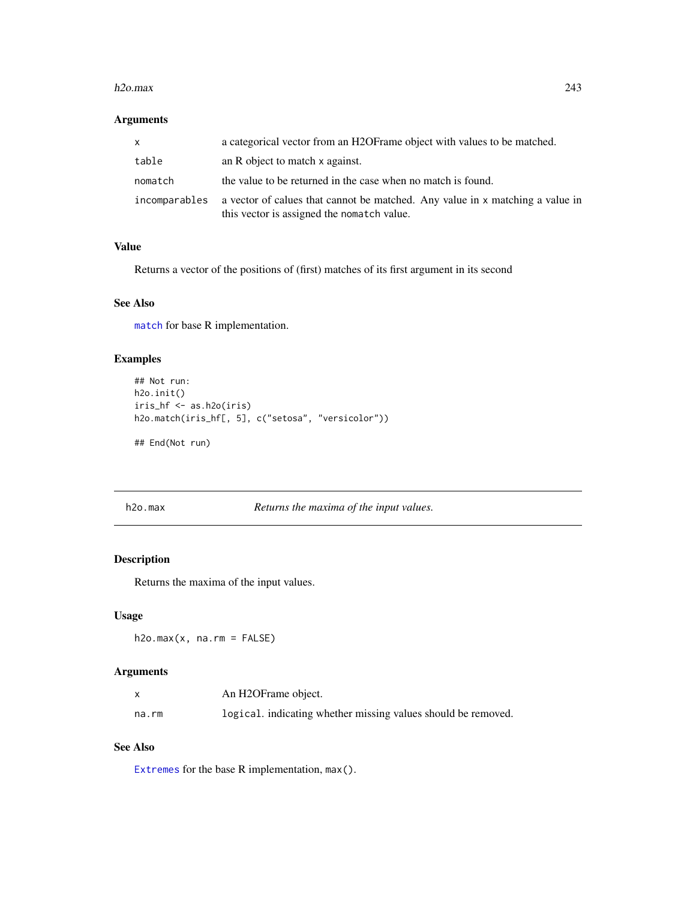#### h2o.max 243

# Arguments

| x.            | a categorical vector from an H2OF rame object with values to be matched.                                                    |
|---------------|-----------------------------------------------------------------------------------------------------------------------------|
| table         | an R object to match x against.                                                                                             |
| nomatch       | the value to be returned in the case when no match is found.                                                                |
| incomparables | a vector of calues that cannot be matched. Any value in x matching a value in<br>this vector is assigned the nomatch value. |

#### Value

Returns a vector of the positions of (first) matches of its first argument in its second

#### See Also

[match](#page-0-0) for base R implementation.

## Examples

```
## Not run:
h2o.init()
iris_hf <- as.h2o(iris)
h2o.match(iris_hf[, 5], c("setosa", "versicolor"))
```
## End(Not run)

h2o.max *Returns the maxima of the input values.*

# Description

Returns the maxima of the input values.

## Usage

 $h2o.max(x, na.rm = FALSE)$ 

## Arguments

|       | An H2OFrame object.                                           |
|-------|---------------------------------------------------------------|
| na.rm | logical, indicating whether missing values should be removed. |

# See Also

[Extremes](#page-0-0) for the base R implementation, max().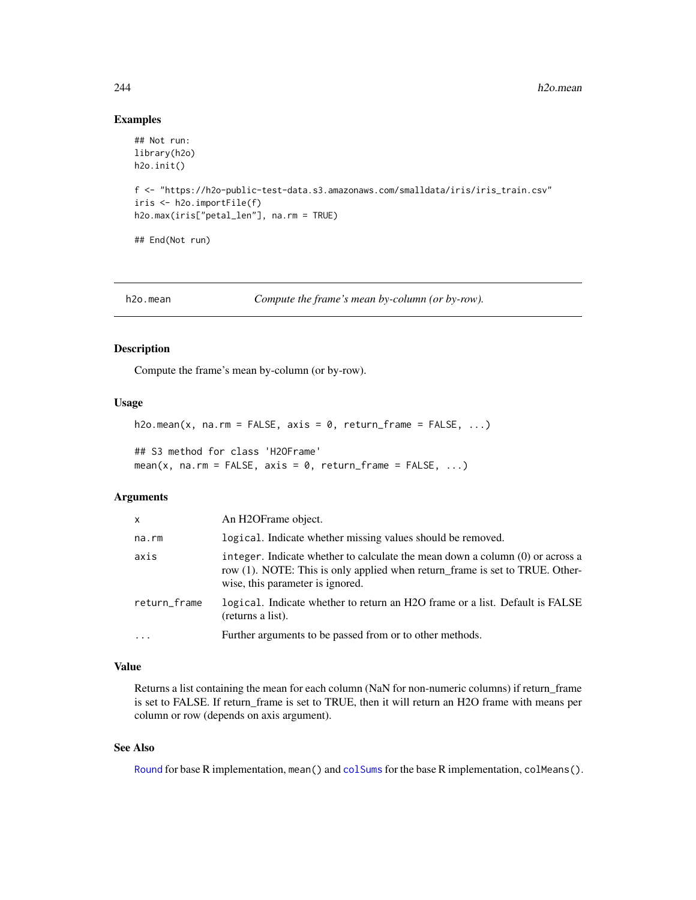```
## Not run:
library(h2o)
h2o.init()
f <- "https://h2o-public-test-data.s3.amazonaws.com/smalldata/iris/iris_train.csv"
iris <- h2o.importFile(f)
h2o.max(iris["petal_len"], na.rm = TRUE)
## End(Not run)
```
h2o.mean *Compute the frame's mean by-column (or by-row).*

## Description

Compute the frame's mean by-column (or by-row).

#### Usage

```
h2o.mean(x, na.rm = FALSE, axis = 0, return_frame = FALSE, ...)
```
## S3 method for class 'H2OFrame' mean(x, na.rm = FALSE, axis =  $0$ , return\_frame = FALSE, ...)

#### Arguments

| $\mathsf{x}$ | An H <sub>2</sub> OFrame object.                                                                                                                                                                    |
|--------------|-----------------------------------------------------------------------------------------------------------------------------------------------------------------------------------------------------|
| na.rm        | logical. Indicate whether missing values should be removed.                                                                                                                                         |
| axis         | integer. Indicate whether to calculate the mean down a column $(0)$ or across a<br>row (1). NOTE: This is only applied when return_frame is set to TRUE. Other-<br>wise, this parameter is ignored. |
| return_frame | logical. Indicate whether to return an H2O frame or a list. Default is FALSE<br>(returns a list).                                                                                                   |
|              | Further arguments to be passed from or to other methods.                                                                                                                                            |

#### Value

Returns a list containing the mean for each column (NaN for non-numeric columns) if return\_frame is set to FALSE. If return\_frame is set to TRUE, then it will return an H2O frame with means per column or row (depends on axis argument).

#### See Also

[Round](#page-0-0) for base R implementation, mean() and [colSums](#page-0-0) for the base R implementation, colMeans().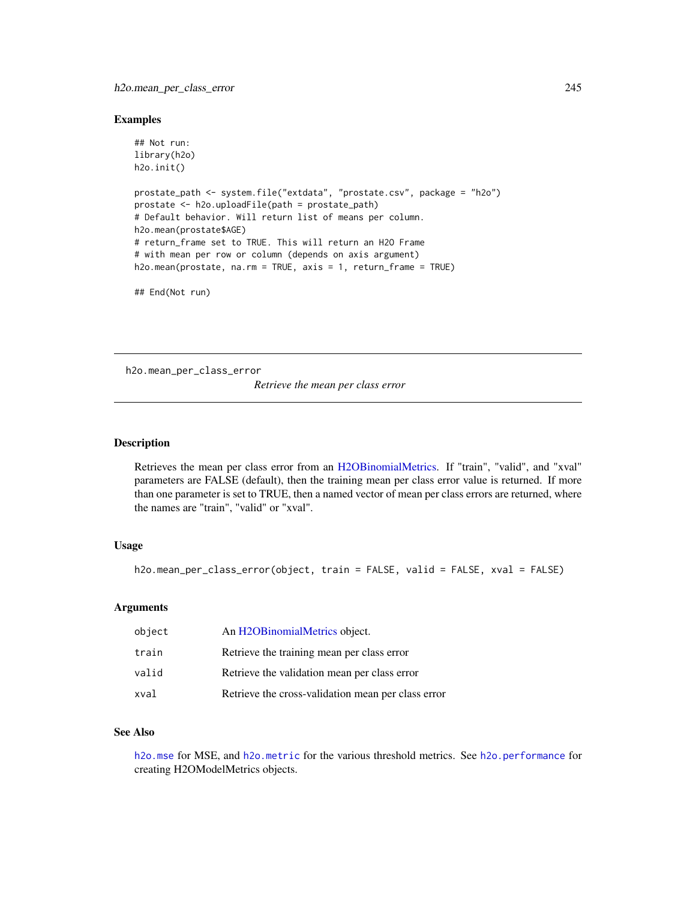```
## Not run:
library(h2o)
h2o.init()
prostate_path <- system.file("extdata", "prostate.csv", package = "h2o")
prostate <- h2o.uploadFile(path = prostate_path)
# Default behavior. Will return list of means per column.
h2o.mean(prostate$AGE)
# return_frame set to TRUE. This will return an H2O Frame
# with mean per row or column (depends on axis argument)
h2o.mean(prostate, na.rm = TRUE, axis = 1, return_frame = TRUE)
## End(Not run)
```
h2o.mean\_per\_class\_error

*Retrieve the mean per class error*

#### Description

Retrieves the mean per class error from an [H2OBinomialMetrics.](#page-416-1) If "train", "valid", and "xval" parameters are FALSE (default), then the training mean per class error value is returned. If more than one parameter is set to TRUE, then a named vector of mean per class errors are returned, where the names are "train", "valid" or "xval".

#### Usage

```
h2o.mean_per_class_error(object, train = FALSE, valid = FALSE, xval = FALSE)
```
## Arguments

| object | An H2OBinomialMetrics object.                      |
|--------|----------------------------------------------------|
| train  | Retrieve the training mean per class error         |
| valid  | Retrieve the validation mean per class error       |
| xval   | Retrieve the cross-validation mean per class error |

#### See Also

[h2o.mse](#page-263-0) for MSE, and [h2o.metric](#page-249-0) for the various threshold metrics. See [h2o.performance](#page-287-0) for creating H2OModelMetrics objects.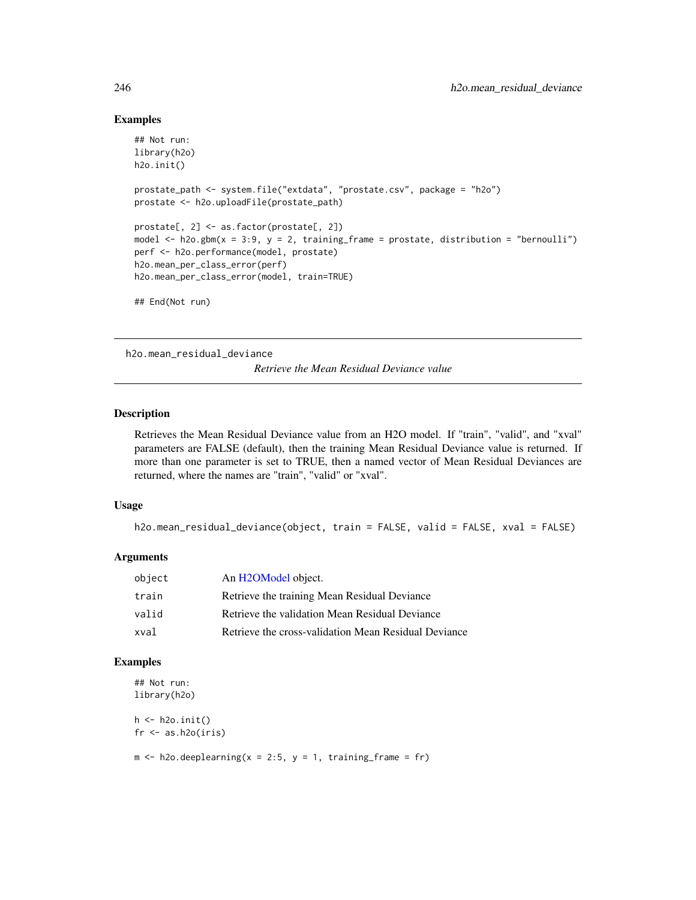```
## Not run:
library(h2o)
h2o.init()
prostate_path <- system.file("extdata", "prostate.csv", package = "h2o")
prostate <- h2o.uploadFile(prostate_path)
prostate[, 2] <- as.factor(prostate[, 2])
model \leq h2o.gbm(x = 3:9, y = 2, training_frame = prostate, distribution = "bernoulli")
perf <- h2o.performance(model, prostate)
h2o.mean_per_class_error(perf)
h2o.mean_per_class_error(model, train=TRUE)
## End(Not run)
```
h2o.mean\_residual\_deviance

*Retrieve the Mean Residual Deviance value*

#### Description

Retrieves the Mean Residual Deviance value from an H2O model. If "train", "valid", and "xval" parameters are FALSE (default), then the training Mean Residual Deviance value is returned. If more than one parameter is set to TRUE, then a named vector of Mean Residual Deviances are returned, where the names are "train", "valid" or "xval".

#### Usage

```
h2o.mean_residual_deviance(object, train = FALSE, valid = FALSE, xval = FALSE)
```
#### Arguments

| object | An H2OModel object.                                  |
|--------|------------------------------------------------------|
| train  | Retrieve the training Mean Residual Deviance         |
| valid  | Retrieve the validation Mean Residual Deviance       |
| xval   | Retrieve the cross-validation Mean Residual Deviance |

#### Examples

```
## Not run:
library(h2o)
h \leftarrow h2o.init()
```

```
fr < -as.h2o(iris)
```

```
m \le -h2o.deeplearning(x = 2:5, y = 1, training_frame = fr)
```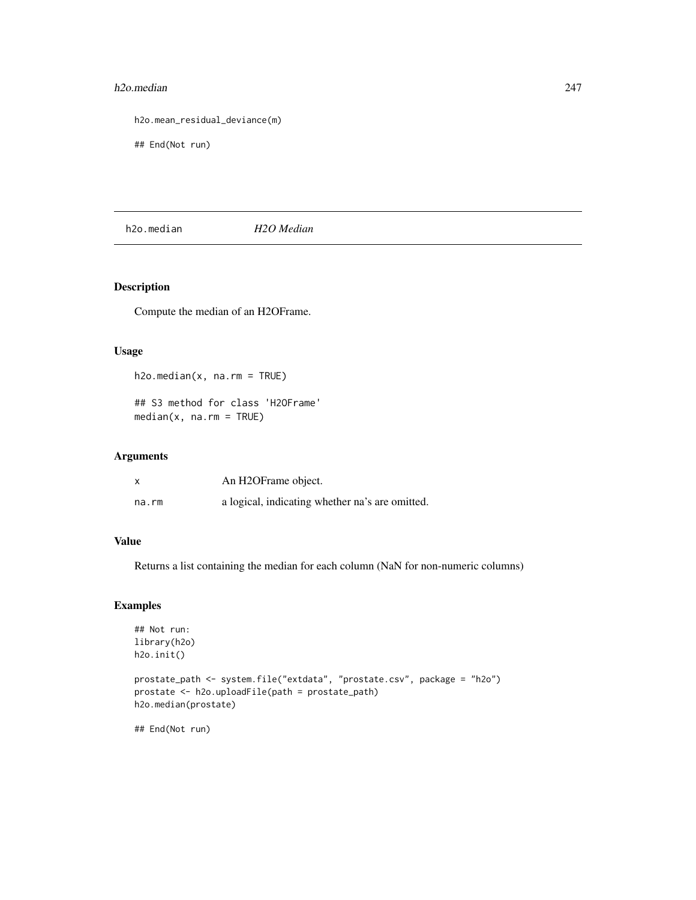#### h2o.median 247

h2o.mean\_residual\_deviance(m)

## End(Not run)

h2o.median *H2O Median*

## Description

Compute the median of an H2OFrame.

## Usage

```
h2o.median(x, na.rm = TRUE)## S3 method for class 'H2OFrame'
median(x, na.rm = TRUE)
```
## Arguments

| $\boldsymbol{\mathsf{x}}$ | An H2OFrame object.                             |
|---------------------------|-------------------------------------------------|
| na.rm                     | a logical, indicating whether na's are omitted. |

#### Value

Returns a list containing the median for each column (NaN for non-numeric columns)

## Examples

```
## Not run:
library(h2o)
h2o.init()
```

```
prostate_path <- system.file("extdata", "prostate.csv", package = "h2o")
prostate <- h2o.uploadFile(path = prostate_path)
h2o.median(prostate)
```
## End(Not run)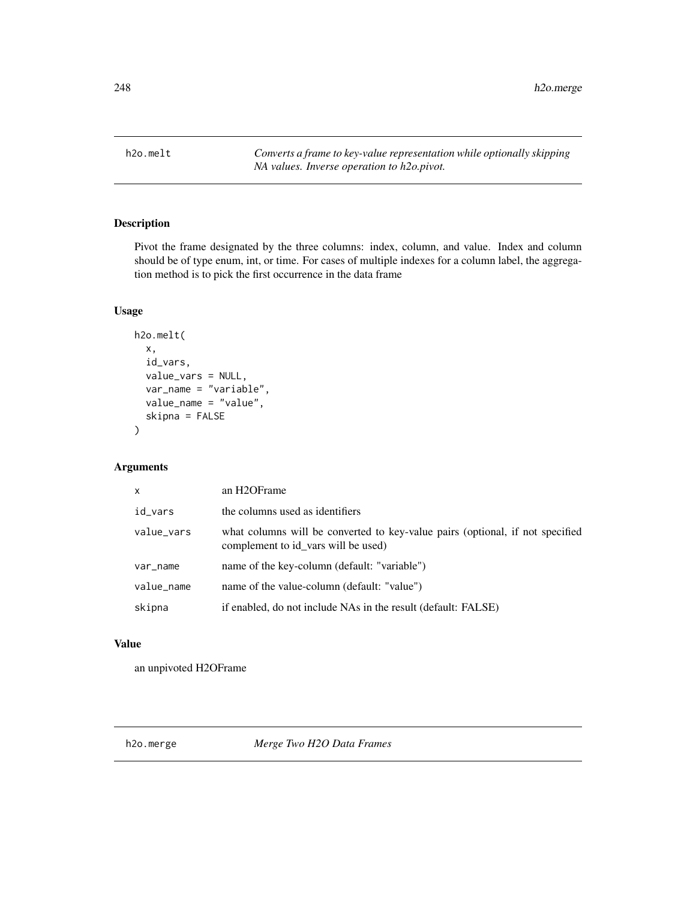h2o.melt *Converts a frame to key-value representation while optionally skipping NA values. Inverse operation to h2o.pivot.*

## Description

Pivot the frame designated by the three columns: index, column, and value. Index and column should be of type enum, int, or time. For cases of multiple indexes for a column label, the aggregation method is to pick the first occurrence in the data frame

## Usage

```
h2o.melt(
  x,
  id_vars,
  value_vars = NULL,
  var_name = "variable",
  value_name = "value",
  skipna = FALSE
)
```
## Arguments

| $\mathsf{x}$ | an H <sub>2</sub> OF <sub>rame</sub>                                                                                 |
|--------------|----------------------------------------------------------------------------------------------------------------------|
| id vars      | the columns used as identifiers                                                                                      |
| value_vars   | what columns will be converted to key-value pairs (optional, if not specified<br>complement to id vars will be used) |
| var_name     | name of the key-column (default: "variable")                                                                         |
| value_name   | name of the value-column (default: "value")                                                                          |
| skipna       | if enabled, do not include NAs in the result (default: FALSE)                                                        |

# Value

an unpivoted H2OFrame

h2o.merge *Merge Two H2O Data Frames*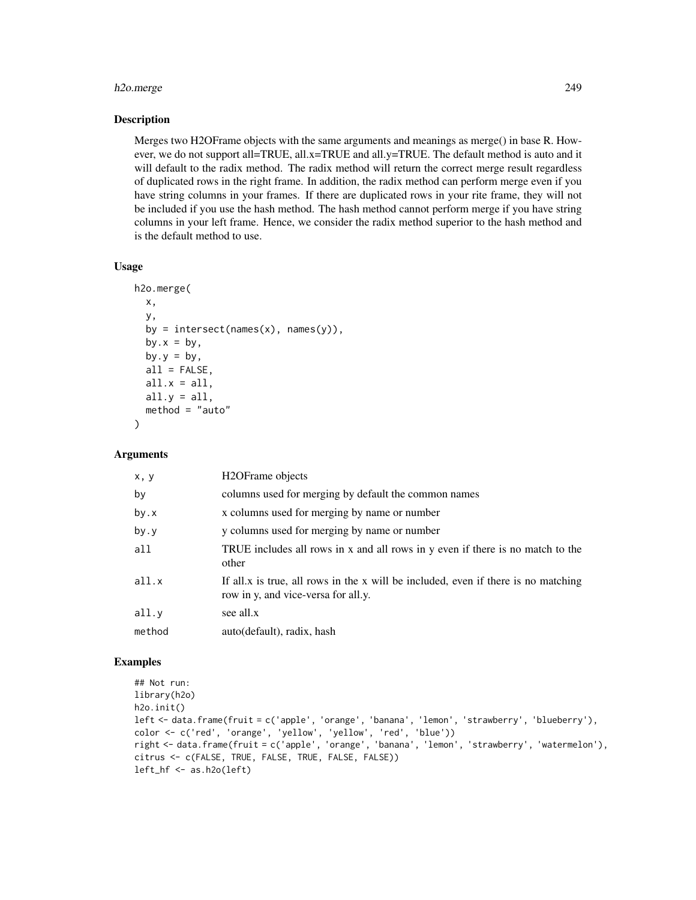## h2o.merge 249

#### **Description**

Merges two H2OFrame objects with the same arguments and meanings as merge() in base R. However, we do not support all=TRUE, all.x=TRUE and all.y=TRUE. The default method is auto and it will default to the radix method. The radix method will return the correct merge result regardless of duplicated rows in the right frame. In addition, the radix method can perform merge even if you have string columns in your frames. If there are duplicated rows in your rite frame, they will not be included if you use the hash method. The hash method cannot perform merge if you have string columns in your left frame. Hence, we consider the radix method superior to the hash method and is the default method to use.

#### Usage

```
h2o.merge(
 x,
 y,
 by = intersect(names(x), names(y)),
 by.x = by,
 by.y = by,
 all = FALSE,
 all.x = all,all.y = a11,
 method = "auto")
```
#### Arguments

| x, y   | H <sub>2</sub> OFrame objects                                                                                             |
|--------|---------------------------------------------------------------------------------------------------------------------------|
| by     | columns used for merging by default the common names                                                                      |
| by.x   | x columns used for merging by name or number                                                                              |
| by.y   | y columns used for merging by name or number                                                                              |
| all    | TRUE includes all rows in x and all rows in y even if there is no match to the<br>other                                   |
| all.x  | If all x is true, all rows in the x will be included, even if there is no matching<br>row in y, and vice-versa for all.y. |
| all.y  | see all.x                                                                                                                 |
| method | auto(default), radix, hash                                                                                                |

## Examples

```
## Not run:
library(h2o)
h2o.init()
left <- data.frame(fruit = c('apple', 'orange', 'banana', 'lemon', 'strawberry', 'blueberry'),
color <- c('red', 'orange', 'yellow', 'yellow', 'red', 'blue'))
right <- data.frame(fruit = c('apple', 'orange', 'banana', 'lemon', 'strawberry', 'watermelon'),
citrus <- c(FALSE, TRUE, FALSE, TRUE, FALSE, FALSE))
left_hf <- as.h2o(left)
```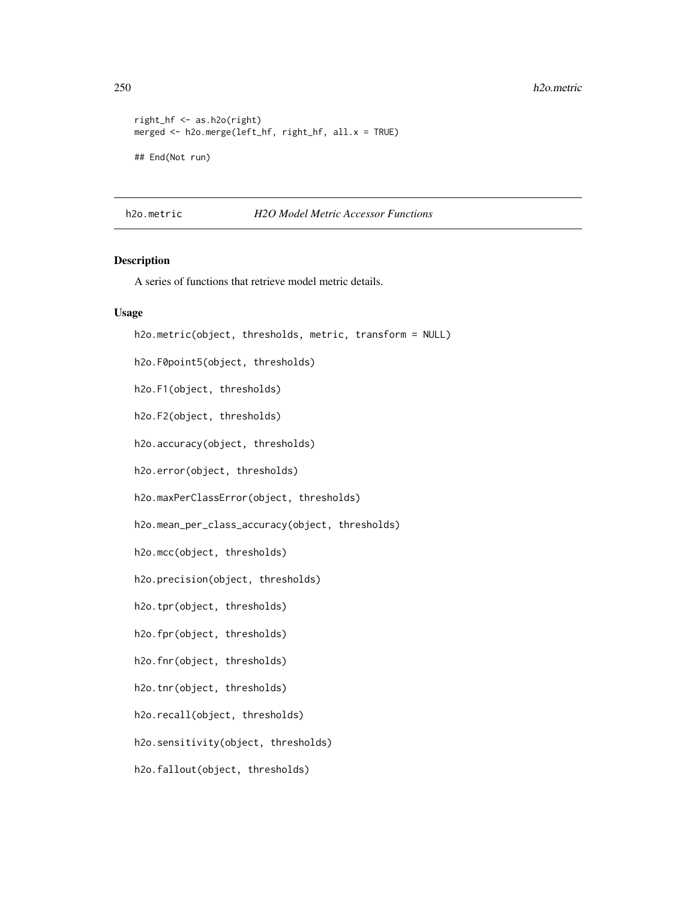```
right_hf <- as.h2o(right)
merged <- h2o.merge(left_hf, right_hf, all.x = TRUE)
## End(Not run)
```
<span id="page-249-0"></span>h2o.metric *H2O Model Metric Accessor Functions*

#### Description

A series of functions that retrieve model metric details.

#### Usage

```
h2o.metric(object, thresholds, metric, transform = NULL)
h2o.F0point5(object, thresholds)
h2o.F1(object, thresholds)
h2o.F2(object, thresholds)
h2o.accuracy(object, thresholds)
h2o.error(object, thresholds)
h2o.maxPerClassError(object, thresholds)
h2o.mean_per_class_accuracy(object, thresholds)
h2o.mcc(object, thresholds)
h2o.precision(object, thresholds)
h2o.tpr(object, thresholds)
h2o.fpr(object, thresholds)
h2o.fnr(object, thresholds)
h2o.tnr(object, thresholds)
h2o.recall(object, thresholds)
h2o.sensitivity(object, thresholds)
h2o.fallout(object, thresholds)
```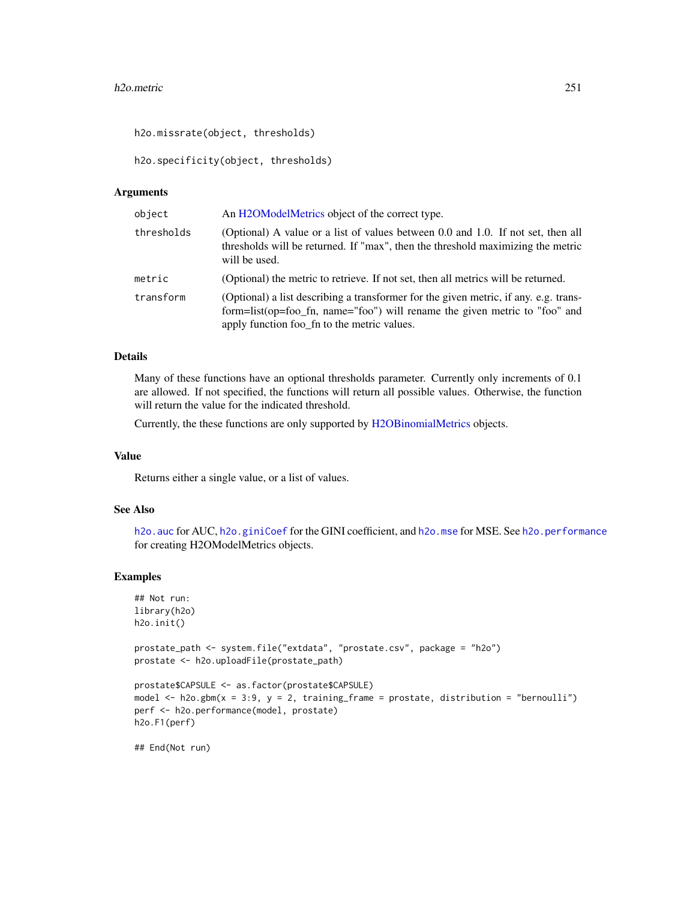#### h2o.metric 251

h2o.missrate(object, thresholds)

h2o.specificity(object, thresholds)

#### Arguments

| object     | An H2OModelMetrics object of the correct type.                                                                                                                                                                    |
|------------|-------------------------------------------------------------------------------------------------------------------------------------------------------------------------------------------------------------------|
| thresholds | (Optional) A value or a list of values between 0.0 and 1.0. If not set, then all<br>thresholds will be returned. If "max", then the threshold maximizing the metric<br>will be used.                              |
| metric     | (Optional) the metric to retrieve. If not set, then all metrics will be returned.                                                                                                                                 |
| transform  | (Optional) a list describing a transformer for the given metric, if any. e.g. trans-<br>form=list(op=foo_fn, name="foo") will rename the given metric to "foo" and<br>apply function foo_fn to the metric values. |

## Details

Many of these functions have an optional thresholds parameter. Currently only increments of 0.1 are allowed. If not specified, the functions will return all possible values. Otherwise, the function will return the value for the indicated threshold.

Currently, the these functions are only supported by [H2OBinomialMetrics](#page-416-1) objects.

#### Value

Returns either a single value, or a list of values.

#### See Also

h2o. auc for AUC, [h2o.giniCoef](#page-173-0) for the GINI coefficient, and [h2o.mse](#page-263-0) for MSE. See [h2o.performance](#page-287-0) for creating H2OModelMetrics objects.

#### Examples

```
## Not run:
library(h2o)
h2o.init()
prostate_path <- system.file("extdata", "prostate.csv", package = "h2o")
prostate <- h2o.uploadFile(prostate_path)
prostate$CAPSULE <- as.factor(prostate$CAPSULE)
model \leq h2o.gbm(x = 3:9, y = 2, training_frame = prostate, distribution = "bernoulli")
perf <- h2o.performance(model, prostate)
h2o.F1(perf)
```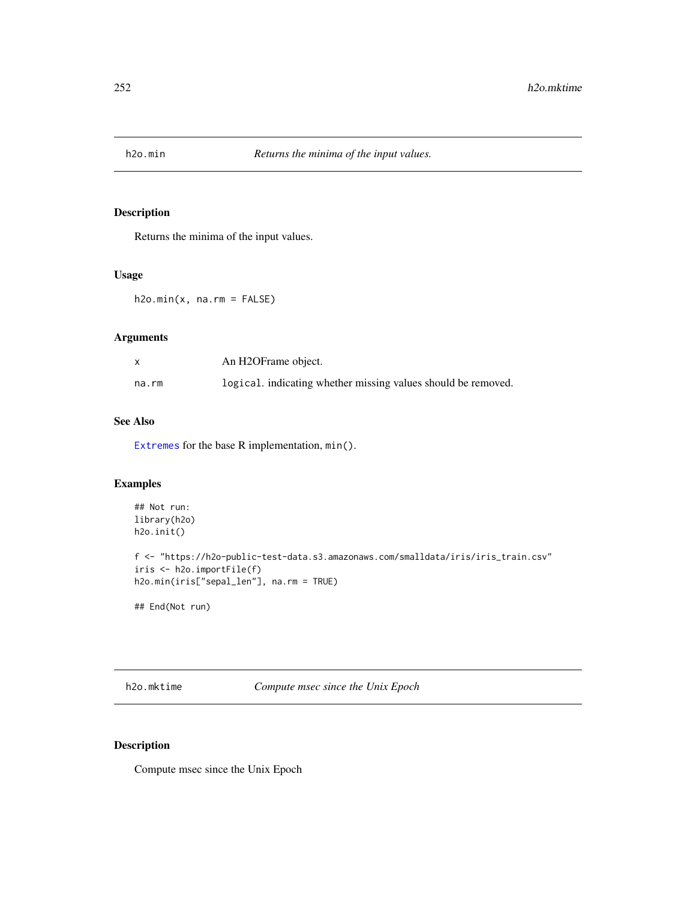Returns the minima of the input values.

# Usage

 $h2o.min(x, na.rm = FALSE)$ 

# Arguments

|       | An H2OFrame object.                                           |
|-------|---------------------------------------------------------------|
| na.rm | logical, indicating whether missing values should be removed. |

## See Also

[Extremes](#page-0-0) for the base R implementation, min().

## Examples

```
## Not run:
library(h2o)
h2o.init()
f <- "https://h2o-public-test-data.s3.amazonaws.com/smalldata/iris/iris_train.csv"
iris <- h2o.importFile(f)
h2o.min(iris["sepal_len"], na.rm = TRUE)
```
## End(Not run)

h2o.mktime *Compute msec since the Unix Epoch*

# Description

Compute msec since the Unix Epoch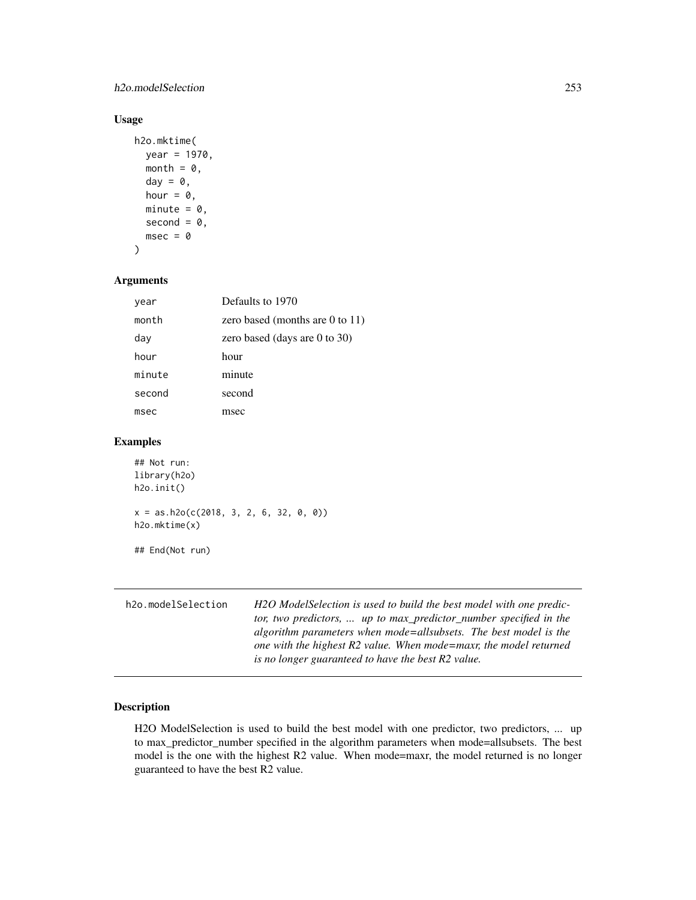#### h2o.modelSelection 253

# Usage

```
h2o.mktime(
  year = 1970,
  month = \theta,
  day = \theta,
  hour = \theta,
  minute = 0,
  second = 0,msec = 0)
```
## Arguments

| year   | Defaults to 1970                   |
|--------|------------------------------------|
| month  | zero based (months are 0 to 11)    |
| day    | zero based (days are $0$ to $30$ ) |
| hour   | hour                               |
| minute | minute                             |
| second | second                             |
| msec   | msec                               |

## Examples

```
## Not run:
library(h2o)
h2o.init()
x = as.h2o(c(2018, 3, 2, 6, 32, 0, 0))h2o.mktime(x)
## End(Not run)
```

| h2o.modelSelection | H2O ModelSelection is used to build the best model with one predic- |
|--------------------|---------------------------------------------------------------------|
|                    | tor, two predictors,  up to max_predictor_number specified in the   |
|                    | algorithm parameters when mode=allsubsets. The best model is the    |
|                    | one with the highest R2 value. When mode=maxr, the model returned   |
|                    | is no longer guaranteed to have the best R2 value.                  |

# Description

H2O ModelSelection is used to build the best model with one predictor, two predictors, ... up to max\_predictor\_number specified in the algorithm parameters when mode=allsubsets. The best model is the one with the highest R2 value. When mode=maxr, the model returned is no longer guaranteed to have the best R2 value.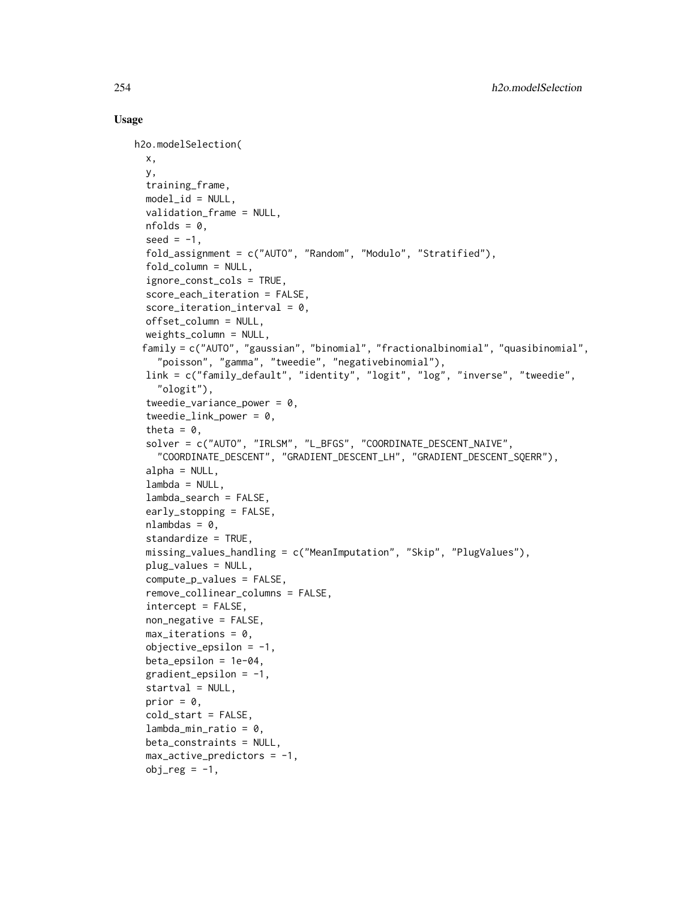```
h2o.modelSelection(
  x,
  y,
  training_frame,
  model_id = NULL,validation_frame = NULL,
  nfolds = 0,
  seed = -1,
  fold_assignment = c("AUTO", "Random", "Modulo", "Stratified"),
  fold_column = NULL,
  ignore_const_cols = TRUE,
  score_each_iteration = FALSE,
  score\_iteration\_interval = 0,
  offset_column = NULL,
  weights_column = NULL,
 family = c("AUTO", "gaussian", "binomial", "fractionalbinomial", "quasibinomial",
    "poisson", "gamma", "tweedie", "negativebinomial"),
  link = c("family_default", "identity", "logit", "log", "inverse", "tweedie",
    "ologit"),
  tweedie_variance_power = 0,
  tweedie_link_power = 0,
  theta = \theta,
  solver = c("AUTO", "IRLSM", "L_BFGS", "COORDINATE_DESCENT_NAIVE",
    "COORDINATE_DESCENT", "GRADIENT_DESCENT_LH", "GRADIENT_DESCENT_SQERR"),
  alpha = NULL,lambda = NULL,lambda_search = FALSE,
  early_stopping = FALSE,
  nlambdas = 0,
  standardize = TRUE,
  missing_values_handling = c("MeanImputation", "Skip", "PlugValues"),
  plug_values = NULL,
  compute_p_values = FALSE,
  remove_collinear_columns = FALSE,
  intercept = FALSE,
  non_negative = FALSE,
  max\_iterations = 0,
  objective_epsilonion = -1,
  beta_epsilon = 1e-04,
  gradient_epsilonion = -1,
  startval = NULL,
  prior = \theta,
  cold_start = FALSE,
  lambda_min_ratio = 0,
  beta_constraints = NULL,
  max_active_predictors = -1,obj_{reg} = -1,
```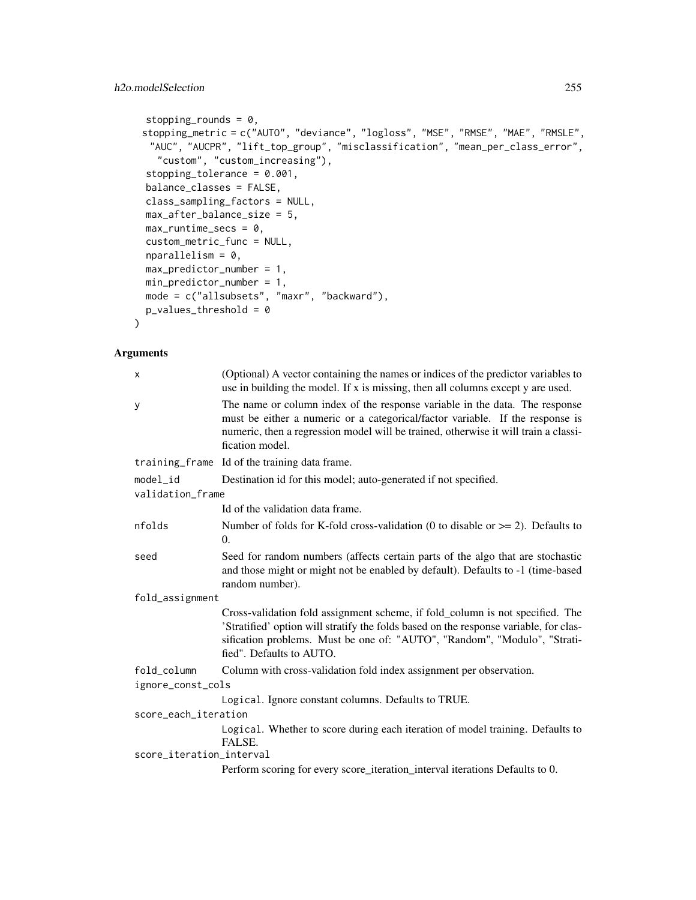```
stopping_rounds = 0,
stopping_metric = c("AUTO", "deviance", "logloss", "MSE", "RMSE", "MAE", "RMSLE",
 "AUC", "AUCPR", "lift_top_group", "misclassification", "mean_per_class_error",
  "custom", "custom_increasing"),
stopping_tolerance = 0.001,
balance_classes = FALSE,
class_sampling_factors = NULL,
max_after_balance_size = 5,
max_runtime_secs = 0,
custom_metric_func = NULL,
nparallelim = 0,
max_predictor_number = 1,
min_predictor_number = 1,
mode = c("allsubsets", "maxr", "backward"),
p_values_threshold = 0
```
)

| X                        | (Optional) A vector containing the names or indices of the predictor variables to<br>use in building the model. If x is missing, then all columns except y are used.                                                                                                            |  |
|--------------------------|---------------------------------------------------------------------------------------------------------------------------------------------------------------------------------------------------------------------------------------------------------------------------------|--|
| У                        | The name or column index of the response variable in the data. The response<br>must be either a numeric or a categorical/factor variable. If the response is<br>numeric, then a regression model will be trained, otherwise it will train a classi-<br>fication model.          |  |
|                          | training_frame Id of the training data frame.                                                                                                                                                                                                                                   |  |
| model_id                 | Destination id for this model; auto-generated if not specified.                                                                                                                                                                                                                 |  |
| validation_frame         |                                                                                                                                                                                                                                                                                 |  |
|                          | Id of the validation data frame.                                                                                                                                                                                                                                                |  |
| nfolds                   | Number of folds for K-fold cross-validation (0 to disable or $\ge$ = 2). Defaults to<br>$\Omega$ .                                                                                                                                                                              |  |
| seed                     | Seed for random numbers (affects certain parts of the algo that are stochastic<br>and those might or might not be enabled by default). Defaults to -1 (time-based<br>random number).                                                                                            |  |
| fold_assignment          |                                                                                                                                                                                                                                                                                 |  |
|                          | Cross-validation fold assignment scheme, if fold_column is not specified. The<br>'Stratified' option will stratify the folds based on the response variable, for clas-<br>sification problems. Must be one of: "AUTO", "Random", "Modulo", "Strati-<br>fied". Defaults to AUTO. |  |
| fold_column              | Column with cross-validation fold index assignment per observation.                                                                                                                                                                                                             |  |
| ignore_const_cols        |                                                                                                                                                                                                                                                                                 |  |
|                          | Logical. Ignore constant columns. Defaults to TRUE.                                                                                                                                                                                                                             |  |
| score_each_iteration     |                                                                                                                                                                                                                                                                                 |  |
|                          | Logical. Whether to score during each iteration of model training. Defaults to<br>FALSE.                                                                                                                                                                                        |  |
| score_iteration_interval |                                                                                                                                                                                                                                                                                 |  |
|                          | Perform scoring for every score_iteration_interval iterations Defaults to 0.                                                                                                                                                                                                    |  |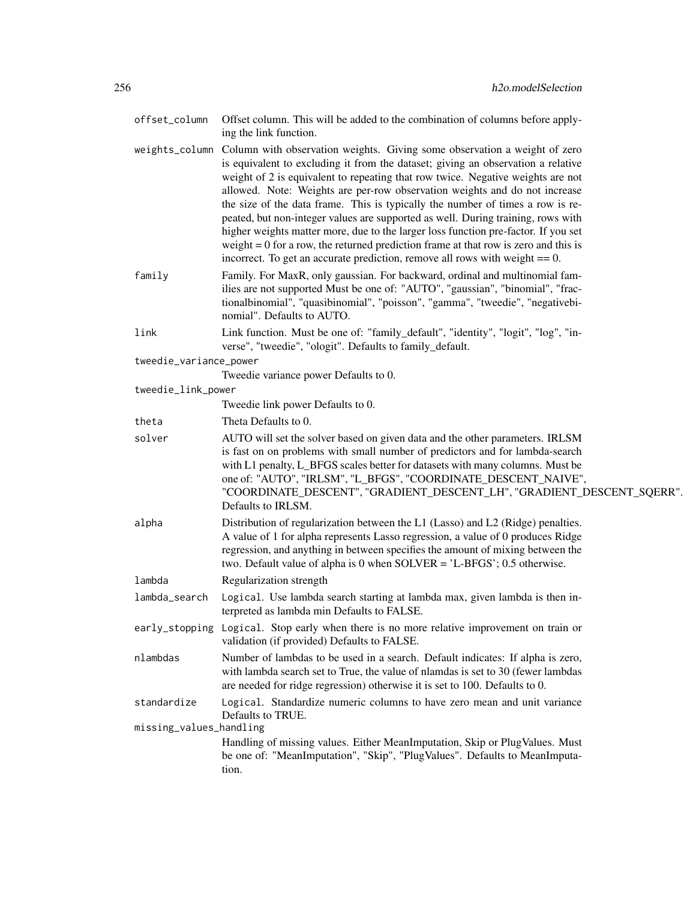| offset_column           | Offset column. This will be added to the combination of columns before apply-<br>ing the link function.                                                                                                                                                                                                                                                                                                                                                                                                                                                                                                                                                                                                                                                                              |
|-------------------------|--------------------------------------------------------------------------------------------------------------------------------------------------------------------------------------------------------------------------------------------------------------------------------------------------------------------------------------------------------------------------------------------------------------------------------------------------------------------------------------------------------------------------------------------------------------------------------------------------------------------------------------------------------------------------------------------------------------------------------------------------------------------------------------|
|                         | weights_column Column with observation weights. Giving some observation a weight of zero<br>is equivalent to excluding it from the dataset; giving an observation a relative<br>weight of 2 is equivalent to repeating that row twice. Negative weights are not<br>allowed. Note: Weights are per-row observation weights and do not increase<br>the size of the data frame. This is typically the number of times a row is re-<br>peated, but non-integer values are supported as well. During training, rows with<br>higher weights matter more, due to the larger loss function pre-factor. If you set<br>weight $= 0$ for a row, the returned prediction frame at that row is zero and this is<br>incorrect. To get an accurate prediction, remove all rows with weight $== 0$ . |
| family                  | Family. For MaxR, only gaussian. For backward, ordinal and multinomial fam-<br>ilies are not supported Must be one of: "AUTO", "gaussian", "binomial", "frac-<br>tionalbinomial", "quasibinomial", "poisson", "gamma", "tweedie", "negativebi-<br>nomial". Defaults to AUTO.                                                                                                                                                                                                                                                                                                                                                                                                                                                                                                         |
| link                    | Link function. Must be one of: "family_default", "identity", "logit", "log", "in-<br>verse", "tweedie", "ologit". Defaults to family_default.                                                                                                                                                                                                                                                                                                                                                                                                                                                                                                                                                                                                                                        |
| tweedie_variance_power  |                                                                                                                                                                                                                                                                                                                                                                                                                                                                                                                                                                                                                                                                                                                                                                                      |
|                         | Tweedie variance power Defaults to 0.                                                                                                                                                                                                                                                                                                                                                                                                                                                                                                                                                                                                                                                                                                                                                |
| tweedie_link_power      | Tweedie link power Defaults to 0.                                                                                                                                                                                                                                                                                                                                                                                                                                                                                                                                                                                                                                                                                                                                                    |
| theta                   | Theta Defaults to 0.                                                                                                                                                                                                                                                                                                                                                                                                                                                                                                                                                                                                                                                                                                                                                                 |
| solver                  | AUTO will set the solver based on given data and the other parameters. IRLSM<br>is fast on on problems with small number of predictors and for lambda-search<br>with L1 penalty, L_BFGS scales better for datasets with many columns. Must be<br>one of: "AUTO", "IRLSM", "L_BFGS", "COORDINATE_DESCENT_NAIVE",<br>"COORDINATE_DESCENT", "GRADIENT_DESCENT_LH", "GRADIENT_DESCENT_SQERR".<br>Defaults to IRLSM.                                                                                                                                                                                                                                                                                                                                                                      |
| alpha                   | Distribution of regularization between the L1 (Lasso) and L2 (Ridge) penalties.<br>A value of 1 for alpha represents Lasso regression, a value of 0 produces Ridge<br>regression, and anything in between specifies the amount of mixing between the<br>two. Default value of alpha is 0 when $SOLVER = 'L-BFGS'; 0.5$ otherwise.                                                                                                                                                                                                                                                                                                                                                                                                                                                    |
| lambda                  | Regularization strength                                                                                                                                                                                                                                                                                                                                                                                                                                                                                                                                                                                                                                                                                                                                                              |
| lambda_search           | Logical. Use lambda search starting at lambda max, given lambda is then in-<br>terpreted as lambda min Defaults to FALSE.                                                                                                                                                                                                                                                                                                                                                                                                                                                                                                                                                                                                                                                            |
|                         | early_stopping Logical. Stop early when there is no more relative improvement on train or<br>validation (if provided) Defaults to FALSE.                                                                                                                                                                                                                                                                                                                                                                                                                                                                                                                                                                                                                                             |
| nlambdas                | Number of lambdas to be used in a search. Default indicates: If alpha is zero,<br>with lambda search set to True, the value of nlamdas is set to 30 (fewer lambdas<br>are needed for ridge regression) otherwise it is set to 100. Defaults to 0.                                                                                                                                                                                                                                                                                                                                                                                                                                                                                                                                    |
| standardize             | Logical. Standardize numeric columns to have zero mean and unit variance<br>Defaults to TRUE.                                                                                                                                                                                                                                                                                                                                                                                                                                                                                                                                                                                                                                                                                        |
| missing_values_handling | Handling of missing values. Either MeanImputation, Skip or PlugValues. Must<br>be one of: "MeanImputation", "Skip", "PlugValues". Defaults to MeanImputa-<br>tion.                                                                                                                                                                                                                                                                                                                                                                                                                                                                                                                                                                                                                   |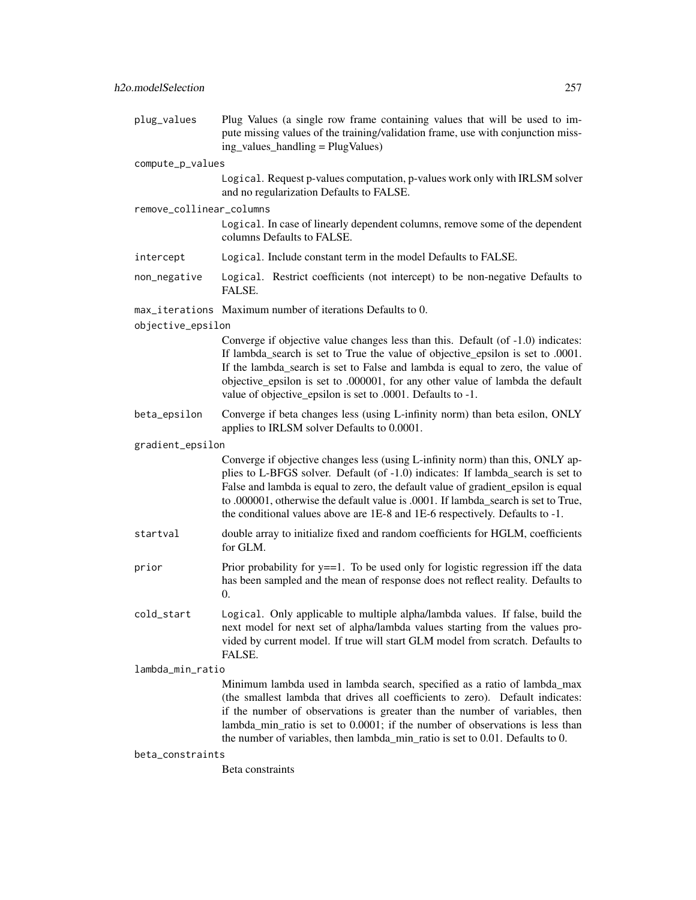plug\_values Plug Values (a single row frame containing values that will be used to impute missing values of the training/validation frame, use with conjunction missing values handling  $=$  PlugValues) compute\_p\_values Logical. Request p-values computation, p-values work only with IRLSM solver and no regularization Defaults to FALSE. remove\_collinear\_columns Logical. In case of linearly dependent columns, remove some of the dependent columns Defaults to FALSE. intercept Logical. Include constant term in the model Defaults to FALSE. non\_negative Logical. Restrict coefficients (not intercept) to be non-negative Defaults to FALSE. max\_iterations Maximum number of iterations Defaults to 0. objective\_epsilon Converge if objective value changes less than this. Default (of -1.0) indicates: If lambda\_search is set to True the value of objective\_epsilon is set to .0001. If the lambda\_search is set to False and lambda is equal to zero, the value of objective\_epsilon is set to .000001, for any other value of lambda the default value of objective\_epsilon is set to .0001. Defaults to -1. beta\_epsilon Converge if beta changes less (using L-infinity norm) than beta esilon, ONLY applies to IRLSM solver Defaults to 0.0001. gradient\_epsilon Converge if objective changes less (using L-infinity norm) than this, ONLY applies to L-BFGS solver. Default (of -1.0) indicates: If lambda\_search is set to False and lambda is equal to zero, the default value of gradient\_epsilon is equal to .000001, otherwise the default value is .0001. If lambda\_search is set to True, the conditional values above are 1E-8 and 1E-6 respectively. Defaults to -1. startval double array to initialize fixed and random coefficients for HGLM, coefficients for GLM. prior Prior probability for  $y = 1$ . To be used only for logistic regression iff the data has been sampled and the mean of response does not reflect reality. Defaults to 0. cold\_start Logical. Only applicable to multiple alpha/lambda values. If false, build the next model for next set of alpha/lambda values starting from the values provided by current model. If true will start GLM model from scratch. Defaults to FALSE. lambda\_min\_ratio Minimum lambda used in lambda search, specified as a ratio of lambda\_max (the smallest lambda that drives all coefficients to zero). Default indicates: if the number of observations is greater than the number of variables, then lambda\_min\_ratio is set to 0.0001; if the number of observations is less than the number of variables, then lambda\_min\_ratio is set to 0.01. Defaults to 0. beta\_constraints

Beta constraints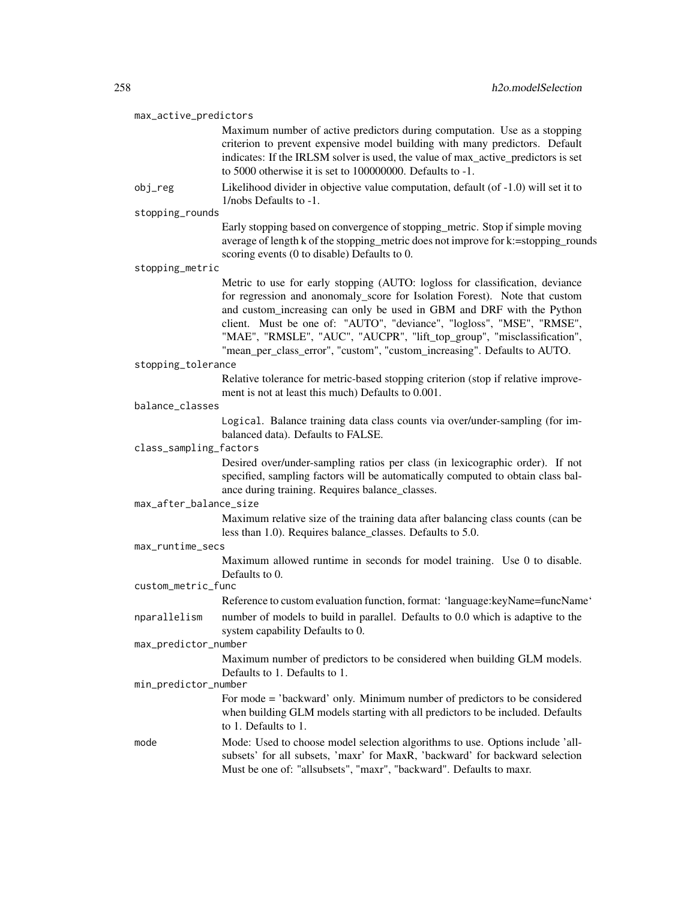#### max\_active\_predictors

Maximum number of active predictors during computation. Use as a stopping criterion to prevent expensive model building with many predictors. Default indicates: If the IRLSM solver is used, the value of max\_active\_predictors is set to 5000 otherwise it is set to 100000000. Defaults to -1.

obj\_reg Likelihood divider in objective value computation, default (of -1.0) will set it to 1/nobs Defaults to -1.

stopping\_rounds

Early stopping based on convergence of stopping\_metric. Stop if simple moving average of length k of the stopping\_metric does not improve for k:=stopping\_rounds scoring events (0 to disable) Defaults to 0.

stopping\_metric

Metric to use for early stopping (AUTO: logloss for classification, deviance for regression and anonomaly\_score for Isolation Forest). Note that custom and custom\_increasing can only be used in GBM and DRF with the Python client. Must be one of: "AUTO", "deviance", "logloss", "MSE", "RMSE", "MAE", "RMSLE", "AUC", "AUCPR", "lift\_top\_group", "misclassification", "mean\_per\_class\_error", "custom", "custom\_increasing". Defaults to AUTO.

```
stopping_tolerance
```
Relative tolerance for metric-based stopping criterion (stop if relative improvement is not at least this much) Defaults to 0.001.

balance\_classes

Logical. Balance training data class counts via over/under-sampling (for imbalanced data). Defaults to FALSE.

#### class\_sampling\_factors

Desired over/under-sampling ratios per class (in lexicographic order). If not specified, sampling factors will be automatically computed to obtain class balance during training. Requires balance\_classes.

max\_after\_balance\_size

Maximum relative size of the training data after balancing class counts (can be less than 1.0). Requires balance\_classes. Defaults to 5.0.

max\_runtime\_secs

Maximum allowed runtime in seconds for model training. Use 0 to disable. Defaults to 0.

## custom\_metric\_func

Reference to custom evaluation function, format: 'language:keyName=funcName'

nparallelism number of models to build in parallel. Defaults to 0.0 which is adaptive to the system capability Defaults to 0.

#### max\_predictor\_number

Maximum number of predictors to be considered when building GLM models. Defaults to 1. Defaults to 1.

#### min\_predictor\_number

For mode = 'backward' only. Minimum number of predictors to be considered when building GLM models starting with all predictors to be included. Defaults to 1. Defaults to 1.

mode Mode: Used to choose model selection algorithms to use. Options include 'allsubsets' for all subsets, 'maxr' for MaxR, 'backward' for backward selection Must be one of: "allsubsets", "maxr", "backward". Defaults to maxr.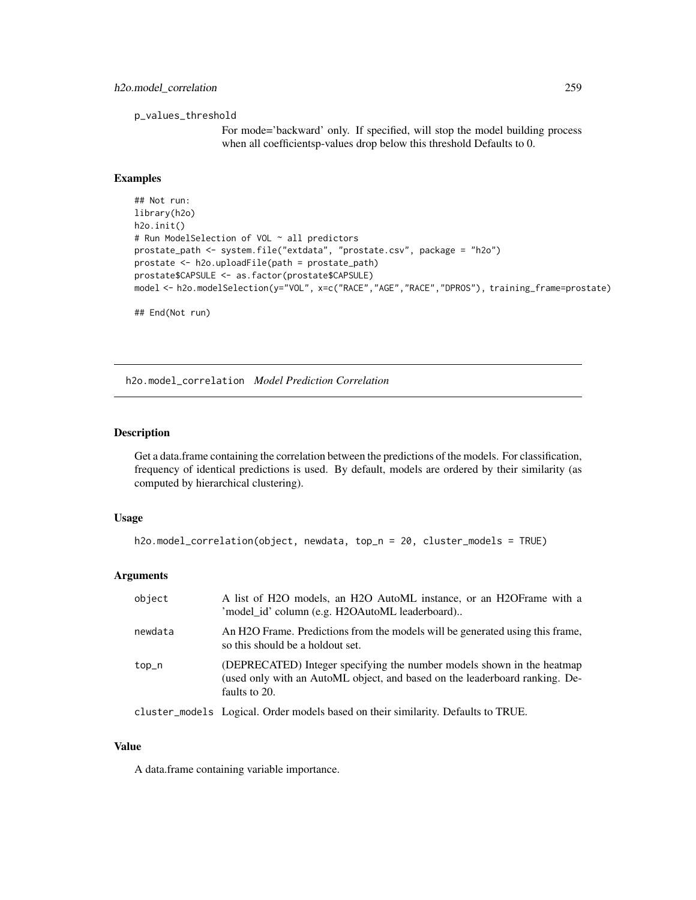p\_values\_threshold

For mode='backward' only. If specified, will stop the model building process when all coefficientsp-values drop below this threshold Defaults to 0.

#### Examples

```
## Not run:
library(h2o)
h2o.init()
# Run ModelSelection of VOL ~ all predictors
prostate_path <- system.file("extdata", "prostate.csv", package = "h2o")
prostate <- h2o.uploadFile(path = prostate_path)
prostate$CAPSULE <- as.factor(prostate$CAPSULE)
model <- h2o.modelSelection(y="VOL", x=c("RACE","AGE","RACE","DPROS"), training_frame=prostate)
```
## End(Not run)

h2o.model\_correlation *Model Prediction Correlation*

#### Description

Get a data.frame containing the correlation between the predictions of the models. For classification, frequency of identical predictions is used. By default, models are ordered by their similarity (as computed by hierarchical clustering).

#### Usage

```
h2o.model_correlation(object, newdata, top_n = 20, cluster_models = TRUE)
```
#### Arguments

| object  | A list of H2O models, an H2O AutoML instance, or an H2OFrame with a<br>'model_id' column (e.g. H2OAutoML leaderboard)                                                  |
|---------|------------------------------------------------------------------------------------------------------------------------------------------------------------------------|
| newdata | An H <sub>2</sub> O Frame. Predictions from the models will be generated using this frame,<br>so this should be a holdout set.                                         |
| top_n   | (DEPRECATED) Integer specifying the number models shown in the heatmap<br>(used only with an AutoML object, and based on the leaderboard ranking. De-<br>faults to 20. |

cluster\_models Logical. Order models based on their similarity. Defaults to TRUE.

#### Value

A data.frame containing variable importance.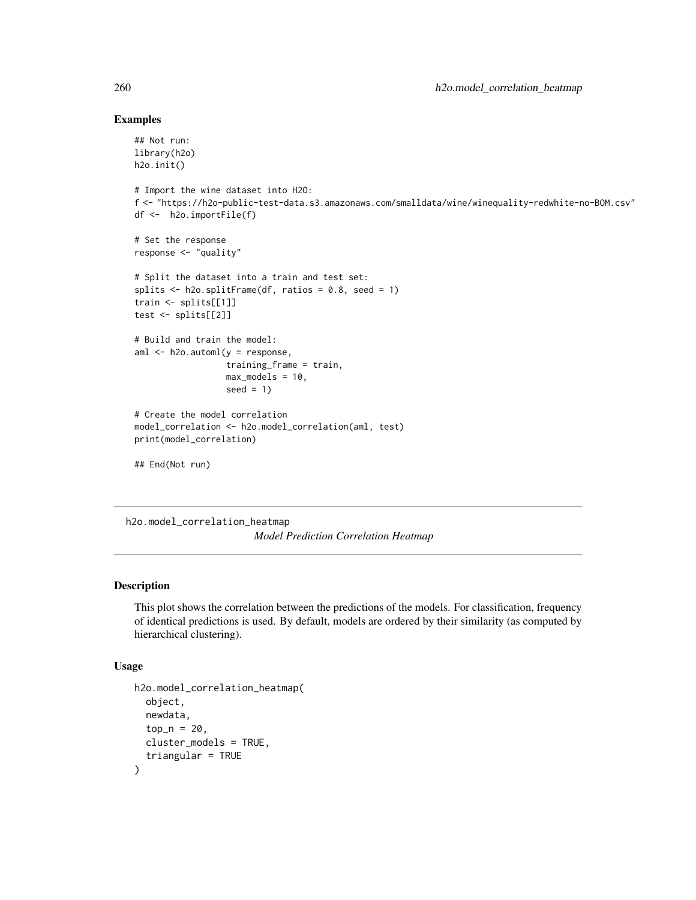#### Examples

```
## Not run:
library(h2o)
h2o.init()
# Import the wine dataset into H2O:
f <- "https://h2o-public-test-data.s3.amazonaws.com/smalldata/wine/winequality-redwhite-no-BOM.csv"
df <- h2o.importFile(f)
# Set the response
response <- "quality"
# Split the dataset into a train and test set:
splits \le h2o.splitFrame(df, ratios = 0.8, seed = 1)
train <- splits[[1]]
test <- splits[[2]]
# Build and train the model:
aml <- h2o.automl(y = response,
                  training_frame = train,
                  max_models = 10,
                  seed = 1)
# Create the model correlation
model_correlation <- h2o.model_correlation(aml, test)
print(model_correlation)
## End(Not run)
```
h2o.model\_correlation\_heatmap *Model Prediction Correlation Heatmap*

#### Description

This plot shows the correlation between the predictions of the models. For classification, frequency of identical predictions is used. By default, models are ordered by their similarity (as computed by hierarchical clustering).

```
h2o.model_correlation_heatmap(
  object,
  newdata,
  top_n = 20,
  cluster_models = TRUE,
  triangular = TRUE
)
```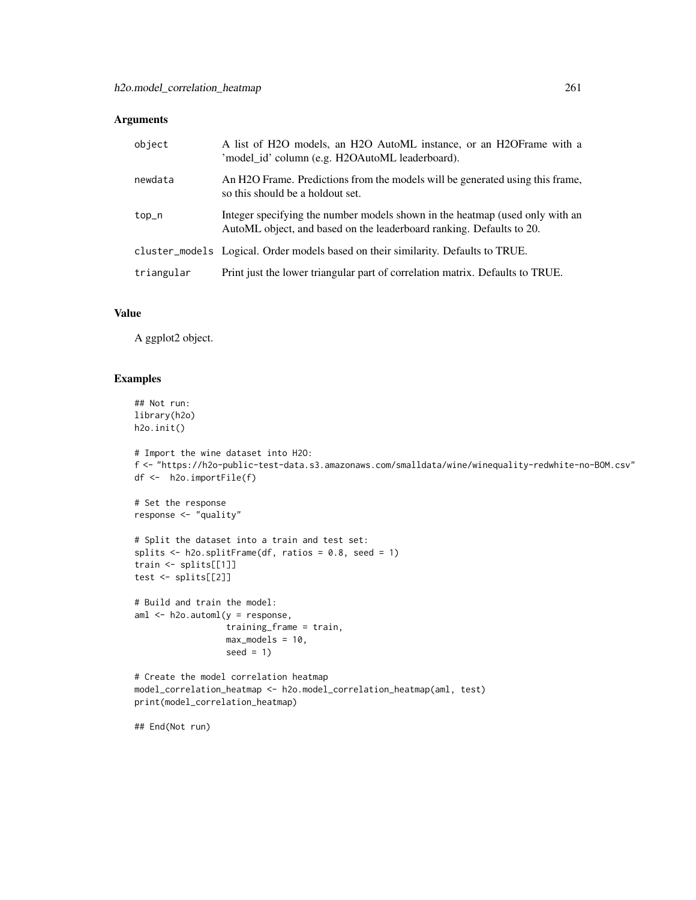| object     | A list of H2O models, an H2O AutoML instance, or an H2OFrame with a<br>'model_id' column (e.g. H2OAutoML leaderboard).                               |
|------------|------------------------------------------------------------------------------------------------------------------------------------------------------|
| newdata    | An H2O Frame. Predictions from the models will be generated using this frame,<br>so this should be a holdout set.                                    |
| top_n      | Integer specifying the number models shown in the heatmap (used only with an<br>AutoML object, and based on the leaderboard ranking. Defaults to 20. |
|            | cluster_models Logical. Order models based on their similarity. Defaults to TRUE.                                                                    |
| triangular | Print just the lower triangular part of correlation matrix. Defaults to TRUE.                                                                        |

# Value

A ggplot2 object.

## Examples

```
## Not run:
library(h2o)
h2o.init()
```

```
# Import the wine dataset into H2O:
f <- "https://h2o-public-test-data.s3.amazonaws.com/smalldata/wine/winequality-redwhite-no-BOM.csv"
df <- h2o.importFile(f)
```

```
# Set the response
response <- "quality"
```

```
# Split the dataset into a train and test set:
splits <- h2o.splitFrame(df, ratios = 0.8, seed = 1)
train <- splits[[1]]
test <- splits[[2]]
```

```
# Build and train the model:
aml \leq h2o.automl(y = response,
                  training_frame = train,
                  max_models = 10,
                  seed = 1)
```

```
# Create the model correlation heatmap
model_correlation_heatmap <- h2o.model_correlation_heatmap(aml, test)
print(model_correlation_heatmap)
```
## End(Not run)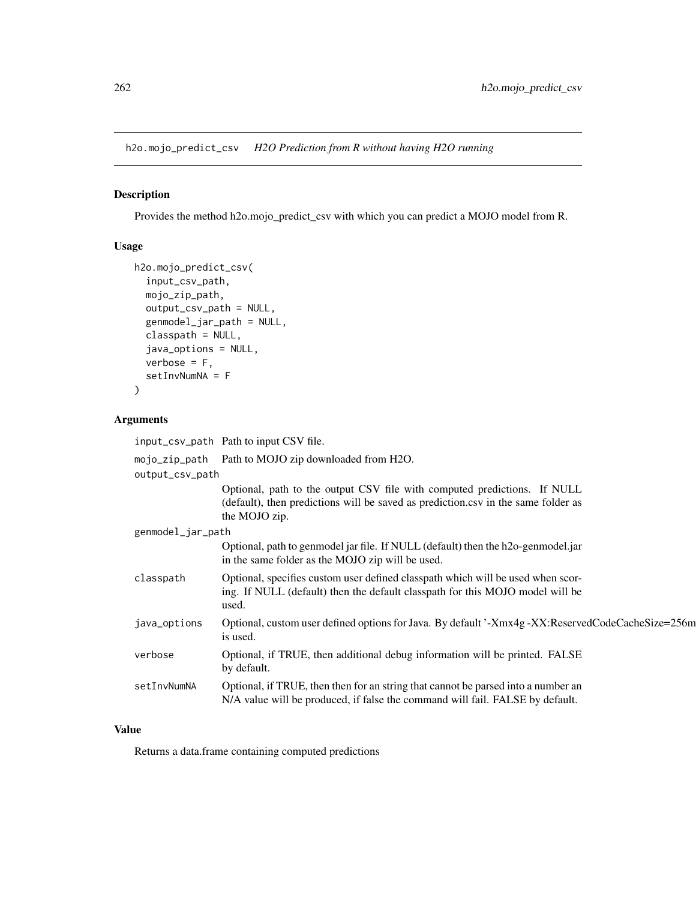h2o.mojo\_predict\_csv *H2O Prediction from R without having H2O running*

## Description

Provides the method h2o.mojo\_predict\_csv with which you can predict a MOJO model from R.

## Usage

```
h2o.mojo_predict_csv(
  input_csv_path,
 mojo_zip_path,
 output_csv_path = NULL,
 genmodel_jar_path = NULL,
  classpath = NULL,
  java_options = NULL,
  verbose = F,
  setInvNumNA = F
)
```
## Arguments

|                   | input_csv_path Path to input CSV file.                                                                                                                                         |  |
|-------------------|--------------------------------------------------------------------------------------------------------------------------------------------------------------------------------|--|
|                   | mojo_zip_path Path to MOJO zip downloaded from H2O.                                                                                                                            |  |
| output_csv_path   |                                                                                                                                                                                |  |
|                   | Optional, path to the output CSV file with computed predictions. If NULL<br>(default), then predictions will be saved as prediction.csv in the same folder as<br>the MOJO zip. |  |
| genmodel_jar_path |                                                                                                                                                                                |  |
|                   | Optional, path to genmodel jar file. If NULL (default) then the h2o-genmodel.jar<br>in the same folder as the MOJO zip will be used.                                           |  |
| classpath         | Optional, specifies custom user defined classpath which will be used when scor-<br>ing. If NULL (default) then the default classpath for this MOJO model will be<br>used.      |  |
| java_options      | Optional, custom user defined options for Java. By default '-Xmx4g -XX:ReservedCodeCacheSize=256m<br>is used.                                                                  |  |
| verbose           | Optional, if TRUE, then additional debug information will be printed. FALSE<br>by default.                                                                                     |  |
| setInvNumNA       | Optional, if TRUE, then then for an string that cannot be parsed into a number an<br>N/A value will be produced, if false the command will fail. FALSE by default.             |  |

## Value

Returns a data.frame containing computed predictions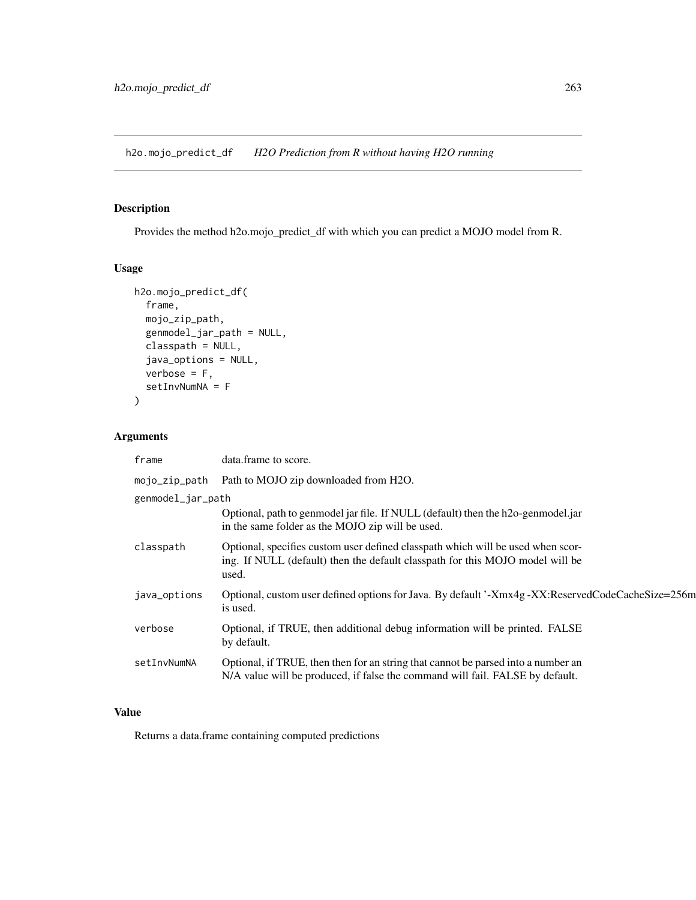h2o.mojo\_predict\_df *H2O Prediction from R without having H2O running*

# Description

Provides the method h2o.mojo\_predict\_df with which you can predict a MOJO model from R.

## Usage

```
h2o.mojo_predict_df(
  frame,
 mojo_zip_path,
  genmodel_jar_path = NULL,
 classpath = NULL,
  java_options = NULL,
  verbose = F,
  setInvNumNA = F
\mathcal{L}
```
## Arguments

| frame             | data.frame to score.                                                                                                                                                      |  |
|-------------------|---------------------------------------------------------------------------------------------------------------------------------------------------------------------------|--|
| mojo_zip_path     | Path to MOJO zip downloaded from H2O.                                                                                                                                     |  |
| genmodel_jar_path |                                                                                                                                                                           |  |
|                   | Optional, path to genmodel jar file. If NULL (default) then the h2o-genmodel.jar<br>in the same folder as the MOJO zip will be used.                                      |  |
| classpath         | Optional, specifies custom user defined classpath which will be used when scor-<br>ing. If NULL (default) then the default classpath for this MOJO model will be<br>used. |  |
| java_options      | Optional, custom user defined options for Java. By default '-Xmx4g -XX:ReservedCodeCacheSize=256m<br>is used.                                                             |  |
| verbose           | Optional, if TRUE, then additional debug information will be printed. FALSE<br>by default.                                                                                |  |
| setInvNumNA       | Optional, if TRUE, then then for an string that cannot be parsed into a number an<br>N/A value will be produced, if false the command will fail. FALSE by default.        |  |

# Value

Returns a data.frame containing computed predictions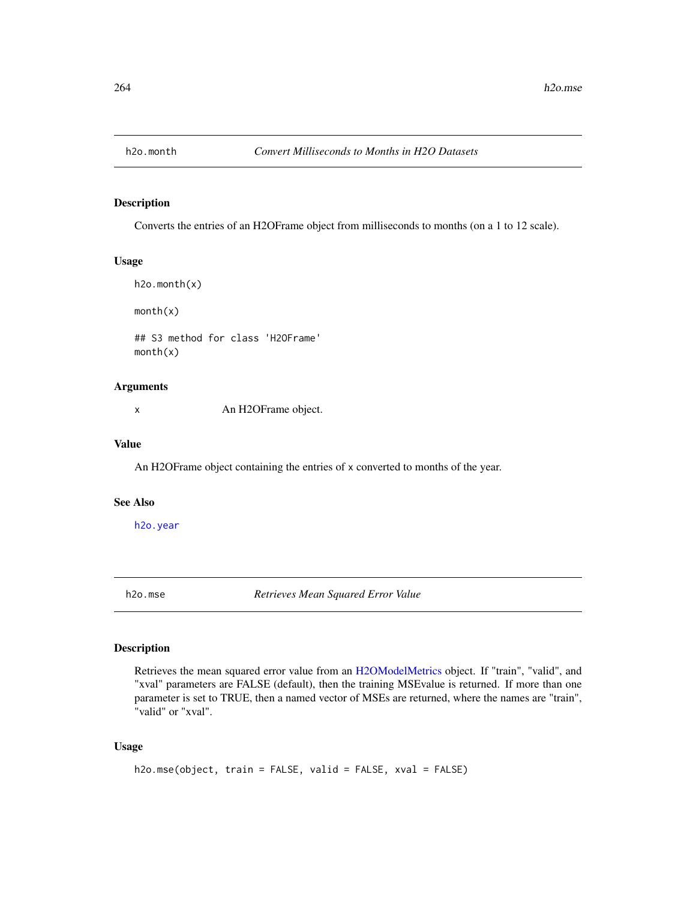#### Description

Converts the entries of an H2OFrame object from milliseconds to months (on a 1 to 12 scale).

## Usage

```
h2o.month(x)
month(x)
## S3 method for class 'H2OFrame'
month(x)
```
## Arguments

x An H2OFrame object.

## Value

An H2OFrame object containing the entries of x converted to months of the year.

#### See Also

[h2o.year](#page-407-0)

<span id="page-263-0"></span>h2o.mse *Retrieves Mean Squared Error Value*

#### Description

Retrieves the mean squared error value from an [H2OModelMetrics](#page-416-0) object. If "train", "valid", and "xval" parameters are FALSE (default), then the training MSEvalue is returned. If more than one parameter is set to TRUE, then a named vector of MSEs are returned, where the names are "train", "valid" or "xval".

```
h2o.mse(object, train = FALSE, valid = FALSE, xval = FALSE)
```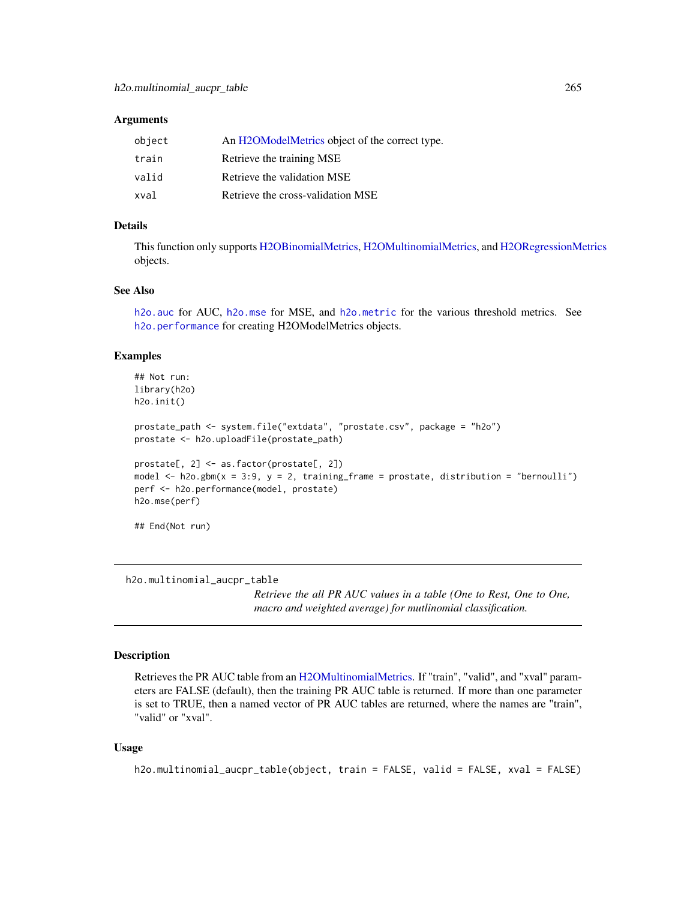| object | An H2OModelMetrics object of the correct type. |
|--------|------------------------------------------------|
| train  | Retrieve the training MSE                      |
| valid  | Retrieve the validation MSE                    |
| xval   | Retrieve the cross-validation MSE              |

### Details

This function only supports [H2OBinomialMetrics,](#page-416-1) [H2OMultinomialMetrics,](#page-416-1) and [H2ORegressionMetrics](#page-416-1) objects.

#### See Also

[h2o.auc](#page-69-0) for AUC, [h2o.mse](#page-263-0) for MSE, and [h2o.metric](#page-249-0) for the various threshold metrics. See [h2o.performance](#page-287-0) for creating H2OModelMetrics objects.

#### Examples

```
## Not run:
library(h2o)
h2o.init()
prostate_path <- system.file("extdata", "prostate.csv", package = "h2o")
prostate <- h2o.uploadFile(prostate_path)
prostate[, 2] <- as.factor(prostate[, 2])
model \leq h2o.gbm(x = 3:9, y = 2, training_frame = prostate, distribution = "bernoulli")
perf <- h2o.performance(model, prostate)
h2o.mse(perf)
## End(Not run)
```
h2o.multinomial\_aucpr\_table

*Retrieve the all PR AUC values in a table (One to Rest, One to One, macro and weighted average) for mutlinomial classification.*

## Description

Retrieves the PR AUC table from an [H2OMultinomialMetrics.](#page-416-1) If "train", "valid", and "xval" parameters are FALSE (default), then the training PR AUC table is returned. If more than one parameter is set to TRUE, then a named vector of PR AUC tables are returned, where the names are "train", "valid" or "xval".

```
h2o.multinomial_aucpr_table(object, train = FALSE, valid = FALSE, xval = FALSE)
```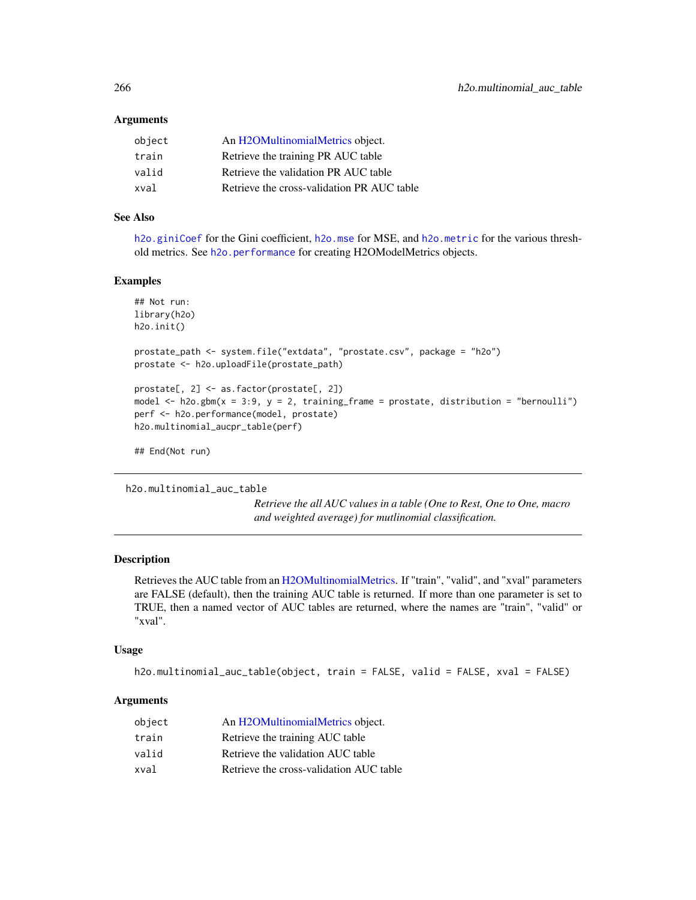| object | An H2OMultinomialMetrics object.           |
|--------|--------------------------------------------|
| train  | Retrieve the training PR AUC table         |
| valid  | Retrieve the validation PR AUC table       |
| xval   | Retrieve the cross-validation PR AUC table |

## See Also

[h2o.giniCoef](#page-173-0) for the Gini coefficient, [h2o.mse](#page-263-0) for MSE, and [h2o.metric](#page-249-0) for the various threshold metrics. See [h2o.performance](#page-287-0) for creating H2OModelMetrics objects.

#### Examples

```
## Not run:
library(h2o)
h2o.init()
prostate_path <- system.file("extdata", "prostate.csv", package = "h2o")
prostate <- h2o.uploadFile(prostate_path)
prostate[, 2] <- as.factor(prostate[, 2])
model \leq h2o.gbm(x = 3:9, y = 2, training_frame = prostate, distribution = "bernoulli")
perf <- h2o.performance(model, prostate)
h2o.multinomial_aucpr_table(perf)
```
## End(Not run)

```
h2o.multinomial_auc_table
```
*Retrieve the all AUC values in a table (One to Rest, One to One, macro and weighted average) for mutlinomial classification.*

## Description

Retrieves the AUC table from an [H2OMultinomialMetrics.](#page-416-1) If "train", "valid", and "xval" parameters are FALSE (default), then the training AUC table is returned. If more than one parameter is set to TRUE, then a named vector of AUC tables are returned, where the names are "train", "valid" or "xval".

#### Usage

h2o.multinomial\_auc\_table(object, train = FALSE, valid = FALSE, xval = FALSE)

#### **Arguments**

| object | An H2OMultinomialMetrics object.        |
|--------|-----------------------------------------|
| train  | Retrieve the training AUC table         |
| valid  | Retrieve the validation AUC table       |
| xval   | Retrieve the cross-validation AUC table |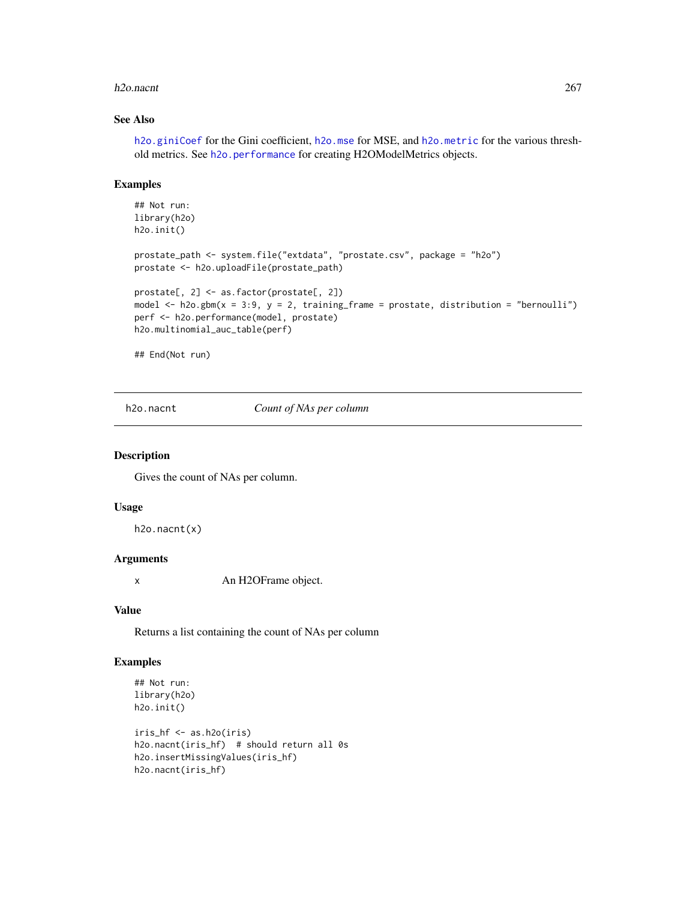#### h2o.nacnt 267

## See Also

[h2o.giniCoef](#page-173-0) for the Gini coefficient, [h2o.mse](#page-263-0) for MSE, and [h2o.metric](#page-249-0) for the various threshold metrics. See [h2o.performance](#page-287-0) for creating H2OModelMetrics objects.

#### Examples

```
## Not run:
library(h2o)
h2o.init()
prostate_path <- system.file("extdata", "prostate.csv", package = "h2o")
prostate <- h2o.uploadFile(prostate_path)
prostate[, 2] <- as.factor(prostate[, 2])
model \leq h2o.gbm(x = 3:9, y = 2, training_frame = prostate, distribution = "bernoulli")
perf <- h2o.performance(model, prostate)
h2o.multinomial_auc_table(perf)
```
## End(Not run)

h2o.nacnt *Count of NAs per column*

#### Description

Gives the count of NAs per column.

#### Usage

h2o.nacnt(x)

# Arguments

x An H2OFrame object.

#### Value

Returns a list containing the count of NAs per column

## Examples

```
## Not run:
library(h2o)
h2o.init()
```

```
iris_hf <- as.h2o(iris)
h2o.nacnt(iris_hf) # should return all 0s
h2o.insertMissingValues(iris_hf)
h2o.nacnt(iris_hf)
```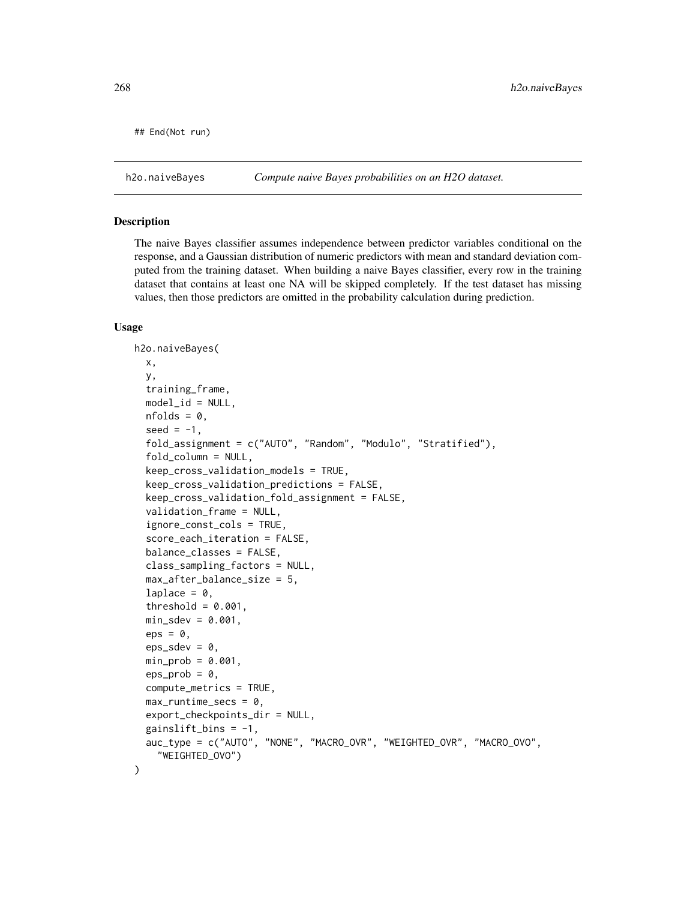```
## End(Not run)
```
h2o.naiveBayes *Compute naive Bayes probabilities on an H2O dataset.*

#### Description

The naive Bayes classifier assumes independence between predictor variables conditional on the response, and a Gaussian distribution of numeric predictors with mean and standard deviation computed from the training dataset. When building a naive Bayes classifier, every row in the training dataset that contains at least one NA will be skipped completely. If the test dataset has missing values, then those predictors are omitted in the probability calculation during prediction.

```
h2o.naiveBayes(
  x,
  y,
  training_frame,
 model_id = NULL,nfolds = 0,
  seed = -1,
  fold_assignment = c("AUTO", "Random", "Modulo", "Stratified"),
  fold_column = NULL,
  keep_cross_validation_models = TRUE,
  keep_cross_validation_predictions = FALSE,
  keep_cross_validation_fold_assignment = FALSE,
  validation_frame = NULL,
  ignore_const_cols = TRUE,
  score_each_iteration = FALSE,
  balance_classes = FALSE,
  class_sampling_factors = NULL,
  max_after_balance_size = 5,
  laplace = 0,
  threshold = 0.001,
  min\_sdev = 0.001,
  eps = 0,
  eps_sdev = 0,
  min\_prob = 0.001,eps\_prob = 0,
  compute_metrics = TRUE,
  max_runtime_secs = 0,
  export_checkpoints_dir = NULL,
  gainslift_bins = -1,
  auc_type = c("AUTO", "NONE", "MACRO_OVR", "WEIGHTED_OVR", "MACRO_OVO",
    "WEIGHTED_OVO")
)
```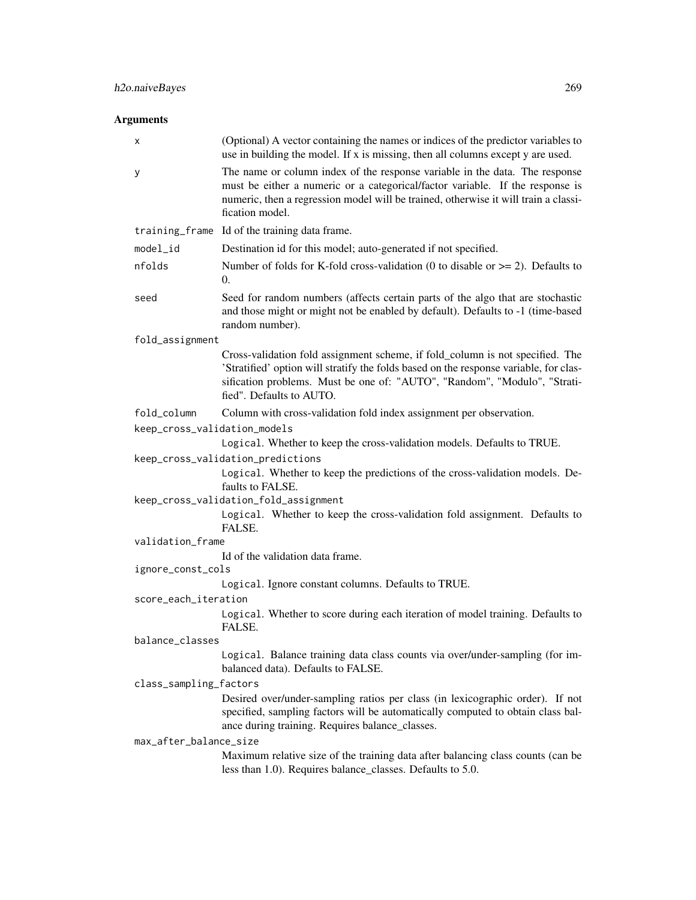| х                            | (Optional) A vector containing the names or indices of the predictor variables to<br>use in building the model. If x is missing, then all columns except y are used.                                                                                                            |
|------------------------------|---------------------------------------------------------------------------------------------------------------------------------------------------------------------------------------------------------------------------------------------------------------------------------|
| у                            | The name or column index of the response variable in the data. The response<br>must be either a numeric or a categorical/factor variable. If the response is<br>numeric, then a regression model will be trained, otherwise it will train a classi-<br>fication model.          |
|                              | training_frame Id of the training data frame.                                                                                                                                                                                                                                   |
| model_id                     | Destination id for this model; auto-generated if not specified.                                                                                                                                                                                                                 |
| nfolds                       | Number of folds for K-fold cross-validation (0 to disable or $\geq$ = 2). Defaults to<br>$\overline{0}$ .                                                                                                                                                                       |
| seed                         | Seed for random numbers (affects certain parts of the algo that are stochastic<br>and those might or might not be enabled by default). Defaults to -1 (time-based<br>random number).                                                                                            |
| fold_assignment              |                                                                                                                                                                                                                                                                                 |
|                              | Cross-validation fold assignment scheme, if fold_column is not specified. The<br>'Stratified' option will stratify the folds based on the response variable, for clas-<br>sification problems. Must be one of: "AUTO", "Random", "Modulo", "Strati-<br>fied". Defaults to AUTO. |
| fold_column                  | Column with cross-validation fold index assignment per observation.                                                                                                                                                                                                             |
| keep_cross_validation_models |                                                                                                                                                                                                                                                                                 |
|                              | Logical. Whether to keep the cross-validation models. Defaults to TRUE.                                                                                                                                                                                                         |
|                              | keep_cross_validation_predictions                                                                                                                                                                                                                                               |
|                              | Logical. Whether to keep the predictions of the cross-validation models. De-<br>faults to FALSE.                                                                                                                                                                                |
|                              | keep_cross_validation_fold_assignment<br>Logical. Whether to keep the cross-validation fold assignment. Defaults to                                                                                                                                                             |
|                              | FALSE.                                                                                                                                                                                                                                                                          |
| validation_frame             |                                                                                                                                                                                                                                                                                 |
|                              | Id of the validation data frame.                                                                                                                                                                                                                                                |
| ignore_const_cols            |                                                                                                                                                                                                                                                                                 |
|                              | Logical. Ignore constant columns. Defaults to TRUE.                                                                                                                                                                                                                             |
| score_each_iteration         |                                                                                                                                                                                                                                                                                 |
|                              | Logical. Whether to score during each iteration of model training. Defaults to<br>FALSE.                                                                                                                                                                                        |
| balance_classes              |                                                                                                                                                                                                                                                                                 |
|                              | Logical. Balance training data class counts via over/under-sampling (for im-<br>balanced data). Defaults to FALSE.                                                                                                                                                              |
| class_sampling_factors       |                                                                                                                                                                                                                                                                                 |
|                              | Desired over/under-sampling ratios per class (in lexicographic order). If not<br>specified, sampling factors will be automatically computed to obtain class bal-<br>ance during training. Requires balance_classes.                                                             |
| max_after_balance_size       |                                                                                                                                                                                                                                                                                 |
|                              | Maximum relative size of the training data after balancing class counts (can be<br>less than 1.0). Requires balance_classes. Defaults to 5.0.                                                                                                                                   |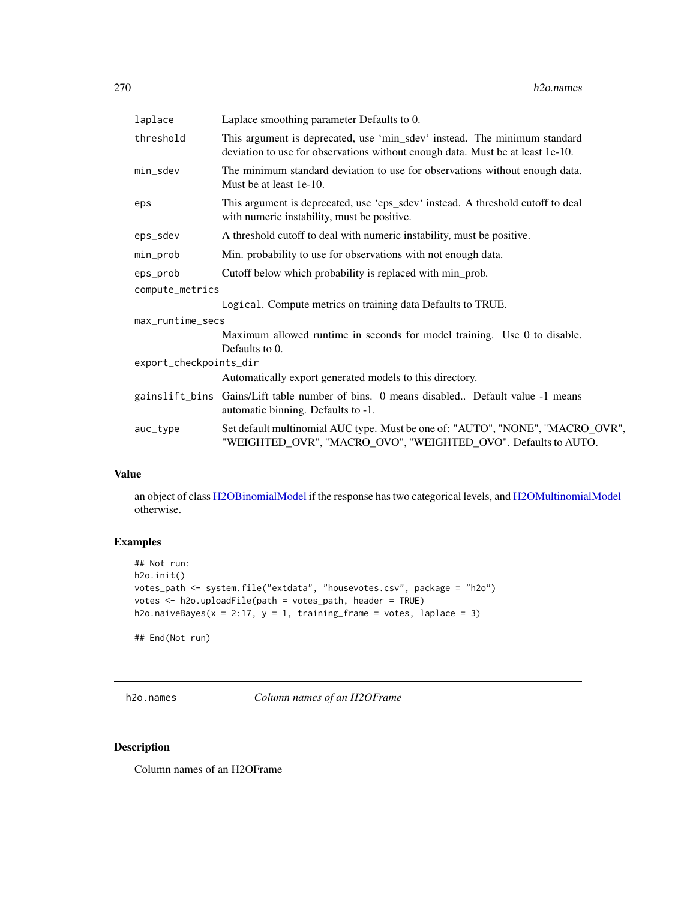| laplace                | Laplace smoothing parameter Defaults to 0.                                                                                                                  |  |
|------------------------|-------------------------------------------------------------------------------------------------------------------------------------------------------------|--|
| threshold              | This argument is deprecated, use 'min_sdev' instead. The minimum standard<br>deviation to use for observations without enough data. Must be at least 1e-10. |  |
| min_sdev               | The minimum standard deviation to use for observations without enough data.<br>Must be at least 1e-10.                                                      |  |
| eps                    | This argument is deprecated, use 'eps_sdev' instead. A threshold cutoff to deal<br>with numeric instability, must be positive.                              |  |
| eps_sdev               | A threshold cutoff to deal with numeric instability, must be positive.                                                                                      |  |
| min_prob               | Min. probability to use for observations with not enough data.                                                                                              |  |
| eps_prob               | Cutoff below which probability is replaced with min_prob.                                                                                                   |  |
| compute_metrics        |                                                                                                                                                             |  |
|                        | Logical. Compute metrics on training data Defaults to TRUE.                                                                                                 |  |
| max_runtime_secs       |                                                                                                                                                             |  |
|                        | Maximum allowed runtime in seconds for model training. Use 0 to disable.<br>Defaults to 0.                                                                  |  |
| export_checkpoints_dir |                                                                                                                                                             |  |
|                        | Automatically export generated models to this directory.                                                                                                    |  |
|                        | gainslift_bins Gains/Lift table number of bins. 0 means disabled Default value -1 means<br>automatic binning. Defaults to -1.                               |  |
| auc_type               | Set default multinomial AUC type. Must be one of: "AUTO", "NONE", "MACRO_OVR",<br>"WEIGHTED_OVR", "MACRO_OVO", "WEIGHTED_OVO". Defaults to AUTO.            |  |
|                        |                                                                                                                                                             |  |

## Value

an object of class [H2OBinomialModel](#page-415-0) if the response has two categorical levels, and [H2OMultinomialModel](#page-415-0) otherwise.

## Examples

```
## Not run:
h2o.init()
votes_path <- system.file("extdata", "housevotes.csv", package = "h2o")
votes <- h2o.uploadFile(path = votes_path, header = TRUE)
h2o.naiveBayes(x = 2:17, y = 1, training_frame = votes, laplace = 3)
```
## End(Not run)

h2o.names *Column names of an H2OFrame*

## Description

Column names of an H2OFrame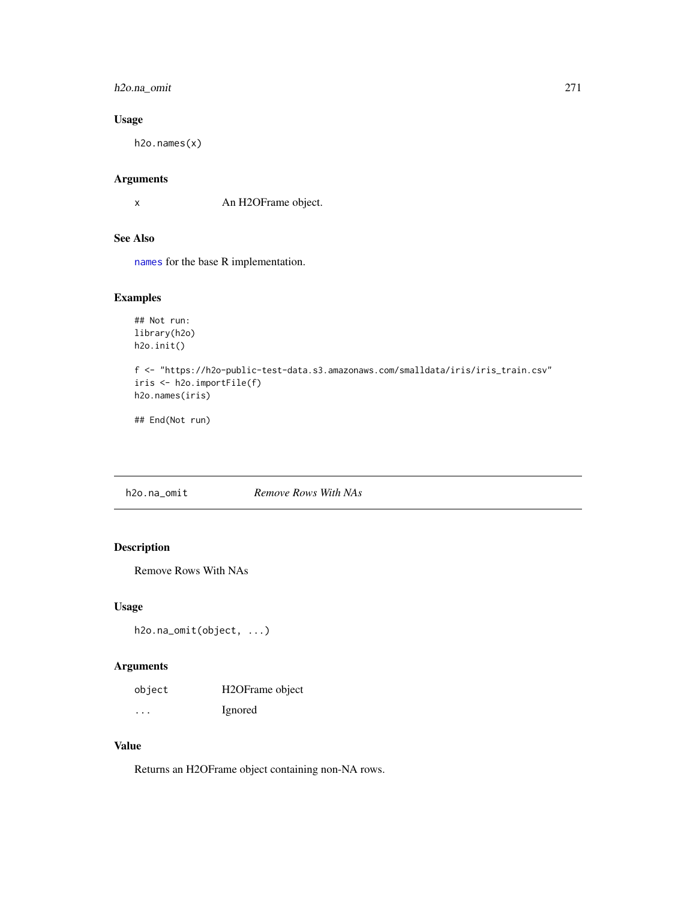## h2o.na\_omit 271

# Usage

h2o.names(x)

# Arguments

x An H2OFrame object.

# See Also

[names](#page-0-0) for the base R implementation.

## Examples

```
## Not run:
library(h2o)
h2o.init()
f <- "https://h2o-public-test-data.s3.amazonaws.com/smalldata/iris/iris_train.csv"
iris <- h2o.importFile(f)
h2o.names(iris)
```
## End(Not run)

h2o.na\_omit *Remove Rows With NAs*

## Description

Remove Rows With NAs

#### Usage

h2o.na\_omit(object, ...)

## Arguments

| object  | H2OFrame object |
|---------|-----------------|
| $\cdot$ | Ignored         |

## Value

Returns an H2OFrame object containing non-NA rows.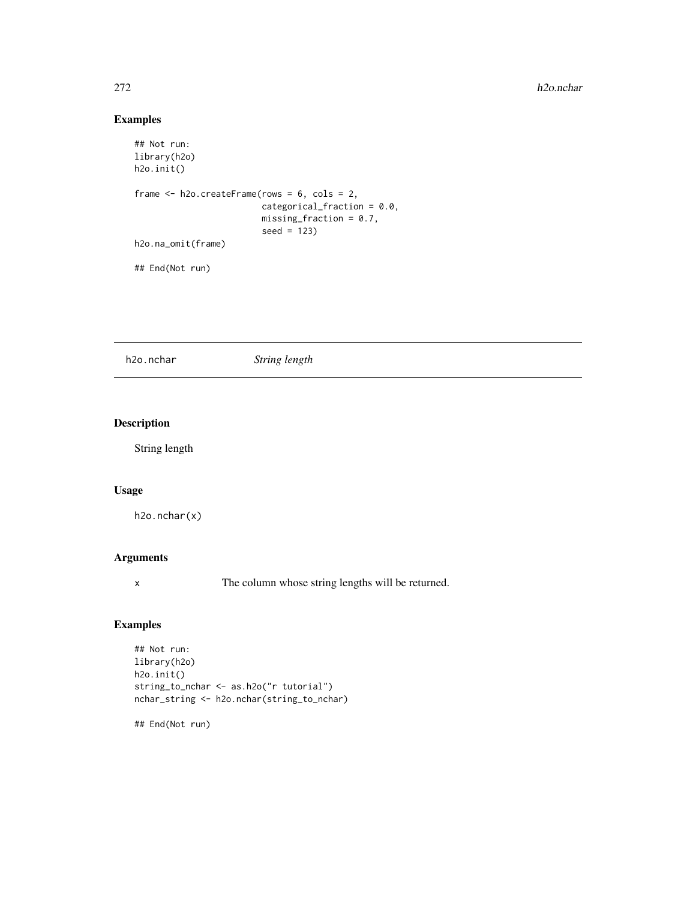## Examples

```
## Not run:
library(h2o)
h2o.init()
frame <- h2o.createFrame(rows = 6, cols = 2,
                         categorical_fraction = 0.0,
                         missing_fraction = 0.7,
                         seed = 123)
h2o.na_omit(frame)
## End(Not run)
```
h2o.nchar *String length*

## Description

String length

## Usage

h2o.nchar(x)

## Arguments

x The column whose string lengths will be returned.

## Examples

```
## Not run:
library(h2o)
h2o.init()
string_to_nchar <- as.h2o("r tutorial")
nchar_string <- h2o.nchar(string_to_nchar)
```
## End(Not run)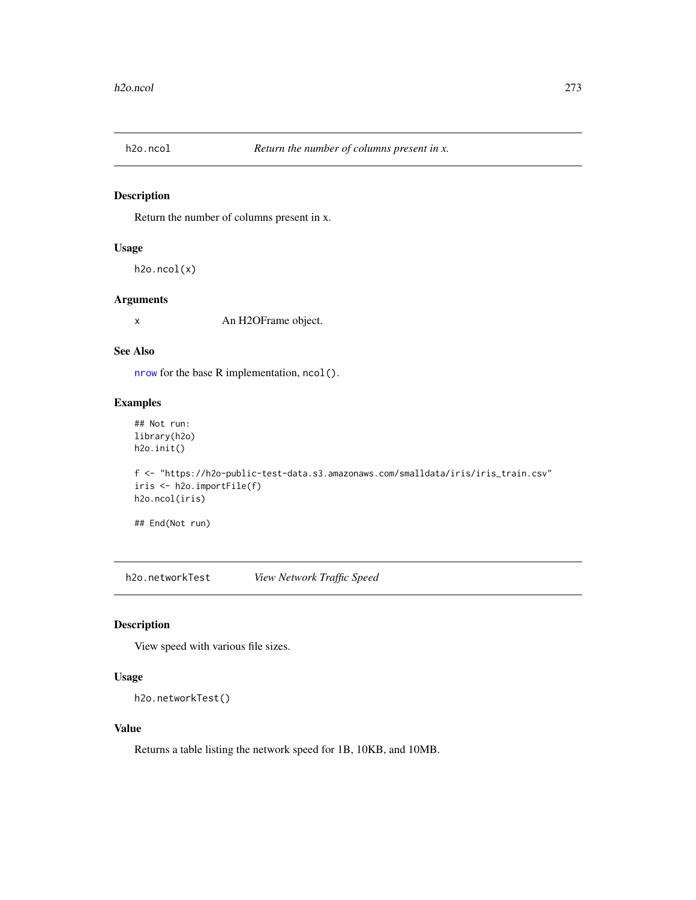## Description

Return the number of columns present in x.

## Usage

h2o.ncol(x)

## Arguments

x An H2OFrame object.

## See Also

[nrow](#page-0-0) for the base R implementation, ncol().

## Examples

## Not run: library(h2o) h2o.init()

```
f <- "https://h2o-public-test-data.s3.amazonaws.com/smalldata/iris/iris_train.csv"
iris <- h2o.importFile(f)
h2o.ncol(iris)
```
## End(Not run)

h2o.networkTest *View Network Traffic Speed*

# Description

View speed with various file sizes.

# Usage

```
h2o.networkTest()
```
## Value

Returns a table listing the network speed for 1B, 10KB, and 10MB.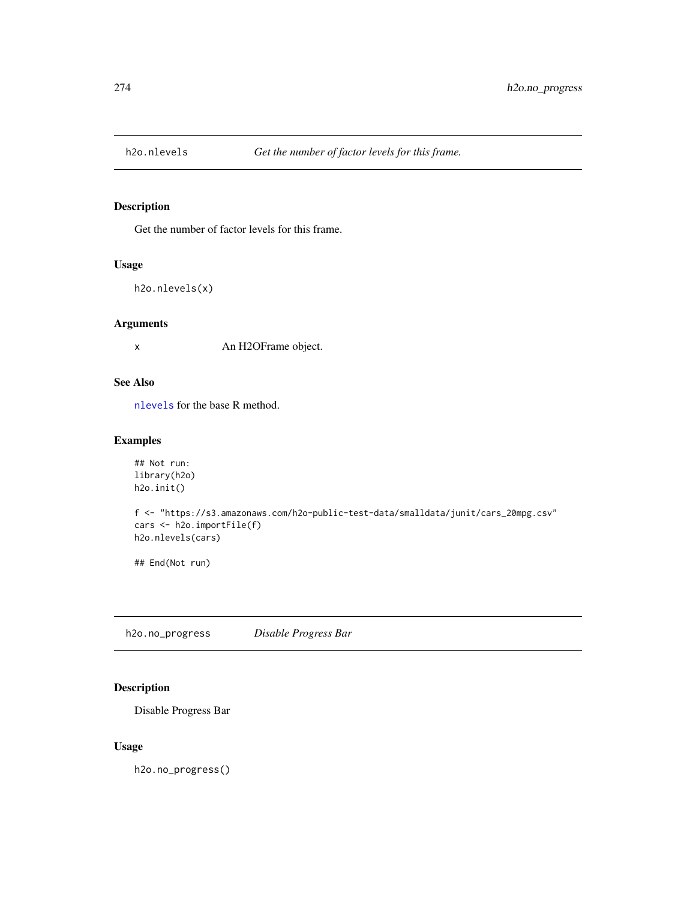## Description

Get the number of factor levels for this frame.

#### Usage

```
h2o.nlevels(x)
```
#### Arguments

x An H2OFrame object.

# See Also

[nlevels](#page-0-0) for the base R method.

## Examples

```
## Not run:
library(h2o)
h2o.init()
```

```
f <- "https://s3.amazonaws.com/h2o-public-test-data/smalldata/junit/cars_20mpg.csv"
cars <- h2o.importFile(f)
h2o.nlevels(cars)
```
## End(Not run)

h2o.no\_progress *Disable Progress Bar*

## Description

Disable Progress Bar

#### Usage

h2o.no\_progress()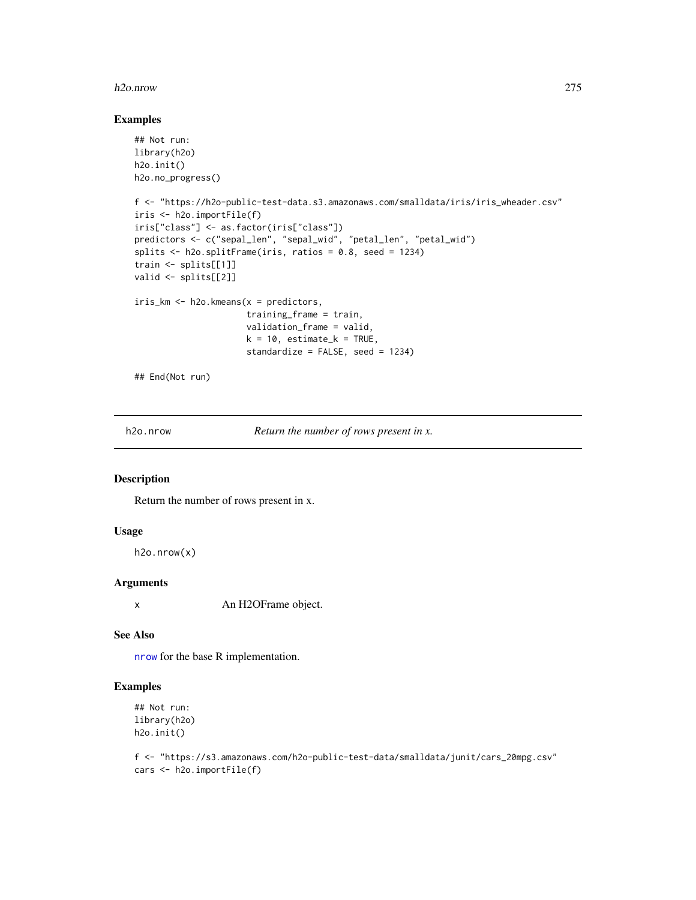#### h2o.nrow 275

## Examples

```
## Not run:
library(h2o)
h2o.init()
h2o.no_progress()
f <- "https://h2o-public-test-data.s3.amazonaws.com/smalldata/iris/iris_wheader.csv"
iris <- h2o.importFile(f)
iris["class"] <- as.factor(iris["class"])
predictors <- c("sepal_len", "sepal_wid", "petal_len", "petal_wid")
splits <- h2o.splitFrame(iris, ratios = 0.8, seed = 1234)
train <- splits[[1]]
valid <- splits[[2]]
iris_km <- h2o.kmeans(x = predictors,
                      training_frame = train,
                      validation_frame = valid,
                      k = 10, estimate_k = TRUE,
                      standardize = FALSE, seed = 1234)
## End(Not run)
```
h2o.nrow *Return the number of rows present in x.*

#### Description

Return the number of rows present in x.

#### Usage

h2o.nrow(x)

## Arguments

x An H2OFrame object.

#### See Also

[nrow](#page-0-0) for the base R implementation.

## Examples

```
## Not run:
library(h2o)
h2o.init()
```
f <- "https://s3.amazonaws.com/h2o-public-test-data/smalldata/junit/cars\_20mpg.csv" cars <- h2o.importFile(f)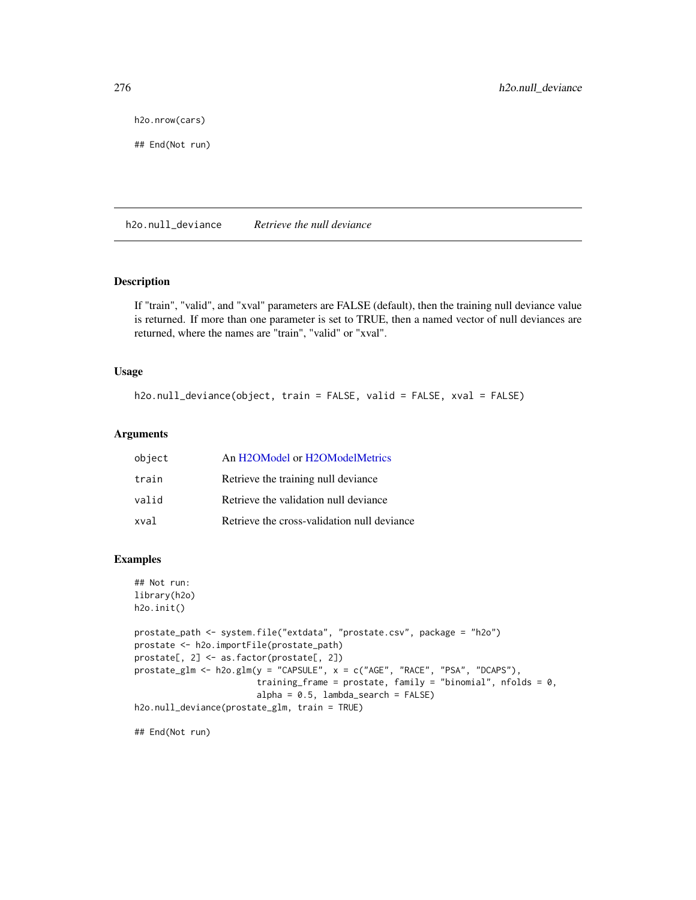h2o.nrow(cars)

## End(Not run)

h2o.null\_deviance *Retrieve the null deviance*

## Description

If "train", "valid", and "xval" parameters are FALSE (default), then the training null deviance value is returned. If more than one parameter is set to TRUE, then a named vector of null deviances are returned, where the names are "train", "valid" or "xval".

#### Usage

h2o.null\_deviance(object, train = FALSE, valid = FALSE, xval = FALSE)

#### Arguments

| object | An H2OModel or H2OModelMetrics              |
|--------|---------------------------------------------|
| train  | Retrieve the training null deviance         |
| valid  | Retrieve the validation null deviance       |
| xval   | Retrieve the cross-validation null deviance |

## Examples

```
## Not run:
library(h2o)
h2o.init()
prostate_path <- system.file("extdata", "prostate.csv", package = "h2o")
prostate <- h2o.importFile(prostate_path)
prostate[, 2] <- as.factor(prostate[, 2])
prostate_glm <- h2o.glm(y = "CAPSULE", x = c("AGE", "RACE", "PSA", "DCAPS"),
                        training_frame = prostate, family = "binomial", nfolds = 0,
                        alpha = 0.5, lambda = search = FALSEh2o.null_deviance(prostate_glm, train = TRUE)
```
## End(Not run)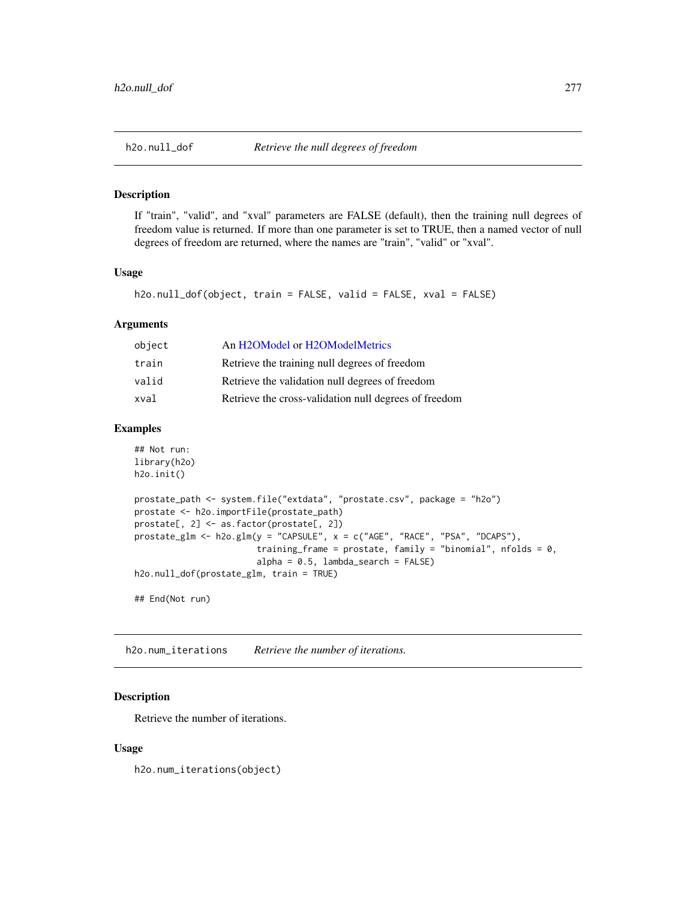#### Description

If "train", "valid", and "xval" parameters are FALSE (default), then the training null degrees of freedom value is returned. If more than one parameter is set to TRUE, then a named vector of null degrees of freedom are returned, where the names are "train", "valid" or "xval".

#### Usage

```
h2o.null_dof(object, train = FALSE, valid = FALSE, xval = FALSE)
```
#### Arguments

| An H2OModel or H2OModelMetrics                        |
|-------------------------------------------------------|
| Retrieve the training null degrees of freedom         |
| Retrieve the validation null degrees of freedom       |
| Retrieve the cross-validation null degrees of freedom |
|                                                       |

#### Examples

```
## Not run:
library(h2o)
h2o.init()
prostate_path <- system.file("extdata", "prostate.csv", package = "h2o")
prostate <- h2o.importFile(prostate_path)
prostate[, 2] <- as.factor(prostate[, 2])
prostate_glm <- h2o.glm(y = "CAPSULE", x = c("AGE", "RACE", "PSA", "DCAPS"),
                        training_frame = prostate, family = "binomial", nfolds = 0,
                        alpha = 0.5, lambda_search = FALSE)
h2o.null_dof(prostate_glm, train = TRUE)
## End(Not run)
```
h2o.num\_iterations *Retrieve the number of iterations.*

# Description

Retrieve the number of iterations.

#### Usage

h2o.num\_iterations(object)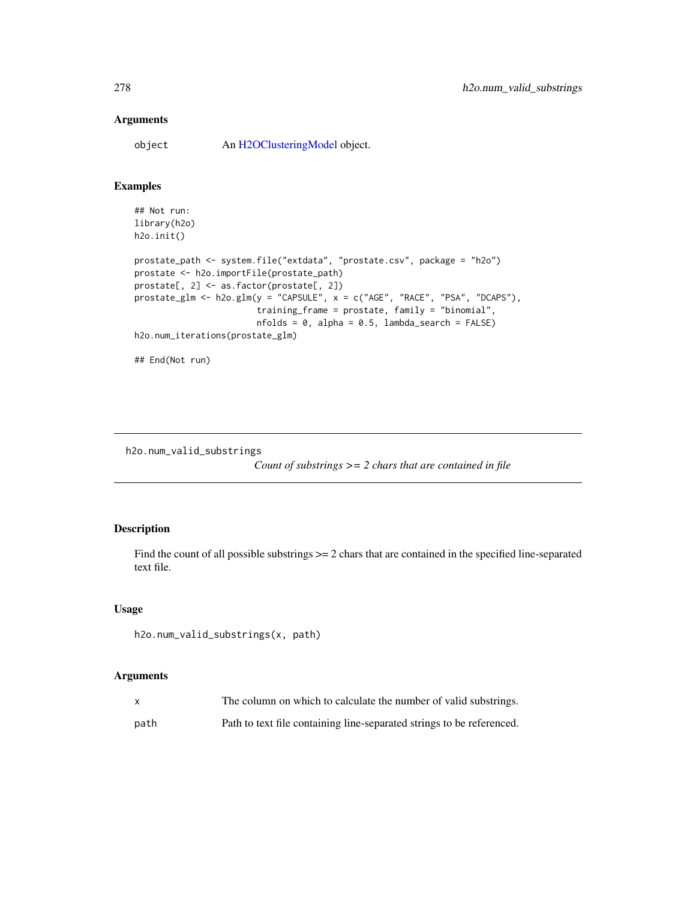object An [H2OClusteringModel](#page-408-0) object.

## Examples

```
## Not run:
library(h2o)
h2o.init()
prostate_path <- system.file("extdata", "prostate.csv", package = "h2o")
prostate <- h2o.importFile(prostate_path)
prostate[, 2] <- as.factor(prostate[, 2])
prostate_glm <- h2o.glm(y = "CAPSULE", x = c("AGE", "RACE", "PSA", "DCAPS"),
                        training_frame = prostate, family = "binomial",
                        nfolds = 0, alpha = 0.5, lambda_search = FALSE)
h2o.num_iterations(prostate_glm)
```
## End(Not run)

h2o.num\_valid\_substrings

*Count of substrings >= 2 chars that are contained in file*

## Description

Find the count of all possible substrings  $\geq$  2 chars that are contained in the specified line-separated text file.

#### Usage

```
h2o.num_valid_substrings(x, path)
```
## Arguments

|      | The column on which to calculate the number of valid substrings.      |
|------|-----------------------------------------------------------------------|
| path | Path to text file containing line-separated strings to be referenced. |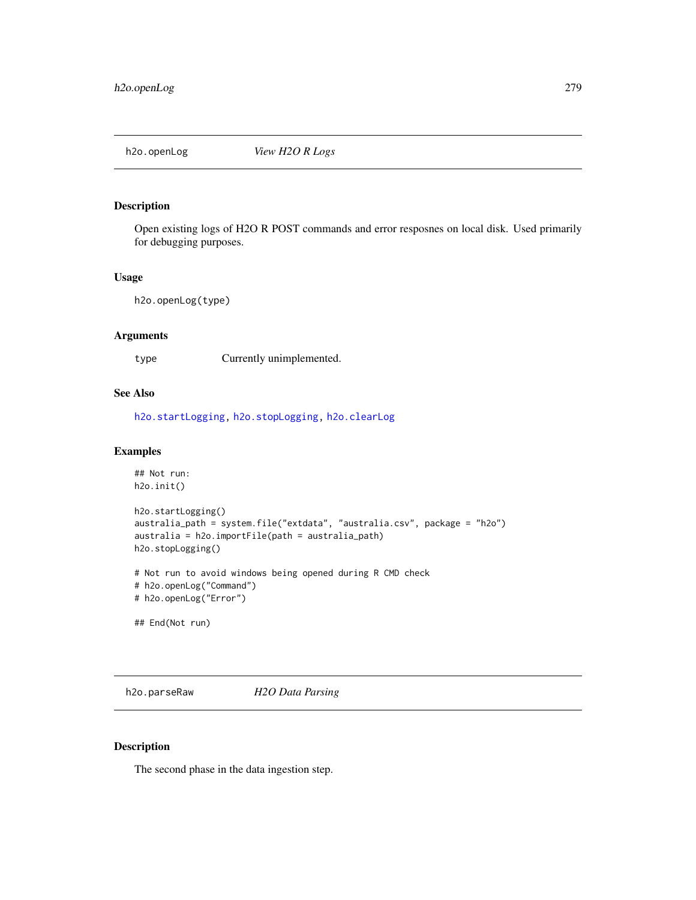# Description

Open existing logs of H2O R POST commands and error resposnes on local disk. Used primarily for debugging purposes.

#### Usage

h2o.openLog(type)

#### Arguments

type Currently unimplemented.

#### See Also

[h2o.startLogging,](#page-352-0) [h2o.stopLogging,](#page-354-0) [h2o.clearLog](#page-84-0)

#### Examples

```
## Not run:
h2o.init()
h2o.startLogging()
australia_path = system.file("extdata", "australia.csv", package = "h2o")
australia = h2o.importFile(path = australia_path)
h2o.stopLogging()
# Not run to avoid windows being opened during R CMD check
# h2o.openLog("Command")
# h2o.openLog("Error")
## End(Not run)
```
<span id="page-278-0"></span>h2o.parseRaw *H2O Data Parsing*

#### Description

The second phase in the data ingestion step.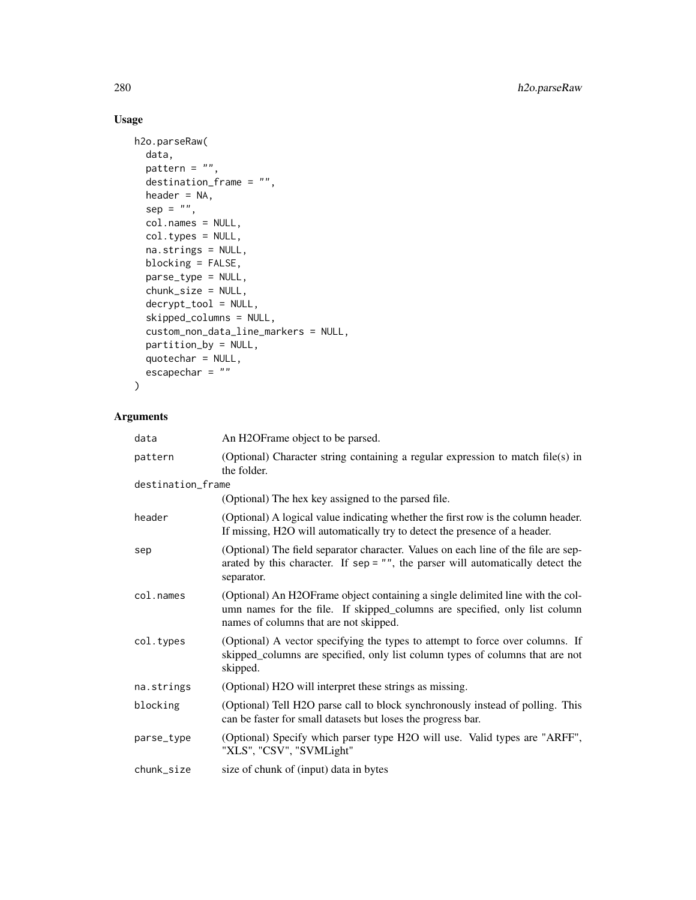# Usage

```
h2o.parseRaw(
  data,
 pattern = ",
  destination_frame = "",
 header = NA,
  sep = "",col.names = NULL,
  col.types = NULL,
 na.strings = NULL,
 blocking = FALSE,
 parse_type = NULL,
 chunk_size = NULL,
  decrypt_tool = NULL,
  skipped_columns = NULL,
  custom_non_data_line_markers = NULL,
 partition_by = NULL,
 quotechar = NULL,
 escapechar = ""\mathcal{L}
```
## Arguments

| data              | An H2OFrame object to be parsed.                                                                                                                                                                       |
|-------------------|--------------------------------------------------------------------------------------------------------------------------------------------------------------------------------------------------------|
| pattern           | (Optional) Character string containing a regular expression to match file(s) in<br>the folder.                                                                                                         |
| destination_frame |                                                                                                                                                                                                        |
|                   | (Optional) The hex key assigned to the parsed file.                                                                                                                                                    |
| header            | (Optional) A logical value indicating whether the first row is the column header.<br>If missing, H2O will automatically try to detect the presence of a header.                                        |
| sep               | (Optional) The field separator character. Values on each line of the file are sep-<br>arated by this character. If $sep = ""$ , the parser will automatically detect the<br>separator.                 |
| col.names         | (Optional) An H2OFrame object containing a single delimited line with the col-<br>umn names for the file. If skipped_columns are specified, only list column<br>names of columns that are not skipped. |
| col.types         | (Optional) A vector specifying the types to attempt to force over columns. If<br>skipped_columns are specified, only list column types of columns that are not<br>skipped.                             |
| na.strings        | (Optional) H2O will interpret these strings as missing.                                                                                                                                                |
| blocking          | (Optional) Tell H2O parse call to block synchronously instead of polling. This<br>can be faster for small datasets but loses the progress bar.                                                         |
| parse_type        | (Optional) Specify which parser type H2O will use. Valid types are "ARFF",<br>"XLS", "CSV", "SVMLight"                                                                                                 |
| chunk_size        | size of chunk of (input) data in bytes                                                                                                                                                                 |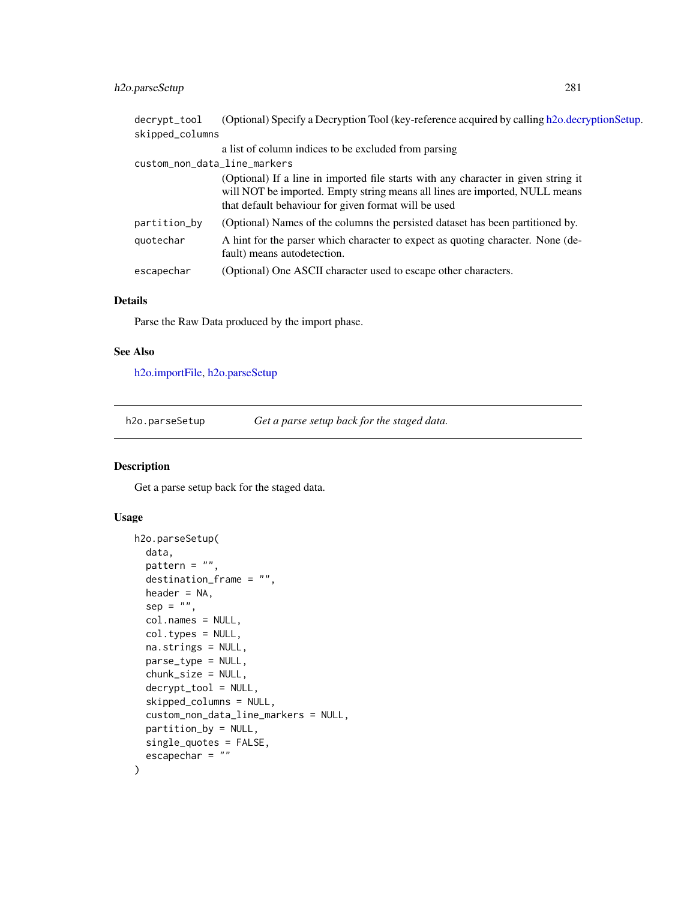## h2o.parseSetup 281

| decrypt_tool<br>skipped_columns | (Optional) Specify a Decryption Tool (key-reference acquired by calling h2o.decryptionSetup.                                                                                                                              |
|---------------------------------|---------------------------------------------------------------------------------------------------------------------------------------------------------------------------------------------------------------------------|
|                                 | a list of column indices to be excluded from parsing                                                                                                                                                                      |
| custom_non_data_line_markers    |                                                                                                                                                                                                                           |
|                                 | (Optional) If a line in imported file starts with any character in given string it<br>will NOT be imported. Empty string means all lines are imported, NULL means<br>that default behaviour for given format will be used |
| partition_by                    | (Optional) Names of the columns the persisted dataset has been partitioned by.                                                                                                                                            |
| quotechar                       | A hint for the parser which character to expect as quoting character. None (de-<br>fault) means autodetection.                                                                                                            |
| escapechar                      | (Optional) One ASCII character used to escape other characters.                                                                                                                                                           |
|                                 |                                                                                                                                                                                                                           |

# Details

Parse the Raw Data produced by the import phase.

## See Also

[h2o.importFile,](#page-196-0) [h2o.parseSetup](#page-280-0)

<span id="page-280-0"></span>h2o.parseSetup *Get a parse setup back for the staged data.*

## Description

Get a parse setup back for the staged data.

```
h2o.parseSetup(
 data,
 pattern = ",
 destination_frame = "",
 header = NA,
 sep = "",col.names = NULL,
 col.types = NULL,
 na.strings = NULL,
 parse_type = NULL,
 chunk_size = NULL,
 decrypt_tool = NULL,
  skipped_columns = NULL,
 custom_non_data_line_markers = NULL,
 partition_by = NULL,
 single_quotes = FALSE,
 escapechar = ""
)
```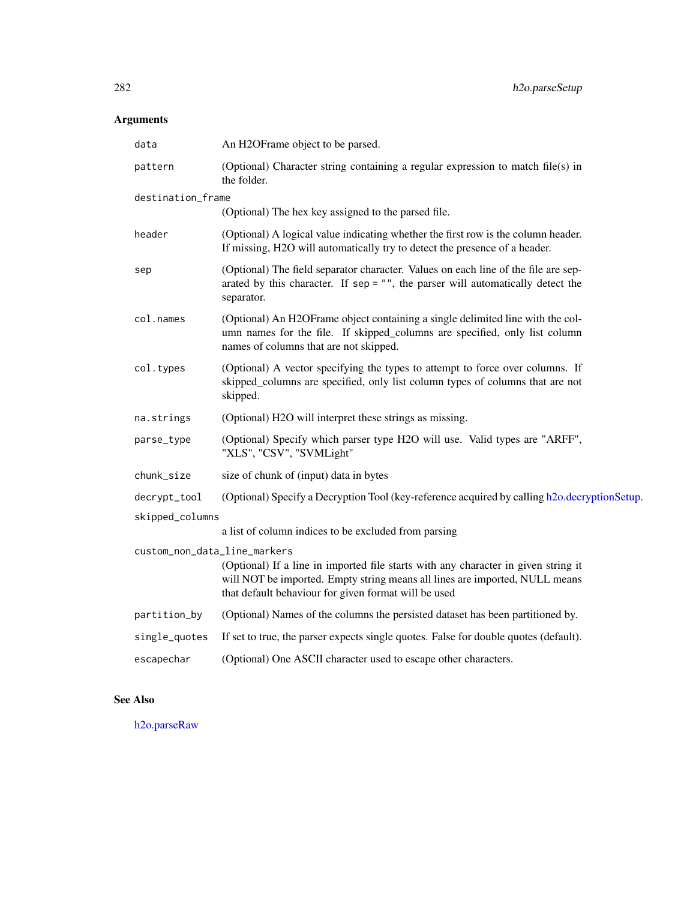| data                         | An H2OFrame object to be parsed.                                                                                                                                                                                          |  |
|------------------------------|---------------------------------------------------------------------------------------------------------------------------------------------------------------------------------------------------------------------------|--|
| pattern                      | (Optional) Character string containing a regular expression to match file(s) in<br>the folder.                                                                                                                            |  |
| destination_frame            |                                                                                                                                                                                                                           |  |
|                              | (Optional) The hex key assigned to the parsed file.                                                                                                                                                                       |  |
| header                       | (Optional) A logical value indicating whether the first row is the column header.<br>If missing, H2O will automatically try to detect the presence of a header.                                                           |  |
| sep                          | (Optional) The field separator character. Values on each line of the file are sep-<br>arated by this character. If $sep = ""$ , the parser will automatically detect the<br>separator.                                    |  |
| col.names                    | (Optional) An H2OFrame object containing a single delimited line with the col-<br>umn names for the file. If skipped_columns are specified, only list column<br>names of columns that are not skipped.                    |  |
| col.types                    | (Optional) A vector specifying the types to attempt to force over columns. If<br>skipped_columns are specified, only list column types of columns that are not<br>skipped.                                                |  |
| na.strings                   | (Optional) H2O will interpret these strings as missing.                                                                                                                                                                   |  |
| parse_type                   | (Optional) Specify which parser type H2O will use. Valid types are "ARFF",<br>"XLS", "CSV", "SVMLight"                                                                                                                    |  |
| chunk_size                   | size of chunk of (input) data in bytes                                                                                                                                                                                    |  |
| decrypt_tool                 | (Optional) Specify a Decryption Tool (key-reference acquired by calling h2o.decryptionSetup.                                                                                                                              |  |
| skipped_columns              |                                                                                                                                                                                                                           |  |
|                              | a list of column indices to be excluded from parsing                                                                                                                                                                      |  |
| custom_non_data_line_markers | (Optional) If a line in imported file starts with any character in given string it<br>will NOT be imported. Empty string means all lines are imported, NULL means<br>that default behaviour for given format will be used |  |
| partition_by                 | (Optional) Names of the columns the persisted dataset has been partitioned by.                                                                                                                                            |  |
| single_quotes                | If set to true, the parser expects single quotes. False for double quotes (default).                                                                                                                                      |  |
| escapechar                   | (Optional) One ASCII character used to escape other characters.                                                                                                                                                           |  |
|                              |                                                                                                                                                                                                                           |  |

# See Also

[h2o.parseRaw](#page-278-0)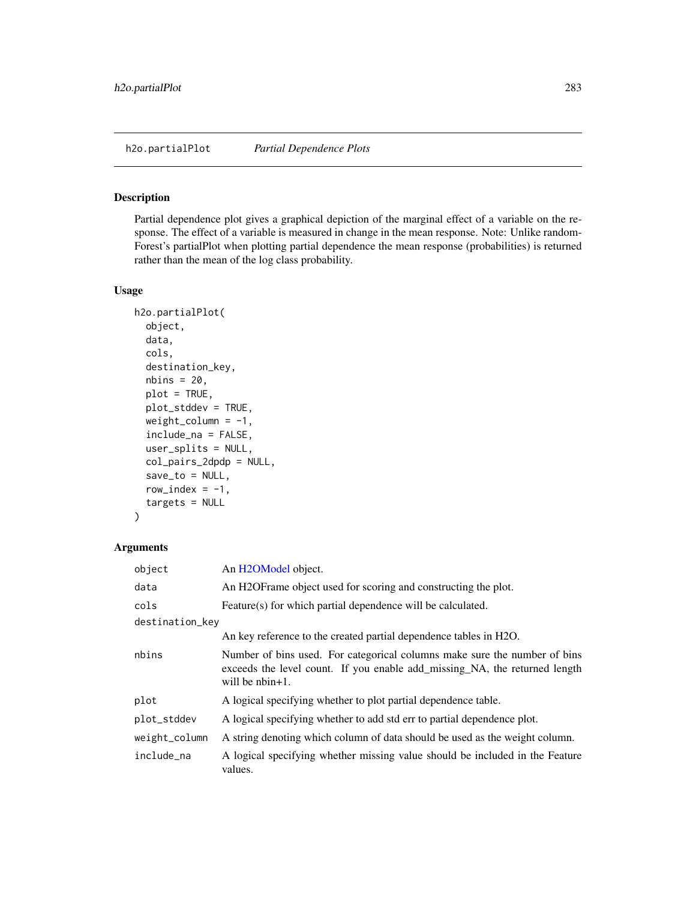h2o.partialPlot *Partial Dependence Plots*

#### Description

Partial dependence plot gives a graphical depiction of the marginal effect of a variable on the response. The effect of a variable is measured in change in the mean response. Note: Unlike random-Forest's partialPlot when plotting partial dependence the mean response (probabilities) is returned rather than the mean of the log class probability.

#### Usage

```
h2o.partialPlot(
  object,
  data,
  cols,
  destination_key,
  nbins = 20,
 plot = TRUE,
  plot_stddev = TRUE,
  weight_column = -1,
  include_na = FALSE,
  user_splits = NULL,
  col_pairs_2dpdp = NULL,
  save_to = NULL,
  row_index = -1,
  targets = NULL
)
```
# Arguments

| object          | An H <sub>2</sub> OM <sub>odel</sub> object.                                                                                                                                  |
|-----------------|-------------------------------------------------------------------------------------------------------------------------------------------------------------------------------|
| data            | An H2OFrame object used for scoring and constructing the plot.                                                                                                                |
| cols            | Feature(s) for which partial dependence will be calculated.                                                                                                                   |
| destination_key |                                                                                                                                                                               |
|                 | An key reference to the created partial dependence tables in H2O.                                                                                                             |
| nbins           | Number of bins used. For categorical columns make sure the number of bins<br>exceeds the level count. If you enable add_missing_NA, the returned length<br>will be $nbin+1$ . |
| plot            | A logical specifying whether to plot partial dependence table.                                                                                                                |
| plot_stddev     | A logical specifying whether to add std err to partial dependence plot.                                                                                                       |
| weight_column   | A string denoting which column of data should be used as the weight column.                                                                                                   |
| include na      | A logical specifying whether missing value should be included in the Feature<br>values.                                                                                       |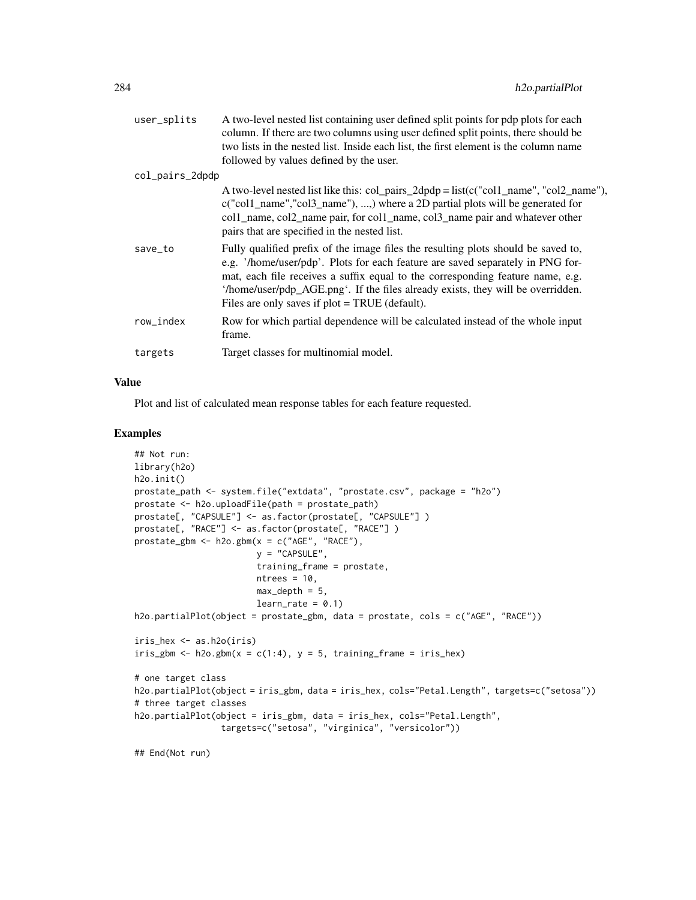| user_splits     | A two-level nested list containing user defined split points for pdp plots for each<br>column. If there are two columns using user defined split points, there should be<br>two lists in the nested list. Inside each list, the first element is the column name<br>followed by values defined by the user.                                                                                  |
|-----------------|----------------------------------------------------------------------------------------------------------------------------------------------------------------------------------------------------------------------------------------------------------------------------------------------------------------------------------------------------------------------------------------------|
| col_pairs_2dpdp |                                                                                                                                                                                                                                                                                                                                                                                              |
|                 | A two-level nested list like this: col_pairs_2dpdp = list( $c("col1_name", "col2_name"),$<br>c("col1_name","col3_name"), ,) where a 2D partial plots will be generated for<br>col1_name, col2_name pair, for col1_name, col3_name pair and whatever other<br>pairs that are specified in the nested list.                                                                                    |
| save_to         | Fully qualified prefix of the image files the resulting plots should be saved to,<br>e.g. '/home/user/pdp'. Plots for each feature are saved separately in PNG for-<br>mat, each file receives a suffix equal to the corresponding feature name, e.g.<br>'/home/user/pdp_AGE.png'. If the files already exists, they will be overridden.<br>Files are only saves if $plot = TRUE$ (default). |
| row_index       | Row for which partial dependence will be calculated instead of the whole input<br>frame.                                                                                                                                                                                                                                                                                                     |
| targets         | Target classes for multinomial model.                                                                                                                                                                                                                                                                                                                                                        |
|                 |                                                                                                                                                                                                                                                                                                                                                                                              |

## Value

Plot and list of calculated mean response tables for each feature requested.

#### Examples

```
## Not run:
library(h2o)
h2o.init()
prostate_path <- system.file("extdata", "prostate.csv", package = "h2o")
prostate <- h2o.uploadFile(path = prostate_path)
prostate[, "CAPSULE"] <- as.factor(prostate[, "CAPSULE"] )
prostate[, "RACE"] <- as.factor(prostate[, "RACE"] )
prostate_gbm <- h2o.gbm(x = c("AGE", "RACE"),
                        y = "CAPSULE",
                        training_frame = prostate,
                        ntrees = 10,
                        max_{-}depth = 5,
                        learn_rate = 0.1)h2o.partialPlot(object = prostate_gbm, data = prostate, cols = c("AGE", "RACE"))
iris_hex <- as.h2o(iris)
iris_gbm <- h2o.gbm(x = c(1:4), y = 5, training_frame = iris_hex)
# one target class
h2o.partialPlot(object = iris_gbm, data = iris_hex, cols="Petal.Length", targets=c("setosa"))
# three target classes
h2o.partialPlot(object = iris_gbm, data = iris_hex, cols="Petal.Length",
                 targets=c("setosa", "virginica", "versicolor"))
```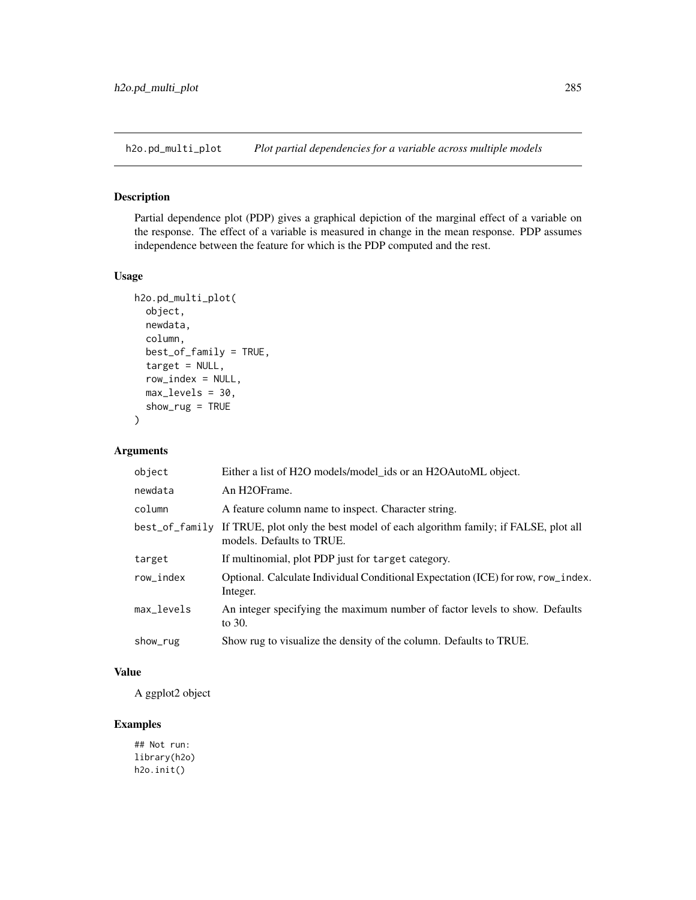h2o.pd\_multi\_plot *Plot partial dependencies for a variable across multiple models*

## Description

Partial dependence plot (PDP) gives a graphical depiction of the marginal effect of a variable on the response. The effect of a variable is measured in change in the mean response. PDP assumes independence between the feature for which is the PDP computed and the rest.

## Usage

```
h2o.pd_multi_plot(
  object,
  newdata,
  column,
  best_of_family = TRUE,
  target = NULL,row_index = NULL,
  max_levels = 30,
  show_rug = TRUE
)
```
## Arguments

| object         | Either a list of H2O models/model_ids or an H2OAutoML object.                                               |
|----------------|-------------------------------------------------------------------------------------------------------------|
| newdata        | An H2OFrame.                                                                                                |
| column         | A feature column name to inspect. Character string.                                                         |
| best_of_family | If TRUE, plot only the best model of each algorithm family; if FALSE, plot all<br>models. Defaults to TRUE. |
| target         | If multinomial, plot PDP just for target category.                                                          |
| row_index      | Optional. Calculate Individual Conditional Expectation (ICE) for row, row_index.<br>Integer.                |
| max_levels     | An integer specifying the maximum number of factor levels to show. Defaults<br>to 30.                       |
| show_rug       | Show rug to visualize the density of the column. Defaults to TRUE.                                          |

## Value

A ggplot2 object

## Examples

## Not run: library(h2o) h2o.init()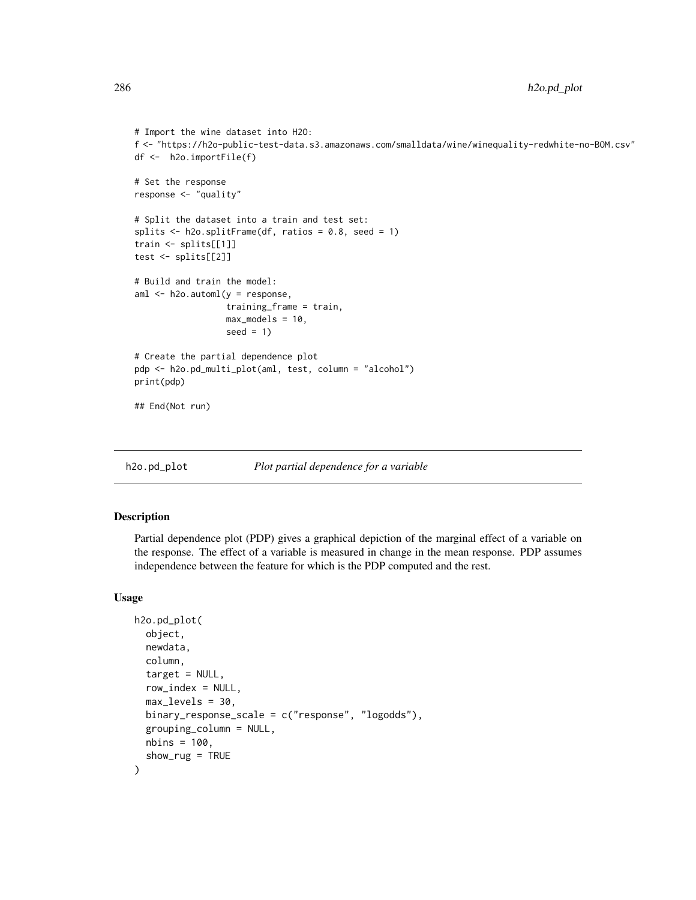```
# Import the wine dataset into H2O:
f <- "https://h2o-public-test-data.s3.amazonaws.com/smalldata/wine/winequality-redwhite-no-BOM.csv"
df <- h2o.importFile(f)
# Set the response
response <- "quality"
# Split the dataset into a train and test set:
splits \le h2o.splitFrame(df, ratios = 0.8, seed = 1)
train <- splits[[1]]
test <- splits[[2]]
# Build and train the model:
aml <- h2o.automl(y = response,
                  training_frame = train,
                  max_models = 10,seed = 1)# Create the partial dependence plot
pdp <- h2o.pd_multi_plot(aml, test, column = "alcohol")
print(pdp)
## End(Not run)
```
h2o.pd\_plot *Plot partial dependence for a variable*

#### Description

Partial dependence plot (PDP) gives a graphical depiction of the marginal effect of a variable on the response. The effect of a variable is measured in change in the mean response. PDP assumes independence between the feature for which is the PDP computed and the rest.

```
h2o.pd_plot(
  object,
  newdata,
  column,
  target = NULL,row\_index = NULL,max\_levels = 30.
  binary_response_scale = c("response", "logodds"),
  grouping_column = NULL,
  nbins = 100,show_rug = TRUE)
```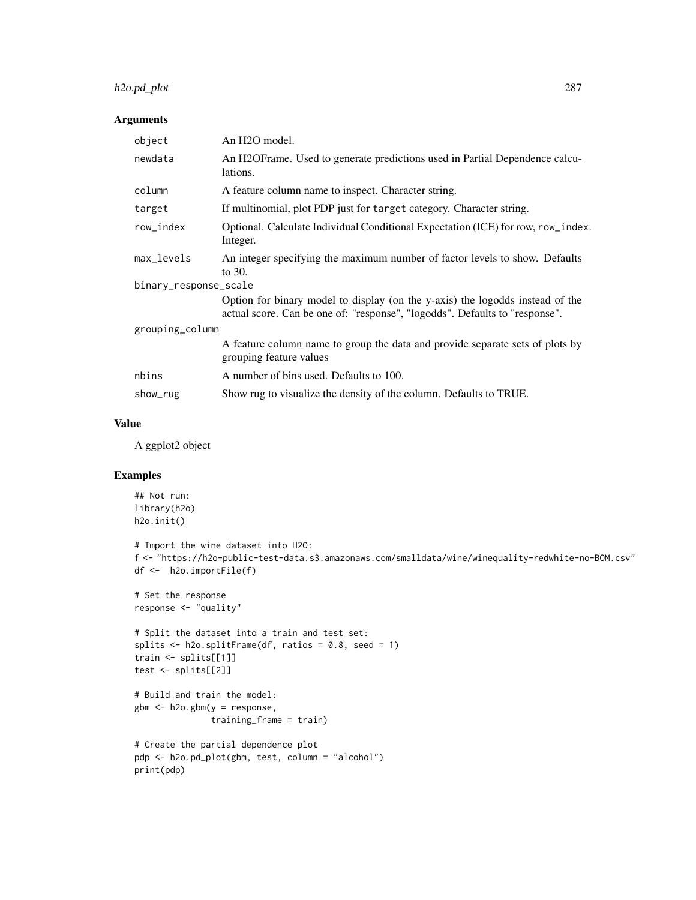## h2o.pd\_plot 287

## Arguments

| object                | An H <sub>2</sub> O model.                                                                                                                                   |  |
|-----------------------|--------------------------------------------------------------------------------------------------------------------------------------------------------------|--|
| newdata               | An H2OFrame. Used to generate predictions used in Partial Dependence calcu-<br>lations.                                                                      |  |
| column                | A feature column name to inspect. Character string.                                                                                                          |  |
| target                | If multinomial, plot PDP just for target category. Character string.                                                                                         |  |
| row_index             | Optional. Calculate Individual Conditional Expectation (ICE) for row, row_index.<br>Integer.                                                                 |  |
| max_levels            | An integer specifying the maximum number of factor levels to show. Defaults<br>to 30.                                                                        |  |
| binary_response_scale |                                                                                                                                                              |  |
|                       | Option for binary model to display (on the y-axis) the logodds instead of the<br>actual score. Can be one of: "response", "logodds". Defaults to "response". |  |
| grouping_column       |                                                                                                                                                              |  |
|                       | A feature column name to group the data and provide separate sets of plots by<br>grouping feature values                                                     |  |
| nbins                 | A number of bins used. Defaults to 100.                                                                                                                      |  |
| show_rug              | Show rug to visualize the density of the column. Defaults to TRUE.                                                                                           |  |

## Value

A ggplot2 object

# Examples

```
## Not run:
library(h2o)
h2o.init()
# Import the wine dataset into H2O:
f <- "https://h2o-public-test-data.s3.amazonaws.com/smalldata/wine/winequality-redwhite-no-BOM.csv"
df <- h2o.importFile(f)
# Set the response
response <- "quality"
# Split the dataset into a train and test set:
splits \le h2o.splitFrame(df, ratios = 0.8, seed = 1)
train <- splits[[1]]
test <- splits[[2]]
# Build and train the model:
gbm <- h2o.gbm(y = response,
               training_frame = train)
# Create the partial dependence plot
pdp <- h2o.pd_plot(gbm, test, column = "alcohol")
print(pdp)
```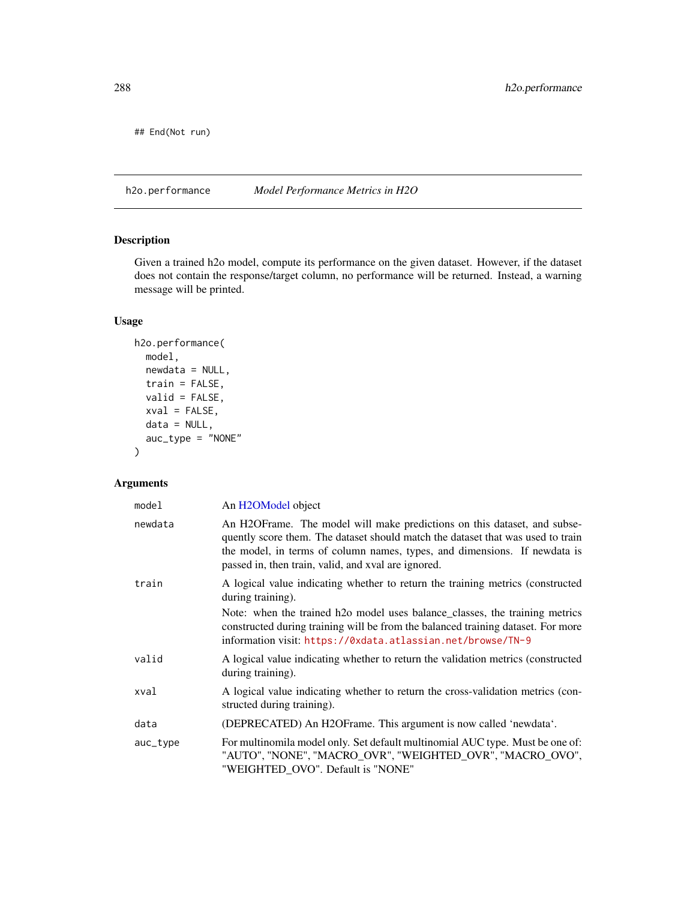## End(Not run)

<span id="page-287-0"></span>h2o.performance *Model Performance Metrics in H2O*

## Description

Given a trained h2o model, compute its performance on the given dataset. However, if the dataset does not contain the response/target column, no performance will be returned. Instead, a warning message will be printed.

#### Usage

```
h2o.performance(
 model,
 newdata = NULL,
  train = FALSE,
 valid = FALSE,
 xval = FALSE,data = NULL,auc_type = "NONE"
)
```
## Arguments

| model    | An H <sub>2</sub> OM <sub>odel</sub> object                                                                                                                                                                                                                                                                                           |
|----------|---------------------------------------------------------------------------------------------------------------------------------------------------------------------------------------------------------------------------------------------------------------------------------------------------------------------------------------|
| newdata  | An H2OFrame. The model will make predictions on this dataset, and subse-<br>quently score them. The dataset should match the dataset that was used to train<br>the model, in terms of column names, types, and dimensions. If newdata is<br>passed in, then train, valid, and xval are ignored.                                       |
| train    | A logical value indicating whether to return the training metrics (constructed<br>during training).<br>Note: when the trained h2o model uses balance_classes, the training metrics<br>constructed during training will be from the balanced training dataset. For more<br>information visit: https://0xdata.atlassian.net/browse/TN-9 |
| valid    | A logical value indicating whether to return the validation metrics (constructed<br>during training).                                                                                                                                                                                                                                 |
| xval     | A logical value indicating whether to return the cross-validation metrics (con-<br>structed during training).                                                                                                                                                                                                                         |
| data     | (DEPRECATED) An H2OFrame. This argument is now called 'newdata'.                                                                                                                                                                                                                                                                      |
| auc_type | For multinomila model only. Set default multinomial AUC type. Must be one of:<br>"AUTO", "NONE", "MACRO_OVR", "WEIGHTED_OVR", "MACRO_OVO",<br>"WEIGHTED OVO". Default is "NONE"                                                                                                                                                       |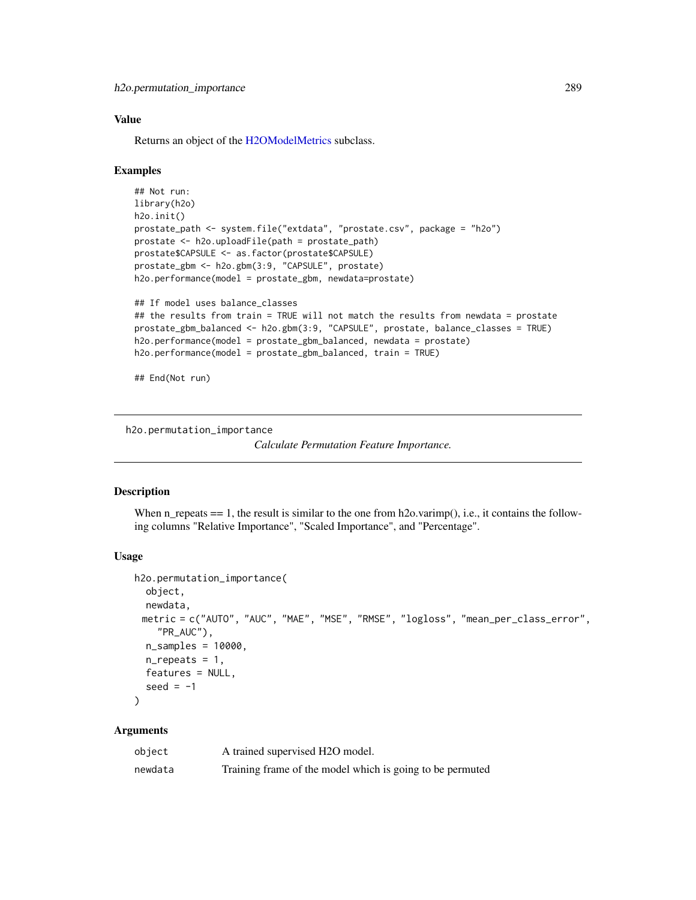## Value

Returns an object of the [H2OModelMetrics](#page-416-0) subclass.

#### Examples

```
## Not run:
library(h2o)
h2o.init()
prostate_path <- system.file("extdata", "prostate.csv", package = "h2o")
prostate <- h2o.uploadFile(path = prostate_path)
prostate$CAPSULE <- as.factor(prostate$CAPSULE)
prostate_gbm <- h2o.gbm(3:9, "CAPSULE", prostate)
h2o.performance(model = prostate_gbm, newdata=prostate)
## If model uses balance_classes
## the results from train = TRUE will not match the results from newdata = prostate
prostate_gbm_balanced <- h2o.gbm(3:9, "CAPSULE", prostate, balance_classes = TRUE)
```

```
h2o.performance(model = prostate_gbm_balanced, newdata = prostate)
h2o.performance(model = prostate_gbm_balanced, train = TRUE)
```
## End(Not run)

h2o.permutation\_importance

```
Calculate Permutation Feature Importance.
```
#### **Description**

When n\_repeats  $=$  1, the result is similar to the one from h2o.varimp(), i.e., it contains the following columns "Relative Importance", "Scaled Importance", and "Percentage".

## Usage

```
h2o.permutation_importance(
 object,
 newdata,
 metric = c("AUTO", "AUC", "MAE", "MSE", "RMSE", "logloss", "mean_per_class_error",
    "PR_AUC"),
 n_samples = 10000,
 n-repeats = 1,
 features = NULL,
  seed = -1)
```
## Arguments

| object  | A trained supervised H2O model.                           |
|---------|-----------------------------------------------------------|
| newdata | Training frame of the model which is going to be permuted |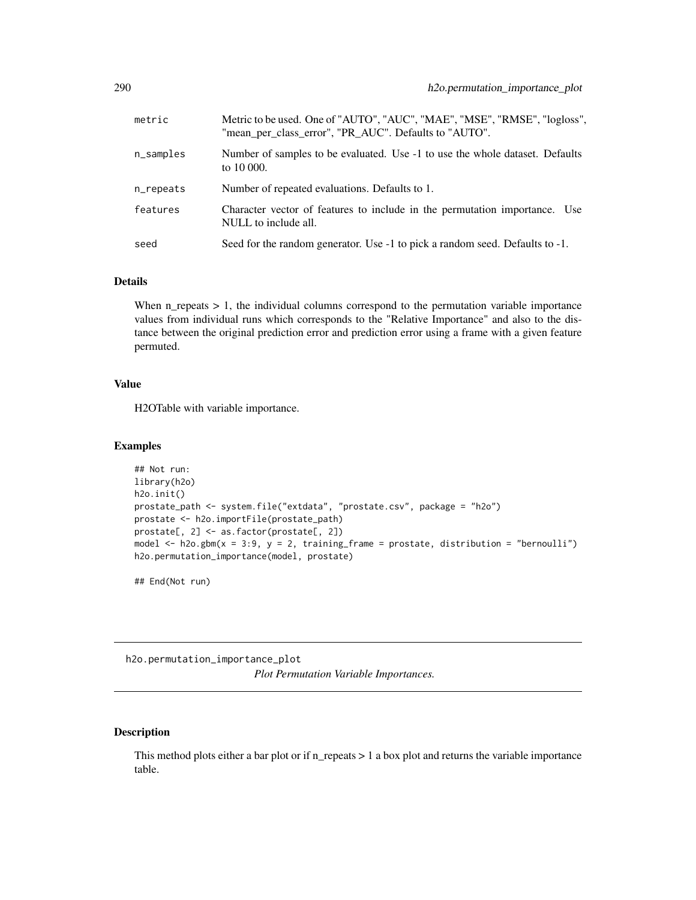| metric       | Metric to be used. One of "AUTO", "AUC", "MAE", "MSE", "RMSE", "logloss",<br>"mean_per_class_error", "PR_AUC". Defaults to "AUTO". |
|--------------|------------------------------------------------------------------------------------------------------------------------------------|
| $n$ _samples | Number of samples to be evaluated. Use -1 to use the whole dataset. Defaults<br>to 10 000.                                         |
| n_repeats    | Number of repeated evaluations. Defaults to 1.                                                                                     |
| features     | Character vector of features to include in the permutation importance. Use<br>NULL to include all.                                 |
| seed         | Seed for the random generator. Use -1 to pick a random seed. Defaults to -1.                                                       |

## Details

When  $n_{\text{p}}$  repeats  $> 1$ , the individual columns correspond to the permutation variable importance values from individual runs which corresponds to the "Relative Importance" and also to the distance between the original prediction error and prediction error using a frame with a given feature permuted.

#### Value

H2OTable with variable importance.

#### Examples

```
## Not run:
library(h2o)
h2o.init()
prostate_path <- system.file("extdata", "prostate.csv", package = "h2o")
prostate <- h2o.importFile(prostate_path)
prostate[, 2] <- as.factor(prostate[, 2])
model \leq h2o.gbm(x = 3:9, y = 2, training_frame = prostate, distribution = "bernoulli")
h2o.permutation_importance(model, prostate)
```
## End(Not run)

h2o.permutation\_importance\_plot *Plot Permutation Variable Importances.*

# Description

This method plots either a bar plot or if n\_repeats > 1 a box plot and returns the variable importance table.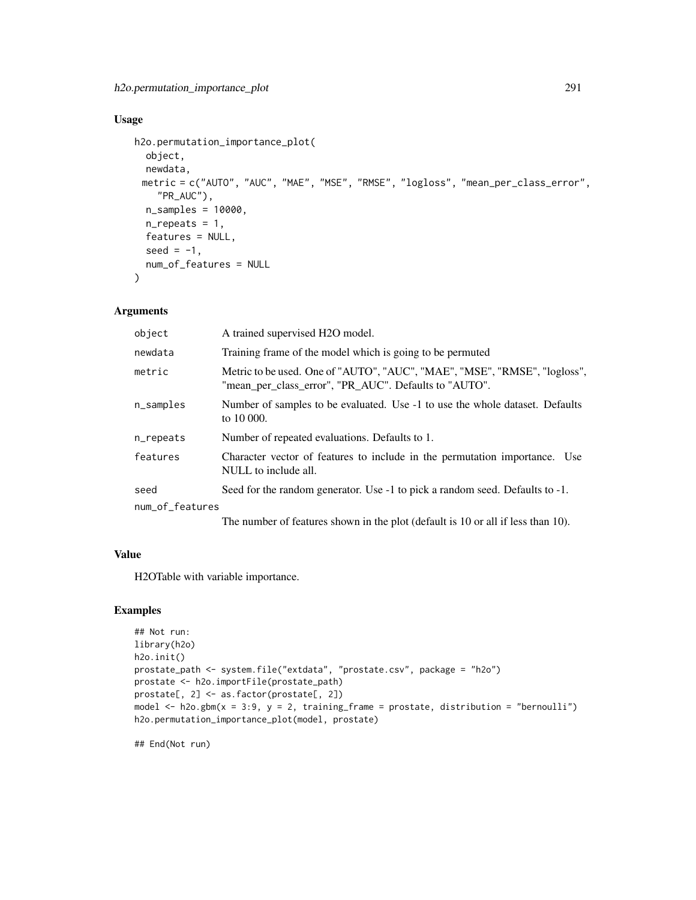# Usage

```
h2o.permutation_importance_plot(
  object,
 newdata,
 metric = c("AUTO", "AUC", "MAE", "MSE", "RMSE", "logloss", "mean_per_class_error",
    "PR_AUC"),
 n_samples = 10000,
 n_repeats = 1,
 features = NULL,
  seed = -1,
  num_of_features = NULL
)
```
## Arguments

| object          | A trained supervised H2O model.                                                                                                    |
|-----------------|------------------------------------------------------------------------------------------------------------------------------------|
| newdata         | Training frame of the model which is going to be permuted                                                                          |
| metric          | Metric to be used. One of "AUTO", "AUC", "MAE", "MSE", "RMSE", "logloss",<br>"mean_per_class_error", "PR_AUC". Defaults to "AUTO". |
| n_samples       | Number of samples to be evaluated. Use -1 to use the whole dataset. Defaults<br>to 10 000.                                         |
| n_repeats       | Number of repeated evaluations. Defaults to 1.                                                                                     |
| features        | Character vector of features to include in the permutation importance. Use<br>NULL to include all.                                 |
| seed            | Seed for the random generator. Use -1 to pick a random seed. Defaults to -1.                                                       |
| num_of_features |                                                                                                                                    |
|                 | The number of features shown in the plot (default is 10 or all if less than 10).                                                   |

#### Value

H2OTable with variable importance.

## Examples

```
## Not run:
library(h2o)
h2o.init()
prostate_path <- system.file("extdata", "prostate.csv", package = "h2o")
prostate <- h2o.importFile(prostate_path)
prostate[, 2] <- as.factor(prostate[, 2])
model \leq h2o.gbm(x = 3:9, y = 2, training_frame = prostate, distribution = "bernoulli")
h2o.permutation_importance_plot(model, prostate)
```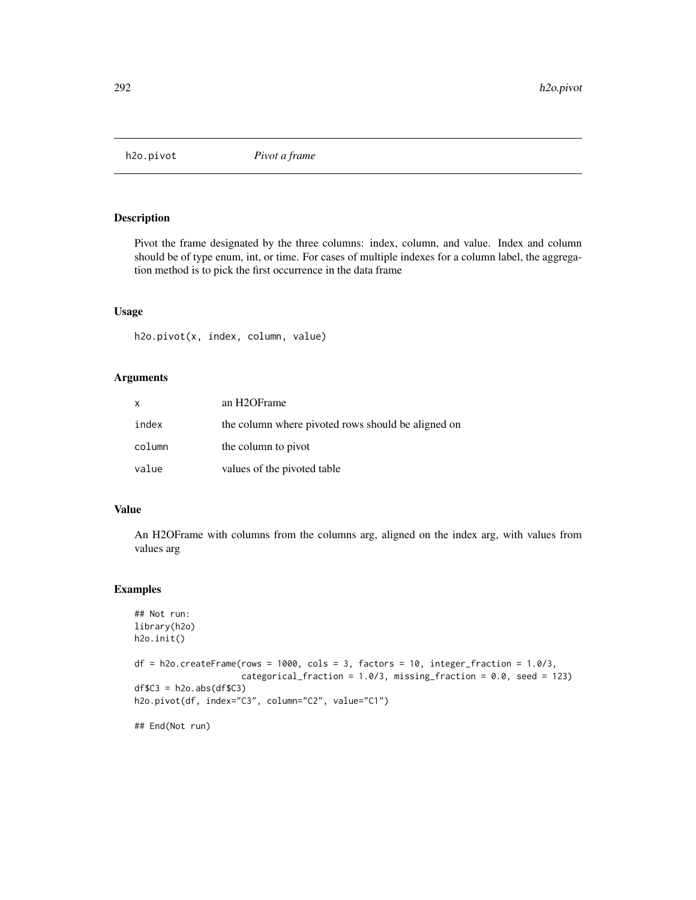Pivot the frame designated by the three columns: index, column, and value. Index and column should be of type enum, int, or time. For cases of multiple indexes for a column label, the aggregation method is to pick the first occurrence in the data frame

## Usage

h2o.pivot(x, index, column, value)

#### Arguments

| x      | an H <sub>2</sub> OF <sub>rame</sub>               |
|--------|----------------------------------------------------|
| index  | the column where pivoted rows should be aligned on |
| column | the column to pivot                                |
| value  | values of the pivoted table                        |

#### Value

An H2OFrame with columns from the columns arg, aligned on the index arg, with values from values arg

## Examples

```
## Not run:
library(h2o)
h2o.init()
df = h2o.creakername(rows = 1000, cols = 3, factors = 10, integer-fraction = 1.0/3,categorical_fraction = 1.0/3, missing_fraction = 0.0, seed = 123)
df$C3 = h2o.abs(df$C3)
h2o.pivot(df, index="C3", column="C2", value="C1")
## End(Not run)
```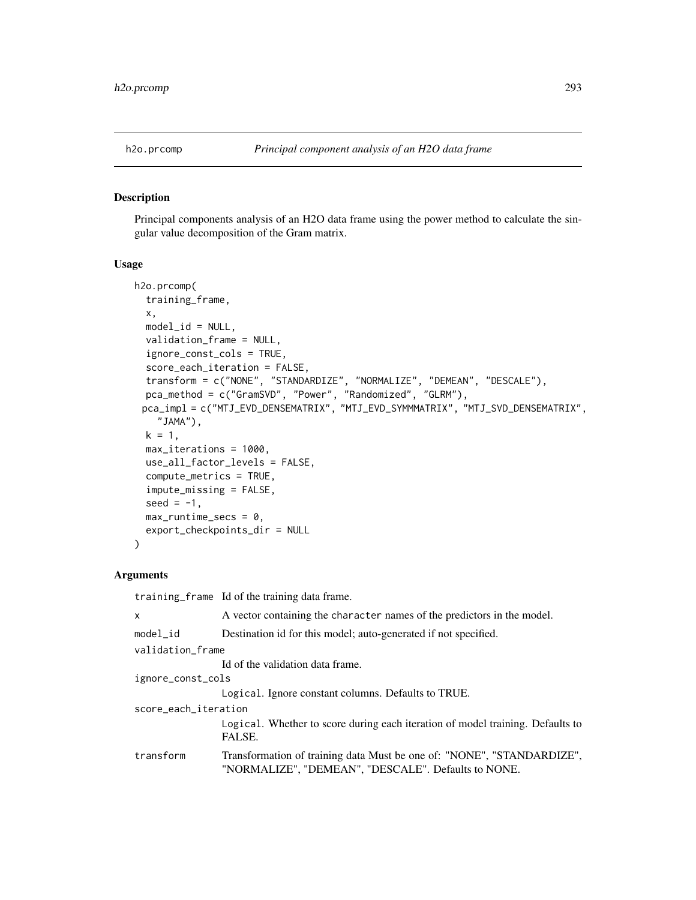Principal components analysis of an H2O data frame using the power method to calculate the singular value decomposition of the Gram matrix.

#### Usage

```
h2o.prcomp(
  training_frame,
  x,
  model_id = NULL,validation_frame = NULL,
  ignore_const_cols = TRUE,
  score_each_iteration = FALSE,
  transform = c("NONE", "STANDARDIZE", "NORMALIZE", "DEMEAN", "DESCALE"),
  pca_method = c("GramSVD", "Power", "Randomized", "GLRM"),
 pca_impl = c("MTJ_EVD_DENSEMATRIX", "MTJ_EVD_SYMMMATRIX", "MTJ_SVD_DENSEMATRIX",
    "JAMA"),
  k = 1,max_iterations = 1000,
  use_all_factor_levels = FALSE,
  compute_metrics = TRUE,
  impute_missing = FALSE,
  seed = -1,
  max_runtime_secs = 0,
  export_checkpoints_dir = NULL
\mathcal{L}
```
## Arguments

training\_frame Id of the training data frame.

| A vector containing the character names of the predictors in the model.                                                       |
|-------------------------------------------------------------------------------------------------------------------------------|
| Destination id for this model; auto-generated if not specified.                                                               |
| validation_frame                                                                                                              |
| Id of the validation data frame.                                                                                              |
| ignore_const_cols                                                                                                             |
| Logical. Ignore constant columns. Defaults to TRUE.                                                                           |
| score_each_iteration                                                                                                          |
| Logical. Whether to score during each iteration of model training. Defaults to<br>FALSE.                                      |
| Transformation of training data Must be one of: "NONE", "STANDARDIZE",<br>"NORMALIZE", "DEMEAN", "DESCALE". Defaults to NONE. |
|                                                                                                                               |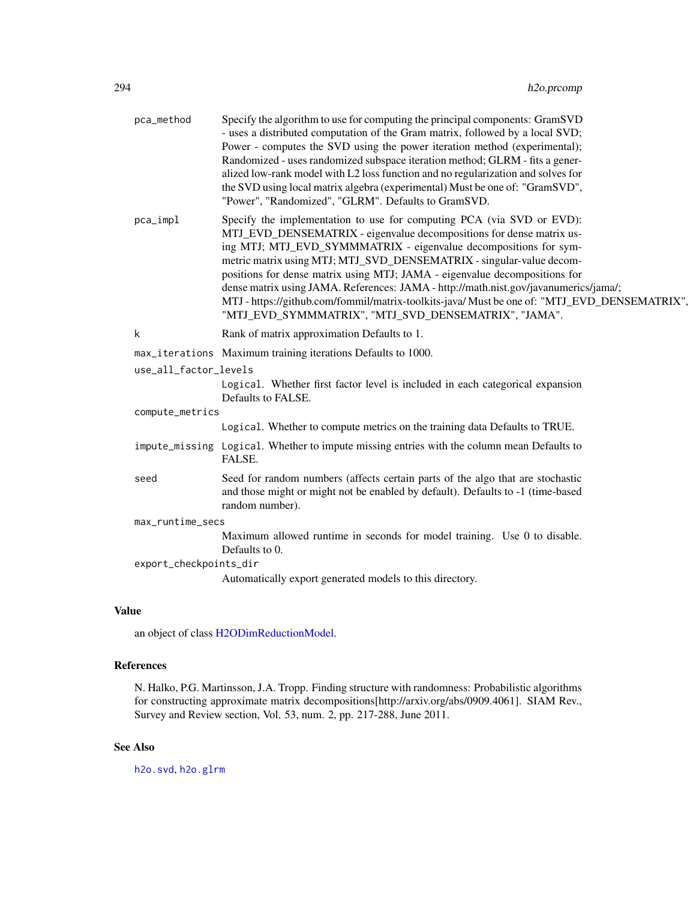| pca_method             | Specify the algorithm to use for computing the principal components: GramSVD<br>- uses a distributed computation of the Gram matrix, followed by a local SVD;<br>Power - computes the SVD using the power iteration method (experimental);<br>Randomized - uses randomized subspace iteration method; GLRM - fits a gener-<br>alized low-rank model with L2 loss function and no regularization and solves for<br>the SVD using local matrix algebra (experimental) Must be one of: "GramSVD",<br>"Power", "Randomized", "GLRM". Defaults to GramSVD.                                                                   |  |
|------------------------|-------------------------------------------------------------------------------------------------------------------------------------------------------------------------------------------------------------------------------------------------------------------------------------------------------------------------------------------------------------------------------------------------------------------------------------------------------------------------------------------------------------------------------------------------------------------------------------------------------------------------|--|
| pca_impl               | Specify the implementation to use for computing PCA (via SVD or EVD):<br>MTJ_EVD_DENSEMATRIX - eigenvalue decompositions for dense matrix us-<br>ing MTJ; MTJ_EVD_SYMMMATRIX - eigenvalue decompositions for sym-<br>metric matrix using MTJ; MTJ_SVD_DENSEMATRIX - singular-value decom-<br>positions for dense matrix using MTJ; JAMA - eigenvalue decompositions for<br>dense matrix using JAMA. References: JAMA - http://math.nist.gov/javanumerics/jama/;<br>MTJ - https://github.com/fommil/matrix-toolkits-java/ Must be one of: "MTJ_EVD_DENSEMATRIX",<br>"MTJ_EVD_SYMMMATRIX", "MTJ_SVD_DENSEMATRIX", "JAMA". |  |
| k                      | Rank of matrix approximation Defaults to 1.                                                                                                                                                                                                                                                                                                                                                                                                                                                                                                                                                                             |  |
|                        | max_iterations Maximum training iterations Defaults to 1000.                                                                                                                                                                                                                                                                                                                                                                                                                                                                                                                                                            |  |
| use_all_factor_levels  |                                                                                                                                                                                                                                                                                                                                                                                                                                                                                                                                                                                                                         |  |
|                        | Logical. Whether first factor level is included in each categorical expansion<br>Defaults to FALSE.                                                                                                                                                                                                                                                                                                                                                                                                                                                                                                                     |  |
| compute_metrics        |                                                                                                                                                                                                                                                                                                                                                                                                                                                                                                                                                                                                                         |  |
|                        | Logical. Whether to compute metrics on the training data Defaults to TRUE.                                                                                                                                                                                                                                                                                                                                                                                                                                                                                                                                              |  |
|                        | impute_missing Logical. Whether to impute missing entries with the column mean Defaults to<br>FALSE.                                                                                                                                                                                                                                                                                                                                                                                                                                                                                                                    |  |
| seed                   | Seed for random numbers (affects certain parts of the algo that are stochastic<br>and those might or might not be enabled by default). Defaults to -1 (time-based<br>random number).                                                                                                                                                                                                                                                                                                                                                                                                                                    |  |
| max_runtime_secs       |                                                                                                                                                                                                                                                                                                                                                                                                                                                                                                                                                                                                                         |  |
|                        | Maximum allowed runtime in seconds for model training. Use 0 to disable.<br>Defaults to 0.                                                                                                                                                                                                                                                                                                                                                                                                                                                                                                                              |  |
| export_checkpoints_dir |                                                                                                                                                                                                                                                                                                                                                                                                                                                                                                                                                                                                                         |  |
|                        | Automatically export generated models to this directory.                                                                                                                                                                                                                                                                                                                                                                                                                                                                                                                                                                |  |

# Value

an object of class [H2ODimReductionModel.](#page-415-0)

# References

N. Halko, P.G. Martinsson, J.A. Tropp. Finding structure with randomness: Probabilistic algorithms for constructing approximate matrix decompositions[http://arxiv.org/abs/0909.4061]. SIAM Rev., Survey and Review section, Vol. 53, num. 2, pp. 217-288, June 2011.

# See Also

[h2o.svd](#page-360-0), [h2o.glrm](#page-180-0)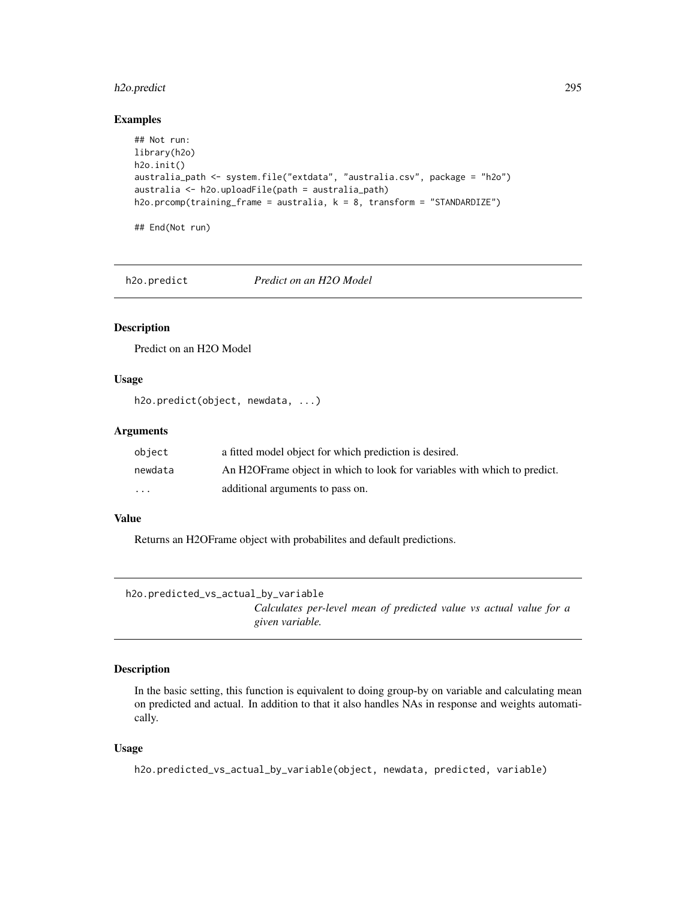# h2o.predict 295

## Examples

```
## Not run:
library(h2o)
h2o.init()
australia_path <- system.file("extdata", "australia.csv", package = "h2o")
australia <- h2o.uploadFile(path = australia_path)
h2o.prcomp(training_frame = australia, k = 8, transform = "STANDARDIZE")
```
## End(Not run)

h2o.predict *Predict on an H2O Model*

## Description

Predict on an H2O Model

# Usage

h2o.predict(object, newdata, ...)

## Arguments

| object   | a fitted model object for which prediction is desired.                    |
|----------|---------------------------------------------------------------------------|
| newdata  | An H2OF rame object in which to look for variables with which to predict. |
| $\cdots$ | additional arguments to pass on.                                          |

## Value

Returns an H2OFrame object with probabilites and default predictions.

h2o.predicted\_vs\_actual\_by\_variable

*Calculates per-level mean of predicted value vs actual value for a given variable.*

# Description

In the basic setting, this function is equivalent to doing group-by on variable and calculating mean on predicted and actual. In addition to that it also handles NAs in response and weights automatically.

## Usage

```
h2o.predicted_vs_actual_by_variable(object, newdata, predicted, variable)
```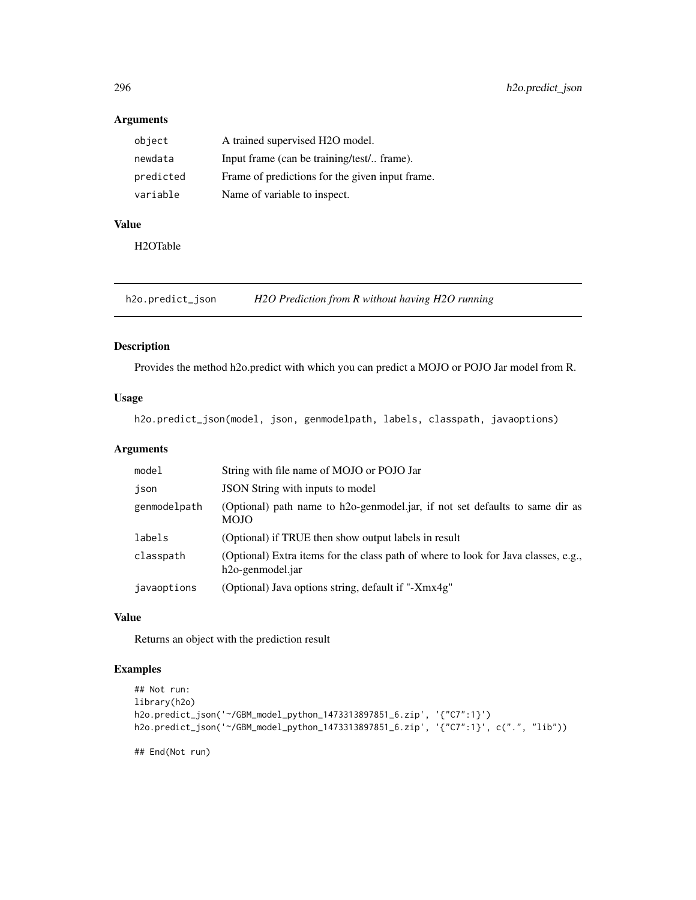# Arguments

| object    | A trained supervised H2O model.                 |
|-----------|-------------------------------------------------|
| newdata   | Input frame (can be training/test/ frame).      |
| predicted | Frame of predictions for the given input frame. |
| variable  | Name of variable to inspect.                    |

# Value

H2OTable

h2o.predict\_json *H2O Prediction from R without having H2O running*

## Description

Provides the method h2o.predict with which you can predict a MOJO or POJO Jar model from R.

# Usage

h2o.predict\_json(model, json, genmodelpath, labels, classpath, javaoptions)

# Arguments

| model        | String with file name of MOJO or POJO Jar                                                                           |
|--------------|---------------------------------------------------------------------------------------------------------------------|
| json         | JSON String with inputs to model                                                                                    |
| genmodelpath | (Optional) path name to h2o-genmodel.jar, if not set defaults to same dir as<br><b>MOJO</b>                         |
| labels       | (Optional) if TRUE then show output labels in result                                                                |
| classpath    | (Optional) Extra items for the class path of where to look for Java classes, e.g.,<br>h <sub>20</sub> -genmodel.jar |
| javaoptions  | (Optional) Java options string, default if "-Xmx4g"                                                                 |

## Value

Returns an object with the prediction result

# Examples

```
## Not run:
library(h2o)
h2o.predict_json('~/GBM_model_python_1473313897851_6.zip', '{"C7":1}')
h2o.predict_json('~/GBM_model_python_1473313897851_6.zip', '{"C7":1}', c(".", "lib"))
```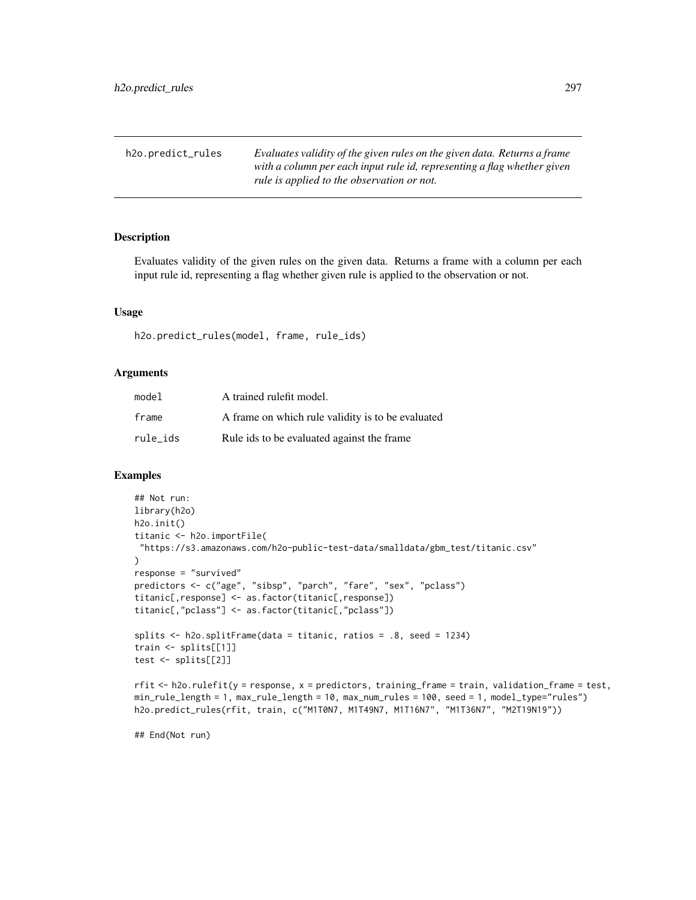| h2o.predict_rules | Evaluates validity of the given rules on the given data. Returns a frame |
|-------------------|--------------------------------------------------------------------------|
|                   | with a column per each input rule id, representing a flag whether given  |
|                   | rule is applied to the observation or not.                               |

Evaluates validity of the given rules on the given data. Returns a frame with a column per each input rule id, representing a flag whether given rule is applied to the observation or not.

#### Usage

h2o.predict\_rules(model, frame, rule\_ids)

## Arguments

| model    | A trained rulefit model.                          |
|----------|---------------------------------------------------|
| frame    | A frame on which rule validity is to be evaluated |
| rule ids | Rule ids to be evaluated against the frame        |

## Examples

```
## Not run:
library(h2o)
h2o.init()
titanic <- h2o.importFile(
 "https://s3.amazonaws.com/h2o-public-test-data/smalldata/gbm_test/titanic.csv"
\mathcal{L}response = "survived"
predictors <- c("age", "sibsp", "parch", "fare", "sex", "pclass")
titanic[,response] <- as.factor(titanic[,response])
titanic[,"pclass"] <- as.factor(titanic[,"pclass"])
splits <- h2o.splitFrame(data = titanic, ratios = .8, seed = 1234)
train <- splits[[1]]
test <- splits[[2]]
rfit <- h2o.rulefit(y = response, x = predictors, training_frame = train, validation_frame = test,
min_rule_length = 1, max_rule_length = 10, max_num_rules = 100, seed = 1, model_type="rules")
h2o.predict_rules(rfit, train, c("M1T0N7, M1T49N7, M1T16N7", "M1T36N7", "M2T19N19"))
```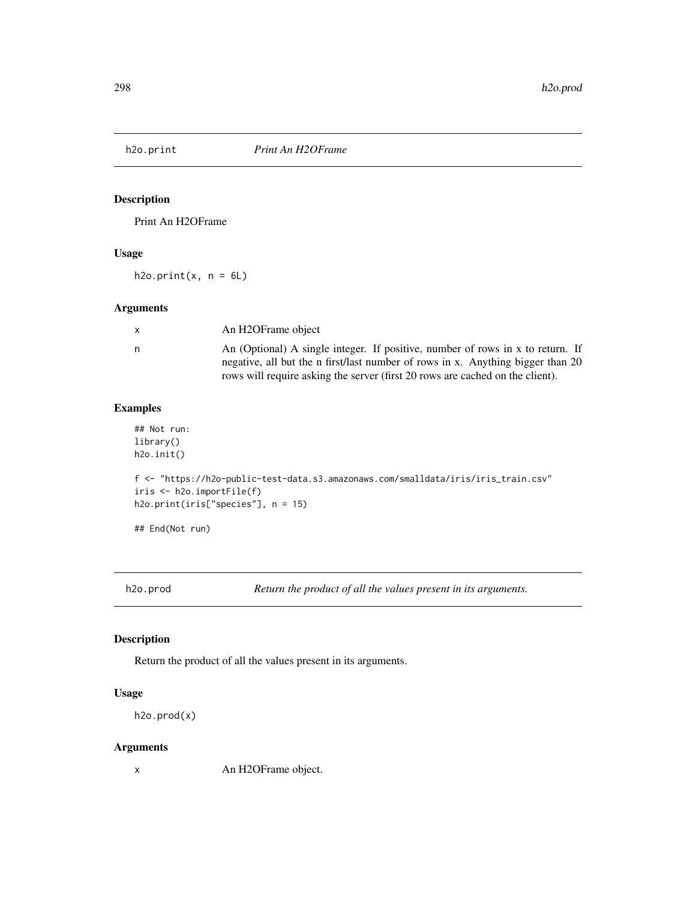Print An H2OFrame

## Usage

 $h2o.print(x, n = 6L)$ 

# Arguments

| $\mathsf{x}$ | An H2OFrame object                                                                                                                                                                                                                                 |
|--------------|----------------------------------------------------------------------------------------------------------------------------------------------------------------------------------------------------------------------------------------------------|
| n            | An (Optional) A single integer. If positive, number of rows in x to return. If<br>negative, all but the n first/last number of rows in x. Anything bigger than 20<br>rows will require asking the server (first 20 rows are cached on the client). |

# Examples

```
## Not run:
library()
h2o.init()
f <- "https://h2o-public-test-data.s3.amazonaws.com/smalldata/iris/iris_train.csv"
iris <- h2o.importFile(f)
h2o.print(iris["species"], n = 15)
## End(Not run)
```
h2o.prod *Return the product of all the values present in its arguments.*

## Description

Return the product of all the values present in its arguments.

# Usage

```
h2o.prod(x)
```
# Arguments

x An H2OFrame object.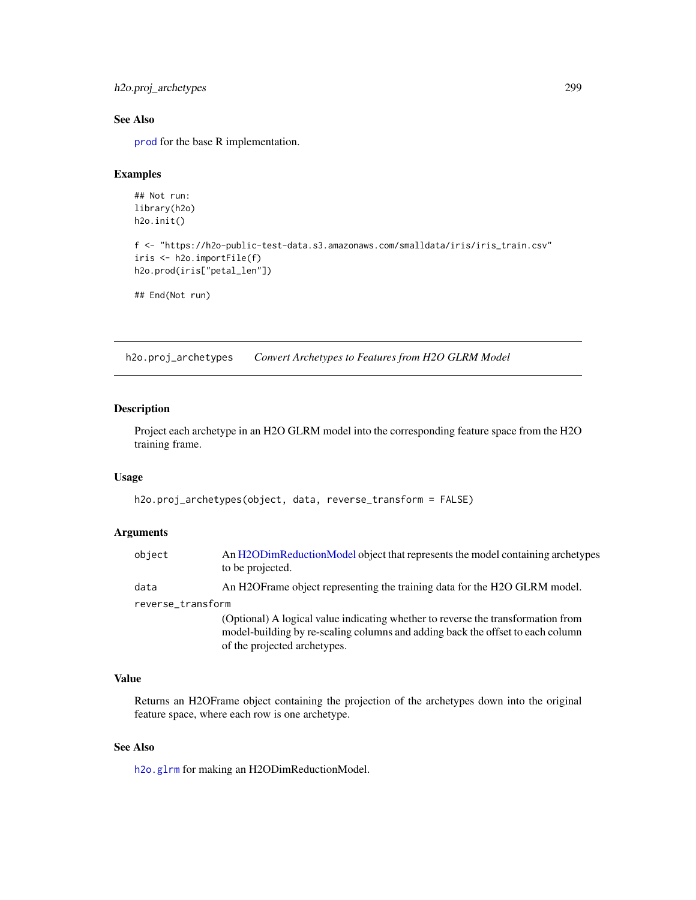```
h2o.proj_archetypes 299
```
## See Also

[prod](#page-0-0) for the base R implementation.

## Examples

```
## Not run:
library(h2o)
h2o.init()
```

```
f <- "https://h2o-public-test-data.s3.amazonaws.com/smalldata/iris/iris_train.csv"
iris <- h2o.importFile(f)
h2o.prod(iris["petal_len"])
```
## End(Not run)

h2o.proj\_archetypes *Convert Archetypes to Features from H2O GLRM Model*

## Description

Project each archetype in an H2O GLRM model into the corresponding feature space from the H2O training frame.

#### Usage

```
h2o.proj_archetypes(object, data, reverse_transform = FALSE)
```
## Arguments

| object            | An H2ODimReductionModel object that represents the model containing archetypes<br>to be projected.                                                                                                 |
|-------------------|----------------------------------------------------------------------------------------------------------------------------------------------------------------------------------------------------|
| data              | An H2O Frame object representing the training data for the H2O GLRM model.                                                                                                                         |
| reverse_transform |                                                                                                                                                                                                    |
|                   | (Optional) A logical value indicating whether to reverse the transformation from<br>model-building by re-scaling columns and adding back the offset to each column<br>of the projected archetypes. |

# Value

Returns an H2OFrame object containing the projection of the archetypes down into the original feature space, where each row is one archetype.

## See Also

[h2o.glrm](#page-180-0) for making an H2ODimReductionModel.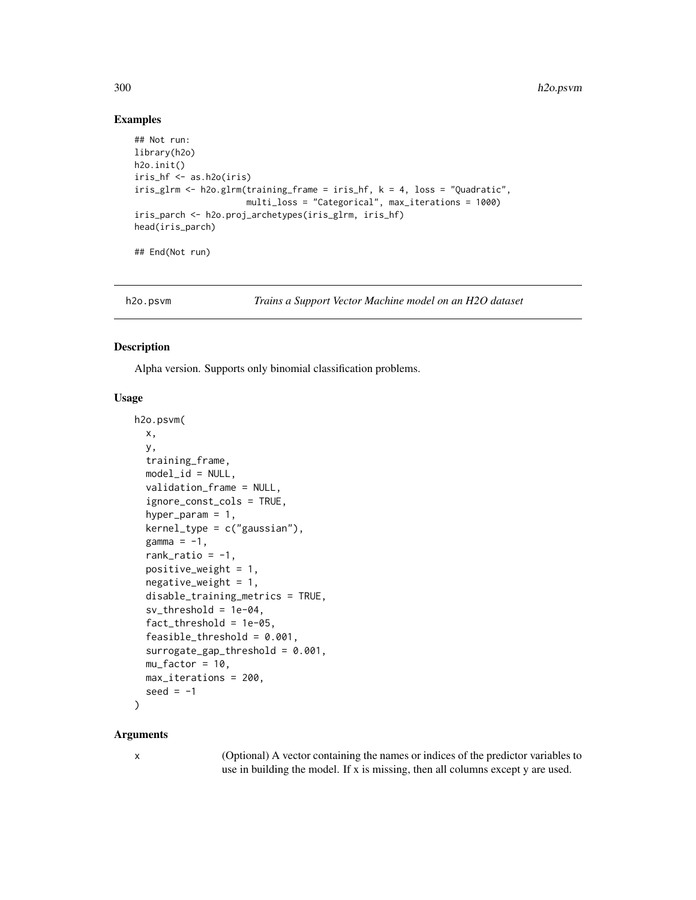## Examples

```
## Not run:
library(h2o)
h2o.init()
iris_hf <- as.h2o(iris)
iris_glrm <- h2o.glrm(training_frame = iris_hf, k = 4, loss = "Quadratic",
                      multi_loss = "Categorical", max_iterations = 1000)
iris_parch <- h2o.proj_archetypes(iris_glrm, iris_hf)
head(iris_parch)
## End(Not run)
```
h2o.psvm *Trains a Support Vector Machine model on an H2O dataset*

## Description

Alpha version. Supports only binomial classification problems.

## Usage

```
h2o.psvm(
 x,
 y,
  training_frame,
  model_id = NULL,
  validation_frame = NULL,
  ignore_const_cols = TRUE,
  hyper_param = 1,
  kernel_type = c("gaussian"),gamma = -1,
  rank_ratio = -1,
  positive_weight = 1,
  negative\_weight = 1,
  disable_training_metrics = TRUE,
  sv_{\text{-}threshold} = 1e-04,
  fact_{\text{threshold}} = 1e-05,
  feasible_threshold = 0.001,
  surrogate_gap_threshold = 0.001,
 mu_factor = 10,
 max_iterations = 200,
  seed = -1\lambda
```
#### Arguments

x (Optional) A vector containing the names or indices of the predictor variables to use in building the model. If x is missing, then all columns except y are used.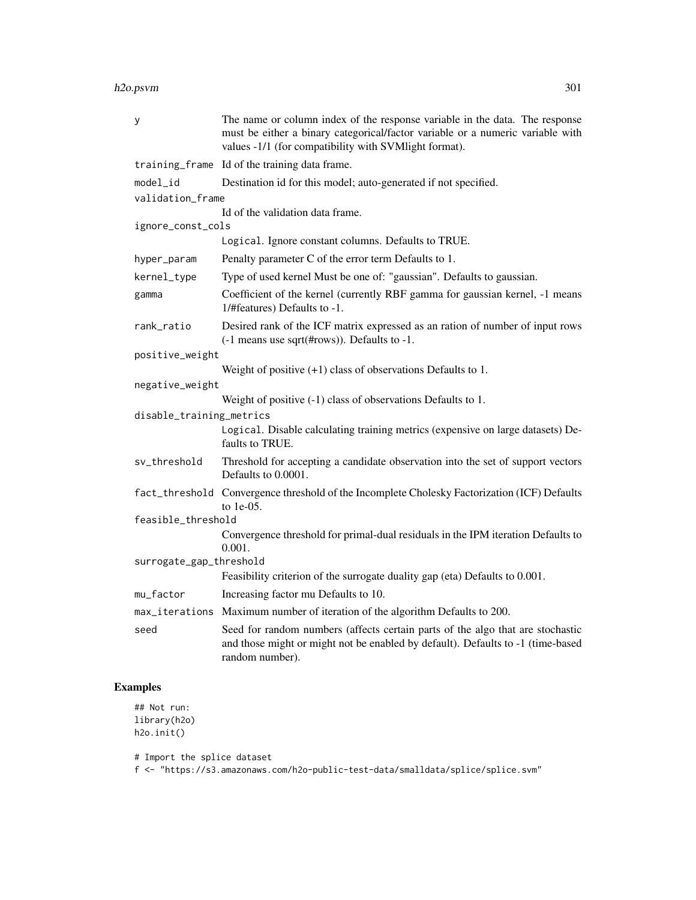#### h2o.psvm 301

| У                        | The name or column index of the response variable in the data. The response<br>must be either a binary categorical/factor variable or a numeric variable with<br>values -1/1 (for compatibility with SVMlight format). |
|--------------------------|------------------------------------------------------------------------------------------------------------------------------------------------------------------------------------------------------------------------|
|                          | training_frame Id of the training data frame.                                                                                                                                                                          |
| model_id                 | Destination id for this model; auto-generated if not specified.                                                                                                                                                        |
| validation_frame         |                                                                                                                                                                                                                        |
|                          | Id of the validation data frame.                                                                                                                                                                                       |
| ignore_const_cols        | Logical. Ignore constant columns. Defaults to TRUE.                                                                                                                                                                    |
|                          |                                                                                                                                                                                                                        |
| hyper_param              | Penalty parameter C of the error term Defaults to 1.                                                                                                                                                                   |
| kernel_type              | Type of used kernel Must be one of: "gaussian". Defaults to gaussian.                                                                                                                                                  |
| gamma                    | Coefficient of the kernel (currently RBF gamma for gaussian kernel, -1 means<br>1/#features) Defaults to -1.                                                                                                           |
| rank_ratio               | Desired rank of the ICF matrix expressed as an ration of number of input rows<br>(-1 means use sqrt(#rows)). Defaults to -1.                                                                                           |
| positive_weight          |                                                                                                                                                                                                                        |
|                          | Weight of positive $(+1)$ class of observations Defaults to 1.                                                                                                                                                         |
| negative_weight          |                                                                                                                                                                                                                        |
|                          | Weight of positive $(-1)$ class of observations Defaults to 1.                                                                                                                                                         |
| disable_training_metrics |                                                                                                                                                                                                                        |
|                          | Logical. Disable calculating training metrics (expensive on large datasets) De-<br>faults to TRUE.                                                                                                                     |
| sv_threshold             | Threshold for accepting a candidate observation into the set of support vectors<br>Defaults to 0.0001.                                                                                                                 |
|                          | fact_threshold Convergence threshold of the Incomplete Cholesky Factorization (ICF) Defaults<br>to $1e-05$ .                                                                                                           |
| feasible_threshold       |                                                                                                                                                                                                                        |
|                          | Convergence threshold for primal-dual residuals in the IPM iteration Defaults to<br>0.001.                                                                                                                             |
| surrogate_gap_threshold  |                                                                                                                                                                                                                        |
|                          | Feasibility criterion of the surrogate duality gap (eta) Defaults to 0.001.                                                                                                                                            |
| mu_factor                | Increasing factor mu Defaults to 10.                                                                                                                                                                                   |
|                          | max_iterations Maximum number of iteration of the algorithm Defaults to 200.                                                                                                                                           |
| seed                     | Seed for random numbers (affects certain parts of the algo that are stochastic<br>and those might or might not be enabled by default). Defaults to -1 (time-based<br>random number).                                   |

# Examples

## Not run: library(h2o) h2o.init()

# Import the splice dataset

f <- "https://s3.amazonaws.com/h2o-public-test-data/smalldata/splice/splice.svm"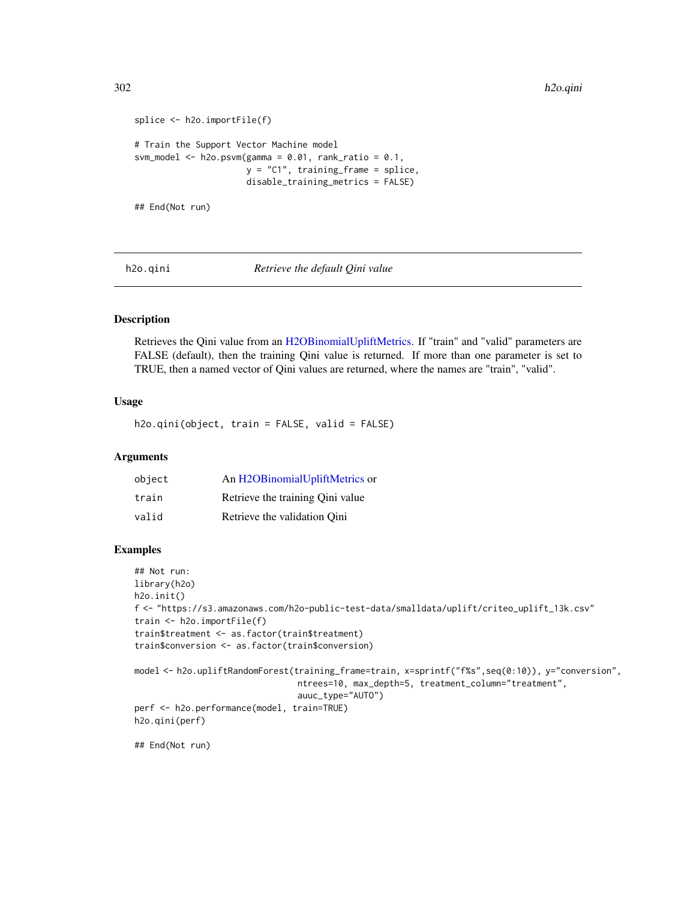```
splice <- h2o.importFile(f)
# Train the Support Vector Machine model
svm_model <- h2o.psvm(gamma = 0.01, rank_ratio = 0.1,
                      y = "C1", training_frame = splice,
                      disable_training_metrics = FALSE)
```
## End(Not run)

h2o.qini *Retrieve the default Qini value*

## Description

Retrieves the Qini value from an [H2OBinomialUpliftMetrics.](#page-416-1) If "train" and "valid" parameters are FALSE (default), then the training Qini value is returned. If more than one parameter is set to TRUE, then a named vector of Qini values are returned, where the names are "train", "valid".

## Usage

h2o.qini(object, train = FALSE, valid = FALSE)

## Arguments

| object | An H2OBinomialUpliftMetrics or   |
|--------|----------------------------------|
| train  | Retrieve the training Oini value |
| valid  | Retrieve the validation Oini     |

## Examples

```
## Not run:
library(h2o)
h2o.init()
f <- "https://s3.amazonaws.com/h2o-public-test-data/smalldata/uplift/criteo_uplift_13k.csv"
train <- h2o.importFile(f)
train$treatment <- as.factor(train$treatment)
train$conversion <- as.factor(train$conversion)
model <- h2o.upliftRandomForest(training_frame=train, x=sprintf("f%s",seq(0:10)), y="conversion",
                                ntrees=10, max_depth=5, treatment_column="treatment",
                                auuc_type="AUTO")
perf <- h2o.performance(model, train=TRUE)
h2o.qini(perf)
```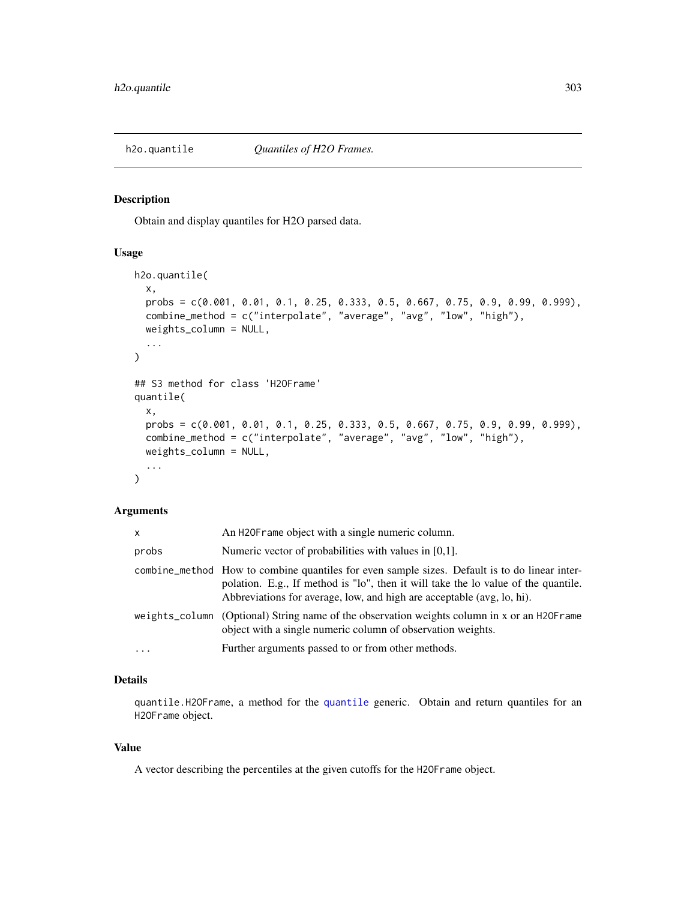Obtain and display quantiles for H2O parsed data.

## Usage

```
h2o.quantile(
  x,
  probs = c(0.001, 0.01, 0.1, 0.25, 0.333, 0.5, 0.667, 0.75, 0.9, 0.99, 0.999),
  combine_method = c("interpolate", "average", "avg", "low", "high"),
  weights_column = NULL,
  ...
\mathcal{L}## S3 method for class 'H2OFrame'
quantile(
  x,
 probs = c(0.001, 0.01, 0.1, 0.25, 0.333, 0.5, 0.667, 0.75, 0.9, 0.99, 0.999),
  combine_method = c("interpolate", "average", "avg", "low", "high"),
  weights_column = NULL,
  ...
\mathcal{L}
```
#### Arguments

| <b>X</b> | An H20F rame object with a single numeric column.                                                                                                                                                                                                             |
|----------|---------------------------------------------------------------------------------------------------------------------------------------------------------------------------------------------------------------------------------------------------------------|
| probs    | Numeric vector of probabilities with values in [0,1].                                                                                                                                                                                                         |
|          | combine_method How to combine quantiles for even sample sizes. Default is to do linear inter-<br>polation. E.g., If method is "lo", then it will take the lo value of the quantile.<br>Abbreviations for average, low, and high are acceptable (avg, lo, hi). |
|          | weights_column (Optional) String name of the observation weights column in x or an H2OFrame<br>object with a single numeric column of observation weights.                                                                                                    |
| $\cdots$ | Further arguments passed to or from other methods.                                                                                                                                                                                                            |

# Details

quantile.H2OFrame, a method for the [quantile](#page-0-0) generic. Obtain and return quantiles for an H2OFrame object.

#### Value

A vector describing the percentiles at the given cutoffs for the H2OFrame object.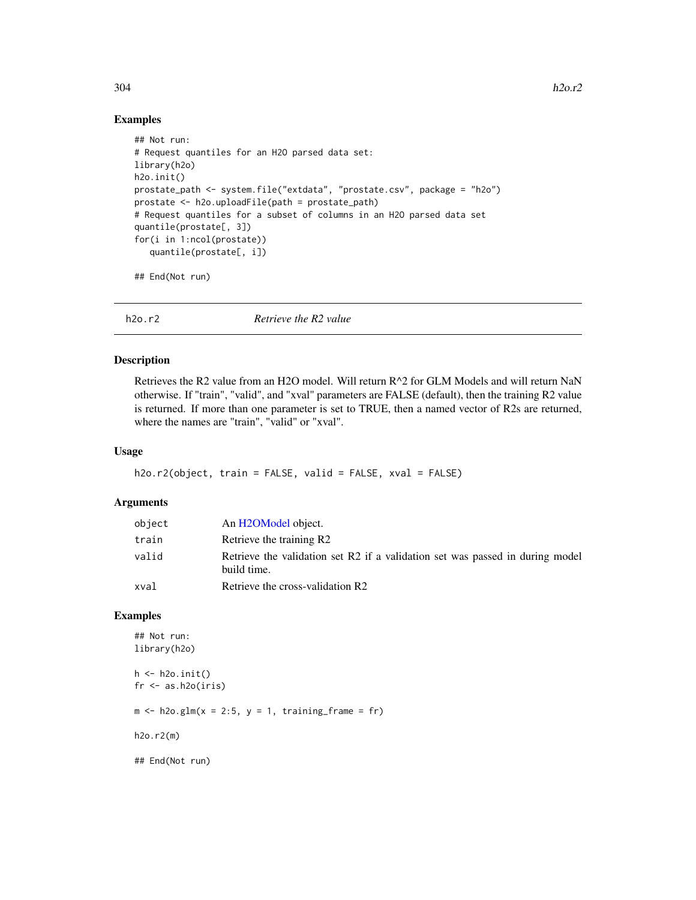## Examples

```
## Not run:
# Request quantiles for an H2O parsed data set:
library(h2o)
h2o.init()
prostate_path <- system.file("extdata", "prostate.csv", package = "h2o")
prostate <- h2o.uploadFile(path = prostate_path)
# Request quantiles for a subset of columns in an H2O parsed data set
quantile(prostate[, 3])
for(i in 1:ncol(prostate))
   quantile(prostate[, i])
```
## End(Not run)

h2o.r2 *Retrieve the R2 value*

## Description

Retrieves the R2 value from an H2O model. Will return R^2 for GLM Models and will return NaN otherwise. If "train", "valid", and "xval" parameters are FALSE (default), then the training R2 value is returned. If more than one parameter is set to TRUE, then a named vector of R2s are returned, where the names are "train", "valid" or "xval".

#### Usage

```
h2o.r2(object, train = FALSE, valid = FALSE, xval = FALSE)
```
## Arguments

| object | An H <sub>2</sub> OM <sub>odel</sub> object.                                                 |
|--------|----------------------------------------------------------------------------------------------|
| train  | Retrieve the training R2                                                                     |
| valid  | Retrieve the validation set R2 if a validation set was passed in during model<br>build time. |
| xval   | Retrieve the cross-validation R2                                                             |

#### Examples

```
## Not run:
library(h2o)
h \leftarrow h20.init()fr < - as.h2o(iris)
m \le -h2o.glm(x = 2:5, y = 1, training-frame = fr)h2o.r2(m)
## End(Not run)
```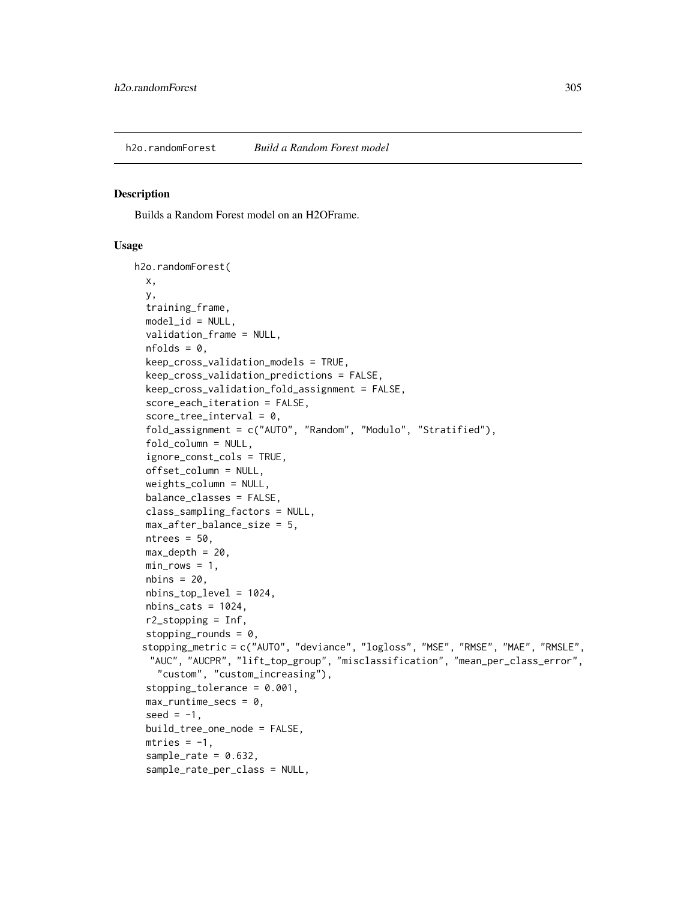Builds a Random Forest model on an H2OFrame.

#### Usage

```
h2o.randomForest(
  x,
 y,
  training_frame,
 model_id = NULL,validation_frame = NULL,
  nfolds = 0,
  keep_cross_validation_models = TRUE,
  keep_cross_validation_predictions = FALSE,
  keep_cross_validation_fold_assignment = FALSE,
  score_each_iteration = FALSE,
  score\_tree\_interval = 0,
  fold_assignment = c("AUTO", "Random", "Modulo", "Stratified"),
  fold_column = NULL,
  ignore_const_cols = TRUE,
  offset_column = NULL,
  weights_column = NULL,
  balance_classes = FALSE,
  class_sampling_factors = NULL,
  max_after_balance_size = 5,
 ntrees = 50,
 max\_depth = 20,
 min\_rows = 1,
 nbins = 20,
  nbins_top_level = 1024,
  nbins\_cats = 1024,r2_stopping = Inf,
  stopping_rounds = 0,
 stopping_metric = c("AUTO", "deviance", "logloss", "MSE", "RMSE", "MAE", "RMSLE",
  "AUC", "AUCPR", "lift_top_group", "misclassification", "mean_per_class_error",
    "custom", "custom_increasing"),
  stopping_tolerance = 0.001,
  max_runtime_secs = 0,
  seed = -1,
  build_tree_one_node = FALSE,
 mtries = -1,
  sample_rate = 0.632,
  sample_rate_per_class = NULL,
```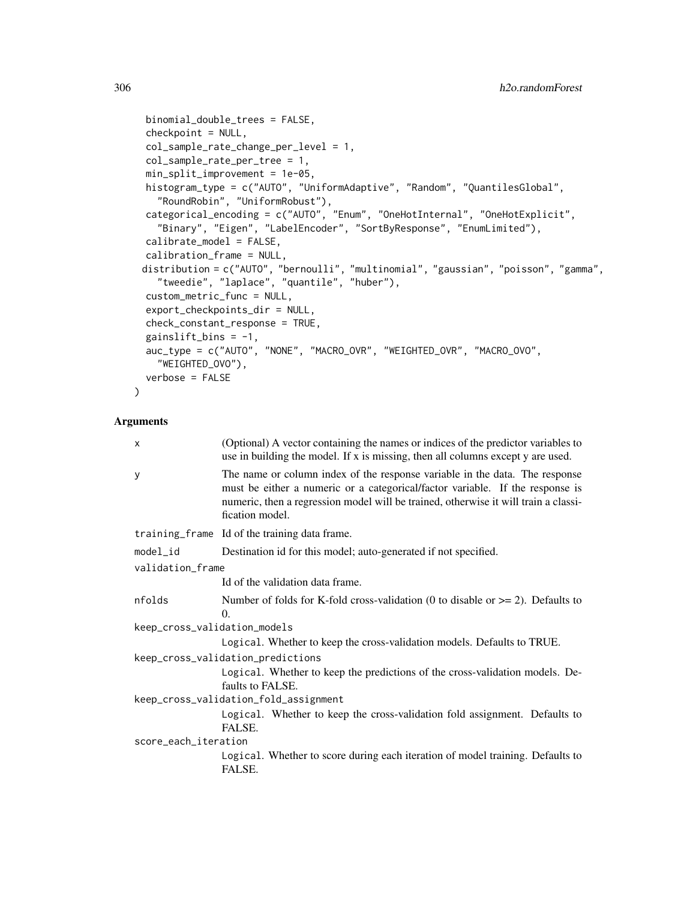```
binomial_double_trees = FALSE,
checkpoint = NULL,
col_sample_rate_change_per_level = 1,
col_sample_rate_per_tree = 1,
min_split_improvement = 1e-05,
histogram_type = c("AUTO", "UniformAdaptive", "Random", "QuantilesGlobal",
  "RoundRobin", "UniformRobust"),
categorical_encoding = c("AUTO", "Enum", "OneHotInternal", "OneHotExplicit",
  "Binary", "Eigen", "LabelEncoder", "SortByResponse", "EnumLimited"),
calibrate_model = FALSE,
calibration_frame = NULL,
distribution = c("AUTO", "bernoulli", "multinomial", "gaussian", "poisson", "gamma",
  "tweedie", "laplace", "quantile", "huber"),
custom_metric_func = NULL,
export_checkpoints_dir = NULL,
check_constant_response = TRUE,
gainslift_bins = -1,
auc_type = c("AUTO", "NONE", "MACRO_OVR", "WEIGHTED_OVR", "MACRO_OVO",
  "WEIGHTED_OVO"),
verbose = FALSE
```
## Arguments

 $\lambda$ 

| $\times$                          | (Optional) A vector containing the names or indices of the predictor variables to<br>use in building the model. If x is missing, then all columns except y are used.                                                                                                   |  |  |  |  |
|-----------------------------------|------------------------------------------------------------------------------------------------------------------------------------------------------------------------------------------------------------------------------------------------------------------------|--|--|--|--|
| У                                 | The name or column index of the response variable in the data. The response<br>must be either a numeric or a categorical/factor variable. If the response is<br>numeric, then a regression model will be trained, otherwise it will train a classi-<br>fication model. |  |  |  |  |
|                                   | training_frame Id of the training data frame.                                                                                                                                                                                                                          |  |  |  |  |
| model_id                          | Destination id for this model; auto-generated if not specified.                                                                                                                                                                                                        |  |  |  |  |
| validation_frame                  |                                                                                                                                                                                                                                                                        |  |  |  |  |
|                                   | Id of the validation data frame.                                                                                                                                                                                                                                       |  |  |  |  |
| nfolds                            | Number of folds for K-fold cross-validation (0 to disable or $\geq$ 2). Defaults to<br>$\Omega$ .                                                                                                                                                                      |  |  |  |  |
| keep_cross_validation_models      |                                                                                                                                                                                                                                                                        |  |  |  |  |
|                                   | Logical. Whether to keep the cross-validation models. Defaults to TRUE.                                                                                                                                                                                                |  |  |  |  |
| keep_cross_validation_predictions |                                                                                                                                                                                                                                                                        |  |  |  |  |
|                                   | Logical. Whether to keep the predictions of the cross-validation models. De-<br>faults to FALSE.                                                                                                                                                                       |  |  |  |  |
|                                   | keep_cross_validation_fold_assignment                                                                                                                                                                                                                                  |  |  |  |  |
|                                   | Logical. Whether to keep the cross-validation fold assignment. Defaults to<br>FALSE.                                                                                                                                                                                   |  |  |  |  |
| score_each_iteration              |                                                                                                                                                                                                                                                                        |  |  |  |  |
|                                   | Logical. Whether to score during each iteration of model training. Defaults to<br>FALSE.                                                                                                                                                                               |  |  |  |  |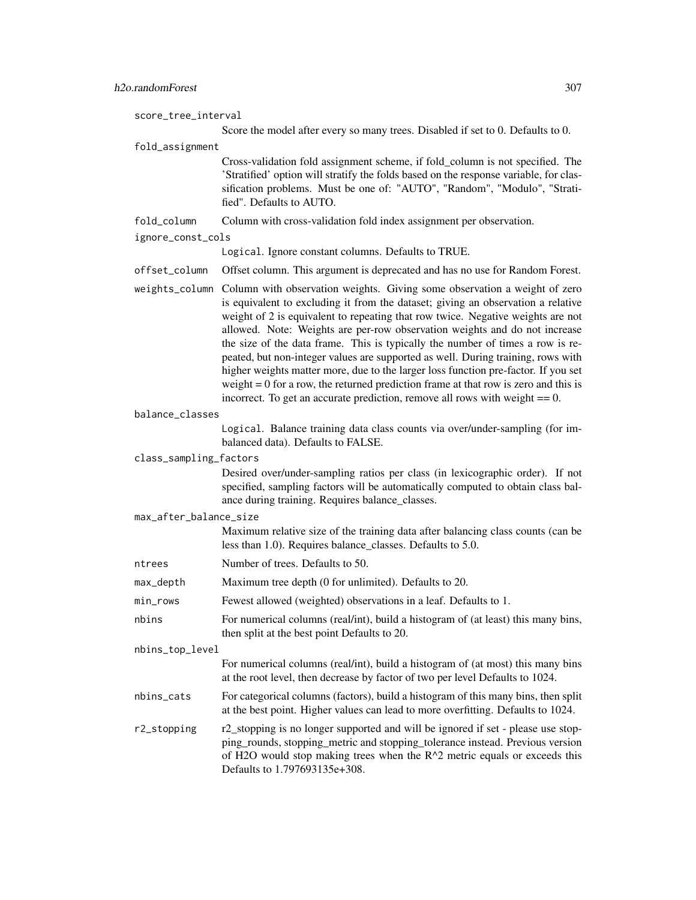score\_tree\_interval Score the model after every so many trees. Disabled if set to 0. Defaults to 0. fold\_assignment Cross-validation fold assignment scheme, if fold\_column is not specified. The 'Stratified' option will stratify the folds based on the response variable, for classification problems. Must be one of: "AUTO", "Random", "Modulo", "Stratified". Defaults to AUTO.

fold\_column Column with cross-validation fold index assignment per observation.

```
ignore_const_cols
```
Logical. Ignore constant columns. Defaults to TRUE.

offset\_column Offset column. This argument is deprecated and has no use for Random Forest.

- weights\_column Column with observation weights. Giving some observation a weight of zero is equivalent to excluding it from the dataset; giving an observation a relative weight of 2 is equivalent to repeating that row twice. Negative weights are not allowed. Note: Weights are per-row observation weights and do not increase the size of the data frame. This is typically the number of times a row is repeated, but non-integer values are supported as well. During training, rows with higher weights matter more, due to the larger loss function pre-factor. If you set weight  $= 0$  for a row, the returned prediction frame at that row is zero and this is incorrect. To get an accurate prediction, remove all rows with weight  $== 0$ .
- balance\_classes

Logical. Balance training data class counts via over/under-sampling (for imbalanced data). Defaults to FALSE.

#### class\_sampling\_factors

Desired over/under-sampling ratios per class (in lexicographic order). If not specified, sampling factors will be automatically computed to obtain class balance during training. Requires balance\_classes.

```
max_after_balance_size
```
Maximum relative size of the training data after balancing class counts (can be less than 1.0). Requires balance\_classes. Defaults to 5.0.

- ntrees Number of trees. Defaults to 50.
- max\_depth Maximum tree depth (0 for unlimited). Defaults to 20.
- min\_rows Fewest allowed (weighted) observations in a leaf. Defaults to 1.
- nbins For numerical columns (real/int), build a histogram of (at least) this many bins, then split at the best point Defaults to 20.

nbins\_top\_level

For numerical columns (real/int), build a histogram of (at most) this many bins at the root level, then decrease by factor of two per level Defaults to 1024.

- nbins\_cats For categorical columns (factors), build a histogram of this many bins, then split at the best point. Higher values can lead to more overfitting. Defaults to 1024.
- r2\_stopping r2\_stopping is no longer supported and will be ignored if set please use stopping\_rounds, stopping\_metric and stopping\_tolerance instead. Previous version of H2O would stop making trees when the R^2 metric equals or exceeds this Defaults to 1.797693135e+308.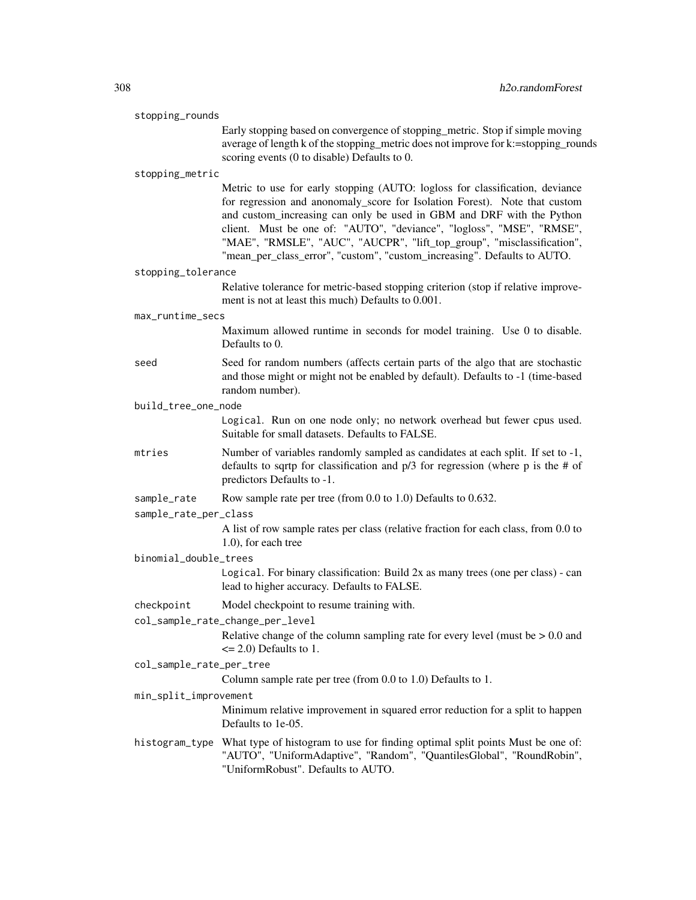| stopping_rounds          |                                                                                                                                                                                                                                                                                                                                                                                                                                                                    |
|--------------------------|--------------------------------------------------------------------------------------------------------------------------------------------------------------------------------------------------------------------------------------------------------------------------------------------------------------------------------------------------------------------------------------------------------------------------------------------------------------------|
|                          | Early stopping based on convergence of stopping_metric. Stop if simple moving<br>average of length k of the stopping_metric does not improve for k:=stopping_rounds<br>scoring events (0 to disable) Defaults to 0.                                                                                                                                                                                                                                                |
| stopping_metric          |                                                                                                                                                                                                                                                                                                                                                                                                                                                                    |
|                          | Metric to use for early stopping (AUTO: logloss for classification, deviance<br>for regression and anonomaly_score for Isolation Forest). Note that custom<br>and custom_increasing can only be used in GBM and DRF with the Python<br>client. Must be one of: "AUTO", "deviance", "logloss", "MSE", "RMSE",<br>"MAE", "RMSLE", "AUC", "AUCPR", "lift_top_group", "misclassification",<br>"mean_per_class_error", "custom", "custom_increasing". Defaults to AUTO. |
| stopping_tolerance       |                                                                                                                                                                                                                                                                                                                                                                                                                                                                    |
|                          | Relative tolerance for metric-based stopping criterion (stop if relative improve-<br>ment is not at least this much) Defaults to 0.001.                                                                                                                                                                                                                                                                                                                            |
| max_runtime_secs         |                                                                                                                                                                                                                                                                                                                                                                                                                                                                    |
|                          | Maximum allowed runtime in seconds for model training. Use 0 to disable.<br>Defaults to 0.                                                                                                                                                                                                                                                                                                                                                                         |
| seed                     | Seed for random numbers (affects certain parts of the algo that are stochastic<br>and those might or might not be enabled by default). Defaults to -1 (time-based<br>random number).                                                                                                                                                                                                                                                                               |
| build_tree_one_node      |                                                                                                                                                                                                                                                                                                                                                                                                                                                                    |
|                          | Logical. Run on one node only; no network overhead but fewer cpus used.<br>Suitable for small datasets. Defaults to FALSE.                                                                                                                                                                                                                                                                                                                                         |
| mtries                   | Number of variables randomly sampled as candidates at each split. If set to -1,<br>defaults to sqrtp for classification and $p/3$ for regression (where p is the # of<br>predictors Defaults to -1.                                                                                                                                                                                                                                                                |
| sample_rate              | Row sample rate per tree (from 0.0 to 1.0) Defaults to 0.632.                                                                                                                                                                                                                                                                                                                                                                                                      |
| sample_rate_per_class    |                                                                                                                                                                                                                                                                                                                                                                                                                                                                    |
|                          | A list of row sample rates per class (relative fraction for each class, from 0.0 to<br>$1.0$ ), for each tree                                                                                                                                                                                                                                                                                                                                                      |
| binomial_double_trees    |                                                                                                                                                                                                                                                                                                                                                                                                                                                                    |
|                          | Logical. For binary classification: Build 2x as many trees (one per class) - can<br>lead to higher accuracy. Defaults to FALSE.                                                                                                                                                                                                                                                                                                                                    |
| checkpoint               | Model checkpoint to resume training with.                                                                                                                                                                                                                                                                                                                                                                                                                          |
|                          | col_sample_rate_change_per_level                                                                                                                                                                                                                                                                                                                                                                                                                                   |
|                          | Relative change of the column sampling rate for every level (must be $> 0.0$ and<br>$\leq$ 2.0) Defaults to 1.                                                                                                                                                                                                                                                                                                                                                     |
| col_sample_rate_per_tree |                                                                                                                                                                                                                                                                                                                                                                                                                                                                    |
| min_split_improvement    | Column sample rate per tree (from 0.0 to 1.0) Defaults to 1.                                                                                                                                                                                                                                                                                                                                                                                                       |
|                          | Minimum relative improvement in squared error reduction for a split to happen<br>Defaults to 1e-05.                                                                                                                                                                                                                                                                                                                                                                |
| histogram_type           | What type of histogram to use for finding optimal split points Must be one of:<br>"AUTO", "UniformAdaptive", "Random", "QuantilesGlobal", "RoundRobin",<br>"UniformRobust". Defaults to AUTO.                                                                                                                                                                                                                                                                      |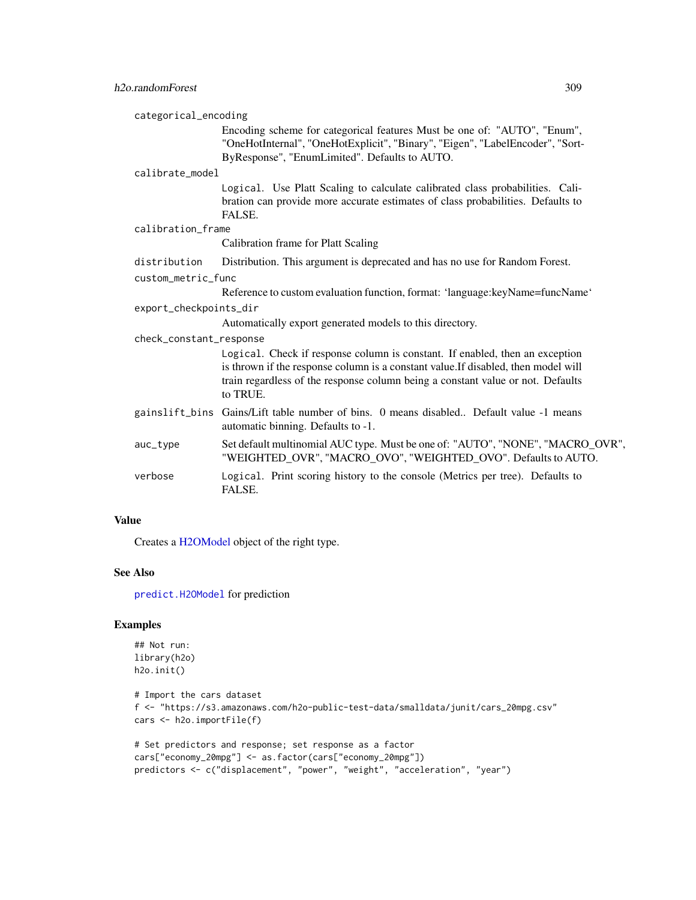| categorical_encoding    |                                                                                                                                                                                                                                                                   |
|-------------------------|-------------------------------------------------------------------------------------------------------------------------------------------------------------------------------------------------------------------------------------------------------------------|
|                         | Encoding scheme for categorical features Must be one of: "AUTO", "Enum",<br>"OneHotInternal", "OneHotExplicit", "Binary", "Eigen", "LabelEncoder", "Sort-                                                                                                         |
|                         | ByResponse", "EnumLimited". Defaults to AUTO.                                                                                                                                                                                                                     |
| calibrate model         |                                                                                                                                                                                                                                                                   |
|                         | Logical. Use Platt Scaling to calculate calibrated class probabilities. Cali-<br>bration can provide more accurate estimates of class probabilities. Defaults to<br>FALSE.                                                                                        |
| calibration_frame       |                                                                                                                                                                                                                                                                   |
|                         | Calibration frame for Platt Scaling                                                                                                                                                                                                                               |
| distribution            | Distribution. This argument is deprecated and has no use for Random Forest.                                                                                                                                                                                       |
| custom_metric_func      |                                                                                                                                                                                                                                                                   |
|                         | Reference to custom evaluation function, format: 'language: key Name=funcName'                                                                                                                                                                                    |
| export_checkpoints_dir  |                                                                                                                                                                                                                                                                   |
|                         | Automatically export generated models to this directory.                                                                                                                                                                                                          |
| check_constant_response |                                                                                                                                                                                                                                                                   |
|                         | Logical. Check if response column is constant. If enabled, then an exception<br>is thrown if the response column is a constant value. If disabled, then model will<br>train regardless of the response column being a constant value or not. Defaults<br>to TRUE. |
|                         | gainslift_bins Gains/Lift table number of bins. 0 means disabled Default value -1 means<br>automatic binning. Defaults to -1.                                                                                                                                     |
| auc_type                | Set default multinomial AUC type. Must be one of: "AUTO", "NONE", "MACRO_OVR",<br>"WEIGHTED_OVR", "MACRO_OVO", "WEIGHTED_OVO". Defaults to AUTO.                                                                                                                  |
| verbose                 | Logical. Print scoring history to the console (Metrics per tree). Defaults to<br>FALSE.                                                                                                                                                                           |

# Value

Creates a [H2OModel](#page-415-1) object of the right type.

# See Also

[predict.H2OModel](#page-432-0) for prediction

# Examples

```
## Not run:
library(h2o)
h2o.init()
```

```
# Import the cars dataset
f <- "https://s3.amazonaws.com/h2o-public-test-data/smalldata/junit/cars_20mpg.csv"
cars <- h2o.importFile(f)
```

```
# Set predictors and response; set response as a factor
cars["economy_20mpg"] <- as.factor(cars["economy_20mpg"])
predictors <- c("displacement", "power", "weight", "acceleration", "year")
```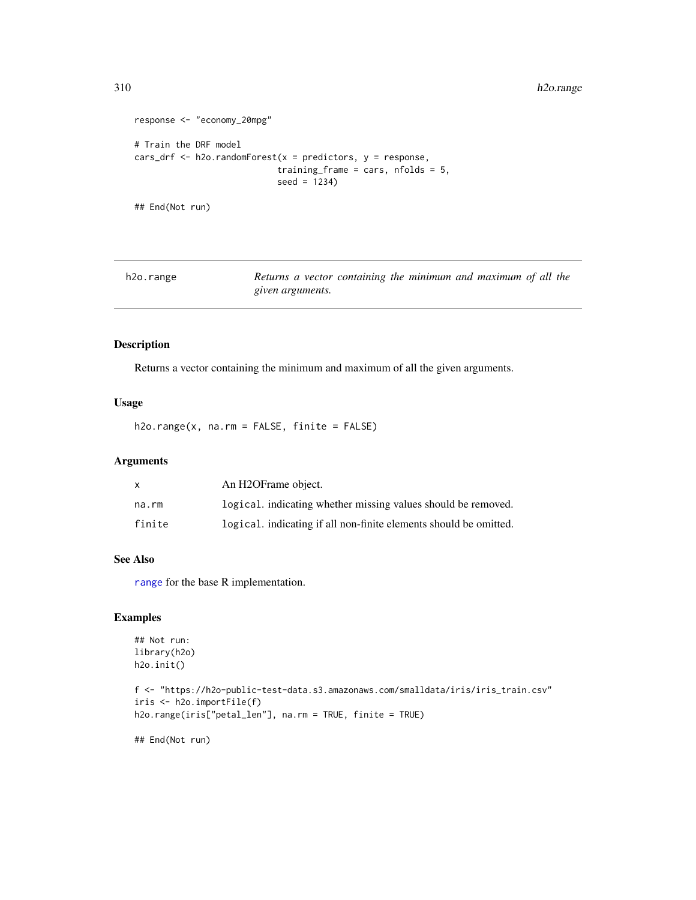310 h2o.range

```
response <- "economy_20mpg"
# Train the DRF model
cars_drf <- h2o.randomForest(x = predictors, y = response,
                            training_frame = cars, nfolds = 5,
                            seed = 1234)
```
## End(Not run)

| h2o.range | Returns a vector containing the minimum and maximum of all the |  |  |  |  |
|-----------|----------------------------------------------------------------|--|--|--|--|
|           | given arguments.                                               |  |  |  |  |

## Description

Returns a vector containing the minimum and maximum of all the given arguments.

## Usage

h2o.range(x, na.rm = FALSE, finite = FALSE)

# Arguments

| $\mathsf{x}$ | An H <sub>2</sub> OFrame object.                                  |
|--------------|-------------------------------------------------------------------|
| na.rm        | logical. indicating whether missing values should be removed.     |
| finite       | logical, indicating if all non-finite elements should be omitted. |

# See Also

[range](#page-0-0) for the base R implementation.

# Examples

```
## Not run:
library(h2o)
h2o.init()
```

```
f <- "https://h2o-public-test-data.s3.amazonaws.com/smalldata/iris/iris_train.csv"
iris <- h2o.importFile(f)
h2o.range(iris["petal_len"], na.rm = TRUE, finite = TRUE)
```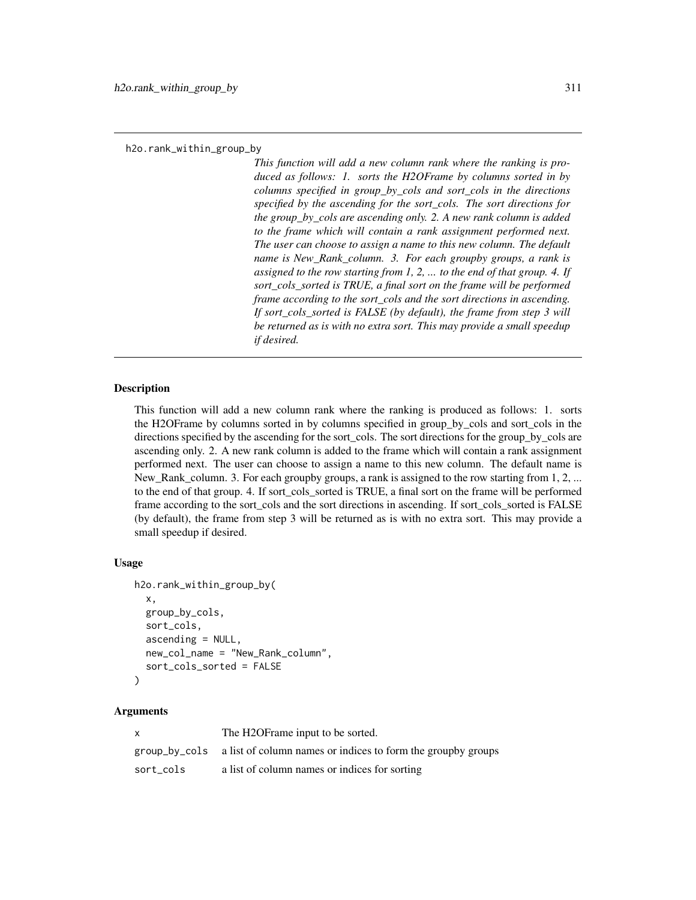*This function will add a new column rank where the ranking is produced as follows: 1. sorts the H2OFrame by columns sorted in by columns specified in group\_by\_cols and sort\_cols in the directions specified by the ascending for the sort\_cols. The sort directions for the group\_by\_cols are ascending only. 2. A new rank column is added to the frame which will contain a rank assignment performed next. The user can choose to assign a name to this new column. The default name is New\_Rank\_column. 3. For each groupby groups, a rank is assigned to the row starting from 1, 2, ... to the end of that group. 4. If sort\_cols\_sorted is TRUE, a final sort on the frame will be performed frame according to the sort\_cols and the sort directions in ascending. If sort\_cols\_sorted is FALSE (by default), the frame from step 3 will be returned as is with no extra sort. This may provide a small speedup if desired.*

#### Description

This function will add a new column rank where the ranking is produced as follows: 1. sorts the H2OFrame by columns sorted in by columns specified in group\_by\_cols and sort\_cols in the directions specified by the ascending for the sort\_cols. The sort directions for the group\_by\_cols are ascending only. 2. A new rank column is added to the frame which will contain a rank assignment performed next. The user can choose to assign a name to this new column. The default name is New\_Rank\_column. 3. For each groupby groups, a rank is assigned to the row starting from 1, 2, ... to the end of that group. 4. If sort cols sorted is TRUE, a final sort on the frame will be performed frame according to the sort\_cols and the sort directions in ascending. If sort\_cols\_sorted is FALSE (by default), the frame from step 3 will be returned as is with no extra sort. This may provide a small speedup if desired.

## Usage

```
h2o.rank_within_group_by(
  x,
  group_by_cols,
  sort_cols,
  ascending = NULL,
  new_col_name = "New_Rank_column",
  sort_cols_sorted = FALSE
)
```
## Arguments

| $\mathsf{x}$ | The H2OF rame input to be sorted.                                          |
|--------------|----------------------------------------------------------------------------|
|              | group_by_cols a list of column names or indices to form the group y groups |
| sort cols    | a list of column names or indices for sorting                              |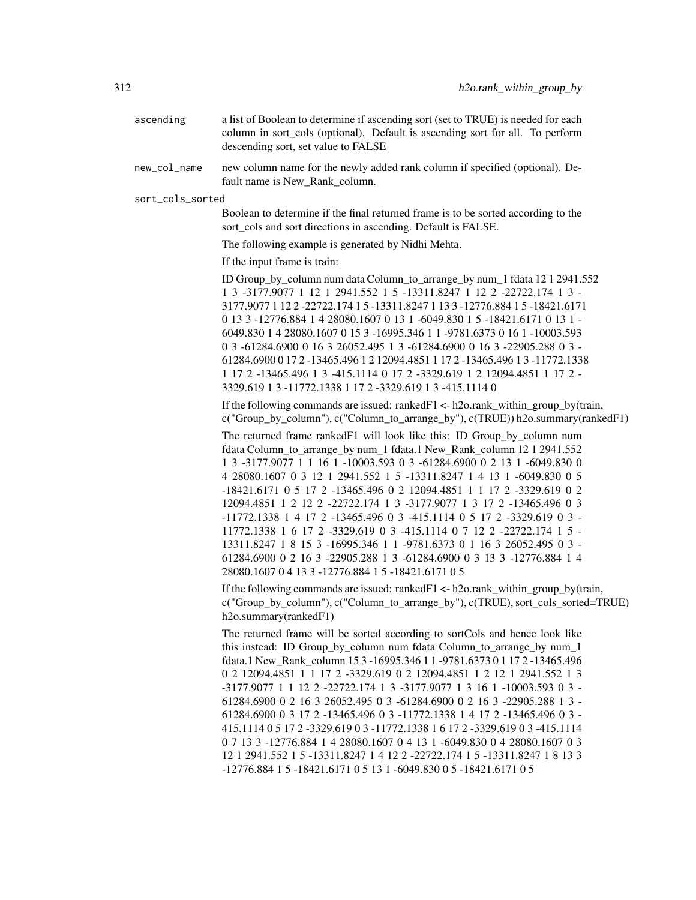- ascending a list of Boolean to determine if ascending sort (set to TRUE) is needed for each column in sort\_cols (optional). Default is ascending sort for all. To perform descending sort, set value to FALSE
- new\_col\_name new column name for the newly added rank column if specified (optional). Default name is New\_Rank\_column.

sort\_cols\_sorted

Boolean to determine if the final returned frame is to be sorted according to the sort\_cols and sort directions in ascending. Default is FALSE.

The following example is generated by Nidhi Mehta.

If the input frame is train:

ID Group\_by\_column num data Column\_to\_arrange\_by num\_1 fdata 12 1 2941.552 1 3 -3177.9077 1 12 1 2941.552 1 5 -13311.8247 1 12 2 -22722.174 1 3 - 3177.9077 1 12 2 -22722.174 1 5 -13311.8247 1 13 3 -12776.884 1 5 -18421.6171 0 13 3 -12776.884 1 4 28080.1607 0 13 1 -6049.830 1 5 -18421.6171 0 13 1 - 6049.830 1 4 28080.1607 0 15 3 -16995.346 1 1 -9781.6373 0 16 1 -10003.593 0 3 -61284.6900 0 16 3 26052.495 1 3 -61284.6900 0 16 3 -22905.288 0 3 - 61284.6900 0 17 2 -13465.496 1 2 12094.4851 1 17 2 -13465.496 1 3 -11772.1338 1 17 2 -13465.496 1 3 -415.1114 0 17 2 -3329.619 1 2 12094.4851 1 17 2 - 3329.619 1 3 -11772.1338 1 17 2 -3329.619 1 3 -415.1114 0

If the following commands are issued: ranked  $F1 < -h2$ o.rank within group by(train, c("Group\_by\_column"), c("Column\_to\_arrange\_by"), c(TRUE)) h2o.summary(rankedF1)

The returned frame rankedF1 will look like this: ID Group\_by\_column num fdata Column\_to\_arrange\_by num\_1 fdata.1 New\_Rank\_column 12 1 2941.552 1 3 -3177.9077 1 1 16 1 -10003.593 0 3 -61284.6900 0 2 13 1 -6049.830 0 4 28080.1607 0 3 12 1 2941.552 1 5 -13311.8247 1 4 13 1 -6049.830 0 5 -18421.6171 0 5 17 2 -13465.496 0 2 12094.4851 1 1 17 2 -3329.619 0 2 12094.4851 1 2 12 2 -22722.174 1 3 -3177.9077 1 3 17 2 -13465.496 0 3 -11772.1338 1 4 17 2 -13465.496 0 3 -415.1114 0 5 17 2 -3329.619 0 3 - 11772.1338 1 6 17 2 -3329.619 0 3 -415.1114 0 7 12 2 -22722.174 1 5 - 13311.8247 1 8 15 3 -16995.346 1 1 -9781.6373 0 1 16 3 26052.495 0 3 - 61284.6900 0 2 16 3 -22905.288 1 3 -61284.6900 0 3 13 3 -12776.884 1 4 28080.1607 0 4 13 3 -12776.884 1 5 -18421.6171 0 5

If the following commands are issued: ranked  $F1 \leq h2o$  rank within group by(train, c("Group by column"), c("Column to arrange by"), c(TRUE), sort cols sorted=TRUE) h2o.summary(rankedF1)

The returned frame will be sorted according to sortCols and hence look like this instead: ID Group\_by\_column num fdata Column\_to\_arrange\_by num\_1 fdata.1 New\_Rank\_column 15 3 -16995.346 1 1 -9781.6373 0 1 17 2 -13465.496 0 2 12094.4851 1 1 17 2 -3329.619 0 2 12094.4851 1 2 12 1 2941.552 1 3 -3177.9077 1 1 12 2 -22722.174 1 3 -3177.9077 1 3 16 1 -10003.593 0 3 - 61284.6900 0 2 16 3 26052.495 0 3 -61284.6900 0 2 16 3 -22905.288 1 3 - 61284.6900 0 3 17 2 -13465.496 0 3 -11772.1338 1 4 17 2 -13465.496 0 3 - 415.1114 0 5 17 2 -3329.619 0 3 -11772.1338 1 6 17 2 -3329.619 0 3 -415.1114 0 7 13 3 -12776.884 1 4 28080.1607 0 4 13 1 -6049.830 0 4 28080.1607 0 3 12 1 2941.552 1 5 -13311.8247 1 4 12 2 -22722.174 1 5 -13311.8247 1 8 13 3 -12776.884 1 5 -18421.6171 0 5 13 1 -6049.830 0 5 -18421.6171 0 5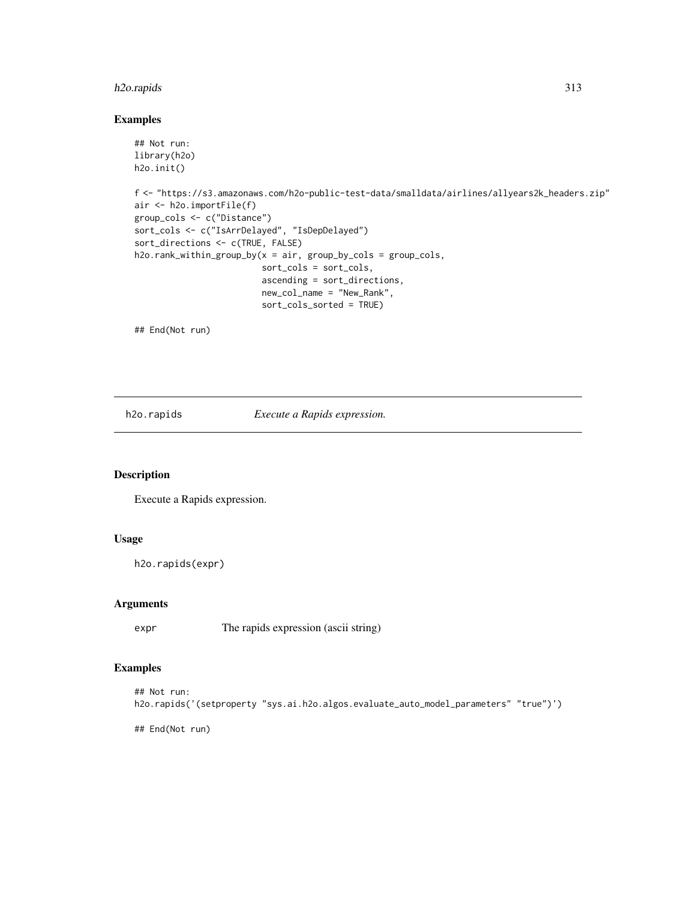# h2o.rapids 313

# Examples

```
## Not run:
library(h2o)
h2o.init()
f <- "https://s3.amazonaws.com/h2o-public-test-data/smalldata/airlines/allyears2k_headers.zip"
air <- h2o.importFile(f)
group_cols <- c("Distance")
sort_cols <- c("IsArrDelayed", "IsDepDelayed")
sort_directions <- c(TRUE, FALSE)
h2o.rank_within_group_by(x = air, group_by_cols = group_cols,
                         sort_cols = sort_cols,
                         ascending = sort_directions,
                         new_col_name = "New_Rank",
                         sort_cols_sorted = TRUE)
```
## End(Not run)

h2o.rapids *Execute a Rapids expression.*

# Description

Execute a Rapids expression.

# Usage

h2o.rapids(expr)

#### Arguments

expr The rapids expression (ascii string)

# Examples

```
## Not run:
h2o.rapids('(setproperty "sys.ai.h2o.algos.evaluate_auto_model_parameters" "true")')
```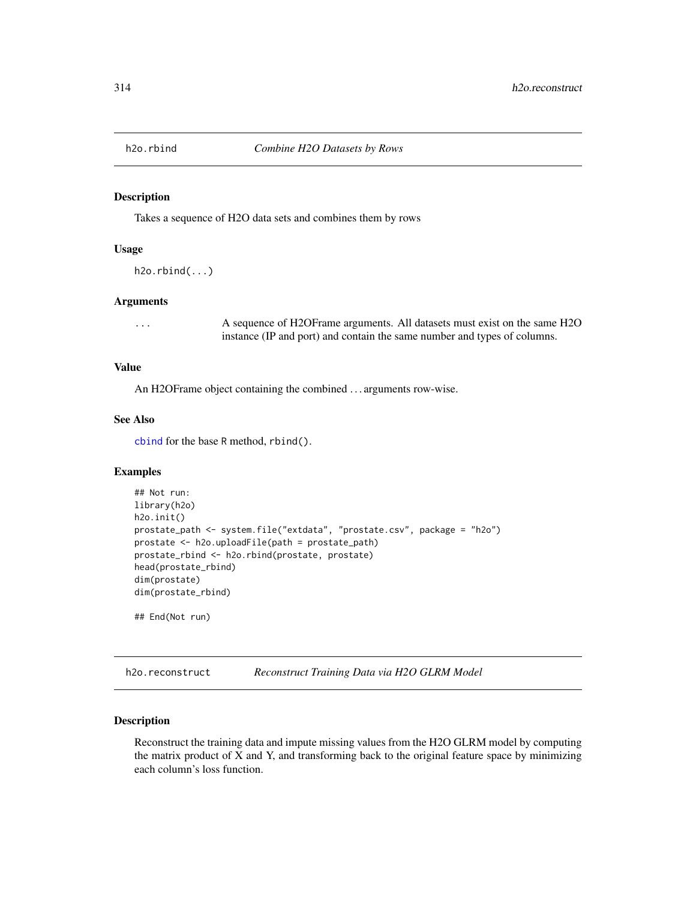Takes a sequence of H2O data sets and combines them by rows

# Usage

```
h2o.rbind(...)
```
#### Arguments

... A sequence of H2OFrame arguments. All datasets must exist on the same H2O instance (IP and port) and contain the same number and types of columns.

# Value

An H2OFrame object containing the combined . . . arguments row-wise.

# See Also

[cbind](#page-0-0) for the base R method, rbind().

## Examples

```
## Not run:
library(h2o)
h2o.init()
prostate_path <- system.file("extdata", "prostate.csv", package = "h2o")
prostate <- h2o.uploadFile(path = prostate_path)
prostate_rbind <- h2o.rbind(prostate, prostate)
head(prostate_rbind)
dim(prostate)
dim(prostate_rbind)
## End(Not run)
```
h2o.reconstruct *Reconstruct Training Data via H2O GLRM Model*

## Description

Reconstruct the training data and impute missing values from the H2O GLRM model by computing the matrix product of X and Y, and transforming back to the original feature space by minimizing each column's loss function.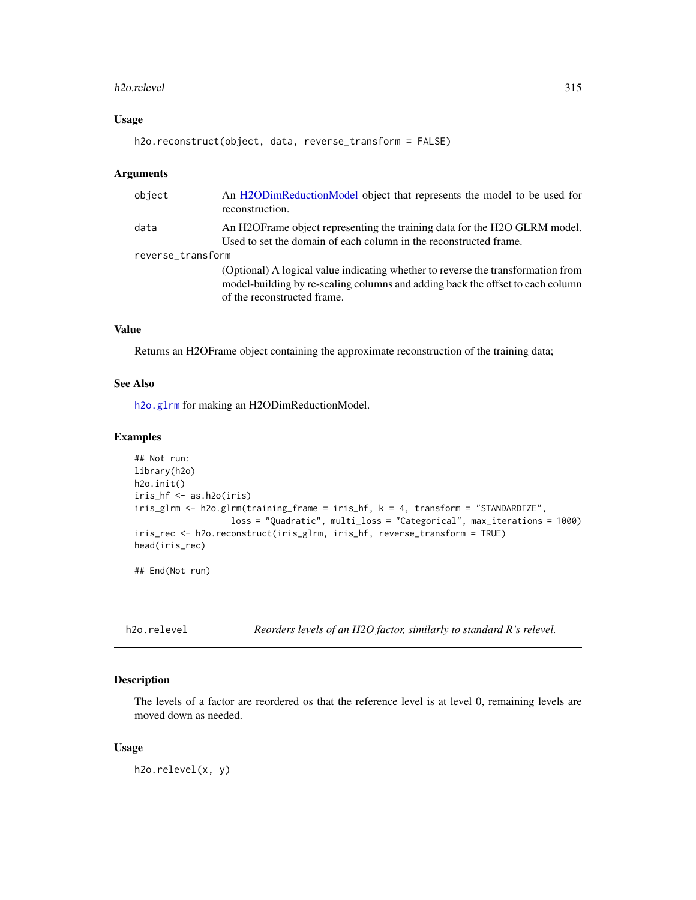#### h2o.relevel 315

# Usage

```
h2o.reconstruct(object, data, reverse_transform = FALSE)
```
#### Arguments

| object            | An H2ODimReductionModel object that represents the model to be used for<br>reconstruction.                                                                                                        |
|-------------------|---------------------------------------------------------------------------------------------------------------------------------------------------------------------------------------------------|
| data              | An H2OF rame object representing the training data for the H2O GLRM model.<br>Used to set the domain of each column in the reconstructed frame.                                                   |
| reverse_transform |                                                                                                                                                                                                   |
|                   | (Optional) A logical value indicating whether to reverse the transformation from<br>model-building by re-scaling columns and adding back the offset to each column<br>of the reconstructed frame. |

## Value

Returns an H2OFrame object containing the approximate reconstruction of the training data;

#### See Also

[h2o.glrm](#page-180-0) for making an H2ODimReductionModel.

## Examples

```
## Not run:
library(h2o)
h2o.init()
iris_hf <- as.h2o(iris)
iris_glrm <- h2o.glrm(training_frame = iris_hf, k = 4, transform = "STANDARDIZE",
                   loss = "Quadratic", multi_loss = "Categorical", max_iterations = 1000)
iris_rec <- h2o.reconstruct(iris_glrm, iris_hf, reverse_transform = TRUE)
head(iris_rec)
```
## End(Not run)

h2o.relevel *Reorders levels of an H2O factor, similarly to standard R's relevel.*

## Description

The levels of a factor are reordered os that the reference level is at level 0, remaining levels are moved down as needed.

#### Usage

h2o.relevel(x, y)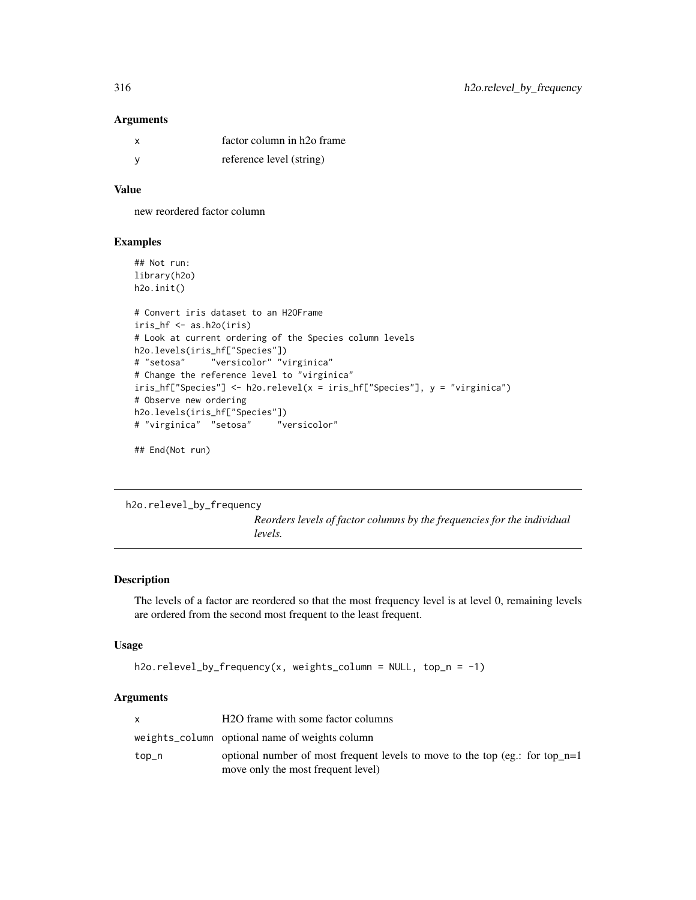## Arguments

| x | factor column in h <sub>20</sub> frame |
|---|----------------------------------------|
|   | reference level (string)               |

# Value

new reordered factor column

# Examples

```
## Not run:
library(h2o)
h2o.init()
# Convert iris dataset to an H2OFrame
iris_hf <- as.h2o(iris)
# Look at current ordering of the Species column levels
h2o.levels(iris_hf["Species"])
# "setosa" "versicolor" "virginica"
# Change the reference level to "virginica"
iris_hf["Species"] <- h2o.relevel(x = iris_hf["Species"], y = "virginica")
# Observe new ordering
h2o.levels(iris_hf["Species"])
# "virginica" "setosa" "versicolor"
```
## End(Not run)

h2o.relevel\_by\_frequency *Reorders levels of factor columns by the frequencies for the individual levels.*

## Description

The levels of a factor are reordered so that the most frequency level is at level 0, remaining levels are ordered from the second most frequent to the least frequent.

## Usage

```
h2o.relevel_by_frequency(x, weights_column = NULL, top_n = -1)
```
## Arguments

|       | H <sub>2</sub> O frame with some factor columns                              |
|-------|------------------------------------------------------------------------------|
|       | weights_column optional name of weights column                               |
| top_n | optional number of most frequent levels to move to the top (eg.: for top_n=1 |
|       | move only the most frequent level)                                           |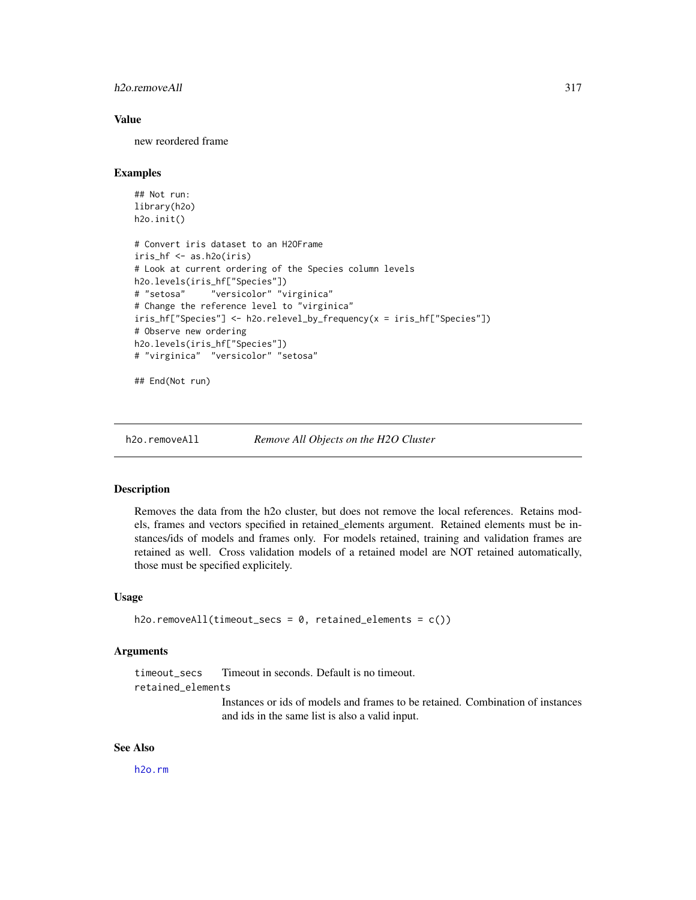## h2o.removeAll 317

## Value

new reordered frame

## Examples

```
## Not run:
library(h2o)
h2o.init()
# Convert iris dataset to an H2OFrame
iris_hf <- as.h2o(iris)
# Look at current ordering of the Species column levels
h2o.levels(iris_hf["Species"])
# "setosa" "versicolor" "virginica"
# Change the reference level to "virginica"
iris_hf["Species"] <- h2o.relevel_by_frequency(x = iris_hf["Species"])
# Observe new ordering
h2o.levels(iris_hf["Species"])
# "virginica" "versicolor" "setosa"
```
## End(Not run)

h2o.removeAll *Remove All Objects on the H2O Cluster*

#### Description

Removes the data from the h2o cluster, but does not remove the local references. Retains models, frames and vectors specified in retained\_elements argument. Retained elements must be instances/ids of models and frames only. For models retained, training and validation frames are retained as well. Cross validation models of a retained model are NOT retained automatically, those must be specified explicitely.

## Usage

```
h2o.removeAll(timeout_secs = 0, retained_elements = c())
```
#### Arguments

timeout\_secs Timeout in seconds. Default is no timeout. retained\_elements

> Instances or ids of models and frames to be retained. Combination of instances and ids in the same list is also a valid input.

#### See Also

[h2o.rm](#page-322-0)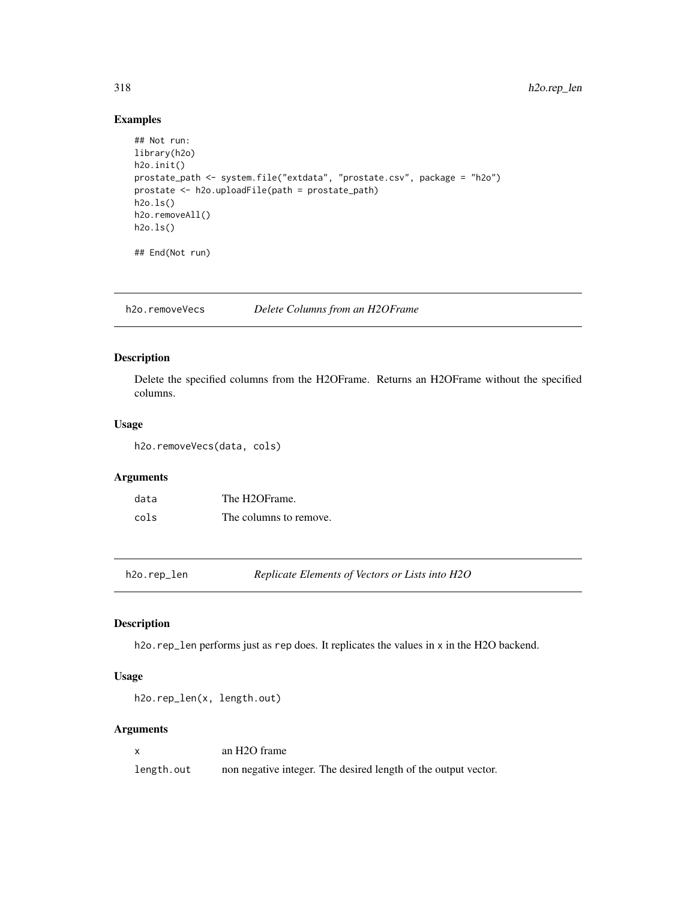# Examples

```
## Not run:
library(h2o)
h2o.init()
prostate_path <- system.file("extdata", "prostate.csv", package = "h2o")
prostate <- h2o.uploadFile(path = prostate_path)
h2o.ls()
h2o.removeAll()
h2o.ls()
## End(Not run)
```
h2o.removeVecs *Delete Columns from an H2OFrame*

## Description

Delete the specified columns from the H2OFrame. Returns an H2OFrame without the specified columns.

## Usage

```
h2o.removeVecs(data, cols)
```
# Arguments

| data | The H2OFrame.          |
|------|------------------------|
| cols | The columns to remove. |

h2o.rep\_len *Replicate Elements of Vectors or Lists into H2O*

## Description

h2o.rep\_len performs just as rep does. It replicates the values in x in the H2O backend.

## Usage

```
h2o.rep_len(x, length.out)
```
## Arguments

|            | an H <sub>2</sub> O frame                                      |
|------------|----------------------------------------------------------------|
| length.out | non negative integer. The desired length of the output vector. |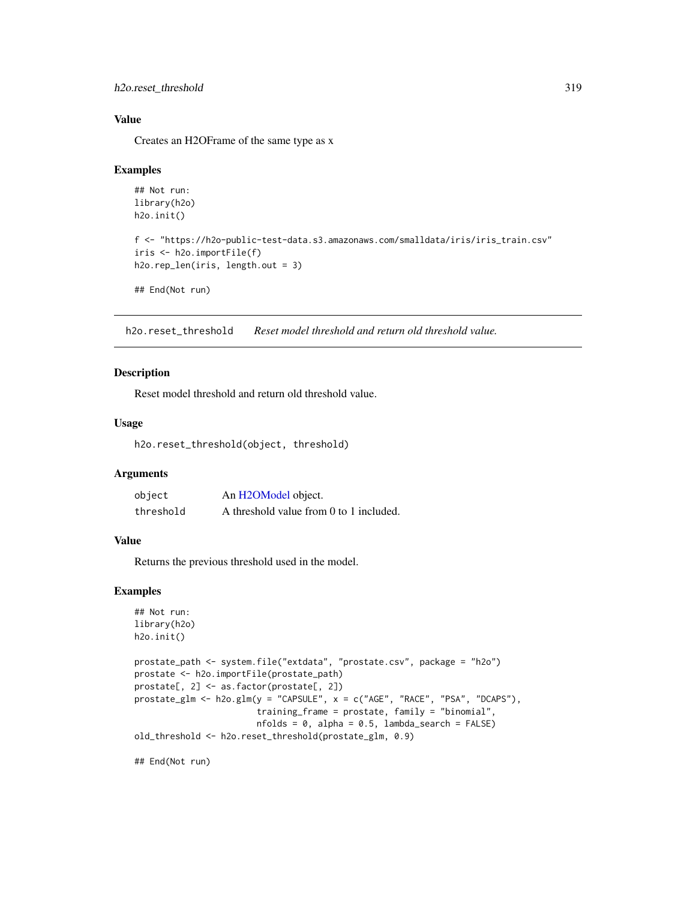```
h2o.reset_threshold 319
```
## Value

Creates an H2OFrame of the same type as x

#### Examples

```
## Not run:
library(h2o)
h2o.init()
f <- "https://h2o-public-test-data.s3.amazonaws.com/smalldata/iris/iris_train.csv"
iris <- h2o.importFile(f)
h2o.rep_len(iris, length.out = 3)
## End(Not run)
```
h2o.reset\_threshold *Reset model threshold and return old threshold value.*

## Description

Reset model threshold and return old threshold value.

#### Usage

h2o.reset\_threshold(object, threshold)

## **Arguments**

| object    | An H2OModel object.                     |
|-----------|-----------------------------------------|
| threshold | A threshold value from 0 to 1 included. |

## Value

Returns the previous threshold used in the model.

#### Examples

```
## Not run:
library(h2o)
h2o.init()
```

```
prostate_path <- system.file("extdata", "prostate.csv", package = "h2o")
prostate <- h2o.importFile(prostate_path)
prostate[, 2] <- as.factor(prostate[, 2])
prostate_glm <- h2o.glm(y = "CAPSULE", x = c("AGE", "RACE", "PSA", "DCAPS"),
                        training_frame = prostate, family = "binomial",
                        nfolds = 0, alpha = 0.5, lambda_search = FALSE)
old_threshold <- h2o.reset_threshold(prostate_glm, 0.9)
```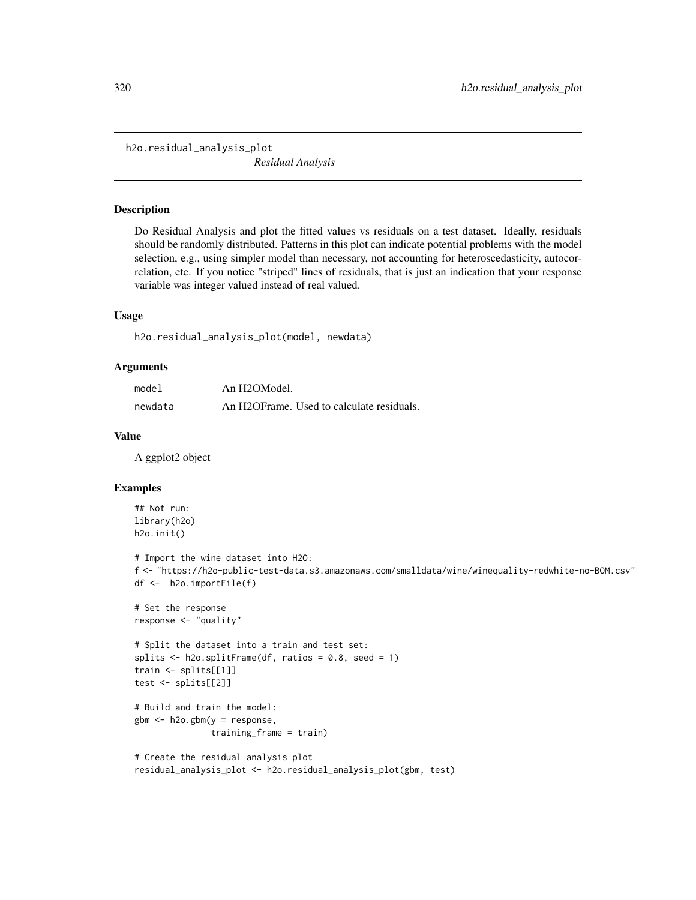h2o.residual\_analysis\_plot *Residual Analysis*

#### Description

Do Residual Analysis and plot the fitted values vs residuals on a test dataset. Ideally, residuals should be randomly distributed. Patterns in this plot can indicate potential problems with the model selection, e.g., using simpler model than necessary, not accounting for heteroscedasticity, autocorrelation, etc. If you notice "striped" lines of residuals, that is just an indication that your response variable was integer valued instead of real valued.

#### Usage

h2o.residual\_analysis\_plot(model, newdata)

#### Arguments

| model   | An H2OModel.                              |
|---------|-------------------------------------------|
| newdata | An H2OFrame. Used to calculate residuals. |

#### Value

A ggplot2 object

#### Examples

```
## Not run:
library(h2o)
h2o.init()
# Import the wine dataset into H2O:
f <- "https://h2o-public-test-data.s3.amazonaws.com/smalldata/wine/winequality-redwhite-no-BOM.csv"
df <- h2o.importFile(f)
# Set the response
response <- "quality"
# Split the dataset into a train and test set:
splits \le h2o.splitFrame(df, ratios = 0.8, seed = 1)
train <- splits[[1]]
test <- splits[[2]]
# Build and train the model:
gbm <- h2o.gbm(y = response,
               training_frame = train)
# Create the residual analysis plot
residual_analysis_plot <- h2o.residual_analysis_plot(gbm, test)
```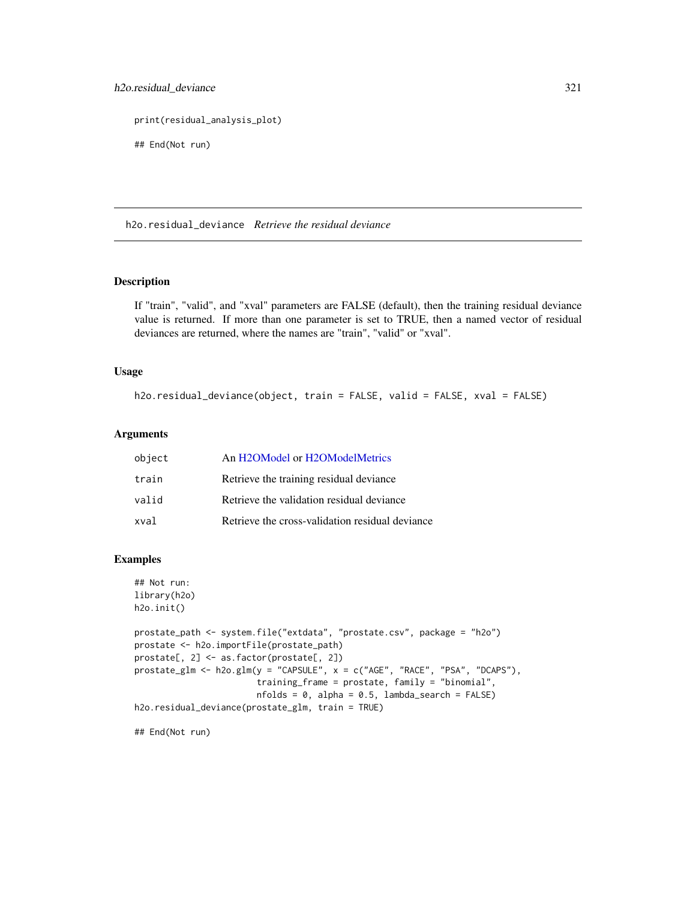# h2o.residual\_deviance 321

print(residual\_analysis\_plot)

## End(Not run)

h2o.residual\_deviance *Retrieve the residual deviance*

# Description

If "train", "valid", and "xval" parameters are FALSE (default), then the training residual deviance value is returned. If more than one parameter is set to TRUE, then a named vector of residual deviances are returned, where the names are "train", "valid" or "xval".

#### Usage

h2o.residual\_deviance(object, train = FALSE, valid = FALSE, xval = FALSE)

#### Arguments

| object | An H2OModel or H2OModelMetrics                  |
|--------|-------------------------------------------------|
| train  | Retrieve the training residual deviance         |
| valid  | Retrieve the validation residual deviance       |
| xval   | Retrieve the cross-validation residual deviance |

# Examples

```
## Not run:
library(h2o)
h2o.init()
prostate_path <- system.file("extdata", "prostate.csv", package = "h2o")
prostate <- h2o.importFile(prostate_path)
prostate[, 2] <- as.factor(prostate[, 2])
prostate_glm <- h2o.glm(y = "CAPSULE", x = c("AGE", "RACE", "PSA", "DCAPS"),
                        training_frame = prostate, family = "binomial",
                        nfolds = 0, alpha = 0.5, lambda_search = FALSE)
h2o.residual_deviance(prostate_glm, train = TRUE)
```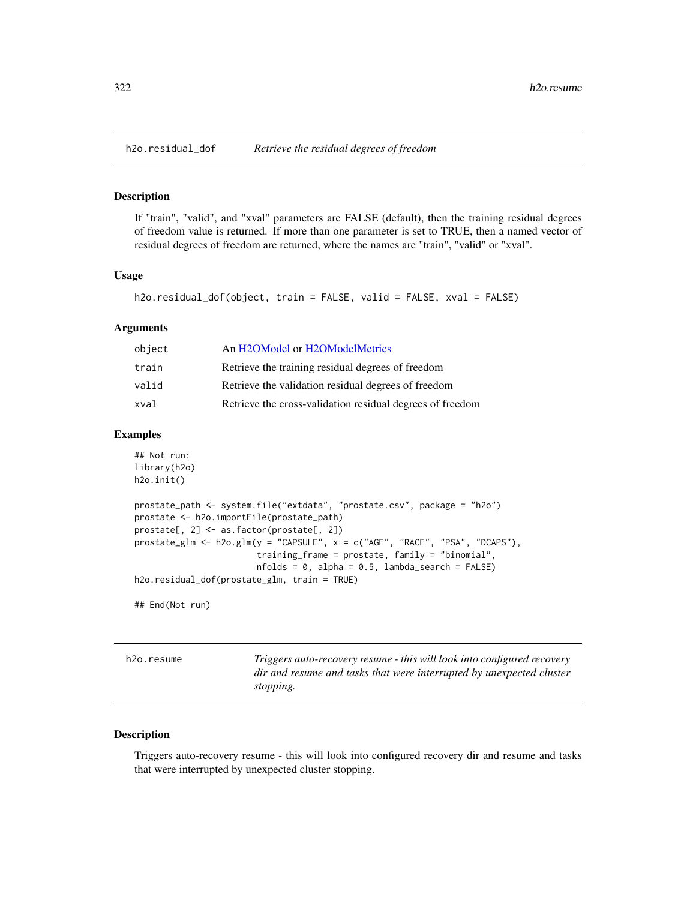If "train", "valid", and "xval" parameters are FALSE (default), then the training residual degrees of freedom value is returned. If more than one parameter is set to TRUE, then a named vector of residual degrees of freedom are returned, where the names are "train", "valid" or "xval".

## Usage

```
h2o.residual_dof(object, train = FALSE, valid = FALSE, xval = FALSE)
```
#### Arguments

| object | An H2OModel or H2OModelMetrics                            |
|--------|-----------------------------------------------------------|
| train  | Retrieve the training residual degrees of freedom         |
| valid  | Retrieve the validation residual degrees of freedom       |
| xval   | Retrieve the cross-validation residual degrees of freedom |

## Examples

```
## Not run:
library(h2o)
h2o.init()
prostate_path <- system.file("extdata", "prostate.csv", package = "h2o")
prostate <- h2o.importFile(prostate_path)
prostate[, 2] <- as.factor(prostate[, 2])
prostate_glm <- h2o.glm(y = "CAPSULE", x = c("AGE", "RACE", "PSA", "DCAPS"),
                        training_frame = prostate, family = "binomial",
                        nfolds = 0, alpha = 0.5, lambda_search = FALSE)
h2o.residual_dof(prostate_glm, train = TRUE)
```
## End(Not run)

h2o.resume *Triggers auto-recovery resume - this will look into configured recovery dir and resume and tasks that were interrupted by unexpected cluster stopping.*

## Description

Triggers auto-recovery resume - this will look into configured recovery dir and resume and tasks that were interrupted by unexpected cluster stopping.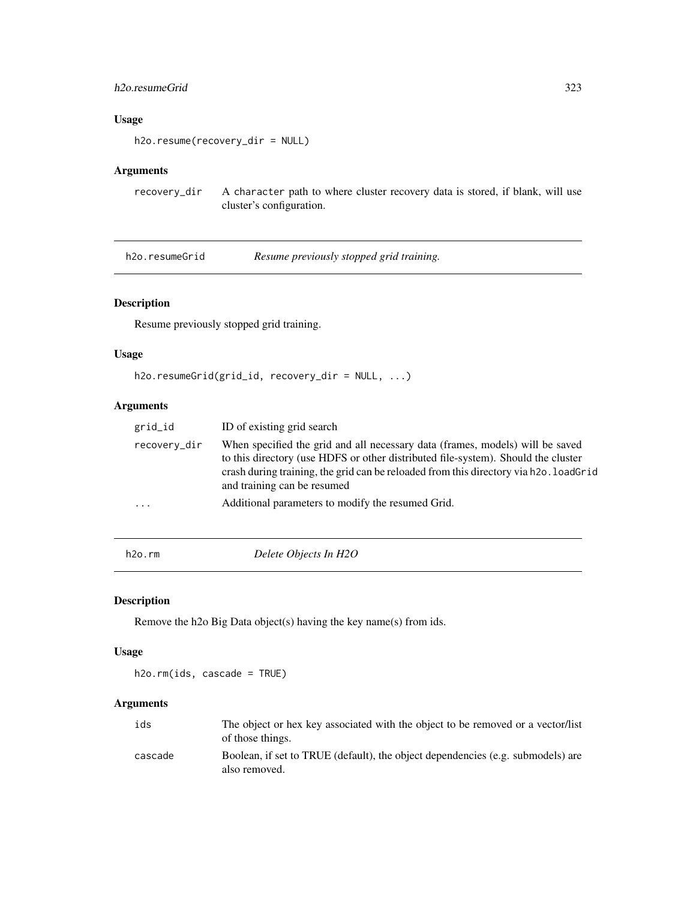## h2o.resumeGrid 323

# Usage

h2o.resume(recovery\_dir = NULL)

# Arguments

recovery\_dir A character path to where cluster recovery data is stored, if blank, will use cluster's configuration.

h2o.resumeGrid *Resume previously stopped grid training.*

# Description

Resume previously stopped grid training.

## Usage

h2o.resumeGrid(grid\_id, recovery\_dir = NULL, ...)

# Arguments

| grid_id                 | ID of existing grid search                                                                                                                                                                                                                                                                 |
|-------------------------|--------------------------------------------------------------------------------------------------------------------------------------------------------------------------------------------------------------------------------------------------------------------------------------------|
| recovery_dir            | When specified the grid and all necessary data (frames, models) will be saved<br>to this directory (use HDFS or other distributed file-system). Should the cluster<br>crash during training, the grid can be reloaded from this directory via h2o. loadGrid<br>and training can be resumed |
| $\cdot$ $\cdot$ $\cdot$ | Additional parameters to modify the resumed Grid.                                                                                                                                                                                                                                          |
|                         |                                                                                                                                                                                                                                                                                            |

<span id="page-322-0"></span>h2o.rm *Delete Objects In H2O*

# Description

Remove the h2o Big Data object(s) having the key name(s) from ids.

## Usage

h2o.rm(ids, cascade = TRUE)

# Arguments

| ids     | The object or hex key associated with the object to be removed or a vector/list<br>of those things. |
|---------|-----------------------------------------------------------------------------------------------------|
| cascade | Boolean, if set to TRUE (default), the object dependencies (e.g. submodels) are<br>also removed.    |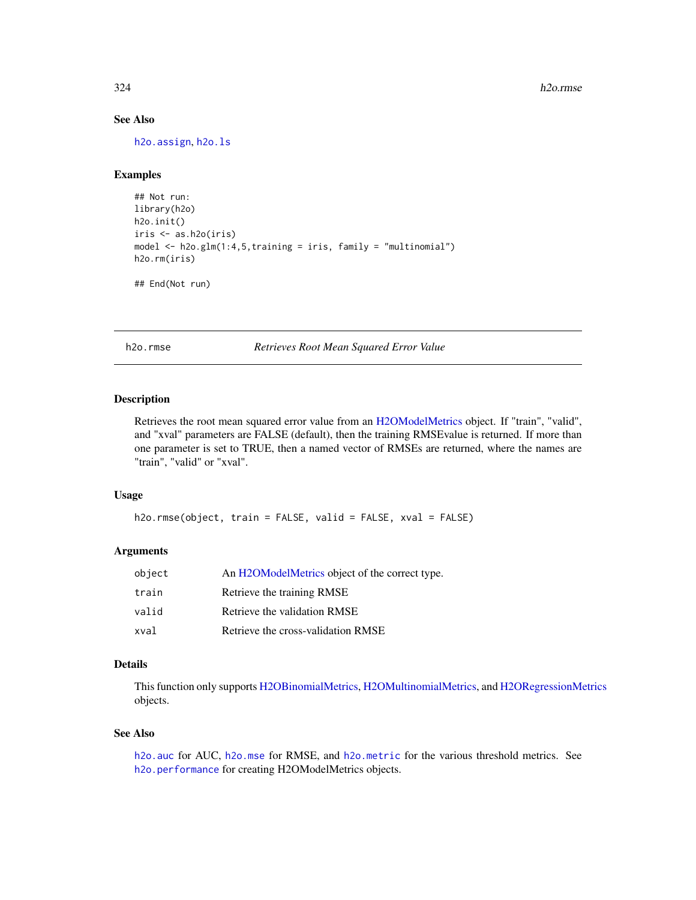# See Also

[h2o.assign](#page-68-0), [h2o.ls](#page-238-0)

# Examples

```
## Not run:
library(h2o)
h2o.init()
iris <- as.h2o(iris)
model <- h2o.glm(1:4,5,training = iris, family = "multinomial")
h2o.rm(iris)
```
## End(Not run)

h2o.rmse *Retrieves Root Mean Squared Error Value*

#### Description

Retrieves the root mean squared error value from an [H2OModelMetrics](#page-416-0) object. If "train", "valid", and "xval" parameters are FALSE (default), then the training RMSEvalue is returned. If more than one parameter is set to TRUE, then a named vector of RMSEs are returned, where the names are "train", "valid" or "xval".

#### Usage

```
h2o.rmse(object, train = FALSE, valid = FALSE, xval = FALSE)
```
#### Arguments

| object | An H2OModelMetrics object of the correct type. |
|--------|------------------------------------------------|
| train  | Retrieve the training RMSE                     |
| valid  | Retrieve the validation RMSE                   |
| xval   | Retrieve the cross-validation RMSE             |

## Details

This function only supports [H2OBinomialMetrics,](#page-416-1) [H2OMultinomialMetrics,](#page-416-1) and [H2ORegressionMetrics](#page-416-1) objects.

## See Also

[h2o.auc](#page-69-0) for AUC, [h2o.mse](#page-263-0) for RMSE, and [h2o.metric](#page-249-0) for the various threshold metrics. See [h2o.performance](#page-287-0) for creating H2OModelMetrics objects.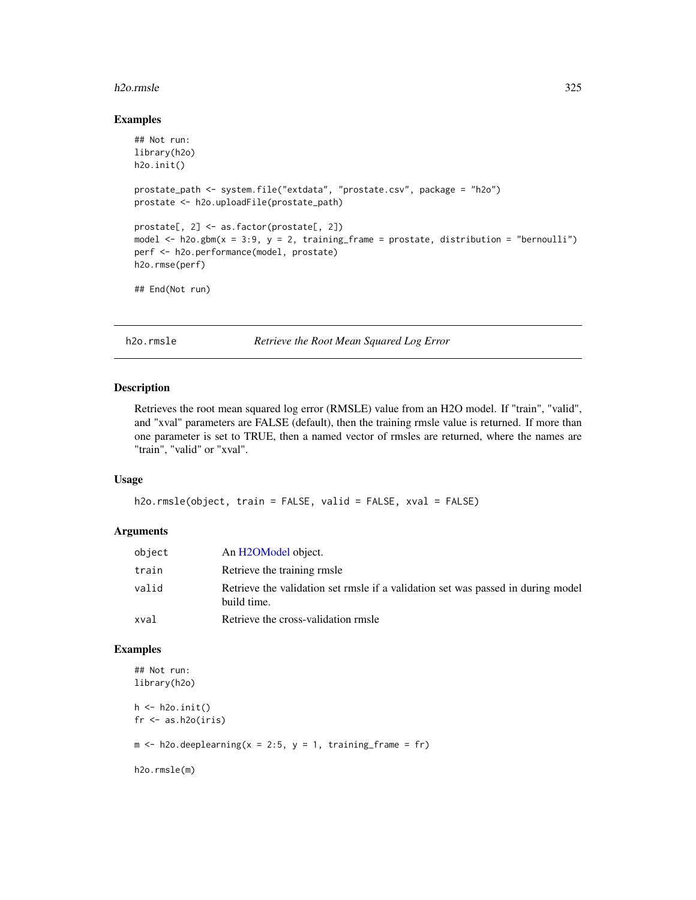#### h2o.rmsle 325

#### Examples

```
## Not run:
library(h2o)
h2o.init()
prostate_path <- system.file("extdata", "prostate.csv", package = "h2o")
prostate <- h2o.uploadFile(prostate_path)
prostate[, 2] <- as.factor(prostate[, 2])
model \leq h2o.gbm(x = 3:9, y = 2, training_frame = prostate, distribution = "bernoulli")
perf <- h2o.performance(model, prostate)
h2o.rmse(perf)
## End(Not run)
```
h2o.rmsle *Retrieve the Root Mean Squared Log Error*

## Description

Retrieves the root mean squared log error (RMSLE) value from an H2O model. If "train", "valid", and "xval" parameters are FALSE (default), then the training rmsle value is returned. If more than one parameter is set to TRUE, then a named vector of rmsles are returned, where the names are "train", "valid" or "xval".

#### Usage

```
h2o.rmsle(object, train = FALSE, valid = FALSE, xval = FALSE)
```
## Arguments

| object | An H2OModel object.                                                                             |
|--------|-------------------------------------------------------------------------------------------------|
| train  | Retrieve the training rmsle                                                                     |
| valid  | Retrieve the validation set rmsle if a validation set was passed in during model<br>build time. |
| xval   | Retrieve the cross-validation rmsle                                                             |

## Examples

```
## Not run:
library(h2o)
h \leftarrow h20.init()fr < - as.h2o(iris)
m \le -h2o.deeplearning(x = 2:5, y = 1, training_frame = fr)
h2o.rmsle(m)
```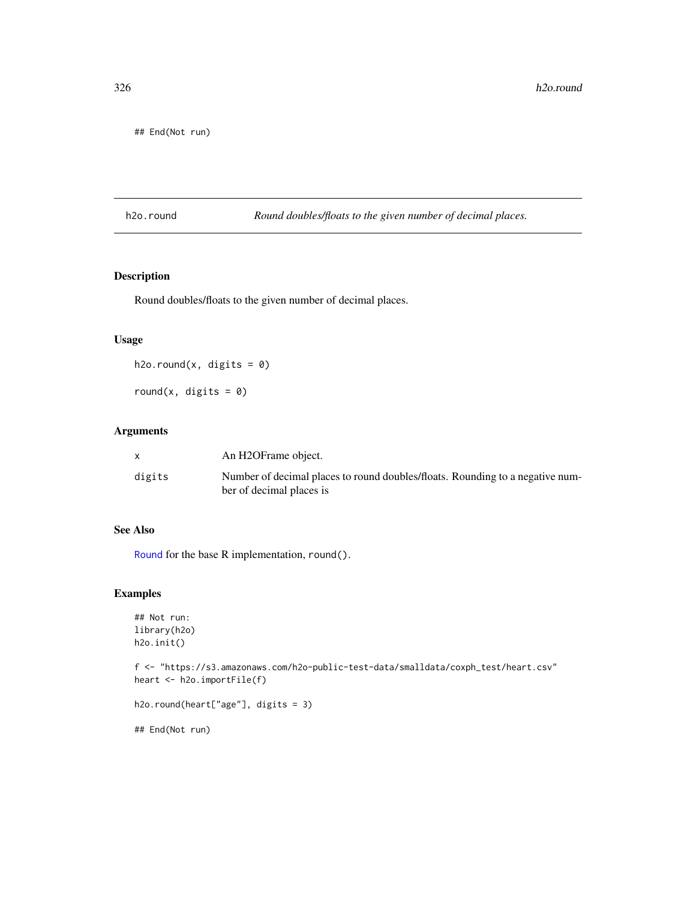## End(Not run)

h2o.round *Round doubles/floats to the given number of decimal places.*

## Description

Round doubles/floats to the given number of decimal places.

## Usage

h2o.round(x, digits =  $0$ )

round(x, digits =  $0$ )

# Arguments

|        | An H2OFrame object.                                                           |
|--------|-------------------------------------------------------------------------------|
| digits | Number of decimal places to round doubles/floats. Rounding to a negative num- |
|        | ber of decimal places is                                                      |

#### See Also

[Round](#page-0-0) for the base R implementation, round().

## Examples

```
## Not run:
library(h2o)
h2o.init()
```
f <- "https://s3.amazonaws.com/h2o-public-test-data/smalldata/coxph\_test/heart.csv" heart <- h2o.importFile(f)

```
h2o.round(heart["age"], digits = 3)
```
## End(Not run)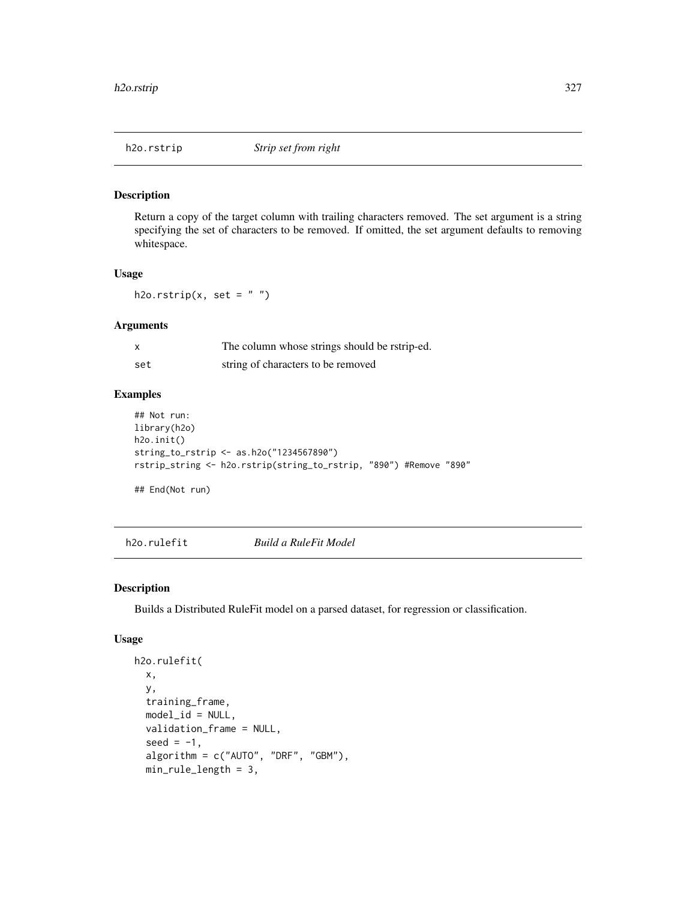Return a copy of the target column with trailing characters removed. The set argument is a string specifying the set of characters to be removed. If omitted, the set argument defaults to removing whitespace.

## Usage

h2o.rstrip(x, set =  $"$ ")

## Arguments

| x   | The column whose strings should be rstrip-ed. |
|-----|-----------------------------------------------|
| set | string of characters to be removed            |

## Examples

```
## Not run:
library(h2o)
h2o.init()
string_to_rstrip <- as.h2o("1234567890")
rstrip_string <- h2o.rstrip(string_to_rstrip, "890") #Remove "890"
```
## End(Not run)

h2o.rulefit *Build a RuleFit Model*

## Description

Builds a Distributed RuleFit model on a parsed dataset, for regression or classification.

#### Usage

```
h2o.rulefit(
  x,
  y,
  training_frame,
 model_id = NULL,validation_frame = NULL,
  seed = -1,
  algorithm = c("AUTO", "DRF", "GBM"),
  min_rule_length = 3,
```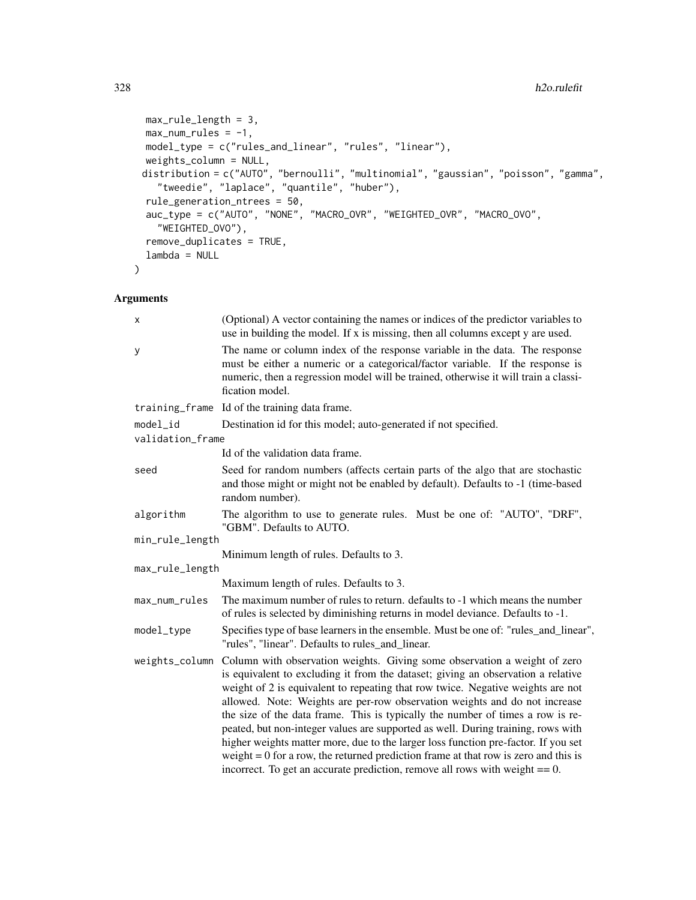```
max_rule_length = 3,
 max\_num\_rules = -1,
 model_type = c("rules_and_linear", "rules", "linear"),
 weights_column = NULL,
 distribution = c("AUTO", "bernoulli", "multinomial", "gaussian", "poisson", "gamma",
    "tweedie", "laplace", "quantile", "huber"),
  rule_generation_ntrees = 50,
 auc_type = c("AUTO", "NONE", "MACRO_OVR", "WEIGHTED_OVR", "MACRO_OVO",
    "WEIGHTED_OVO"),
  remove_duplicates = TRUE,
 lambda = NULL
\mathcal{L}
```
## Arguments

| X                | (Optional) A vector containing the names or indices of the predictor variables to<br>use in building the model. If x is missing, then all columns except y are used.                                                                                                                                                                                                                                                                                                                                                                                                                                                                                                                                                                                                                 |  |
|------------------|--------------------------------------------------------------------------------------------------------------------------------------------------------------------------------------------------------------------------------------------------------------------------------------------------------------------------------------------------------------------------------------------------------------------------------------------------------------------------------------------------------------------------------------------------------------------------------------------------------------------------------------------------------------------------------------------------------------------------------------------------------------------------------------|--|
| У                | The name or column index of the response variable in the data. The response<br>must be either a numeric or a categorical/factor variable. If the response is<br>numeric, then a regression model will be trained, otherwise it will train a classi-<br>fication model.                                                                                                                                                                                                                                                                                                                                                                                                                                                                                                               |  |
|                  | training frame Id of the training data frame.                                                                                                                                                                                                                                                                                                                                                                                                                                                                                                                                                                                                                                                                                                                                        |  |
| $model_id$       | Destination id for this model; auto-generated if not specified.                                                                                                                                                                                                                                                                                                                                                                                                                                                                                                                                                                                                                                                                                                                      |  |
| validation_frame |                                                                                                                                                                                                                                                                                                                                                                                                                                                                                                                                                                                                                                                                                                                                                                                      |  |
|                  | Id of the validation data frame.                                                                                                                                                                                                                                                                                                                                                                                                                                                                                                                                                                                                                                                                                                                                                     |  |
| seed             | Seed for random numbers (affects certain parts of the algo that are stochastic<br>and those might or might not be enabled by default). Defaults to -1 (time-based<br>random number).                                                                                                                                                                                                                                                                                                                                                                                                                                                                                                                                                                                                 |  |
| algorithm        | The algorithm to use to generate rules. Must be one of: "AUTO", "DRF",<br>"GBM". Defaults to AUTO.                                                                                                                                                                                                                                                                                                                                                                                                                                                                                                                                                                                                                                                                                   |  |
| min_rule_length  |                                                                                                                                                                                                                                                                                                                                                                                                                                                                                                                                                                                                                                                                                                                                                                                      |  |
|                  | Minimum length of rules. Defaults to 3.                                                                                                                                                                                                                                                                                                                                                                                                                                                                                                                                                                                                                                                                                                                                              |  |
| max_rule_length  |                                                                                                                                                                                                                                                                                                                                                                                                                                                                                                                                                                                                                                                                                                                                                                                      |  |
|                  | Maximum length of rules. Defaults to 3.                                                                                                                                                                                                                                                                                                                                                                                                                                                                                                                                                                                                                                                                                                                                              |  |
| max_num_rules    | The maximum number of rules to return, defaults to -1 which means the number<br>of rules is selected by diminishing returns in model deviance. Defaults to -1.                                                                                                                                                                                                                                                                                                                                                                                                                                                                                                                                                                                                                       |  |
| model_type       | Specifies type of base learners in the ensemble. Must be one of: "rules_and_linear",<br>"rules", "linear". Defaults to rules_and_linear.                                                                                                                                                                                                                                                                                                                                                                                                                                                                                                                                                                                                                                             |  |
|                  | weights_column Column with observation weights. Giving some observation a weight of zero<br>is equivalent to excluding it from the dataset; giving an observation a relative<br>weight of 2 is equivalent to repeating that row twice. Negative weights are not<br>allowed. Note: Weights are per-row observation weights and do not increase<br>the size of the data frame. This is typically the number of times a row is re-<br>peated, but non-integer values are supported as well. During training, rows with<br>higher weights matter more, due to the larger loss function pre-factor. If you set<br>weight $= 0$ for a row, the returned prediction frame at that row is zero and this is<br>incorrect. To get an accurate prediction, remove all rows with weight $== 0$ . |  |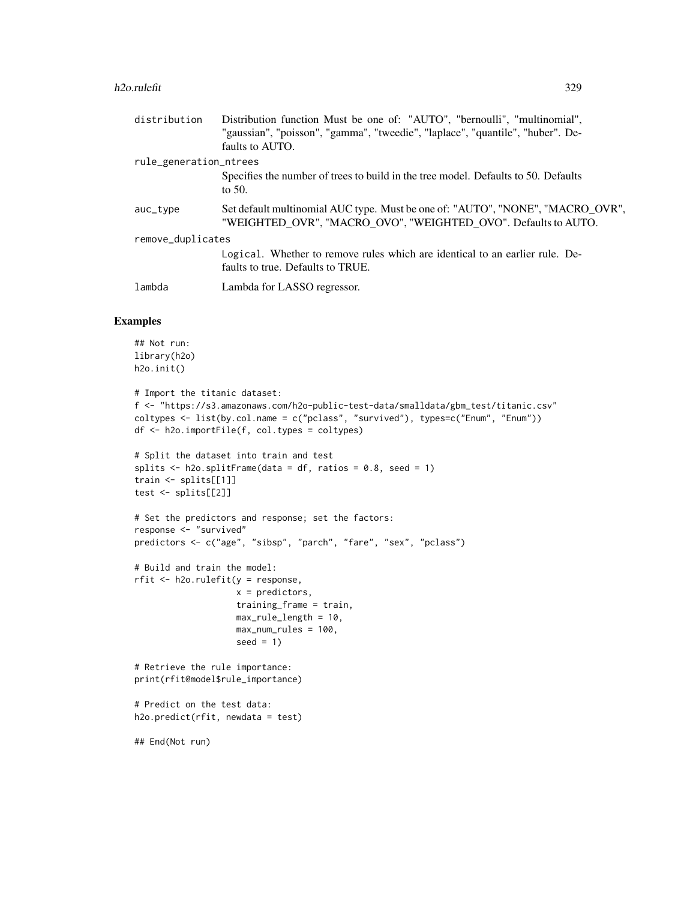#### h2o.rulefit 329

| distribution           | Distribution function Must be one of: "AUTO", "bernoulli", "multinomial",                                                                        |  |
|------------------------|--------------------------------------------------------------------------------------------------------------------------------------------------|--|
|                        | "gaussian", "poisson", "gamma", "tweedie", "laplace", "quantile", "huber". De-                                                                   |  |
|                        | faults to AUTO.                                                                                                                                  |  |
| rule_generation_ntrees |                                                                                                                                                  |  |
|                        | Specifies the number of trees to build in the tree model. Defaults to 50. Defaults<br>to $50$ .                                                  |  |
| auc_type               | Set default multinomial AUC type. Must be one of: "AUTO", "NONE", "MACRO_OVR",<br>"WEIGHTED OVR", "MACRO OVO", "WEIGHTED OVO". Defaults to AUTO. |  |
| remove_duplicates      |                                                                                                                                                  |  |
|                        | Logical. Whether to remove rules which are identical to an earlier rule. De-<br>faults to true. Defaults to TRUE.                                |  |
| lambda                 | Lambda for LASSO regressor.                                                                                                                      |  |

#### Examples

```
## Not run:
library(h2o)
h2o.init()
# Import the titanic dataset:
f <- "https://s3.amazonaws.com/h2o-public-test-data/smalldata/gbm_test/titanic.csv"
coltypes <- list(by.col.name = c("pclass", "survived"), types=c("Enum", "Enum"))
df <- h2o.importFile(f, col.types = coltypes)
# Split the dataset into train and test
splits \le h2o.splitFrame(data = df, ratios = 0.8, seed = 1)
train <- splits[[1]]
test <- splits[[2]]
# Set the predictors and response; set the factors:
response <- "survived"
predictors <- c("age", "sibsp", "parch", "fare", "sex", "pclass")
# Build and train the model:
rfit <- h2o.rulefit(y = response,
                    x = predictors,
                    training_frame = train,
                    max_rule_length = 10,
                    max_num_rules = 100,
                    seed = 1)
# Retrieve the rule importance:
print(rfit@model$rule_importance)
# Predict on the test data:
h2o.predict(rfit, newdata = test)
## End(Not run)
```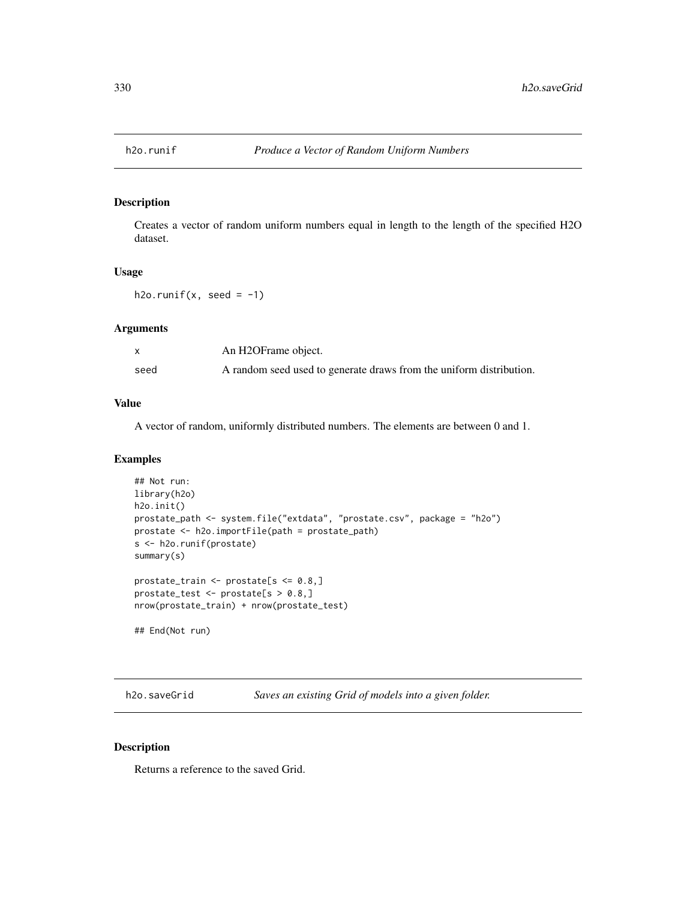Creates a vector of random uniform numbers equal in length to the length of the specified H2O dataset.

#### Usage

h2o.runif(x, seed =  $-1$ )

## Arguments

|      | An H2OFrame object.                                                 |
|------|---------------------------------------------------------------------|
| seed | A random seed used to generate draws from the uniform distribution. |

#### Value

A vector of random, uniformly distributed numbers. The elements are between 0 and 1.

#### Examples

```
## Not run:
library(h2o)
h2o.init()
prostate_path <- system.file("extdata", "prostate.csv", package = "h2o")
prostate <- h2o.importFile(path = prostate_path)
s <- h2o.runif(prostate)
summary(s)
prostate_train <- prostate[s <= 0.8,]
prostate_test <- prostate[s > 0.8,]
nrow(prostate_train) + nrow(prostate_test)
## End(Not run)
```
h2o.saveGrid *Saves an existing Grid of models into a given folder.*

#### Description

Returns a reference to the saved Grid.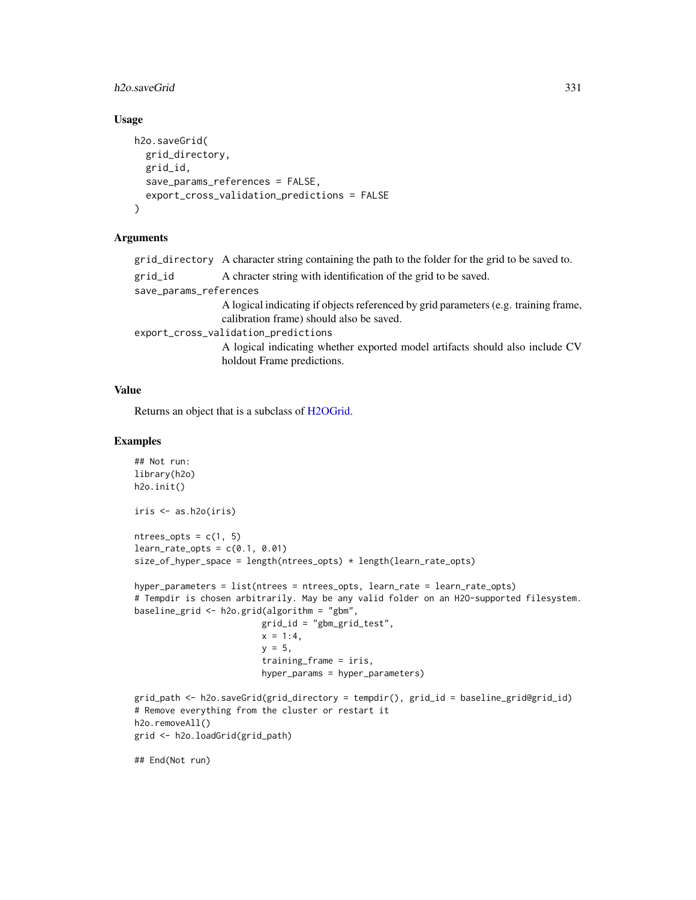#### h2o.saveGrid 331

# Usage

```
h2o.saveGrid(
 grid_directory,
  grid_id,
  save_params_references = FALSE,
  export_cross_validation_predictions = FALSE
)
```
## Arguments

|                                     | grid_directory A character string containing the path to the folder for the grid to be saved to.                                |  |
|-------------------------------------|---------------------------------------------------------------------------------------------------------------------------------|--|
| grid_id                             | A chracter string with identification of the grid to be saved.                                                                  |  |
| save_params_references              |                                                                                                                                 |  |
|                                     | A logical indicating if objects referenced by grid parameters (e.g. training frame,<br>calibration frame) should also be saved. |  |
| export_cross_validation_predictions |                                                                                                                                 |  |
|                                     | A logical indicating whether exported model artifacts should also include CV<br>holdout Frame predictions.                      |  |
|                                     |                                                                                                                                 |  |

#### Value

Returns an object that is a subclass of [H2OGrid.](#page-413-0)

#### Examples

```
## Not run:
library(h2o)
h2o.init()
iris <- as.h2o(iris)
ntrees\_opts = c(1, 5)learn_rate\_opts = c(0.1, 0.01)size_of_hyper_space = length(ntrees_opts) * length(learn_rate_opts)
hyper_parameters = list(ntrees = ntrees_opts, learn_rate = learn_rate_opts)
# Tempdir is chosen arbitrarily. May be any valid folder on an H2O-supported filesystem.
baseline_grid <- h2o.grid(algorithm = "gbm",
                         grid_id = "gbm_grid_test",
                         x = 1:4,
                         y = 5,
                         training_frame = iris,
                         hyper_params = hyper_parameters)
grid_path <- h2o.saveGrid(grid_directory = tempdir(), grid_id = baseline_grid@grid_id)
# Remove everything from the cluster or restart it
h2o.removeAll()
grid <- h2o.loadGrid(grid_path)
## End(Not run)
```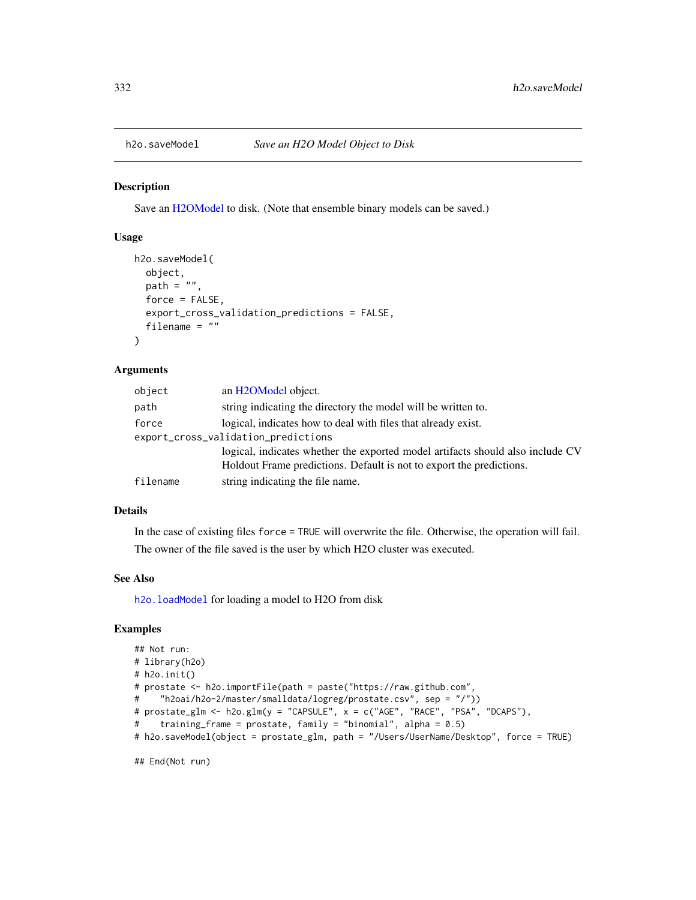<span id="page-331-0"></span>

Save an [H2OModel](#page-415-0) to disk. (Note that ensemble binary models can be saved.)

# Usage

```
h2o.saveModel(
 object,
 path = ",
  force = FALSE,
  export_cross_validation_predictions = FALSE,
  filename = ")
```
# Arguments

| object   | an H <sub>2</sub> OM <sub>odel</sub> object.                                   |
|----------|--------------------------------------------------------------------------------|
| path     | string indicating the directory the model will be written to.                  |
| force    | logical, indicates how to deal with files that already exist.                  |
|          | export_cross_validation_predictions                                            |
|          | logical, indicates whether the exported model artifacts should also include CV |
|          | Holdout Frame predictions. Default is not to export the predictions.           |
| filename | string indicating the file name.                                               |

## Details

In the case of existing files force = TRUE will overwrite the file. Otherwise, the operation will fail. The owner of the file saved is the user by which H2O cluster was executed.

#### See Also

[h2o.loadModel](#page-232-0) for loading a model to H2O from disk

## Examples

```
## Not run:
# library(h2o)
# h2o.init()
# prostate <- h2o.importFile(path = paste("https://raw.github.com",
# "h2oai/h2o-2/master/smalldata/logreg/prostate.csv", sep = "/"))
# prostate_glm <- h2o.glm(y = "CAPSULE", x = c("AGE", "RACE", "PSA", "DCAPS"),
# training_frame = prostate, family = "binomial", alpha = 0.5)
# h2o.saveModel(object = prostate_glm, path = "/Users/UserName/Desktop", force = TRUE)
```
## End(Not run)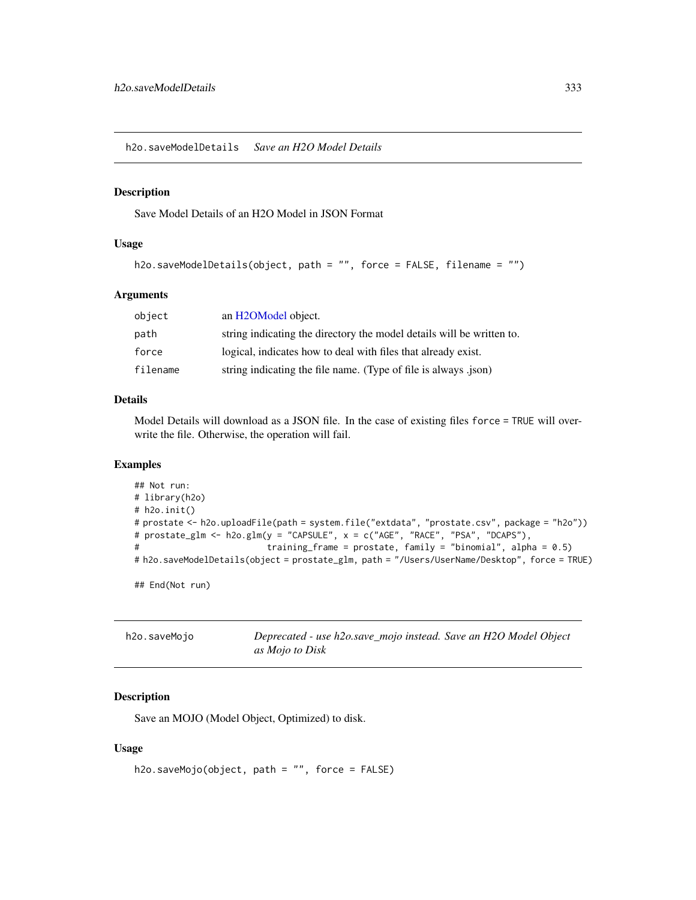h2o.saveModelDetails *Save an H2O Model Details*

#### Description

Save Model Details of an H2O Model in JSON Format

# Usage

```
h2o.saveModelDetails(object, path = "", force = FALSE, filename = "")
```
### Arguments

| object   | an H <sub>2</sub> OM <sub>odel</sub> object.                          |
|----------|-----------------------------------------------------------------------|
| path     | string indicating the directory the model details will be written to. |
| force    | logical, indicates how to deal with files that already exist.         |
| filename | string indicating the file name. (Type of file is always .json)       |

## Details

Model Details will download as a JSON file. In the case of existing files force = TRUE will overwrite the file. Otherwise, the operation will fail.

#### Examples

```
## Not run:
# library(h2o)
# h2o.init()
# prostate <- h2o.uploadFile(path = system.file("extdata", "prostate.csv", package = "h2o"))
# prostate_glm <- h2o.glm(y = "CAPSULE", x = c("AGE", "RACE", "PSA", "DCAPS"),
# training_frame = prostate, family = "binomial", alpha = 0.5)
# h2o.saveModelDetails(object = prostate_glm, path = "/Users/UserName/Desktop", force = TRUE)
## End(Not run)
```

| h2o.saveMojo | Deprecated - use h2o.save_mojo instead. Save an H2O Model Object |  |
|--------------|------------------------------------------------------------------|--|
|              | as Mojo to Disk                                                  |  |

# Description

Save an MOJO (Model Object, Optimized) to disk.

#### Usage

```
h2o.saveMojo(object, path = "", force = FALSE)
```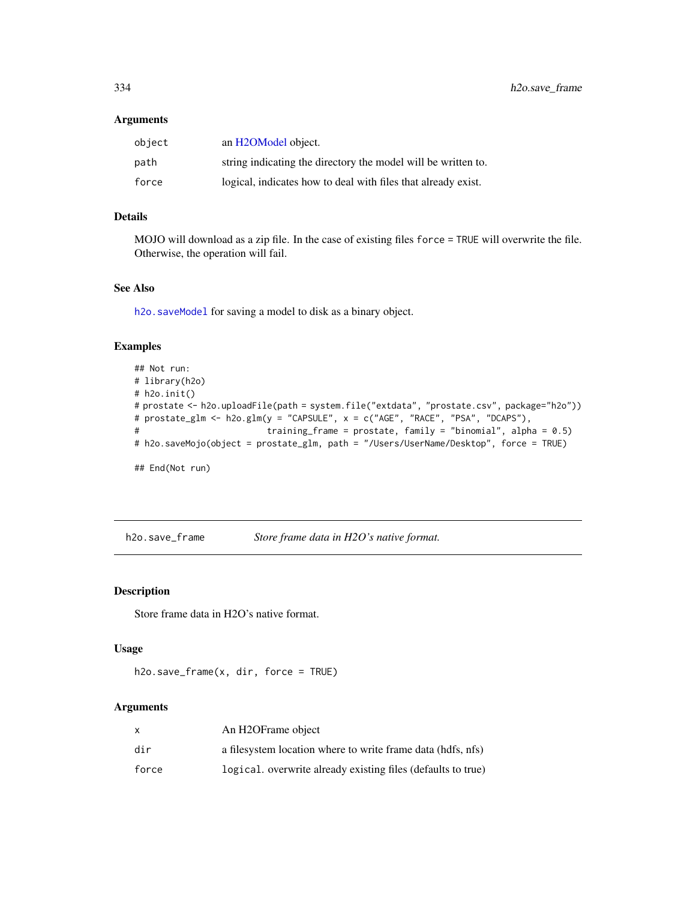### Arguments

| object | an H2OModel object.                                           |
|--------|---------------------------------------------------------------|
| path   | string indicating the directory the model will be written to. |
| force  | logical, indicates how to deal with files that already exist. |

# Details

MOJO will download as a zip file. In the case of existing files force = TRUE will overwrite the file. Otherwise, the operation will fail.

## See Also

[h2o.saveModel](#page-331-0) for saving a model to disk as a binary object.

## Examples

```
## Not run:
# library(h2o)
# h2o.init()
# prostate <- h2o.uploadFile(path = system.file("extdata", "prostate.csv", package="h2o"))
# prostate_glm <- h2o.glm(y = "CAPSULE", x = c("AGE", "RACE", "PSA", "DCAPS"),
# training_frame = prostate, family = "binomial", alpha = 0.5)
# h2o.saveMojo(object = prostate_glm, path = "/Users/UserName/Desktop", force = TRUE)
## End(Not run)
```
h2o.save\_frame *Store frame data in H2O's native format.*

#### Description

Store frame data in H2O's native format.

## Usage

```
h2o.save_frame(x, dir, force = TRUE)
```
## Arguments

|       | An H2OFrame object                                           |
|-------|--------------------------------------------------------------|
| dir   | a filesystem location where to write frame data (hdfs, nfs)  |
| force | logical. overwrite already existing files (defaults to true) |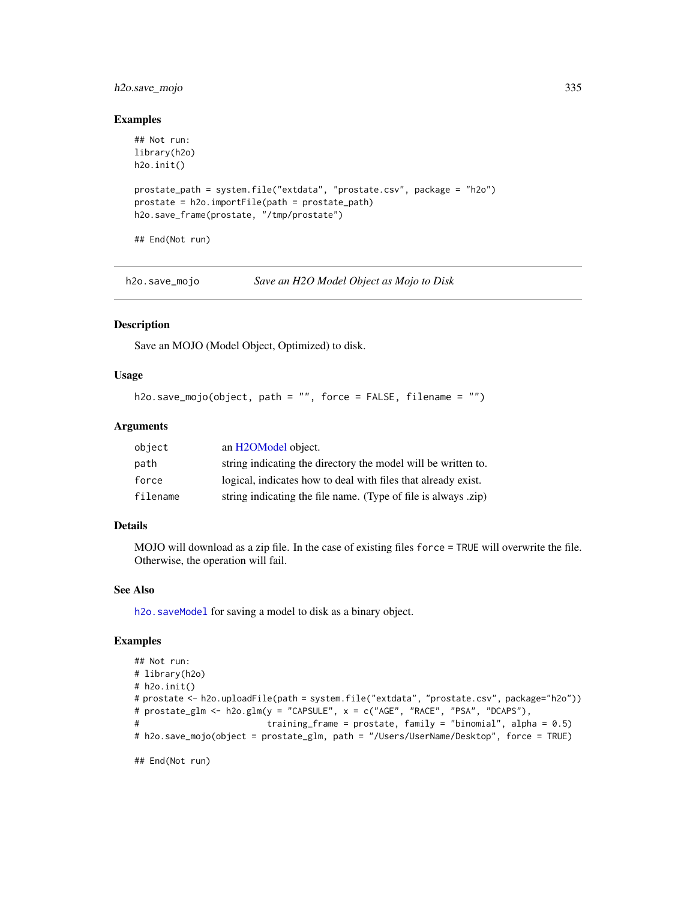# h2o.save\_mojo 335

#### Examples

```
## Not run:
library(h2o)
h2o.init()
prostate_path = system.file("extdata", "prostate.csv", package = "h2o")
prostate = h2o.importFile(path = prostate_path)
h2o.save_frame(prostate, "/tmp/prostate")
## End(Not run)
```
h2o.save\_mojo *Save an H2O Model Object as Mojo to Disk*

## Description

Save an MOJO (Model Object, Optimized) to disk.

#### Usage

```
h2o.save_mojo(object, path = "", force = FALSE, filename = "")
```
#### Arguments

| object   | an H <sub>2</sub> OM <sub>odel</sub> object.                   |
|----------|----------------------------------------------------------------|
| path     | string indicating the directory the model will be written to.  |
| force    | logical, indicates how to deal with files that already exist.  |
| filename | string indicating the file name. (Type of file is always .zip) |

#### Details

MOJO will download as a zip file. In the case of existing files force = TRUE will overwrite the file. Otherwise, the operation will fail.

# See Also

[h2o.saveModel](#page-331-0) for saving a model to disk as a binary object.

#### Examples

```
## Not run:
# library(h2o)
# h2o.init()
# prostate <- h2o.uploadFile(path = system.file("extdata", "prostate.csv", package="h2o"))
# prostate_glm <- h2o.glm(y = "CAPSULE", x = c("AGE", "RACE", "PSA", "DCAPS"),
# training_frame = prostate, family = "binomial", alpha = 0.5)
# h2o.save_mojo(object = prostate_glm, path = "/Users/UserName/Desktop", force = TRUE)
```
## End(Not run)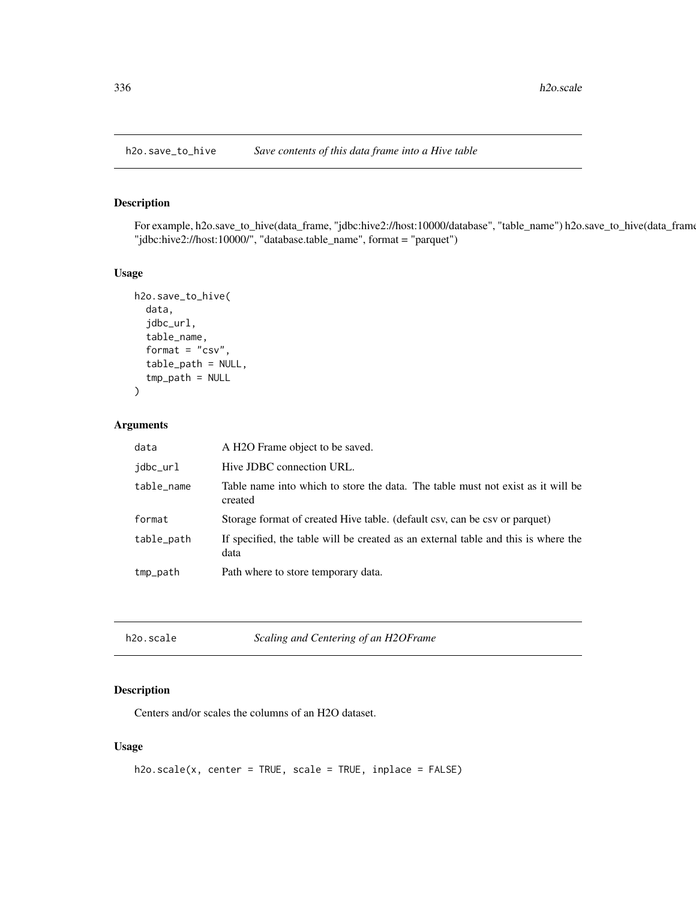For example, h2o.save\_to\_hive(data\_frame, "jdbc:hive2://host:10000/database", "table\_name") h2o.save\_to\_hive(data\_frame "jdbc:hive2://host:10000/", "database.table\_name", format = "parquet")

#### Usage

```
h2o.save_to_hive(
  data,
  jdbc_url,
  table_name,
  format = "csv",
  table_path = NULL,
  tmp_path = NULL)
```
## Arguments

| data       | A H <sub>2</sub> O Frame object to be saved.                                               |
|------------|--------------------------------------------------------------------------------------------|
| idbc_url   | Hive JDBC connection URL.                                                                  |
| table_name | Table name into which to store the data. The table must not exist as it will be<br>created |
| format     | Storage format of created Hive table. (default csv, can be csv or parquet)                 |
| table_path | If specified, the table will be created as an external table and this is where the<br>data |
| tmp_path   | Path where to store temporary data.                                                        |

| h2o.scale |  |
|-----------|--|
|-----------|--|

h2o.scale *Scaling and Centering of an H2OFrame*

## Description

Centers and/or scales the columns of an H2O dataset.

#### Usage

```
h2o.scale(x, center = TRUE, scale = TRUE, inplace = FALSE)
```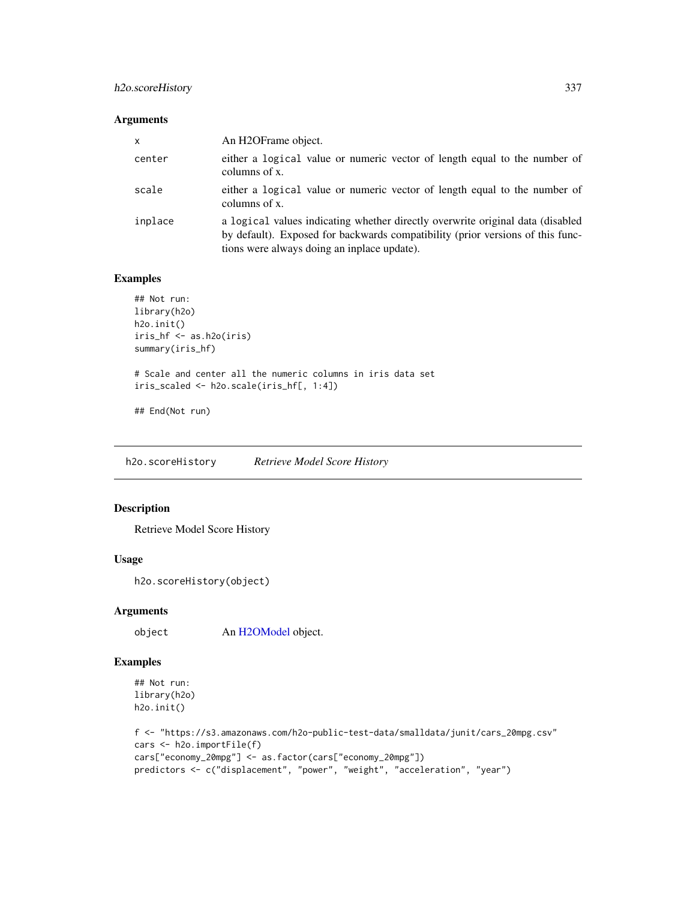## h2o.scoreHistory 337

#### Arguments

| $\mathsf{x}$ | An H <sub>2</sub> OFrame object.                                                                                                                                                                                |
|--------------|-----------------------------------------------------------------------------------------------------------------------------------------------------------------------------------------------------------------|
| center       | either a logical value or numeric vector of length equal to the number of<br>columns of x.                                                                                                                      |
| scale        | either a logical value or numeric vector of length equal to the number of<br>columns of x.                                                                                                                      |
| inplace      | a logical values indicating whether directly overwrite original data (disabled<br>by default). Exposed for backwards compatibility (prior versions of this func-<br>tions were always doing an inplace update). |

## Examples

```
## Not run:
library(h2o)
h2o.init()
iris_hf <- as.h2o(iris)
summary(iris_hf)
# Scale and center all the numeric columns in iris data set
iris_scaled <- h2o.scale(iris_hf[, 1:4])
## End(Not run)
```
h2o.scoreHistory *Retrieve Model Score History*

## Description

Retrieve Model Score History

# Usage

```
h2o.scoreHistory(object)
```
## Arguments

object An [H2OModel](#page-415-0) object.

# Examples

```
## Not run:
library(h2o)
h2o.init()
```

```
f <- "https://s3.amazonaws.com/h2o-public-test-data/smalldata/junit/cars_20mpg.csv"
cars <- h2o.importFile(f)
cars["economy_20mpg"] <- as.factor(cars["economy_20mpg"])
predictors <- c("displacement", "power", "weight", "acceleration", "year")
```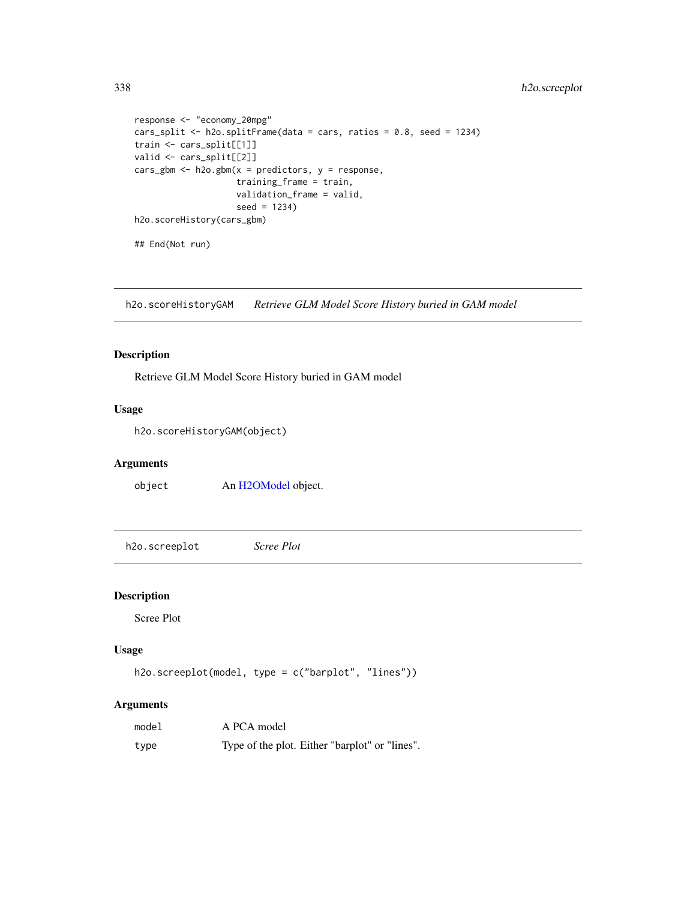```
response <- "economy_20mpg"
cars_split <- h2o.splitFrame(data = cars, ratios = 0.8, seed = 1234)
train <- cars_split[[1]]
valid <- cars_split[[2]]
cars_gbm <- h2o.gbm(x = predictors, y = response,training_frame = train,
                    validation_frame = valid,
                    seed = 1234)
h2o.scoreHistory(cars_gbm)
## End(Not run)
```
h2o.scoreHistoryGAM *Retrieve GLM Model Score History buried in GAM model*

## Description

Retrieve GLM Model Score History buried in GAM model

## Usage

h2o.scoreHistoryGAM(object)

# Arguments

object An [H2OModel](#page-415-0) object.

h2o.screeplot *Scree Plot*

#### Description

Scree Plot

# Usage

```
h2o.screeplot(model, type = c("barplot", "lines"))
```
#### Arguments

| model | A PCA model                                    |
|-------|------------------------------------------------|
| type  | Type of the plot. Either "barplot" or "lines". |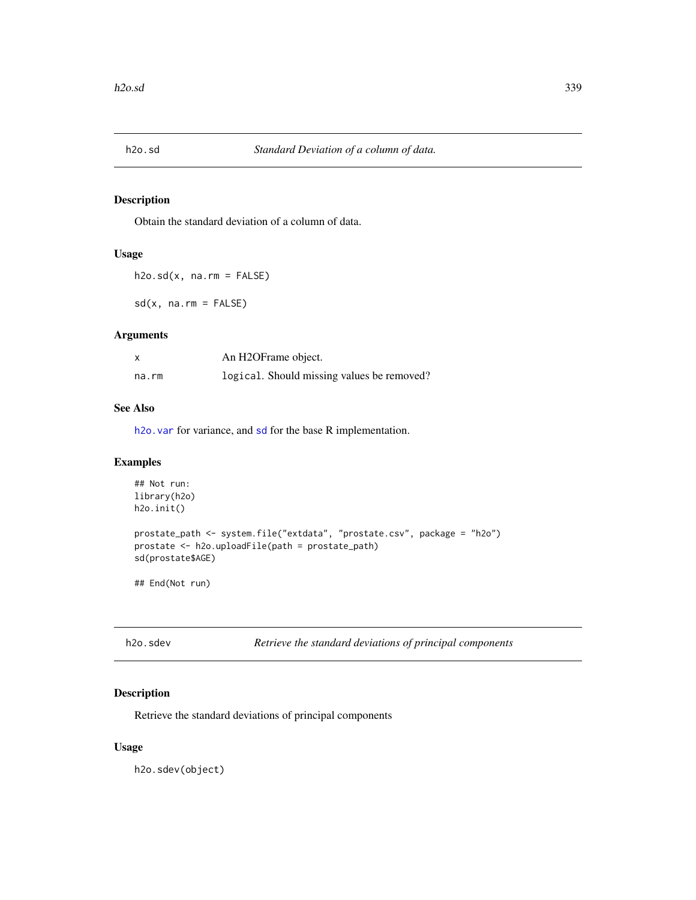<span id="page-338-0"></span>

Obtain the standard deviation of a column of data.

## Usage

 $h2o.sd(x, na.rm = FALSE)$ 

 $sd(x, na.rm = FALSE)$ 

#### Arguments

|       | An H2OFrame object.                        |
|-------|--------------------------------------------|
| na.rm | logical. Should missing values be removed? |

## See Also

h2o. var for variance, and [sd](#page-338-0) for the base R implementation.

## Examples

```
## Not run:
library(h2o)
h2o.init()
prostate_path <- system.file("extdata", "prostate.csv", package = "h2o")
prostate <- h2o.uploadFile(path = prostate_path)
sd(prostate$AGE)
```
## End(Not run)

Retrieve the standard deviations of principal components

## Description

Retrieve the standard deviations of principal components

#### Usage

h2o.sdev(object)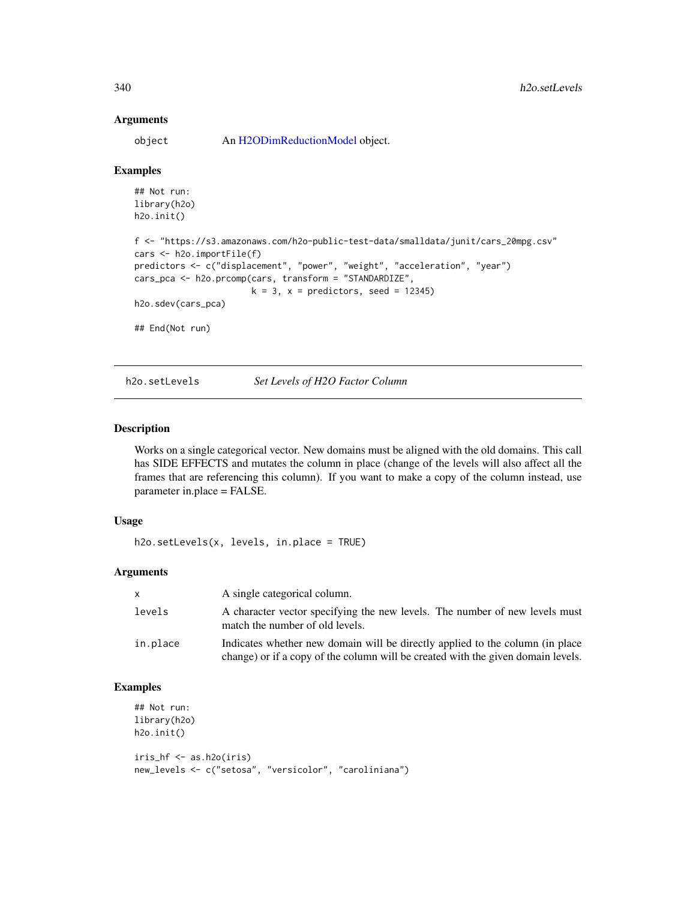#### **Arguments**

object An [H2ODimReductionModel](#page-415-1) object.

#### Examples

```
## Not run:
library(h2o)
h2o.init()
f <- "https://s3.amazonaws.com/h2o-public-test-data/smalldata/junit/cars_20mpg.csv"
cars <- h2o.importFile(f)
predictors <- c("displacement", "power", "weight", "acceleration", "year")
cars_pca <- h2o.prcomp(cars, transform = "STANDARDIZE",
                       k = 3, x = predictors, seed = 12345)
h2o.sdev(cars_pca)
## End(Not run)
```
h2o.setLevels *Set Levels of H2O Factor Column*

#### Description

Works on a single categorical vector. New domains must be aligned with the old domains. This call has SIDE EFFECTS and mutates the column in place (change of the levels will also affect all the frames that are referencing this column). If you want to make a copy of the column instead, use parameter in.place = FALSE.

#### Usage

```
h2o.setLevels(x, levels, in.place = TRUE)
```
#### Arguments

| X        | A single categorical column.                                                                                                                                       |
|----------|--------------------------------------------------------------------------------------------------------------------------------------------------------------------|
| levels   | A character vector specifying the new levels. The number of new levels must<br>match the number of old levels.                                                     |
| in.place | Indicates whether new domain will be directly applied to the column (in place)<br>change) or if a copy of the column will be created with the given domain levels. |

## Examples

```
## Not run:
library(h2o)
h2o.init()
iris_hf <- as.h2o(iris)
new_levels <- c("setosa", "versicolor", "caroliniana")
```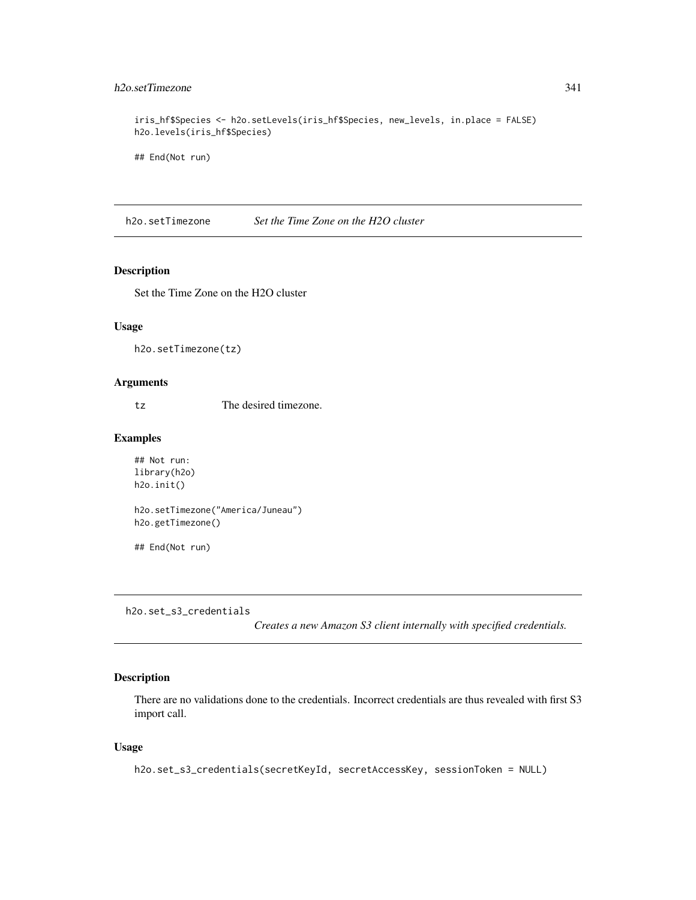## h2o.setTimezone 341

```
iris_hf$Species <- h2o.setLevels(iris_hf$Species, new_levels, in.place = FALSE)
h2o.levels(iris_hf$Species)
```
## End(Not run)

h2o.setTimezone *Set the Time Zone on the H2O cluster*

#### Description

Set the Time Zone on the H2O cluster

#### Usage

h2o.setTimezone(tz)

## Arguments

tz The desired timezone.

## Examples

```
## Not run:
library(h2o)
h2o.init()
```
h2o.setTimezone("America/Juneau") h2o.getTimezone()

## End(Not run)

h2o.set\_s3\_credentials

*Creates a new Amazon S3 client internally with specified credentials.*

#### Description

There are no validations done to the credentials. Incorrect credentials are thus revealed with first S3 import call.

#### Usage

```
h2o.set_s3_credentials(secretKeyId, secretAccessKey, sessionToken = NULL)
```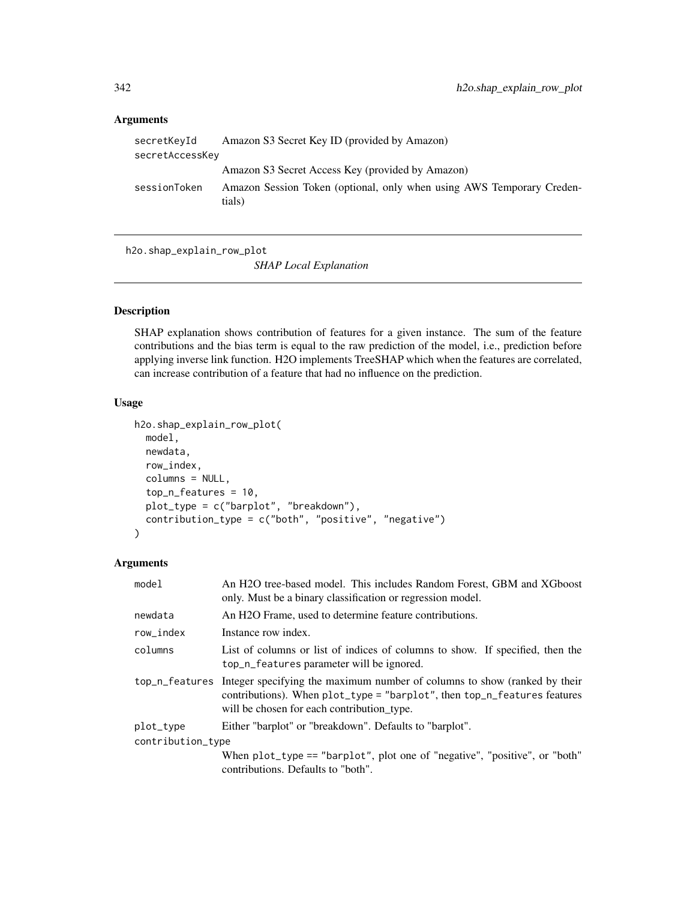# Arguments

| secretKeyId     | Amazon S3 Secret Key ID (provided by Amazon)                                    |
|-----------------|---------------------------------------------------------------------------------|
| secretAccessKey |                                                                                 |
|                 | Amazon S3 Secret Access Key (provided by Amazon)                                |
| sessionToken    | Amazon Session Token (optional, only when using AWS Temporary Creden-<br>tials) |

h2o.shap\_explain\_row\_plot

*SHAP Local Explanation*

#### Description

SHAP explanation shows contribution of features for a given instance. The sum of the feature contributions and the bias term is equal to the raw prediction of the model, i.e., prediction before applying inverse link function. H2O implements TreeSHAP which when the features are correlated, can increase contribution of a feature that had no influence on the prediction.

#### Usage

```
h2o.shap_explain_row_plot(
 model,
  newdata,
  row_index,
  columns = NULL,
  top_n_features = 10,
  plot_type = c("barplot", "breakdown"),
  contribution_type = c("both", "positive", "negative")
)
```
# Arguments

| model             | An H2O tree-based model. This includes Random Forest, GBM and XGboost<br>only. Must be a binary classification or regression model.                                                                                           |  |
|-------------------|-------------------------------------------------------------------------------------------------------------------------------------------------------------------------------------------------------------------------------|--|
| newdata           | An H <sub>2</sub> O Frame, used to determine feature contributions.                                                                                                                                                           |  |
| row_index         | Instance row index.                                                                                                                                                                                                           |  |
| columns           | List of columns or list of indices of columns to show. If specified, then the<br>top_n_features parameter will be ignored.                                                                                                    |  |
|                   | top_n_features Integer specifying the maximum number of columns to show (ranked by their<br>contributions). When $plot_type = "barplot", then top_n_features$ features features<br>will be chosen for each contribution type. |  |
| plot_type         | Either "barplot" or "breakdown". Defaults to "barplot".                                                                                                                                                                       |  |
| contribution_type |                                                                                                                                                                                                                               |  |
|                   | When $plot_type == "barplot", plot one of "negative", "positive", or "both"$<br>contributions. Defaults to "both".                                                                                                            |  |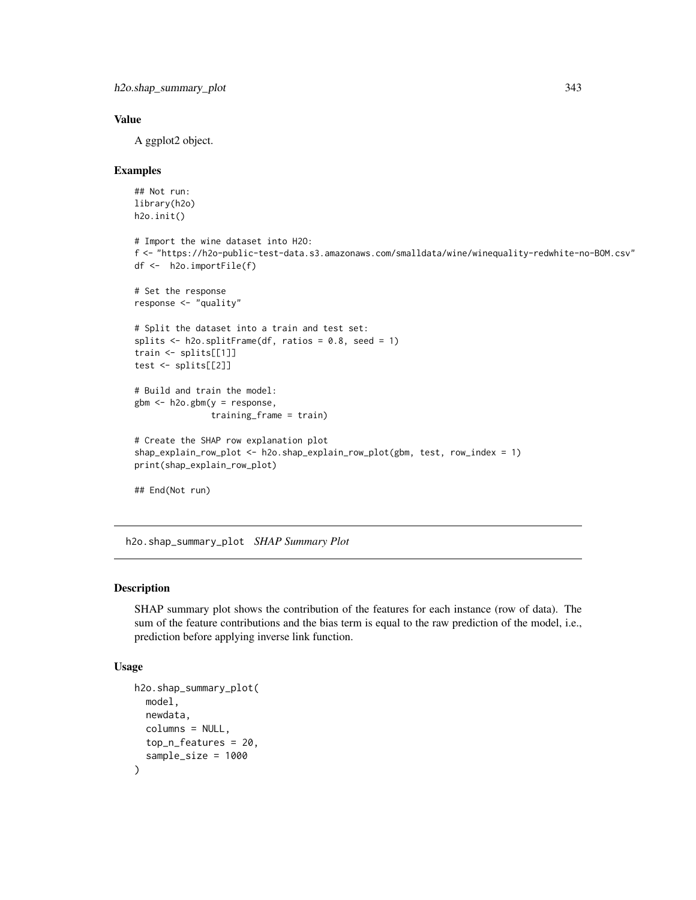```
h2o.shap_summary_plot 343
```
## Value

A ggplot2 object.

#### Examples

```
## Not run:
library(h2o)
h2o.init()
# Import the wine dataset into H2O:
f <- "https://h2o-public-test-data.s3.amazonaws.com/smalldata/wine/winequality-redwhite-no-BOM.csv"
df <- h2o.importFile(f)
# Set the response
response <- "quality"
# Split the dataset into a train and test set:
splits \le h2o.splitFrame(df, ratios = 0.8, seed = 1)
train <- splits[[1]]
test <- splits[[2]]
# Build and train the model:
gbm <- h2o.gbm(y = response,
               training_frame = train)
# Create the SHAP row explanation plot
shap_explain_row_plot <- h2o.shap_explain_row_plot(gbm, test, row_index = 1)
print(shap_explain_row_plot)
## End(Not run)
```
h2o.shap\_summary\_plot *SHAP Summary Plot*

# Description

SHAP summary plot shows the contribution of the features for each instance (row of data). The sum of the feature contributions and the bias term is equal to the raw prediction of the model, i.e., prediction before applying inverse link function.

### Usage

```
h2o.shap_summary_plot(
  model,
  newdata,
  columns = NULL,
  top_n_features = 20,
  sample_size = 1000
)
```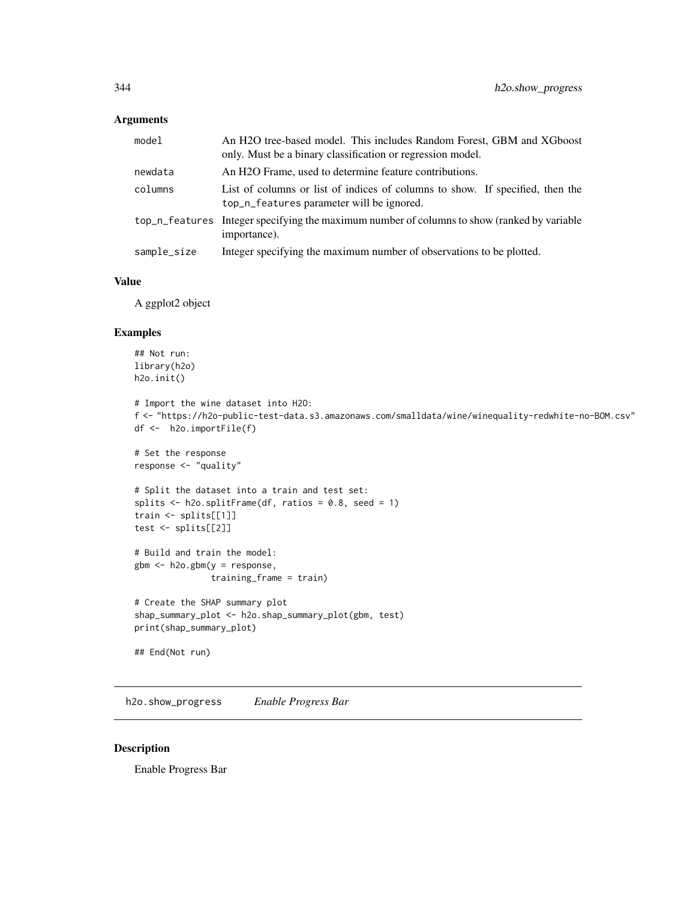#### Arguments

| model       | An H2O tree-based model. This includes Random Forest, GBM and XGboost<br>only. Must be a binary classification or regression model. |
|-------------|-------------------------------------------------------------------------------------------------------------------------------------|
| newdata     | An H <sub>2</sub> O Frame, used to determine feature contributions.                                                                 |
| columns     | List of columns or list of indices of columns to show. If specified, then the<br>top_n_features parameter will be ignored.          |
|             | top_n_features Integer specifying the maximum number of columns to show (ranked by variable<br>importance).                         |
| sample_size | Integer specifying the maximum number of observations to be plotted.                                                                |

#### Value

A ggplot2 object

## Examples

```
## Not run:
library(h2o)
h2o.init()
# Import the wine dataset into H2O:
f <- "https://h2o-public-test-data.s3.amazonaws.com/smalldata/wine/winequality-redwhite-no-BOM.csv"
df <- h2o.importFile(f)
# Set the response
response <- "quality"
# Split the dataset into a train and test set:
splits \le h2o.splitFrame(df, ratios = 0.8, seed = 1)
train <- splits[[1]]
test <- splits[[2]]
# Build and train the model:
gbm <- h2o.gbm(y = response,
               training_frame = train)
# Create the SHAP summary plot
shap_summary_plot <- h2o.shap_summary_plot(gbm, test)
```

```
print(shap_summary_plot)
```

```
## End(Not run)
```
h2o.show\_progress *Enable Progress Bar*

## Description

Enable Progress Bar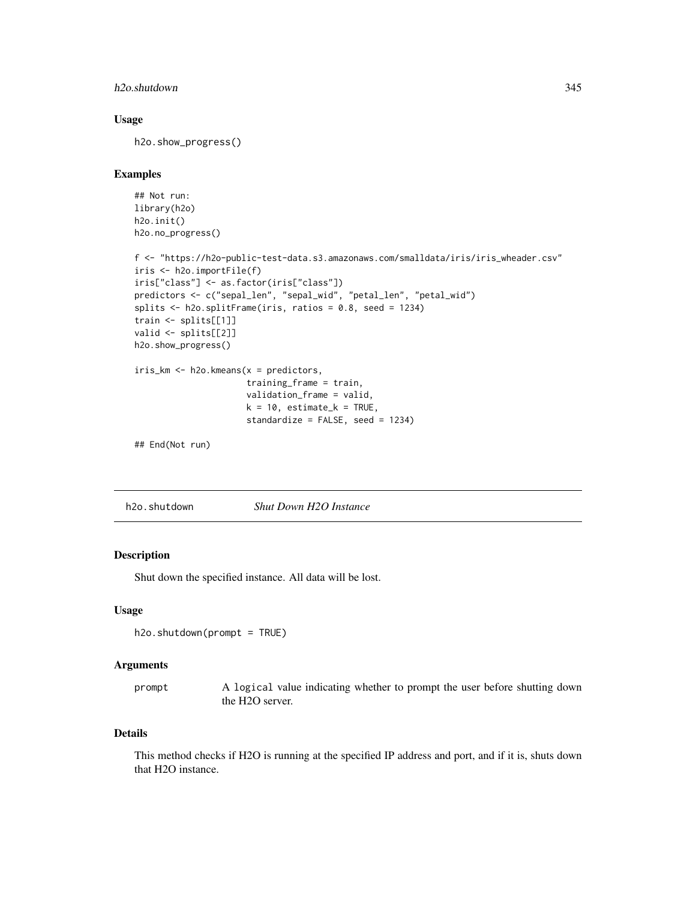## h2o.shutdown 345

## Usage

h2o.show\_progress()

# Examples

```
## Not run:
library(h2o)
h2o.init()
h2o.no_progress()
```

```
f <- "https://h2o-public-test-data.s3.amazonaws.com/smalldata/iris/iris_wheader.csv"
iris <- h2o.importFile(f)
iris["class"] <- as.factor(iris["class"])
predictors <- c("sepal_len", "sepal_wid", "petal_len", "petal_wid")
splits <- h2o.splitFrame(iris, ratios = 0.8, seed = 1234)
train <- splits[[1]]
valid <- splits[[2]]
h2o.show_progress()
iris_km <- h2o.kmeans(x = predictors,
```

```
training_frame = train,
validation_frame = valid,
k = 10, estimate_k = TRUE,
standardize = FALSE, seed = 1234)
```

```
## End(Not run)
```
h2o.shutdown *Shut Down H2O Instance*

## Description

Shut down the specified instance. All data will be lost.

#### Usage

```
h2o.shutdown(prompt = TRUE)
```
#### Arguments

prompt A logical value indicating whether to prompt the user before shutting down the H2O server.

#### Details

This method checks if H2O is running at the specified IP address and port, and if it is, shuts down that H2O instance.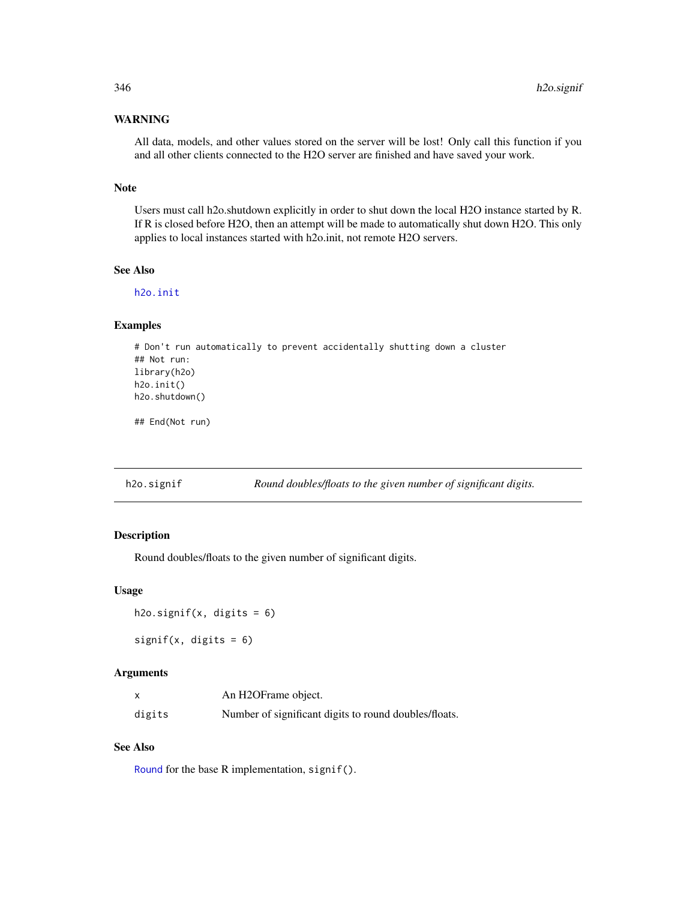# WARNING

All data, models, and other values stored on the server will be lost! Only call this function if you and all other clients connected to the H2O server are finished and have saved your work.

#### Note

Users must call h2o.shutdown explicitly in order to shut down the local H2O instance started by R. If R is closed before H2O, then an attempt will be made to automatically shut down H2O. This only applies to local instances started with h2o.init, not remote H2O servers.

## See Also

[h2o.init](#page-209-0)

# Examples

```
# Don't run automatically to prevent accidentally shutting down a cluster
## Not run:
library(h2o)
h2o.init()
h2o.shutdown()
```
## End(Not run)

h2o.signif *Round doubles/floats to the given number of significant digits.*

## Description

Round doubles/floats to the given number of significant digits.

#### Usage

```
h2o.signif(x, digits = 6)
```
signif(x, digits =  $6$ )

#### Arguments

|        | An H2OFrame object.                                   |
|--------|-------------------------------------------------------|
| digits | Number of significant digits to round doubles/floats. |

#### See Also

[Round](#page-0-0) for the base R implementation, signif().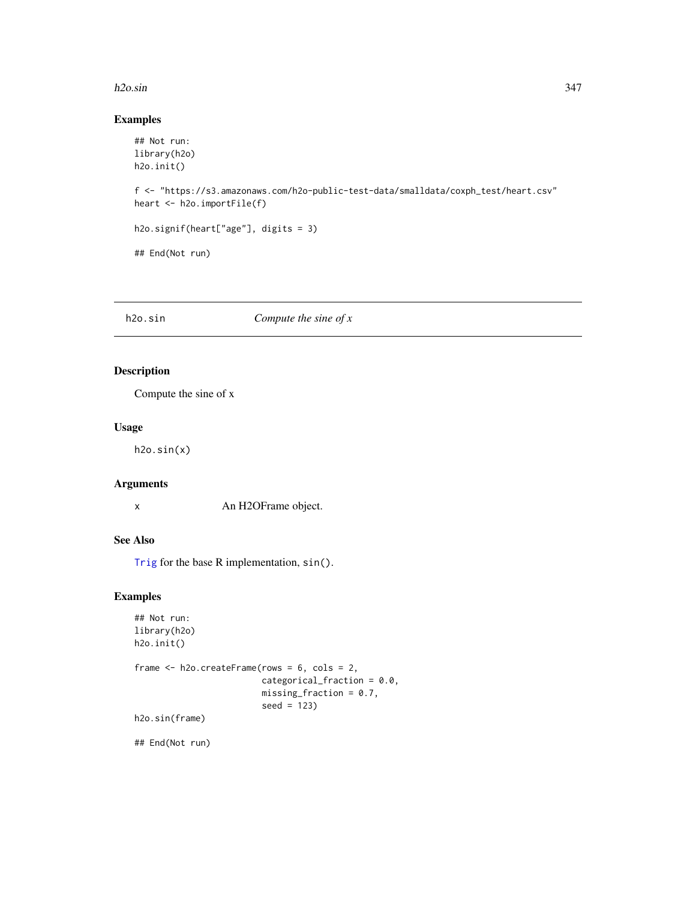#### h2o.sin 347

### Examples

```
## Not run:
library(h2o)
h2o.init()
f <- "https://s3.amazonaws.com/h2o-public-test-data/smalldata/coxph_test/heart.csv"
heart <- h2o.importFile(f)
h2o.signif(heart["age"], digits = 3)
## End(Not run)
```
# h2o.sin *Compute the sine of x*

## Description

Compute the sine of x

## Usage

h2o.sin(x)

## Arguments

x An H2OFrame object.

## See Also

[Trig](#page-0-0) for the base R implementation, sin().

## Examples

```
## Not run:
library(h2o)
h2o.init()
frame <- h2o.createFrame(rows = 6, cols = 2,
                         categorical_fraction = 0.0,
                         missing_fraction = 0.7,
                         seed = 123)
h2o.sin(frame)
```
## End(Not run)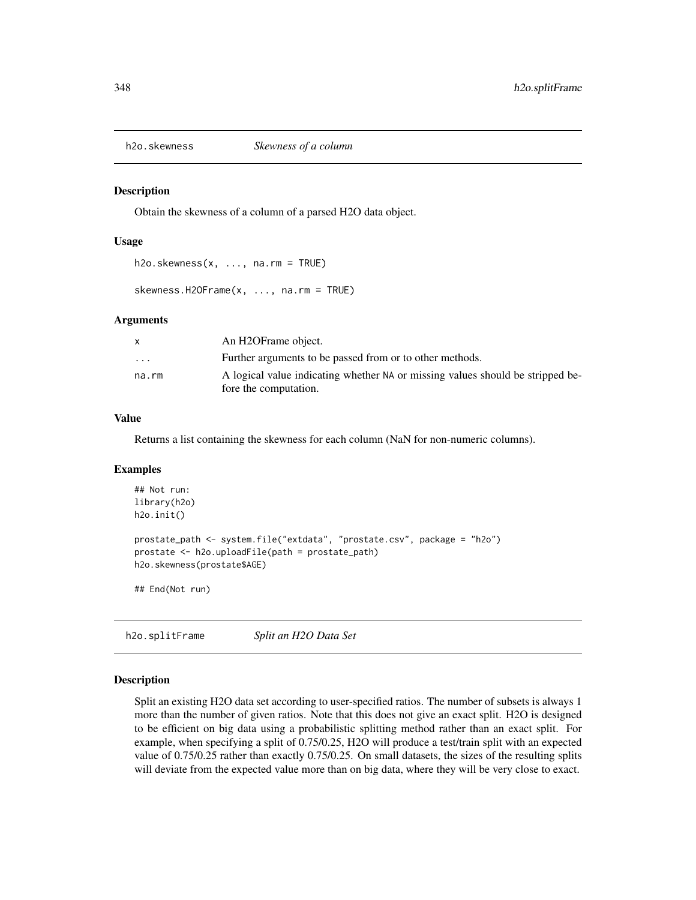Obtain the skewness of a column of a parsed H2O data object.

#### Usage

 $h2o.$ skewness $(x, \ldots, na.rm = TRUE)$ 

skewness.H2OFrame(x, ..., na.rm = TRUE)

#### Arguments

|          | An H2OFrame object.                                                                                     |
|----------|---------------------------------------------------------------------------------------------------------|
| $\cdots$ | Further arguments to be passed from or to other methods.                                                |
| na.rm    | A logical value indicating whether NA or missing values should be stripped be-<br>fore the computation. |
|          |                                                                                                         |

## Value

Returns a list containing the skewness for each column (NaN for non-numeric columns).

#### Examples

```
## Not run:
library(h2o)
h2o.init()
prostate_path <- system.file("extdata", "prostate.csv", package = "h2o")
prostate <- h2o.uploadFile(path = prostate_path)
h2o.skewness(prostate$AGE)
## End(Not run)
```
h2o.splitFrame *Split an H2O Data Set*

#### Description

Split an existing H2O data set according to user-specified ratios. The number of subsets is always 1 more than the number of given ratios. Note that this does not give an exact split. H2O is designed to be efficient on big data using a probabilistic splitting method rather than an exact split. For example, when specifying a split of 0.75/0.25, H2O will produce a test/train split with an expected value of 0.75/0.25 rather than exactly 0.75/0.25. On small datasets, the sizes of the resulting splits will deviate from the expected value more than on big data, where they will be very close to exact.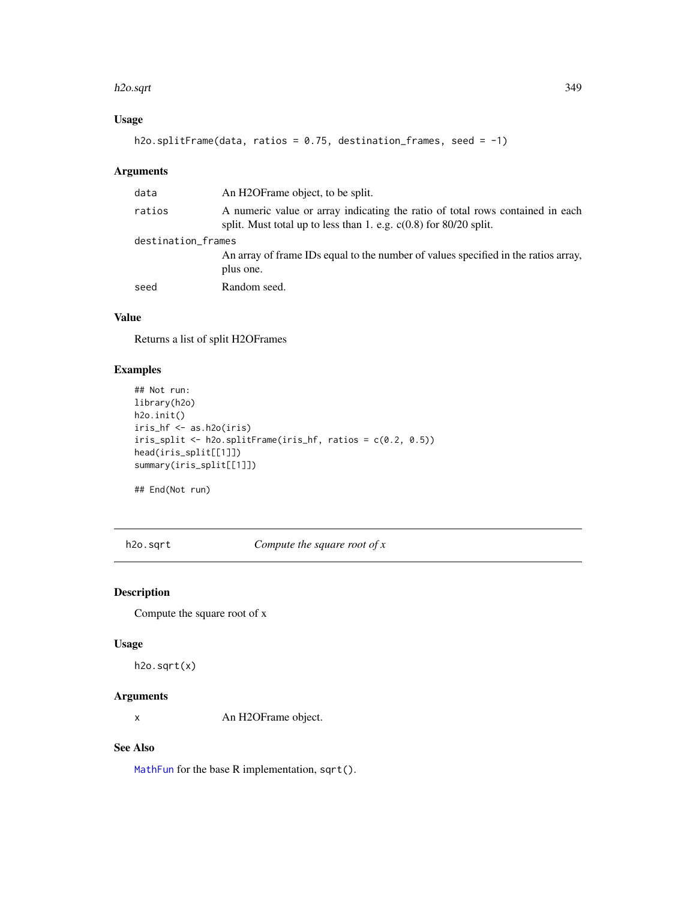#### h2o.sqrt 349

## Usage

```
h2o.splitFrame(data, ratios = 0.75, destination_frames, seed = -1)
```
## Arguments

| ratios<br>A numeric value or array indicating the ratio of total rows contained in each<br>split. Must total up to less than 1. e.g. $c(0.8)$ for 80/20 split. |  |  |
|----------------------------------------------------------------------------------------------------------------------------------------------------------------|--|--|
| destination_frames                                                                                                                                             |  |  |
| An array of frame IDs equal to the number of values specified in the ratios array,<br>plus one.                                                                |  |  |
| Random seed.<br>seed                                                                                                                                           |  |  |

## Value

Returns a list of split H2OFrames

# Examples

```
## Not run:
library(h2o)
h2o.init()
iris_hf <- as.h2o(iris)
iris_split <- h2o.splitFrame(iris_hf, ratios = c(0.2, 0.5))
head(iris_split[[1]])
summary(iris_split[[1]])
```
## End(Not run)

h2o.sqrt *Compute the square root of x*

## Description

Compute the square root of x

#### Usage

h2o.sqrt(x)

## Arguments

x An H2OFrame object.

# See Also

[MathFun](#page-0-0) for the base R implementation, sqrt().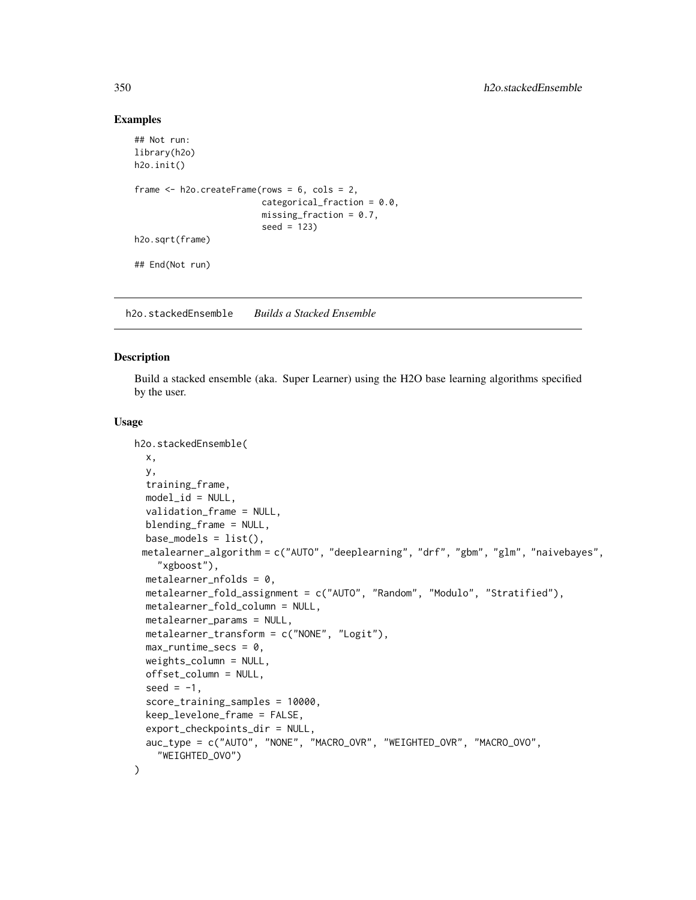#### Examples

```
## Not run:
library(h2o)
h2o.init()
frame <- h2o.createFrame(rows = 6, cols = 2,
                         categorical_fraction = 0.0,
                         missing_fraction = 0.7,
                         seed = 123h2o.sqrt(frame)
## End(Not run)
```
h2o.stackedEnsemble *Builds a Stacked Ensemble*

#### Description

Build a stacked ensemble (aka. Super Learner) using the H2O base learning algorithms specified by the user.

#### Usage

```
h2o.stackedEnsemble(
 x,
 y,
  training_frame,
  model_id = NULL,validation_frame = NULL,
  blending_frame = NULL,
  base_models = list(),metalearner_algorithm = c("AUTO", "deeplearning", "drf", "gbm", "glm", "naivebayes",
    "xgboost"),
  metalearner_nfolds = 0,
  metalearner_fold_assignment = c("AUTO", "Random", "Modulo", "Stratified"),
  metalearner_fold_column = NULL,
  metalearner_params = NULL,
 metalearner_transform = c("NONE", "Logit"),
  max_runtime_secs = 0,
  weights_column = NULL,
  offset_column = NULL,
  seed = -1,
  score_training_samples = 10000,
  keep_levelone_frame = FALSE,
  export_checkpoints_dir = NULL,
  auc_type = c("AUTO", "NONE", "MACRO_OVR", "WEIGHTED_OVR", "MACRO_OVO",
    "WEIGHTED_OVO")
)
```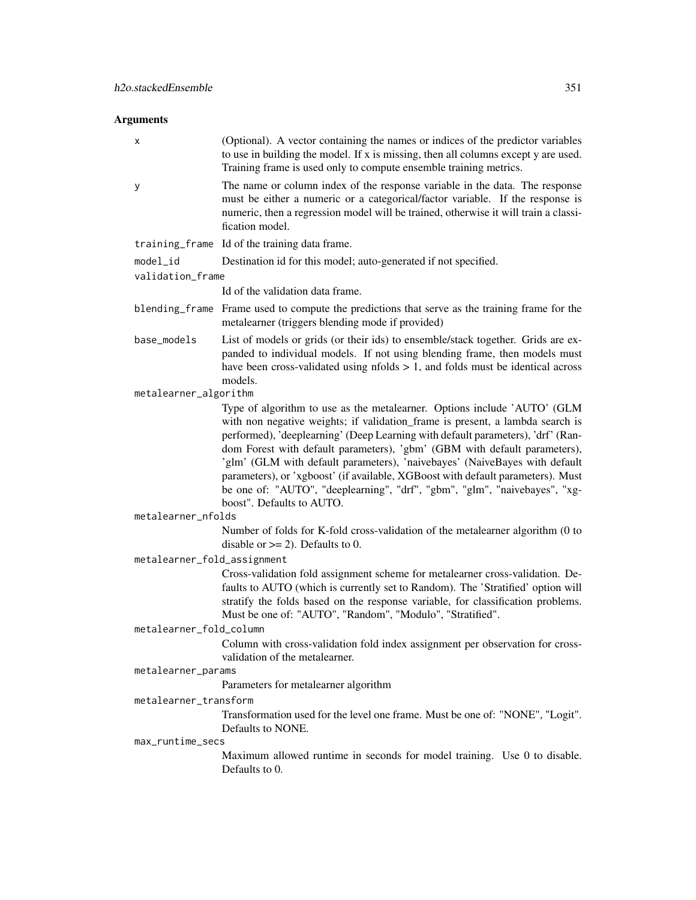# Arguments

| х                           | (Optional). A vector containing the names or indices of the predictor variables<br>to use in building the model. If x is missing, then all columns except y are used.<br>Training frame is used only to compute ensemble training metrics.                                                                                                                                                                                                                                                                                                                                                            |
|-----------------------------|-------------------------------------------------------------------------------------------------------------------------------------------------------------------------------------------------------------------------------------------------------------------------------------------------------------------------------------------------------------------------------------------------------------------------------------------------------------------------------------------------------------------------------------------------------------------------------------------------------|
| у                           | The name or column index of the response variable in the data. The response<br>must be either a numeric or a categorical/factor variable. If the response is<br>numeric, then a regression model will be trained, otherwise it will train a classi-<br>fication model.                                                                                                                                                                                                                                                                                                                                |
|                             | training_frame Id of the training data frame.                                                                                                                                                                                                                                                                                                                                                                                                                                                                                                                                                         |
| model_id                    | Destination id for this model; auto-generated if not specified.                                                                                                                                                                                                                                                                                                                                                                                                                                                                                                                                       |
| validation_frame            |                                                                                                                                                                                                                                                                                                                                                                                                                                                                                                                                                                                                       |
|                             | Id of the validation data frame.                                                                                                                                                                                                                                                                                                                                                                                                                                                                                                                                                                      |
|                             | blending_frame Frame used to compute the predictions that serve as the training frame for the<br>metalearner (triggers blending mode if provided)                                                                                                                                                                                                                                                                                                                                                                                                                                                     |
| base_models                 | List of models or grids (or their ids) to ensemble/stack together. Grids are ex-<br>panded to individual models. If not using blending frame, then models must<br>have been cross-validated using $n_{\text{folds}} > 1$ , and folds must be identical across<br>models.                                                                                                                                                                                                                                                                                                                              |
| metalearner_algorithm       |                                                                                                                                                                                                                                                                                                                                                                                                                                                                                                                                                                                                       |
|                             | Type of algorithm to use as the metalearner. Options include 'AUTO' (GLM<br>with non negative weights; if validation_frame is present, a lambda search is<br>performed), 'deeplearning' (Deep Learning with default parameters), 'drf' (Ran-<br>dom Forest with default parameters), 'gbm' (GBM with default parameters),<br>'glm' (GLM with default parameters), 'naivebayes' (NaiveBayes with default<br>parameters), or 'xgboost' (if available, XGBoost with default parameters). Must<br>be one of: "AUTO", "deeplearning", "drf", "gbm", "glm", "naivebayes", "xg-<br>boost". Defaults to AUTO. |
| metalearner_nfolds          |                                                                                                                                                                                                                                                                                                                                                                                                                                                                                                                                                                                                       |
|                             | Number of folds for K-fold cross-validation of the metalearner algorithm (0 to<br>disable or $>= 2$ ). Defaults to 0.                                                                                                                                                                                                                                                                                                                                                                                                                                                                                 |
| metalearner_fold_assignment |                                                                                                                                                                                                                                                                                                                                                                                                                                                                                                                                                                                                       |
|                             | Cross-validation fold assignment scheme for metalearner cross-validation. De-<br>faults to AUTO (which is currently set to Random). The 'Stratified' option will<br>stratify the folds based on the response variable, for classification problems.<br>Must be one of: "AUTO", "Random", "Modulo", "Stratified".                                                                                                                                                                                                                                                                                      |
| metalearner_fold_column     |                                                                                                                                                                                                                                                                                                                                                                                                                                                                                                                                                                                                       |
|                             | Column with cross-validation fold index assignment per observation for cross-<br>validation of the metalearner.                                                                                                                                                                                                                                                                                                                                                                                                                                                                                       |
| metalearner_params          |                                                                                                                                                                                                                                                                                                                                                                                                                                                                                                                                                                                                       |
|                             | Parameters for metalearner algorithm                                                                                                                                                                                                                                                                                                                                                                                                                                                                                                                                                                  |
| metalearner_transform       |                                                                                                                                                                                                                                                                                                                                                                                                                                                                                                                                                                                                       |
|                             | Transformation used for the level one frame. Must be one of: "NONE", "Logit".<br>Defaults to NONE.                                                                                                                                                                                                                                                                                                                                                                                                                                                                                                    |
| max_runtime_secs            |                                                                                                                                                                                                                                                                                                                                                                                                                                                                                                                                                                                                       |
|                             | Maximum allowed runtime in seconds for model training. Use 0 to disable.<br>Defaults to 0.                                                                                                                                                                                                                                                                                                                                                                                                                                                                                                            |
|                             |                                                                                                                                                                                                                                                                                                                                                                                                                                                                                                                                                                                                       |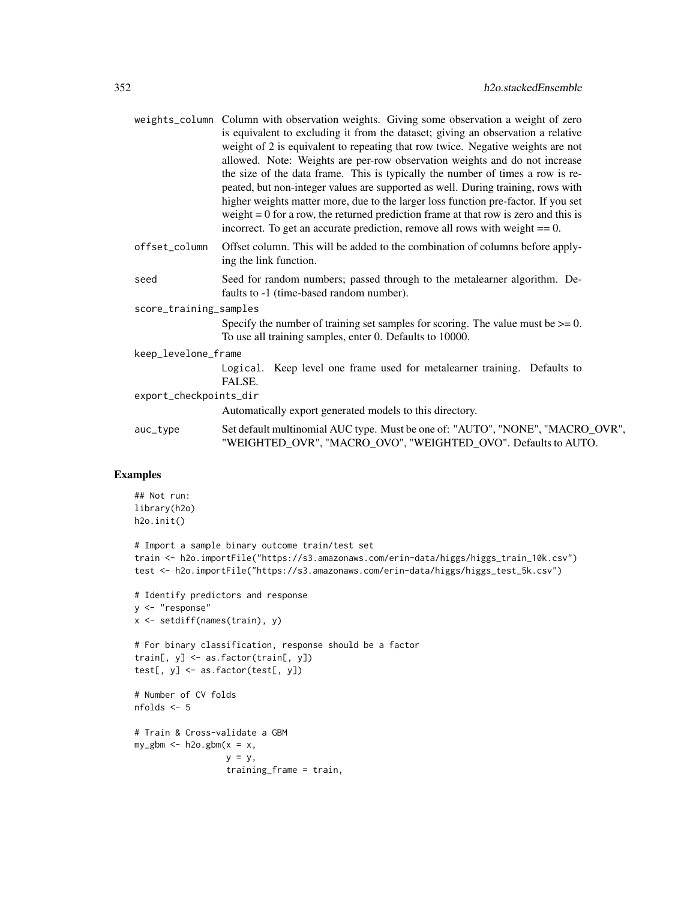|                        |               | weights_column Column with observation weights. Giving some observation a weight of zero<br>is equivalent to excluding it from the dataset; giving an observation a relative<br>weight of 2 is equivalent to repeating that row twice. Negative weights are not<br>allowed. Note: Weights are per-row observation weights and do not increase<br>the size of the data frame. This is typically the number of times a row is re-<br>peated, but non-integer values are supported as well. During training, rows with<br>higher weights matter more, due to the larger loss function pre-factor. If you set<br>weight $= 0$ for a row, the returned prediction frame at that row is zero and this is<br>incorrect. To get an accurate prediction, remove all rows with weight $== 0$ . |
|------------------------|---------------|--------------------------------------------------------------------------------------------------------------------------------------------------------------------------------------------------------------------------------------------------------------------------------------------------------------------------------------------------------------------------------------------------------------------------------------------------------------------------------------------------------------------------------------------------------------------------------------------------------------------------------------------------------------------------------------------------------------------------------------------------------------------------------------|
|                        | offset_column | Offset column. This will be added to the combination of columns before apply-<br>ing the link function.                                                                                                                                                                                                                                                                                                                                                                                                                                                                                                                                                                                                                                                                              |
|                        | seed          | Seed for random numbers; passed through to the metalearner algorithm. De-<br>faults to -1 (time-based random number).                                                                                                                                                                                                                                                                                                                                                                                                                                                                                                                                                                                                                                                                |
| score_training_samples |               |                                                                                                                                                                                                                                                                                                                                                                                                                                                                                                                                                                                                                                                                                                                                                                                      |
|                        |               | Specify the number of training set samples for scoring. The value must be $\geq 0$ .<br>To use all training samples, enter 0. Defaults to 10000.                                                                                                                                                                                                                                                                                                                                                                                                                                                                                                                                                                                                                                     |
| keep_levelone_frame    |               |                                                                                                                                                                                                                                                                                                                                                                                                                                                                                                                                                                                                                                                                                                                                                                                      |
|                        |               | Logical. Keep level one frame used for metalearner training. Defaults to<br>FALSE.                                                                                                                                                                                                                                                                                                                                                                                                                                                                                                                                                                                                                                                                                                   |
| export_checkpoints_dir |               |                                                                                                                                                                                                                                                                                                                                                                                                                                                                                                                                                                                                                                                                                                                                                                                      |
|                        |               | Automatically export generated models to this directory.                                                                                                                                                                                                                                                                                                                                                                                                                                                                                                                                                                                                                                                                                                                             |
|                        | auc_type      | Set default multinomial AUC type. Must be one of: "AUTO", "NONE", "MACRO_OVR",<br>"WEIGHTED_OVR", "MACRO_OVO", "WEIGHTED_OVO". Defaults to AUTO.                                                                                                                                                                                                                                                                                                                                                                                                                                                                                                                                                                                                                                     |
|                        |               |                                                                                                                                                                                                                                                                                                                                                                                                                                                                                                                                                                                                                                                                                                                                                                                      |

# Examples

```
## Not run:
library(h2o)
h2o.init()
# Import a sample binary outcome train/test set
train <- h2o.importFile("https://s3.amazonaws.com/erin-data/higgs/higgs_train_10k.csv")
test <- h2o.importFile("https://s3.amazonaws.com/erin-data/higgs/higgs_test_5k.csv")
# Identify predictors and response
y <- "response"
x <- setdiff(names(train), y)
# For binary classification, response should be a factor
train[, y] <- as.factor(train[, y])
test[, y] <- as.factor(test[, y])
# Number of CV folds
nfolds <- 5
# Train & Cross-validate a GBM
my\_gbm \leq - h2o.gbm(x = x,y = y,
                  training_frame = train,
```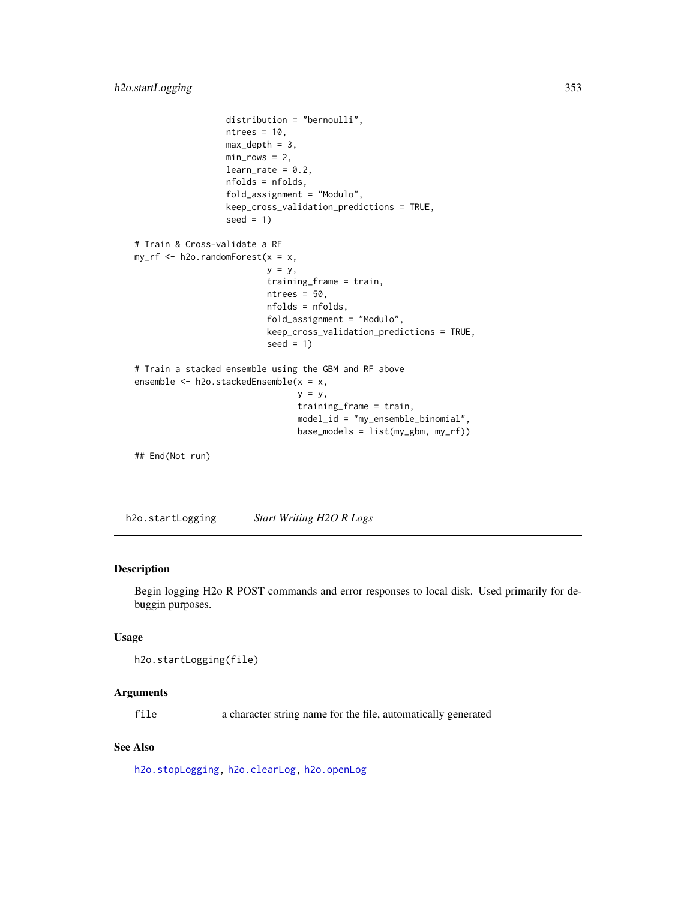```
distribution = "bernoulli",
                  ntrees = 10,
                  max\_depth = 3,
                  min\_rows = 2,
                  learn_rate = 0.2,nfolds = nfolds,
                  fold_assignment = "Modulo",
                  keep_cross_validation_predictions = TRUE,
                  seed = 1)
# Train & Cross-validate a RF
my\_rf \leftarrow h2o.randomForest(x = x,y = y,
                          training_frame = train,
                          ntrees = 50,
                          nfolds = nfolds,
                          fold_assignment = "Modulo",
                          keep_cross_validation_predictions = TRUE,
                          seed = 1)
# Train a stacked ensemble using the GBM and RF above
ensemble <- h2o.stackedEnsemble(x = x,
                                 y = y,
                                 training_frame = train,
                                 model_id = "my_ensemble_binomial",
                                 base_models = list(my_gbm, my_rf))
## End(Not run)
```
<span id="page-352-0"></span>h2o.startLogging *Start Writing H2O R Logs*

## Description

Begin logging H2o R POST commands and error responses to local disk. Used primarily for debuggin purposes.

# Usage

```
h2o.startLogging(file)
```
## Arguments

file a character string name for the file, automatically generated

#### See Also

[h2o.stopLogging,](#page-354-0) [h2o.clearLog,](#page-84-0) [h2o.openLog](#page-278-0)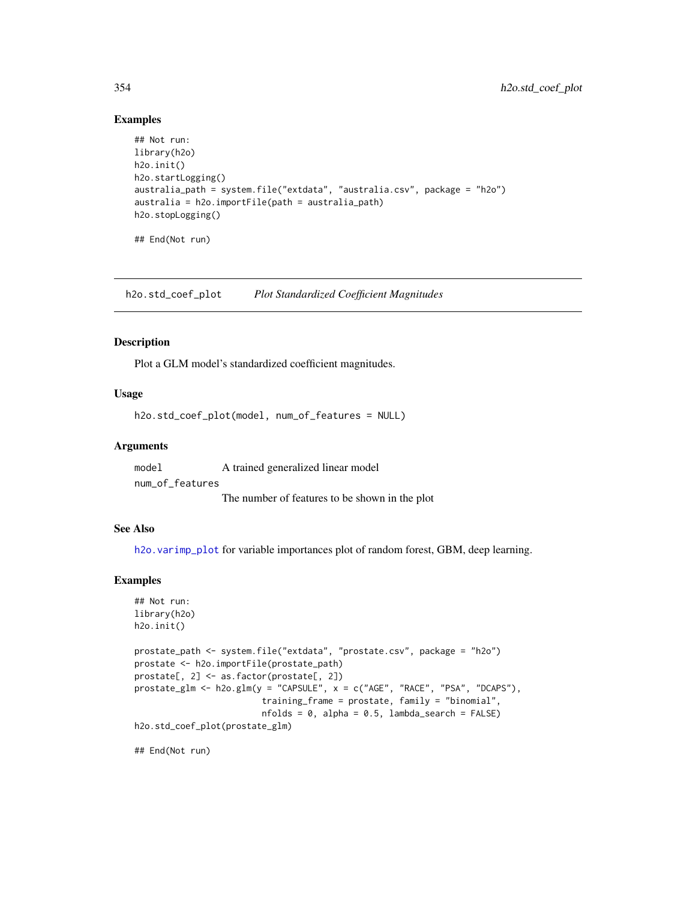#### Examples

```
## Not run:
library(h2o)
h2o.init()
h2o.startLogging()
australia_path = system.file("extdata", "australia.csv", package = "h2o")
australia = h2o.importFile(path = australia_path)
h2o.stopLogging()
## End(Not run)
```
h2o.std\_coef\_plot *Plot Standardized Coefficient Magnitudes*

#### Description

Plot a GLM model's standardized coefficient magnitudes.

# Usage

h2o.std\_coef\_plot(model, num\_of\_features = NULL)

#### Arguments

model A trained generalized linear model num\_of\_features

The number of features to be shown in the plot

#### See Also

h2o. varimp\_plot for variable importances plot of random forest, GBM, deep learning.

#### Examples

```
## Not run:
library(h2o)
h2o.init()
prostate_path <- system.file("extdata", "prostate.csv", package = "h2o")
prostate <- h2o.importFile(prostate_path)
prostate[, 2] <- as.factor(prostate[, 2])
prostate_glm <- h2o.glm(y = "CAPSULE", x = c("AGE", "RACE", "PSA", "DCAPS"),
                         training_frame = prostate, family = "binomial",
                         nfolds = 0, alpha = 0.5, lambda_search = FALSE)
h2o.std_coef_plot(prostate_glm)
```
## End(Not run)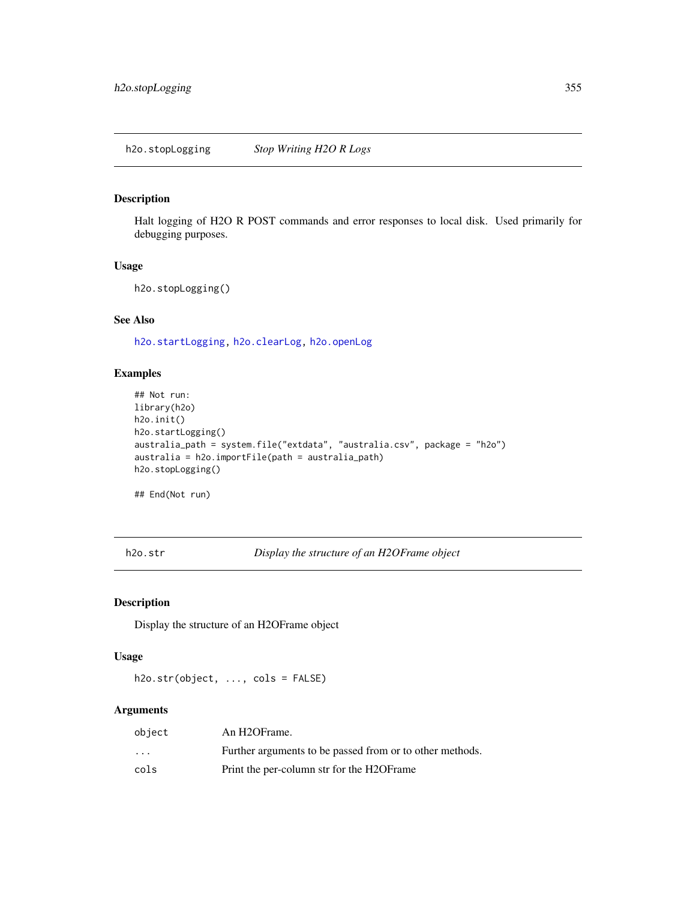<span id="page-354-0"></span>Halt logging of H2O R POST commands and error responses to local disk. Used primarily for debugging purposes.

#### Usage

```
h2o.stopLogging()
```
# See Also

[h2o.startLogging,](#page-352-0) [h2o.clearLog,](#page-84-0) [h2o.openLog](#page-278-0)

## Examples

```
## Not run:
library(h2o)
h2o.init()
h2o.startLogging()
australia_path = system.file("extdata", "australia.csv", package = "h2o")
australia = h2o.importFile(path = australia_path)
h2o.stopLogging()
```
## End(Not run)

h2o.str *Display the structure of an H2OFrame object*

## Description

Display the structure of an H2OFrame object

# Usage

h2o.str(object, ..., cols = FALSE)

#### Arguments

| object                  | An H <sub>2</sub> OFrame.                                |
|-------------------------|----------------------------------------------------------|
| $\cdot$ $\cdot$ $\cdot$ | Further arguments to be passed from or to other methods. |
| cols                    | Print the per-column str for the H2OF rame               |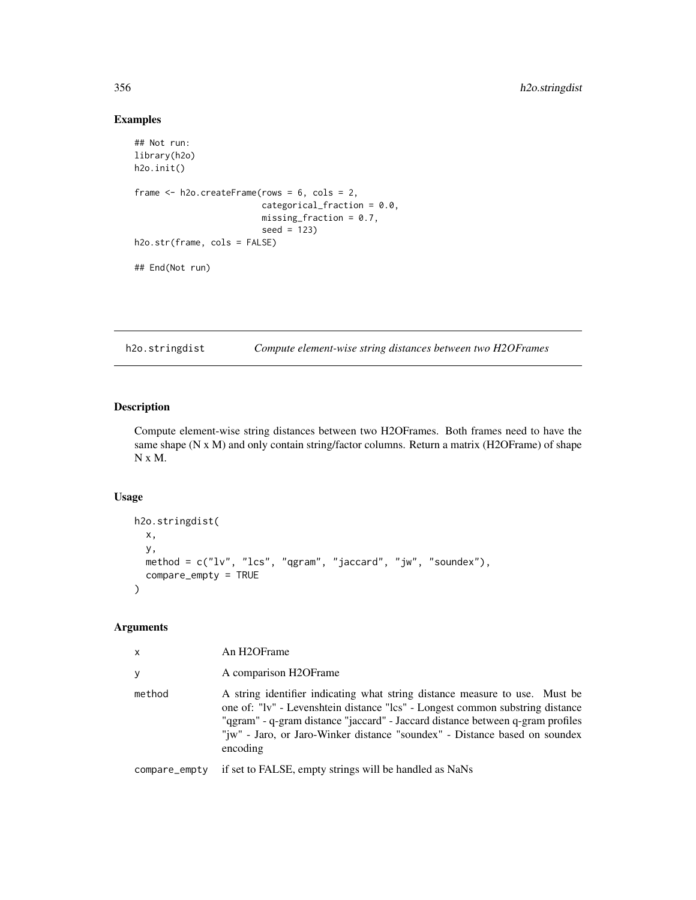## Examples

```
## Not run:
library(h2o)
h2o.init()
frame <- h2o.createFrame(rows = 6, cols = 2,
                         categorical_fraction = 0.0,
                         missing_fraction = 0.7,
                         seed = 123)
h2o.str(frame, cols = FALSE)
## End(Not run)
```
h2o.stringdist *Compute element-wise string distances between two H2OFrames*

# Description

Compute element-wise string distances between two H2OFrames. Both frames need to have the same shape (N x M) and only contain string/factor columns. Return a matrix (H2OFrame) of shape N x M.

#### Usage

```
h2o.stringdist(
  x,
 y,
 method = c("lv", "lcs", "qgram", "jaccard", "jw", "soundex"),
  compare_empty = TRUE
)
```
## Arguments

| x      | An H <sub>2</sub> OFrame                                                                                                                                                                                                                                                                                                                 |
|--------|------------------------------------------------------------------------------------------------------------------------------------------------------------------------------------------------------------------------------------------------------------------------------------------------------------------------------------------|
| v      | A comparison H2OFrame                                                                                                                                                                                                                                                                                                                    |
| method | A string identifier indicating what string distance measure to use. Must be<br>one of: "Iv" - Levenshtein distance "lcs" - Longest common substring distance<br>"ggram" - q-gram distance "jaccard" - Jaccard distance between q-gram profiles<br>"jw" - Jaro, or Jaro-Winker distance "soundex" - Distance based on soundex<br>encoding |
|        |                                                                                                                                                                                                                                                                                                                                          |

compare\_empty if set to FALSE, empty strings will be handled as NaNs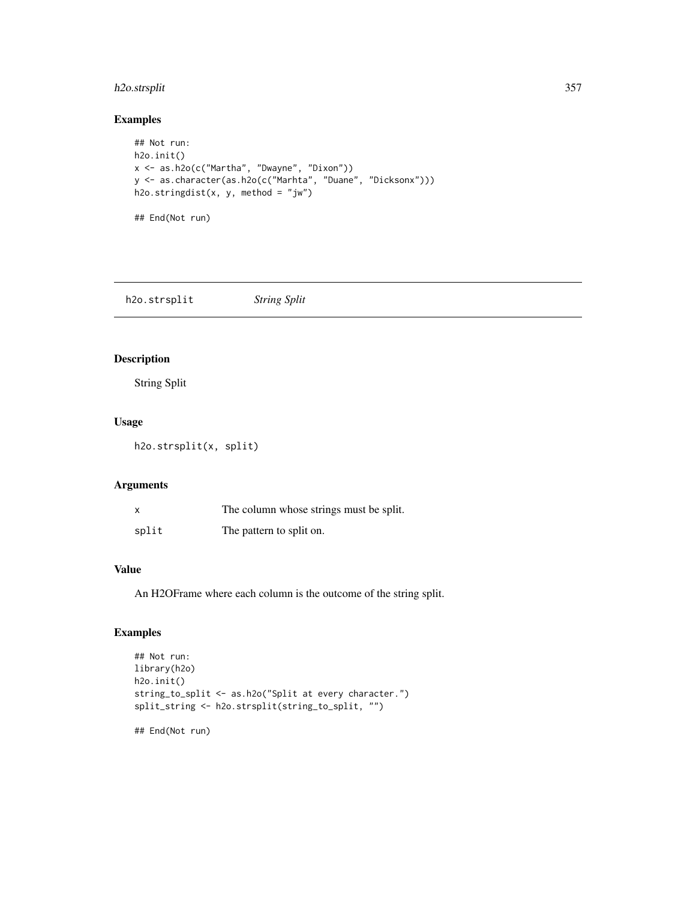# h2o.strsplit 357

## Examples

```
## Not run:
h2o.init()
x <- as.h2o(c("Martha", "Dwayne", "Dixon"))
y <- as.character(as.h2o(c("Marhta", "Duane", "Dicksonx")))
h2o.stringdist(x, y, method = "jw")
## End(Not run)
```
h2o.strsplit *String Split*

## Description

String Split

## Usage

h2o.strsplit(x, split)

## Arguments

| X     | The column whose strings must be split. |
|-------|-----------------------------------------|
| split | The pattern to split on.                |

## Value

An H2OFrame where each column is the outcome of the string split.

# Examples

```
## Not run:
library(h2o)
h2o.init()
string_to_split <- as.h2o("Split at every character.")
split_string <- h2o.strsplit(string_to_split, "")
## End(Not run)
```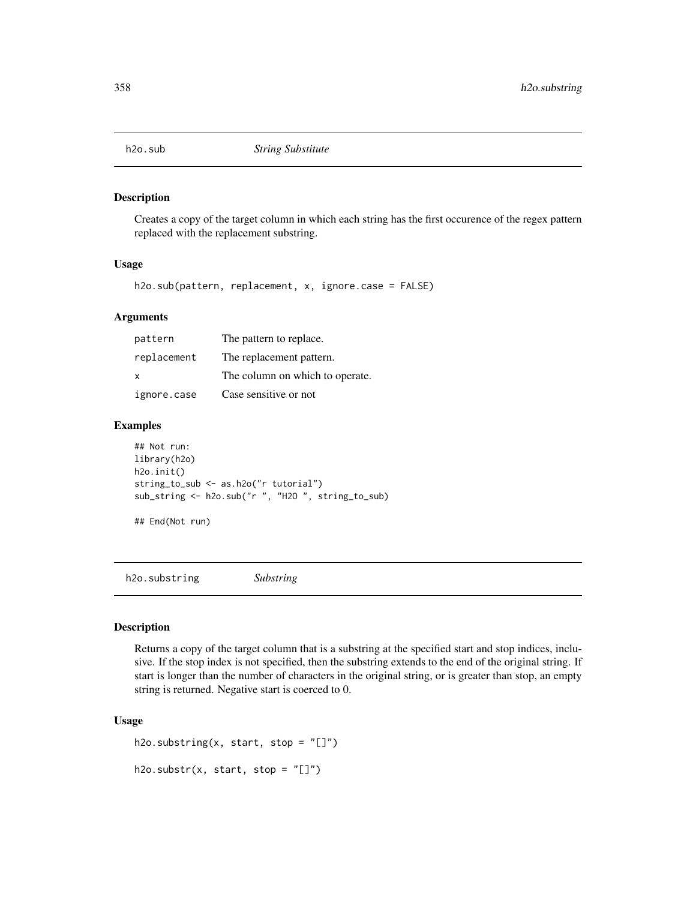Creates a copy of the target column in which each string has the first occurence of the regex pattern replaced with the replacement substring.

#### Usage

h2o.sub(pattern, replacement, x, ignore.case = FALSE)

#### Arguments

| pattern     | The pattern to replace.         |
|-------------|---------------------------------|
| replacement | The replacement pattern.        |
| $\times$    | The column on which to operate. |
| ignore.case | Case sensitive or not           |

#### Examples

```
## Not run:
library(h2o)
h2o.init()
string_to_sub <- as.h2o("r tutorial")
sub_string <- h2o.sub("r ", "H2O ", string_to_sub)
```

```
## End(Not run)
```
h2o.substring *Substring*

#### Description

Returns a copy of the target column that is a substring at the specified start and stop indices, inclusive. If the stop index is not specified, then the substring extends to the end of the original string. If start is longer than the number of characters in the original string, or is greater than stop, an empty string is returned. Negative start is coerced to 0.

#### Usage

h2o.substring(x, start, stop = "[]") h2o.substr(x, start, stop =  $"[]")$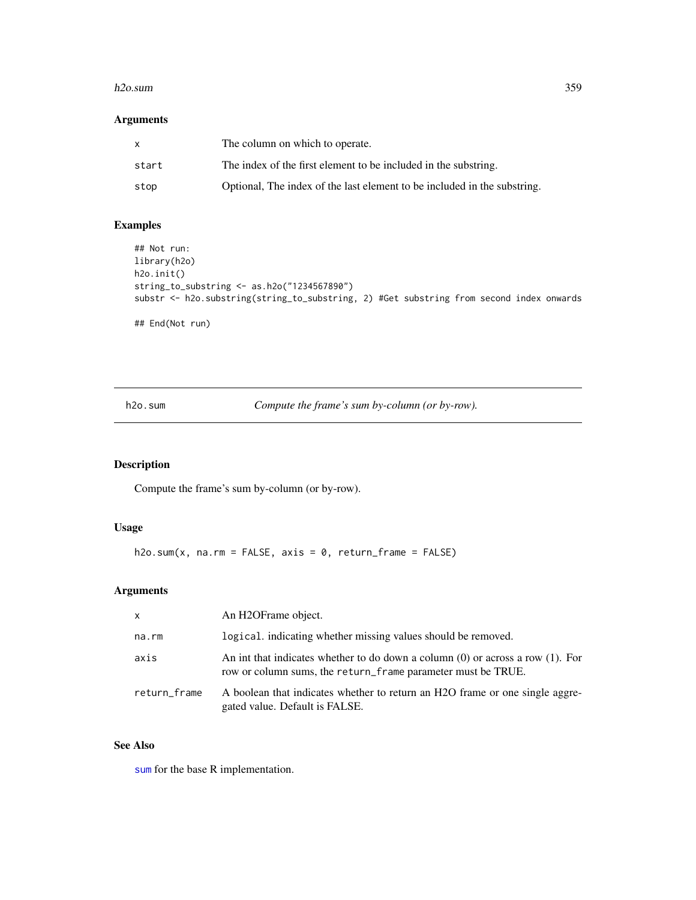#### h2o.sum 359

# Arguments

| X     | The column on which to operate.                                          |
|-------|--------------------------------------------------------------------------|
| start | The index of the first element to be included in the substring.          |
| stop  | Optional, The index of the last element to be included in the substring. |

# Examples

```
## Not run:
library(h2o)
h2o.init()
string_to_substring <- as.h2o("1234567890")
substr <- h2o.substring(string_to_substring, 2) #Get substring from second index onwards
## End(Not run)
```
h2o.sum *Compute the frame's sum by-column (or by-row).*

# Description

Compute the frame's sum by-column (or by-row).

## Usage

h2o.sum(x, na.rm = FALSE, axis = 0, return\_frame = FALSE)

# Arguments

| $\mathsf{x}$ | An H2OFrame object.                                                                                                                                 |
|--------------|-----------------------------------------------------------------------------------------------------------------------------------------------------|
| na.rm        | logical. indicating whether missing values should be removed.                                                                                       |
| axis         | An int that indicates whether to do down a column $(0)$ or across a row $(1)$ . For<br>row or column sums, the return_frame parameter must be TRUE. |
| return_frame | A boolean that indicates whether to return an H2O frame or one single aggre-<br>gated value. Default is FALSE.                                      |

# See Also

[sum](#page-0-0) for the base R implementation.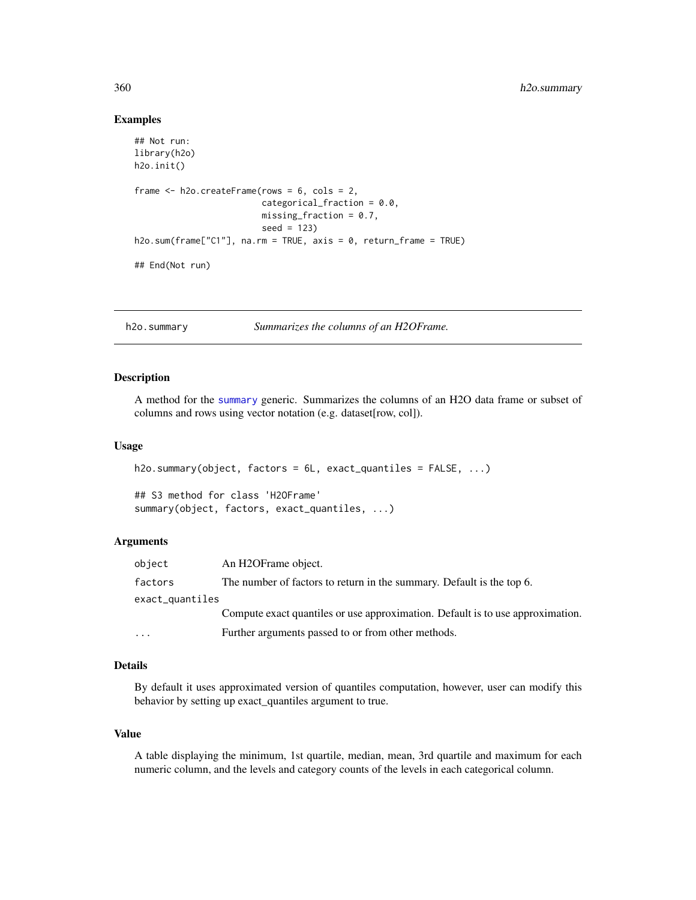#### Examples

```
## Not run:
library(h2o)
h2o.init()
frame <- h2o.createFrame(rows = 6, cols = 2,
                         categorical_fraction = 0.0,
                         missing_fraction = 0.7,
                         seed = 123h2o.sum(frame["C1"], na.rm = TRUE, axis = 0, return_frame = TRUE)
## End(Not run)
```
h2o.summary *Summarizes the columns of an H2OFrame.*

#### Description

A method for the [summary](#page-0-0) generic. Summarizes the columns of an H2O data frame or subset of columns and rows using vector notation (e.g. dataset[row, col]).

#### Usage

```
h2o.summary(object, factors = 6L, exact_quantiles = FALSE, ...)
```
## S3 method for class 'H2OFrame' summary(object, factors, exact\_quantiles, ...)

#### Arguments

| object                  | An H2OFrame object.                                                            |  |
|-------------------------|--------------------------------------------------------------------------------|--|
| factors                 | The number of factors to return in the summary. Default is the top 6.          |  |
| exact_quantiles         |                                                                                |  |
|                         | Compute exact quantiles or use approximation. Default is to use approximation. |  |
| $\cdot$ $\cdot$ $\cdot$ | Further arguments passed to or from other methods.                             |  |

#### Details

By default it uses approximated version of quantiles computation, however, user can modify this behavior by setting up exact\_quantiles argument to true.

#### Value

A table displaying the minimum, 1st quartile, median, mean, 3rd quartile and maximum for each numeric column, and the levels and category counts of the levels in each categorical column.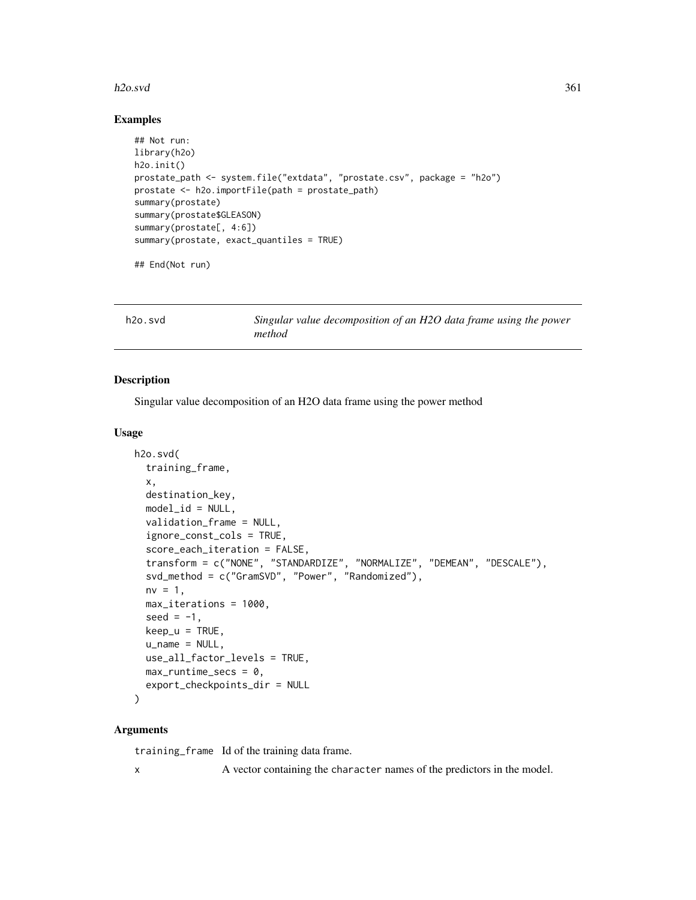### h2o.svd 361

### Examples

```
## Not run:
library(h2o)
h2o.init()
prostate_path <- system.file("extdata", "prostate.csv", package = "h2o")
prostate <- h2o.importFile(path = prostate_path)
summary(prostate)
summary(prostate$GLEASON)
summary(prostate[, 4:6])
summary(prostate, exact_quantiles = TRUE)
```
## End(Not run)

| h2o.svd | Singular value decomposition of an H2O data frame using the power |
|---------|-------------------------------------------------------------------|
|         | method                                                            |

# Description

Singular value decomposition of an H2O data frame using the power method

# Usage

```
h2o.svd(
  training_frame,
  x,
  destination_key,
  model_id = NULL,validation_frame = NULL,
  ignore_const_cols = TRUE,
  score_each_iteration = FALSE,
  transform = c("NONE", "STANDARDIZE", "NORMALIZE", "DEMEAN", "DESCALE"),
  svd_method = c("GramSVD", "Power", "Randomized"),
  nv = 1,
  max_iterations = 1000,
  seed = -1,
  keep_u = TRUE,
  u_name = NULL,
  use_all_factor_levels = TRUE,
  max_runtime_secs = \theta,
  export_checkpoints_dir = NULL
\lambda
```
# Arguments

training\_frame Id of the training data frame. x A vector containing the character names of the predictors in the model.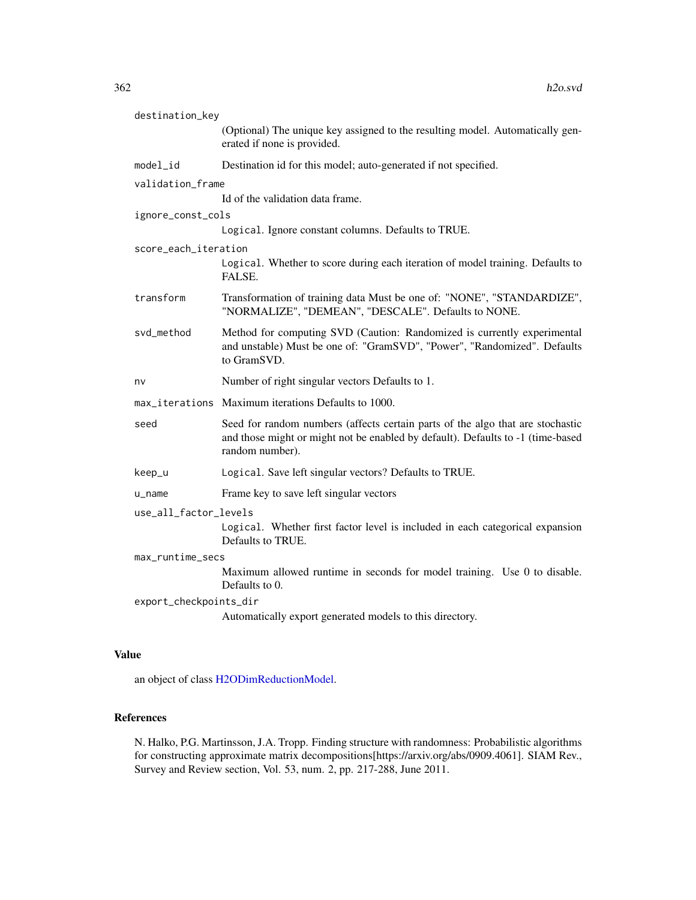| destination_key        |                                                                                                                                                                                      |  |
|------------------------|--------------------------------------------------------------------------------------------------------------------------------------------------------------------------------------|--|
|                        | (Optional) The unique key assigned to the resulting model. Automatically gen-<br>erated if none is provided.                                                                         |  |
| model_id               | Destination id for this model; auto-generated if not specified.                                                                                                                      |  |
| validation_frame       |                                                                                                                                                                                      |  |
|                        | Id of the validation data frame.                                                                                                                                                     |  |
| ignore_const_cols      |                                                                                                                                                                                      |  |
|                        | Logical. Ignore constant columns. Defaults to TRUE.                                                                                                                                  |  |
| score_each_iteration   |                                                                                                                                                                                      |  |
|                        | Logical. Whether to score during each iteration of model training. Defaults to<br>FALSE.                                                                                             |  |
| transform              | Transformation of training data Must be one of: "NONE", "STANDARDIZE",<br>"NORMALIZE", "DEMEAN", "DESCALE". Defaults to NONE.                                                        |  |
| svd_method             | Method for computing SVD (Caution: Randomized is currently experimental<br>and unstable) Must be one of: "GramSVD", "Power", "Randomized". Defaults<br>to GramSVD.                   |  |
| nv                     | Number of right singular vectors Defaults to 1.                                                                                                                                      |  |
|                        | max_iterations Maximum iterations Defaults to 1000.                                                                                                                                  |  |
| seed                   | Seed for random numbers (affects certain parts of the algo that are stochastic<br>and those might or might not be enabled by default). Defaults to -1 (time-based<br>random number). |  |
| keep_u                 |                                                                                                                                                                                      |  |
|                        | Logical. Save left singular vectors? Defaults to TRUE.                                                                                                                               |  |
| u_name                 | Frame key to save left singular vectors                                                                                                                                              |  |
| use_all_factor_levels  |                                                                                                                                                                                      |  |
|                        | Logical. Whether first factor level is included in each categorical expansion<br>Defaults to TRUE.                                                                                   |  |
| max_runtime_secs       |                                                                                                                                                                                      |  |
|                        | Maximum allowed runtime in seconds for model training. Use 0 to disable.<br>Defaults to 0.                                                                                           |  |
| export_checkpoints_dir |                                                                                                                                                                                      |  |
|                        | Automatically export generated models to this directory.                                                                                                                             |  |

# Value

an object of class [H2ODimReductionModel.](#page-415-0)

# References

N. Halko, P.G. Martinsson, J.A. Tropp. Finding structure with randomness: Probabilistic algorithms for constructing approximate matrix decompositions[https://arxiv.org/abs/0909.4061]. SIAM Rev., Survey and Review section, Vol. 53, num. 2, pp. 217-288, June 2011.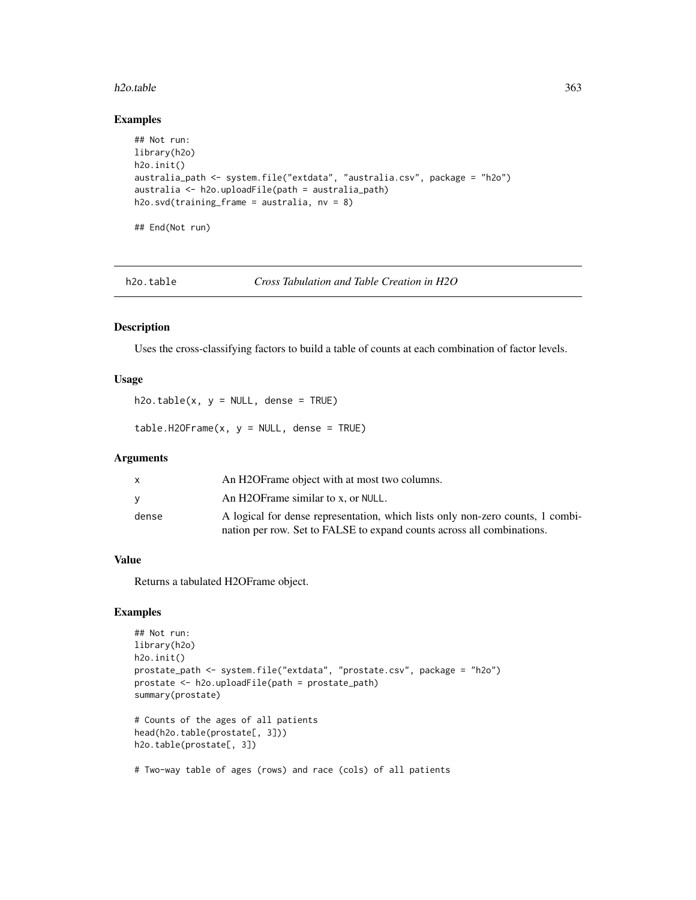### h2o.table 363

# Examples

```
## Not run:
library(h2o)
h2o.init()
australia_path <- system.file("extdata", "australia.csv", package = "h2o")
australia <- h2o.uploadFile(path = australia_path)
h2o.svd(training_frame = australia, nv = 8)
## End(Not run)
```
h2o.table *Cross Tabulation and Table Creation in H2O*

### Description

Uses the cross-classifying factors to build a table of counts at each combination of factor levels.

# Usage

 $h2o.table(x, y = NULL, dense = TRUE)$ 

 $table.H20Frame(x, y = NULL, dense = TRUE)$ 

### Arguments

| X     | An H2OF rame object with at most two columns.                                  |
|-------|--------------------------------------------------------------------------------|
| V     | An H2OFrame similar to x, or NULL.                                             |
| dense | A logical for dense representation, which lists only non-zero counts, 1 combi- |
|       | nation per row. Set to FALSE to expand counts across all combinations.         |

# Value

Returns a tabulated H2OFrame object.

# Examples

```
## Not run:
library(h2o)
h2o.init()
prostate_path <- system.file("extdata", "prostate.csv", package = "h2o")
prostate <- h2o.uploadFile(path = prostate_path)
summary(prostate)
# Counts of the ages of all patients
head(h2o.table(prostate[, 3]))
h2o.table(prostate[, 3])
```
# Two-way table of ages (rows) and race (cols) of all patients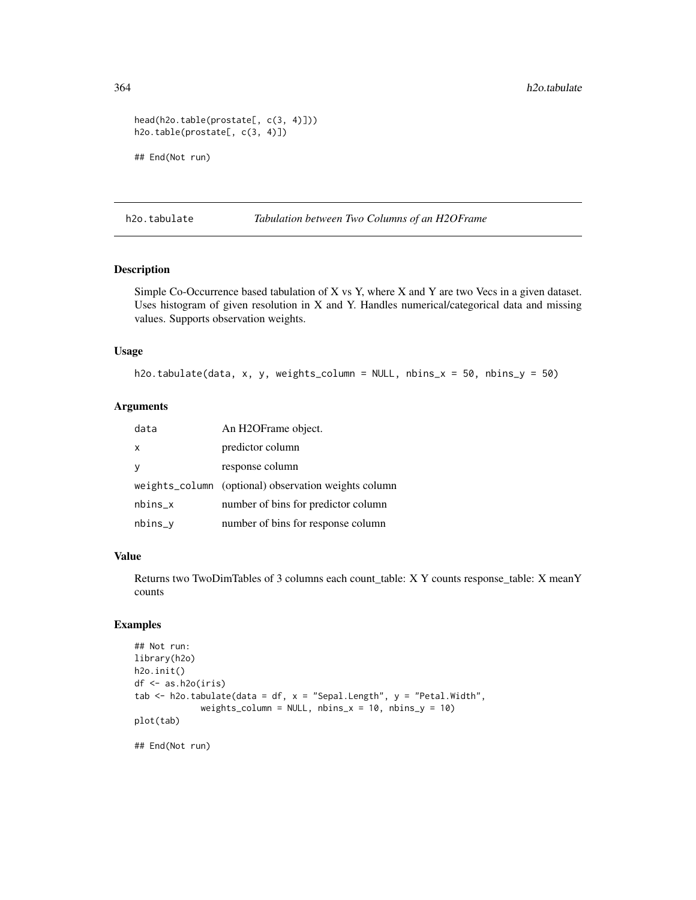```
head(h2o.table(prostate[, c(3, 4)]))
h2o.table(prostate[, c(3, 4)])
## End(Not run)
```
h2o.tabulate *Tabulation between Two Columns of an H2OFrame*

# Description

Simple Co-Occurrence based tabulation of X vs Y, where X and Y are two Vecs in a given dataset. Uses histogram of given resolution in X and Y. Handles numerical/categorical data and missing values. Supports observation weights.

# Usage

h2o.tabulate(data, x, y, weights\_column = NULL, nbins\_x = 50, nbins\_y = 50)

# Arguments

| data      | An H2OFrame object.                                  |
|-----------|------------------------------------------------------|
| X         | predictor column                                     |
| y         | response column                                      |
|           | weights_column (optional) observation weights column |
| $nbins_x$ | number of bins for predictor column                  |
| nbins_y   | number of bins for response column                   |

# Value

Returns two TwoDimTables of 3 columns each count\_table: X Y counts response\_table: X meanY counts

# Examples

```
## Not run:
library(h2o)
h2o.init()
df <- as.h2o(iris)
tab \le h2o.tabulate(data = df, x = "Sepal.Length", y = "Petal.Width",
             weights_column = NULL, nbins_x = 10, nbins_y = 10)
plot(tab)
```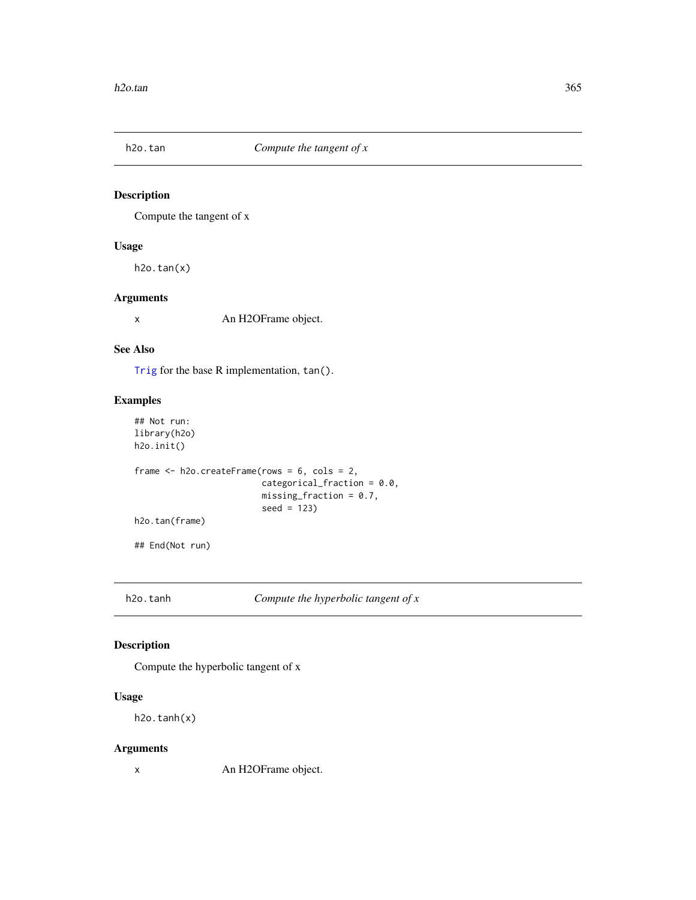# Description

Compute the tangent of x

# Usage

 $h2o.tan(x)$ 

# Arguments

x An H2OFrame object.

# See Also

[Trig](#page-0-0) for the base R implementation, tan().

# Examples

```
## Not run:
library(h2o)
h2o.init()
frame <- h2o.createFrame(rows = 6, cols = 2,
                         categorical_fraction = 0.0,
                         missing_fraction = 0.7,
                         seed = 123)
h2o.tan(frame)
## End(Not run)
```
h2o.tanh *Compute the hyperbolic tangent of x*

# Description

Compute the hyperbolic tangent of x

# Usage

h2o.tanh(x)

# Arguments

x An H2OFrame object.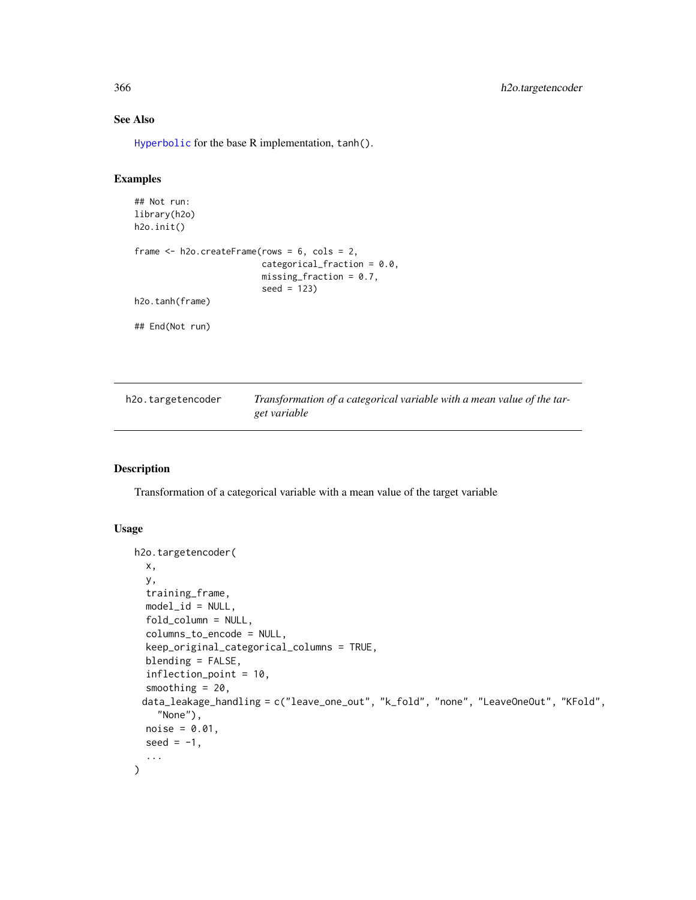# See Also

[Hyperbolic](#page-0-0) for the base R implementation, tanh().

# Examples

```
## Not run:
library(h2o)
h2o.init()
frame <- h2o.createFrame(rows = 6, cols = 2,
                         categorical_fraction = 0.0,
                         missing_fraction = 0.7,
                         seed = 123)
h2o.tanh(frame)
## End(Not run)
```

| h2o.targetencoder | Transformation of a categorical variable with a mean value of the tar- |
|-------------------|------------------------------------------------------------------------|
|                   | get variable                                                           |

# Description

Transformation of a categorical variable with a mean value of the target variable

# Usage

```
h2o.targetencoder(
  x,
  y,
  training_frame,
 model_id = NULL,fold_column = NULL,
  columns_to_encode = NULL,
  keep_original_categorical_columns = TRUE,
  blending = FALSE,
  inflection_point = 10,
  smoothing = 20,
 data_leakage_handling = c("leave_one_out", "k_fold", "none", "LeaveOneOut", "KFold",
    "None"),
 noise = 0.01,
  seed = -1,
  ...
\mathcal{E}
```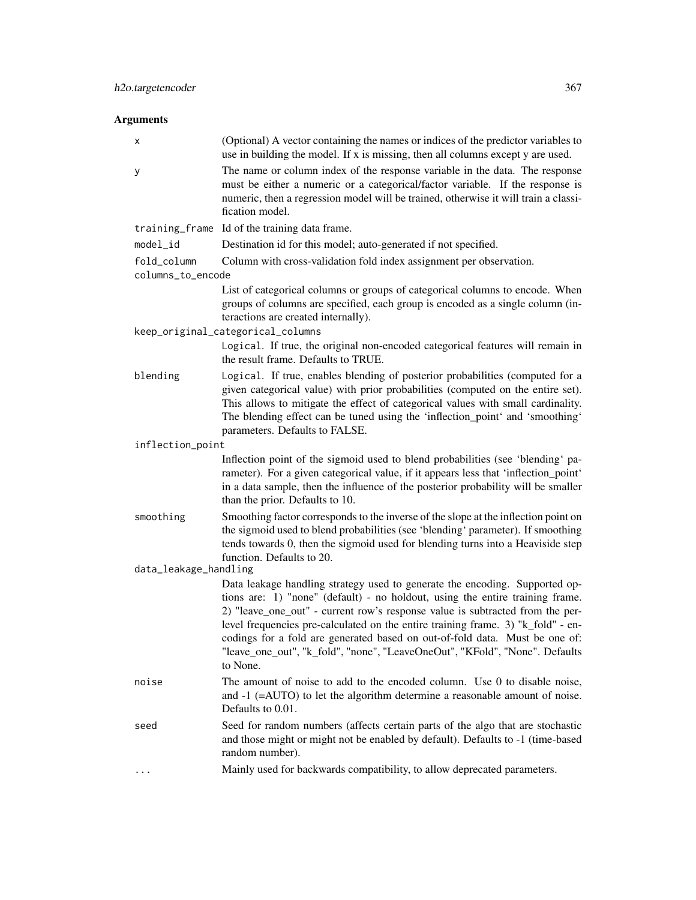# Arguments

| х                     | (Optional) A vector containing the names or indices of the predictor variables to<br>use in building the model. If x is missing, then all columns except y are used.                                                                                                                                                                                                                                                                                                                                        |  |
|-----------------------|-------------------------------------------------------------------------------------------------------------------------------------------------------------------------------------------------------------------------------------------------------------------------------------------------------------------------------------------------------------------------------------------------------------------------------------------------------------------------------------------------------------|--|
| у                     | The name or column index of the response variable in the data. The response<br>must be either a numeric or a categorical/factor variable. If the response is<br>numeric, then a regression model will be trained, otherwise it will train a classi-<br>fication model.                                                                                                                                                                                                                                      |  |
|                       | training_frame Id of the training data frame.                                                                                                                                                                                                                                                                                                                                                                                                                                                               |  |
| model_id              | Destination id for this model; auto-generated if not specified.                                                                                                                                                                                                                                                                                                                                                                                                                                             |  |
| fold_column           | Column with cross-validation fold index assignment per observation.                                                                                                                                                                                                                                                                                                                                                                                                                                         |  |
| columns_to_encode     |                                                                                                                                                                                                                                                                                                                                                                                                                                                                                                             |  |
|                       | List of categorical columns or groups of categorical columns to encode. When<br>groups of columns are specified, each group is encoded as a single column (in-<br>teractions are created internally).                                                                                                                                                                                                                                                                                                       |  |
|                       | keep_original_categorical_columns                                                                                                                                                                                                                                                                                                                                                                                                                                                                           |  |
|                       | Logical. If true, the original non-encoded categorical features will remain in<br>the result frame. Defaults to TRUE.                                                                                                                                                                                                                                                                                                                                                                                       |  |
| blending              | Logical. If true, enables blending of posterior probabilities (computed for a<br>given categorical value) with prior probabilities (computed on the entire set).<br>This allows to mitigate the effect of categorical values with small cardinality.<br>The blending effect can be tuned using the 'inflection_point' and 'smoothing'<br>parameters. Defaults to FALSE.                                                                                                                                     |  |
| inflection_point      |                                                                                                                                                                                                                                                                                                                                                                                                                                                                                                             |  |
|                       | Inflection point of the sigmoid used to blend probabilities (see 'blending' pa-<br>rameter). For a given categorical value, if it appears less that 'inflection_point'<br>in a data sample, then the influence of the posterior probability will be smaller<br>than the prior. Defaults to 10.                                                                                                                                                                                                              |  |
| smoothing             | Smoothing factor corresponds to the inverse of the slope at the inflection point on<br>the sigmoid used to blend probabilities (see 'blending' parameter). If smoothing<br>tends towards 0, then the sigmoid used for blending turns into a Heaviside step<br>function. Defaults to 20.                                                                                                                                                                                                                     |  |
| data_leakage_handling |                                                                                                                                                                                                                                                                                                                                                                                                                                                                                                             |  |
|                       | Data leakage handling strategy used to generate the encoding. Supported op-<br>tions are: 1) "none" (default) - no holdout, using the entire training frame.<br>2) "leave_one_out" - current row's response value is subtracted from the per-<br>level frequencies pre-calculated on the entire training frame. 3) "k_fold" - en-<br>codings for a fold are generated based on out-of-fold data. Must be one of:<br>"leave_one_out", "k_fold", "none", "LeaveOneOut", "KFold", "None". Defaults<br>to None. |  |
| noise                 | The amount of noise to add to the encoded column. Use 0 to disable noise,<br>and $-1$ ( $=$ AUTO) to let the algorithm determine a reasonable amount of noise.<br>Defaults to 0.01.                                                                                                                                                                                                                                                                                                                         |  |
| seed                  | Seed for random numbers (affects certain parts of the algo that are stochastic<br>and those might or might not be enabled by default). Defaults to -1 (time-based<br>random number).                                                                                                                                                                                                                                                                                                                        |  |
| .                     | Mainly used for backwards compatibility, to allow deprecated parameters.                                                                                                                                                                                                                                                                                                                                                                                                                                    |  |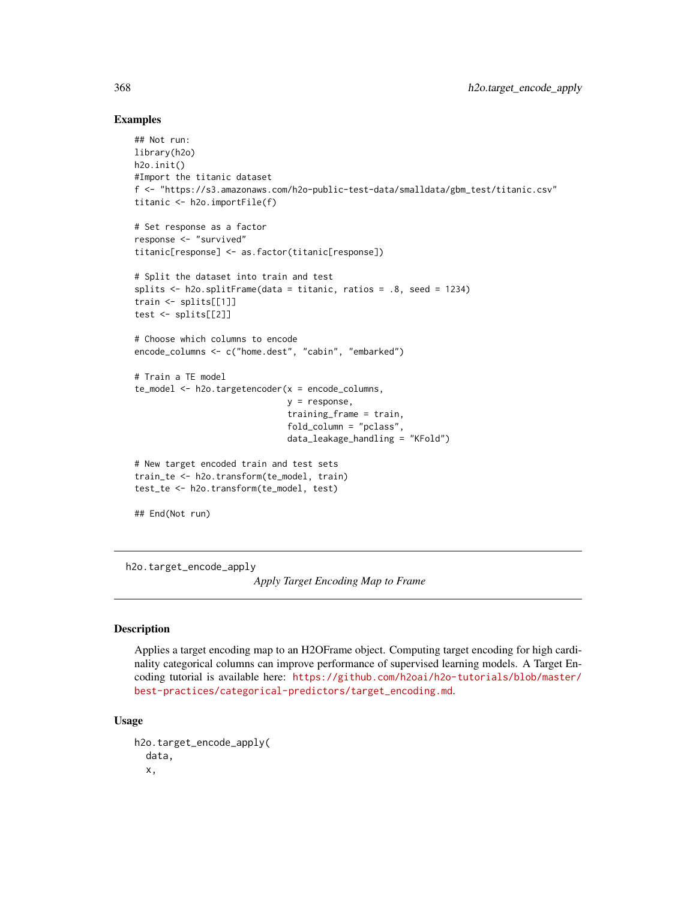# Examples

```
## Not run:
library(h2o)
h2o.init()
#Import the titanic dataset
f <- "https://s3.amazonaws.com/h2o-public-test-data/smalldata/gbm_test/titanic.csv"
titanic <- h2o.importFile(f)
# Set response as a factor
response <- "survived"
titanic[response] <- as.factor(titanic[response])
# Split the dataset into train and test
splits <- h2o.splitFrame(data = titanic, ratios = .8, seed = 1234)
train <- splits[[1]]
test <- splits[[2]]
# Choose which columns to encode
encode_columns <- c("home.dest", "cabin", "embarked")
# Train a TE model
te_model <- h2o.targetencoder(x = encode_columns,
                              y = response,
                              training_frame = train,
                              fold_column = "pclass",
                              data_leakage_handling = "KFold")
# New target encoded train and test sets
train_te <- h2o.transform(te_model, train)
test_te <- h2o.transform(te_model, test)
## End(Not run)
```
<span id="page-367-0"></span>h2o.target\_encode\_apply

*Apply Target Encoding Map to Frame*

### **Description**

Applies a target encoding map to an H2OFrame object. Computing target encoding for high cardinality categorical columns can improve performance of supervised learning models. A Target Encoding tutorial is available here: [https://github.com/h2oai/h2o-tutorials/blob/master/](https://github.com/h2oai/h2o-tutorials/blob/master/best-practices/categorical-predictors/target_encoding.md) [best-practices/categorical-predictors/target\\_encoding.md](https://github.com/h2oai/h2o-tutorials/blob/master/best-practices/categorical-predictors/target_encoding.md).

### Usage

```
h2o.target_encode_apply(
  data,
  x,
```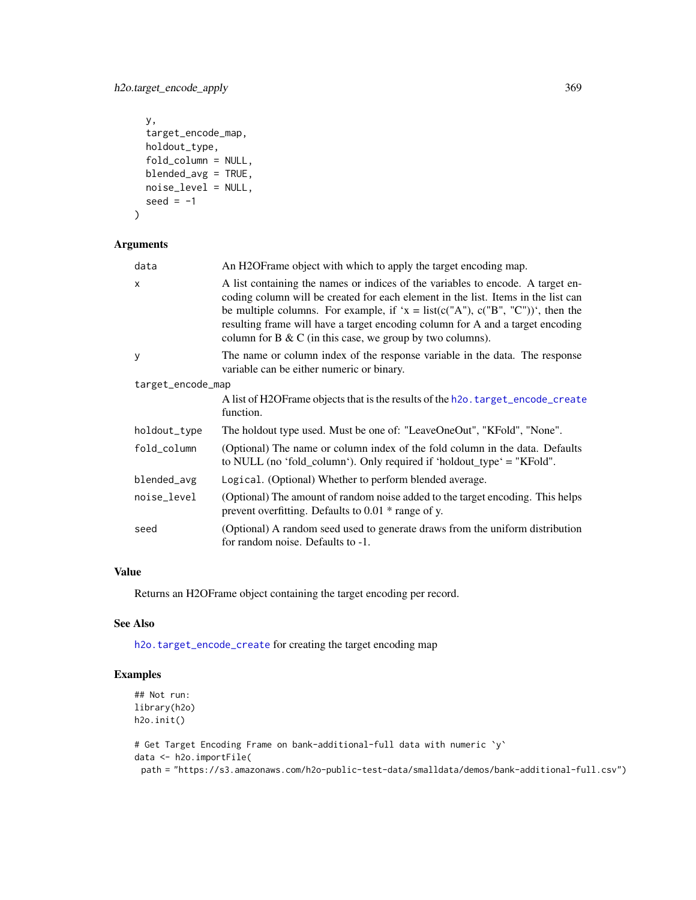h2o.target\_encode\_apply 369

```
y,
  target_encode_map,
 holdout_type,
 fold_column = NULL,
 blended_avg = TRUE,
 noise_level = NULL,
  seed = -1\mathcal{L}
```
# Arguments

| data              | An H2OF rame object with which to apply the target encoding map.                                                                                                                                                                                                                                                                                                                                                    |  |
|-------------------|---------------------------------------------------------------------------------------------------------------------------------------------------------------------------------------------------------------------------------------------------------------------------------------------------------------------------------------------------------------------------------------------------------------------|--|
| X                 | A list containing the names or indices of the variables to encode. A target en-<br>coding column will be created for each element in the list. Items in the list can<br>be multiple columns. For example, if ' $x = \text{list}(c("A"), c("B", "C"))'$ , then the<br>resulting frame will have a target encoding column for A and a target encoding<br>column for $B \& C$ (in this case, we group by two columns). |  |
| У                 | The name or column index of the response variable in the data. The response<br>variable can be either numeric or binary.                                                                                                                                                                                                                                                                                            |  |
| target_encode_map |                                                                                                                                                                                                                                                                                                                                                                                                                     |  |
|                   | A list of H2OF rame objects that is the results of the h2o. target_encode_create<br>function.                                                                                                                                                                                                                                                                                                                       |  |
| holdout_type      | The holdout type used. Must be one of: "LeaveOneOut", "KFold", "None".                                                                                                                                                                                                                                                                                                                                              |  |
| fold_column       | (Optional) The name or column index of the fold column in the data. Defaults<br>to NULL (no 'fold_column'). Only required if 'holdout_type' = "KFold".                                                                                                                                                                                                                                                              |  |
| blended_avg       | Logical. (Optional) Whether to perform blended average.                                                                                                                                                                                                                                                                                                                                                             |  |
| noise_level       | (Optional) The amount of random noise added to the target encoding. This helps<br>prevent overfitting. Defaults to $0.01 *$ range of y.                                                                                                                                                                                                                                                                             |  |
| seed              | (Optional) A random seed used to generate draws from the uniform distribution<br>for random noise. Defaults to -1.                                                                                                                                                                                                                                                                                                  |  |

# Value

Returns an H2OFrame object containing the target encoding per record.

### See Also

[h2o.target\\_encode\\_create](#page-369-0) for creating the target encoding map

# Examples

```
## Not run:
library(h2o)
h2o.init()
```

```
# Get Target Encoding Frame on bank-additional-full data with numeric `y`
data <- h2o.importFile(
 path = "https://s3.amazonaws.com/h2o-public-test-data/smalldata/demos/bank-additional-full.csv")
```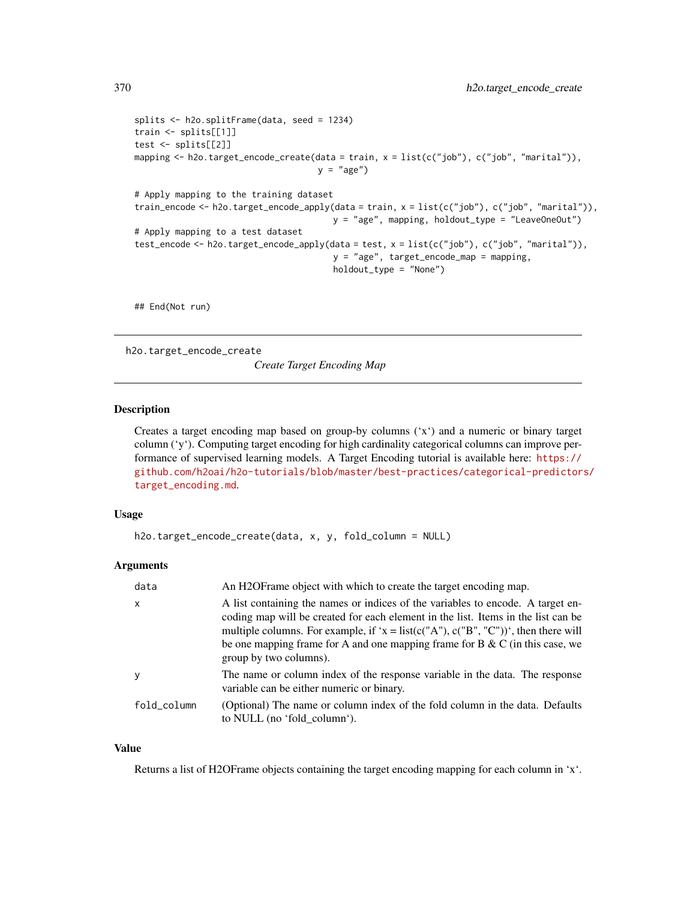```
splits <- h2o.splitFrame(data, seed = 1234)
train <- splits[[1]]
test <- splits[[2]]
mapping <- h2o.target_encode_create(data = train, x = list(c("job"), c("job", "marital")),
                                    y = "age")# Apply mapping to the training dataset
train_encode <- h2o.target_encode_apply(data = train, x = list(c("job"), c("job", "marital")),
                                       y = "age", mapping, holdout_type = "LeaveOneOut")
# Apply mapping to a test dataset
test_encode <- h2o.target_encode_apply(data = test, x = list(c("job"), c("job", "marital")),
                                       y = "age", target_encode_map = mapping,
                                       holdout_type = "None")
```
## End(Not run)

<span id="page-369-0"></span>h2o.target\_encode\_create

*Create Target Encoding Map*

### Description

Creates a target encoding map based on group-by columns ('x') and a numeric or binary target column ('y'). Computing target encoding for high cardinality categorical columns can improve performance of supervised learning models. A Target Encoding tutorial is available here: [https://](https://github.com/h2oai/h2o-tutorials/blob/master/best-practices/categorical-predictors/target_encoding.md) [github.com/h2oai/h2o-tutorials/blob/master/best-practices/categorical-predictor](https://github.com/h2oai/h2o-tutorials/blob/master/best-practices/categorical-predictors/target_encoding.md)s/ [target\\_encoding.md](https://github.com/h2oai/h2o-tutorials/blob/master/best-practices/categorical-predictors/target_encoding.md).

# Usage

```
h2o.target_encode_create(data, x, y, fold_column = NULL)
```
### Arguments

| data         | An H2OF rame object with which to create the target encoding map.                                                                                                                                                                                                                                                                                                       |
|--------------|-------------------------------------------------------------------------------------------------------------------------------------------------------------------------------------------------------------------------------------------------------------------------------------------------------------------------------------------------------------------------|
| $\mathsf{x}$ | A list containing the names or indices of the variables to encode. A target en-<br>coding map will be created for each element in the list. Items in the list can be<br>multiple columns. For example, if 'x = list(c("A"), c("B", "C"))', then there will<br>be one mapping frame for A and one mapping frame for B $\&$ C (in this case, we<br>group by two columns). |
| y            | The name or column index of the response variable in the data. The response<br>variable can be either numeric or binary.                                                                                                                                                                                                                                                |
| fold_column  | (Optional) The name or column index of the fold column in the data. Defaults<br>to NULL (no 'fold column').                                                                                                                                                                                                                                                             |

### Value

Returns a list of H2OFrame objects containing the target encoding mapping for each column in 'x'.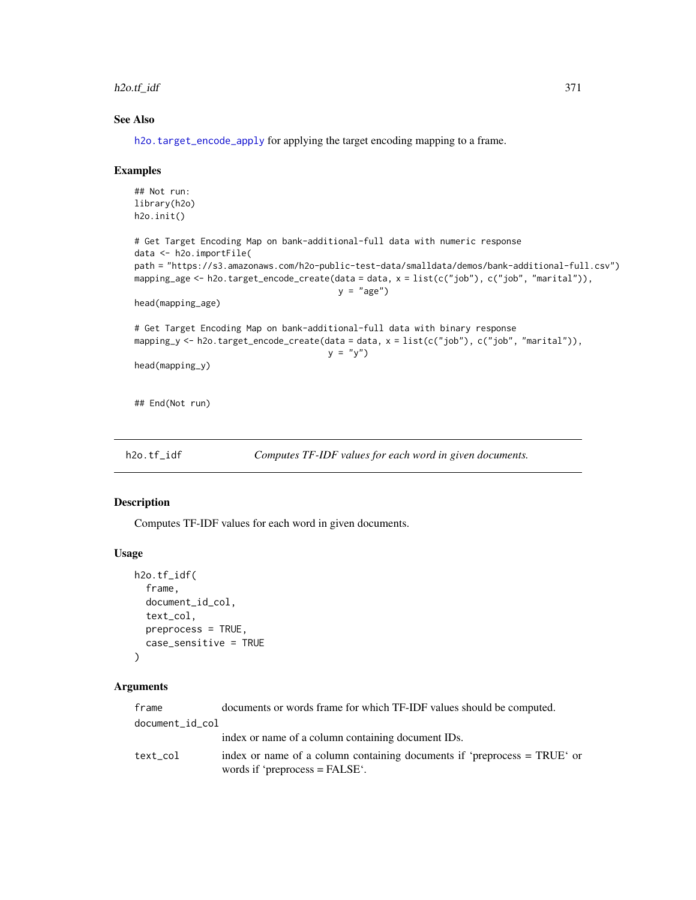### h2o.tf\_idf 371

# See Also

[h2o.target\\_encode\\_apply](#page-367-0) for applying the target encoding mapping to a frame.

### Examples

```
## Not run:
library(h2o)
h2o.init()
# Get Target Encoding Map on bank-additional-full data with numeric response
data <- h2o.importFile(
path = "https://s3.amazonaws.com/h2o-public-test-data/smalldata/demos/bank-additional-full.csv")
mapping_age <- h2o.target_encode_create(data = data, x = list(c("job"), c("job", "marital")),
                                        y = "age")head(mapping_age)
# Get Target Encoding Map on bank-additional-full data with binary response
mapping_y <- h2o.target_encode_create(data = data, x = list(c("job"), c("job", "marital")),
                                      y = "y")head(mapping_y)
## End(Not run)
```
h2o.tf\_idf *Computes TF-IDF values for each word in given documents.*

### Description

Computes TF-IDF values for each word in given documents.

### Usage

```
h2o.tf_idf(
  frame,
  document_id_col,
  text_col,
  preprocess = TRUE,
  case_sensitive = TRUE
)
```
# Arguments

| frame           | documents or words frame for which TF-IDF values should be computed.                                         |
|-----------------|--------------------------------------------------------------------------------------------------------------|
| document_id_col |                                                                                                              |
|                 | index or name of a column containing document IDs.                                                           |
| text col        | index or name of a column containing documents if 'preprocess = TRUE' or<br>words if 'preprocess $=$ FALSE'. |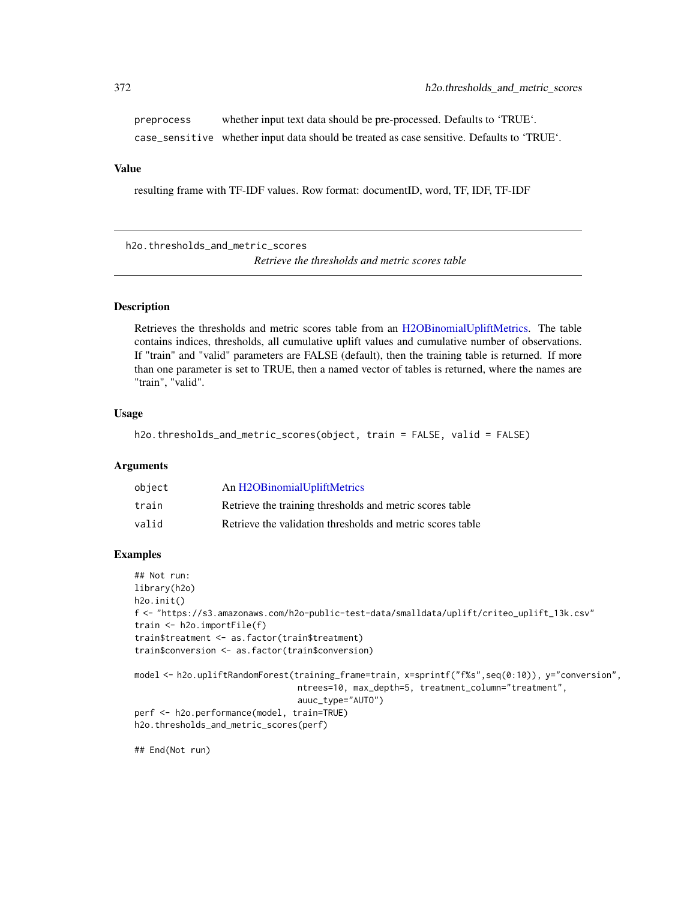preprocess whether input text data should be pre-processed. Defaults to 'TRUE'. case\_sensitive whether input data should be treated as case sensitive. Defaults to 'TRUE'.

# Value

resulting frame with TF-IDF values. Row format: documentID, word, TF, IDF, TF-IDF

h2o.thresholds\_and\_metric\_scores *Retrieve the thresholds and metric scores table*

# **Description**

Retrieves the thresholds and metric scores table from an [H2OBinomialUpliftMetrics.](#page-416-0) The table contains indices, thresholds, all cumulative uplift values and cumulative number of observations. If "train" and "valid" parameters are FALSE (default), then the training table is returned. If more than one parameter is set to TRUE, then a named vector of tables is returned, where the names are "train", "valid".

# Usage

```
h2o.thresholds_and_metric_scores(object, train = FALSE, valid = FALSE)
```
# Arguments

| object | An H2OBinomialUpliftMetrics                                |
|--------|------------------------------------------------------------|
| train  | Retrieve the training thresholds and metric scores table   |
| valid  | Retrieve the validation thresholds and metric scores table |

### Examples

```
## Not run:
library(h2o)
h2o.init()
f <- "https://s3.amazonaws.com/h2o-public-test-data/smalldata/uplift/criteo_uplift_13k.csv"
train <- h2o.importFile(f)
train$treatment <- as.factor(train$treatment)
train$conversion <- as.factor(train$conversion)
model <- h2o.upliftRandomForest(training_frame=train, x=sprintf("f%s",seq(0:10)), y="conversion",
                                ntrees=10, max_depth=5, treatment_column="treatment",
                                auuc_type="AUTO")
perf <- h2o.performance(model, train=TRUE)
h2o.thresholds_and_metric_scores(perf)
```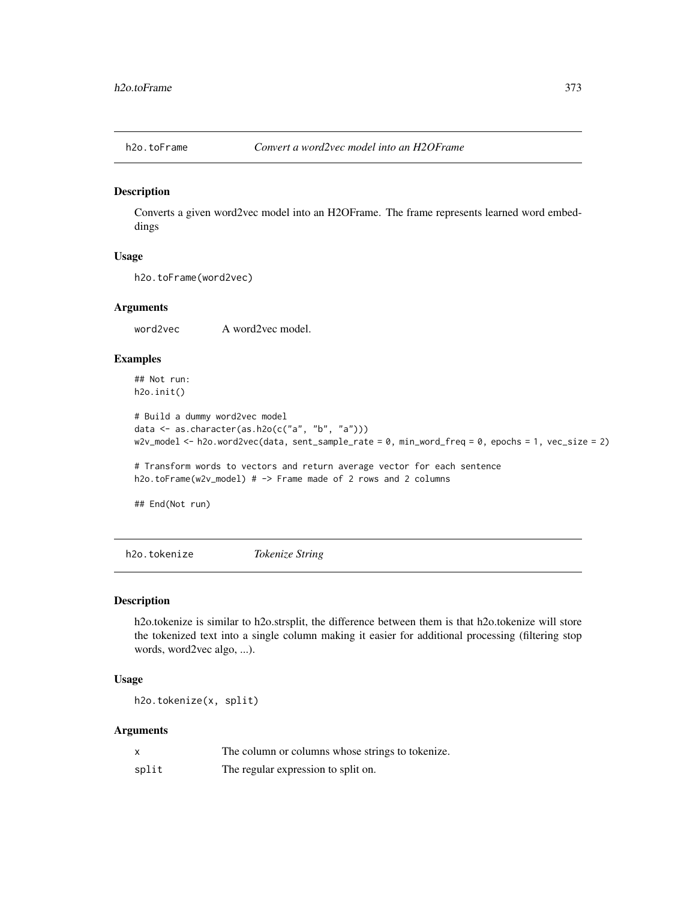### Description

Converts a given word2vec model into an H2OFrame. The frame represents learned word embeddings

# Usage

```
h2o.toFrame(word2vec)
```
### Arguments

word2vec A word2vec model.

# Examples

## Not run: h2o.init()

```
# Build a dummy word2vec model
data \leq as.character(as.h2o(c("a", "b", "a")))
w2v_model <- h2o.word2vec(data, sent_sample_rate = 0, min_word_freq = 0, epochs = 1, vec_size = 2)
```
# Transform words to vectors and return average vector for each sentence h2o.toFrame(w2v\_model) # -> Frame made of 2 rows and 2 columns

## End(Not run)

h2o.tokenize *Tokenize String*

# Description

h2o.tokenize is similar to h2o.strsplit, the difference between them is that h2o.tokenize will store the tokenized text into a single column making it easier for additional processing (filtering stop words, word2vec algo, ...).

# Usage

h2o.tokenize(x, split)

# Arguments

|       | The column or columns whose strings to tokenize. |
|-------|--------------------------------------------------|
| split | The regular expression to split on.              |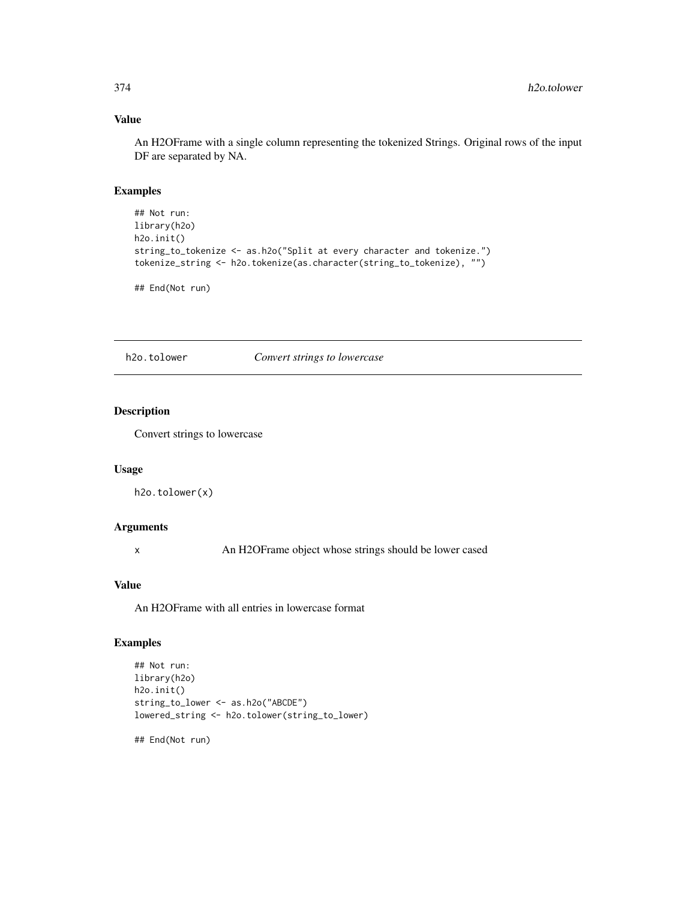# Value

An H2OFrame with a single column representing the tokenized Strings. Original rows of the input DF are separated by NA.

# Examples

```
## Not run:
library(h2o)
h2o.init()
string_to_tokenize <- as.h2o("Split at every character and tokenize.")
tokenize_string <- h2o.tokenize(as.character(string_to_tokenize), "")
```
## End(Not run)

h2o.tolower *Convert strings to lowercase*

# Description

Convert strings to lowercase

# Usage

h2o.tolower(x)

### Arguments

x An H2OFrame object whose strings should be lower cased

# Value

An H2OFrame with all entries in lowercase format

# Examples

```
## Not run:
library(h2o)
h2o.init()
string_to_lower <- as.h2o("ABCDE")
lowered_string <- h2o.tolower(string_to_lower)
```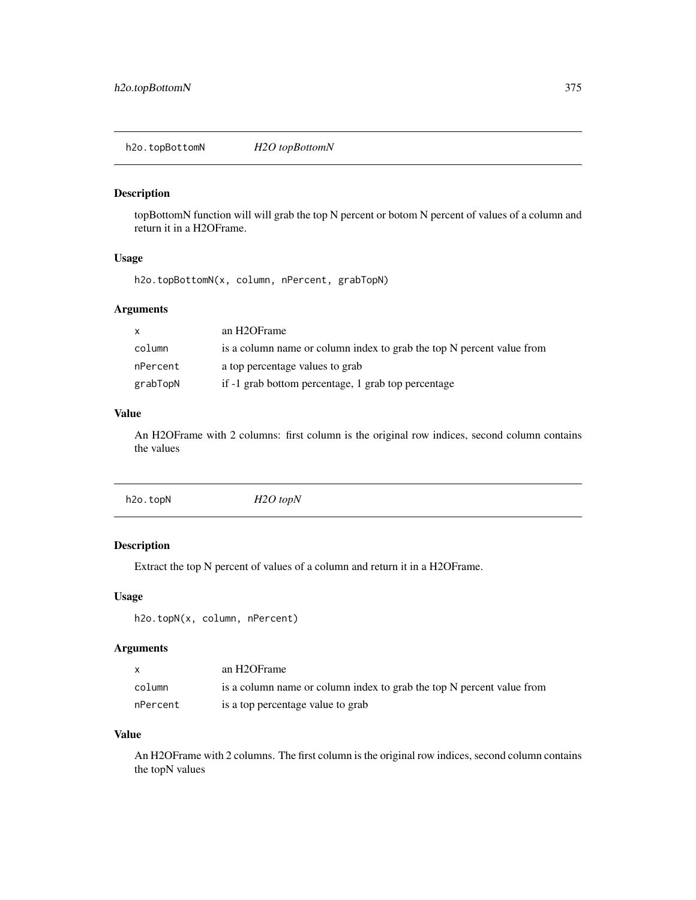h2o.topBottomN *H2O topBottomN*

# Description

topBottomN function will will grab the top N percent or botom N percent of values of a column and return it in a H2OFrame.

# Usage

h2o.topBottomN(x, column, nPercent, grabTopN)

# Arguments

| $\mathsf{x}$ | an H2OFrame                                                           |
|--------------|-----------------------------------------------------------------------|
| column       | is a column name or column index to grab the top N percent value from |
| nPercent     | a top percentage values to grab                                       |
| grabTopN     | if -1 grab bottom percentage, 1 grab top percentage                   |

# Value

An H2OFrame with 2 columns: first column is the original row indices, second column contains the values

|--|

# Description

Extract the top N percent of values of a column and return it in a H2OFrame.

### Usage

h2o.topN(x, column, nPercent)

# Arguments

|          | an H2OFrame                                                           |
|----------|-----------------------------------------------------------------------|
| column   | is a column name or column index to grab the top N percent value from |
| nPercent | is a top percentage value to grab                                     |

### Value

An H2OFrame with 2 columns. The first column is the original row indices, second column contains the topN values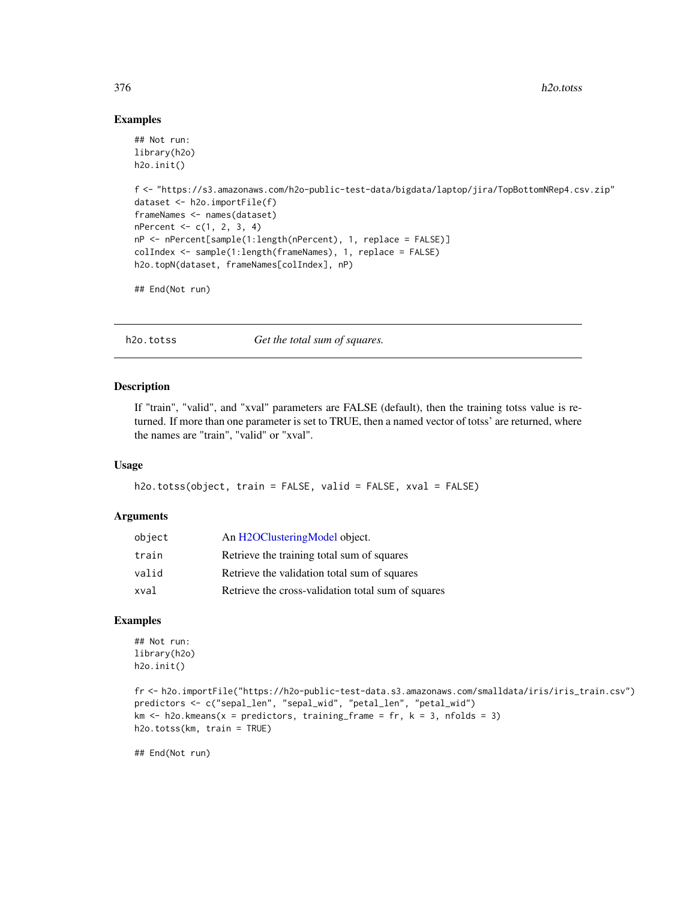### Examples

```
## Not run:
library(h2o)
h2o.init()
f <- "https://s3.amazonaws.com/h2o-public-test-data/bigdata/laptop/jira/TopBottomNRep4.csv.zip"
dataset <- h2o.importFile(f)
frameNames <- names(dataset)
nPercent < -c(1, 2, 3, 4)nP <- nPercent[sample(1:length(nPercent), 1, replace = FALSE)]
colIndex <- sample(1:length(frameNames), 1, replace = FALSE)
h2o.topN(dataset, frameNames[colIndex], nP)
## End(Not run)
```
h2o.totss *Get the total sum of squares.*

### Description

If "train", "valid", and "xval" parameters are FALSE (default), then the training totss value is returned. If more than one parameter is set to TRUE, then a named vector of totss' are returned, where the names are "train", "valid" or "xval".

### Usage

```
h2o.totss(object, train = FALSE, valid = FALSE, xval = FALSE)
```
### Arguments

| object | An H2OClusteringModel object.                      |
|--------|----------------------------------------------------|
| train  | Retrieve the training total sum of squares         |
| valid  | Retrieve the validation total sum of squares       |
| xval   | Retrieve the cross-validation total sum of squares |

### Examples

```
## Not run:
library(h2o)
h2o.init()
```

```
fr <- h2o.importFile("https://h2o-public-test-data.s3.amazonaws.com/smalldata/iris/iris_train.csv")
predictors <- c("sepal_len", "sepal_wid", "petal_len", "petal_wid")
km \le h2o.kmeans(x = predictors, training_frame = fr, k = 3, nfolds = 3)
h2o.totss(km, train = TRUE)
```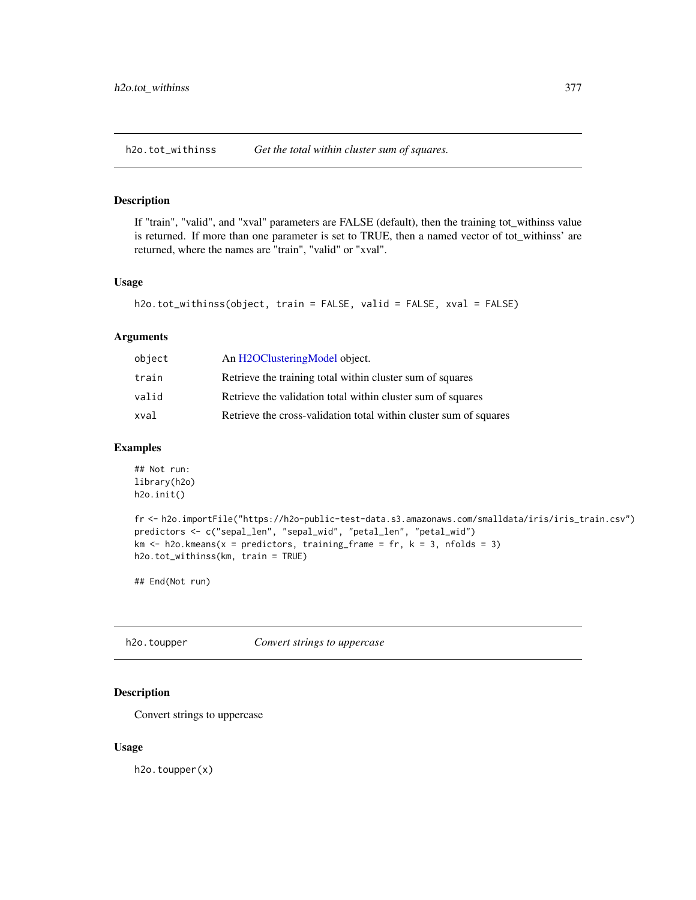h2o.tot\_withinss *Get the total within cluster sum of squares.*

# Description

If "train", "valid", and "xval" parameters are FALSE (default), then the training tot\_withinss value is returned. If more than one parameter is set to TRUE, then a named vector of tot\_withinss' are returned, where the names are "train", "valid" or "xval".

### Usage

```
h2o.tot_withinss(object, train = FALSE, valid = FALSE, xval = FALSE)
```
# Arguments

| object | An H2OClusteringModel object.                                     |
|--------|-------------------------------------------------------------------|
| train  | Retrieve the training total within cluster sum of squares         |
| valid  | Retrieve the validation total within cluster sum of squares       |
| xval   | Retrieve the cross-validation total within cluster sum of squares |

# Examples

```
## Not run:
library(h2o)
h2o.init()
```

```
fr <- h2o.importFile("https://h2o-public-test-data.s3.amazonaws.com/smalldata/iris/iris_train.csv")
predictors <- c("sepal_len", "sepal_wid", "petal_len", "petal_wid")
km \leq -h2o.kmeans(x = predictors, training_frame = fr, k = 3, nfolds = 3)
h2o.tot_withinss(km, train = TRUE)
```
## End(Not run)

h2o.toupper *Convert strings to uppercase*

# Description

Convert strings to uppercase

### Usage

h2o.toupper(x)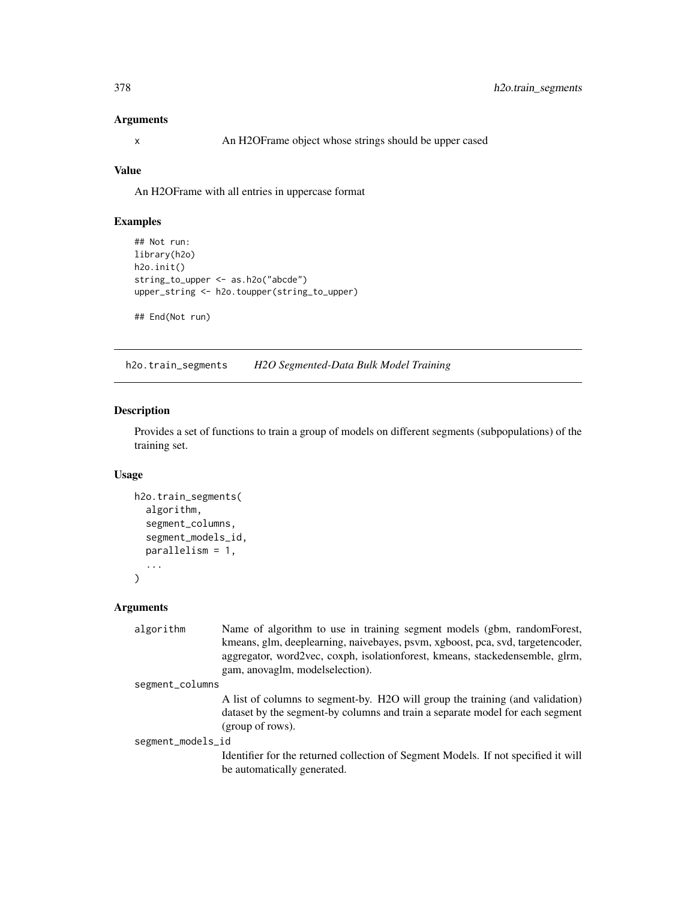# Arguments

x An H2OFrame object whose strings should be upper cased

# Value

An H2OFrame with all entries in uppercase format

# Examples

```
## Not run:
library(h2o)
h2o.init()
string_to_upper <- as.h2o("abcde")
upper_string <- h2o.toupper(string_to_upper)
```
## End(Not run)

h2o.train\_segments *H2O Segmented-Data Bulk Model Training*

### Description

Provides a set of functions to train a group of models on different segments (subpopulations) of the training set.

# Usage

```
h2o.train_segments(
  algorithm,
  segment_columns,
  segment_models_id,
  parallelism = 1,
  ...
\mathcal{L}
```
# Arguments

| algorithm         | Name of algorithm to use in training segment models (gbm, randomForest,            |  |
|-------------------|------------------------------------------------------------------------------------|--|
|                   | kmeans, glm, deeplearning, naivebayes, psvm, xgboost, pca, svd, targetencoder,     |  |
|                   | aggregator, word2vec, coxph, isolationforest, kmeans, stackedensemble, glrm,       |  |
|                   | gam, anovaglm, models election).                                                   |  |
| segment_columns   |                                                                                    |  |
|                   | A list of columns to segment-by. H2O will group the training (and validation)      |  |
|                   | dataset by the segment-by columns and train a separate model for each segment      |  |
|                   | (group of rows).                                                                   |  |
| segment_models_id |                                                                                    |  |
|                   | Identifier for the returned collection of Segment Models. If not specified it will |  |
|                   | be automatically generated.                                                        |  |
|                   |                                                                                    |  |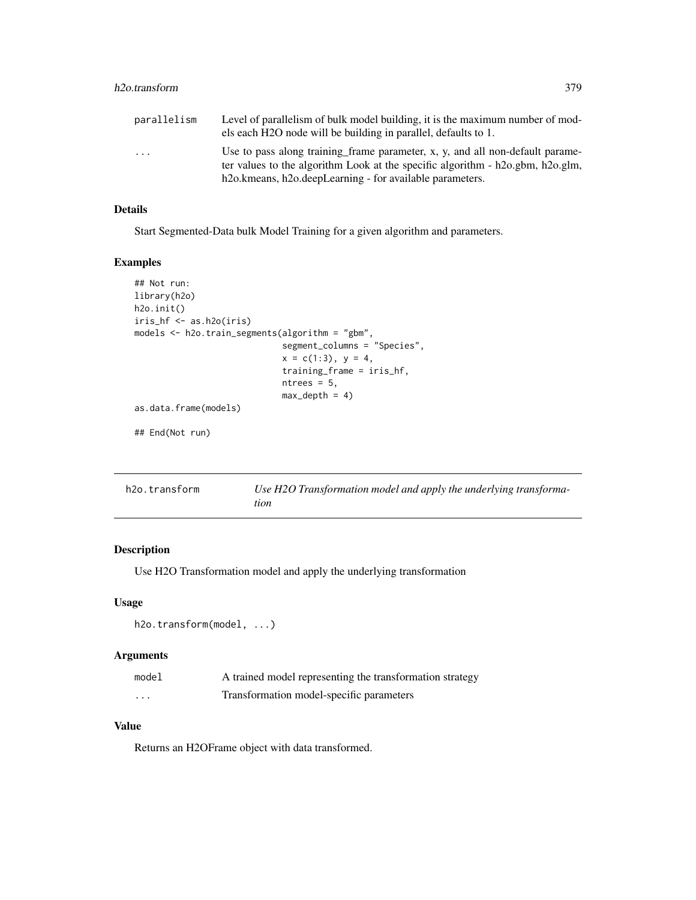# h2o.transform 379

| parallelism             | Level of parallelism of bulk model building, it is the maximum number of mod-      |
|-------------------------|------------------------------------------------------------------------------------|
|                         | els each H2O node will be building in parallel, defaults to 1.                     |
| $\cdot$ $\cdot$ $\cdot$ | Use to pass along training frame parameter, x, y, and all non-default parame-      |
|                         | ter values to the algorithm Look at the specific algorithm - h2o.gbm, h2o.glm,     |
|                         | h <sub>2</sub> o.kmeans, h <sub>2</sub> o.deepLearning - for available parameters. |

### Details

Start Segmented-Data bulk Model Training for a given algorithm and parameters.

# Examples

```
## Not run:
library(h2o)
h2o.init()
iris_hf <- as.h2o(iris)
models <- h2o.train_segments(algorithm = "gbm",
                             segment_columns = "Species",
                             x = c(1:3), y = 4,
                             training_frame = iris_hf,
                             ntrees = 5,
                             max\_depth = 4)
as.data.frame(models)
## End(Not run)
```

| h2o.transform | Use H2O Transformation model and apply the underlying transforma- |
|---------------|-------------------------------------------------------------------|
|               | tion                                                              |

# Description

Use H2O Transformation model and apply the underlying transformation

# Usage

```
h2o.transform(model, ...)
```
# Arguments

| model | A trained model representing the transformation strategy |
|-------|----------------------------------------------------------|
| .     | Transformation model-specific parameters                 |

# Value

Returns an H2OFrame object with data transformed.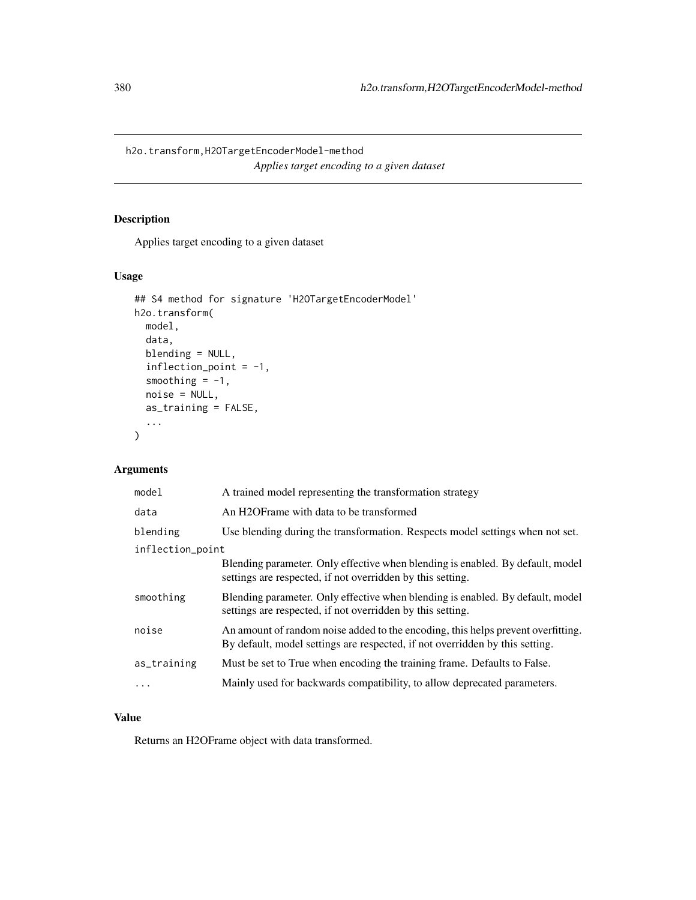h2o.transform,H2OTargetEncoderModel-method *Applies target encoding to a given dataset*

# Description

Applies target encoding to a given dataset

# Usage

```
## S4 method for signature 'H2OTargetEncoderModel'
h2o.transform(
  model,
  data,
  blending = NULL,
  inflection_point = -1,
  smoothing = -1,
  noise = NULL,
  as_training = FALSE,
  ...
)
```
# Arguments

| model            | A trained model representing the transformation strategy                                                                                                         |
|------------------|------------------------------------------------------------------------------------------------------------------------------------------------------------------|
| data             | An H2OFrame with data to be transformed                                                                                                                          |
| blending         | Use blending during the transformation. Respects model settings when not set.                                                                                    |
| inflection_point |                                                                                                                                                                  |
|                  | Blending parameter. Only effective when blending is enabled. By default, model<br>settings are respected, if not overridden by this setting.                     |
| smoothing        | Blending parameter. Only effective when blending is enabled. By default, model<br>settings are respected, if not overridden by this setting.                     |
| noise            | An amount of random noise added to the encoding, this helps prevent overfitting.<br>By default, model settings are respected, if not overridden by this setting. |
| as_training      | Must be set to True when encoding the training frame. Defaults to False.                                                                                         |
|                  | Mainly used for backwards compatibility, to allow deprecated parameters.                                                                                         |

# Value

Returns an H2OFrame object with data transformed.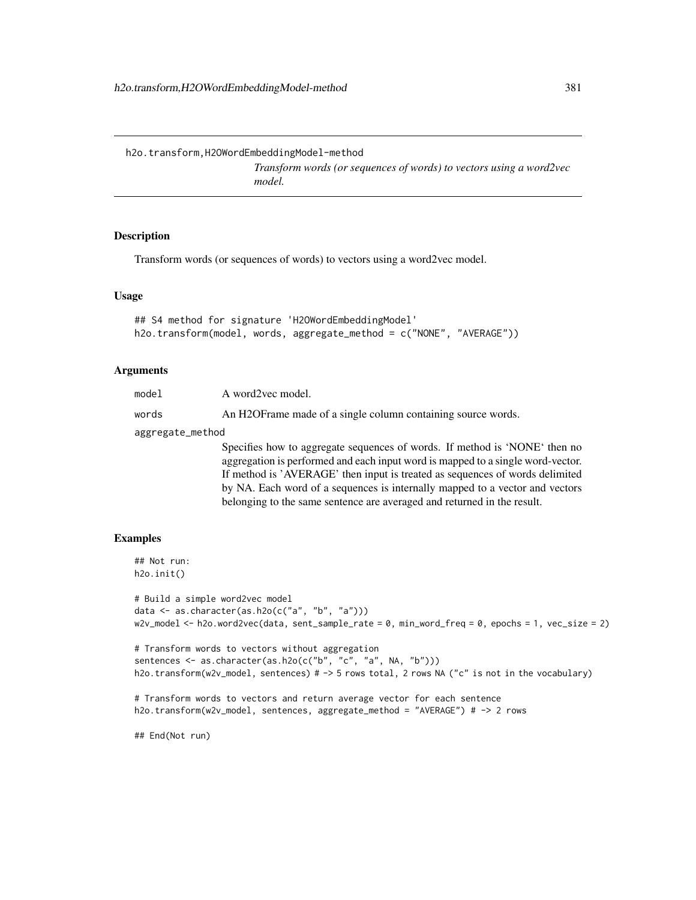*Transform words (or sequences of words) to vectors using a word2vec model.*

# Description

Transform words (or sequences of words) to vectors using a word2vec model.

### Usage

```
## S4 method for signature 'H2OWordEmbeddingModel'
h2o.transform(model, words, aggregate_method = c("NONE", "AVERAGE"))
```
# Arguments

| model            | A word2yec model.                                                                                                                                                                                                                             |  |
|------------------|-----------------------------------------------------------------------------------------------------------------------------------------------------------------------------------------------------------------------------------------------|--|
| words            | An H2OF rame made of a single column containing source words.                                                                                                                                                                                 |  |
| aggregate_method |                                                                                                                                                                                                                                               |  |
|                  | Specifies how to aggregate sequences of words. If method is 'NONE' then no<br>aggregation is performed and each input word is mapped to a single word-vector.<br>If method is 'AVERAGE' then input is treated as sequences of words delimited |  |
|                  | by NA. Each word of a sequences is internally mapped to a vector and vectors                                                                                                                                                                  |  |
|                  | belonging to the same sentence are averaged and returned in the result.                                                                                                                                                                       |  |

# Examples

```
## Not run:
h2o.init()
```

```
# Build a simple word2vec model
data <- as.character(as.h2o(c("a", "b", "a")))
w2v_model <- h2o.word2vec(data, sent_sample_rate = 0, min_word_freq = 0, epochs = 1, vec_size = 2)
```

```
# Transform words to vectors without aggregation
sentences <- as.character(as.h2o(c("b", "c", "a", NA, "b")))
h2o.transform(w2v_model, sentences) # -> 5 rows total, 2 rows NA ("c" is not in the vocabulary)
```

```
# Transform words to vectors and return average vector for each sentence
h2o.transform(w2v_model, sentences, aggregate_method = "AVERAGE") # -> 2 rows
```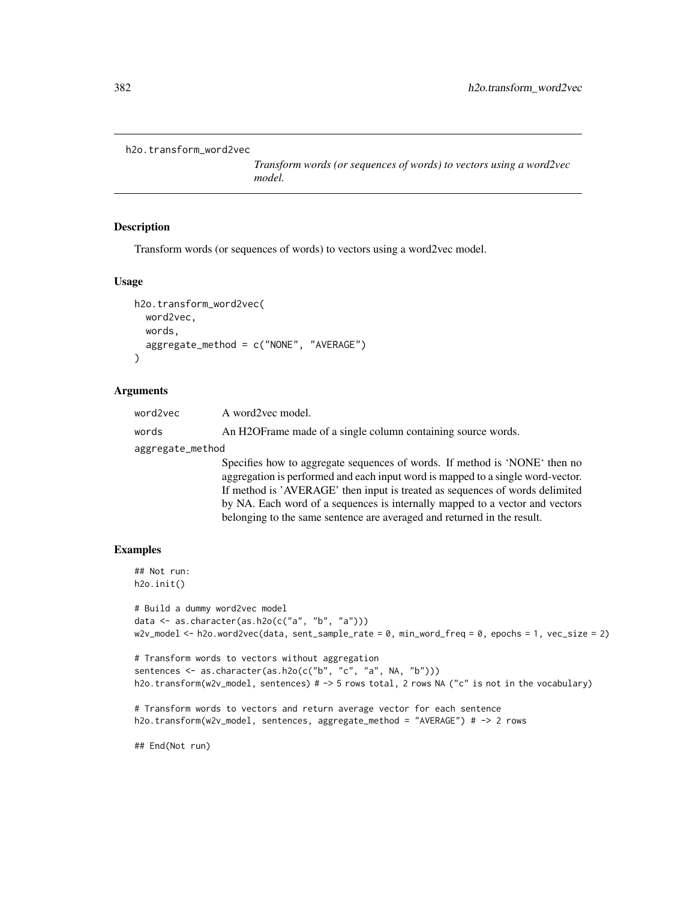```
h2o.transform_word2vec
```
*Transform words (or sequences of words) to vectors using a word2vec model.*

# Description

Transform words (or sequences of words) to vectors using a word2vec model.

### Usage

```
h2o.transform_word2vec(
  word2vec,
  words,
  aggregate_method = c("NONE", "AVERAGE")
\mathcal{L}
```
### Arguments

| word2vec         | A word2vec model.                                                                                                                                                                                                                                                                                                                                                                                        |  |
|------------------|----------------------------------------------------------------------------------------------------------------------------------------------------------------------------------------------------------------------------------------------------------------------------------------------------------------------------------------------------------------------------------------------------------|--|
| words            | An H2OF rame made of a single column containing source words.                                                                                                                                                                                                                                                                                                                                            |  |
| aggregate_method |                                                                                                                                                                                                                                                                                                                                                                                                          |  |
|                  | Specifies how to aggregate sequences of words. If method is 'NONE' then no<br>aggregation is performed and each input word is mapped to a single word-vector.<br>If method is 'AVERAGE' then input is treated as sequences of words delimited<br>by NA. Each word of a sequences is internally mapped to a vector and vectors<br>belonging to the same sentence are averaged and returned in the result. |  |

# Examples

```
## Not run:
h2o.init()
```

```
# Build a dummy word2vec model
data <- as.character(as.h2o(c("a", "b", "a")))
w2v_model <- h2o.word2vec(data, sent_sample_rate = \theta, min_word_freq = \theta, epochs = 1, vec_size = 2)
```

```
# Transform words to vectors without aggregation
sentences <- as.character(as.h2o(c("b", "c", "a", NA, "b")))
h2o.transform(w2v_model, sentences) # -> 5 rows total, 2 rows NA ("c" is not in the vocabulary)
```

```
# Transform words to vectors and return average vector for each sentence
h2o.transform(w2v_model, sentences, aggregate_method = "AVERAGE") # -> 2 rows
```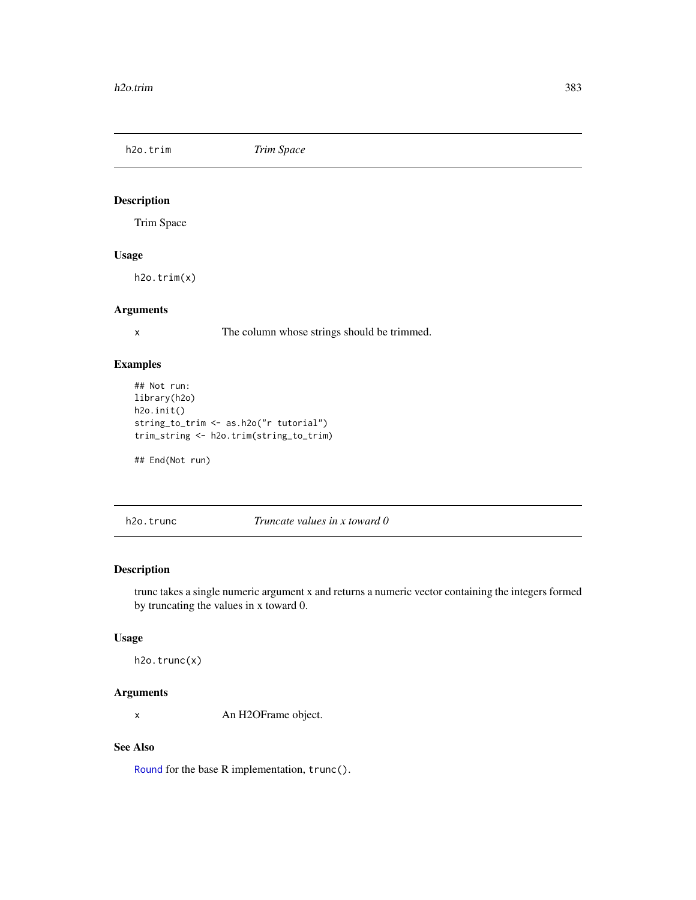h2o.trim *Trim Space*

# Description

Trim Space

# Usage

h2o.trim(x)

# Arguments

x The column whose strings should be trimmed.

# Examples

```
## Not run:
library(h2o)
h2o.init()
string_to_trim <- as.h2o("r tutorial")
trim_string <- h2o.trim(string_to_trim)
```
## End(Not run)

h2o.trunc *Truncate values in x toward 0*

# Description

trunc takes a single numeric argument x and returns a numeric vector containing the integers formed by truncating the values in x toward 0.

# Usage

h2o.trunc(x)

# Arguments

x An H2OFrame object.

# See Also

[Round](#page-0-0) for the base R implementation, trunc().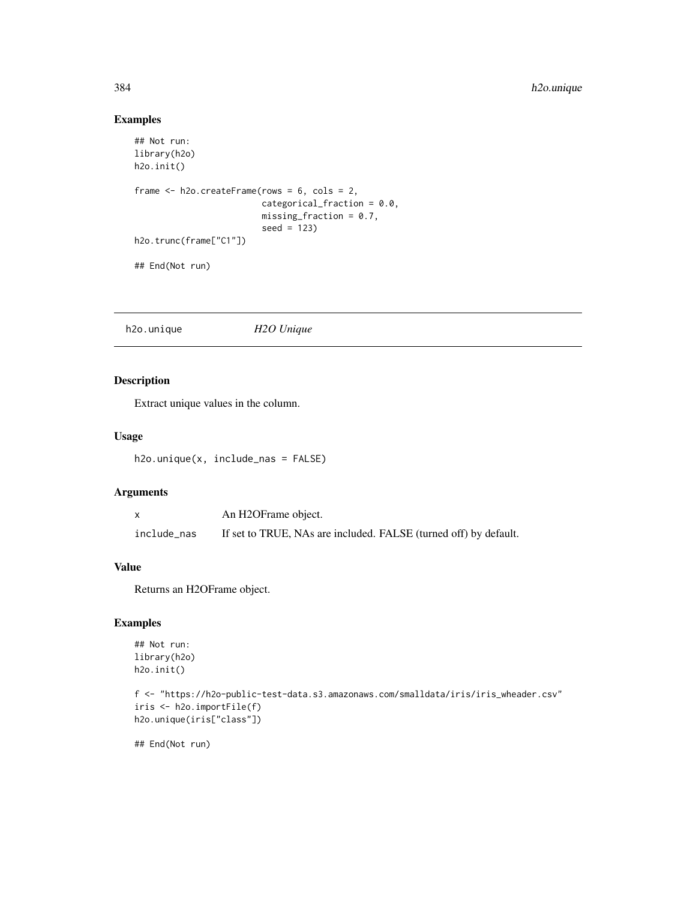# Examples

```
## Not run:
library(h2o)
h2o.init()
frame <- h2o.createFrame(rows = 6, cols = 2,
                         categorical_fraction = 0.0,
                         missing_fraction = 0.7,
                         seed = 123)
h2o.trunc(frame["C1"])
## End(Not run)
```
h2o.unique *H2O Unique*

# Description

Extract unique values in the column.

# Usage

h2o.unique(x, include\_nas = FALSE)

# Arguments

|             | An H2OFrame object.                                              |
|-------------|------------------------------------------------------------------|
| include_nas | If set to TRUE, NAs are included. FALSE (turned off) by default. |

# Value

Returns an H2OFrame object.

# Examples

```
## Not run:
library(h2o)
h2o.init()
```

```
f <- "https://h2o-public-test-data.s3.amazonaws.com/smalldata/iris/iris_wheader.csv"
iris <- h2o.importFile(f)
h2o.unique(iris["class"])
```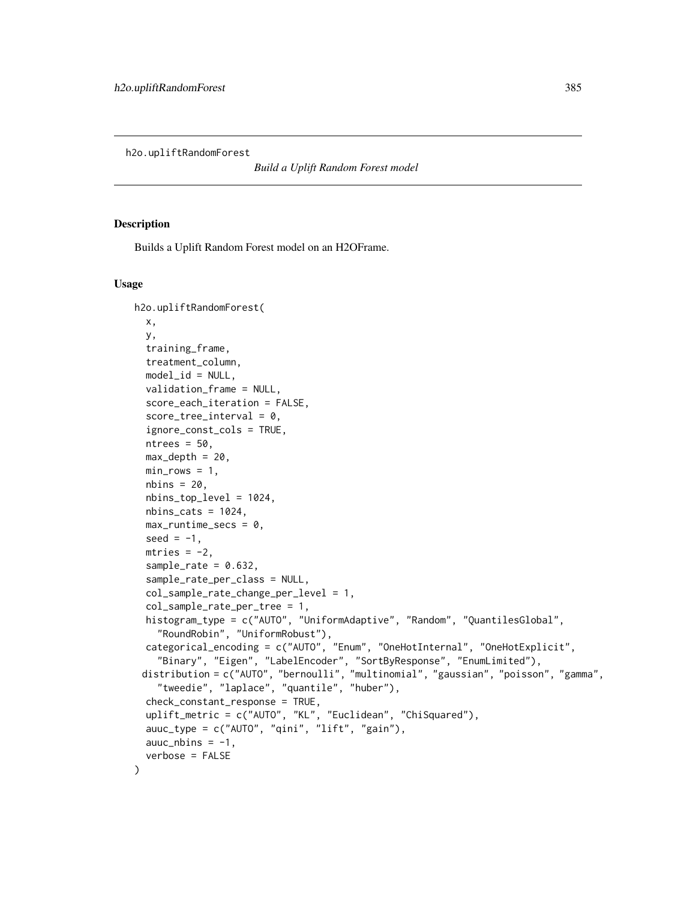h2o.upliftRandomForest

*Build a Uplift Random Forest model*

# Description

Builds a Uplift Random Forest model on an H2OFrame.

#### Usage

```
h2o.upliftRandomForest(
  x,
  y,
  training_frame,
  treatment_column,
  model_id = NULL,validation_frame = NULL,
  score_each_iteration = FALSE,
  score\_tree\_interval = 0,
  ignore_const_cols = TRUE,
  ntrees = 50,
  max\_depth = 20,
  min\_rows = 1,
  nbins = 20,
  nbins_top_level = 1024,
  nbins\_cats = 1024,
  max_runtime_secs = 0,
  seed = -1,
  mtries = -2,
  sample_rate = 0.632,
  sample_rate_per_class = NULL,
  col_sample_rate_change_per_level = 1,
  col_sample_rate_per_tree = 1,
  histogram_type = c("AUTO", "UniformAdaptive", "Random", "QuantilesGlobal",
    "RoundRobin", "UniformRobust"),
  categorical_encoding = c("AUTO", "Enum", "OneHotInternal", "OneHotExplicit",
    "Binary", "Eigen", "LabelEncoder", "SortByResponse", "EnumLimited"),
 distribution = c("AUTO", "bernoulli", "multinomial", "gaussian", "poisson", "gamma",
    "tweedie", "laplace", "quantile", "huber"),
  check_constant_response = TRUE,
  uplift_metric = c("AUTO", "KL", "Euclidean", "ChiSquared"),
  auuc_type = c("AUTO", "qini", "lift", "gain"),
  auc_nbins = -1,verbose = FALSE
)
```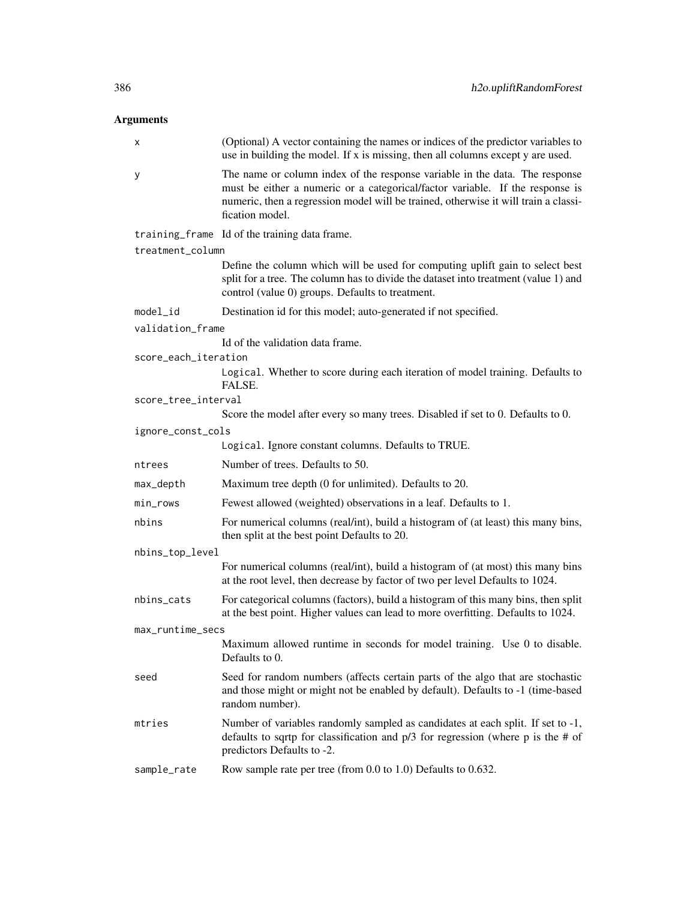# Arguments

| х                    | (Optional) A vector containing the names or indices of the predictor variables to<br>use in building the model. If x is missing, then all columns except y are used.                                                                                                   |
|----------------------|------------------------------------------------------------------------------------------------------------------------------------------------------------------------------------------------------------------------------------------------------------------------|
| у                    | The name or column index of the response variable in the data. The response<br>must be either a numeric or a categorical/factor variable. If the response is<br>numeric, then a regression model will be trained, otherwise it will train a classi-<br>fication model. |
|                      | training_frame Id of the training data frame.                                                                                                                                                                                                                          |
| treatment_column     |                                                                                                                                                                                                                                                                        |
|                      | Define the column which will be used for computing uplift gain to select best<br>split for a tree. The column has to divide the dataset into treatment (value 1) and<br>control (value 0) groups. Defaults to treatment.                                               |
| model_id             | Destination id for this model; auto-generated if not specified.                                                                                                                                                                                                        |
| validation_frame     |                                                                                                                                                                                                                                                                        |
|                      | Id of the validation data frame.                                                                                                                                                                                                                                       |
| score_each_iteration | Logical. Whether to score during each iteration of model training. Defaults to<br>FALSE.                                                                                                                                                                               |
| score_tree_interval  |                                                                                                                                                                                                                                                                        |
|                      | Score the model after every so many trees. Disabled if set to 0. Defaults to 0.                                                                                                                                                                                        |
| ignore_const_cols    |                                                                                                                                                                                                                                                                        |
|                      | Logical. Ignore constant columns. Defaults to TRUE.                                                                                                                                                                                                                    |
| ntrees               | Number of trees. Defaults to 50.                                                                                                                                                                                                                                       |
| max_depth            | Maximum tree depth (0 for unlimited). Defaults to 20.                                                                                                                                                                                                                  |
| min_rows             | Fewest allowed (weighted) observations in a leaf. Defaults to 1.                                                                                                                                                                                                       |
| nbins                | For numerical columns (real/int), build a histogram of (at least) this many bins,<br>then split at the best point Defaults to 20.                                                                                                                                      |
| nbins_top_level      |                                                                                                                                                                                                                                                                        |
|                      | For numerical columns (real/int), build a histogram of (at most) this many bins<br>at the root level, then decrease by factor of two per level Defaults to 1024.                                                                                                       |
| nbins_cats           | For categorical columns (factors), build a histogram of this many bins, then split<br>at the best point. Higher values can lead to more overfitting. Defaults to 1024.                                                                                                 |
| max_runtime_secs     |                                                                                                                                                                                                                                                                        |
|                      | Maximum allowed runtime in seconds for model training. Use 0 to disable.<br>Defaults to 0.                                                                                                                                                                             |
| seed                 | Seed for random numbers (affects certain parts of the algo that are stochastic<br>and those might or might not be enabled by default). Defaults to -1 (time-based<br>random number).                                                                                   |
| mtries               | Number of variables randomly sampled as candidates at each split. If set to -1,<br>defaults to sqrtp for classification and $p/3$ for regression (where p is the # of<br>predictors Defaults to -2.                                                                    |
| sample_rate          | Row sample rate per tree (from 0.0 to 1.0) Defaults to 0.632.                                                                                                                                                                                                          |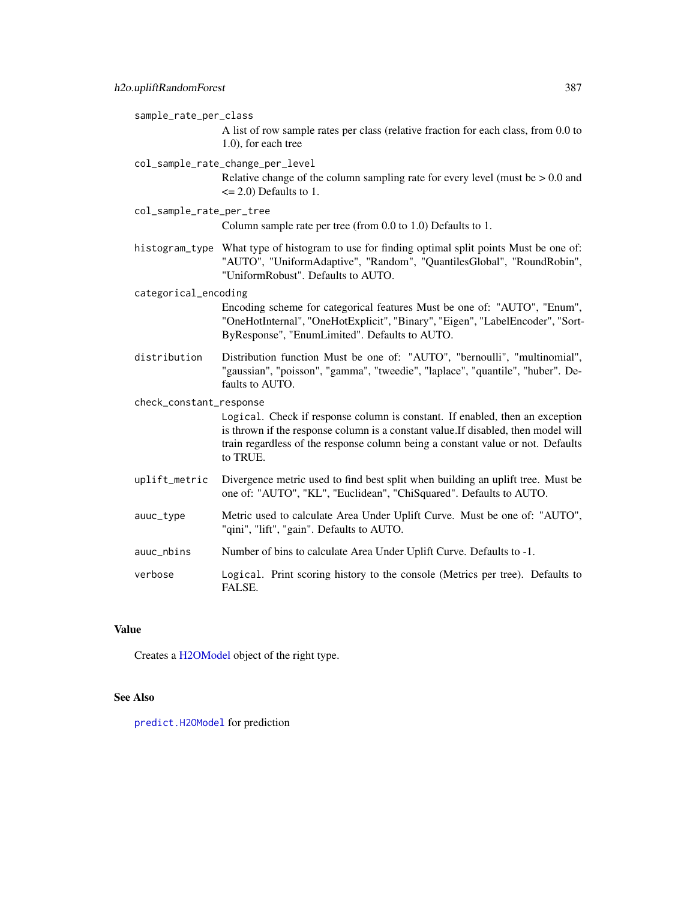sample\_rate\_per\_class

A list of row sample rates per class (relative fraction for each class, from 0.0 to 1.0), for each tree

col\_sample\_rate\_change\_per\_level

Relative change of the column sampling rate for every level (must be  $> 0.0$  and  $\leq$  2.0) Defaults to 1.

col\_sample\_rate\_per\_tree

Column sample rate per tree (from 0.0 to 1.0) Defaults to 1.

histogram\_type What type of histogram to use for finding optimal split points Must be one of: "AUTO", "UniformAdaptive", "Random", "QuantilesGlobal", "RoundRobin", "UniformRobust". Defaults to AUTO.

categorical\_encoding

Encoding scheme for categorical features Must be one of: "AUTO", "Enum", "OneHotInternal", "OneHotExplicit", "Binary", "Eigen", "LabelEncoder", "Sort-ByResponse", "EnumLimited". Defaults to AUTO.

distribution Distribution function Must be one of: "AUTO", "bernoulli", "multinomial", "gaussian", "poisson", "gamma", "tweedie", "laplace", "quantile", "huber". Defaults to AUTO.

check\_constant\_response

Logical. Check if response column is constant. If enabled, then an exception is thrown if the response column is a constant value.If disabled, then model will train regardless of the response column being a constant value or not. Defaults to TRUE.

- uplift\_metric Divergence metric used to find best split when building an uplift tree. Must be one of: "AUTO", "KL", "Euclidean", "ChiSquared". Defaults to AUTO.
- auuc\_type Metric used to calculate Area Under Uplift Curve. Must be one of: "AUTO", "qini", "lift", "gain". Defaults to AUTO.
- auuc\_nbins Number of bins to calculate Area Under Uplift Curve. Defaults to -1.
- verbose Logical. Print scoring history to the console (Metrics per tree). Defaults to FALSE.

# Value

Creates a [H2OModel](#page-415-1) object of the right type.

### See Also

[predict.H2OModel](#page-432-0) for prediction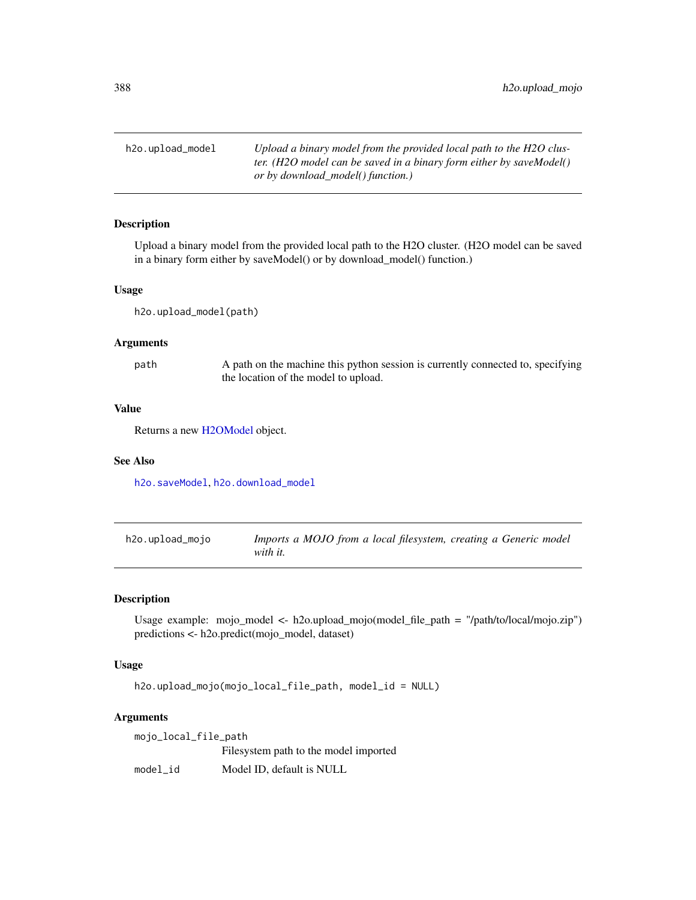h2o.upload\_model *Upload a binary model from the provided local path to the H2O cluster. (H2O model can be saved in a binary form either by saveModel() or by download\_model() function.)*

# Description

Upload a binary model from the provided local path to the H2O cluster. (H2O model can be saved in a binary form either by saveModel() or by download\_model() function.)

### Usage

h2o.upload\_model(path)

### Arguments

path A path on the machine this python session is currently connected to, specifying the location of the model to upload.

# Value

Returns a new [H2OModel](#page-415-1) object.

### See Also

[h2o.saveModel](#page-331-0), [h2o.download\\_model](#page-126-0)

h2o.upload\_mojo *Imports a MOJO from a local filesystem, creating a Generic model with it.*

# Description

Usage example: mojo\_model <- h2o.upload\_mojo(model\_file\_path = "/path/to/local/mojo.zip") predictions <- h2o.predict(mojo\_model, dataset)

### Usage

h2o.upload\_mojo(mojo\_local\_file\_path, model\_id = NULL)

### Arguments

| mojo_local_file_path |                                       |  |
|----------------------|---------------------------------------|--|
|                      | Filesystem path to the model imported |  |
| model id             | Model ID, default is NULL             |  |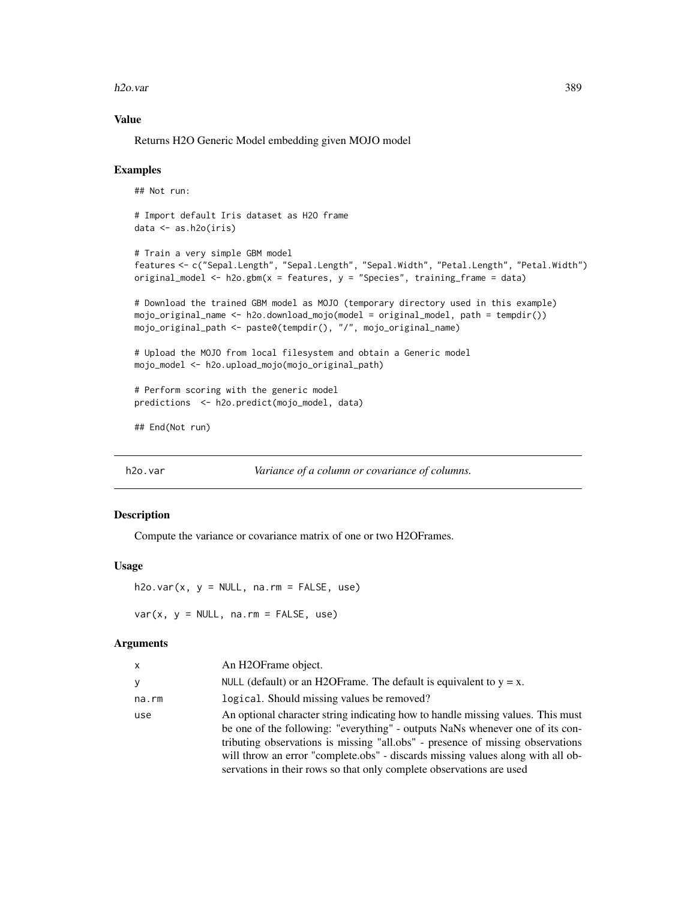h2o.var 389

# Value

Returns H2O Generic Model embedding given MOJO model

### Examples

## Not run:

```
# Import default Iris dataset as H2O frame
data <- as.h2o(iris)
```

```
# Train a very simple GBM model
features <- c("Sepal.Length", "Sepal.Length", "Sepal.Width", "Petal.Length", "Petal.Width")
original_model <- h2o.gbm(x = features, y = "Species", training_frame = data)
```

```
# Download the trained GBM model as MOJO (temporary directory used in this example)
mojo_original_name <- h2o.download_mojo(model = original_model, path = tempdir())
mojo_original_path <- paste0(tempdir(), "/", mojo_original_name)
```
# Upload the MOJO from local filesystem and obtain a Generic model mojo\_model <- h2o.upload\_mojo(mojo\_original\_path)

# Perform scoring with the generic model predictions <- h2o.predict(mojo\_model, data)

## End(Not run)

```
h2o.var Variance of a column or covariance of columns.
```
### Description

Compute the variance or covariance matrix of one or two H2OFrames.

### Usage

 $h2o.var(x, y = NULL, na.rm = FALSE, use)$ 

 $var(x, y = NULL, na.rm = FALSE, use)$ 

### Arguments

| <b>X</b> | An H2OFrame object.                                                                                                                                                                                                                                                                                                                                                                                           |
|----------|---------------------------------------------------------------------------------------------------------------------------------------------------------------------------------------------------------------------------------------------------------------------------------------------------------------------------------------------------------------------------------------------------------------|
| y        | NULL (default) or an H2OF rame. The default is equivalent to $y = x$ .                                                                                                                                                                                                                                                                                                                                        |
| na.rm    | logical. Should missing values be removed?                                                                                                                                                                                                                                                                                                                                                                    |
| use      | An optional character string indicating how to handle missing values. This must<br>be one of the following: "everything" - outputs NaNs whenever one of its con-<br>tributing observations is missing "all.obs" - presence of missing observations<br>will throw an error "complete.obs" - discards missing values along with all ob-<br>servations in their rows so that only complete observations are used |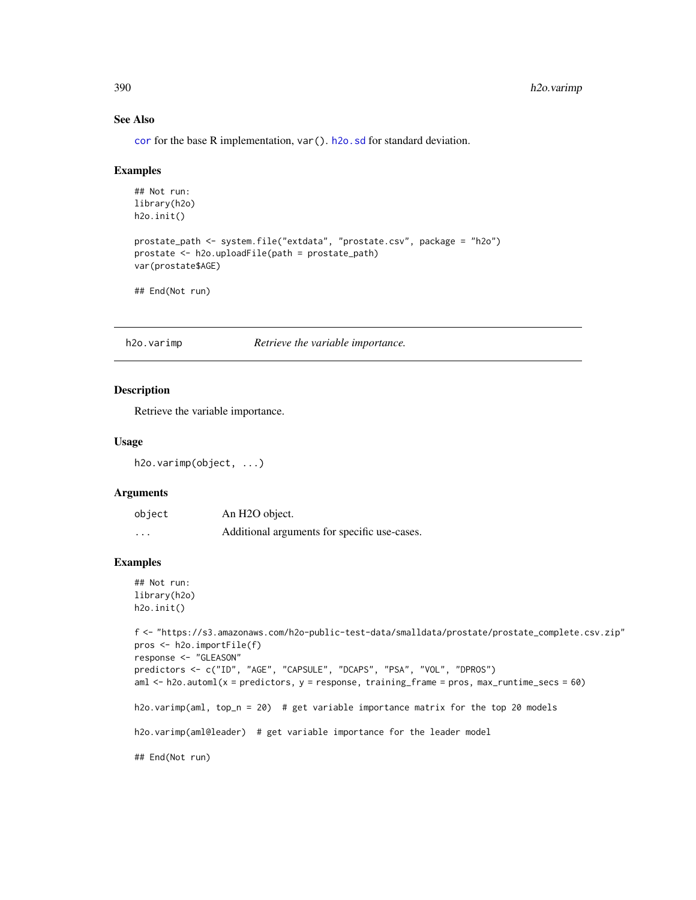# See Also

[cor](#page-94-0) for the base R implementation, var(). [h2o.sd](#page-338-0) for standard deviation.

### Examples

```
## Not run:
library(h2o)
h2o.init()
prostate_path <- system.file("extdata", "prostate.csv", package = "h2o")
prostate <- h2o.uploadFile(path = prostate_path)
var(prostate$AGE)
## End(Not run)
```
h2o.varimp *Retrieve the variable importance.*

### Description

Retrieve the variable importance.

### Usage

```
h2o.varimp(object, ...)
```
# Arguments

| object | An H <sub>2</sub> O object.                  |
|--------|----------------------------------------------|
| .      | Additional arguments for specific use-cases. |

# Examples

```
## Not run:
library(h2o)
h2o.init()
```

```
f <- "https://s3.amazonaws.com/h2o-public-test-data/smalldata/prostate/prostate_complete.csv.zip"
pros <- h2o.importFile(f)
response <- "GLEASON"
predictors <- c("ID", "AGE", "CAPSULE", "DCAPS", "PSA", "VOL", "DPROS")
aml \le h2o.automl(x = predictors, y = response, training_frame = pros, max_runtime_secs = 60)
h2o.varimp(aml, top_n = 20) # get variable importance matrix for the top 20 models
h2o.varimp(aml@leader) # get variable importance for the leader model
## End(Not run)
```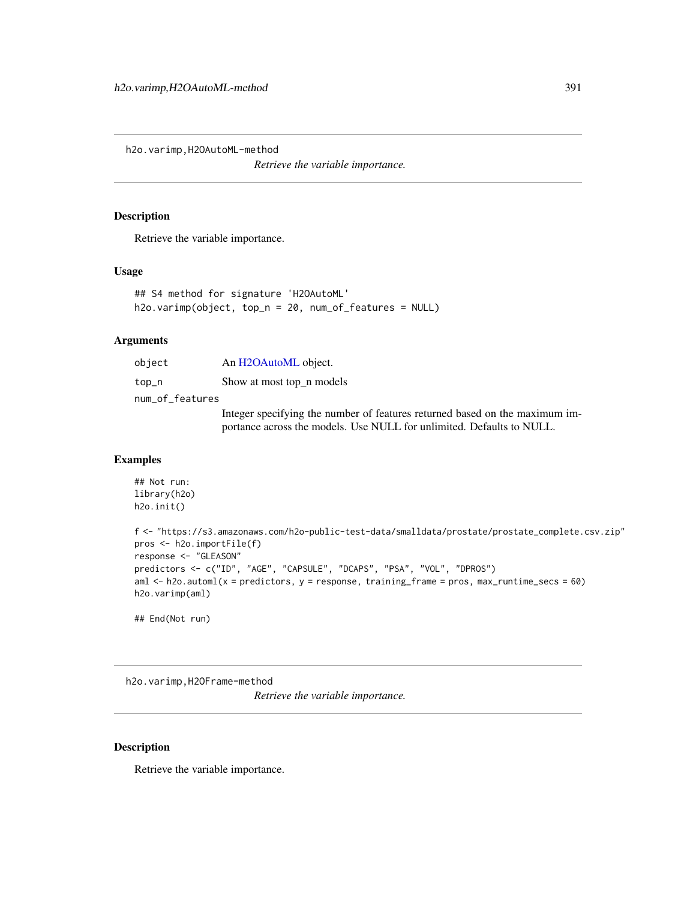h2o.varimp,H2OAutoML-method

*Retrieve the variable importance.*

### Description

Retrieve the variable importance.

# Usage

```
## S4 method for signature 'H2OAutoML'
h2o.varimp(object, top_n = 20, num_of_features = NULL)
```
### Arguments

| object          | An H2OAutoML object.                 |
|-----------------|--------------------------------------|
| top_n           | Show at most top n models            |
| num_of_features |                                      |
|                 | Integran engaifring the number of fe |

Integer specifying the number of features returned based on the maximum importance across the models. Use NULL for unlimited. Defaults to NULL.

# Examples

```
## Not run:
library(h2o)
h2o.init()
f <- "https://s3.amazonaws.com/h2o-public-test-data/smalldata/prostate/prostate_complete.csv.zip"
pros <- h2o.importFile(f)
response <- "GLEASON"
predictors <- c("ID", "AGE", "CAPSULE", "DCAPS", "PSA", "VOL", "DPROS")
aml \le h2o.automl(x = predictors, y = response, training_frame = pros, max_runtime_secs = 60)
h2o.varimp(aml)
## End(Not run)
```
h2o.varimp,H2OFrame-method

*Retrieve the variable importance.*

### Description

Retrieve the variable importance.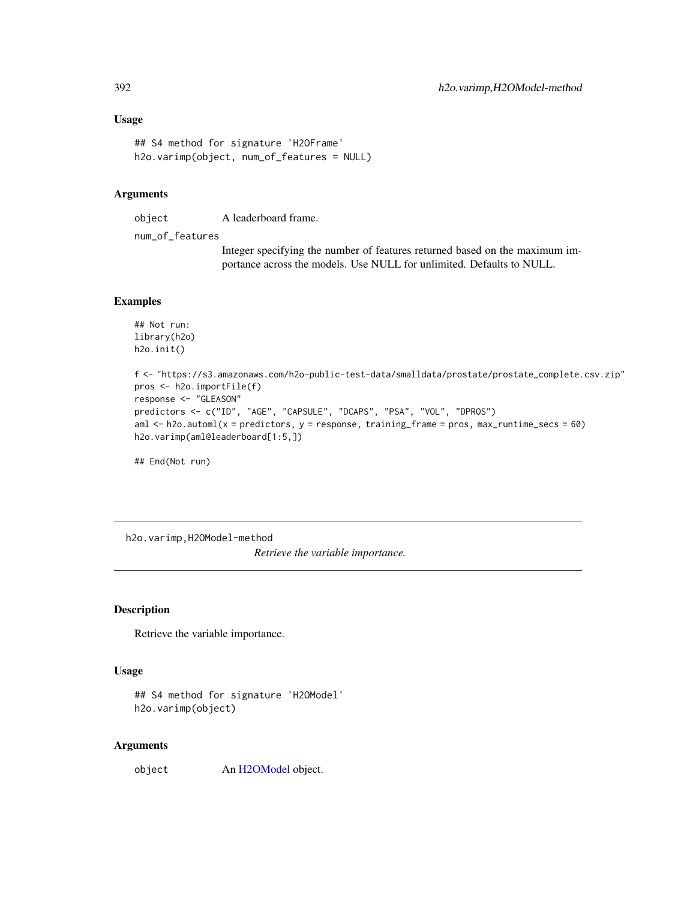# Usage

```
## S4 method for signature 'H2OFrame'
h2o.varimp(object, num_of_features = NULL)
```
# Arguments

object A leaderboard frame.

num\_of\_features

Integer specifying the number of features returned based on the maximum importance across the models. Use NULL for unlimited. Defaults to NULL.

# Examples

```
## Not run:
library(h2o)
h2o.init()
```

```
f <- "https://s3.amazonaws.com/h2o-public-test-data/smalldata/prostate/prostate_complete.csv.zip"
pros <- h2o.importFile(f)
response <- "GLEASON"
predictors <- c("ID", "AGE", "CAPSULE", "DCAPS", "PSA", "VOL", "DPROS")
aml \le h2o.automl(x = predictors, y = response, training_frame = pros, max_runtime_secs = 60)
h2o.varimp(aml@leaderboard[1:5,])
```
## End(Not run)

h2o.varimp,H2OModel-method

*Retrieve the variable importance.*

# Description

Retrieve the variable importance.

## Usage

```
## S4 method for signature 'H2OModel'
h2o.varimp(object)
```
### Arguments

object An [H2OModel](#page-415-1) object.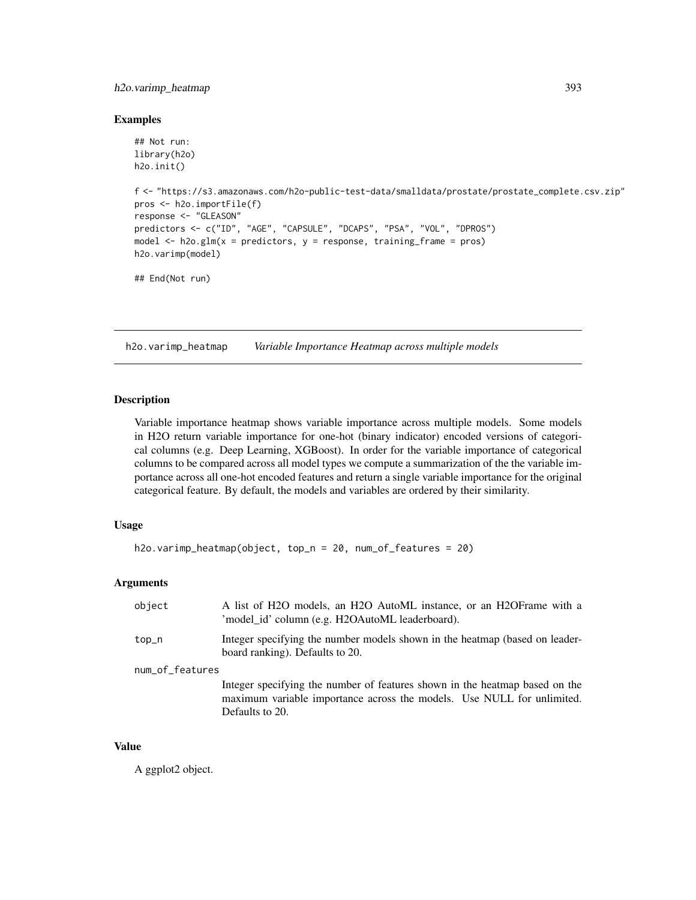# h2o.varimp\_heatmap 393

### Examples

```
## Not run:
library(h2o)
h2o.init()
f <- "https://s3.amazonaws.com/h2o-public-test-data/smalldata/prostate/prostate_complete.csv.zip"
pros <- h2o.importFile(f)
response <- "GLEASON"
predictors <- c("ID", "AGE", "CAPSULE", "DCAPS", "PSA", "VOL", "DPROS")
model \leq h2o.glm(x = predictors, y = response, training_frame = pros)
h2o.varimp(model)
## End(Not run)
```
h2o.varimp\_heatmap *Variable Importance Heatmap across multiple models*

# Description

Variable importance heatmap shows variable importance across multiple models. Some models in H2O return variable importance for one-hot (binary indicator) encoded versions of categorical columns (e.g. Deep Learning, XGBoost). In order for the variable importance of categorical columns to be compared across all model types we compute a summarization of the the variable importance across all one-hot encoded features and return a single variable importance for the original categorical feature. By default, the models and variables are ordered by their similarity.

# Usage

```
h2o.varimp_heatmap(object, top_n = 20, num_of_features = 20)
```
# Arguments

| object          | A list of H2O models, an H2O AutoML instance, or an H2OFrame with a<br>'model_id' column (e.g. H2OAutoML leaderboard).                                                   |  |
|-----------------|--------------------------------------------------------------------------------------------------------------------------------------------------------------------------|--|
| top_n           | Integer specifying the number models shown in the heatmap (based on leader-<br>board ranking). Defaults to 20.                                                           |  |
| num_of_features |                                                                                                                                                                          |  |
|                 | Integer specifying the number of features shown in the heatmap based on the<br>maximum variable importance across the models. Use NULL for unlimited.<br>Defaults to 20. |  |

### Value

A ggplot2 object.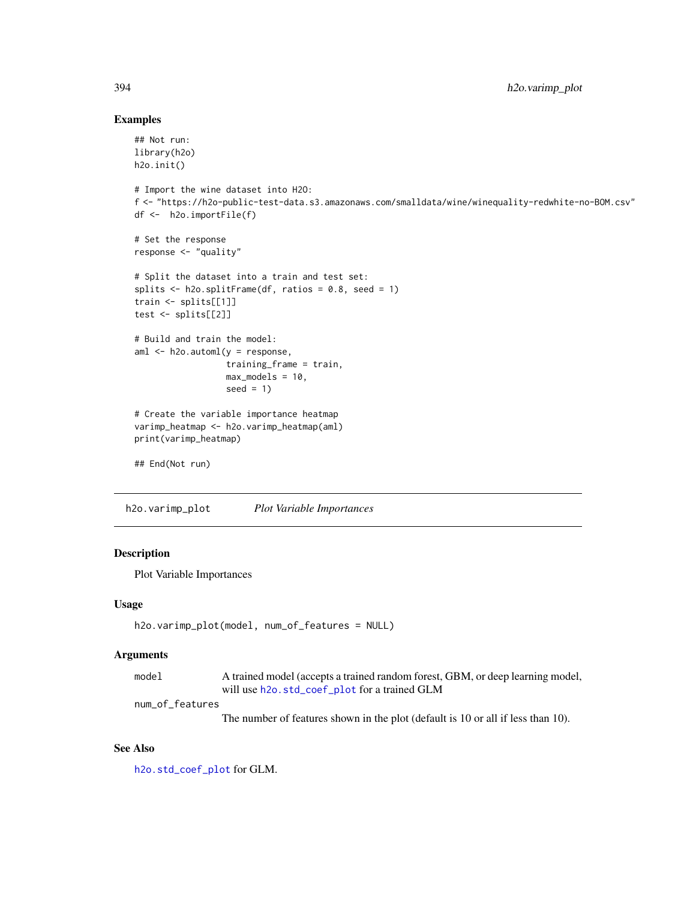# Examples

```
## Not run:
library(h2o)
h2o.init()
# Import the wine dataset into H2O:
f <- "https://h2o-public-test-data.s3.amazonaws.com/smalldata/wine/winequality-redwhite-no-BOM.csv"
df <- h2o.importFile(f)
# Set the response
response <- "quality"
# Split the dataset into a train and test set:
splits \le h2o.splitFrame(df, ratios = 0.8, seed = 1)
train <- splits[[1]]
test <- splits[[2]]
# Build and train the model:
aml \leq h2o.automl(y = response,
                  training_frame = train,
                  max_models = 10,
                  seed = 1)
# Create the variable importance heatmap
varimp_heatmap <- h2o.varimp_heatmap(aml)
print(varimp_heatmap)
## End(Not run)
```
h2o.varimp\_plot *Plot Variable Importances*

# Description

Plot Variable Importances

### Usage

```
h2o.varimp_plot(model, num_of_features = NULL)
```
# Arguments

model A trained model (accepts a trained random forest, GBM, or deep learning model, will use [h2o.std\\_coef\\_plot](#page-353-0) for a trained GLM

num\_of\_features

The number of features shown in the plot (default is 10 or all if less than 10).

# See Also

[h2o.std\\_coef\\_plot](#page-353-0) for GLM.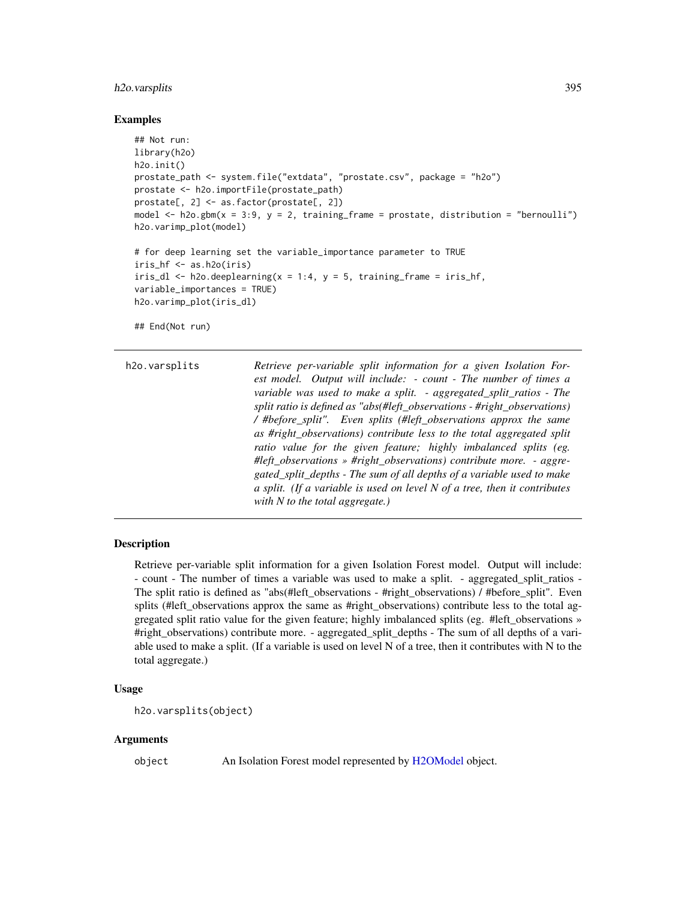### h2o.varsplits 395

### Examples

```
## Not run:
library(h2o)
h2o.init()
prostate_path <- system.file("extdata", "prostate.csv", package = "h2o")
prostate <- h2o.importFile(prostate_path)
prostate[, 2] <- as.factor(prostate[, 2])
model \leq h2o.gbm(x = 3:9, y = 2, training_frame = prostate, distribution = "bernoulli")
h2o.varimp_plot(model)
# for deep learning set the variable_importance parameter to TRUE
iris_hf <- as.h2o(iris)
iris_dl <- h2o.deeplearning(x = 1:4, y = 5, training_frame = iris_hf,
variable_importances = TRUE)
h2o.varimp_plot(iris_dl)
## End(Not run)
```

```
h2o.varsplits Retrieve per-variable split information for a given Isolation For-
                          est model. Output will include: - count - The number of times a
                          variable was used to make a split. - aggregated_split_ratios - The
                          split ratio is defined as "abs(#left_observations - #right_observations)
                          / #before_split". Even splits (#left_observations approx the same
                          as #right_observations) contribute less to the total aggregated split
                          ratio value for the given feature; highly imbalanced splits (eg.
                          #left_observations » #right_observations) contribute more. - aggre-
                          gated_split_depths - The sum of all depths of a variable used to make
                          a split. (If a variable is used on level N of a tree, then it contributes
                          with N to the total aggregate.)
```
# Description

Retrieve per-variable split information for a given Isolation Forest model. Output will include: - count - The number of times a variable was used to make a split. - aggregated split ratios -The split ratio is defined as "abs(#left\_observations - #right\_observations) / #before\_split". Even splits (#left\_observations approx the same as #right\_observations) contribute less to the total aggregated split ratio value for the given feature; highly imbalanced splits (eg. #left\_observations » #right observations) contribute more. - aggregated split depths - The sum of all depths of a variable used to make a split. (If a variable is used on level N of a tree, then it contributes with N to the total aggregate.)

#### Usage

```
h2o.varsplits(object)
```
### Arguments

object An Isolation Forest model represented by [H2OModel](#page-415-1) object.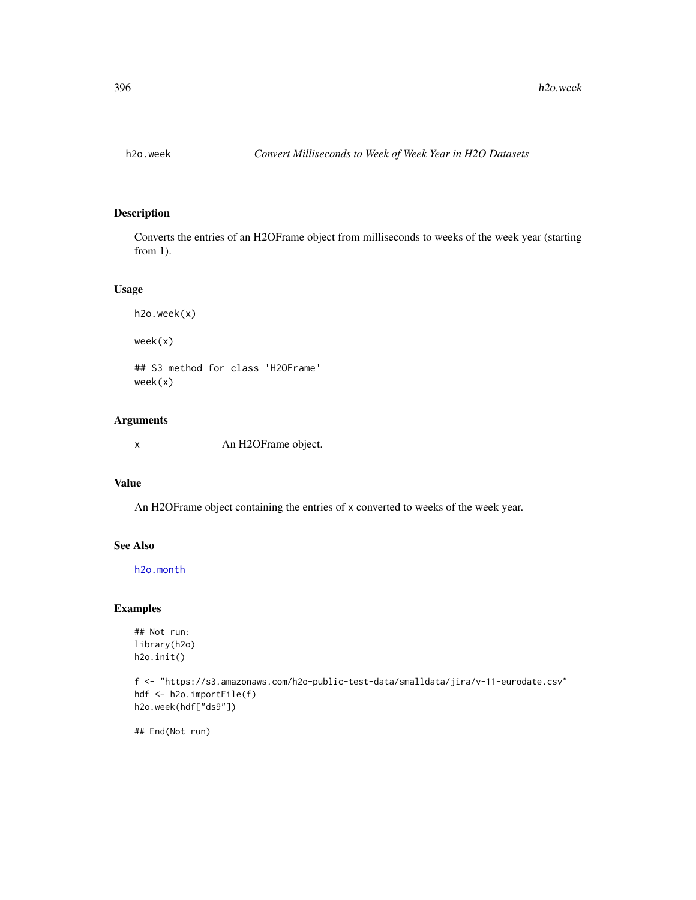# Description

Converts the entries of an H2OFrame object from milliseconds to weeks of the week year (starting from 1).

# Usage

```
h2o.week(x)
week(x)
## S3 method for class 'H2OFrame'
week(x)
```
# Arguments

x An H2OFrame object.

# Value

An H2OFrame object containing the entries of x converted to weeks of the week year.

### See Also

[h2o.month](#page-263-0)

# Examples

## Not run: library(h2o) h2o.init()

```
f <- "https://s3.amazonaws.com/h2o-public-test-data/smalldata/jira/v-11-eurodate.csv"
hdf <- h2o.importFile(f)
h2o.week(hdf["ds9"])
```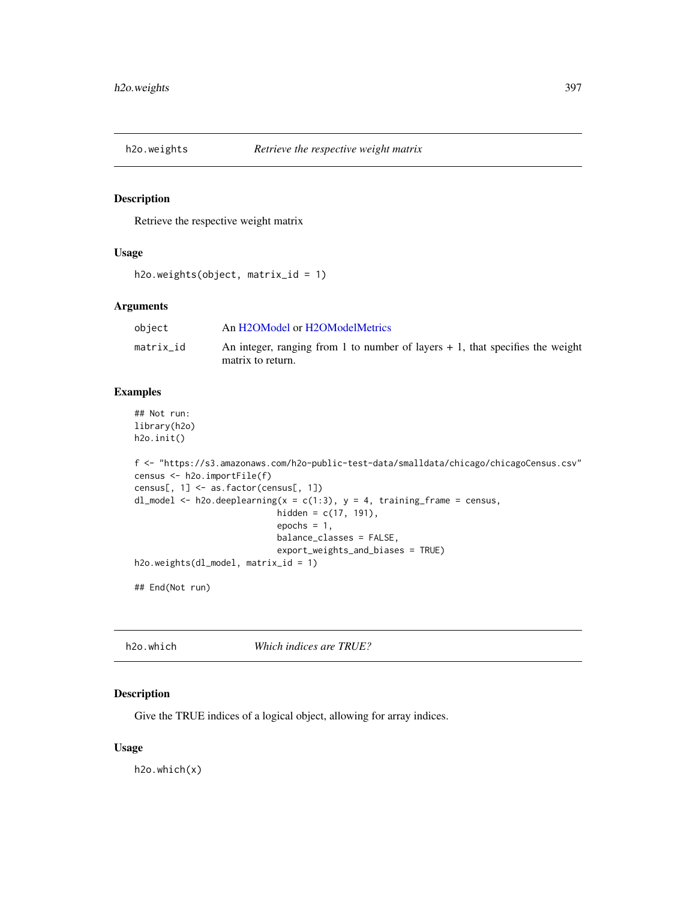# Description

Retrieve the respective weight matrix

## Usage

```
h2o.weights(object, matrix_id = 1)
```
# Arguments

| object    | An H2OModel or H2OModelMetrics                                                                       |
|-----------|------------------------------------------------------------------------------------------------------|
| matrix id | An integer, ranging from 1 to number of layers $+1$ , that specifies the weight<br>matrix to return. |

## Examples

```
## Not run:
library(h2o)
h2o.init()
```

```
f <- "https://s3.amazonaws.com/h2o-public-test-data/smalldata/chicago/chicagoCensus.csv"
census <- h2o.importFile(f)
census[, 1] <- as.factor(census[, 1])
dl_model <- h2o.deeplearning(x = c(1:3), y = 4, training_frame = census,
                            hidden = c(17, 191),
                            epochs = 1,
                            balance_classes = FALSE,
                            export_weights_and_biases = TRUE)
h2o.weights(dl_model, matrix_id = 1)
```
## End(Not run)

h2o.which *Which indices are TRUE?*

# Description

Give the TRUE indices of a logical object, allowing for array indices.

# Usage

h2o.which(x)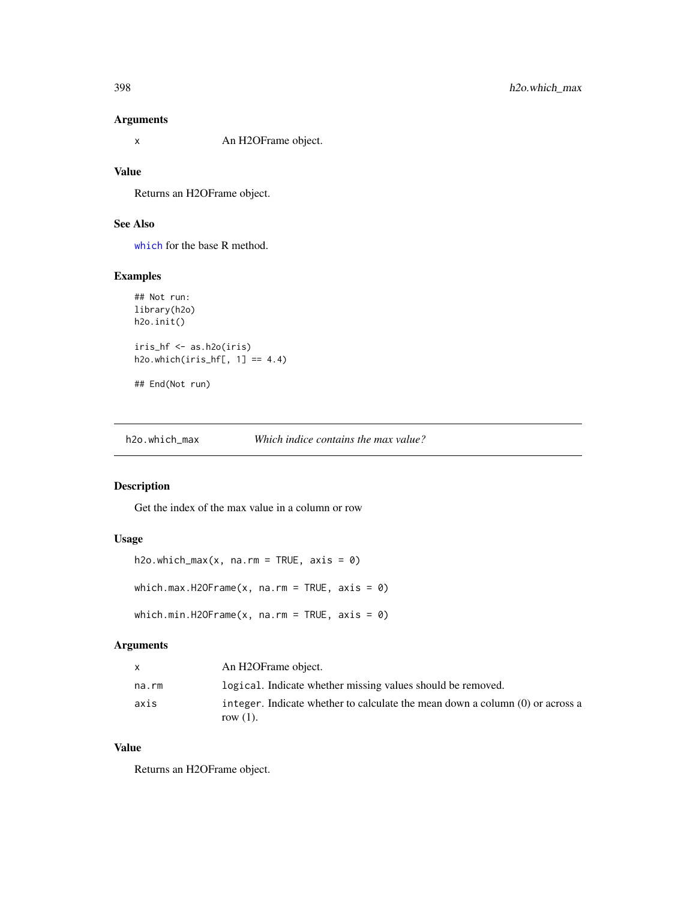## Arguments

x An H2OFrame object.

# Value

Returns an H2OFrame object.

# See Also

[which](#page-0-0) for the base R method.

# Examples

```
## Not run:
library(h2o)
h2o.init()
iris_hf <- as.h2o(iris)
h2o.which(iris_hf[, 1] == 4.4)
```

```
## End(Not run)
```
h2o.which\_max *Which indice contains the max value?*

## Description

Get the index of the max value in a column or row

# Usage

```
h2o.which_max(x, na.rm = TRUE, axis = 0)which.max.H2OFrame(x, na.rm = TRUE, axis = \theta)
which.min.H2OFrame(x, na.rm = TRUE, axis = \theta)
```
## Arguments

| $\mathsf{x}$ | An H2OFrame object.                                                                            |
|--------------|------------------------------------------------------------------------------------------------|
| na.rm        | logical. Indicate whether missing values should be removed.                                    |
| axis         | integer. Indicate whether to calculate the mean down a column $(0)$ or across a<br>row $(1)$ . |

# Value

Returns an H2OFrame object.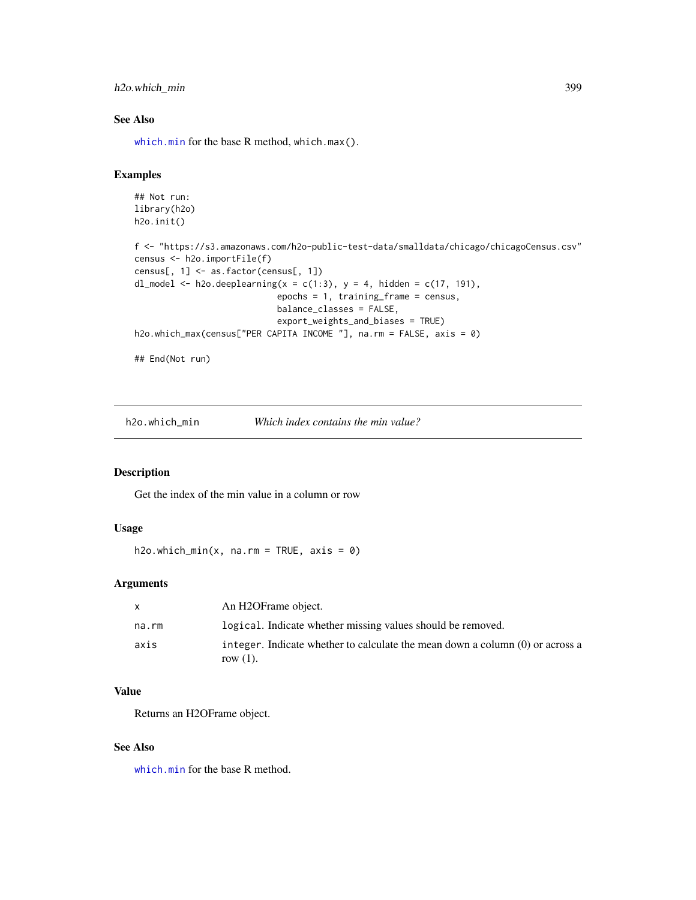# h2o.which\_min 399

# See Also

[which.min](#page-0-0) for the base R method, which.max().

# Examples

```
## Not run:
library(h2o)
h2o.init()
f <- "https://s3.amazonaws.com/h2o-public-test-data/smalldata/chicago/chicagoCensus.csv"
census <- h2o.importFile(f)
census[, 1] <- as.factor(census[, 1])
dl_model <- h2o.deeplearning(x = c(1:3), y = 4, hidden = c(17, 191),
                            epochs = 1, training_frame = census,
                            balance_classes = FALSE,
                            export_weights_and_biases = TRUE)
h2o.which_max(census["PER CAPITA INCOME "], na.rm = FALSE, axis = 0)
## End(Not run)
```
h2o.which\_min *Which index contains the min value?*

## Description

Get the index of the min value in a column or row

#### Usage

h2o.which\_min(x, na.rm = TRUE, axis =  $\emptyset$ )

## Arguments

| $\mathsf{x}$ | An H2OFrame object.                                                                            |
|--------------|------------------------------------------------------------------------------------------------|
| na.rm        | logical. Indicate whether missing values should be removed.                                    |
| axis         | integer. Indicate whether to calculate the mean down a column $(0)$ or across a<br>row $(1)$ . |

## Value

Returns an H2OFrame object.

#### See Also

[which.min](#page-0-0) for the base R method.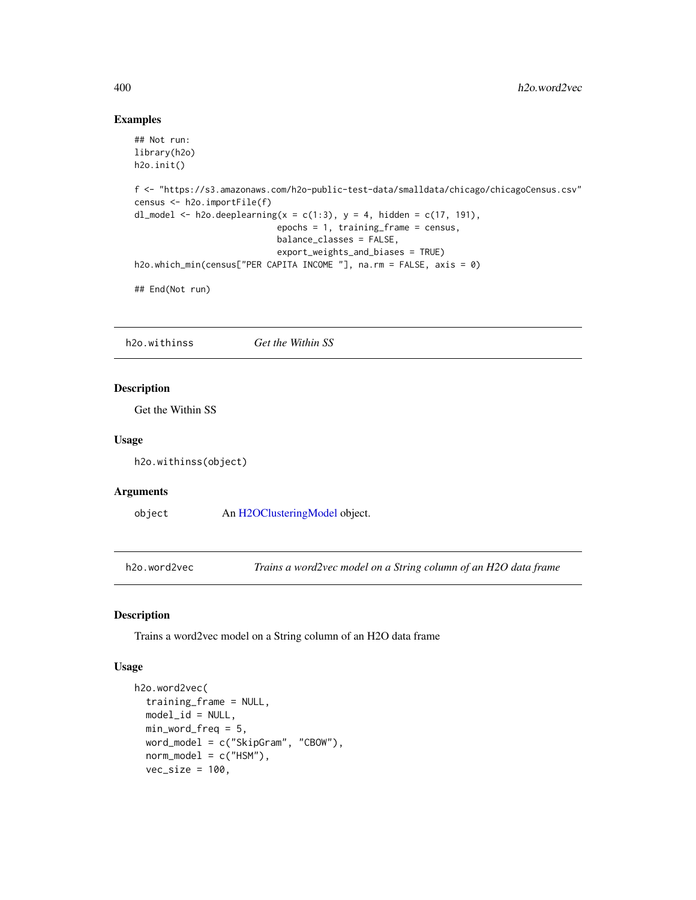#### Examples

```
## Not run:
library(h2o)
h2o.init()
f <- "https://s3.amazonaws.com/h2o-public-test-data/smalldata/chicago/chicagoCensus.csv"
census <- h2o.importFile(f)
dl_model <- h2o.deeplearning(x = c(1:3), y = 4, hidden = c(17, 191),
                            epochs = 1, training_frame = census,
                            balance_classes = FALSE,
                            export_weights_and_biases = TRUE)
h2o.which_min(census["PER CAPITA INCOME "], na.rm = FALSE, axis = 0)
## End(Not run)
```
h2o.withinss *Get the Within SS*

## Description

Get the Within SS

#### Usage

h2o.withinss(object)

#### Arguments

object An [H2OClusteringModel](#page-408-0) object.

h2o.word2vec *Trains a word2vec model on a String column of an H2O data frame*

### Description

Trains a word2vec model on a String column of an H2O data frame

#### Usage

```
h2o.word2vec(
  training_frame = NULL,
  model_id = NULL,min_word_freq = 5,
  word_model = c("SkipGram", "CBOW"),
  norm\_model = c("HSM"),
  vec\_size = 100,
```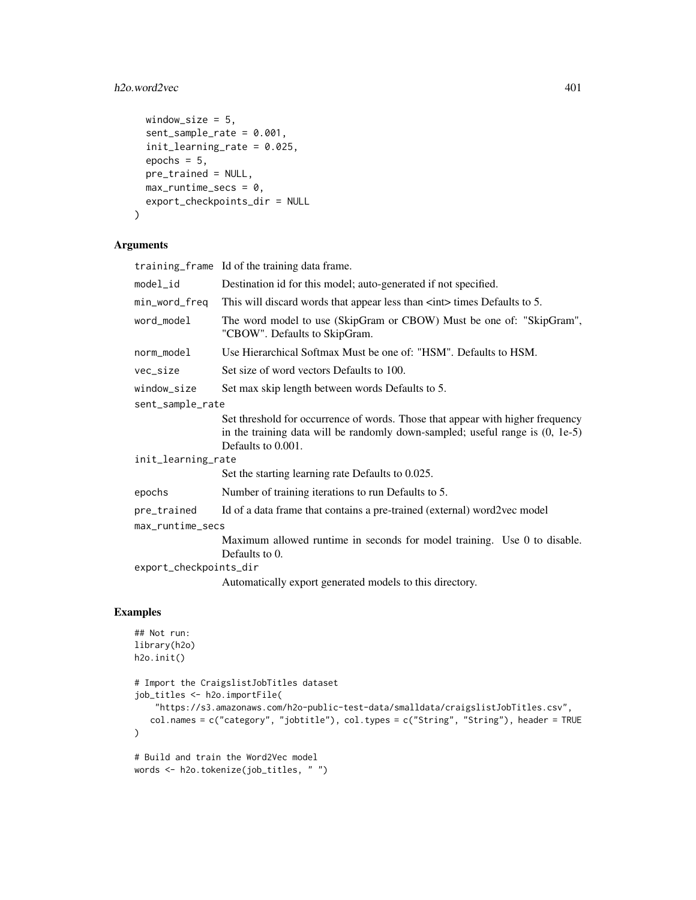# h2o.word2vec 401

```
window_size = 5,
  sent_sample_rate = 0.001,
  init_learning_rate = 0.025,
  epochs = 5,
 pre_trained = NULL,
 max_runtime_secs = 0,
 export_checkpoints_dir = NULL
\lambda
```
# Arguments

training\_frame Id of the training data frame.

| model_id               | Destination id for this model; auto-generated if not specified.                                                                                                                         |  |
|------------------------|-----------------------------------------------------------------------------------------------------------------------------------------------------------------------------------------|--|
| min_word_freq          | This will discard words that appear less than $\langle$ int $\rangle$ times Defaults to 5.                                                                                              |  |
| word_model             | The word model to use (SkipGram or CBOW) Must be one of: "SkipGram",<br>"CBOW". Defaults to SkipGram.                                                                                   |  |
| norm_model             | Use Hierarchical Softmax Must be one of: "HSM". Defaults to HSM.                                                                                                                        |  |
| vec_size               | Set size of word vectors Defaults to 100.                                                                                                                                               |  |
| window_size            | Set max skip length between words Defaults to 5.                                                                                                                                        |  |
| sent_sample_rate       |                                                                                                                                                                                         |  |
|                        | Set threshold for occurrence of words. Those that appear with higher frequency<br>in the training data will be randomly down-sampled; useful range is $(0, 1e-5)$<br>Defaults to 0.001. |  |
| init_learning_rate     |                                                                                                                                                                                         |  |
|                        | Set the starting learning rate Defaults to 0.025.                                                                                                                                       |  |
| epochs                 | Number of training iterations to run Defaults to 5.                                                                                                                                     |  |
| pre_trained            | Id of a data frame that contains a pre-trained (external) word2vec model                                                                                                                |  |
| max_runtime_secs       |                                                                                                                                                                                         |  |
|                        | Maximum allowed runtime in seconds for model training. Use 0 to disable.<br>Defaults to 0.                                                                                              |  |
| export_checkpoints_dir |                                                                                                                                                                                         |  |
|                        | Automatically export generated models to this directory.                                                                                                                                |  |

# Examples

```
## Not run:
library(h2o)
h2o.init()
# Import the CraigslistJobTitles dataset
job_titles <- h2o.importFile(
   "https://s3.amazonaws.com/h2o-public-test-data/smalldata/craigslistJobTitles.csv",
   col.names = c("category", "jobtitle"), col.types = c("String", "String"), header = TRUE
\lambda# Build and train the Word2Vec model
words <- h2o.tokenize(job_titles, " ")
```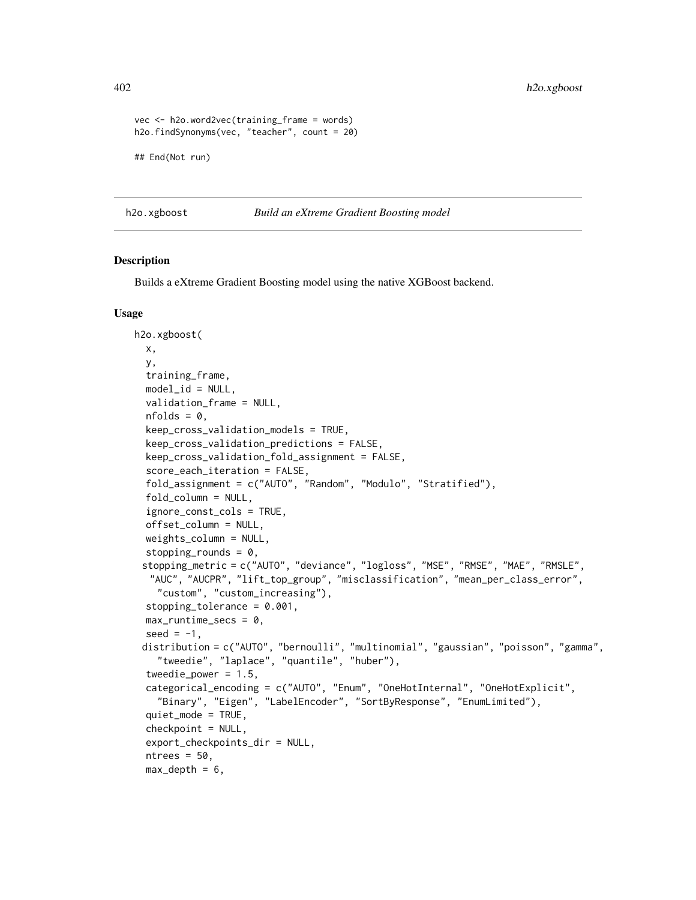```
vec <- h2o.word2vec(training_frame = words)
h2o.findSynonyms(vec, "teacher", count = 20)
## End(Not run)
```
h2o.xgboost *Build an eXtreme Gradient Boosting model*

## **Description**

Builds a eXtreme Gradient Boosting model using the native XGBoost backend.

#### Usage

```
h2o.xgboost(
 x,
 y,
  training_frame,
 model_id = NULL,validation_frame = NULL,
  nfolds = 0,
  keep_cross_validation_models = TRUE,
  keep_cross_validation_predictions = FALSE,
  keep_cross_validation_fold_assignment = FALSE,
  score_each_iteration = FALSE,
  fold_assignment = c("AUTO", "Random", "Modulo", "Stratified"),
  fold_column = NULL,
  ignore_const_cols = TRUE,
  offset_column = NULL,
  weights_column = NULL,
  stopping_rounds = 0,
 stopping_metric = c("AUTO", "deviance", "logloss", "MSE", "RMSE", "MAE", "RMSLE",
  "AUC", "AUCPR", "lift_top_group", "misclassification", "mean_per_class_error",
    "custom", "custom_increasing"),
  stopping_tolerance = 0.001,
 max_runtime_secs = 0,
  seed = -1,
 distribution = c("AUTO", "bernoulli", "multinomial", "gaussian", "poisson", "gamma",
    "tweedie", "laplace", "quantile", "huber"),
  tweedie_power = 1.5,
  categorical_encoding = c("AUTO", "Enum", "OneHotInternal", "OneHotExplicit",
    "Binary", "Eigen", "LabelEncoder", "SortByResponse", "EnumLimited"),
  quiet_mode = TRUE,
  checkpoint = NULL,export_checkpoints_dir = NULL,
  ntrees = 50,
  max\_depth = 6,
```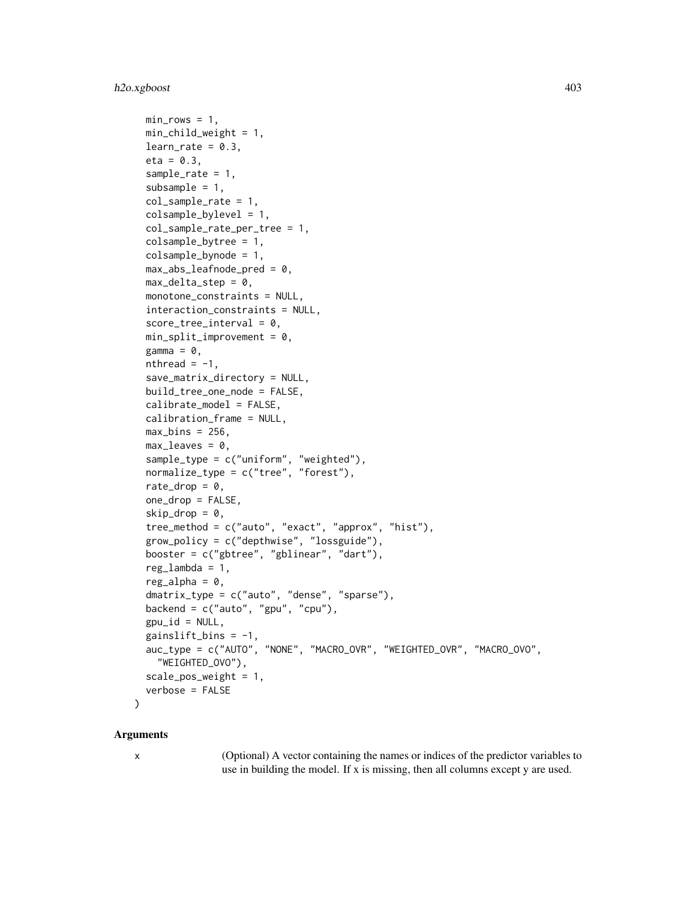# h2o.xgboost 403

```
min\_rows = 1,
 min_child_weight = 1,
  learn_rate = 0.3,
  eta = 0.3,
  sample_rate = 1,
  subsample = 1,
  col_sample_rate = 1,
  colsample_bylevel = 1,
  col_sample_rate_per_tree = 1,
  colsample_bytree = 1,
  colsample_bynode = 1,
  max\_abs\_leafnode\_pred = 0,
 max\_delta\_step = 0,
 monotone_constraints = NULL,
  interaction_constraints = NULL,
  score\_tree\_interval = 0,
 min\_split\_improvement = 0,gamma = 0,
  nthread = -1,
  save_matrix_directory = NULL,
 build_tree_one_node = FALSE,
  calibrate_model = FALSE,
  calibration_frame = NULL,
  max_bins = 256,
 max\_leaves = 0,
  sample_type = c("uniform", "weighted"),
  normalize_type = c("tree", "forest"),
  rate_drop = 0,
  one_drop = FALSE,
  skip\_drop = 0,tree_method = c("auto", "exact", "approx", "hist"),
  grow_policy = c("depthwise", "lossguide"),
 booster = c("gbtree", "gblinear", "dart"),
  reg\_lambda = 1,
  reg\_alpha = 0,
  dmatrix_type = c("auto", "dense", "sparse"),
 backend = c("auto", "gpu", "cpu"),
  gpu_id = NULL,gainslift\_bins = -1,
  auc_type = c("AUTO", "NONE", "MACRO_OVR", "WEIGHTED_OVR", "MACRO_OVO",
    "WEIGHTED_OVO"),
  scale_pos_weight = 1,
  verbose = FALSE
)
```
#### Arguments

x (Optional) A vector containing the names or indices of the predictor variables to use in building the model. If x is missing, then all columns except y are used.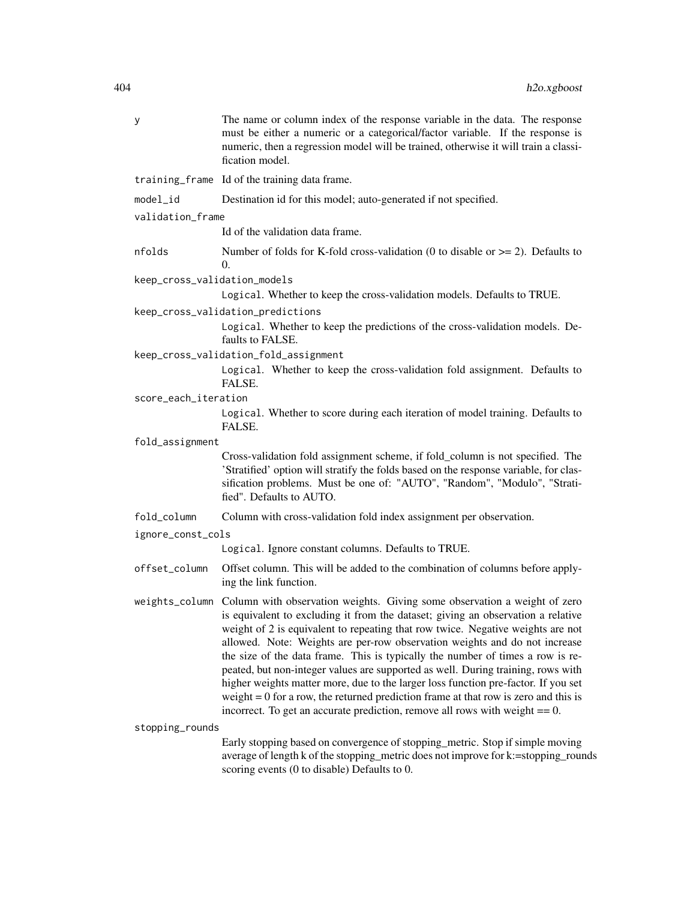| у                            | The name or column index of the response variable in the data. The response<br>must be either a numeric or a categorical/factor variable. If the response is<br>numeric, then a regression model will be trained, otherwise it will train a classi-<br>fication model.                                                                                                                                                                                                                                                                                                                                                                                                                                                                                                |
|------------------------------|-----------------------------------------------------------------------------------------------------------------------------------------------------------------------------------------------------------------------------------------------------------------------------------------------------------------------------------------------------------------------------------------------------------------------------------------------------------------------------------------------------------------------------------------------------------------------------------------------------------------------------------------------------------------------------------------------------------------------------------------------------------------------|
|                              | training_frame Id of the training data frame.                                                                                                                                                                                                                                                                                                                                                                                                                                                                                                                                                                                                                                                                                                                         |
| model_id                     | Destination id for this model; auto-generated if not specified.                                                                                                                                                                                                                                                                                                                                                                                                                                                                                                                                                                                                                                                                                                       |
| validation_frame             |                                                                                                                                                                                                                                                                                                                                                                                                                                                                                                                                                                                                                                                                                                                                                                       |
|                              | Id of the validation data frame.                                                                                                                                                                                                                                                                                                                                                                                                                                                                                                                                                                                                                                                                                                                                      |
| nfolds                       | Number of folds for K-fold cross-validation (0 to disable or $\geq$ = 2). Defaults to<br>0.                                                                                                                                                                                                                                                                                                                                                                                                                                                                                                                                                                                                                                                                           |
| keep_cross_validation_models |                                                                                                                                                                                                                                                                                                                                                                                                                                                                                                                                                                                                                                                                                                                                                                       |
|                              | Logical. Whether to keep the cross-validation models. Defaults to TRUE.                                                                                                                                                                                                                                                                                                                                                                                                                                                                                                                                                                                                                                                                                               |
|                              | keep_cross_validation_predictions<br>Logical. Whether to keep the predictions of the cross-validation models. De-<br>faults to FALSE.                                                                                                                                                                                                                                                                                                                                                                                                                                                                                                                                                                                                                                 |
|                              | keep_cross_validation_fold_assignment                                                                                                                                                                                                                                                                                                                                                                                                                                                                                                                                                                                                                                                                                                                                 |
|                              | Logical. Whether to keep the cross-validation fold assignment. Defaults to<br>FALSE.                                                                                                                                                                                                                                                                                                                                                                                                                                                                                                                                                                                                                                                                                  |
| score_each_iteration         |                                                                                                                                                                                                                                                                                                                                                                                                                                                                                                                                                                                                                                                                                                                                                                       |
|                              | Logical. Whether to score during each iteration of model training. Defaults to<br>FALSE.                                                                                                                                                                                                                                                                                                                                                                                                                                                                                                                                                                                                                                                                              |
| fold_assignment              |                                                                                                                                                                                                                                                                                                                                                                                                                                                                                                                                                                                                                                                                                                                                                                       |
|                              | Cross-validation fold assignment scheme, if fold_column is not specified. The<br>'Stratified' option will stratify the folds based on the response variable, for clas-<br>sification problems. Must be one of: "AUTO", "Random", "Modulo", "Strati-<br>fied". Defaults to AUTO.                                                                                                                                                                                                                                                                                                                                                                                                                                                                                       |
| fold_column                  | Column with cross-validation fold index assignment per observation.                                                                                                                                                                                                                                                                                                                                                                                                                                                                                                                                                                                                                                                                                                   |
| ignore_const_cols            |                                                                                                                                                                                                                                                                                                                                                                                                                                                                                                                                                                                                                                                                                                                                                                       |
|                              | Logical. Ignore constant columns. Defaults to TRUE.                                                                                                                                                                                                                                                                                                                                                                                                                                                                                                                                                                                                                                                                                                                   |
| offset_column                | Offset column. This will be added to the combination of columns before apply-<br>ing the link function.                                                                                                                                                                                                                                                                                                                                                                                                                                                                                                                                                                                                                                                               |
| weights_column               | Column with observation weights. Giving some observation a weight of zero<br>is equivalent to excluding it from the dataset; giving an observation a relative<br>weight of 2 is equivalent to repeating that row twice. Negative weights are not<br>allowed. Note: Weights are per-row observation weights and do not increase<br>the size of the data frame. This is typically the number of times a row is re-<br>peated, but non-integer values are supported as well. During training, rows with<br>higher weights matter more, due to the larger loss function pre-factor. If you set<br>weight $= 0$ for a row, the returned prediction frame at that row is zero and this is<br>incorrect. To get an accurate prediction, remove all rows with weight $== 0$ . |
| stopping_rounds              |                                                                                                                                                                                                                                                                                                                                                                                                                                                                                                                                                                                                                                                                                                                                                                       |
|                              | Early stopping based on convergence of stopping_metric. Stop if simple moving<br>average of length k of the stopping_metric does not improve for k:=stopping_rounds<br>scoring events (0 to disable) Defaults to 0.                                                                                                                                                                                                                                                                                                                                                                                                                                                                                                                                                   |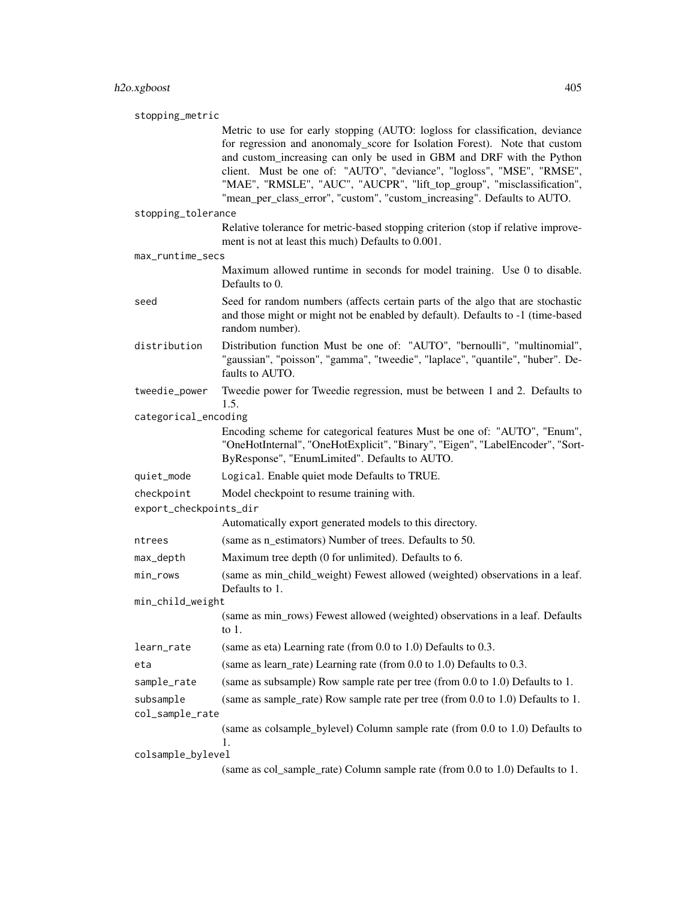stopping\_metric

Metric to use for early stopping (AUTO: logloss for classification, deviance for regression and anonomaly\_score for Isolation Forest). Note that custom and custom increasing can only be used in GBM and DRF with the Python client. Must be one of: "AUTO", "deviance", "logloss", "MSE", "RMSE", "MAE", "RMSLE", "AUC", "AUCPR", "lift\_top\_group", "misclassification", "mean\_per\_class\_error", "custom", "custom\_increasing". Defaults to AUTO.

stopping\_tolerance

Relative tolerance for metric-based stopping criterion (stop if relative improvement is not at least this much) Defaults to 0.001.

```
max_runtime_secs
```
Maximum allowed runtime in seconds for model training. Use 0 to disable. Defaults to 0.

- seed Seed for random numbers (affects certain parts of the algo that are stochastic and those might or might not be enabled by default). Defaults to -1 (time-based random number).
- distribution Distribution function Must be one of: "AUTO", "bernoulli", "multinomial", "gaussian", "poisson", "gamma", "tweedie", "laplace", "quantile", "huber". Defaults to AUTO.
- tweedie\_power Tweedie power for Tweedie regression, must be between 1 and 2. Defaults to 1.5.

categorical\_encoding

Encoding scheme for categorical features Must be one of: "AUTO", "Enum", "OneHotInternal", "OneHotExplicit", "Binary", "Eigen", "LabelEncoder", "Sort-ByResponse", "EnumLimited". Defaults to AUTO.

quiet\_mode Logical. Enable quiet mode Defaults to TRUE.

checkpoint Model checkpoint to resume training with.

export\_checkpoints\_dir

Automatically export generated models to this directory.

ntrees (same as n estimators) Number of trees. Defaults to 50.

- max\_depth Maximum tree depth (0 for unlimited). Defaults to 6.
- min\_rows (same as min\_child\_weight) Fewest allowed (weighted) observations in a leaf. Defaults to 1.

min\_child\_weight

```
(same as min_rows) Fewest allowed (weighted) observations in a leaf. Defaults
to 1.
```
learn\_rate (same as eta) Learning rate (from 0.0 to 1.0) Defaults to 0.3.

```
eta (same as learn_rate) Learning rate (from 0.0 to 1.0) Defaults to 0.3.
```
sample\_rate (same as subsample) Row sample rate per tree (from 0.0 to 1.0) Defaults to 1.

subsample (same as sample\_rate) Row sample rate per tree (from 0.0 to 1.0) Defaults to 1. col\_sample\_rate

(same as colsample\_bylevel) Column sample rate (from 0.0 to 1.0) Defaults to 1.

colsample\_bylevel

(same as col\_sample\_rate) Column sample rate (from 0.0 to 1.0) Defaults to 1.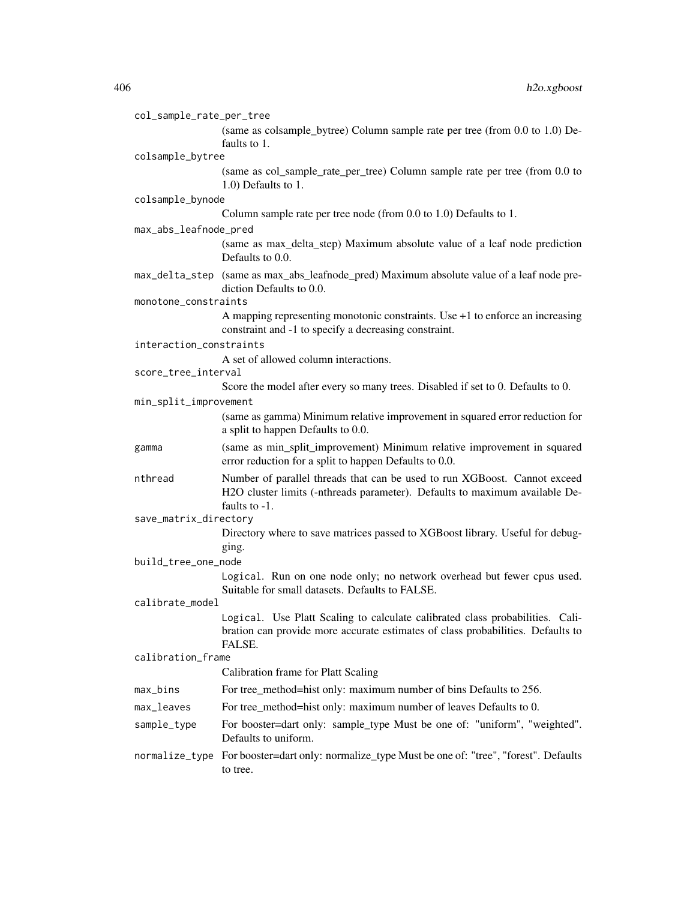| col_sample_rate_per_tree |                                                                                                                                                                            |  |  |
|--------------------------|----------------------------------------------------------------------------------------------------------------------------------------------------------------------------|--|--|
|                          | (same as colsample_bytree) Column sample rate per tree (from 0.0 to 1.0) De-<br>faults to 1.                                                                               |  |  |
| colsample_bytree         |                                                                                                                                                                            |  |  |
|                          | (same as col_sample_rate_per_tree) Column sample rate per tree (from 0.0 to<br>1.0) Defaults to 1.                                                                         |  |  |
| colsample_bynode         |                                                                                                                                                                            |  |  |
|                          | Column sample rate per tree node (from 0.0 to 1.0) Defaults to 1.                                                                                                          |  |  |
| max_abs_leafnode_pred    |                                                                                                                                                                            |  |  |
|                          | (same as max_delta_step) Maximum absolute value of a leaf node prediction<br>Defaults to 0.0.                                                                              |  |  |
|                          | max_delta_step (same as max_abs_leafnode_pred) Maximum absolute value of a leaf node pre-<br>diction Defaults to 0.0.                                                      |  |  |
| monotone_constraints     |                                                                                                                                                                            |  |  |
|                          | A mapping representing monotonic constraints. Use $+1$ to enforce an increasing<br>constraint and -1 to specify a decreasing constraint.                                   |  |  |
| interaction_constraints  |                                                                                                                                                                            |  |  |
|                          | A set of allowed column interactions.                                                                                                                                      |  |  |
| score_tree_interval      | Score the model after every so many trees. Disabled if set to 0. Defaults to 0.                                                                                            |  |  |
| min_split_improvement    |                                                                                                                                                                            |  |  |
|                          | (same as gamma) Minimum relative improvement in squared error reduction for                                                                                                |  |  |
|                          | a split to happen Defaults to 0.0.                                                                                                                                         |  |  |
| gamma                    | (same as min_split_improvement) Minimum relative improvement in squared<br>error reduction for a split to happen Defaults to 0.0.                                          |  |  |
| nthread                  | Number of parallel threads that can be used to run XGBoost. Cannot exceed<br>H2O cluster limits (-nthreads parameter). Defaults to maximum available De-                   |  |  |
| save_matrix_directory    | faults to $-1$ .                                                                                                                                                           |  |  |
|                          | Directory where to save matrices passed to XGBoost library. Useful for debug-                                                                                              |  |  |
|                          | ging.                                                                                                                                                                      |  |  |
| build_tree_one_node      |                                                                                                                                                                            |  |  |
|                          | Logical. Run on one node only; no network overhead but fewer cpus used.<br>Suitable for small datasets. Defaults to FALSE.                                                 |  |  |
| calibrate_model          |                                                                                                                                                                            |  |  |
|                          | Logical. Use Platt Scaling to calculate calibrated class probabilities. Cali-<br>bration can provide more accurate estimates of class probabilities. Defaults to<br>FALSE. |  |  |
|                          | calibration_frame                                                                                                                                                          |  |  |
|                          | Calibration frame for Platt Scaling                                                                                                                                        |  |  |
| max_bins                 | For tree_method=hist only: maximum number of bins Defaults to 256.                                                                                                         |  |  |
| max_leaves               | For tree_method=hist only: maximum number of leaves Defaults to 0.                                                                                                         |  |  |
| sample_type              | For booster=dart only: sample_type Must be one of: "uniform", "weighted".<br>Defaults to uniform.                                                                          |  |  |
|                          | normalize_type For booster=dart only: normalize_type Must be one of: "tree", "forest". Defaults<br>to tree.                                                                |  |  |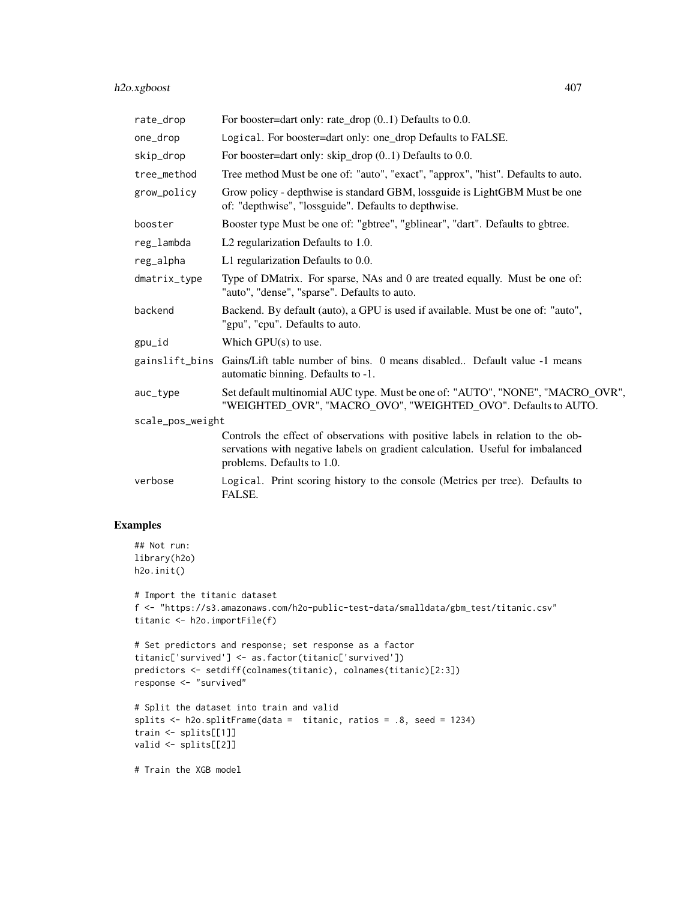| rate_drop        | For booster=dart only: rate_drop $(0.1)$ Defaults to 0.0.                                                                                                                                       |  |
|------------------|-------------------------------------------------------------------------------------------------------------------------------------------------------------------------------------------------|--|
| one_drop         | Logical. For booster=dart only: one_drop Defaults to FALSE.                                                                                                                                     |  |
| skip_drop        | For booster=dart only: skip_drop $(0.1)$ Defaults to 0.0.                                                                                                                                       |  |
| tree_method      | Tree method Must be one of: "auto", "exact", "approx", "hist". Defaults to auto.                                                                                                                |  |
| grow_policy      | Grow policy - depthwise is standard GBM, lossguide is LightGBM Must be one<br>of: "depthwise", "lossguide". Defaults to depthwise.                                                              |  |
| booster          | Booster type Must be one of: "gbtree", "gblinear", "dart". Defaults to gbtree.                                                                                                                  |  |
| reg_lambda       | L2 regularization Defaults to 1.0.                                                                                                                                                              |  |
| reg_alpha        | L1 regularization Defaults to 0.0.                                                                                                                                                              |  |
| dmatrix_type     | Type of DMatrix. For sparse, NAs and 0 are treated equally. Must be one of:<br>"auto", "dense", "sparse". Defaults to auto.                                                                     |  |
| backend          | Backend. By default (auto), a GPU is used if available. Must be one of: "auto",<br>"gpu", "cpu". Defaults to auto.                                                                              |  |
| gpu_id           | Which $GPU(s)$ to use.                                                                                                                                                                          |  |
|                  | gainslift_bins Gains/Lift table number of bins. 0 means disabled Default value -1 means<br>automatic binning. Defaults to -1.                                                                   |  |
| auc_type         | Set default multinomial AUC type. Must be one of: "AUTO", "NONE", "MACRO_OVR",<br>"WEIGHTED_OVR", "MACRO_OVO", "WEIGHTED_OVO". Defaults to AUTO.                                                |  |
| scale_pos_weight |                                                                                                                                                                                                 |  |
|                  | Controls the effect of observations with positive labels in relation to the ob-<br>servations with negative labels on gradient calculation. Useful for imbalanced<br>problems. Defaults to 1.0. |  |
| verbose          | Logical. Print scoring history to the console (Metrics per tree). Defaults to<br>FALSE.                                                                                                         |  |

# Examples

```
## Not run:
library(h2o)
h2o.init()
```

```
# Import the titanic dataset
f <- "https://s3.amazonaws.com/h2o-public-test-data/smalldata/gbm_test/titanic.csv"
titanic <- h2o.importFile(f)
```

```
# Set predictors and response; set response as a factor
titanic['survived'] <- as.factor(titanic['survived'])
predictors <- setdiff(colnames(titanic), colnames(titanic)[2:3])
response <- "survived"
```

```
# Split the dataset into train and valid
splits <- h2o.splitFrame(data = titanic, ratios = .8, seed = 1234)
train <- splits[[1]]
valid <- splits[[2]]
```
# Train the XGB model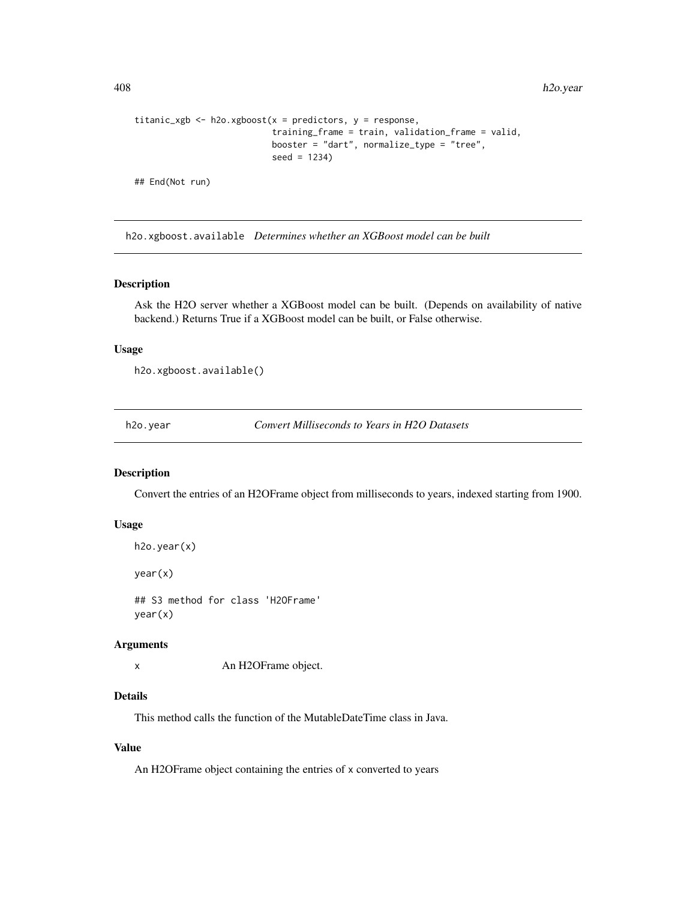```
titanic_xgb <- h2o.xgboost(x = predictors, y = response,
                           training_frame = train, validation_frame = valid,
                           booster = "dart", normalize_type = "tree",
                           seed = 1234)
## End(Not run)
```
h2o.xgboost.available *Determines whether an XGBoost model can be built*

## Description

Ask the H2O server whether a XGBoost model can be built. (Depends on availability of native backend.) Returns True if a XGBoost model can be built, or False otherwise.

## Usage

```
h2o.xgboost.available()
```
h2o.year *Convert Milliseconds to Years in H2O Datasets*

## Description

Convert the entries of an H2OFrame object from milliseconds to years, indexed starting from 1900.

#### Usage

```
h2o.year(x)
```
year(x)

## S3 method for class 'H2OFrame' year(x)

#### Arguments

x An H2OFrame object.

#### Details

This method calls the function of the MutableDateTime class in Java.

## Value

An H2OFrame object containing the entries of x converted to years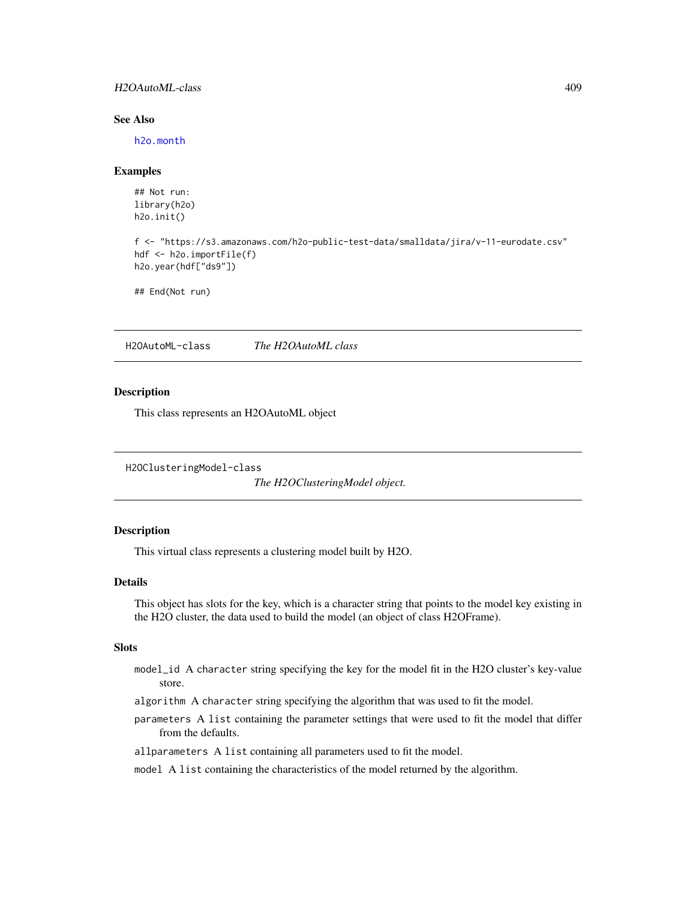## H2OAutoML-class 409

## See Also

[h2o.month](#page-263-0)

#### Examples

## Not run: library(h2o) h2o.init()

```
f <- "https://s3.amazonaws.com/h2o-public-test-data/smalldata/jira/v-11-eurodate.csv"
hdf <- h2o.importFile(f)
h2o.year(hdf["ds9"])
```
## End(Not run)

<span id="page-408-1"></span>H2OAutoML-class *The H2OAutoML class*

#### Description

This class represents an H2OAutoML object

<span id="page-408-0"></span>H2OClusteringModel-class

*The H2OClusteringModel object.*

## Description

This virtual class represents a clustering model built by H2O.

## Details

This object has slots for the key, which is a character string that points to the model key existing in the H2O cluster, the data used to build the model (an object of class H2OFrame).

#### **Slots**

- model\_id A character string specifying the key for the model fit in the H2O cluster's key-value store.
- algorithm A character string specifying the algorithm that was used to fit the model.
- parameters A list containing the parameter settings that were used to fit the model that differ from the defaults.

allparameters A list containing all parameters used to fit the model.

model A list containing the characteristics of the model returned by the algorithm.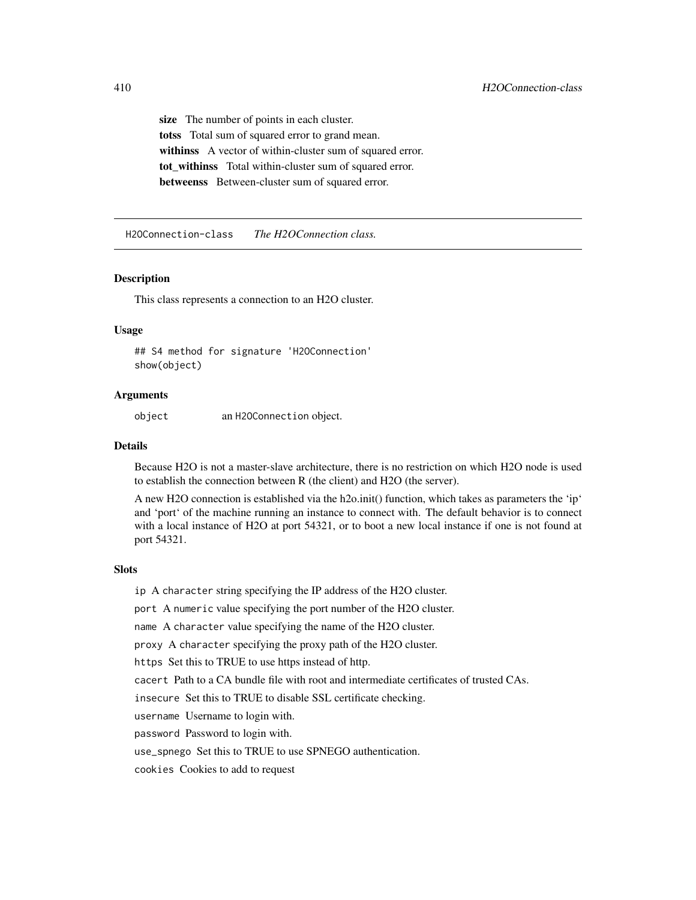size The number of points in each cluster. totss Total sum of squared error to grand mean. withinss A vector of within-cluster sum of squared error. tot\_withinss Total within-cluster sum of squared error. betweenss Between-cluster sum of squared error.

H2OConnection-class *The H2OConnection class.*

#### Description

This class represents a connection to an H2O cluster.

## Usage

## S4 method for signature 'H2OConnection' show(object)

#### Arguments

object an H2OConnection object.

#### Details

Because H2O is not a master-slave architecture, there is no restriction on which H2O node is used to establish the connection between R (the client) and H2O (the server).

A new H2O connection is established via the h2o.init() function, which takes as parameters the 'ip' and 'port' of the machine running an instance to connect with. The default behavior is to connect with a local instance of H2O at port 54321, or to boot a new local instance if one is not found at port 54321.

#### Slots

ip A character string specifying the IP address of the H2O cluster.

port A numeric value specifying the port number of the H2O cluster.

name A character value specifying the name of the H2O cluster.

proxy A character specifying the proxy path of the H2O cluster.

https Set this to TRUE to use https instead of http.

cacert Path to a CA bundle file with root and intermediate certificates of trusted CAs.

insecure Set this to TRUE to disable SSL certificate checking.

username Username to login with.

password Password to login with.

use\_spnego Set this to TRUE to use SPNEGO authentication.

cookies Cookies to add to request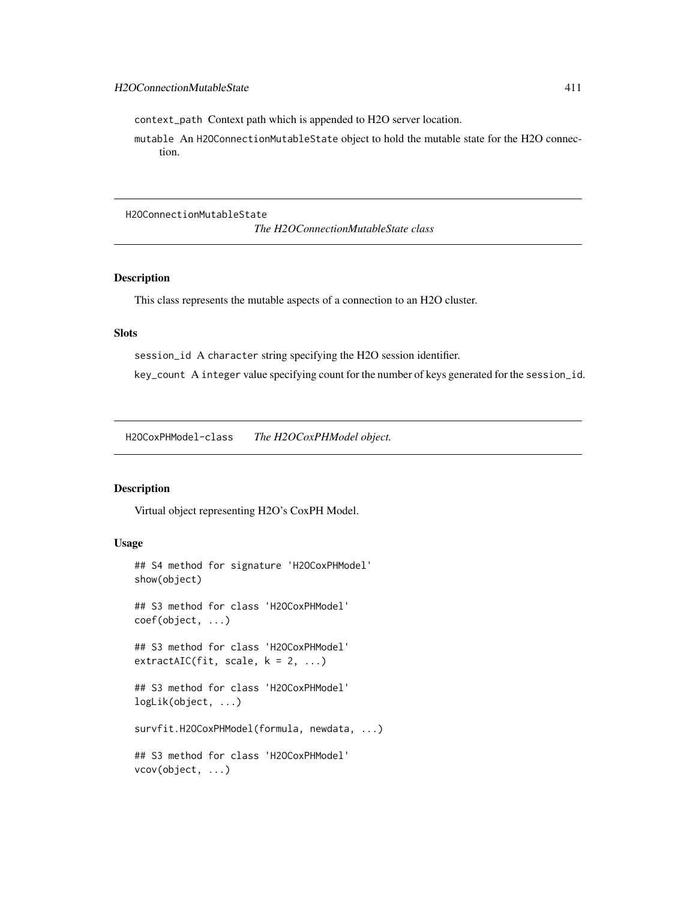context\_path Context path which is appended to H2O server location.

mutable An H2OConnectionMutableState object to hold the mutable state for the H2O connection.

H2OConnectionMutableState

*The H2OConnectionMutableState class*

## Description

This class represents the mutable aspects of a connection to an H2O cluster.

#### Slots

session\_id A character string specifying the H2O session identifier.

key\_count A integer value specifying count for the number of keys generated for the session\_id.

H2OCoxPHModel-class *The H2OCoxPHModel object.*

## Description

Virtual object representing H2O's CoxPH Model.

# Usage

```
## S4 method for signature 'H2OCoxPHModel'
show(object)
## S3 method for class 'H2OCoxPHModel'
coef(object, ...)
## S3 method for class 'H2OCoxPHModel'
extractAIC(fit, scale, k = 2, ...)## S3 method for class 'H2OCoxPHModel'
logLik(object, ...)
survfit.H2OCoxPHModel(formula, newdata, ...)
## S3 method for class 'H2OCoxPHModel'
vcov(object, ...)
```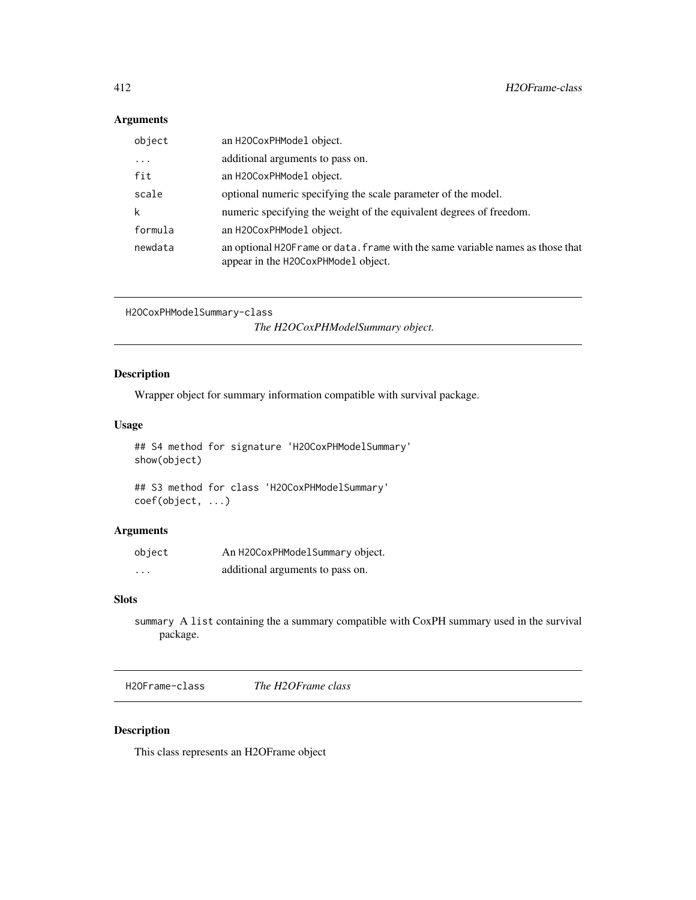# Arguments

| object  | an H20CoxPHModel object.                                                                                               |
|---------|------------------------------------------------------------------------------------------------------------------------|
| .       | additional arguments to pass on.                                                                                       |
| fit     | an H20CoxPHModel object.                                                                                               |
| scale   | optional numeric specifying the scale parameter of the model.                                                          |
| k       | numeric specifying the weight of the equivalent degrees of freedom.                                                    |
| formula | an H20CoxPHModel object.                                                                                               |
| newdata | an optional H2OF rame or data. frame with the same variable names as those that<br>appear in the H2OCoxPHModel object. |

```
H2OCoxPHModelSummary-class
```
*The H2OCoxPHModelSummary object.*

# Description

Wrapper object for summary information compatible with survival package.

## Usage

## S4 method for signature 'H2OCoxPHModelSummary' show(object)

## S3 method for class 'H2OCoxPHModelSummary' coef(object, ...)

# Arguments

| object   | An H2OCoxPHModelSummary object.  |
|----------|----------------------------------|
| $\cdots$ | additional arguments to pass on. |

# Slots

summary A list containing the a summary compatible with CoxPH summary used in the survival package.

H2OFrame-class *The H2OFrame class*

# Description

This class represents an H2OFrame object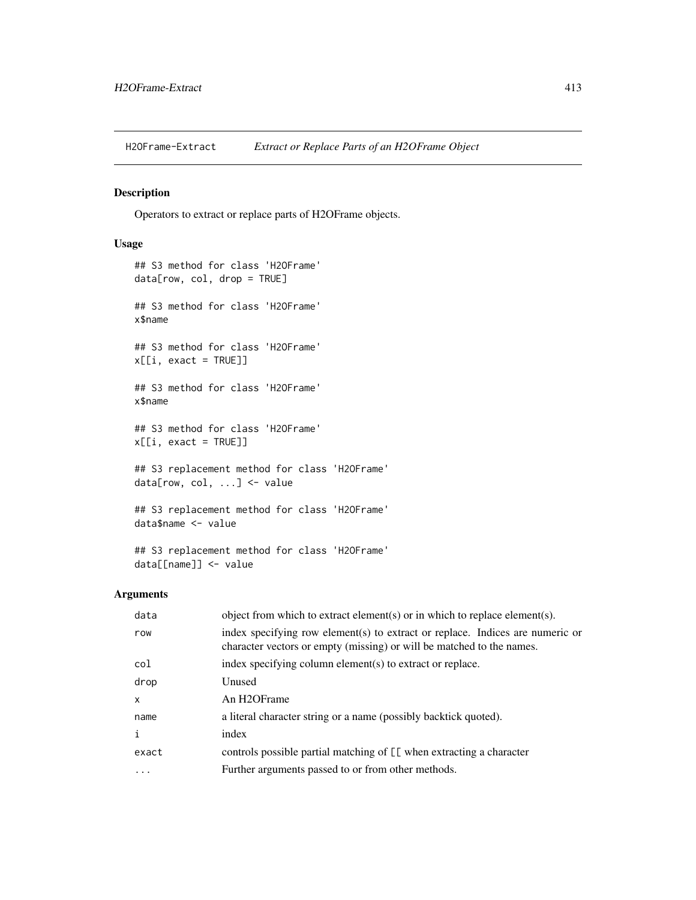H2OFrame-Extract *Extract or Replace Parts of an H2OFrame Object*

# Description

Operators to extract or replace parts of H2OFrame objects.

# Usage

```
## S3 method for class 'H2OFrame'
data[row, col, drop = TRUE]
## S3 method for class 'H2OFrame'
x$name
## S3 method for class 'H2OFrame'
x[[i, exact = TRUE]]
## S3 method for class 'H2OFrame'
x$name
## S3 method for class 'H2OFrame'
x[[i, exact = TRUE]]
## S3 replacement method for class 'H2OFrame'
data[row, col, ...] <- value
## S3 replacement method for class 'H2OFrame'
data$name <- value
## S3 replacement method for class 'H2OFrame'
```
# Arguments

data[[name]] <- value

| data  | object from which to extract element(s) or in which to replace element(s).                                                                             |
|-------|--------------------------------------------------------------------------------------------------------------------------------------------------------|
| row   | index specifying row element(s) to extract or replace. Indices are numeric or<br>character vectors or empty (missing) or will be matched to the names. |
| col   | index specifying column element(s) to extract or replace.                                                                                              |
| drop  | Unused                                                                                                                                                 |
| X     | An H <sub>2</sub> OFrame                                                                                                                               |
| name  | a literal character string or a name (possibly backtick quoted).                                                                                       |
| i     | index                                                                                                                                                  |
| exact | controls possible partial matching of [[ when extracting a character                                                                                   |
| .     | Further arguments passed to or from other methods.                                                                                                     |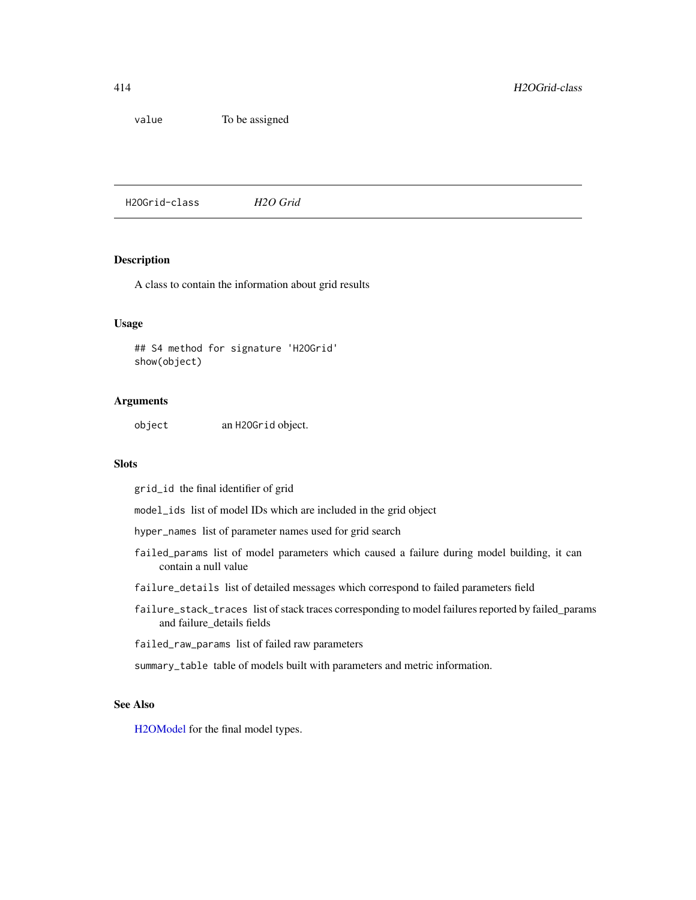value To be assigned

H2OGrid-class *H2O Grid*

# Description

A class to contain the information about grid results

#### Usage

## S4 method for signature 'H2OGrid' show(object)

#### Arguments

object an H2OGrid object.

# Slots

grid\_id the final identifier of grid

model\_ids list of model IDs which are included in the grid object

- hyper\_names list of parameter names used for grid search
- failed\_params list of model parameters which caused a failure during model building, it can contain a null value
- failure\_details list of detailed messages which correspond to failed parameters field
- failure\_stack\_traces list of stack traces corresponding to model failures reported by failed\_params and failure\_details fields

failed\_raw\_params list of failed raw parameters

summary\_table table of models built with parameters and metric information.

# See Also

[H2OModel](#page-415-0) for the final model types.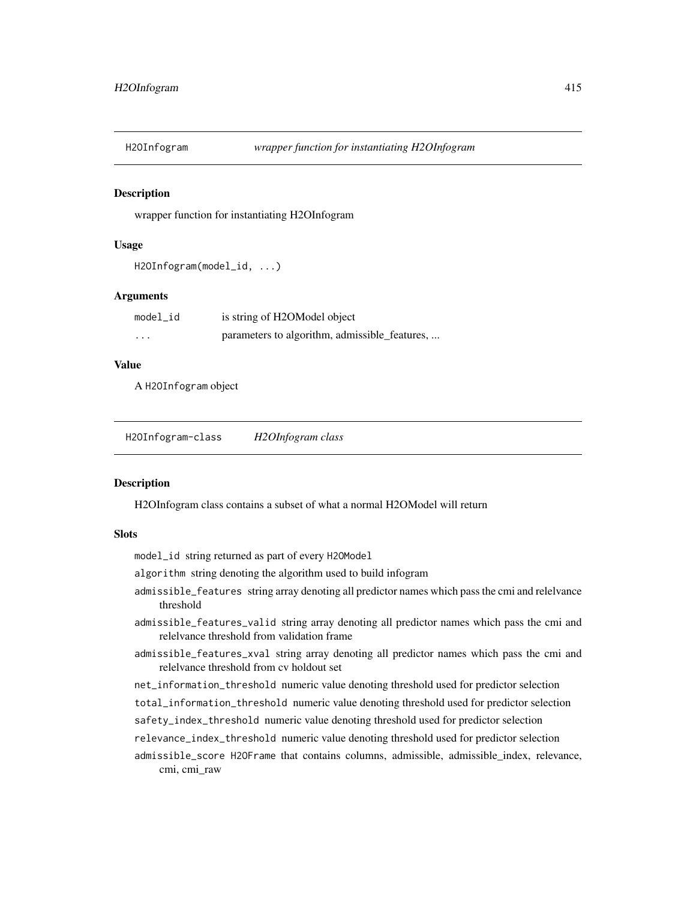#### Description

wrapper function for instantiating H2OInfogram

#### Usage

```
H2OInfogram(model_id, ...)
```
#### Arguments

| model id | is string of H2OModel object                  |
|----------|-----------------------------------------------|
| .        | parameters to algorithm, admissible_features, |

# Value

A H2OInfogram object

<span id="page-414-0"></span>H2OInfogram-class *H2OInfogram class*

#### Description

H2OInfogram class contains a subset of what a normal H2OModel will return

#### **Slots**

model\_id string returned as part of every H2OModel

algorithm string denoting the algorithm used to build infogram

- admissible\_features string array denoting all predictor names which pass the cmi and relelvance threshold
- admissible\_features\_valid string array denoting all predictor names which pass the cmi and relelvance threshold from validation frame
- admissible\_features\_xval string array denoting all predictor names which pass the cmi and relelvance threshold from cv holdout set
- net\_information\_threshold numeric value denoting threshold used for predictor selection

total\_information\_threshold numeric value denoting threshold used for predictor selection

- safety\_index\_threshold numeric value denoting threshold used for predictor selection
- relevance\_index\_threshold numeric value denoting threshold used for predictor selection
- admissible\_score H2OFrame that contains columns, admissible, admissible\_index, relevance, cmi, cmi\_raw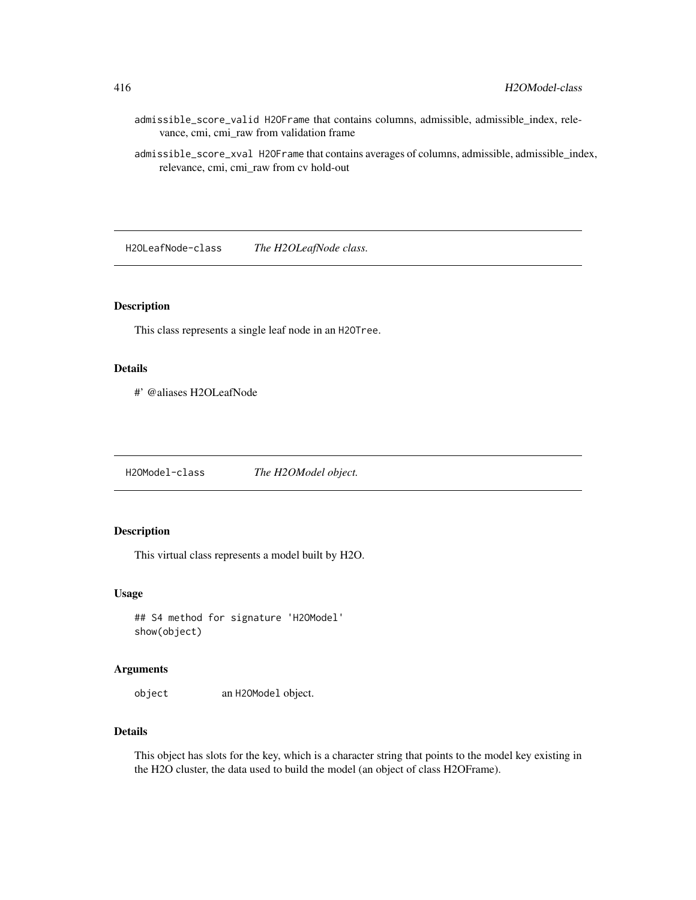- admissible\_score\_valid H2OFrame that contains columns, admissible, admissible\_index, relevance, cmi, cmi\_raw from validation frame
- admissible\_score\_xval H2OFrame that contains averages of columns, admissible, admissible\_index, relevance, cmi, cmi\_raw from cv hold-out

H2OLeafNode-class *The H2OLeafNode class.*

## Description

This class represents a single leaf node in an H2OTree.

## Details

#' @aliases H2OLeafNode

<span id="page-415-0"></span>H2OModel-class *The H2OModel object.*

## Description

This virtual class represents a model built by H2O.

#### Usage

## S4 method for signature 'H2OModel' show(object)

## Arguments

object an H2OModel object.

## Details

This object has slots for the key, which is a character string that points to the model key existing in the H2O cluster, the data used to build the model (an object of class H2OFrame).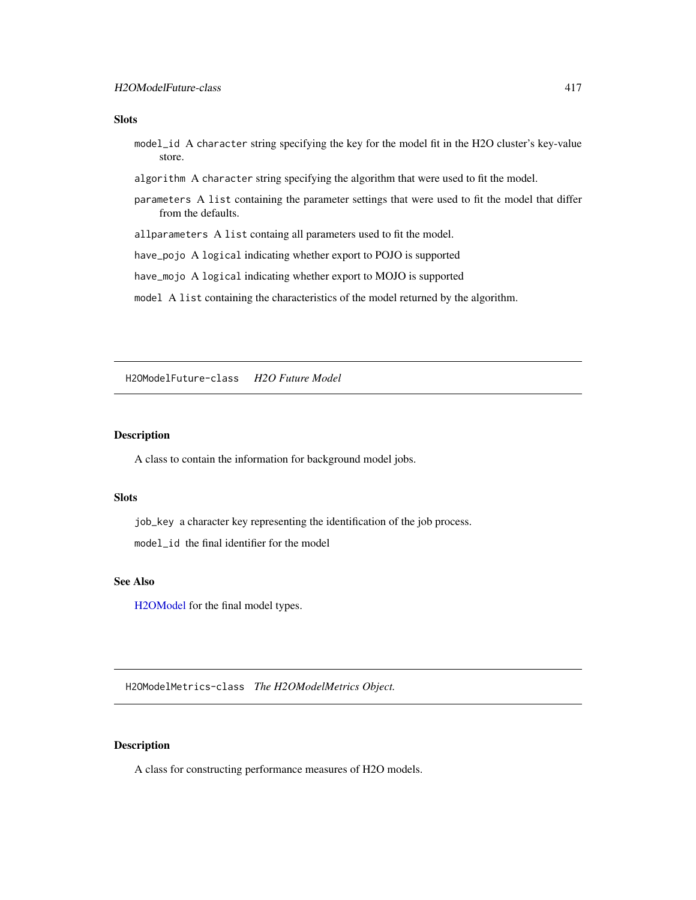#### Slots

- model\_id A character string specifying the key for the model fit in the H2O cluster's key-value store.
- algorithm A character string specifying the algorithm that were used to fit the model.
- parameters A list containing the parameter settings that were used to fit the model that differ from the defaults.
- allparameters A list containg all parameters used to fit the model.
- have\_pojo A logical indicating whether export to POJO is supported
- have\_mojo A logical indicating whether export to MOJO is supported
- model A list containing the characteristics of the model returned by the algorithm.

H2OModelFuture-class *H2O Future Model*

#### Description

A class to contain the information for background model jobs.

#### **Slots**

job\_key a character key representing the identification of the job process. model\_id the final identifier for the model

# See Also

[H2OModel](#page-415-0) for the final model types.

<span id="page-416-0"></span>H2OModelMetrics-class *The H2OModelMetrics Object.*

# Description

A class for constructing performance measures of H2O models.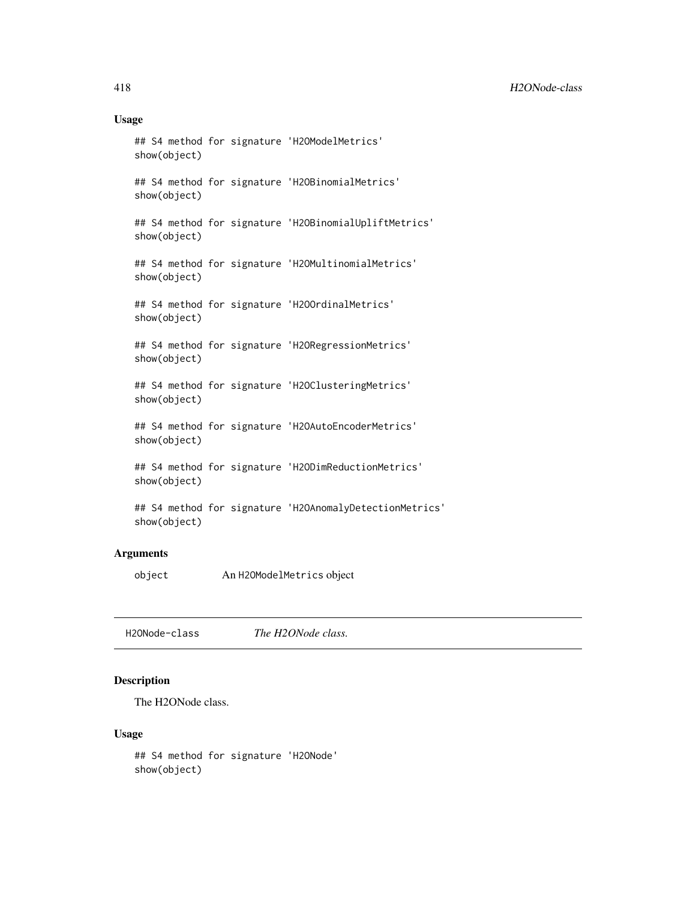## Usage

```
## S4 method for signature 'H2OModelMetrics'
show(object)
## S4 method for signature 'H2OBinomialMetrics'
show(object)
## S4 method for signature 'H2OBinomialUpliftMetrics'
show(object)
## S4 method for signature 'H2OMultinomialMetrics'
show(object)
## S4 method for signature 'H2OOrdinalMetrics'
show(object)
## S4 method for signature 'H2ORegressionMetrics'
show(object)
## S4 method for signature 'H2OClusteringMetrics'
show(object)
## S4 method for signature 'H2OAutoEncoderMetrics'
show(object)
## S4 method for signature 'H2ODimReductionMetrics'
show(object)
## S4 method for signature 'H2OAnomalyDetectionMetrics'
show(object)
```
# Arguments

object An H2OModelMetrics object

H2ONode-class *The H2ONode class.*

# Description

The H2ONode class.

## Usage

```
## S4 method for signature 'H2ONode'
show(object)
```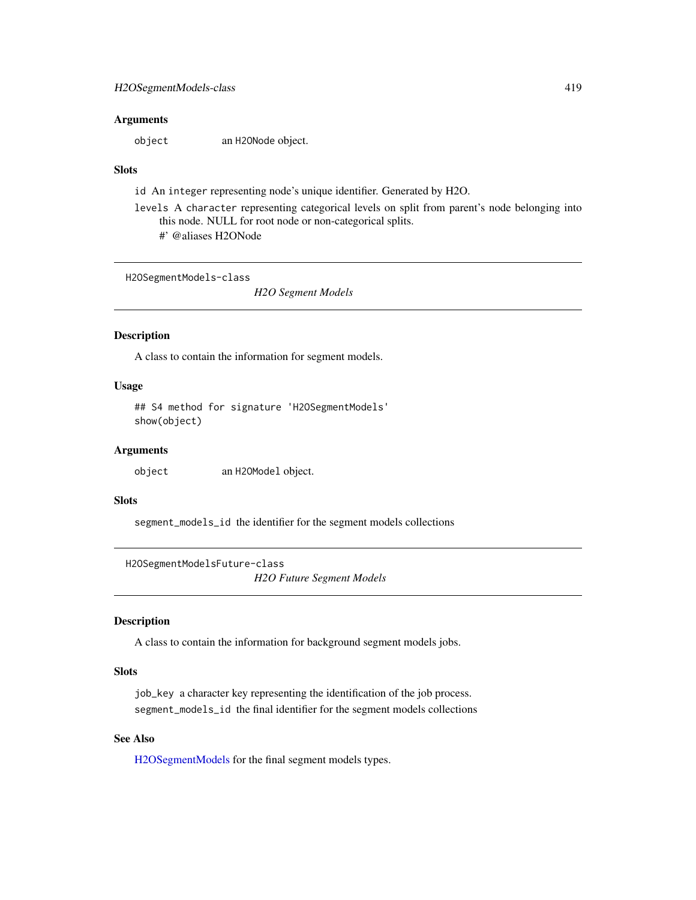#### **Arguments**

object an H2ONode object.

## Slots

id An integer representing node's unique identifier. Generated by H2O.

- levels A character representing categorical levels on split from parent's node belonging into this node. NULL for root node or non-categorical splits.
	- #' @aliases H2ONode

<span id="page-418-0"></span>H2OSegmentModels-class

*H2O Segment Models*

#### Description

A class to contain the information for segment models.

## Usage

## S4 method for signature 'H2OSegmentModels' show(object)

# Arguments

object an H2OModel object.

## Slots

segment\_models\_id the identifier for the segment models collections

H2OSegmentModelsFuture-class *H2O Future Segment Models*

#### Description

A class to contain the information for background segment models jobs.

## Slots

job\_key a character key representing the identification of the job process. segment\_models\_id the final identifier for the segment models collections

# See Also

[H2OSegmentModels](#page-418-0) for the final segment models types.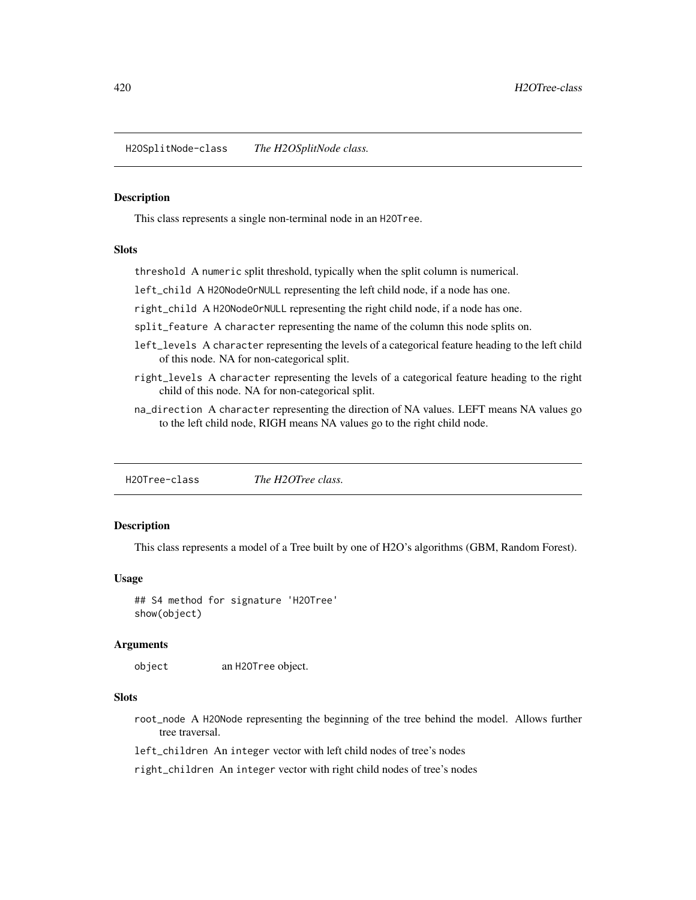H2OSplitNode-class *The H2OSplitNode class.*

#### Description

This class represents a single non-terminal node in an H2OTree.

# Slots

threshold A numeric split threshold, typically when the split column is numerical.

left\_child A H2ONodeOrNULL representing the left child node, if a node has one.

right\_child A H2ONodeOrNULL representing the right child node, if a node has one.

split\_feature A character representing the name of the column this node splits on.

- left\_levels A character representing the levels of a categorical feature heading to the left child of this node. NA for non-categorical split.
- right\_levels A character representing the levels of a categorical feature heading to the right child of this node. NA for non-categorical split.
- na\_direction A character representing the direction of NA values. LEFT means NA values go to the left child node, RIGH means NA values go to the right child node.

H2OTree-class *The H2OTree class.*

# Description

This class represents a model of a Tree built by one of H2O's algorithms (GBM, Random Forest).

#### Usage

## S4 method for signature 'H2OTree' show(object)

#### Arguments

object an H2OTree object.

## Slots

root\_node A H2ONode representing the beginning of the tree behind the model. Allows further tree traversal.

left\_children An integer vector with left child nodes of tree's nodes

right\_children An integer vector with right child nodes of tree's nodes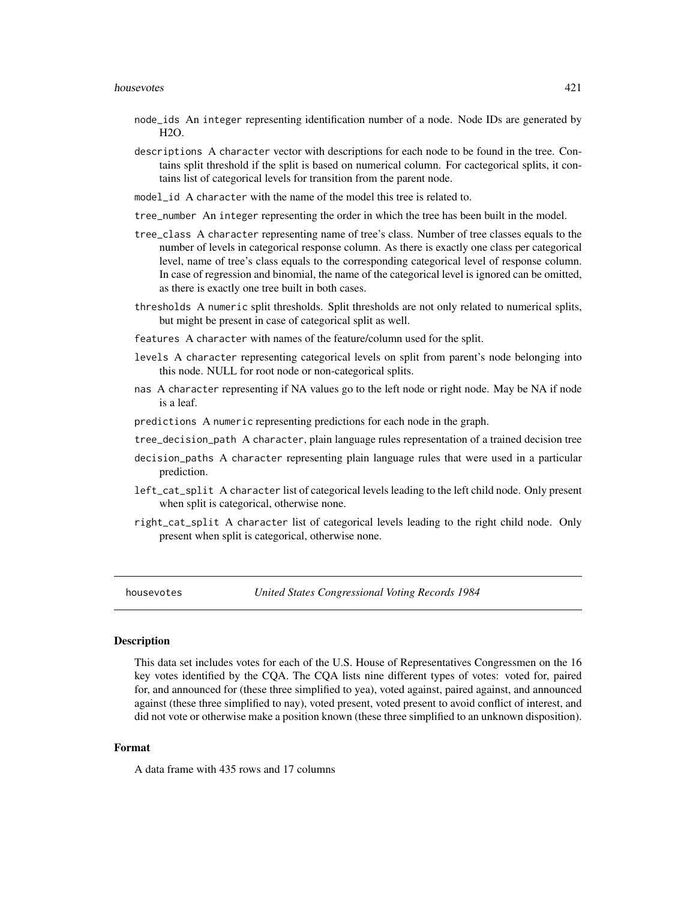- node\_ids An integer representing identification number of a node. Node IDs are generated by H2O.
- descriptions A character vector with descriptions for each node to be found in the tree. Contains split threshold if the split is based on numerical column. For cactegorical splits, it contains list of categorical levels for transition from the parent node.
- model\_id A character with the name of the model this tree is related to.
- tree\_number An integer representing the order in which the tree has been built in the model.
- tree\_class A character representing name of tree's class. Number of tree classes equals to the number of levels in categorical response column. As there is exactly one class per categorical level, name of tree's class equals to the corresponding categorical level of response column. In case of regression and binomial, the name of the categorical level is ignored can be omitted, as there is exactly one tree built in both cases.
- thresholds A numeric split thresholds. Split thresholds are not only related to numerical splits, but might be present in case of categorical split as well.
- features A character with names of the feature/column used for the split.
- levels A character representing categorical levels on split from parent's node belonging into this node. NULL for root node or non-categorical splits.
- nas A character representing if NA values go to the left node or right node. May be NA if node is a leaf.
- predictions A numeric representing predictions for each node in the graph.
- tree\_decision\_path A character, plain language rules representation of a trained decision tree
- decision\_paths A character representing plain language rules that were used in a particular prediction.
- left\_cat\_split A character list of categorical levels leading to the left child node. Only present when split is categorical, otherwise none.
- right\_cat\_split A character list of categorical levels leading to the right child node. Only present when split is categorical, otherwise none.

housevotes *United States Congressional Voting Records 1984*

#### **Description**

This data set includes votes for each of the U.S. House of Representatives Congressmen on the 16 key votes identified by the CQA. The CQA lists nine different types of votes: voted for, paired for, and announced for (these three simplified to yea), voted against, paired against, and announced against (these three simplified to nay), voted present, voted present to avoid conflict of interest, and did not vote or otherwise make a position known (these three simplified to an unknown disposition).

## Format

A data frame with 435 rows and 17 columns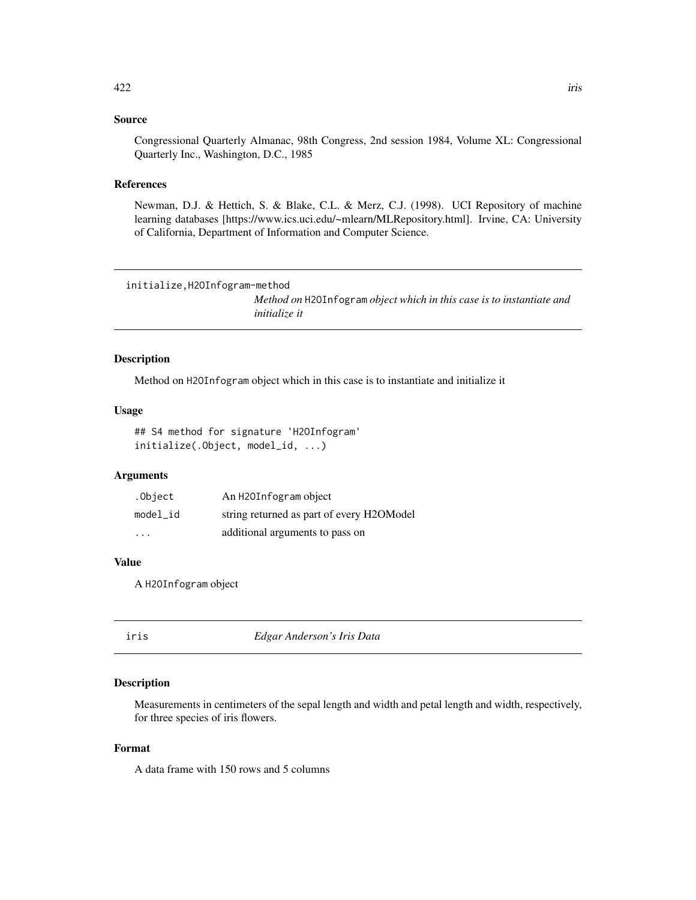## Source

Congressional Quarterly Almanac, 98th Congress, 2nd session 1984, Volume XL: Congressional Quarterly Inc., Washington, D.C., 1985

#### References

Newman, D.J. & Hettich, S. & Blake, C.L. & Merz, C.J. (1998). UCI Repository of machine learning databases [https://www.ics.uci.edu/~mlearn/MLRepository.html]. Irvine, CA: University of California, Department of Information and Computer Science.

```
initialize,H2OInfogram-method
```
*Method on* H2OInfogram *object which in this case is to instantiate and initialize it*

#### Description

Method on H2OInfogram object which in this case is to instantiate and initialize it

#### Usage

## S4 method for signature 'H2OInfogram' initialize(.Object, model\_id, ...)

## Arguments

| .Object  | An H2OInfogram object                     |
|----------|-------------------------------------------|
| model id | string returned as part of every H2OModel |
| .        | additional arguments to pass on           |

# Value

A H2OInfogram object

| ۰. |  |
|----|--|
|    |  |

iris *Edgar Anderson's Iris Data*

#### Description

Measurements in centimeters of the sepal length and width and petal length and width, respectively, for three species of iris flowers.

## Format

A data frame with 150 rows and 5 columns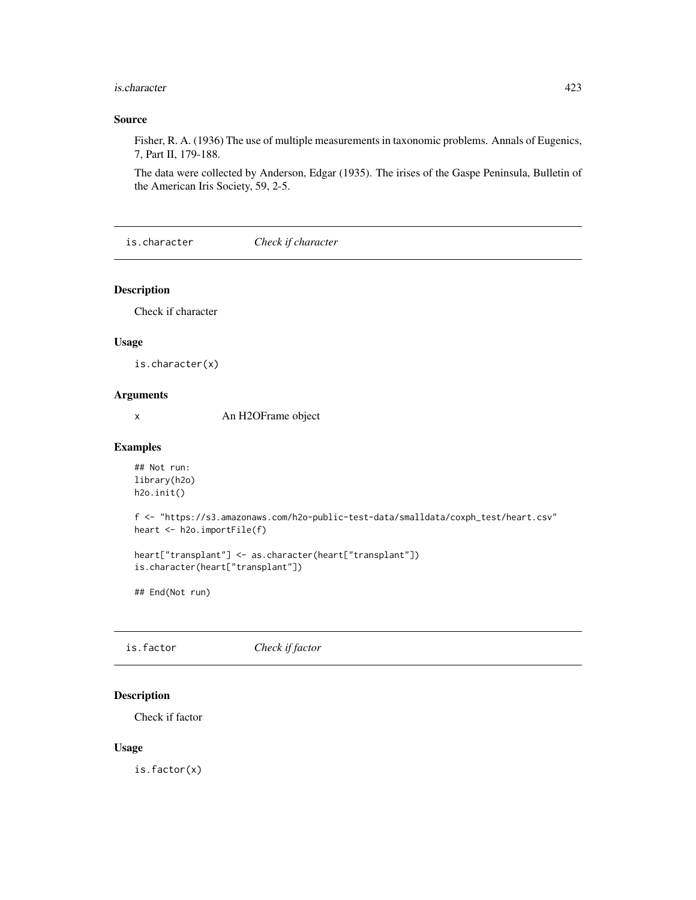#### is.character 423

## Source

Fisher, R. A. (1936) The use of multiple measurements in taxonomic problems. Annals of Eugenics, 7, Part II, 179-188.

The data were collected by Anderson, Edgar (1935). The irises of the Gaspe Peninsula, Bulletin of the American Iris Society, 59, 2-5.

is.character *Check if character*

#### Description

Check if character

#### Usage

is.character(x)

# Arguments

x An H2OFrame object

#### Examples

```
## Not run:
library(h2o)
h2o.init()
```
f <- "https://s3.amazonaws.com/h2o-public-test-data/smalldata/coxph\_test/heart.csv" heart <- h2o.importFile(f)

```
heart["transplant"] <- as.character(heart["transplant"])
is.character(heart["transplant"])
```
## End(Not run)

is.factor *Check if factor*

## Description

Check if factor

#### Usage

is.factor(x)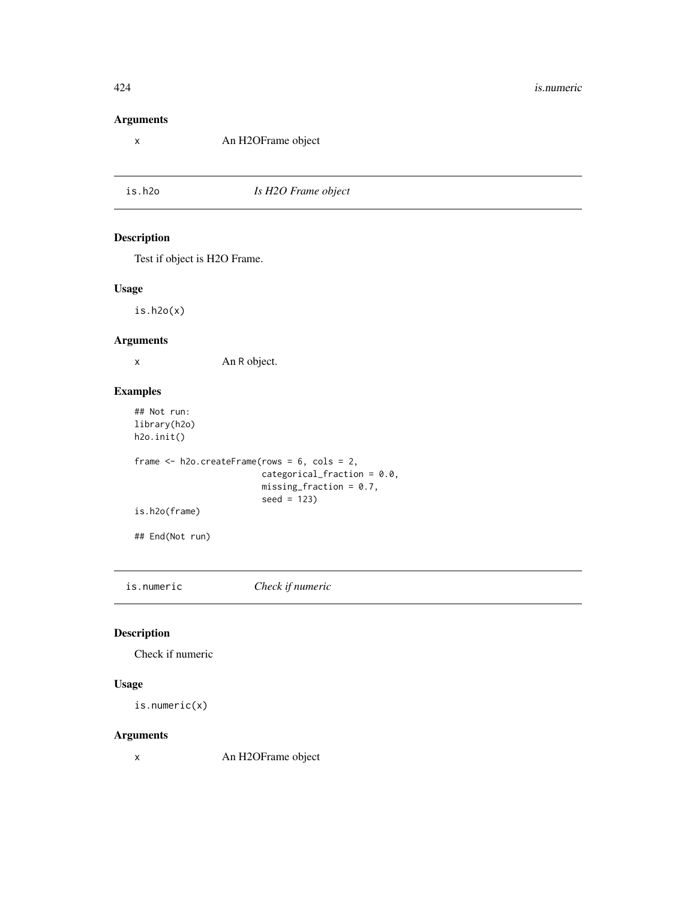# Arguments

x An H2OFrame object

is.h2o *Is H2O Frame object*

# Description

Test if object is H2O Frame.

## Usage

is.h2o(x)

# Arguments

x An R object.

# Examples

```
## Not run:
library(h2o)
h2o.init()
frame <- h2o.createFrame(rows = 6, cols = 2,
                         categorical_fraction = 0.0,
                         missing_fraction = 0.7,
                         seed = 123)
is.h2o(frame)
## End(Not run)
```
is.numeric *Check if numeric*

# Description

Check if numeric

#### Usage

```
is.numeric(x)
```
## Arguments

x An H2OFrame object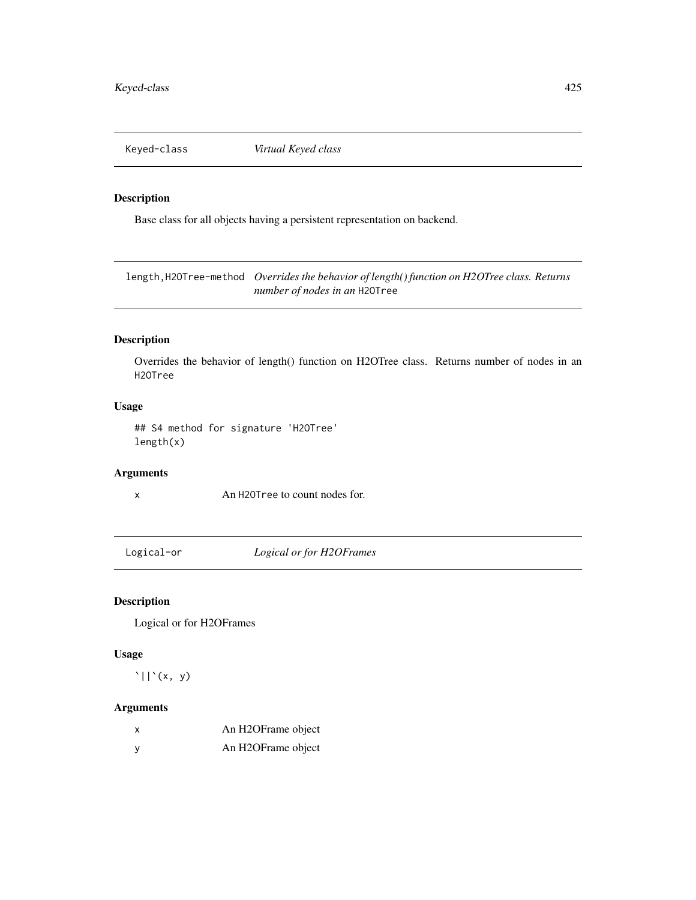Keyed-class *Virtual Keyed class*

# Description

Base class for all objects having a persistent representation on backend.

length,H2OTree-method *Overrides the behavior of length() function on H2OTree class. Returns number of nodes in an* H2OTree

# Description

Overrides the behavior of length() function on H2OTree class. Returns number of nodes in an H2OTree

# Usage

## S4 method for signature 'H2OTree' length(x)

# Arguments

x An H2OTree to count nodes for.

Logical-or *Logical or for H2OFrames*

# Description

Logical or for H2OFrames

#### Usage

 $'\vert\vert'(x, y)$ 

# Arguments

| x | An H2OFrame object              |
|---|---------------------------------|
| ٧ | An H <sub>2</sub> OFrame object |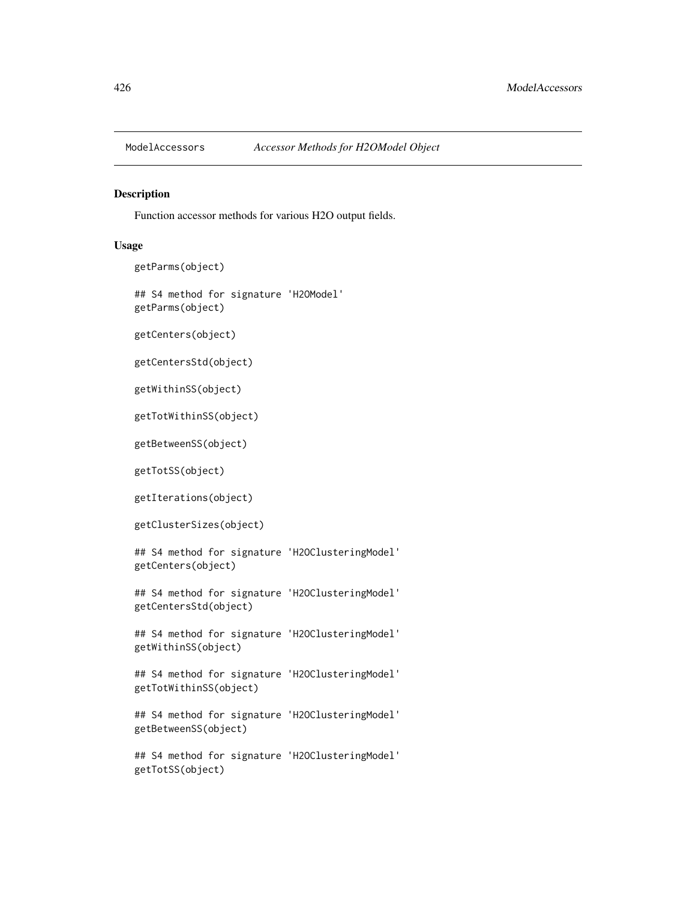#### Description

Function accessor methods for various H2O output fields.

#### Usage

```
getParms(object)
```

```
## S4 method for signature 'H2OModel'
getParms(object)
```
getCenters(object)

getCentersStd(object)

getWithinSS(object)

getTotWithinSS(object)

getBetweenSS(object)

getTotSS(object)

getIterations(object)

getClusterSizes(object)

## S4 method for signature 'H2OClusteringModel' getCenters(object)

## S4 method for signature 'H2OClusteringModel' getCentersStd(object)

## S4 method for signature 'H2OClusteringModel' getWithinSS(object)

## S4 method for signature 'H2OClusteringModel' getTotWithinSS(object)

## S4 method for signature 'H2OClusteringModel' getBetweenSS(object)

## S4 method for signature 'H2OClusteringModel' getTotSS(object)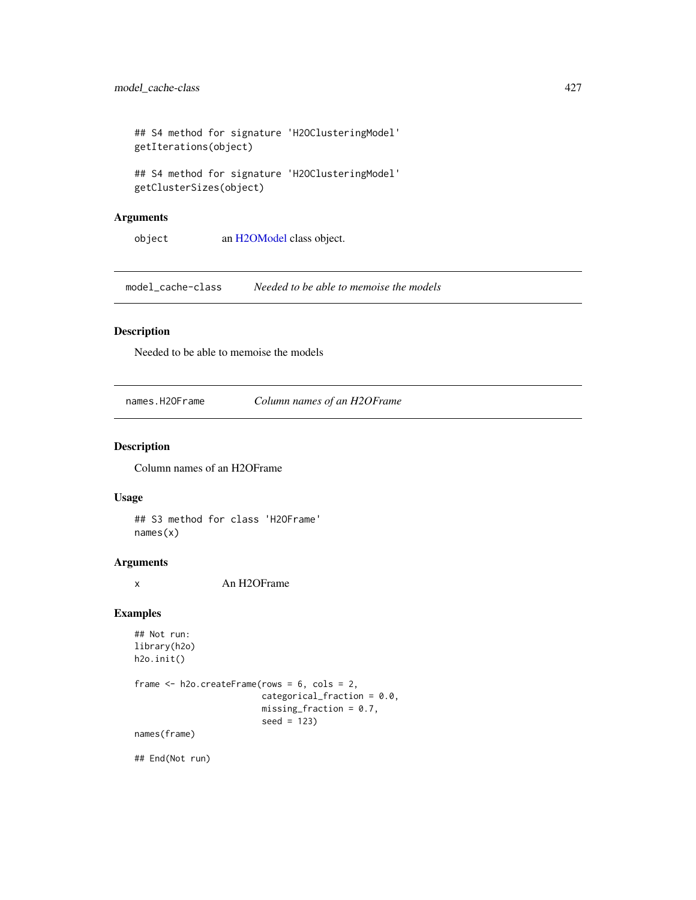```
## S4 method for signature 'H2OClusteringModel'
getIterations(object)
## S4 method for signature 'H2OClusteringModel'
```
getClusterSizes(object)

# Arguments

object an [H2OModel](#page-415-0) class object.

model\_cache-class *Needed to be able to memoise the models*

# Description

Needed to be able to memoise the models

names.H2OFrame *Column names of an H2OFrame*

### Description

Column names of an H2OFrame

#### Usage

## S3 method for class 'H2OFrame' names(x)

# Arguments

x An H2OFrame

## Examples

```
## Not run:
library(h2o)
h2o.init()
frame <- h2o.createFrame(rows = 6, cols = 2,
                         categorical_fraction = 0.0,
                         missing\_fraction = 0.7,
                         seed = 123)
names(frame)
```
## End(Not run)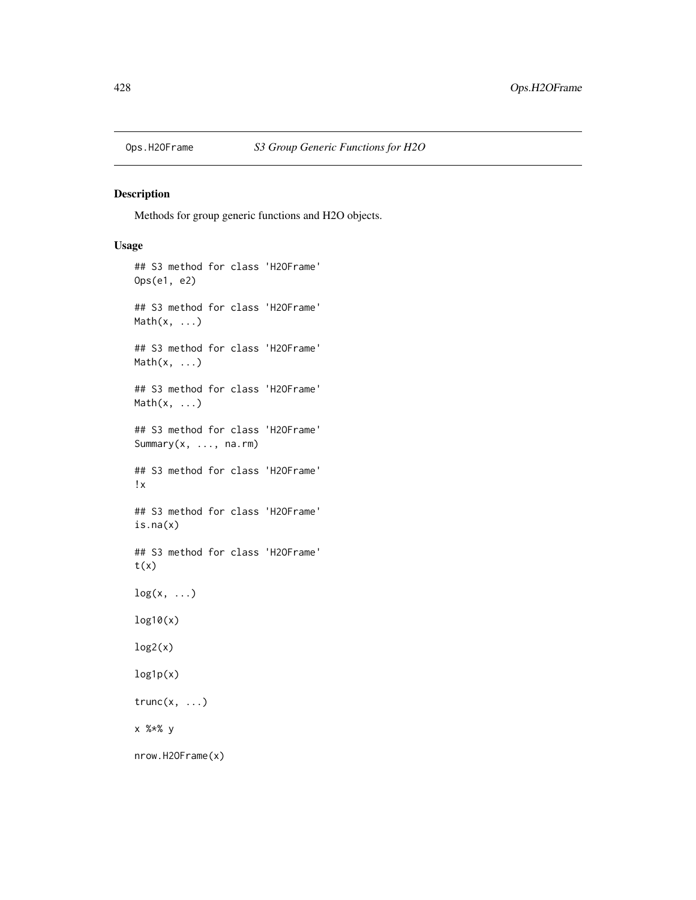## Description

Methods for group generic functions and H2O objects.

# Usage

```
## S3 method for class 'H2OFrame'
Ops(e1, e2)
## S3 method for class 'H2OFrame'
Math(x, \ldots)## S3 method for class 'H2OFrame'
Math(x, ...)
## S3 method for class 'H2OFrame'
Math(x, ...)
## S3 method for class 'H2OFrame'
Summary(x, ..., na.rm)
## S3 method for class 'H2OFrame'
!x
## S3 method for class 'H2OFrame'
is.na(x)
## S3 method for class 'H2OFrame'
t(x)log(x, \ldots)log10(x)
log2(x)log1p(x)
trunc(x, \ldots)x %*% y
nrow.H2OFrame(x)
```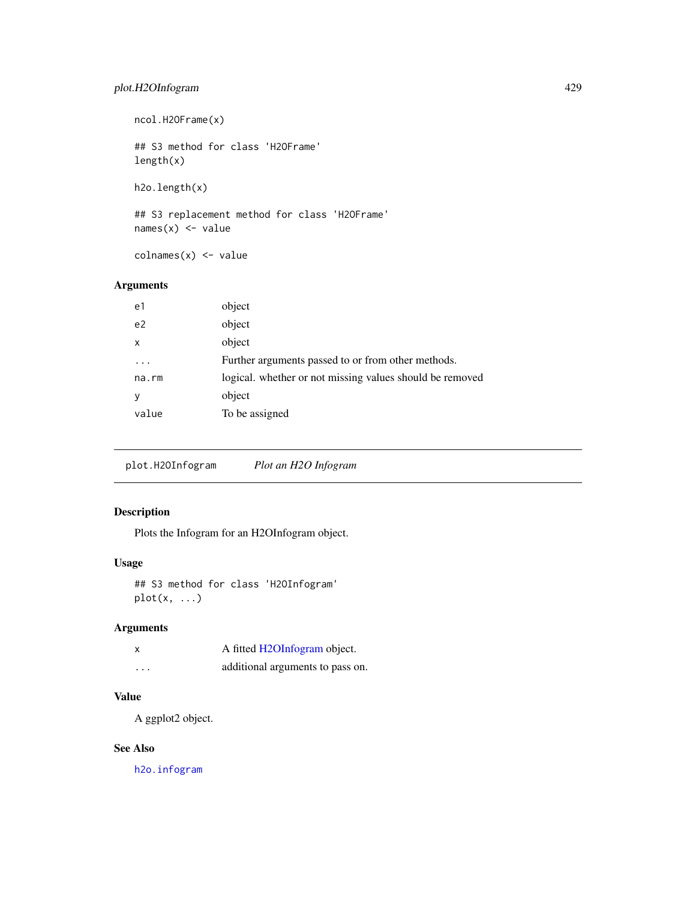# plot.H2OInfogram 429

ncol.H2OFrame(x) ## S3 method for class 'H2OFrame' length(x)

h2o.length(x)

## S3 replacement method for class 'H2OFrame'  $names(x)$  <- value

colnames(x) <- value

# Arguments

| e1             | object                                                   |
|----------------|----------------------------------------------------------|
| e <sub>2</sub> | object                                                   |
| X              | object                                                   |
|                | Further arguments passed to or from other methods.       |
| $na$ . $rm$    | logical. whether or not missing values should be removed |
| У              | object                                                   |
| value          | To be assigned                                           |

plot.H2OInfogram *Plot an H2O Infogram*

# Description

Plots the Infogram for an H2OInfogram object.

# Usage

```
## S3 method for class 'H2OInfogram'
plot(x, ...)
```
# Arguments

| $\boldsymbol{\mathsf{x}}$ | A fitted H2OInfogram object.     |
|---------------------------|----------------------------------|
| .                         | additional arguments to pass on. |

# Value

A ggplot2 object.

# See Also

[h2o.infogram](#page-204-0)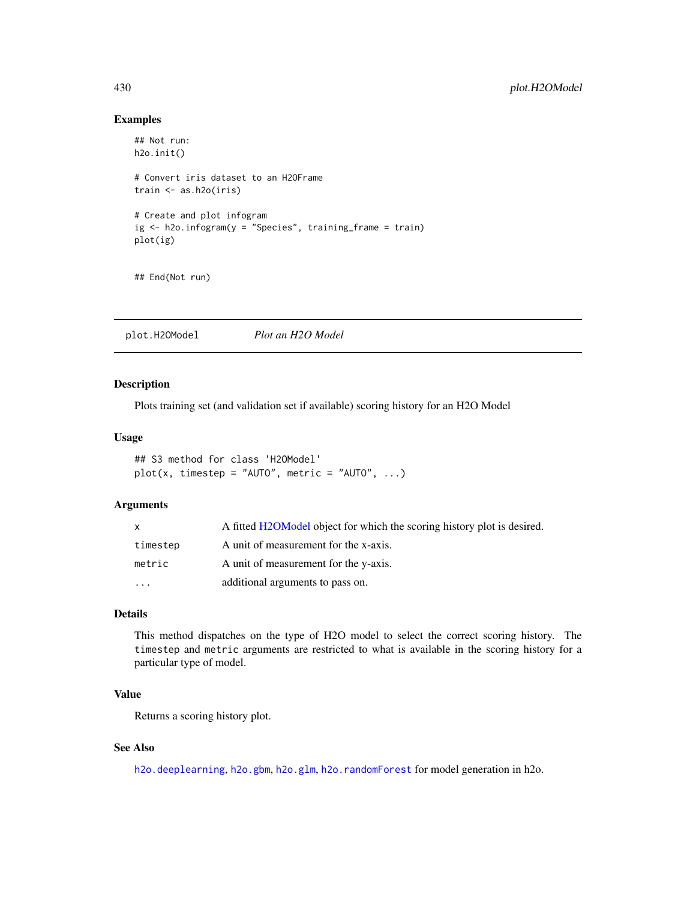#### Examples

```
## Not run:
h2o.init()
# Convert iris dataset to an H2OFrame
train <- as.h2o(iris)
# Create and plot infogram
ig <- h2o.infogram(y = "Species", training_frame = train)
plot(ig)
```
## End(Not run)

plot.H2OModel *Plot an H2O Model*

#### Description

Plots training set (and validation set if available) scoring history for an H2O Model

#### Usage

```
## S3 method for class 'H2OModel'
plot(x, timestep = "AUT0", metric = "AUT0", ...)
```
#### Arguments

| X        | A fitted H2OModel object for which the scoring history plot is desired. |
|----------|-------------------------------------------------------------------------|
| timestep | A unit of measurement for the x-axis.                                   |
| metric   | A unit of measurement for the y-axis.                                   |
| $\cdot$  | additional arguments to pass on.                                        |

#### Details

This method dispatches on the type of H2O model to select the correct scoring history. The timestep and metric arguments are restricted to what is available in the scoring history for a particular type of model.

# Value

Returns a scoring history plot.

# See Also

[h2o.deeplearning](#page-114-0), [h2o.gbm](#page-153-0), [h2o.glm](#page-174-0), [h2o.randomForest](#page-304-0) for model generation in h2o.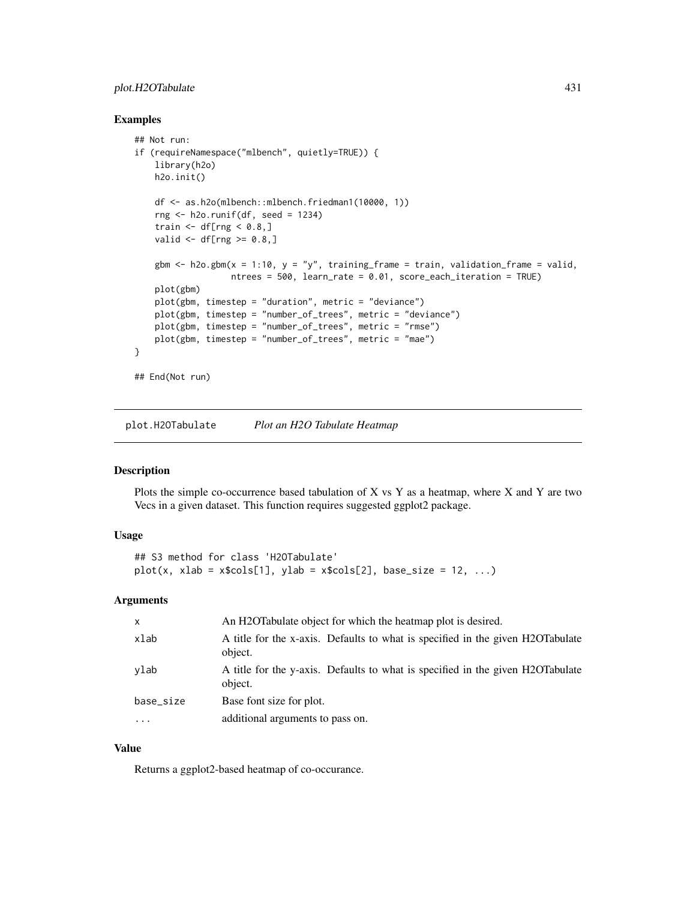# plot.H2OTabulate 431

#### Examples

```
## Not run:
if (requireNamespace("mlbench", quietly=TRUE)) {
   library(h2o)
   h2o.init()
   df <- as.h2o(mlbench::mlbench.friedman1(10000, 1))
   rng <- h2o.runif(df, seed = 1234)
    train \leq df[rng \leq 0.8,]
   valid \leq df[rng \geq 0.8,]
   gbm \le h2o.gbm(x = 1:10, y = "y", training_frame = train, validation_frame = valid,
                   ntrees = 500, learn_rate = 0.01, score_each_iteration = TRUE)
   plot(gbm)
   plot(gbm, timestep = "duration", metric = "deviance")
   plot(gbm, timestep = "number_of_trees", metric = "deviance")
   plot(gbm, timestep = "number_of_trees", metric = "rmse")
   plot(gbm, timestep = "number_of_trees", metric = "mae")
}
## End(Not run)
```
plot.H2OTabulate *Plot an H2O Tabulate Heatmap*

#### Description

Plots the simple co-occurrence based tabulation of X vs Y as a heatmap, where X and Y are two Vecs in a given dataset. This function requires suggested ggplot2 package.

## Usage

```
## S3 method for class 'H2OTabulate'
plot(x, xlab = x$cols[1], ylab = x$cols[2], base_size = 12, ...)
```
# Arguments

| $\mathsf{x}$ | An H2OTabulate object for which the heatmap plot is desired.                              |
|--------------|-------------------------------------------------------------------------------------------|
| xlab         | A title for the x-axis. Defaults to what is specified in the given H2OTabulate<br>object. |
| ylab         | A title for the y-axis. Defaults to what is specified in the given H2OTabulate<br>object. |
| base_size    | Base font size for plot.                                                                  |
| $\cdots$     | additional arguments to pass on.                                                          |

## Value

Returns a ggplot2-based heatmap of co-occurance.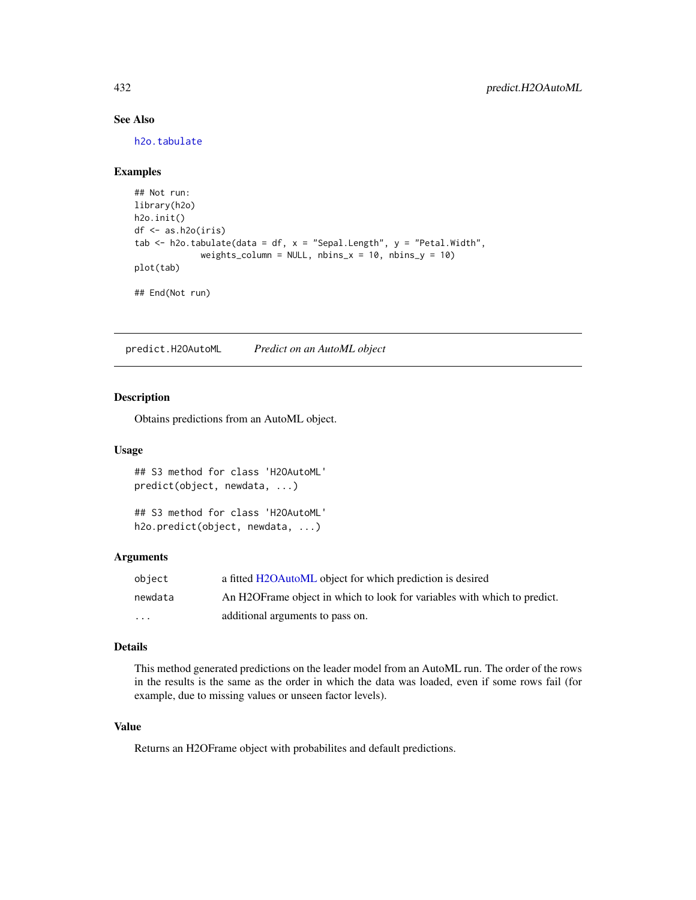# See Also

[h2o.tabulate](#page-363-0)

# Examples

```
## Not run:
library(h2o)
h2o.init()
df <- as.h2o(iris)
tab \le h2o.tabulate(data = df, x = "Sepal.Length", y = "Petal.Width",
             weights_column = NULL, nbins_x = 10, nbins_y = 10)
plot(tab)
## End(Not run)
```
predict.H2OAutoML *Predict on an AutoML object*

# Description

Obtains predictions from an AutoML object.

#### Usage

```
## S3 method for class 'H2OAutoML'
predict(object, newdata, ...)
## S3 method for class 'H2OAutoML'
```

```
h2o.predict(object, newdata, ...)
```
#### Arguments

| obiect   | a fitted H2OAutoML object for which prediction is desired                 |
|----------|---------------------------------------------------------------------------|
| newdata  | An H2OF rame object in which to look for variables with which to predict. |
| $\cdots$ | additional arguments to pass on.                                          |

# Details

This method generated predictions on the leader model from an AutoML run. The order of the rows in the results is the same as the order in which the data was loaded, even if some rows fail (for example, due to missing values or unseen factor levels).

# Value

Returns an H2OFrame object with probabilites and default predictions.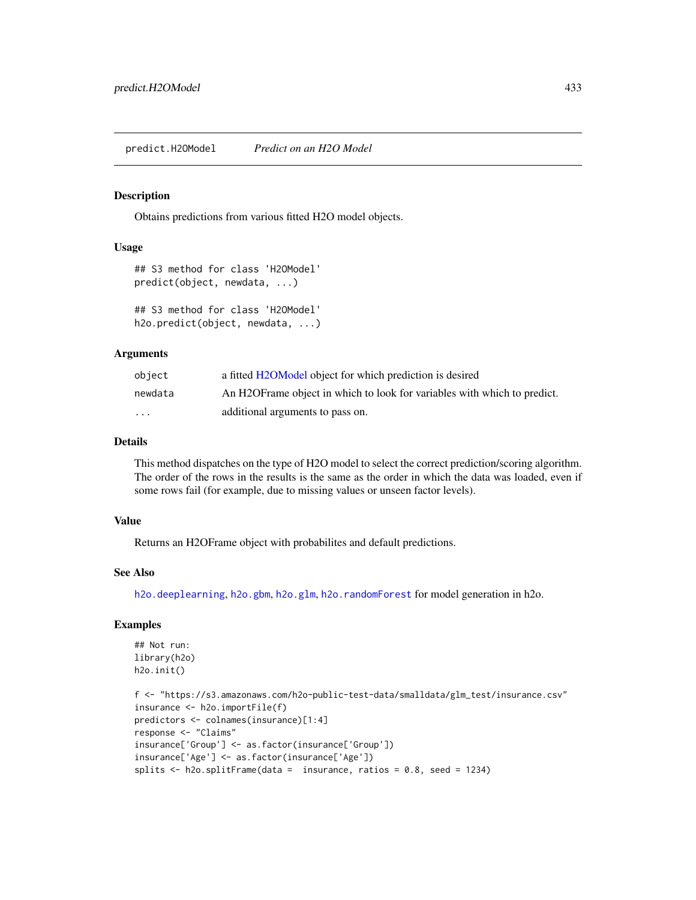<span id="page-432-0"></span>Obtains predictions from various fitted H2O model objects.

# Usage

```
## S3 method for class 'H2OModel'
predict(object, newdata, ...)
```

```
## S3 method for class 'H2OModel'
h2o.predict(object, newdata, ...)
```
#### Arguments

| object   | a fitted H2OModel object for which prediction is desired                  |
|----------|---------------------------------------------------------------------------|
| newdata  | An H2OF rame object in which to look for variables with which to predict. |
| $\cdots$ | additional arguments to pass on.                                          |

## Details

This method dispatches on the type of H2O model to select the correct prediction/scoring algorithm. The order of the rows in the results is the same as the order in which the data was loaded, even if some rows fail (for example, due to missing values or unseen factor levels).

#### Value

Returns an H2OFrame object with probabilites and default predictions.

#### See Also

[h2o.deeplearning](#page-114-0), [h2o.gbm](#page-153-0), [h2o.glm](#page-174-0), [h2o.randomForest](#page-304-0) for model generation in h2o.

# Examples

```
## Not run:
library(h2o)
h2o.init()
f <- "https://s3.amazonaws.com/h2o-public-test-data/smalldata/glm_test/insurance.csv"
insurance <- h2o.importFile(f)
predictors <- colnames(insurance)[1:4]
response <- "Claims"
insurance['Group'] <- as.factor(insurance['Group'])
insurance['Age'] <- as.factor(insurance['Age'])
splits <- h2o.splitFrame(data = insurance, ratios = 0.8, seed = 1234)
```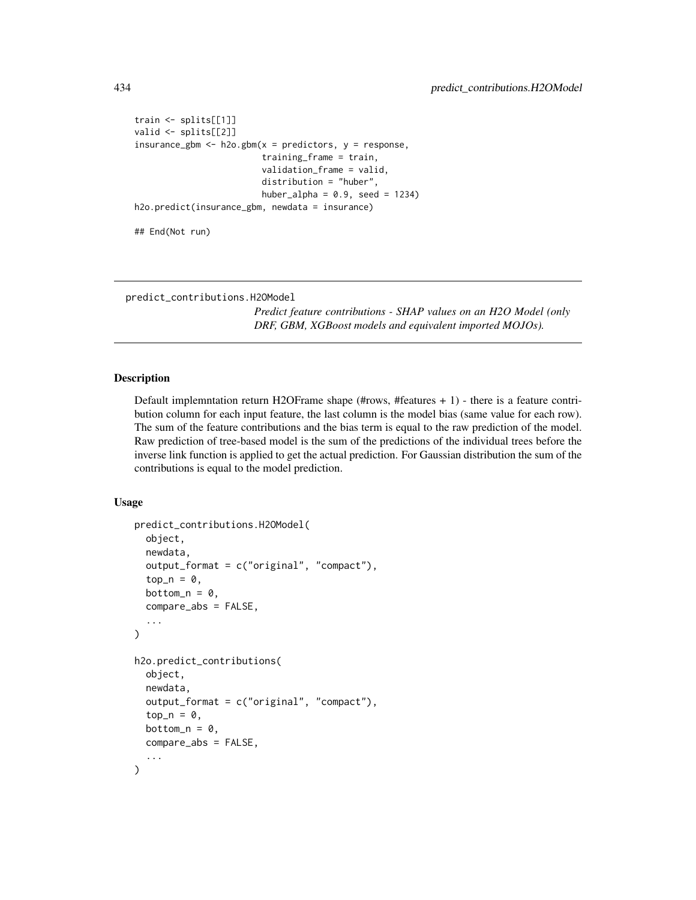```
train <- splits[[1]]
valid <- splits[[2]]
insurance_gbm <- h2o.gbm(x = predictors, y = response,
                         training_frame = train,
                         validation_frame = valid,
                         distribution = "huber",
                         huber_alpha = 0.9, seed = 1234)
h2o.predict(insurance_gbm, newdata = insurance)
```
## End(Not run)

predict\_contributions.H2OModel

*Predict feature contributions - SHAP values on an H2O Model (only DRF, GBM, XGBoost models and equivalent imported MOJOs).*

#### Description

Default implemntation return H2OFrame shape (#rows, #features + 1) - there is a feature contribution column for each input feature, the last column is the model bias (same value for each row). The sum of the feature contributions and the bias term is equal to the raw prediction of the model. Raw prediction of tree-based model is the sum of the predictions of the individual trees before the inverse link function is applied to get the actual prediction. For Gaussian distribution the sum of the contributions is equal to the model prediction.

#### Usage

```
predict_contributions.H2OModel(
  object,
  newdata,
  output_format = c("original", "compact"),
  top_n = 0,
 bottom_n = 0,
  compare_abs = FALSE,
  ...
)
h2o.predict_contributions(
  object,
  newdata,
  output_format = c("original", "compact"),
  top_n = 0,
 bottom_n = 0,
  compare_abs = FALSE,
  ...
)
```
<span id="page-433-0"></span>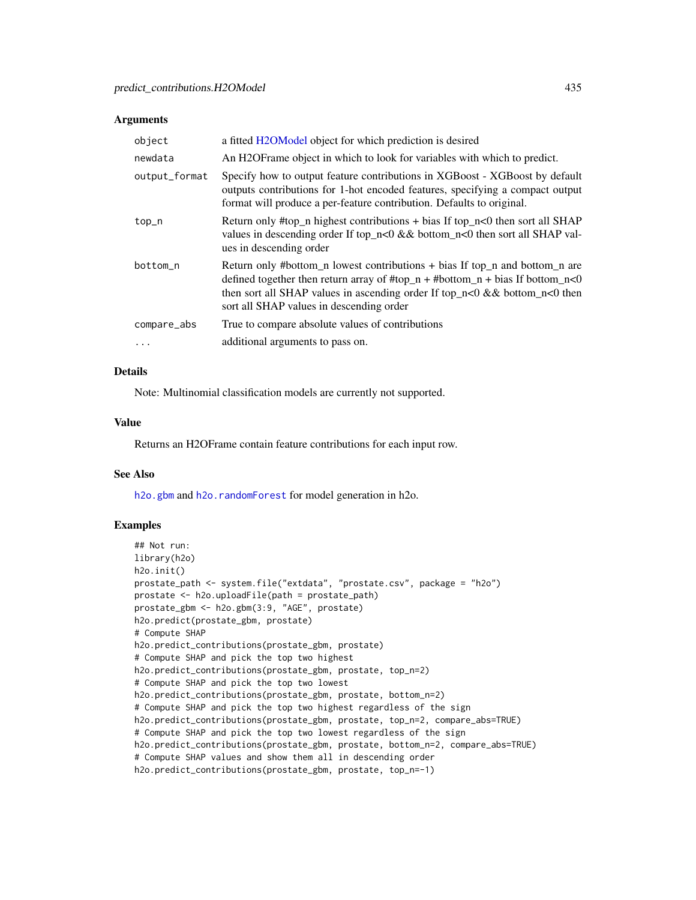#### <span id="page-434-0"></span>**Arguments**

| object        | a fitted H2OModel object for which prediction is desired                                                                                                                                                                                                                               |
|---------------|----------------------------------------------------------------------------------------------------------------------------------------------------------------------------------------------------------------------------------------------------------------------------------------|
| newdata       | An H2OF rame object in which to look for variables with which to predict.                                                                                                                                                                                                              |
| output_format | Specify how to output feature contributions in XGBoost - XGBoost by default<br>outputs contributions for 1-hot encoded features, specifying a compact output<br>format will produce a per-feature contribution. Defaults to original.                                                  |
| top_n         | Return only #top_n highest contributions $+$ bias If top_n<0 then sort all SHAP<br>values in descending order If top_n<0 && bottom_n<0 then sort all SHAP val-<br>ues in descending order                                                                                              |
| bottom_n      | Return only #bottom_n lowest contributions + bias If top_n and bottom_n are<br>defined together then return array of #top_n + #bottom_n + bias If bottom_n<0<br>then sort all SHAP values in ascending order If top_n<0 && bottom_n<0 then<br>sort all SHAP values in descending order |
| compare_abs   | True to compare absolute values of contributions                                                                                                                                                                                                                                       |
| .             | additional arguments to pass on.                                                                                                                                                                                                                                                       |

# Details

Note: Multinomial classification models are currently not supported.

#### Value

Returns an H2OFrame contain feature contributions for each input row.

#### See Also

[h2o.gbm](#page-153-0) and [h2o.randomForest](#page-304-0) for model generation in h2o.

# Examples

```
## Not run:
library(h2o)
h2o.init()
prostate_path <- system.file("extdata", "prostate.csv", package = "h2o")
prostate <- h2o.uploadFile(path = prostate_path)
prostate_gbm <- h2o.gbm(3:9, "AGE", prostate)
h2o.predict(prostate_gbm, prostate)
# Compute SHAP
h2o.predict_contributions(prostate_gbm, prostate)
# Compute SHAP and pick the top two highest
h2o.predict_contributions(prostate_gbm, prostate, top_n=2)
# Compute SHAP and pick the top two lowest
h2o.predict_contributions(prostate_gbm, prostate, bottom_n=2)
# Compute SHAP and pick the top two highest regardless of the sign
h2o.predict_contributions(prostate_gbm, prostate, top_n=2, compare_abs=TRUE)
# Compute SHAP and pick the top two lowest regardless of the sign
h2o.predict_contributions(prostate_gbm, prostate, bottom_n=2, compare_abs=TRUE)
# Compute SHAP values and show them all in descending order
h2o.predict_contributions(prostate_gbm, prostate, top_n=-1)
```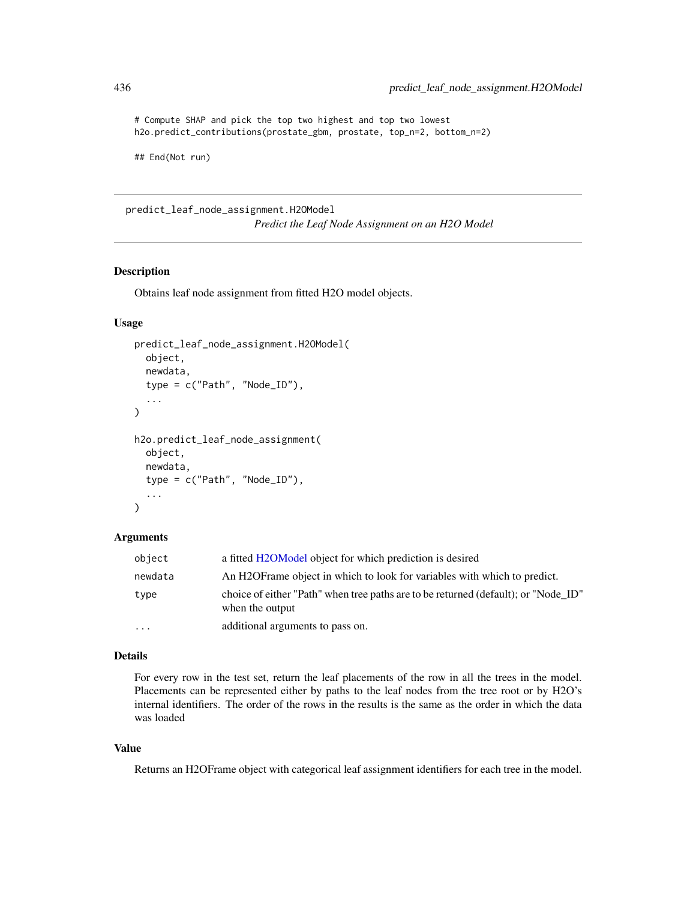# Compute SHAP and pick the top two highest and top two lowest h2o.predict\_contributions(prostate\_gbm, prostate, top\_n=2, bottom\_n=2)

## End(Not run)

predict\_leaf\_node\_assignment.H2OModel *Predict the Leaf Node Assignment on an H2O Model*

# <span id="page-435-0"></span>Description

Obtains leaf node assignment from fitted H2O model objects.

# Usage

```
predict_leaf_node_assignment.H2OModel(
  object,
  newdata,
  type = c("Path", "Node_ID"),
  ...
)
h2o.predict_leaf_node_assignment(
  object,
 newdata,
  type = c("Path", "Node_ID"),
  ...
\mathcal{L}
```
#### Arguments

| object   | a fitted H2OModel object for which prediction is desired                                              |
|----------|-------------------------------------------------------------------------------------------------------|
| newdata  | An H2OF rame object in which to look for variables with which to predict.                             |
| type     | choice of either "Path" when tree paths are to be returned (default); or "Node_ID"<br>when the output |
| $\cdots$ | additional arguments to pass on.                                                                      |

# Details

For every row in the test set, return the leaf placements of the row in all the trees in the model. Placements can be represented either by paths to the leaf nodes from the tree root or by H2O's internal identifiers. The order of the rows in the results is the same as the order in which the data was loaded

# Value

Returns an H2OFrame object with categorical leaf assignment identifiers for each tree in the model.

<span id="page-435-1"></span>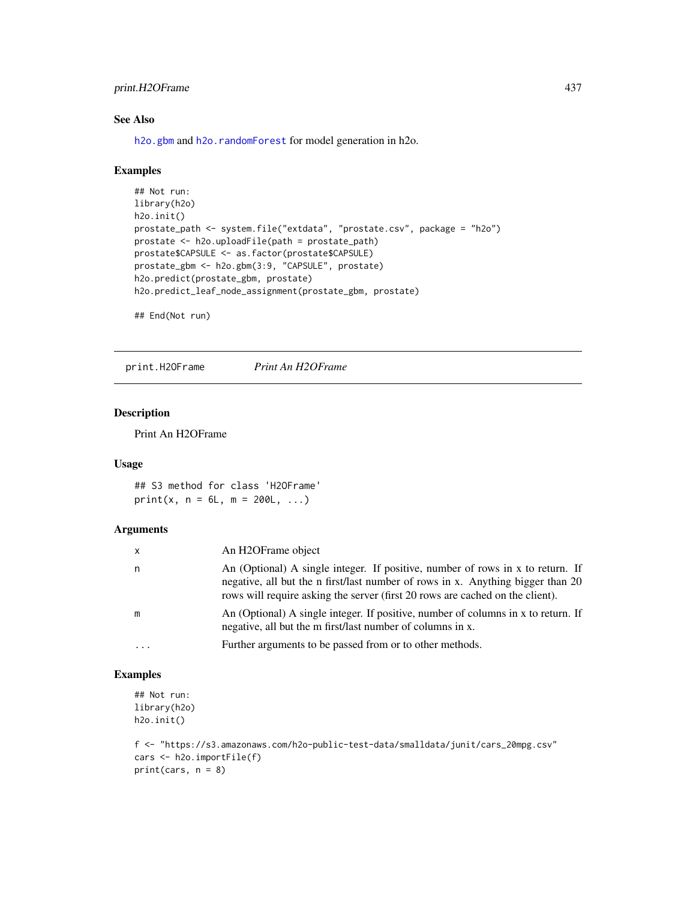# <span id="page-436-0"></span>print.H2OFrame 437

# See Also

[h2o.gbm](#page-153-0) and [h2o.randomForest](#page-304-0) for model generation in h2o.

#### Examples

```
## Not run:
library(h2o)
h2o.init()
prostate_path <- system.file("extdata", "prostate.csv", package = "h2o")
prostate <- h2o.uploadFile(path = prostate_path)
prostate$CAPSULE <- as.factor(prostate$CAPSULE)
prostate_gbm <- h2o.gbm(3:9, "CAPSULE", prostate)
h2o.predict(prostate_gbm, prostate)
h2o.predict_leaf_node_assignment(prostate_gbm, prostate)
```
## End(Not run)

print.H2OFrame *Print An H2OFrame*

# Description

Print An H2OFrame

#### Usage

## S3 method for class 'H2OFrame'  $print(x, n = 6L, m = 200L, ...)$ 

#### Arguments

| x        | An H <sub>2</sub> OFrame object                                                                                                                                                                                                                    |
|----------|----------------------------------------------------------------------------------------------------------------------------------------------------------------------------------------------------------------------------------------------------|
| n        | An (Optional) A single integer. If positive, number of rows in x to return. If<br>negative, all but the n first/last number of rows in x. Anything bigger than 20<br>rows will require asking the server (first 20 rows are cached on the client). |
| m        | An (Optional) A single integer. If positive, number of columns in x to return. If<br>negative, all but the m first/last number of columns in x.                                                                                                    |
| $\cdots$ | Further arguments to be passed from or to other methods.                                                                                                                                                                                           |

# Examples

```
## Not run:
library(h2o)
h2o.init()
```

```
f <- "https://s3.amazonaws.com/h2o-public-test-data/smalldata/junit/cars_20mpg.csv"
cars <- h2o.importFile(f)
print(cars, n = 8)
```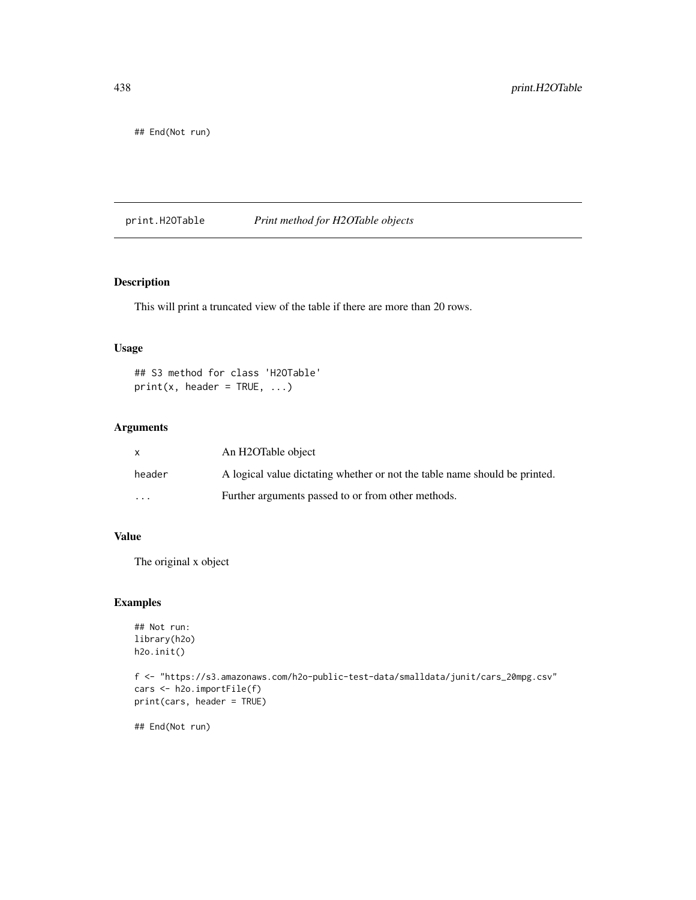<span id="page-437-0"></span>## End(Not run)

print.H2OTable *Print method for H2OTable objects*

# Description

This will print a truncated view of the table if there are more than 20 rows.

#### Usage

## S3 method for class 'H2OTable'  $print(x, header = TRUE, ...)$ 

### Arguments

|         | An H2OTable object                                                         |
|---------|----------------------------------------------------------------------------|
| header  | A logical value dictating whether or not the table name should be printed. |
| $\cdot$ | Further arguments passed to or from other methods.                         |

# Value

The original x object

#### Examples

```
## Not run:
library(h2o)
h2o.init()
```

```
f <- "https://s3.amazonaws.com/h2o-public-test-data/smalldata/junit/cars_20mpg.csv"
cars <- h2o.importFile(f)
print(cars, header = TRUE)
```
## End(Not run)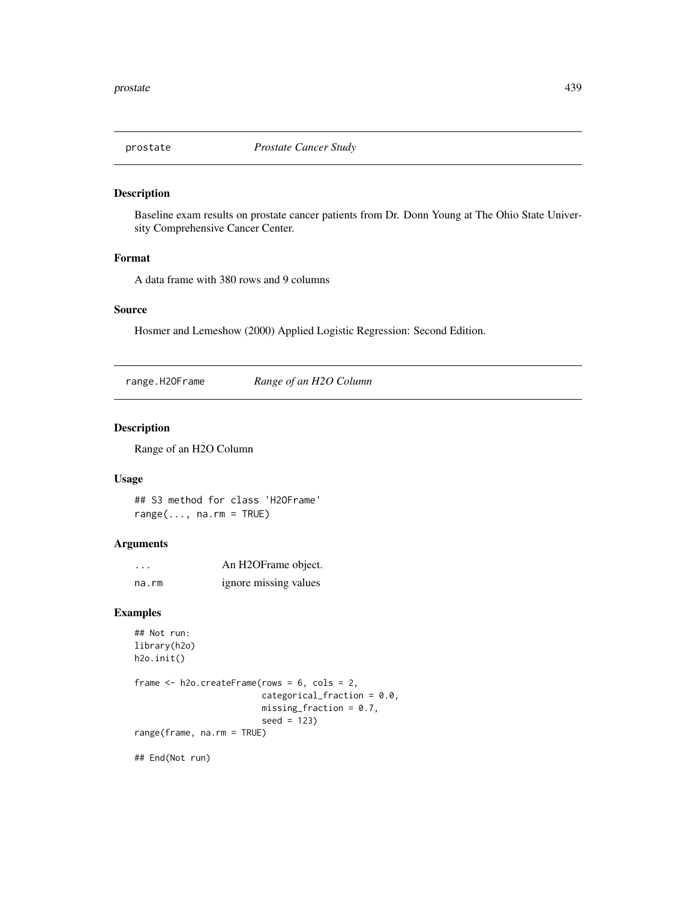<span id="page-438-0"></span>

Baseline exam results on prostate cancer patients from Dr. Donn Young at The Ohio State University Comprehensive Cancer Center.

#### Format

A data frame with 380 rows and 9 columns

#### Source

Hosmer and Lemeshow (2000) Applied Logistic Regression: Second Edition.

range.H2OFrame *Range of an H2O Column*

#### Description

Range of an H2O Column

#### Usage

```
## S3 method for class 'H2OFrame'
range(..., na.rm = TRUE)
```
# Arguments

| $\cdot$ | An H2OFrame object.   |
|---------|-----------------------|
| na.rm   | ignore missing values |

# Examples

```
## Not run:
library(h2o)
h2o.init()
frame \leq h2o.createFrame(rows = 6, cols = 2,
                         categorical_fraction = 0.0,
                         missing\_fraction = 0.7,
                          seed = 123)
range(frame, na.rm = TRUE)
```
## End(Not run)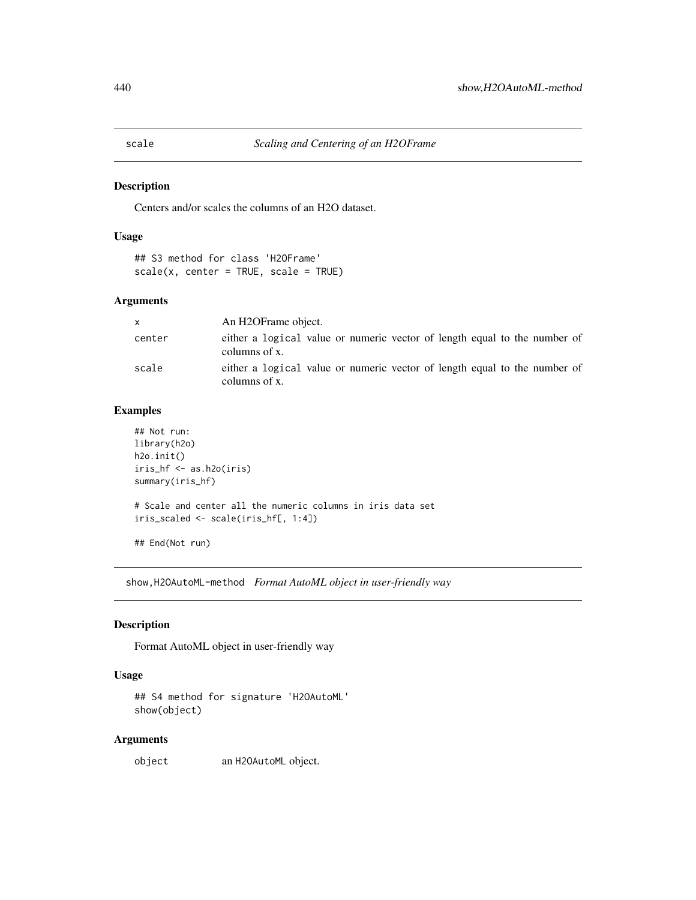<span id="page-439-0"></span>

Centers and/or scales the columns of an H2O dataset.

# Usage

```
## S3 method for class 'H2OFrame'
scale(x, center = TRUE, scale = TRUE)
```
# Arguments

| X.     | An H2OFrame object.                                                                        |  |  |
|--------|--------------------------------------------------------------------------------------------|--|--|
| center | either a logical value or numeric vector of length equal to the number of<br>columns of x. |  |  |
| scale  | either a logical value or numeric vector of length equal to the number of<br>columns of x. |  |  |

#### Examples

```
## Not run:
library(h2o)
h2o.init()
iris_hf <- as.h2o(iris)
summary(iris_hf)
# Scale and center all the numeric columns in iris data set
iris_scaled <- scale(iris_hf[, 1:4])
## End(Not run)
```
show,H2OAutoML-method *Format AutoML object in user-friendly way*

# Description

Format AutoML object in user-friendly way

#### Usage

```
## S4 method for signature 'H2OAutoML'
show(object)
```
# Arguments

object an H2OAutoML object.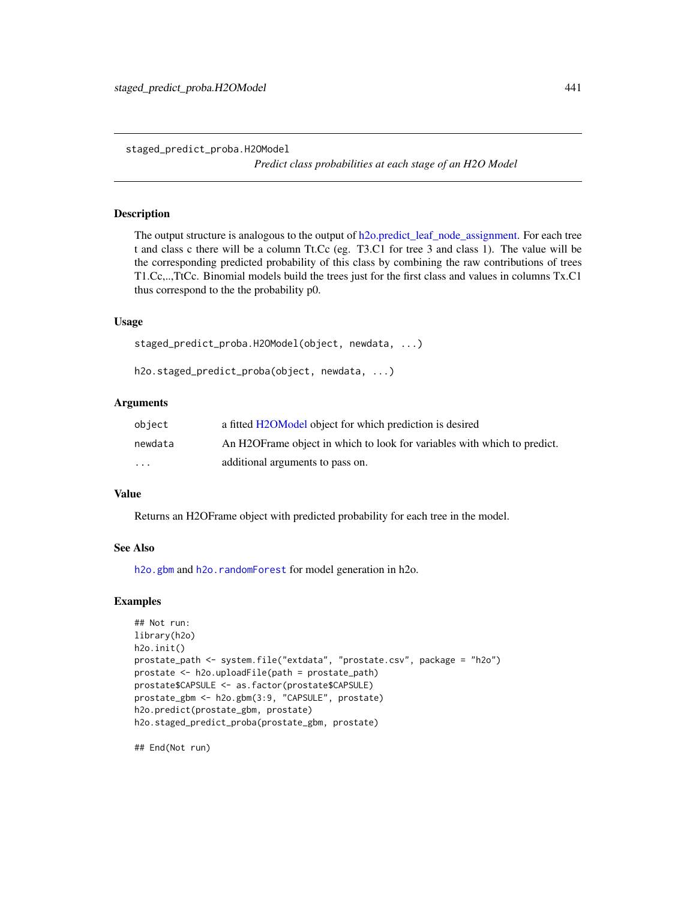<span id="page-440-0"></span>staged\_predict\_proba.H2OModel

*Predict class probabilities at each stage of an H2O Model*

# Description

The output structure is analogous to the output of [h2o.predict\\_leaf\\_node\\_assignment.](#page-435-0) For each tree t and class c there will be a column Tt.Cc (eg. T3.C1 for tree 3 and class 1). The value will be the corresponding predicted probability of this class by combining the raw contributions of trees T1.Cc,..,TtCc. Binomial models build the trees just for the first class and values in columns Tx.C1 thus correspond to the the probability p0.

#### Usage

```
staged_predict_proba.H2OModel(object, newdata, ...)
```
h2o.staged\_predict\_proba(object, newdata, ...)

# Arguments

| object  | a fitted H2OModel object for which prediction is desired                  |
|---------|---------------------------------------------------------------------------|
| newdata | An H2OF rame object in which to look for variables with which to predict. |
| $\cdot$ | additional arguments to pass on.                                          |

#### Value

Returns an H2OFrame object with predicted probability for each tree in the model.

#### See Also

[h2o.gbm](#page-153-0) and [h2o.randomForest](#page-304-0) for model generation in h2o.

#### Examples

```
## Not run:
library(h2o)
h2o.init()
prostate_path <- system.file("extdata", "prostate.csv", package = "h2o")
prostate <- h2o.uploadFile(path = prostate_path)
prostate$CAPSULE <- as.factor(prostate$CAPSULE)
prostate_gbm <- h2o.gbm(3:9, "CAPSULE", prostate)
h2o.predict(prostate_gbm, prostate)
h2o.staged_predict_proba(prostate_gbm, prostate)
```
## End(Not run)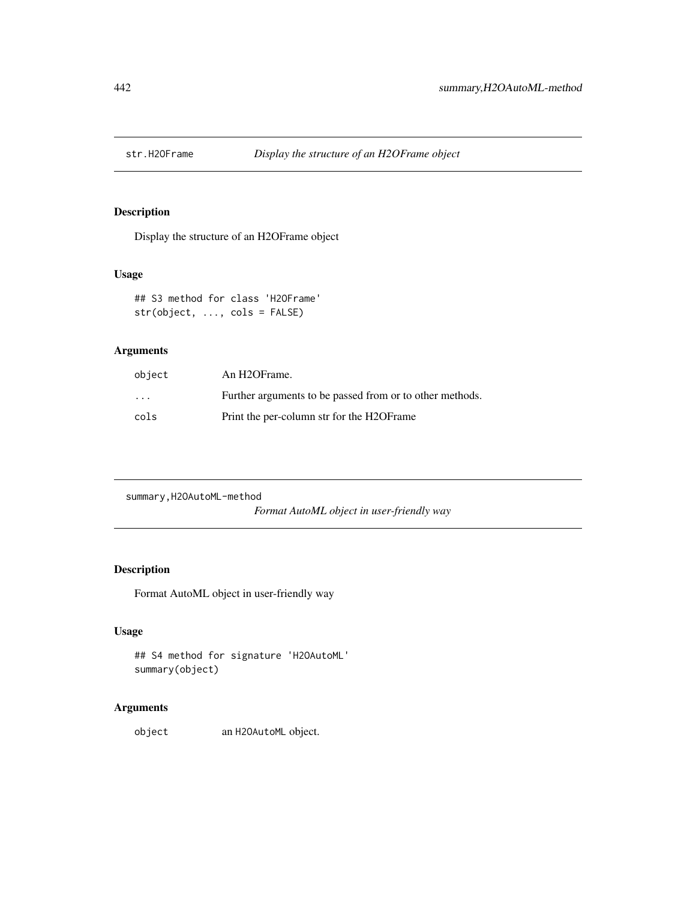<span id="page-441-0"></span>

Display the structure of an H2OFrame object

# Usage

## S3 method for class 'H2OFrame' str(object, ..., cols = FALSE)

# Arguments

| object            | An H <sub>2</sub> OFrame.                                |
|-------------------|----------------------------------------------------------|
| $\cdot\cdot\cdot$ | Further arguments to be passed from or to other methods. |
| cols              | Print the per-column str for the H2OF rame               |

summary,H2OAutoML-method

*Format AutoML object in user-friendly way*

# Description

Format AutoML object in user-friendly way

# Usage

## S4 method for signature 'H2OAutoML' summary(object)

# Arguments

object an H2OAutoML object.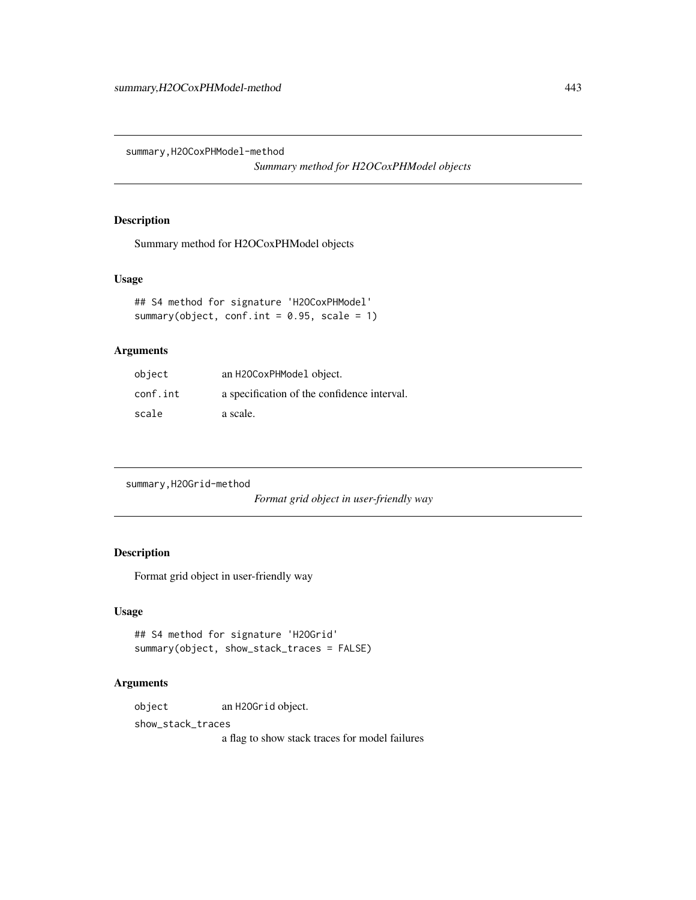<span id="page-442-0"></span>summary,H2OCoxPHModel-method

*Summary method for H2OCoxPHModel objects*

# Description

Summary method for H2OCoxPHModel objects

#### Usage

```
## S4 method for signature 'H2OCoxPHModel'
summary(object, conf.int = 0.95, scale = 1)
```
# Arguments

| object   | an H2OCoxPHModel object.                    |
|----------|---------------------------------------------|
| conf.int | a specification of the confidence interval. |
| scale    | a scale.                                    |

summary,H2OGrid-method

*Format grid object in user-friendly way*

# Description

Format grid object in user-friendly way

## Usage

```
## S4 method for signature 'H2OGrid'
summary(object, show_stack_traces = FALSE)
```
## Arguments

object an H2OGrid object.

show\_stack\_traces

a flag to show stack traces for model failures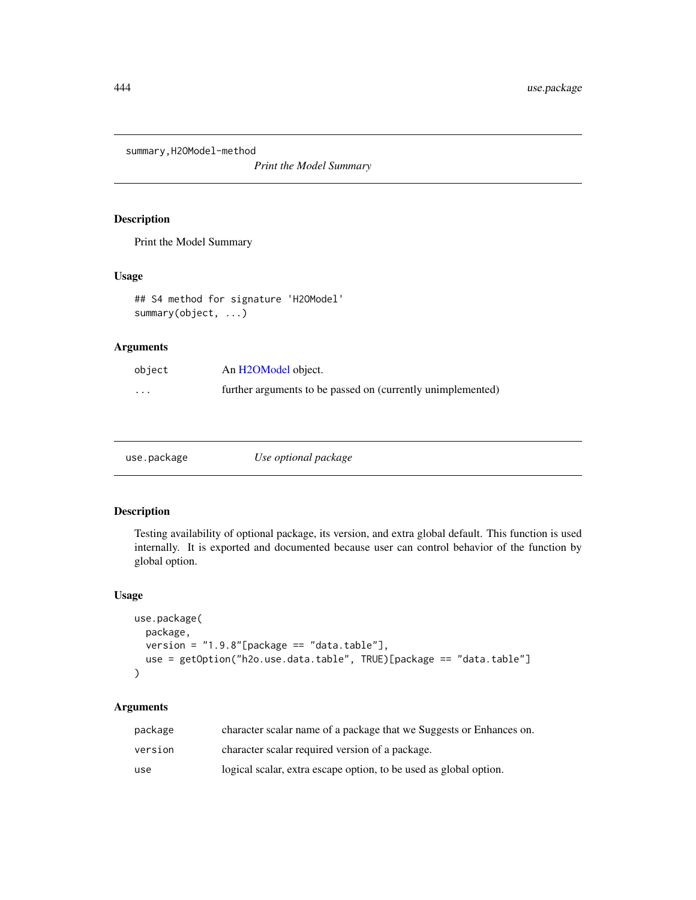<span id="page-443-0"></span>summary,H2OModel-method

*Print the Model Summary*

# Description

Print the Model Summary

# Usage

```
## S4 method for signature 'H2OModel'
summary(object, ...)
```
# Arguments

| object   | An H2OModel object.                                         |
|----------|-------------------------------------------------------------|
| $\cdots$ | further arguments to be passed on (currently unimplemented) |

|--|--|

# Description

Testing availability of optional package, its version, and extra global default. This function is used internally. It is exported and documented because user can control behavior of the function by global option.

#### Usage

```
use.package(
 package,
 version = "1.9.8"[package == "data.table"],
 use = getOption("h2o.use.data.table", TRUE)[package == "data.table"]
)
```
# Arguments

| package | character scalar name of a package that we Suggests or Enhances on. |
|---------|---------------------------------------------------------------------|
| version | character scalar required version of a package.                     |
| use     | logical scalar, extra escape option, to be used as global option.   |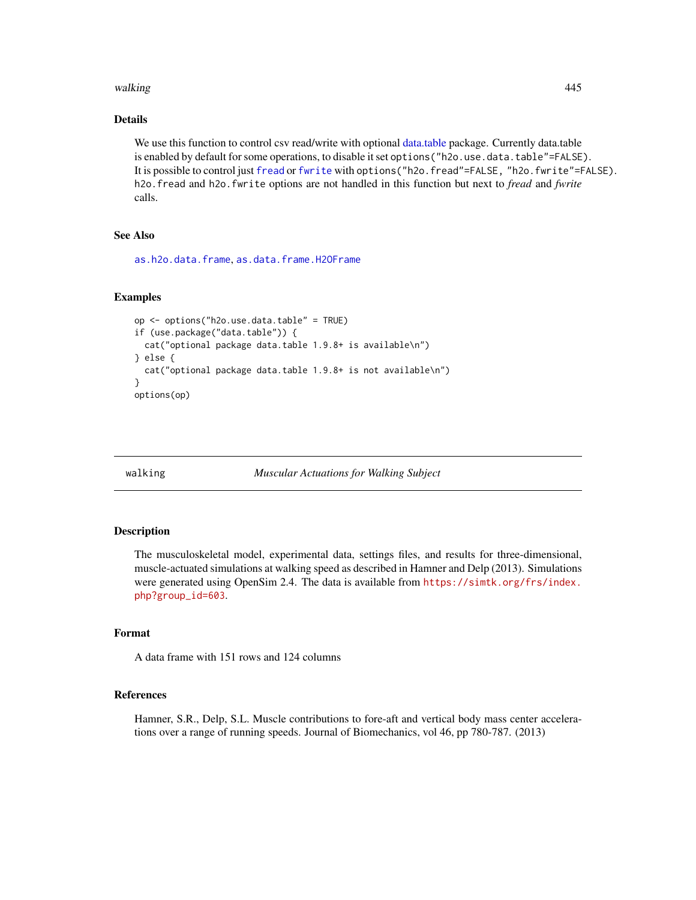#### <span id="page-444-0"></span>walking the contract of the contract of the contract of the contract of the contract of the contract of the contract of the contract of the contract of the contract of the contract of the contract of the contract of the co

# Details

We use this function to control csv read/write with optional [data.table](#page-0-0) package. Currently data.table is enabled by default for some operations, to disable it set options ("h2o.use.data.table"=FALSE). It is possible to control just [fread](#page-0-0) or [fwrite](#page-0-0) with options ("h2o.fread"=FALSE, "h2o.fwrite"=FALSE). h2o.fread and h2o.fwrite options are not handled in this function but next to *fread* and *fwrite* calls.

#### See Also

[as.h2o.data.frame](#page-43-0), [as.data.frame.H2OFrame](#page-41-0)

#### Examples

```
op <- options("h2o.use.data.table" = TRUE)
if (use.package("data.table")) {
 cat("optional package data.table 1.9.8+ is available\n")
} else {
 cat("optional package data.table 1.9.8+ is not available\n")
}
options(op)
```
walking *Muscular Actuations for Walking Subject*

#### Description

The musculoskeletal model, experimental data, settings files, and results for three-dimensional, muscle-actuated simulations at walking speed as described in Hamner and Delp (2013). Simulations were generated using OpenSim 2.4. The data is available from [https://simtk.org/frs/index.](https://simtk.org/frs/index.php?group_id=603) [php?group\\_id=603](https://simtk.org/frs/index.php?group_id=603).

#### Format

A data frame with 151 rows and 124 columns

#### References

Hamner, S.R., Delp, S.L. Muscle contributions to fore-aft and vertical body mass center accelerations over a range of running speeds. Journal of Biomechanics, vol 46, pp 780-787. (2013)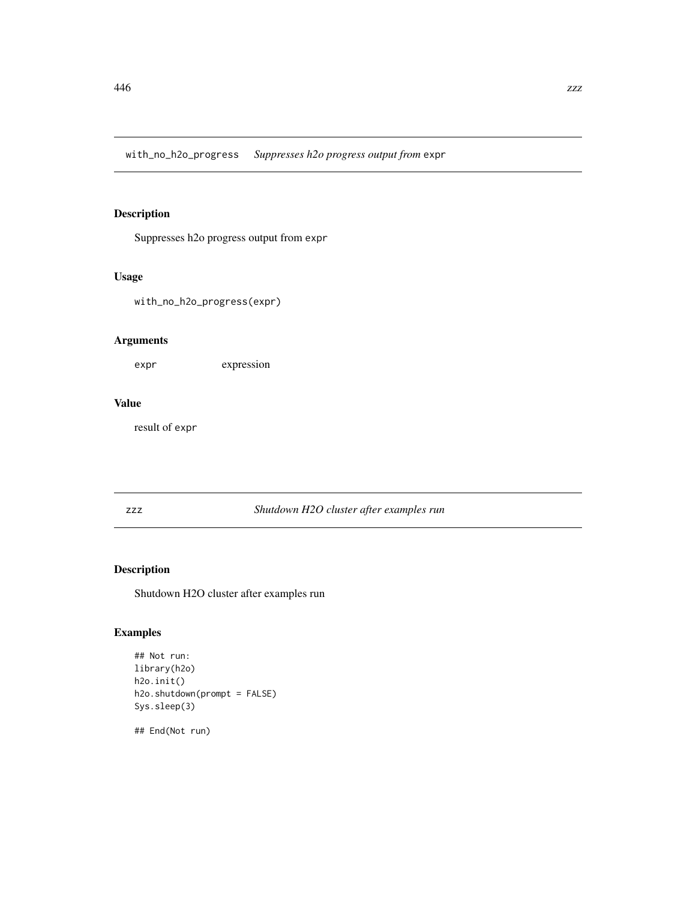<span id="page-445-0"></span>with\_no\_h2o\_progress *Suppresses h2o progress output from* expr

# Description

Suppresses h2o progress output from expr

# Usage

with\_no\_h2o\_progress(expr)

# Arguments

expr expression

# Value

result of expr

#### zzz *Shutdown H2O cluster after examples run*

# Description

Shutdown H2O cluster after examples run

# Examples

```
## Not run:
library(h2o)
h2o.init()
h2o.shutdown(prompt = FALSE)
Sys.sleep(3)
```
## End(Not run)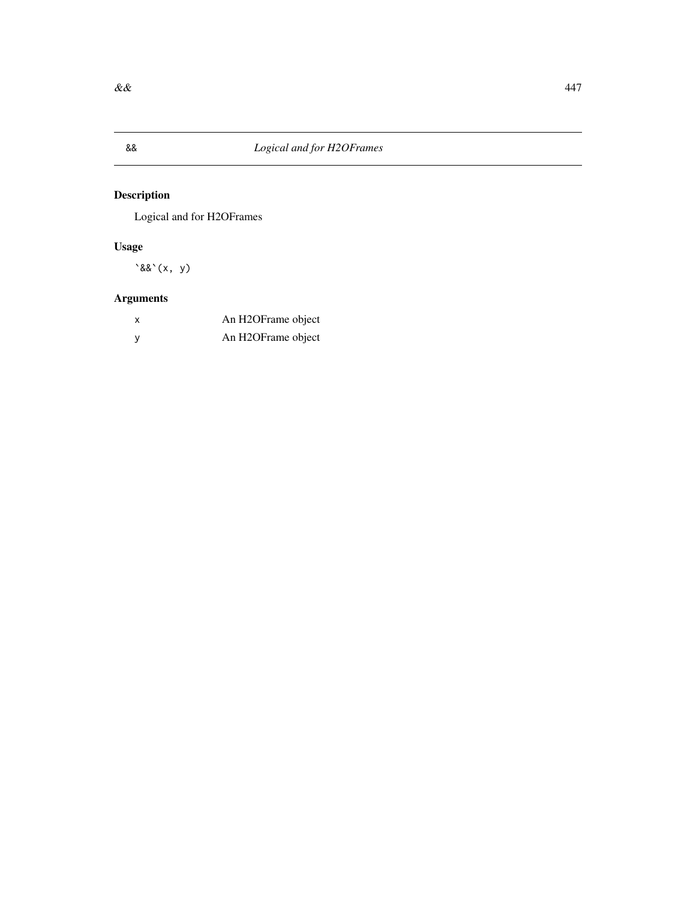<span id="page-446-0"></span>

Logical and for H2OFrames

# Usage

 $\&&(x, y)$ 

# Arguments

| X            | An H2OFrame object |
|--------------|--------------------|
| $\mathsf{V}$ | An H2OFrame object |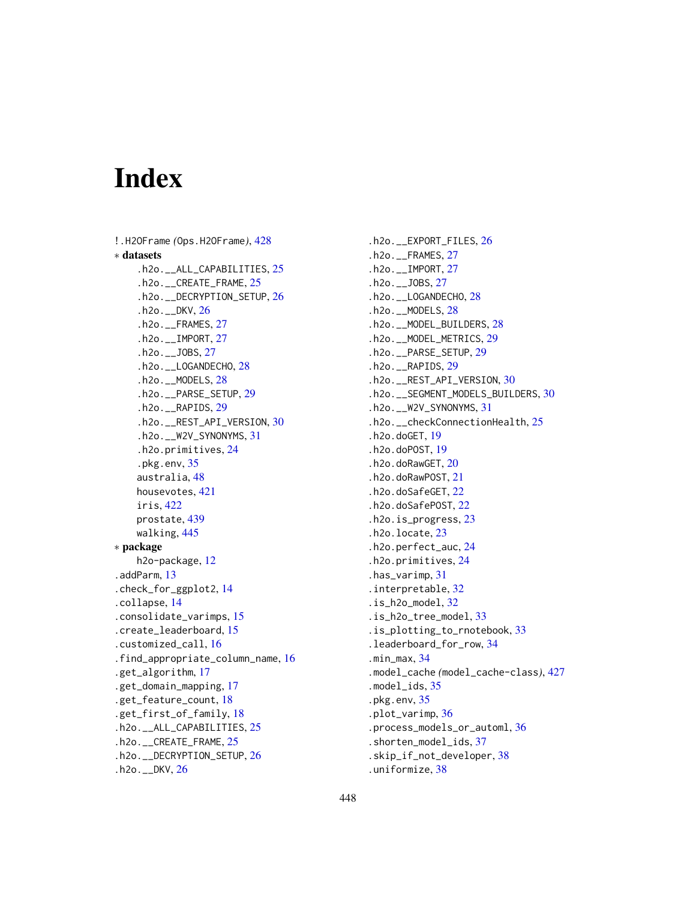# Index

```
!.H2OFrame (Ops.H2OFrame), 428
∗ datasets
    .h2o.__ALL_CAPABILITIES, 25
    .h2o.__CREATE_FRAME, 25
    .h2o.__DECRYPTION_SETUP, 26
    .h2o.__DKV, 26
    .h2o.__FRAMES, 27
    .h2o.__IMPORT, 27
    .h2o.__JOBS, 27
    .h2o.__LOGANDECHO, 28
    .h2o.__MODELS, 28
    .h2o.__PARSE_SETUP, 29
    .h2o.__RAPIDS, 29
    .h2o.__REST_API_VERSION, 30
    .h2o.__W2V_SYNONYMS, 31
    .h2o.primitives, 24
    .pkg.env, 35
    australia, 48
    housevotes, 421
    iris, 422
    prostate, 439
    walking, 445
∗ package
    h2o-package, 12
.addParm, 13
.check_for_ggplot2, 14
.collapse, 14
.consolidate_varimps, 15
.create_leaderboard, 15
.customized_call, 16
.find_appropriate_column_name, 16
.get_algorithm, 17
.get_domain_mapping, 17
.get_feature_count, 18
.get_first_of_family, 18
.h2o.__ALL_CAPABILITIES, 25
.h2o.__CREATE_FRAME, 25
.h2o.__DECRYPTION_SETUP, 26
.h2o.__DKV, 26
```
.h2o.\_\_EXPORT\_FILES, [26](#page-25-0) .h2o.\_\_FRAMES, [27](#page-26-0) .h2o.\_\_IMPORT, [27](#page-26-0) .h2o.\_\_JOBS, [27](#page-26-0) .h2o.\_\_LOGANDECHO, [28](#page-27-0) .h2o.\_\_MODELS, [28](#page-27-0) .h2o.\_\_MODEL\_BUILDERS, [28](#page-27-0) .h2o.\_\_MODEL\_METRICS, [29](#page-28-0) .h2o.\_\_PARSE\_SETUP, [29](#page-28-0) .h2o.\_\_RAPIDS, [29](#page-28-0) .h2o.\_\_REST\_API\_VERSION, [30](#page-29-0) .h2o.\_\_SEGMENT\_MODELS\_BUILDERS, [30](#page-29-0) .h2o.\_\_W2V\_SYNONYMS, [31](#page-30-0) .h2o.\_\_checkConnectionHealth, [25](#page-24-0) .h2o.doGET, [19](#page-18-0) .h2o.doPOST, [19](#page-18-0) .h2o.doRawGET, [20](#page-19-0) .h2o.doRawPOST, [21](#page-20-0) .h2o.doSafeGET, [22](#page-21-0) .h2o.doSafePOST, [22](#page-21-0) .h2o.is\_progress, [23](#page-22-0) .h2o.locate, [23](#page-22-0) .h2o.perfect\_auc, [24](#page-23-0) .h2o.primitives, [24](#page-23-0) .has\_varimp, [31](#page-30-0) .interpretable, [32](#page-31-0) .is\_h2o\_model, [32](#page-31-0) .is\_h2o\_tree\_model, [33](#page-32-0) .is\_plotting\_to\_rnotebook, [33](#page-32-0) .leaderboard\_for\_row, [34](#page-33-0) .min\_max, [34](#page-33-0) .model\_cache *(*model\_cache-class*)*, [427](#page-426-0) .model\_ids, [35](#page-34-0) .pkg.env, [35](#page-34-0) .plot\_varimp, [36](#page-35-0) .process\_models\_or\_automl, [36](#page-35-0) .shorten\_model\_ids, [37](#page-36-0) .skip\_if\_not\_developer, [38](#page-37-0) .uniformize, [38](#page-37-0)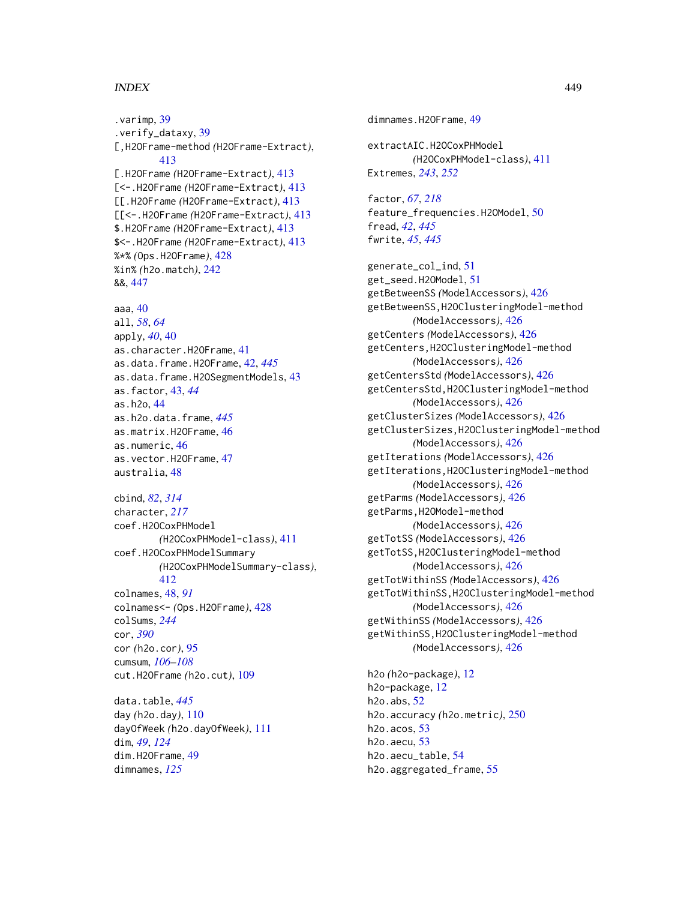.varimp, [39](#page-38-0) .verify\_dataxy, [39](#page-38-0) [,H2OFrame-method *(*H2OFrame-Extract*)*, [413](#page-412-0) [.H2OFrame *(*H2OFrame-Extract*)*, [413](#page-412-0) [<-.H2OFrame *(*H2OFrame-Extract*)*, [413](#page-412-0) [[.H2OFrame *(*H2OFrame-Extract*)*, [413](#page-412-0) [[<-.H2OFrame *(*H2OFrame-Extract*)*, [413](#page-412-0) \$.H2OFrame *(*H2OFrame-Extract*)*, [413](#page-412-0) \$<-.H2OFrame *(*H2OFrame-Extract*)*, [413](#page-412-0) %\*% *(*Ops.H2OFrame*)*, [428](#page-427-0) %in% *(*h2o.match*)*, [242](#page-241-0) &&, [447](#page-446-0)

aaa, [40](#page-39-0) all, *[58](#page-57-0)*, *[64](#page-63-0)* apply, *[40](#page-39-0)*, [40](#page-39-0) as.character.H2OFrame, [41](#page-40-0) as.data.frame.H2OFrame, [42,](#page-41-1) *[445](#page-444-0)* as.data.frame.H2OSegmentModels, [43](#page-42-0) as.factor, [43,](#page-42-0) *[44](#page-43-1)* as.h2o, [44](#page-43-1) as.h2o.data.frame, *[445](#page-444-0)* as.matrix.H2OFrame, [46](#page-45-0) as.numeric, [46](#page-45-0) as.vector.H2OFrame, [47](#page-46-0) australia, [48](#page-47-0)

cbind, *[82](#page-81-0)*, *[314](#page-313-0)* character, *[217](#page-216-0)* coef.H2OCoxPHModel *(*H2OCoxPHModel-class*)*, [411](#page-410-0) coef.H2OCoxPHModelSummary *(*H2OCoxPHModelSummary-class*)*, [412](#page-411-0) colnames, [48,](#page-47-0) *[91](#page-90-0)* colnames<- *(*Ops.H2OFrame*)*, [428](#page-427-0) colSums, *[244](#page-243-0)* cor, *[390](#page-389-0)* cor *(*h2o.cor*)*, [95](#page-94-0) cumsum, *[106](#page-105-0)[–108](#page-107-0)* cut.H2OFrame *(*h2o.cut*)*, [109](#page-108-0)

data.table, *[445](#page-444-0)* day *(*h2o.day*)*, [110](#page-109-0) dayOfWeek *(*h2o.dayOfWeek*)*, [111](#page-110-0) dim, *[49](#page-48-0)*, *[124](#page-123-0)* dim.H2OFrame, [49](#page-48-0) dimnames, *[125](#page-124-0)*

dimnames.H2OFrame, [49](#page-48-0) extractAIC.H2OCoxPHModel *(*H2OCoxPHModel-class*)*, [411](#page-410-0) Extremes, *[243](#page-242-0)*, *[252](#page-251-0)* factor, *[67](#page-66-0)*, *[218](#page-217-0)* feature\_frequencies.H2OModel, [50](#page-49-0) fread, *[42](#page-41-1)*, *[445](#page-444-0)* fwrite, *[45](#page-44-0)*, *[445](#page-444-0)* generate\_col\_ind, [51](#page-50-0) get\_seed.H2OModel, [51](#page-50-0) getBetweenSS *(*ModelAccessors*)*, [426](#page-425-0) getBetweenSS,H2OClusteringModel-method *(*ModelAccessors*)*, [426](#page-425-0) getCenters *(*ModelAccessors*)*, [426](#page-425-0) getCenters,H2OClusteringModel-method *(*ModelAccessors*)*, [426](#page-425-0) getCentersStd *(*ModelAccessors*)*, [426](#page-425-0) getCentersStd,H2OClusteringModel-method *(*ModelAccessors*)*, [426](#page-425-0) getClusterSizes *(*ModelAccessors*)*, [426](#page-425-0) getClusterSizes,H2OClusteringModel-method *(*ModelAccessors*)*, [426](#page-425-0) getIterations *(*ModelAccessors*)*, [426](#page-425-0) getIterations,H2OClusteringModel-method *(*ModelAccessors*)*, [426](#page-425-0) getParms *(*ModelAccessors*)*, [426](#page-425-0) getParms,H2OModel-method *(*ModelAccessors*)*, [426](#page-425-0) getTotSS *(*ModelAccessors*)*, [426](#page-425-0) getTotSS,H2OClusteringModel-method *(*ModelAccessors*)*, [426](#page-425-0) getTotWithinSS *(*ModelAccessors*)*, [426](#page-425-0) getTotWithinSS,H2OClusteringModel-method *(*ModelAccessors*)*, [426](#page-425-0) getWithinSS *(*ModelAccessors*)*, [426](#page-425-0) getWithinSS,H2OClusteringModel-method *(*ModelAccessors*)*, [426](#page-425-0)

h2o *(*h2o-package*)*, [12](#page-11-0) h2o-package, [12](#page-11-0) h2o.abs, [52](#page-51-0) h2o.accuracy *(*h2o.metric*)*, [250](#page-249-0) h2o.acos, [53](#page-52-0) h2o.aecu, [53](#page-52-0) h2o.aecu\_table, [54](#page-53-0) h2o.aggregated\_frame, [55](#page-54-0)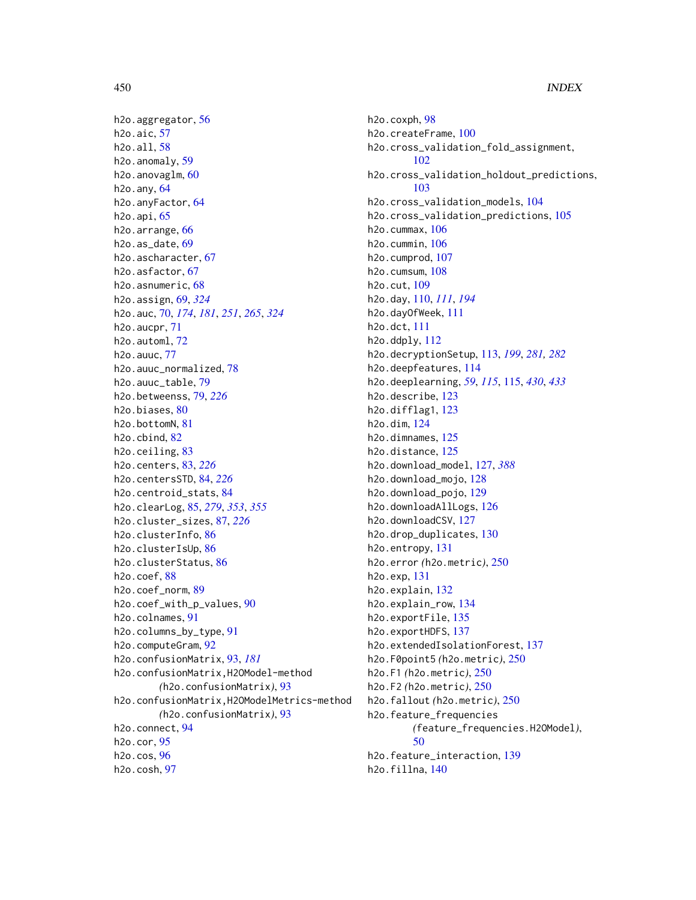h2o.aggregator, [56](#page-55-0) h2o.aic, [57](#page-56-0) h2o.all, [58](#page-57-0) h2o.anomaly, [59](#page-58-0) h2o.anovaglm, [60](#page-59-0) h2o.any, [64](#page-63-0) h2o.anyFactor, [64](#page-63-0) h2o.api, [65](#page-64-0) h2o.arrange, [66](#page-65-0) h2o.as\_date, [69](#page-68-0) h2o.ascharacter, [67](#page-66-0) h2o.asfactor, [67](#page-66-0) h2o.asnumeric, [68](#page-67-0) h2o.assign, [69,](#page-68-0) *[324](#page-323-0)* h2o.auc, [70,](#page-69-0) *[174](#page-173-0)*, *[181](#page-180-0)*, *[251](#page-250-0)*, *[265](#page-264-0)*, *[324](#page-323-0)*  $h2o$ . aucpr,  $71$ h2o.automl, [72](#page-71-0) h2o.auuc, [77](#page-76-0) h2o.auuc\_normalized, [78](#page-77-0) h2o.auuc\_table, [79](#page-78-0) h2o.betweenss, [79,](#page-78-0) *[226](#page-225-0)* h2o.biases, [80](#page-79-0) h2o.bottomN, [81](#page-80-0) h2o.cbind, [82](#page-81-0) h2o.ceiling, [83](#page-82-0) h2o.centers, [83,](#page-82-0) *[226](#page-225-0)* h2o.centersSTD, [84,](#page-83-0) *[226](#page-225-0)* h2o.centroid\_stats, [84](#page-83-0) h2o.clearLog, [85,](#page-84-0) *[279](#page-278-0)*, *[353](#page-352-0)*, *[355](#page-354-0)* h2o.cluster\_sizes, [87,](#page-86-0) *[226](#page-225-0)* h2o.clusterInfo, [86](#page-85-0) h2o.clusterIsUp, [86](#page-85-0) h2o.clusterStatus, [86](#page-85-0) h2o.coef, [88](#page-87-0) h2o.coef\_norm, [89](#page-88-0) h2o.coef\_with\_p\_values, [90](#page-89-0) h2o.colnames, [91](#page-90-0) h2o.columns\_by\_type, [91](#page-90-0) h2o.computeGram, [92](#page-91-0) h2o.confusionMatrix, [93,](#page-92-0) *[181](#page-180-0)* h2o.confusionMatrix,H2OModel-method *(*h2o.confusionMatrix*)*, [93](#page-92-0) h2o.confusionMatrix,H2OModelMetrics-method *(*h2o.confusionMatrix*)*, [93](#page-92-0) h2o.connect, [94](#page-93-0) h2o.cor, [95](#page-94-0) h2o.cos, [96](#page-95-0) h2o.cosh, [97](#page-96-0)

h2o.coxph, [98](#page-97-0) h2o.createFrame, [100](#page-99-0) h2o.cross\_validation\_fold\_assignment, [102](#page-101-0) h2o.cross\_validation\_holdout\_predictions, [103](#page-102-0) h2o.cross\_validation\_models, [104](#page-103-0) h2o.cross\_validation\_predictions, [105](#page-104-0) h2o.cummax, [106](#page-105-0) h2o.cummin, [106](#page-105-0) h2o.cumprod, [107](#page-106-0) h2o.cumsum, [108](#page-107-0) h2o.cut, [109](#page-108-0) h2o.day, [110,](#page-109-0) *[111](#page-110-0)*, *[194](#page-193-0)* h2o.dayOfWeek, [111](#page-110-0) h2o.dct, [111](#page-110-0) h2o.ddply, [112](#page-111-0) h2o.decryptionSetup, [113,](#page-112-0) *[199](#page-198-0)*, *[281,](#page-280-0) [282](#page-281-0)* h2o.deepfeatures, [114](#page-113-0) h2o.deeplearning, *[59](#page-58-0)*, *[115](#page-114-1)*, [115,](#page-114-1) *[430](#page-429-0)*, *[433](#page-432-0)* h2o.describe, [123](#page-122-0) h2o.difflag1, [123](#page-122-0) h2o.dim, [124](#page-123-0) h2o.dimnames, [125](#page-124-0) h2o.distance, [125](#page-124-0) h2o.download\_model, [127,](#page-126-0) *[388](#page-387-0)* h2o.download\_mojo, [128](#page-127-0) h2o.download\_pojo, [129](#page-128-0) h2o.downloadAllLogs, [126](#page-125-0) h2o.downloadCSV, [127](#page-126-0) h2o.drop\_duplicates, [130](#page-129-0) h2o.entropy, [131](#page-130-0) h2o.error *(*h2o.metric*)*, [250](#page-249-0) h2o.exp, [131](#page-130-0) h2o.explain, [132](#page-131-0) h2o.explain\_row, [134](#page-133-0) h2o.exportFile, [135](#page-134-0) h2o.exportHDFS, [137](#page-136-0) h2o.extendedIsolationForest, [137](#page-136-0) h2o.F0point5 *(*h2o.metric*)*, [250](#page-249-0) h2o.F1 *(*h2o.metric*)*, [250](#page-249-0) h2o.F2 *(*h2o.metric*)*, [250](#page-249-0) h2o.fallout *(*h2o.metric*)*, [250](#page-249-0) h2o.feature\_frequencies *(*feature\_frequencies.H2OModel*)*, [50](#page-49-0) h2o.feature\_interaction, [139](#page-138-0) h2o.fillna, [140](#page-139-0)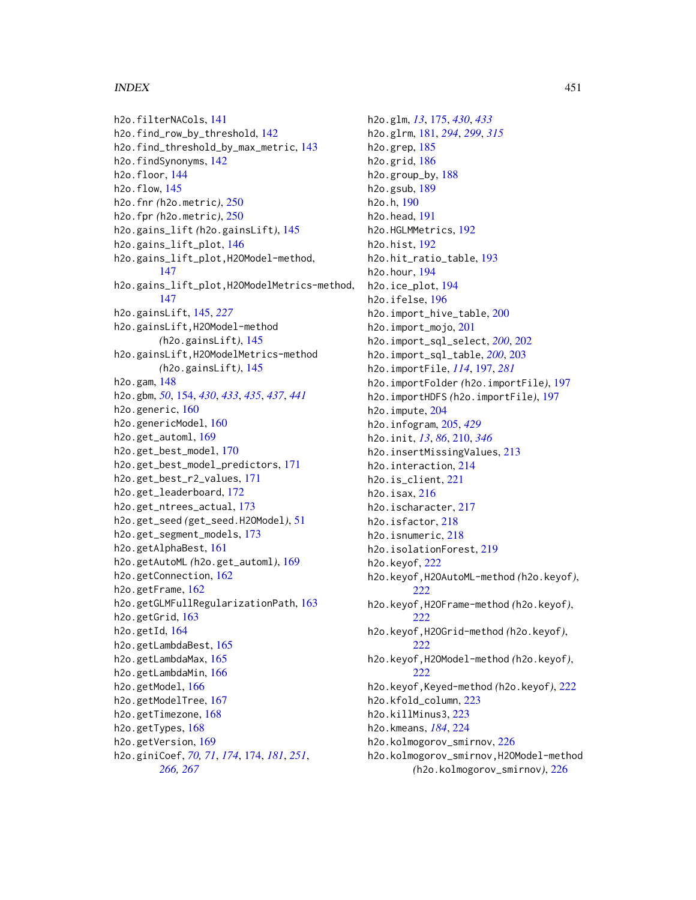h2o.filterNACols, [141](#page-140-0) h2o.find\_row\_by\_threshold, [142](#page-141-0) h2o.find\_threshold\_by\_max\_metric, [143](#page-142-0) h2o.findSynonyms, [142](#page-141-0) h2o.floor, [144](#page-143-0) h2o.flow, [145](#page-144-0) h2o.fnr *(*h2o.metric*)*, [250](#page-249-0) h2o.fpr *(*h2o.metric*)*, [250](#page-249-0) h2o.gains\_lift *(*h2o.gainsLift*)*, [145](#page-144-0) h2o.gains\_lift\_plot, [146](#page-145-0) h2o.gains\_lift\_plot,H2OModel-method, [147](#page-146-0) h2o.gains\_lift\_plot,H2OModelMetrics-method, [147](#page-146-0) h2o.gainsLift, [145,](#page-144-0) *[227](#page-226-0)* h2o.gainsLift,H2OModel-method *(*h2o.gainsLift*)*, [145](#page-144-0) h2o.gainsLift,H2OModelMetrics-method *(*h2o.gainsLift*)*, [145](#page-144-0) h2o.gam, [148](#page-147-0) h2o.gbm, *[50](#page-49-0)*, [154,](#page-153-1) *[430](#page-429-0)*, *[433](#page-432-0)*, *[435](#page-434-0)*, *[437](#page-436-0)*, *[441](#page-440-0)* h2o.generic, [160](#page-159-0) h2o.genericModel, [160](#page-159-0) h2o.get\_automl, [169](#page-168-0) h2o.get\_best\_model, [170](#page-169-0) h2o.get\_best\_model\_predictors, [171](#page-170-0) h2o.get\_best\_r2\_values, [171](#page-170-0) h2o.get\_leaderboard, [172](#page-171-0) h2o.get\_ntrees\_actual, [173](#page-172-0) h2o.get\_seed *(*get\_seed.H2OModel*)*, [51](#page-50-0) h2o.get\_segment\_models, [173](#page-172-0) h2o.getAlphaBest, [161](#page-160-0) h2o.getAutoML *(*h2o.get\_automl*)*, [169](#page-168-0) h2o.getConnection, [162](#page-161-0) h2o.getFrame, [162](#page-161-0) h2o.getGLMFullRegularizationPath, [163](#page-162-0) h2o.getGrid, [163](#page-162-0) h2o.getId, [164](#page-163-0) h2o.getLambdaBest, [165](#page-164-0) h2o.getLambdaMax, [165](#page-164-0) h2o.getLambdaMin, [166](#page-165-0) h2o.getModel, [166](#page-165-0) h2o.getModelTree, [167](#page-166-0) h2o.getTimezone, [168](#page-167-0) h2o.getTypes, [168](#page-167-0) h2o.getVersion, [169](#page-168-0) h2o.giniCoef, *[70,](#page-69-0) [71](#page-70-0)*, *[174](#page-173-0)*, [174,](#page-173-0) *[181](#page-180-0)*, *[251](#page-250-0)*, *[266,](#page-265-0) [267](#page-266-0)*

h2o.glm, *[13](#page-12-0)*, [175,](#page-174-1) *[430](#page-429-0)*, *[433](#page-432-0)* h2o.glrm, [181,](#page-180-0) *[294](#page-293-0)*, *[299](#page-298-0)*, *[315](#page-314-0)* h2o.grep, [185](#page-184-0) h2o.grid, [186](#page-185-0) h2o.group\_by, [188](#page-187-0) h2o.gsub, [189](#page-188-0) h2o.h, [190](#page-189-0) h2o.head, [191](#page-190-0) h2o.HGLMMetrics, [192](#page-191-0) h2o.hist, [192](#page-191-0) h2o.hit\_ratio\_table, [193](#page-192-0) h2o.hour, [194](#page-193-0) h2o.ice\_plot, [194](#page-193-0) h2o.ifelse, [196](#page-195-0) h2o.import\_hive\_table, [200](#page-199-0) h2o.import\_mojo, [201](#page-200-0) h2o.import\_sql\_select, *[200](#page-199-0)*, [202](#page-201-0) h2o.import\_sql\_table, *[200](#page-199-0)*, [203](#page-202-0) h2o.importFile, *[114](#page-113-0)*, [197,](#page-196-0) *[281](#page-280-0)* h2o.importFolder *(*h2o.importFile*)*, [197](#page-196-0) h2o.importHDFS *(*h2o.importFile*)*, [197](#page-196-0) h2o.impute, [204](#page-203-0) h2o.infogram, [205,](#page-204-0) *[429](#page-428-0)* h2o.init, *[13](#page-12-0)*, *[86](#page-85-0)*, [210,](#page-209-0) *[346](#page-345-0)* h2o.insertMissingValues, [213](#page-212-0) h2o.interaction, [214](#page-213-0) h2o.is\_client, [221](#page-220-0) h2o.isax, [216](#page-215-0) h2o.ischaracter, [217](#page-216-0) h2o.isfactor, [218](#page-217-0) h2o.isnumeric, [218](#page-217-0) h2o.isolationForest, [219](#page-218-0) h2o.keyof, [222](#page-221-0) h2o.keyof,H2OAutoML-method *(*h2o.keyof*)*, [222](#page-221-0) h2o.keyof,H2OFrame-method *(*h2o.keyof*)*, [222](#page-221-0) h2o.keyof,H2OGrid-method *(*h2o.keyof*)*, [222](#page-221-0) h2o.keyof,H2OModel-method *(*h2o.keyof*)*, [222](#page-221-0) h2o.keyof,Keyed-method *(*h2o.keyof*)*, [222](#page-221-0) h2o.kfold\_column, [223](#page-222-0) h2o.killMinus3, [223](#page-222-0) h2o.kmeans, *[184](#page-183-0)*, [224](#page-223-0) h2o.kolmogorov\_smirnov, [226](#page-225-0) h2o.kolmogorov\_smirnov,H2OModel-method *(*h2o.kolmogorov\_smirnov*)*, [226](#page-225-0)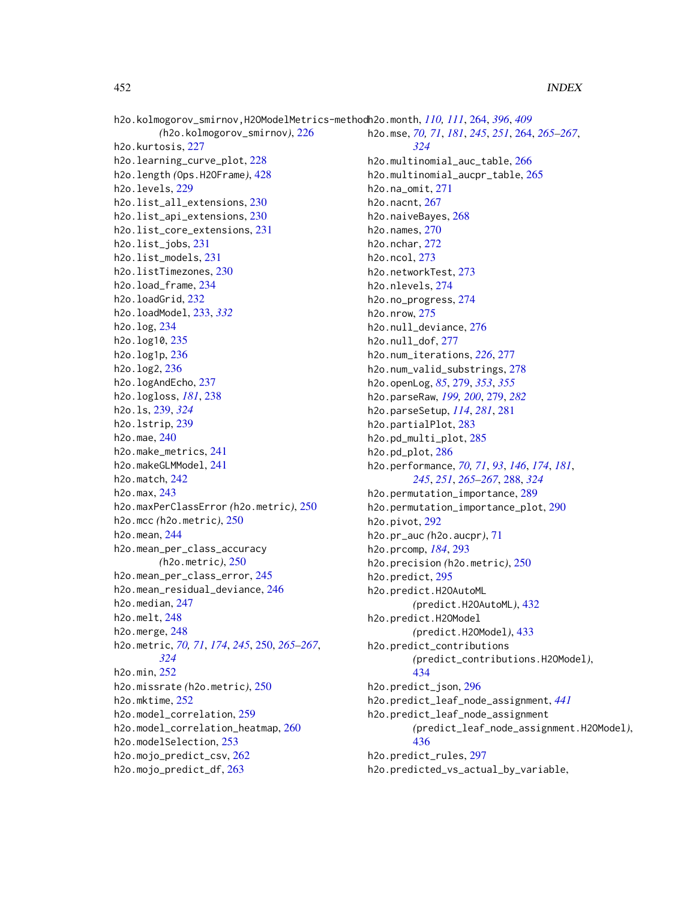h2o.kolmogorov\_smirnov,H2OModelMetrics-method h2o.month, *[110,](#page-109-0) [111](#page-110-0)*, [264,](#page-263-0) *[396](#page-395-0)*, *[409](#page-408-0) (*h2o.kolmogorov\_smirnov*)*, [226](#page-225-0) h2o.kurtosis, [227](#page-226-0) h2o.learning\_curve\_plot, [228](#page-227-0) h2o.length *(*Ops.H2OFrame*)*, [428](#page-427-0) h2o.levels, [229](#page-228-0) h2o.list\_all\_extensions, [230](#page-229-0) h2o.list\_api\_extensions, [230](#page-229-0) h2o.list\_core\_extensions, [231](#page-230-0) h2o.list\_jobs, [231](#page-230-0) h2o.list\_models, [231](#page-230-0) h2o.listTimezones, [230](#page-229-0) h2o.load\_frame, [234](#page-233-0) h2o.loadGrid, [232](#page-231-0) h2o.loadModel, [233,](#page-232-0) *[332](#page-331-0)* h2o.log, [234](#page-233-0) h2o.log10, [235](#page-234-0) h2o.log1p, [236](#page-235-0) h2o.log2, [236](#page-235-0) h2o.logAndEcho, [237](#page-236-0) h2o.logloss, *[181](#page-180-0)*, [238](#page-237-0) h2o.ls, [239,](#page-238-0) *[324](#page-323-0)* h2o.lstrip, [239](#page-238-0) h2o.mae, [240](#page-239-0) h2o.make\_metrics, [241](#page-240-0) h2o.makeGLMModel, [241](#page-240-0) h2o.match, [242](#page-241-0) h2o.max, [243](#page-242-0) h2o.maxPerClassError *(*h2o.metric*)*, [250](#page-249-0) h2o.mcc *(*h2o.metric*)*, [250](#page-249-0) h2o.mean, [244](#page-243-0) h2o.mean\_per\_class\_accuracy *(*h2o.metric*)*, [250](#page-249-0) h2o.mean\_per\_class\_error, [245](#page-244-0) h2o.mean\_residual\_deviance, [246](#page-245-0) h2o.median, [247](#page-246-0) h2o.melt, [248](#page-247-0) h2o.merge, [248](#page-247-0) h2o.metric, *[70,](#page-69-0) [71](#page-70-0)*, *[174](#page-173-0)*, *[245](#page-244-0)*, [250,](#page-249-0) *[265–](#page-264-0)[267](#page-266-0)*, *[324](#page-323-0)* h2o.min, [252](#page-251-0) h2o.missrate *(*h2o.metric*)*, [250](#page-249-0) h2o.mktime, [252](#page-251-0) h2o.model\_correlation, [259](#page-258-0) h2o.model\_correlation\_heatmap, [260](#page-259-0) h2o.modelSelection, [253](#page-252-0) h2o.mojo\_predict\_csv, [262](#page-261-0) h2o.mojo\_predict\_df, [263](#page-262-0)

h2o.mse, *[70,](#page-69-0) [71](#page-70-0)*, *[181](#page-180-0)*, *[245](#page-244-0)*, *[251](#page-250-0)*, [264,](#page-263-0) *[265](#page-264-0)[–267](#page-266-0)*, *[324](#page-323-0)* h2o.multinomial\_auc\_table, [266](#page-265-0) h2o.multinomial\_aucpr\_table, [265](#page-264-0) h2o.na\_omit, [271](#page-270-0) h2o.nacnt, [267](#page-266-0) h2o.naiveBayes, [268](#page-267-0) h2o.names, [270](#page-269-0) h2o.nchar, [272](#page-271-0) h2o.ncol, [273](#page-272-0) h2o.networkTest, [273](#page-272-0) h2o.nlevels, [274](#page-273-0) h2o.no\_progress, [274](#page-273-0) h2o.nrow, [275](#page-274-0) h2o.null\_deviance, [276](#page-275-0) h2o.null\_dof, [277](#page-276-0) h2o.num\_iterations, *[226](#page-225-0)*, [277](#page-276-0) h2o.num\_valid\_substrings, [278](#page-277-0) h2o.openLog, *[85](#page-84-0)*, [279,](#page-278-0) *[353](#page-352-0)*, *[355](#page-354-0)* h2o.parseRaw, *[199,](#page-198-0) [200](#page-199-0)*, [279,](#page-278-0) *[282](#page-281-0)* h2o.parseSetup, *[114](#page-113-0)*, *[281](#page-280-0)*, [281](#page-280-0) h2o.partialPlot, [283](#page-282-0) h2o.pd\_multi\_plot, [285](#page-284-0) h2o.pd\_plot, [286](#page-285-0) h2o.performance, *[70,](#page-69-0) [71](#page-70-0)*, *[93](#page-92-0)*, *[146](#page-145-0)*, *[174](#page-173-0)*, *[181](#page-180-0)*, *[245](#page-244-0)*, *[251](#page-250-0)*, *[265](#page-264-0)[–267](#page-266-0)*, [288,](#page-287-0) *[324](#page-323-0)* h2o.permutation\_importance, [289](#page-288-0) h2o.permutation\_importance\_plot, [290](#page-289-0) h2o.pivot, [292](#page-291-0) h2o.pr\_auc *(*h2o.aucpr*)*, [71](#page-70-0) h2o.prcomp, *[184](#page-183-0)*, [293](#page-292-0) h2o.precision *(*h2o.metric*)*, [250](#page-249-0) h2o.predict, [295](#page-294-0) h2o.predict.H2OAutoML *(*predict.H2OAutoML*)*, [432](#page-431-0) h2o.predict.H2OModel *(*predict.H2OModel*)*, [433](#page-432-0) h2o.predict\_contributions *(*predict\_contributions.H2OModel*)*, [434](#page-433-0) h2o.predict\_json, [296](#page-295-0) h2o.predict\_leaf\_node\_assignment, *[441](#page-440-0)* h2o.predict\_leaf\_node\_assignment *(*predict\_leaf\_node\_assignment.H2OModel*)*, [436](#page-435-1) h2o.predict\_rules, [297](#page-296-0) h2o.predicted\_vs\_actual\_by\_variable,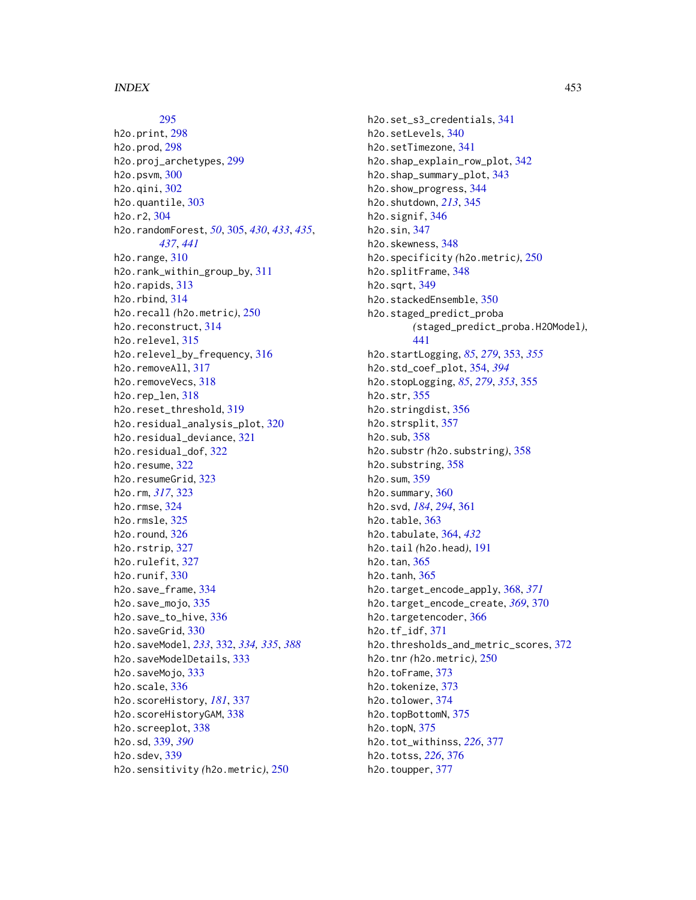[295](#page-294-0) h2o.print, [298](#page-297-0) h2o.prod, [298](#page-297-0) h2o.proj\_archetypes, [299](#page-298-0) h2o.psvm, [300](#page-299-0) h2o.qini, [302](#page-301-0) h2o.quantile, [303](#page-302-0) h2o.r2, [304](#page-303-0) h2o.randomForest, *[50](#page-49-0)*, [305,](#page-304-1) *[430](#page-429-0)*, *[433](#page-432-0)*, *[435](#page-434-0)*, *[437](#page-436-0)*, *[441](#page-440-0)* h2o.range, [310](#page-309-0) h2o.rank\_within\_group\_by, [311](#page-310-0) h2o.rapids, [313](#page-312-0) h2o.rbind, [314](#page-313-0) h2o.recall *(*h2o.metric*)*, [250](#page-249-0) h2o.reconstruct, [314](#page-313-0) h2o.relevel, [315](#page-314-0) h2o.relevel\_by\_frequency, [316](#page-315-0) h2o.removeAll, [317](#page-316-0) h2o.removeVecs, [318](#page-317-0) h<sub>2</sub>o.rep len. [318](#page-317-0) h2o.reset\_threshold, [319](#page-318-0) h2o.residual\_analysis\_plot, [320](#page-319-0) h2o.residual\_deviance, [321](#page-320-0) h2o.residual\_dof, [322](#page-321-0) h2o.resume, [322](#page-321-0) h2o.resumeGrid, [323](#page-322-0) h2o.rm, *[317](#page-316-0)*, [323](#page-322-0) h2o.rmse, [324](#page-323-0) h2o.rmsle, [325](#page-324-0) h2o.round, [326](#page-325-0) h2o.rstrip, [327](#page-326-0) h2o.rulefit, [327](#page-326-0) h2o.runif, [330](#page-329-0) h2o.save\_frame, [334](#page-333-0) h2o.save\_mojo, [335](#page-334-0) h2o.save\_to\_hive, [336](#page-335-0) h2o.saveGrid, [330](#page-329-0) h2o.saveModel, *[233](#page-232-0)*, [332,](#page-331-0) *[334,](#page-333-0) [335](#page-334-0)*, *[388](#page-387-0)* h2o.saveModelDetails, [333](#page-332-0) h2o.saveMojo, [333](#page-332-0) h2o.scale, [336](#page-335-0) h2o.scoreHistory, *[181](#page-180-0)*, [337](#page-336-0) h2o.scoreHistoryGAM, [338](#page-337-0) h2o.screeplot, [338](#page-337-0) h2o.sd, [339,](#page-338-0) *[390](#page-389-0)* h2o.sdev, [339](#page-338-0) h2o.sensitivity *(*h2o.metric*)*, [250](#page-249-0)

h2o.set\_s3\_credentials, [341](#page-340-0) h2o.setLevels, [340](#page-339-0) h2o.setTimezone, [341](#page-340-0) h2o.shap\_explain\_row\_plot, [342](#page-341-0) h2o.shap\_summary\_plot, [343](#page-342-0) h2o.show\_progress, [344](#page-343-0) h2o.shutdown, *[213](#page-212-0)*, [345](#page-344-0) h2o.signif, [346](#page-345-0) h2o.sin, [347](#page-346-0) h2o.skewness, [348](#page-347-0) h2o.specificity *(*h2o.metric*)*, [250](#page-249-0) h2o.splitFrame, [348](#page-347-0) h2o.sqrt, [349](#page-348-0) h2o.stackedEnsemble, [350](#page-349-0) h2o.staged\_predict\_proba *(*staged\_predict\_proba.H2OModel*)*, [441](#page-440-0) h2o.startLogging, *[85](#page-84-0)*, *[279](#page-278-0)*, [353,](#page-352-0) *[355](#page-354-0)* h2o.std\_coef\_plot, [354,](#page-353-0) *[394](#page-393-0)* h2o.stopLogging, *[85](#page-84-0)*, *[279](#page-278-0)*, *[353](#page-352-0)*, [355](#page-354-0) h2o.str, [355](#page-354-0) h2o.stringdist, [356](#page-355-0) h2o.strsplit, [357](#page-356-0) h2o.sub, [358](#page-357-0) h2o.substr *(*h2o.substring*)*, [358](#page-357-0) h2o.substring, [358](#page-357-0) h2o.sum, [359](#page-358-0) h2o.summary, [360](#page-359-0) h2o.svd, *[184](#page-183-0)*, *[294](#page-293-0)*, [361](#page-360-0) h2o.table, [363](#page-362-0) h2o.tabulate, [364,](#page-363-0) *[432](#page-431-0)* h2o.tail *(*h2o.head*)*, [191](#page-190-0) h2o.tan, [365](#page-364-0) h2o.tanh, [365](#page-364-0) h2o.target\_encode\_apply, [368,](#page-367-0) *[371](#page-370-0)* h2o.target\_encode\_create, *[369](#page-368-0)*, [370](#page-369-0) h2o.targetencoder, [366](#page-365-0) h2o.tf\_idf, [371](#page-370-0) h2o.thresholds\_and\_metric\_scores, [372](#page-371-0) h2o.tnr *(*h2o.metric*)*, [250](#page-249-0) h2o.toFrame, [373](#page-372-0) h2o.tokenize, [373](#page-372-0) h2o.tolower, [374](#page-373-0) h2o.topBottomN, [375](#page-374-0) h2o.topN, [375](#page-374-0) h2o.tot\_withinss, *[226](#page-225-0)*, [377](#page-376-0) h2o.totss, *[226](#page-225-0)*, [376](#page-375-0) h2o.toupper, [377](#page-376-0)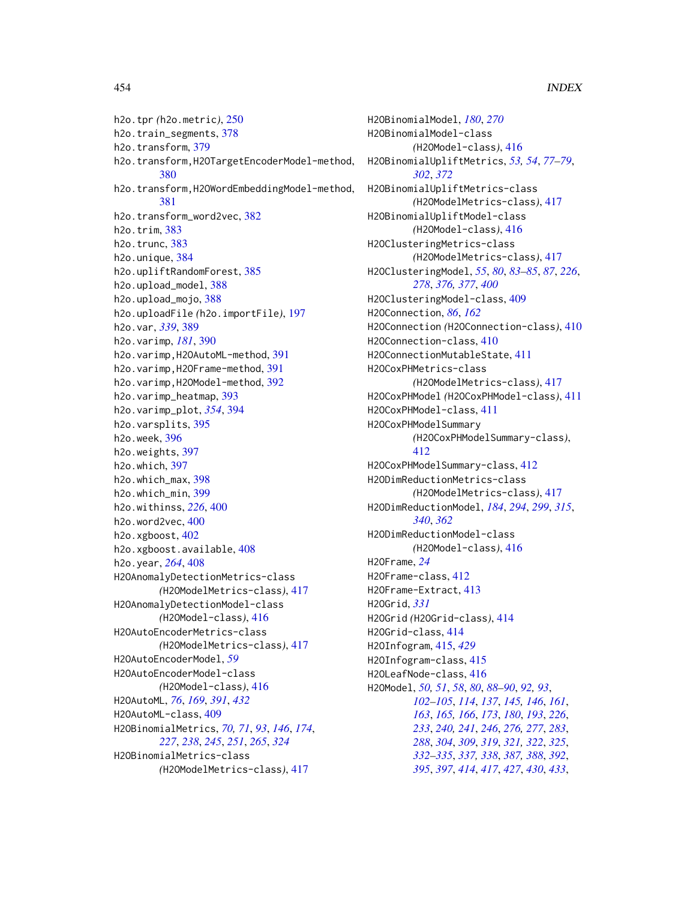h2o.tpr *(*h2o.metric*)*, [250](#page-249-0) h2o.train\_segments, [378](#page-377-0) h2o.transform, [379](#page-378-0) h2o.transform,H2OTargetEncoderModel-method, [380](#page-379-0) h2o.transform,H2OWordEmbeddingModel-method, [381](#page-380-0) h2o.transform\_word2vec, [382](#page-381-0) h2o.trim, [383](#page-382-0) h2o.trunc, [383](#page-382-0) h2o.unique, [384](#page-383-0) h2o.upliftRandomForest, [385](#page-384-0) h2o.upload\_model, [388](#page-387-0) h2o.upload\_mojo, [388](#page-387-0) h2o.uploadFile *(*h2o.importFile*)*, [197](#page-196-0) h2o.var, *[339](#page-338-0)*, [389](#page-388-0) h2o.varimp, *[181](#page-180-0)*, [390](#page-389-0) h2o.varimp, H2OAutoML-method, [391](#page-390-0) h2o.varimp,H2OFrame-method, [391](#page-390-0) h2o.varimp,H2OModel-method, [392](#page-391-0) h2o.varimp\_heatmap, [393](#page-392-0) h2o.varimp\_plot, *[354](#page-353-0)*, [394](#page-393-0) h2o.varsplits, [395](#page-394-0) h2o.week, [396](#page-395-0) h2o.weights, [397](#page-396-0) h2o.which, [397](#page-396-0) h2o.which\_max, [398](#page-397-0) h2o.which\_min, [399](#page-398-0) h2o.withinss, *[226](#page-225-0)*, [400](#page-399-0) h2o.word2vec, [400](#page-399-0) h2o.xgboost, [402](#page-401-0) h2o.xgboost.available, [408](#page-407-0) h2o.year, *[264](#page-263-0)*, [408](#page-407-0) H2OAnomalyDetectionMetrics-class *(*H2OModelMetrics-class*)*, [417](#page-416-0) H2OAnomalyDetectionModel-class *(*H2OModel-class*)*, [416](#page-415-1) H2OAutoEncoderMetrics-class *(*H2OModelMetrics-class*)*, [417](#page-416-0) H2OAutoEncoderModel, *[59](#page-58-0)* H2OAutoEncoderModel-class *(*H2OModel-class*)*, [416](#page-415-1) H2OAutoML, *[76](#page-75-0)*, *[169](#page-168-0)*, *[391](#page-390-0)*, *[432](#page-431-0)* H2OAutoML-class, [409](#page-408-0) H2OBinomialMetrics, *[70,](#page-69-0) [71](#page-70-0)*, *[93](#page-92-0)*, *[146](#page-145-0)*, *[174](#page-173-0)*, *[227](#page-226-0)*, *[238](#page-237-0)*, *[245](#page-244-0)*, *[251](#page-250-0)*, *[265](#page-264-0)*, *[324](#page-323-0)* H2OBinomialMetrics-class *(*H2OModelMetrics-class*)*, [417](#page-416-0)

H2OBinomialModel, *[180](#page-179-0)*, *[270](#page-269-0)* H2OBinomialModel-class *(*H2OModel-class*)*, [416](#page-415-1) H2OBinomialUpliftMetrics, *[53,](#page-52-0) [54](#page-53-0)*, *[77](#page-76-0)[–79](#page-78-0)*, *[302](#page-301-0)*, *[372](#page-371-0)* H2OBinomialUpliftMetrics-class *(*H2OModelMetrics-class*)*, [417](#page-416-0) H2OBinomialUpliftModel-class *(*H2OModel-class*)*, [416](#page-415-1) H2OClusteringMetrics-class *(*H2OModelMetrics-class*)*, [417](#page-416-0) H2OClusteringModel, *[55](#page-54-0)*, *[80](#page-79-0)*, *[83](#page-82-0)[–85](#page-84-0)*, *[87](#page-86-0)*, *[226](#page-225-0)*, *[278](#page-277-0)*, *[376,](#page-375-0) [377](#page-376-0)*, *[400](#page-399-0)* H2OClusteringModel-class, [409](#page-408-0) H2OConnection, *[86](#page-85-0)*, *[162](#page-161-0)* H2OConnection *(*H2OConnection-class*)*, [410](#page-409-0) H2OConnection-class, [410](#page-409-0) H2OConnectionMutableState, [411](#page-410-0) H2OCoxPHMetrics-class *(*H2OModelMetrics-class*)*, [417](#page-416-0) H2OCoxPHModel *(*H2OCoxPHModel-class*)*, [411](#page-410-0) H2OCoxPHModel-class, [411](#page-410-0) H2OCoxPHModelSummary *(*H2OCoxPHModelSummary-class*)*, [412](#page-411-0) H2OCoxPHModelSummary-class, [412](#page-411-0) H2ODimReductionMetrics-class *(*H2OModelMetrics-class*)*, [417](#page-416-0) H2ODimReductionModel, *[184](#page-183-0)*, *[294](#page-293-0)*, *[299](#page-298-0)*, *[315](#page-314-0)*, *[340](#page-339-0)*, *[362](#page-361-0)* H2ODimReductionModel-class *(*H2OModel-class*)*, [416](#page-415-1) H2OFrame, *[24](#page-23-0)* H2OFrame-class, [412](#page-411-0) H2OFrame-Extract, [413](#page-412-0) H2OGrid, *[331](#page-330-0)* H2OGrid *(*H2OGrid-class*)*, [414](#page-413-0) H2OGrid-class, [414](#page-413-0) H2OInfogram, [415,](#page-414-0) *[429](#page-428-0)* H2OInfogram-class, [415](#page-414-0) H2OLeafNode-class, [416](#page-415-1) H2OModel, *[50,](#page-49-0) [51](#page-50-0)*, *[58](#page-57-0)*, *[80](#page-79-0)*, *[88](#page-87-0)[–90](#page-89-0)*, *[92,](#page-91-0) [93](#page-92-0)*, *[102](#page-101-0)[–105](#page-104-0)*, *[114](#page-113-0)*, *[137](#page-136-0)*, *[145,](#page-144-0) [146](#page-145-0)*, *[161](#page-160-0)*, *[163](#page-162-0)*, *[165,](#page-164-0) [166](#page-165-0)*, *[173](#page-172-0)*, *[180](#page-179-0)*, *[193](#page-192-0)*, *[226](#page-225-0)*, *[233](#page-232-0)*, *[240,](#page-239-0) [241](#page-240-0)*, *[246](#page-245-0)*, *[276,](#page-275-0) [277](#page-276-0)*, *[283](#page-282-0)*, *[288](#page-287-0)*, *[304](#page-303-0)*, *[309](#page-308-0)*, *[319](#page-318-0)*, *[321,](#page-320-0) [322](#page-321-0)*, *[325](#page-324-0)*, *[332](#page-331-0)[–335](#page-334-0)*, *[337,](#page-336-0) [338](#page-337-0)*, *[387,](#page-386-0) [388](#page-387-0)*, *[392](#page-391-0)*, *[395](#page-394-0)*, *[397](#page-396-0)*, *[414](#page-413-0)*, *[417](#page-416-0)*, *[427](#page-426-0)*, *[430](#page-429-0)*, *[433](#page-432-0)*,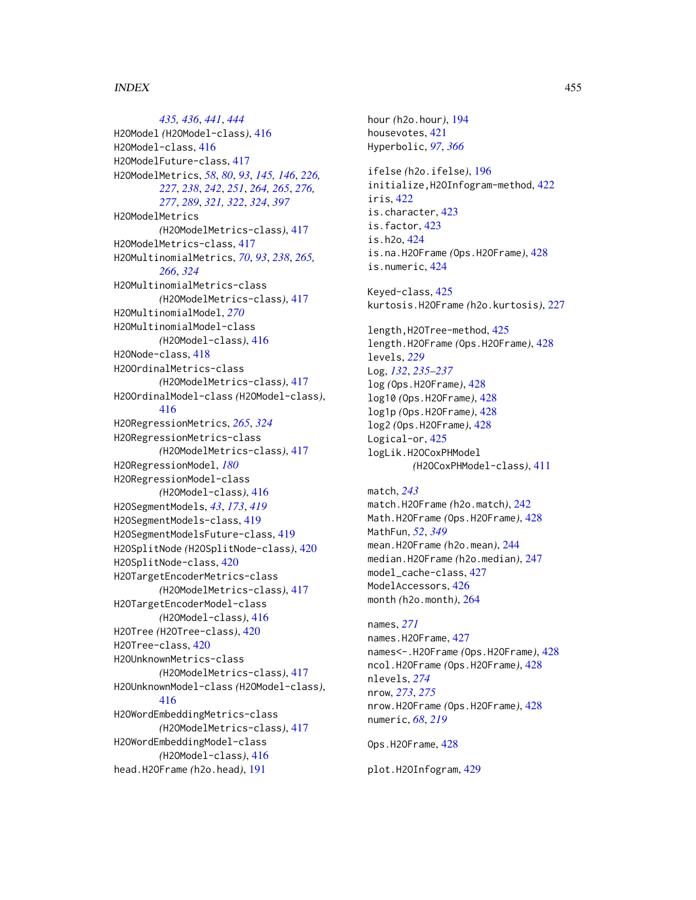*[435,](#page-434-0) [436](#page-435-1)*, *[441](#page-440-0)*, *[444](#page-443-0)* H2OModel *(*H2OModel-class*)*, [416](#page-415-1) H2OModel-class, [416](#page-415-1) H2OModelFuture-class, [417](#page-416-0) H2OModelMetrics, *[58](#page-57-0)*, *[80](#page-79-0)*, *[93](#page-92-0)*, *[145,](#page-144-0) [146](#page-145-0)*, *[226,](#page-225-0) [227](#page-226-0)*, *[238](#page-237-0)*, *[242](#page-241-0)*, *[251](#page-250-0)*, *[264,](#page-263-0) [265](#page-264-0)*, *[276,](#page-275-0) [277](#page-276-0)*, *[289](#page-288-0)*, *[321,](#page-320-0) [322](#page-321-0)*, *[324](#page-323-0)*, *[397](#page-396-0)* H2OModelMetrics *(*H2OModelMetrics-class*)*, [417](#page-416-0) H2OModelMetrics-class, [417](#page-416-0) H2OMultinomialMetrics, *[70](#page-69-0)*, *[93](#page-92-0)*, *[238](#page-237-0)*, *[265,](#page-264-0) [266](#page-265-0)*, *[324](#page-323-0)* H2OMultinomialMetrics-class *(*H2OModelMetrics-class*)*, [417](#page-416-0) H2OMultinomialModel, *[270](#page-269-0)* H2OMultinomialModel-class *(*H2OModel-class*)*, [416](#page-415-1) H2ONode-class, [418](#page-417-0) H2OOrdinalMetrics-class *(*H2OModelMetrics-class*)*, [417](#page-416-0) H2OOrdinalModel-class *(*H2OModel-class*)*, [416](#page-415-1) H2ORegressionMetrics, *[265](#page-264-0)*, *[324](#page-323-0)* H2ORegressionMetrics-class *(*H2OModelMetrics-class*)*, [417](#page-416-0) H2ORegressionModel, *[180](#page-179-0)* H2ORegressionModel-class *(*H2OModel-class*)*, [416](#page-415-1) H2OSegmentModels, *[43](#page-42-0)*, *[173](#page-172-0)*, *[419](#page-418-0)* H2OSegmentModels-class, [419](#page-418-0) H2OSegmentModelsFuture-class, [419](#page-418-0) H2OSplitNode *(*H2OSplitNode-class*)*, [420](#page-419-0) H2OSplitNode-class, [420](#page-419-0) H2OTargetEncoderMetrics-class *(*H2OModelMetrics-class*)*, [417](#page-416-0) H2OTargetEncoderModel-class *(*H2OModel-class*)*, [416](#page-415-1) H2OTree *(*H2OTree-class*)*, [420](#page-419-0) H2OTree-class, [420](#page-419-0) H2OUnknownMetrics-class *(*H2OModelMetrics-class*)*, [417](#page-416-0) H2OUnknownModel-class *(*H2OModel-class*)*, [416](#page-415-1) H2OWordEmbeddingMetrics-class *(*H2OModelMetrics-class*)*, [417](#page-416-0) H2OWordEmbeddingModel-class *(*H2OModel-class*)*, [416](#page-415-1) head.H2OFrame *(*h2o.head*)*, [191](#page-190-0)

hour *(*h2o.hour*)*, [194](#page-193-0) housevotes, [421](#page-420-0) Hyperbolic, *[97](#page-96-0)*, *[366](#page-365-0)*

ifelse *(*h2o.ifelse*)*, [196](#page-195-0) initialize,H2OInfogram-method, [422](#page-421-0) iris, [422](#page-421-0) is.character, [423](#page-422-0) is.factor, [423](#page-422-0) is.h2o, [424](#page-423-0) is.na.H2OFrame *(*Ops.H2OFrame*)*, [428](#page-427-0) is.numeric, [424](#page-423-0)

Keyed-class, [425](#page-424-0) kurtosis.H2OFrame *(*h2o.kurtosis*)*, [227](#page-226-0)

length,H2OTree-method, [425](#page-424-0) length.H2OFrame *(*Ops.H2OFrame*)*, [428](#page-427-0) levels, *[229](#page-228-0)* Log, *[132](#page-131-0)*, *[235](#page-234-0)[–237](#page-236-0)* log *(*Ops.H2OFrame*)*, [428](#page-427-0) log10 *(*Ops.H2OFrame*)*, [428](#page-427-0) log1p *(*Ops.H2OFrame*)*, [428](#page-427-0) log2 *(*Ops.H2OFrame*)*, [428](#page-427-0) Logical-or, [425](#page-424-0) logLik.H2OCoxPHModel *(*H2OCoxPHModel-class*)*, [411](#page-410-0)

match, *[243](#page-242-0)* match.H2OFrame *(*h2o.match*)*, [242](#page-241-0) Math.H2OFrame *(*Ops.H2OFrame*)*, [428](#page-427-0) MathFun, *[52](#page-51-0)*, *[349](#page-348-0)* mean.H2OFrame *(*h2o.mean*)*, [244](#page-243-0) median.H2OFrame *(*h2o.median*)*, [247](#page-246-0) model\_cache-class, [427](#page-426-0) ModelAccessors, [426](#page-425-0) month *(*h2o.month*)*, [264](#page-263-0)

names, *[271](#page-270-0)* names.H2OFrame, [427](#page-426-0) names<-.H2OFrame *(*Ops.H2OFrame*)*, [428](#page-427-0) ncol.H2OFrame *(*Ops.H2OFrame*)*, [428](#page-427-0) nlevels, *[274](#page-273-0)* nrow, *[273](#page-272-0)*, *[275](#page-274-0)* nrow.H2OFrame *(*Ops.H2OFrame*)*, [428](#page-427-0) numeric, *[68](#page-67-0)*, *[219](#page-218-0)*

Ops.H2OFrame, [428](#page-427-0)

plot.H2OInfogram, [429](#page-428-0)